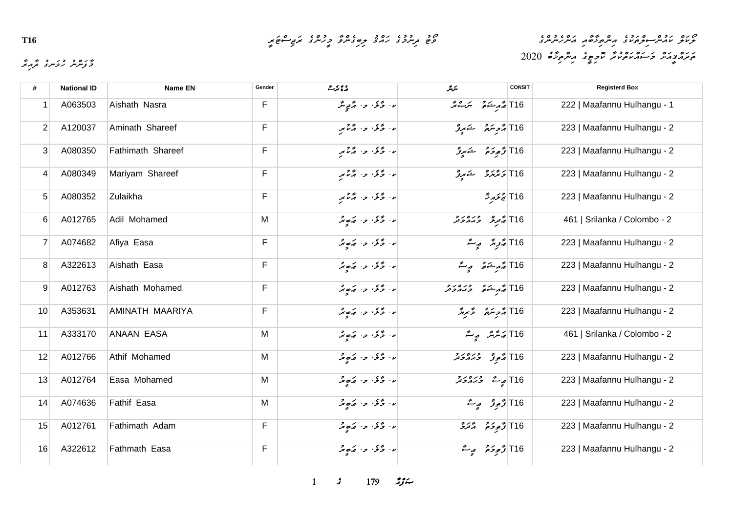*sCw7q7s5w7m< o<n9nOoAw7o< sCq;mAwBoEw7q<m; wBm;vB 2020*<br>*په پوهر وسوډيرونو لومو د موجو د مرمونه* 2020

| #              | <b>National ID</b> | <b>Name EN</b>    | Gender      | <u>ي وي م</u>                     | ىترىر                                       | <b>CONSIT</b> | <b>Registerd Box</b>         |
|----------------|--------------------|-------------------|-------------|-----------------------------------|---------------------------------------------|---------------|------------------------------|
|                | A063503            | Aishath Nasra     | F           | الا الحجي والمجمع مگر             | T16 <i>مەم ھۇم مىر جى</i> مە                |               | 222   Maafannu Hulhangu - 1  |
| $\overline{2}$ | A120037            | Aminath Shareef   | $\mathsf F$ | لا د څخه د اورانو                 | T16 مَرْحِ سَمَعَ مَسَمَّرِيْر              |               | 223   Maafannu Hulhangu - 2  |
| 3              | A080350            | Fathimath Shareef | F           | لا د څخه د کمانو                  | T16 رَّجِ حَمَّ شَمَرِ رَ                   |               | 223   Maafannu Hulhangu - 2  |
| 4              | A080349            | Mariyam Shareef   | $\mathsf F$ | لا د څخه د کمکمنو                 | T16 كەيمە <i>دى</i> خەمبەد                  |               | 223   Maafannu Hulhangu - 2  |
| 5              | A080352            | Zulaikha          | F           | لا د څخه د اړمام                  | T16 تح تح <b>د</b> ي                        |               | 223   Maafannu Hulhangu - 2  |
| 6              | A012765            | Adil Mohamed      | M           | لا د څخه د کامخه                  | T16 م <i>مَّ</i> مِر <i>وْ حُمَدُوْمَرْ</i> |               | 461   Srilanka / Colombo - 2 |
| $\overline{7}$ | A074682            | Afiya Easa        | F           | $3.000 \times 3.3 \times 10^{-2}$ | T16 م <i>حُومٌ م</i> ِتٌ                    |               | 223   Maafannu Hulhangu - 2  |
| 8              | A322613            | Aishath Easa      | $\mathsf F$ | لا د څکې د او وکړ                 | T16 مُ مِسْمَعٌ مِ مَّ                      |               | 223   Maafannu Hulhangu - 2  |
| $9\,$          | A012763            | Aishath Mohamed   | $\mathsf F$ | لا د څخه د کامخه                  | T16 م <i>ۇم شۇھۇھىتى قىتىم قىر</i>          |               | 223   Maafannu Hulhangu - 2  |
| 10             | A353631            | AMINATH MAARIYA   | $\mathsf F$ | لا د محکمه او د مکامله            | T16 مُجِسَعُ تَحْمِيرُ                      |               | 223   Maafannu Hulhangu - 2  |
| 11             | A333170            | <b>ANAAN EASA</b> | M           | لا د څخه د کامخه                  | T16 کھنگر مرت                               |               | 461   Srilanka / Colombo - 2 |
| 12             | A012766            | Athif Mohamed     | M           | لا د څخه د کامخه                  | T16 مَّ مِوتَر حَمَدَ حَمَدَ حَمَدَ         |               | 223   Maafannu Hulhangu - 2  |
| 13             | A012764            | Easa Mohamed      | M           | لا د څخه د کامخه                  | T16 <sub>جو</sub> ت ت <i>حەملى</i> تەرىپ    |               | 223   Maafannu Hulhangu - 2  |
| 14             | A074636            | Fathif Easa       | M           | لا د څخه د کامخه                  | T16 گر <i>جو</i> گر م <sub>ی</sub> ستگ      |               | 223   Maafannu Hulhangu - 2  |
| 15             | A012761            | Fathimath Adam    | F           | لا د محکمه د مکه مخ               | T16 <i>وُّجِ دَمَّة مُ</i> تَرَدُّ          |               | 223   Maafannu Hulhangu - 2  |
| 16             | A322612            | Fathmath Easa     | F           | پارسی کی در کی تیم                | T16 <i>وُجِودَة وِ</i> تَّ                  |               | 223   Maafannu Hulhangu - 2  |

#### *n8o<n@ qC7m:q5 q7w7m?n>*

*1 f 179 <i>f*<sub>*f*</sub>.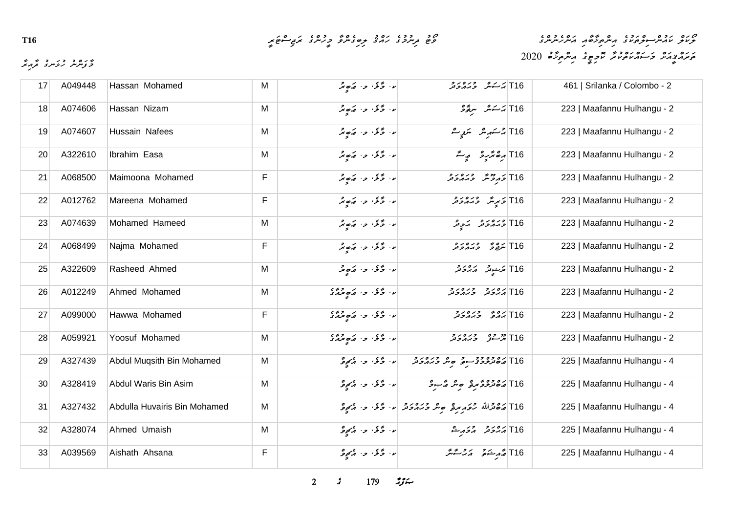*sCw7q7s5w7m< o<n9nOoAw7o< sCq;mAwBoEw7q<m; wBm;vB 2020<sup>, م</sup>وسوق المسجد التحقيق وسرمونية والم*جمع المسجد المسجد المسجد المسجد المسجد المسجد المسجد المسجد المسجد ال

| 17 | A049448 | Hassan Mohamed               | M | لا د څخه د کام کړ                                                   | T16   ئەسەھرە جەمھەتەر                                                | 461   Srilanka / Colombo - 2 |
|----|---------|------------------------------|---|---------------------------------------------------------------------|-----------------------------------------------------------------------|------------------------------|
| 18 | A074606 | Hassan Nizam                 | M | لا د محکمه او د مکامله                                              | T16   يَرْسَدُ سِهَّرَةَ                                              | 223   Maafannu Hulhangu - 2  |
| 19 | A074607 | Hussain Nafees               | M | لا د څخه د کامخه                                                    | T16 پڑے پہلا س <i>مو</i> ے                                            | 223   Maafannu Hulhangu - 2  |
| 20 | A322610 | Ibrahim Easa                 | M | لا د محکمه او د مکامله                                              | T16 مەھمگەيز ھەتتە                                                    | 223   Maafannu Hulhangu - 2  |
| 21 | A068500 | Maimoona Mohamed             | F | لا د څخه د کام ک                                                    | T16 <i>خەرق شىم دىندى</i> ر                                           | 223   Maafannu Hulhangu - 2  |
| 22 | A012762 | Mareena Mohamed              | F | لا د څو، د او په                                                    | T16  ى پېرىگە ئ <i>ۇ ئەۋدى</i> گە                                     | 223   Maafannu Hulhangu - 2  |
| 23 | A074639 | Mohamed Hameed               | M | لا د څخه د کام ک                                                    | T16  <i>وُبَہُ وُمَدٍ بَرْدٍ مُ</i> رَ                                | 223   Maafannu Hulhangu - 2  |
| 24 | A068499 | Najma Mohamed                | F | لا د محکمه او د مصر                                                 | T16 يَرْوَجُ - وَيَرْدُونَرُ                                          | 223   Maafannu Hulhangu - 2  |
| 25 | A322609 | Rasheed Ahmed                | M | لا د څخه د کامخه                                                    | T16 يَرَجُونَزُ - <i>مَدْوَنْزُ</i>                                   | 223   Maafannu Hulhangu - 2  |
| 26 | A012249 | Ahmed Mohamed                | M | $\frac{c}{2}$                                                       | T16 كەبرى ئەمەدىر                                                     | 223   Maafannu Hulhangu - 2  |
| 27 | A099000 | Hawwa Mohamed                | F | $\frac{c}{2}$                                                       | T16 يَهُوَّ وَيَهُوَمُّ                                               | 223   Maafannu Hulhangu - 2  |
| 28 | A059921 | Yoosuf Mohamed               | M | $\begin{bmatrix} 1 & 0 & 0 \\ 0 & 0 & 0 \\ 0 & 0 & 0 \end{bmatrix}$ | T16 تېر <i>دې د ده د</i> و                                            | 223   Maafannu Hulhangu - 2  |
| 29 | A327439 | Abdul Muqsith Bin Mohamed    | M |                                                                     | T16 رە دور دىن مەر دىكەردە سىم دى. دىكم ئالىم دىن كىم                 | 225   Maafannu Hulhangu - 4  |
| 30 | A328419 | Abdul Waris Bin Asim         | м | د گی کال کالمحوفی                                                   | T16 مەھىرىمۇ مۇمەمە مەسىرى                                            | 225   Maafannu Hulhangu - 4  |
| 31 | A327432 | Abdulla Huvairis Bin Mohamed | M |                                                                     | T16 رَصْدُاللّه رَحَ رِسِمْ و سَرْ وَبَرُورُو * • وَ فَي د • وَسَمِوْ | 225   Maafannu Hulhangu - 4  |
| 32 | A328074 | Ahmed Umaish                 | M | پار څري وا وگموه                                                    | T16 كەبرى قارىم ھەم ئىشكە                                             | 225   Maafannu Hulhangu - 4  |
| 33 | A039569 | Aishath Ahsana               | F | الأستحق والمجموع                                                    | T16 مەمۇسىيەتى مەيرىشىشىتىسىتىسىتىسىتىسىتىسىتى بىر                    | 225   Maafannu Hulhangu - 4  |

#### *n8o<n@ qC7m:q5 q7w7m?n>*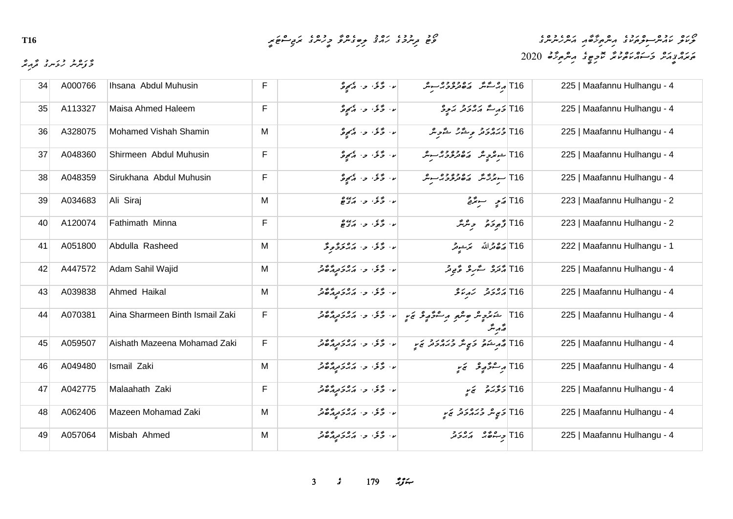*sCw7q7s5w7m< o<n9nOoAw7o< sCq;mAwBoEw7q<m; wBm;vB 2020<sup>, م</sup>وسر در مدد مدرج به مدرم مقرم قرار 2020*<br>موسر المستقرم المستقرم المستقرم المستقرم المستقرم المستقرم المستقرم المستقرم المستقرم المستقرم المستقرم المستقر

| 34 | A000766 | Ihsana Abdul Muhusin            | F | د گري و کمپيو                                                                                                                                                                                                           | T16 <sub>م</sub> ېر شمېر مەم <i>دە د</i> ەر بىر                                                                     | 225   Maafannu Hulhangu - 4 |
|----|---------|---------------------------------|---|-------------------------------------------------------------------------------------------------------------------------------------------------------------------------------------------------------------------------|---------------------------------------------------------------------------------------------------------------------|-----------------------------|
| 35 | A113327 | Maisa Ahmed Haleem              | F | ، وَتَوَا واللَّهُ و                                                                                                                                                                                                    | T16 كەرىشە <i>مەندى مەنب</i> ى                                                                                      | 225   Maafannu Hulhangu - 4 |
| 36 | A328075 | Mohamed Vishah Shamin           | M | پارستخوان در مرکبوتو                                                                                                                                                                                                    | T16 <i>وَيُرُوْدُوْ وِحَدُّرْ</i> حُدُّوَسُ                                                                         | 225   Maafannu Hulhangu - 4 |
| 37 | A048360 | Shirmeen Abdul Muhusin          | F | ، د څو، د کمپوه                                                                                                                                                                                                         | T16 جو <i>ي<sub>د</sub>ي ۾ محمد ج</i> و جي جي س                                                                     | 225   Maafannu Hulhangu - 4 |
| 38 | A048359 | Sirukhana Abdul Muhusin         | F | ، د دې د کمپو                                                                                                                                                                                                           | T16 سىرتىگە كەھەر <i>وم بىر بىر</i>                                                                                 | 225   Maafannu Hulhangu - 4 |
| 39 | A034683 | Ali Siraj                       | M | $\overset{o}{\mathcal{E}}$ $\overset{o}{\mathcal{E}}$ $\overset{o}{\mathcal{E}}$ $\overset{o}{\mathcal{E}}$ $\overset{o}{\mathcal{E}}$ $\overset{o}{\mathcal{E}}$ $\overset{o}{\mathcal{E}}$ $\overset{o}{\mathcal{E}}$ | T16 <i>ھو</i> سو <i>مڈھ</i>                                                                                         | 223   Maafannu Hulhangu - 2 |
| 40 | A120074 | Fathimath Minna                 | F | $\begin{bmatrix} 0 & 0 & 0 & 0 \\ 0 & 0 & 0 & 0 \\ 0 & 0 & 0 & 0 \end{bmatrix}$                                                                                                                                         | T16 رُّ <sub>ج</sub> وَء <sub>ُ</sub> جِسْرٌ                                                                        | 223   Maafannu Hulhangu - 2 |
| 41 | A051800 | Abdulla Rasheed                 | M | لا د محکي د ام پروگرونگر                                                                                                                                                                                                | T16 كەڭداللە كە <u>س</u> وتر                                                                                        | 222   Maafannu Hulhangu - 1 |
| 42 | A447572 | Adam Sahil Wajid                | M |                                                                                                                                                                                                                         | T16   پژنز <i>\$ شرقى قى ي</i> قر                                                                                   | 225   Maafannu Hulhangu - 4 |
| 43 | A039838 | Ahmed Haikal                    | M | ١٠ رقو، د. م.دوبرمور                                                                                                                                                                                                    | T16 <i>ב بۇ ئەرنى</i> ئە                                                                                            | 225   Maafannu Hulhangu - 4 |
| 44 | A070381 | Aina Sharmeen Binth Ismail Zaki | F |                                                                                                                                                                                                                         | T16 خَمَرُومُر صِمُّهِ مِ <sup>عْ</sup> دُّهُ وَ يَمْ إِلَّا دُوْا وَ مَ <i>مْدُوَمِهِمُعَنَّرٍ</i><br>مُّهْرِمَّهُ | 225   Maafannu Hulhangu - 4 |
| 45 | A059507 | Aishath Mazeena Mohamad Zaki    | F |                                                                                                                                                                                                                         | T16 <i>هُ مِ</i> حُمْرٌ   حَرَى مُرَ حَرَمُ حَرَّمَ   مَنْ سِ                                                       | 225   Maafannu Hulhangu - 4 |
| 46 | A049480 | Ismail Zaki                     | M |                                                                                                                                                                                                                         | T16 <sub>م</sub> رشۇم <sub>ۇ</sub> تىم يى                                                                           | 225   Maafannu Hulhangu - 4 |
| 47 | A042775 | Malaahath Zaki                  | F | ر وي د رور دوره<br>د گو د مدونږمانه                                                                                                                                                                                     | T16 كەن <i>ۇردە</i> ي <sub>ى</sub> ي                                                                                | 225   Maafannu Hulhangu - 4 |
| 48 | A062406 | Mazeen Mohamad Zaki             | M | ١٠ رقو، د. م.دوبرمور                                                                                                                                                                                                    | T16 ك <i>ې پىل ۋېزۇدۇنل ئ</i> ېر                                                                                    | 225   Maafannu Hulhangu - 4 |
| 49 | A057064 | Misbah Ahmed                    | M | ر و د د از ده د دور و د                                                                                                                                                                                                 | T16 <sub>ح</sub> بي <i>دة بدونر</i>                                                                                 | 225   Maafannu Hulhangu - 4 |

#### *n8o<n@ qC7m:q5 q7w7m?n>*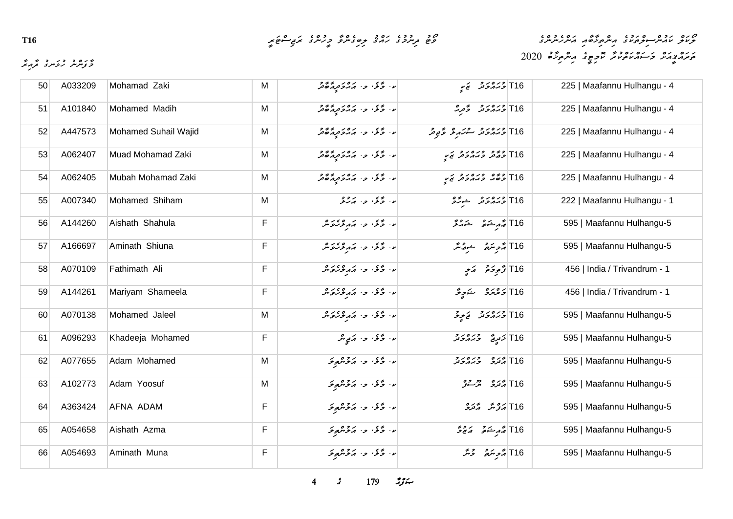*sCw7q7s5w7m< o<n9nOoAw7o< sCq;mAwBoEw7q<m; wBm;vB 2020<sup>, م</sup>وسوق المسجد التحقيق وسرمونية والم*جمع المسجد المسجد المسجد المسجد المسجد المسجد المسجد المسجد المسجد ال

### *n8o<n@ qC7m:q5 q7w7m?n>*

| 50 | A033209 | Mohamad Zaki         | M            | ۱۰ د څو، د ۰ م.پروتوم.ځېز | T16 <i>جُهُ جُودَ جَ</i> سِ                                                                           | 225   Maafannu Hulhangu - 4  |
|----|---------|----------------------|--------------|---------------------------|-------------------------------------------------------------------------------------------------------|------------------------------|
| 51 | A101840 | Mohamed Madih        | M            | ١٠ رقو، د. دبروترون       | T16 <i>وَيَهُوَفَرْ وُمِدَّ</i>                                                                       | 225   Maafannu Hulhangu - 4  |
| 52 | A447573 | Mohamed Suhail Wajid | M            | پارستخوا در مرد در ۱۳۵۶   | T16 <i>وبروزو حزبر و م</i> ُّي مُ                                                                     | 225   Maafannu Hulhangu - 4  |
| 53 | A062407 | Muad Mohamad Zaki    | M            | ١٠ رقو، د. دبروترون       | T16   جرم محرم المرحمد المحمد المحمد المحمد المحمد المحمد المحمد المحمد المحمد المحمد المحمد المحمد ا | 225   Maafannu Hulhangu - 4  |
| 54 | A062405 | Mubah Mohamad Zaki   | M            | ١٠ رقو، د. دبروترون       | T16 رُصُّرُ وَبَرُمُ وَبُرُ بِيَ بِهِ                                                                 | 225   Maafannu Hulhangu - 4  |
| 55 | A007340 | Mohamed Shiham       | M            | لاء بحثى الاراد وكارو     | T16  <i>32,352 جورمبر</i>                                                                             | 222   Maafannu Hulhangu - 1  |
| 56 | A144260 | Aishath Shahula      | $\mathsf{F}$ | ، دُی د ړَروَرُولو        | T16 مۇم شىرىمىتى ئىستىر                                                                               | 595   Maafannu Hulhangu-5    |
| 57 | A166697 | Aminath Shiuna       | $\mathsf{F}$ | ، دُی د ، په دروس         | T16 مَّ حِسَمَ مُسْتَخَفَّ مِسْتَخْفَضَ                                                               | 595   Maafannu Hulhangu-5    |
| 58 | A070109 | Fathimath Ali        | F            | لا د څخه د ام د درونکه    | T16 <i>وُّجِوَة مَعٍ</i>                                                                              | 456   India / Trivandrum - 1 |
| 59 | A144261 | Mariyam Shameela     | F            | ، دُی د ، مَه دُروند      | T16 كەيمە <i>بىۋى</i> خەم <i>ب</i> ۇ                                                                  | 456   India / Trivandrum - 1 |
| 60 | A070138 | Mohamed Jaleel       | M            | ، دُی د ، په دروس         | T16 وُبَرُدُوَنَرٌ   فَي وِثْرَ                                                                       | 595   Maafannu Hulhangu-5    |
| 61 | A096293 | Khadeeja Mohamed     | F            | الا الحجي الأرام كالحاش   | T16 زَمرِيَّ تَرَكْرُونَرُ                                                                            | 595   Maafannu Hulhangu-5    |
| 62 | A077655 | Adam Mohamed         | M            | لا د د د اروللمونو        | T16 يُرتو به دره ديو                                                                                  | 595   Maafannu Hulhangu-5    |
| 63 | A102773 | Adam Yoosuf          | M            | ، د د د مرومهون           | T16 گەنىۋە بې <u>زىت</u> و                                                                            | 595   Maafannu Hulhangu-5    |
| 64 | A363424 | AFNA ADAM            | F            | لا د څخه د امرشونونو      | T16 <i>پُروْنگ پُرُوَنُ</i>                                                                           | 595   Maafannu Hulhangu-5    |
| 65 | A054658 | Aishath Azma         | F            | لا د څخه د امرشونونو      | T16 مُەمِسْمَعْ مَى تَحْقَ                                                                            | 595   Maafannu Hulhangu-5    |
| 66 | A054693 | Aminath Muna         | F            | لا د څخه د امرشونونو      | T16 مَّ <i>جِسَمَّة دُمَّ</i> رَ                                                                      | 595   Maafannu Hulhangu-5    |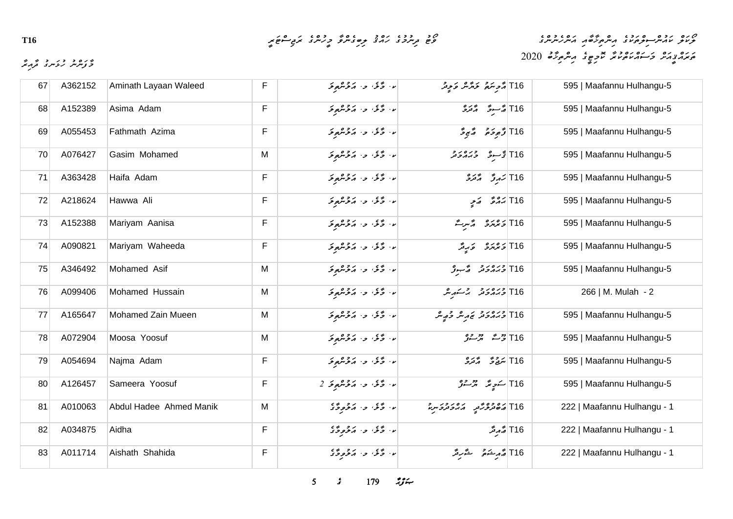*sCw7q7s5w7m< o<n9nOoAw7o< sCq;mAwBoEw7q<m; wBm;vB 2020*<br>*په پوهر وسوډيرونو لومو د موجو د مرمونه* 2020

| 67 | A362152 | Aminath Layaan Waleed   | F | لا د څخه د امرشونونو          | T16 أ <i>مَّ وِ سَمَّةَ ۖ وَ مَّرْ سَرْ وَ وِ تَرْ</i>      | 595   Maafannu Hulhangu-5   |
|----|---------|-------------------------|---|-------------------------------|-------------------------------------------------------------|-----------------------------|
| 68 | A152389 | Asima Adam              | F | لا د څخه د امرشونونو          | T16 مُحْسِرَةً مُحَمَّدً                                    | 595   Maafannu Hulhangu-5   |
| 69 | A055453 | Fathmath Azima          | F | لا د د د د کارولگاند          | T16 تَ <i>موحَمْ مُ</i> يءَّ                                | 595   Maafannu Hulhangu-5   |
| 70 | A076427 | Gasim Mohamed           | M | ، دُکو، دا مَکوشهو            | T16 تخ <i>سوفى مى تەرەبى</i> ر                              | 595   Maafannu Hulhangu-5   |
| 71 | A363428 | Haifa Adam              | F | لا د څخه د امکوشوک            | T16 ترب <i>وڈ پ</i> مترنی                                   | 595   Maafannu Hulhangu-5   |
| 72 | A218624 | Hawwa Ali               | F | ، د د د مرومهون               | T16 يَرْدُوَّ - مَ <sup>م</sup> حِ                          | 595   Maafannu Hulhangu-5   |
| 73 | A152388 | Mariyam Aanisa          | F | لا د د د اروللمونو            | T16 كەبەد ئەرگ                                              | 595   Maafannu Hulhangu-5   |
| 74 | A090821 | Mariyam Waheeda         | F | ، دُکر، دا مَکرهمونگر         | T16 كەيمە <i>دى كەب</i> ەتر                                 | 595   Maafannu Hulhangu-5   |
| 75 | A346492 | Mohamed Asif            | M | ، د د د مرومهون               | T16 <i>چەنگە چى ھەسى</i> ر                                  | 595   Maafannu Hulhangu-5   |
| 76 | A099406 | Mohamed Hussain         | M | لا د څخه د امرشونونو          | T16 <i>32828 بركتيريل</i>                                   | 266   M. Mulah - 2          |
| 77 | A165647 | Mohamed Zain Mueen      | M |                               | T16 <i>وُټرونو <sub>تک</sub>ېر</i> نگر وُ <sub>م</sub> ېنگر | 595   Maafannu Hulhangu-5   |
| 78 | A072904 | Moosa Yoosuf            | M | لا د د د اروللمونو            | T16 ترقيقو ترتيز                                            | 595   Maafannu Hulhangu-5   |
| 79 | A054694 | Najma Adam              | F | ، دُکر، دا مَکرهمونگر         | T16 يَرْدُوُ - مُرْتَرُوُ                                   | 595   Maafannu Hulhangu-5   |
| 80 | A126457 | Sameera Yoosuf          | F | الله د څوک د امکوهيونو 2      | T16 سَرِيمٌ پُرْسُوْتُ                                      | 595   Maafannu Hulhangu-5   |
| 81 | A010063 | Abdul Hadee Ahmed Manik | M | لا المحتى الله المكروم و محمد | T16 كەھەرگەرىيە مەركەر ئىرىدۇ.<br>ق                         | 222   Maafannu Hulhangu - 1 |
| 82 | A034875 | Aidha                   | F | لا د څخه د امکوه ود           | T16 مُدمَّر                                                 | 222   Maafannu Hulhangu - 1 |
| 83 | A011714 | Aishath Shahida         | F | لا د څخه د کمتوونځو           | T16 م <i>ۇم ھۇم ھۇم</i> وتر                                 | 222   Maafannu Hulhangu - 1 |

#### *n8o<n@ qC7m:q5 q7w7m?n>*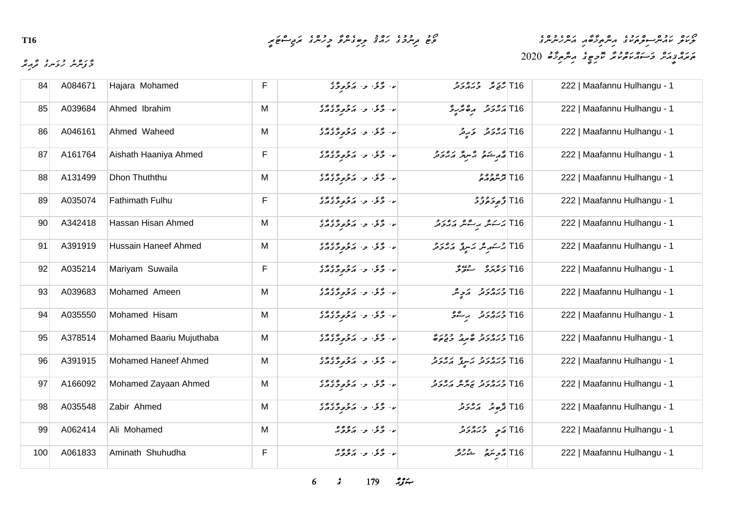*sCw7q7s5w7m< o<n9nOoAw7o< sCq;mAwBoEw7q<m; wBm;vB 2020<sup>, م</sup>وسر در مدد مدرج به مدرم مقرم قرار 2020*<br>موسر المستقرم المستقرم المستقرم المستقرم المستقرم المستقرم المستقرم المستقرم المستقرم المستقرم المستقرم المستقر

| 84  | A084671 | Hajara Mohamed              | F | لا د څخه د امکوه ود                        | T16 گەنمى بەرەرد                                | 222   Maafannu Hulhangu - 1 |
|-----|---------|-----------------------------|---|--------------------------------------------|-------------------------------------------------|-----------------------------|
| 85  | A039684 | Ahmed Ibrahim               | M | ر د محتی د . مرد و دور                     | T16   كەبرى ئەرھەتگەرى                          | 222   Maafannu Hulhangu - 1 |
| 86  | A046161 | Ahmed Waheed                | M | ر د محتی د . مرد و دور                     | T16 كەنزى قىرى <i>گ</i>                         | 222   Maafannu Hulhangu - 1 |
| 87  | A161764 | Aishath Haaniya Ahmed       | F | ر، دمجنۍ د کمه کوه ده ده د                 | T16 مُەسْتَمْ مُسْتِدْ مَدْدَنْد                | 222   Maafannu Hulhangu - 1 |
| 88  | A131499 | Dhon Thuththu               | M | ر، وي د. دوم ده ده.<br>د. وي د. دنوم درد د | T16 ترى <i>م ۋە م</i>                           | 222   Maafannu Hulhangu - 1 |
| 89  | A035074 | <b>Fathimath Fulhu</b>      | F | ر د څو د کرده ده ده                        | T16 ۇ <sub>ج</sub> ۇمۇرى                        | 222   Maafannu Hulhangu - 1 |
| 90  | A342418 | Hassan Hisan Ahmed          | M | ر د څو د کرده ده ده                        | T16   يَرْسَوْرْ رِسْدَمْرْ مَ <i>دْوَمْ</i> رْ | 222   Maafannu Hulhangu - 1 |
| 91  | A391919 | <b>Hussain Haneef Ahmed</b> | M | ر د محتی د . مرد و دور                     |                                                 | 222   Maafannu Hulhangu - 1 |
| 92  | A035214 | Mariyam Suwaila             | F | ر، دمخې د امکوه ده ده د                    | T16 كەممەر <i>2 مەمۇ</i> گە                     | 222   Maafannu Hulhangu - 1 |
| 93  | A039683 | Mohamed Ameen               | M | ر د محتی د کاروه ۲۸۶۶                      | T16 <i>\$22.2 كەچ</i> ىر                        | 222   Maafannu Hulhangu - 1 |
| 94  | A035550 | Mohamed Hisam               | M | ر د څو د کرده ده ده                        | T16  <i>32,352 ب</i> رسگرمی                     | 222   Maafannu Hulhangu - 1 |
| 95  | A378514 | Mohamed Baariu Mujuthaba    | M | ، د د د مروم ده د                          | T16 ديرورد ځېر د دره                            | 222   Maafannu Hulhangu - 1 |
| 96  | A391915 | Mohamed Haneef Ahmed        | M | ر، دمجنۍ د کمه کوه ده ده د                 | T16 <i>دېمم</i> ونه ټرينه کړه ده.               | 222   Maafannu Hulhangu - 1 |
| 97  | A166092 | Mohamed Zayaan Ahmed        | M | ، د د د مروم ده د                          | T16 <i>ورەرو رومۇ مەدەر</i>                     | 222   Maafannu Hulhangu - 1 |
| 98  | A035548 | Zabir Ahmed                 | M | ر د محکې د کارو وروه                       | T16 تُرْجِعْہُ <i>مُدْوَمْر</i>                 | 222   Maafannu Hulhangu - 1 |
| 99  | A062414 | Ali Mohamed                 | M | ر، د د د کاروه و                           | T16 كەير - ئەيمەد تەر                           | 222   Maafannu Hulhangu - 1 |
| 100 | A061833 | Aminath Shuhudha            | F | ، دُبی د پره وه                            | T16 مَّ حِسَمَةٌ مَشْرَشَّ                      | 222   Maafannu Hulhangu - 1 |
|     |         |                             |   |                                            |                                                 |                             |

#### *n8o<n@ qC7m:q5 q7w7m?n>*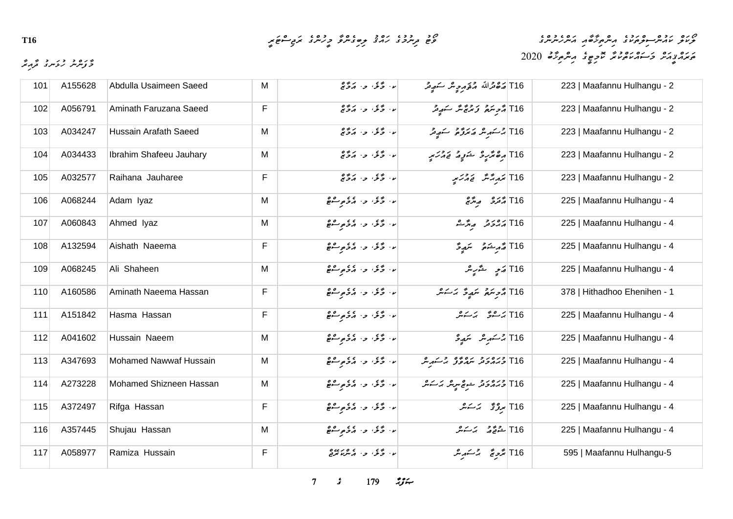*sCw7q7s5w7m< o<n9nOoAw7o< sCq;mAwBoEw7q<m; wBm;vB 2020<sup>, م</sup>وسر در مدد مدرج به مدرم مقرم قرار 2020*<br>موسر المستقرم المستقرم المستقرم المستقرم المستقرم المستقرم المستقرم المستقرم المستقرم المستقرم المستقرم المستقر

| A155628 | Abdulla Usaimeen Saeed        | M | لا . ۇ ئۇ ، د . مەۋىج                                                                                                                                                                                                                                   |                                                                                                                                                                                                                                                                                                                                                                                                                                                                                                                                                                                                                                                                                                                                                                                                                                                                                                                                                                                                                                                                                                                                                                                                                                                                                                                                                                  | 223   Maafannu Hulhangu - 2                                                                                                                                                                                                                                                                                                                                                                                                                                                                                                                                                                                                                                                            |
|---------|-------------------------------|---|---------------------------------------------------------------------------------------------------------------------------------------------------------------------------------------------------------------------------------------------------------|------------------------------------------------------------------------------------------------------------------------------------------------------------------------------------------------------------------------------------------------------------------------------------------------------------------------------------------------------------------------------------------------------------------------------------------------------------------------------------------------------------------------------------------------------------------------------------------------------------------------------------------------------------------------------------------------------------------------------------------------------------------------------------------------------------------------------------------------------------------------------------------------------------------------------------------------------------------------------------------------------------------------------------------------------------------------------------------------------------------------------------------------------------------------------------------------------------------------------------------------------------------------------------------------------------------------------------------------------------------|----------------------------------------------------------------------------------------------------------------------------------------------------------------------------------------------------------------------------------------------------------------------------------------------------------------------------------------------------------------------------------------------------------------------------------------------------------------------------------------------------------------------------------------------------------------------------------------------------------------------------------------------------------------------------------------|
| A056791 | Aminath Faruzana Saeed        | F |                                                                                                                                                                                                                                                         |                                                                                                                                                                                                                                                                                                                                                                                                                                                                                                                                                                                                                                                                                                                                                                                                                                                                                                                                                                                                                                                                                                                                                                                                                                                                                                                                                                  | 223   Maafannu Hulhangu - 2                                                                                                                                                                                                                                                                                                                                                                                                                                                                                                                                                                                                                                                            |
| A034247 | <b>Hussain Arafath Saeed</b>  | M |                                                                                                                                                                                                                                                         |                                                                                                                                                                                                                                                                                                                                                                                                                                                                                                                                                                                                                                                                                                                                                                                                                                                                                                                                                                                                                                                                                                                                                                                                                                                                                                                                                                  | 223   Maafannu Hulhangu - 2                                                                                                                                                                                                                                                                                                                                                                                                                                                                                                                                                                                                                                                            |
| A034433 | Ibrahim Shafeeu Jauhary       | M |                                                                                                                                                                                                                                                         |                                                                                                                                                                                                                                                                                                                                                                                                                                                                                                                                                                                                                                                                                                                                                                                                                                                                                                                                                                                                                                                                                                                                                                                                                                                                                                                                                                  | 223   Maafannu Hulhangu - 2                                                                                                                                                                                                                                                                                                                                                                                                                                                                                                                                                                                                                                                            |
| A032577 | Raihana Jauharee              | F | لا گرگان دادگاه                                                                                                                                                                                                                                         |                                                                                                                                                                                                                                                                                                                                                                                                                                                                                                                                                                                                                                                                                                                                                                                                                                                                                                                                                                                                                                                                                                                                                                                                                                                                                                                                                                  | 223   Maafannu Hulhangu - 2                                                                                                                                                                                                                                                                                                                                                                                                                                                                                                                                                                                                                                                            |
| A068244 | Adam Iyaz                     | M | $e^{o}$ , $e^{o}$ , $e^{o}$ , $e^{o}$ , $e^{o}$ , $e^{o}$ , $e^{o}$ , $e^{o}$ , $e^{o}$ , $e^{o}$ , $e^{o}$ , $e^{o}$ , $e^{o}$ , $e^{o}$ , $e^{o}$ , $e^{o}$ , $e^{o}$ , $e^{o}$ , $e^{o}$ , $e^{o}$ , $e^{o}$ , $e^{o}$ , $e^{o}$ , $e^{o}$ , $e^{o}$ |                                                                                                                                                                                                                                                                                                                                                                                                                                                                                                                                                                                                                                                                                                                                                                                                                                                                                                                                                                                                                                                                                                                                                                                                                                                                                                                                                                  | 225   Maafannu Hulhangu - 4                                                                                                                                                                                                                                                                                                                                                                                                                                                                                                                                                                                                                                                            |
| A060843 | Ahmed Iyaz                    | M | $e^{o}$ , $e^{o}$ , $e^{o}$ , $e^{o}$ , $e^{o}$ , $e^{o}$ , $e^{o}$ , $e^{o}$ , $e^{o}$ , $e^{o}$ , $e^{o}$ , $e^{o}$ , $e^{o}$ , $e^{o}$ , $e^{o}$ , $e^{o}$ , $e^{o}$ , $e^{o}$ , $e^{o}$ , $e^{o}$ , $e^{o}$ , $e^{o}$ , $e^{o}$ , $e^{o}$ , $e^{o}$ |                                                                                                                                                                                                                                                                                                                                                                                                                                                                                                                                                                                                                                                                                                                                                                                                                                                                                                                                                                                                                                                                                                                                                                                                                                                                                                                                                                  | 225   Maafannu Hulhangu - 4                                                                                                                                                                                                                                                                                                                                                                                                                                                                                                                                                                                                                                                            |
| A132594 | Aishath Naeema                | F | $e^{o}$ , $e^{o}$ , $e^{o}$ , $e^{o}$ , $e^{o}$ , $e^{o}$ , $e^{o}$ , $e^{o}$ , $e^{o}$ , $e^{o}$ , $e^{o}$ , $e^{o}$ , $e^{o}$ , $e^{o}$ , $e^{o}$ , $e^{o}$ , $e^{o}$ , $e^{o}$ , $e^{o}$ , $e^{o}$ , $e^{o}$ , $e^{o}$ , $e^{o}$ , $e^{o}$ , $e^{o}$ |                                                                                                                                                                                                                                                                                                                                                                                                                                                                                                                                                                                                                                                                                                                                                                                                                                                                                                                                                                                                                                                                                                                                                                                                                                                                                                                                                                  | 225   Maafannu Hulhangu - 4                                                                                                                                                                                                                                                                                                                                                                                                                                                                                                                                                                                                                                                            |
| A068245 | Ali Shaheen                   | M |                                                                                                                                                                                                                                                         |                                                                                                                                                                                                                                                                                                                                                                                                                                                                                                                                                                                                                                                                                                                                                                                                                                                                                                                                                                                                                                                                                                                                                                                                                                                                                                                                                                  | 225   Maafannu Hulhangu - 4                                                                                                                                                                                                                                                                                                                                                                                                                                                                                                                                                                                                                                                            |
| A160586 | Aminath Naeema Hassan         | F |                                                                                                                                                                                                                                                         |                                                                                                                                                                                                                                                                                                                                                                                                                                                                                                                                                                                                                                                                                                                                                                                                                                                                                                                                                                                                                                                                                                                                                                                                                                                                                                                                                                  | 378   Hithadhoo Ehenihen - 1                                                                                                                                                                                                                                                                                                                                                                                                                                                                                                                                                                                                                                                           |
| A151842 | Hasma Hassan                  | F | $e^{o}$ , $e^{o}$ , $e^{o}$ , $e^{o}$ , $e^{o}$ , $e^{o}$ , $e^{o}$ , $e^{o}$ , $e^{o}$ , $e^{o}$ , $e^{o}$ , $e^{o}$ , $e^{o}$ , $e^{o}$ , $e^{o}$ , $e^{o}$ , $e^{o}$ , $e^{o}$ , $e^{o}$ , $e^{o}$ , $e^{o}$ , $e^{o}$ , $e^{o}$ , $e^{o}$ , $e^{o}$ |                                                                                                                                                                                                                                                                                                                                                                                                                                                                                                                                                                                                                                                                                                                                                                                                                                                                                                                                                                                                                                                                                                                                                                                                                                                                                                                                                                  | 225   Maafannu Hulhangu - 4                                                                                                                                                                                                                                                                                                                                                                                                                                                                                                                                                                                                                                                            |
| A041602 | Hussain Naeem                 | M | $e^{o}$ , $e^{o}$ , $e^{o}$ , $e^{o}$ , $e^{o}$ , $e^{o}$ , $e^{o}$ , $e^{o}$ , $e^{o}$ , $e^{o}$ , $e^{o}$ , $e^{o}$ , $e^{o}$ , $e^{o}$ , $e^{o}$ , $e^{o}$ , $e^{o}$ , $e^{o}$ , $e^{o}$ , $e^{o}$ , $e^{o}$ , $e^{o}$ , $e^{o}$ , $e^{o}$ , $e^{o}$ |                                                                                                                                                                                                                                                                                                                                                                                                                                                                                                                                                                                                                                                                                                                                                                                                                                                                                                                                                                                                                                                                                                                                                                                                                                                                                                                                                                  | 225   Maafannu Hulhangu - 4                                                                                                                                                                                                                                                                                                                                                                                                                                                                                                                                                                                                                                                            |
| A347693 | <b>Mohamed Nawwaf Hussain</b> | M |                                                                                                                                                                                                                                                         |                                                                                                                                                                                                                                                                                                                                                                                                                                                                                                                                                                                                                                                                                                                                                                                                                                                                                                                                                                                                                                                                                                                                                                                                                                                                                                                                                                  | 225   Maafannu Hulhangu - 4                                                                                                                                                                                                                                                                                                                                                                                                                                                                                                                                                                                                                                                            |
| A273228 | Mohamed Shizneen Hassan       | M |                                                                                                                                                                                                                                                         |                                                                                                                                                                                                                                                                                                                                                                                                                                                                                                                                                                                                                                                                                                                                                                                                                                                                                                                                                                                                                                                                                                                                                                                                                                                                                                                                                                  | 225   Maafannu Hulhangu - 4                                                                                                                                                                                                                                                                                                                                                                                                                                                                                                                                                                                                                                                            |
| A372497 | Rifga Hassan                  | F | لا د څخه د امرکزم شريع                                                                                                                                                                                                                                  |                                                                                                                                                                                                                                                                                                                                                                                                                                                                                                                                                                                                                                                                                                                                                                                                                                                                                                                                                                                                                                                                                                                                                                                                                                                                                                                                                                  | 225   Maafannu Hulhangu - 4                                                                                                                                                                                                                                                                                                                                                                                                                                                                                                                                                                                                                                                            |
| A357445 | Shujau Hassan                 | M | $e^{o}$ , $e^{o}$ , $e^{o}$ , $e^{o}$ , $e^{o}$ , $e^{o}$ , $e^{o}$ , $e^{o}$ , $e^{o}$ , $e^{o}$ , $e^{o}$ , $e^{o}$ , $e^{o}$ , $e^{o}$ , $e^{o}$ , $e^{o}$ , $e^{o}$ , $e^{o}$ , $e^{o}$ , $e^{o}$ , $e^{o}$ , $e^{o}$ , $e^{o}$ , $e^{o}$ , $e^{o}$ |                                                                                                                                                                                                                                                                                                                                                                                                                                                                                                                                                                                                                                                                                                                                                                                                                                                                                                                                                                                                                                                                                                                                                                                                                                                                                                                                                                  | 225   Maafannu Hulhangu - 4                                                                                                                                                                                                                                                                                                                                                                                                                                                                                                                                                                                                                                                            |
| A058977 | Ramiza Hussain                | F | ر، گرمی و اگریز و در منابر و ا                                                                                                                                                                                                                          |                                                                                                                                                                                                                                                                                                                                                                                                                                                                                                                                                                                                                                                                                                                                                                                                                                                                                                                                                                                                                                                                                                                                                                                                                                                                                                                                                                  | 595   Maafannu Hulhangu-5                                                                                                                                                                                                                                                                                                                                                                                                                                                                                                                                                                                                                                                              |
|         |                               |   |                                                                                                                                                                                                                                                         | $\begin{bmatrix} 0 & 0 & 0 & 0 \\ 0 & 0 & 0 & 0 \\ 0 & 0 & 0 & 0 \\ 0 & 0 & 0 & 0 \\ 0 & 0 & 0 & 0 \\ 0 & 0 & 0 & 0 \\ 0 & 0 & 0 & 0 \\ 0 & 0 & 0 & 0 \\ 0 & 0 & 0 & 0 \\ 0 & 0 & 0 & 0 \\ 0 & 0 & 0 & 0 & 0 \\ 0 & 0 & 0 & 0 & 0 \\ 0 & 0 & 0 & 0 & 0 \\ 0 & 0 & 0 & 0 & 0 \\ 0 & 0 & 0 & 0 & 0 & 0 \\ 0 & 0 & 0 & 0 & 0 & $<br>251.53<br>  د گري و٠ دکري<br>$\begin{bmatrix} 0 & 0 & 0 & 0 \\ 0 & 0 & 0 & 0 \\ 0 & 0 & 0 & 0 \\ 0 & 0 & 0 & 0 \\ 0 & 0 & 0 & 0 \\ 0 & 0 & 0 & 0 \\ 0 & 0 & 0 & 0 \\ 0 & 0 & 0 & 0 \\ 0 & 0 & 0 & 0 \\ 0 & 0 & 0 & 0 \\ 0 & 0 & 0 & 0 \\ 0 & 0 & 0 & 0 & 0 \\ 0 & 0 & 0 & 0 & 0 \\ 0 & 0 & 0 & 0 & 0 \\ 0 & 0 & 0 & 0 & 0 \\ 0 & 0 & 0 & 0 & 0 \\ 0 & 0 & $<br>$\begin{vmatrix} 0 & 0 & 0 & 0 \\ 0 & 0 & 0 & 0 \\ 0 & 0 & 0 & 0 \\ 0 & 0 & 0 & 0 \\ 0 & 0 & 0 & 0 \\ 0 & 0 & 0 & 0 \\ 0 & 0 & 0 & 0 \\ 0 & 0 & 0 & 0 \\ 0 & 0 & 0 & 0 \\ 0 & 0 & 0 & 0 \\ 0 & 0 & 0 & 0 & 0 \\ 0 & 0 & 0 & 0 & 0 \\ 0 & 0 & 0 & 0 & 0 \\ 0 & 0 & 0 & 0 & 0 \\ 0 & 0 & 0 & 0 & 0 \\ 0 & 0 & 0 & 0 & 0 \\ 0 & $<br>$\begin{bmatrix} 0 & 0 & 0 & 0 \\ 0 & 0 & 0 & 0 \\ 0 & 0 & 0 & 0 \\ 0 & 0 & 0 & 0 \\ 0 & 0 & 0 & 0 \\ 0 & 0 & 0 & 0 \\ 0 & 0 & 0 & 0 \\ 0 & 0 & 0 & 0 \\ 0 & 0 & 0 & 0 \\ 0 & 0 & 0 & 0 \\ 0 & 0 & 0 & 0 \\ 0 & 0 & 0 & 0 & 0 \\ 0 & 0 & 0 & 0 & 0 \\ 0 & 0 & 0 & 0 & 0 \\ 0 & 0 & 0 & 0 & 0 \\ 0 & 0 & 0 & 0 & 0 \\ 0 & 0 & $ | T16 صَرَّةَ اللَّهُ مَتَوَمِّدِيثَرَ سَمَ <i>وِيثَ</i><br>T16 مَ <i>جِ سَعِي وَ بِرْبِيَ سَّرَ سَهِ م</i> ِرْ<br>T16 پرڪ <i>مبرنگر پر پرؤي ڪمبرنگر</i><br>T16 <sub>م</sub> ەنگرى <sub>چ</sub> خىرى <i>گى قەركى</i> ر<br>T16 <i>بَرْمِ بَدُ</i> مَّر نَج <i>مُرْرَى بِ</i><br>T16 مُرْمَرْد مِتَّمَّع<br>T16 كەبرى قىر مەمگەشە<br>T16 مُەمشىم سَمەر<br>T16 <i>ڇو</i> ڪ <sub>ُ</sub> رِير<br>T16 مَّ جِسَمَ سَمِيعٌ سَسَر<br>T16  يَرْسُوٌ   يَرْسَرْرُ<br>T16 پڑے پر بھ سکھی <sup>و</sup><br>T16 ورورو برووو بر شهر ش<br>T16 <i>دېمم</i> وکر <sub>شو</sub> چ <sub>س</sub> رب <i>ر ټرخ</i> بر<br>T16 <sub>مو</sub> ود ترت<br>T16 حققے محمد سک<br>T16 بَرُوبَ <sub>ةً</sub> بِرُسَهِ بِرْ |

#### *n8o<n@ qC7m:q5 q7w7m?n>*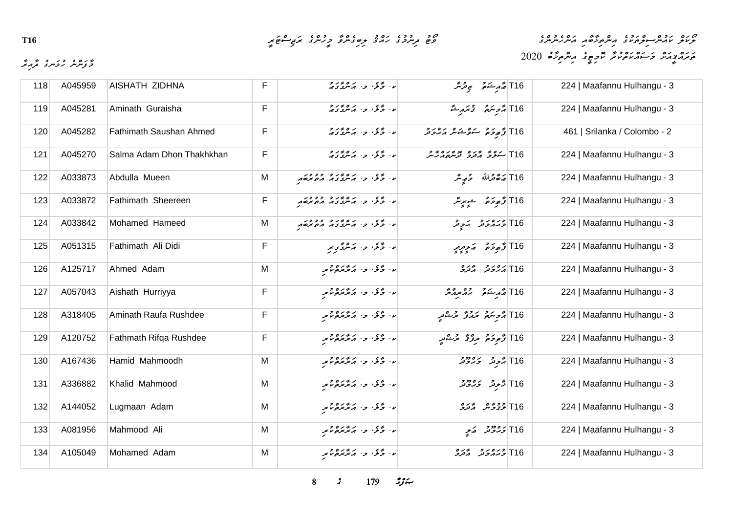*sCw7q7s5w7m< o<n9nOoAw7o< sCq;mAwBoEw7q<m; wBm;vB 2020<sup>, م</sup>وسر در مدد مدرج به مدرم مقرم قرار 2020*<br>موسر المستقرم المستقرم المستقرم المستقرم المستقرم المستقرم المستقرم المستقرم المستقرم المستقرم المستقرم المستقر

| A045959 | <b>AISHATH ZIDHNA</b>          | F | ر، نوعی که در ۱۶۶۵ و       | T16 م <i>گه شکھ</i> ہے <i>مگ</i> نگ                        | 224   Maafannu Hulhangu - 3  |
|---------|--------------------------------|---|----------------------------|------------------------------------------------------------|------------------------------|
| A045281 | Aminath Guraisha               | F | ۱۰ وګڼ د پره دره           | T16 مَّحِسَمَةَ تَحْسَبِتْهُ                               | 224   Maafannu Hulhangu - 3  |
| A045282 | <b>Fathimath Saushan Ahmed</b> | F | ، دُی دا پره دره           | T16 <i>وَّجِ حَرَّمْ سَوْ</i> حَسَ <i>رْ مَ</i> بِرَدَتَرَ | 461   Srilanka / Colombo - 2 |
| A045270 | Salma Adam Dhon Thakhkhan      | F | لا کامی در مشرور           | T16 كەبۇبۇ ئۇنىۋە ئېر <i>مۇنى</i> گىر                      | 224   Maafannu Hulhangu - 3  |
| A033873 | Abdulla Mueen                  | M |                            | T16 كەھەراللە ئ <i>ەم</i> بىر                              | 224   Maafannu Hulhangu - 3  |
| A033872 | Fathimath Sheereen             | F |                            | T16 <i>وگوڅو</i> سپېږمګ                                    | 224   Maafannu Hulhangu - 3  |
| A033842 | Mohamed Hameed                 | M |                            | T16  <i>3223\$ بَرْوِيْر</i> ُ                             | 224   Maafannu Hulhangu - 3  |
| A051315 | Fathimath Ali Didi             | F | لا د څخه له د م کمرندې مېر | T16 <i>وُّجِوَدَة</i> مَعٍ مِرِسٍ                          | 224   Maafannu Hulhangu - 3  |
| A125717 | Ahmed Adam                     | M | ر د کلی د مرکز ده د        | T16 كەبرى ئەرە                                             | 224   Maafannu Hulhangu - 3  |
| A057043 | Aishath Hurriyya               | F | لا د څخه د امريزيده لمبر   | T16 مُەمِسْدَە بِرْمْ بِرْمَ بِرْمَ                        | 224   Maafannu Hulhangu - 3  |
| A318405 | Aminath Raufa Rushdee          | F | لا د څکې د رمځمه ولايم     | T16   مُرجِسَمَ مَرْمَرٌ مُرْشَورٍ                         | 224   Maafannu Hulhangu - 3  |
| A120752 | Fathmath Rifga Rushdee         | F | ١٠ وگل و٠ متر برورو        | T16   <i>وَّجوحَمْ مِروْدٌ</i> مُرْشُمْرٍ                  | 224   Maafannu Hulhangu - 3  |
| A167436 | Hamid Mahmoodh                 | M | ۱۰ د دی د اړلاره د         | T16 جُعِعْرُ - وَبَرْوَتَرُ                                | 224   Maafannu Hulhangu - 3  |
| A336882 | Khalid Mahmood                 | M | ر د کلی د مرکز ده د        | T16 گرو <i>نگر ک<sup>و</sup>دون</i> گر                     | 224   Maafannu Hulhangu - 3  |
| A144052 | Lugmaan Adam                   | M | لا د څخه د امريزيده لمبر   | T16 توتۇم مەمر <i>ۇ</i>                                    | 224   Maafannu Hulhangu - 3  |
| A081956 | Mahmood Ali                    | M | ۱۰ د دی د روپرپرولایم      | T16 <i>ق</i> رچيز کامي                                     | 224   Maafannu Hulhangu - 3  |
| A105049 | Mohamed Adam                   | M | ۱۰ د دی د روپرپرولایم      | T16 <i>\$22 \$22</i>                                       | 224   Maafannu Hulhangu - 3  |
|         |                                |   |                            |                                                            |                              |

#### *n8o<n@ qC7m:q5 q7w7m?n>*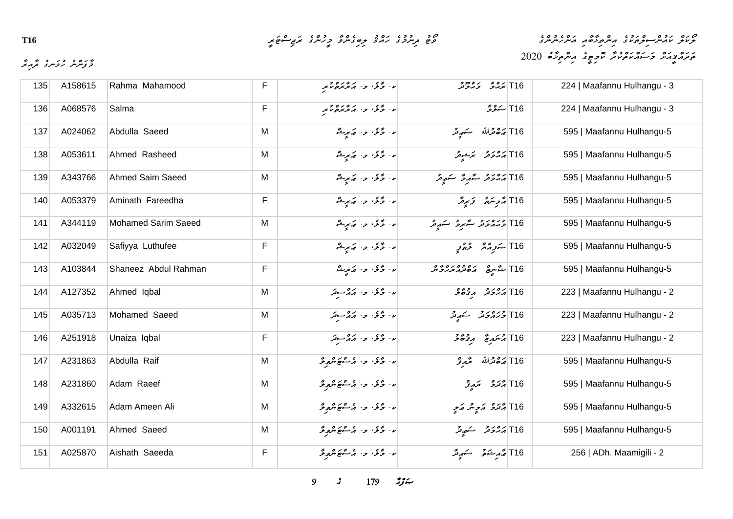*sCw7q7s5w7m< o<n9nOoAw7o< sCq;mAwBoEw7q<m; wBm;vB* م من المرة المرة المرة المرجع المرجع في المركبة 2020<br>مجم*د المريض المربوط المربع المرجع في المراجع المركبة* 

| 135 | A158615 | Rahma Mahamood             | $\mathsf F$  | ۱۰ د د و اړلانده د                | T16 تر <i>وڅ وروون</i> ر                                        | 224   Maafannu Hulhangu - 3 |
|-----|---------|----------------------------|--------------|-----------------------------------|-----------------------------------------------------------------|-----------------------------|
| 136 | A068576 | Salma                      | F            | ر، دی، دارود در در در             | 53/116                                                          | 224   Maafannu Hulhangu - 3 |
| 137 | A024062 | Abdulla Saeed              | M            | الاستحق الأستميمية                | T16 كەھەراللە ك <i>ەم</i> ەتر                                   | 595   Maafannu Hulhangu-5   |
| 138 | A053611 | Ahmed Rasheed              | M            | الاستحق والمكبرك                  | T16 كەنزى كىمى تىرىدى كىلەن ئىس                                 | 595   Maafannu Hulhangu-5   |
| 139 | A343766 | <b>Ahmed Saim Saeed</b>    | M            | الاء گري او ار کاموسکر            | T16 كەندى قىرىگەر ئەرەپتى                                       | 595   Maafannu Hulhangu-5   |
| 140 | A053379 | Aminath Fareedha           | $\mathsf F$  | الأرمحي أورا فكعربك               | T16 مَّ حِسَمَۃ وَسِنَّہُ                                       | 595   Maafannu Hulhangu-5   |
| 141 | A344119 | <b>Mohamed Sarim Saeed</b> | M            | الاستحق والمكبرك                  | T16 <i>وَرَوْدُونَرْ سُمْبِرةْ</i> سَ <i>مِي</i> قْر            | 595   Maafannu Hulhangu-5   |
| 142 | A032049 | Safiyya Luthufee           | $\mathsf{F}$ | الاستحق والمكبرك                  | T16  <i>بەَوِدْدُ قەھى</i> رٍ                                   | 595   Maafannu Hulhangu-5   |
| 143 | A103844 | Shaneez Abdul Rahman       | $\mathsf F$  | الاستحق والمكموش                  | T16 شَرْسِعْ مَصْرَمْ <i>مَدَوْم</i> ْ                          | 595   Maafannu Hulhangu-5   |
| 144 | A127352 | Ahmed Iqbal                | M            | لاء حج في الأراد و الكرمان و الكر | T16 <i>גُ.2 دَوُهُ وَ</i> تَحُمُّ                               | 223   Maafannu Hulhangu - 2 |
| 145 | A035713 | Mohamed Saeed              | M            | لاستحق والمكاسيع                  | T16 <i>ۋىزۇدۇ شەپ</i> تر                                        | 223   Maafannu Hulhangu - 2 |
| 146 | A251918 | Unaiza Iqbal               | $\mathsf F$  | لا گرگا و اړگر بلا                | T16 مُسَمِعٌ مِقْصٌمٌ                                           | 223   Maafannu Hulhangu - 2 |
| 147 | A231863 | Abdulla Raif               | M            | لا ئەتتى بەر ئەسقەتلىق ئى         | T16 مَەمْراللە مَەم <sup>و</sup>                                | 595   Maafannu Hulhangu-5   |
| 148 | A231860 | Adam Raeef                 | M            | ر، ئۇنى ئەرەب ئەھ ئىب ئى          | T16 مُرْمَرْد - مَر <i>ْمِ وْ</i>                               | 595   Maafannu Hulhangu-5   |
| 149 | A332615 | Adam Ameen Ali             | M            | لا ئەق ئەرەب ئەس ئۇ               | T16   ج <i>ُمَرَدُ ب<sub>ُرْحِ</sub>بِرْ <sub>م</sub>ُبِيِّ</i> | 595   Maafannu Hulhangu-5   |
| 150 | A001191 | Ahmed Saeed                | M            | لا ئەتتى بەر ئەسقەتلىق ئە         | T16 كەندى قىرىقى سىمب <i>و</i> تى                               | 595   Maafannu Hulhangu-5   |
| 151 | A025870 | Aishath Saeeda             | $\mathsf F$  | لا ئەتتى بەر ئەسقەتلىق ئى         | T16 م <i>مَّدِ حَقَّة حَقِيدًا</i>                              | 256   ADh. Maamigili - 2    |

*9 sC 179 nNw?mS*

*n8o<n@ qC7m:q5 q7w7m?n>*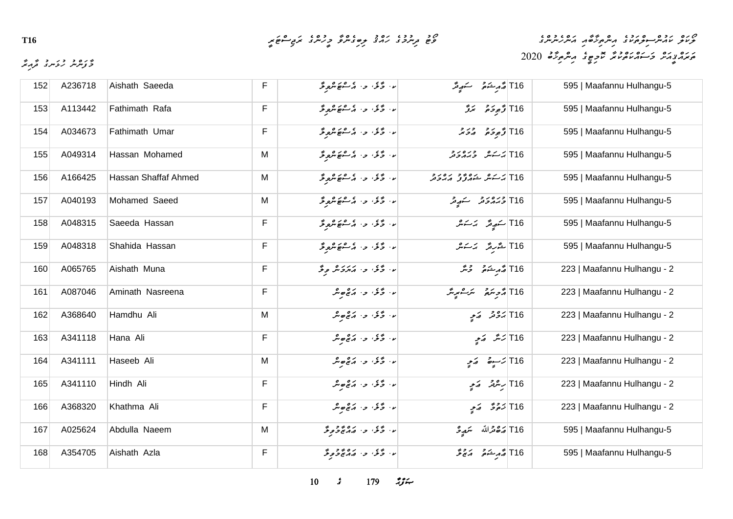*sCw7q7s5w7m< o<n9nOoAw7o< sCq;mAwBoEw7q<m; wBm;vB 2020<sup>, م</sup>وسوق المسجد التحقيق وسرمونية والم*جمع المسجد المسجد المسجد المسجد المسجد المسجد المسجد المسجد المسجد ال

| 152 | A236718 | Aishath Saeeda       | F | لا ئەق ئەرەب ئەس ئۇ              | T16 م <i>مَّدمِشَعْ</i> سَم <i>َّدٍ مَّذَ</i>   | 595   Maafannu Hulhangu-5   |
|-----|---------|----------------------|---|----------------------------------|-------------------------------------------------|-----------------------------|
| 153 | A113442 | Fathimath Rafa       | F | لا ئەق دارگىش ھىرو ئى            | T16 <i>وُّجِ وَءُ</i> تَرَوُّ                   | 595   Maafannu Hulhangu-5   |
| 154 | A034673 | Fathimath Umar       | F | لا ئەق ئەرەب ئەس ئۇ              | T16 گەچەقىھ ھە <i>قەتل</i> ە                    | 595   Maafannu Hulhangu-5   |
| 155 | A049314 | Hassan Mohamed       | M | لا ئەق ئەرەب ئەس ئۇ              | T16  يَرْسَعْرُ فَتَخْرُونَّوْرُ                | 595   Maafannu Hulhangu-5   |
| 156 | A166425 | Hassan Shaffaf Ahmed | M | ، دُمَّ، دا مُرْاءَ مُرْمَّدِمَّ | T16   يَرْسَمْ عَنْ عَمْدُوْنَ فَرَبَّدْهِ مَرْ | 595   Maafannu Hulhangu-5   |
| 157 | A040193 | Mohamed Saeed        | M | لا ئەق ئەرەب ئەس ئۇ              | T16 <i>\$22.2 ئەم</i> ەتر                       | 595   Maafannu Hulhangu-5   |
| 158 | A048315 | Saeeda Hassan        | F | لا ئەق دارگىش ھىرو ئى            | T16  سَم <i>پِ</i> وَّ بَرَسَوْر                | 595   Maafannu Hulhangu-5   |
| 159 | A048318 | Shahida Hassan       | F | ، دُمْ، د. مُرْ الْمُحَمَّدِمُّ  | T16 حُديرٌ - يَرْسَرْ مُسَ                      | 595   Maafannu Hulhangu-5   |
| 160 | A065765 | Aishath Muna         | F | لا د څخه د امکرده کرونک          | T16 م <i>ەمبىنى ئىگ</i> ە                       | 223   Maafannu Hulhangu - 2 |
| 161 | A087046 | Aminath Nasreena     | F | لا د څخه د امکان ک               | T16 گەجەنىڭ - ئىرىشمېرىگە                       | 223   Maafannu Hulhangu - 2 |
| 162 | A368640 | Hamdhu Ali           | M | لا د څخه د امکان ک               | T16   پَروُتْر کَرَمِ                           | 223   Maafannu Hulhangu - 2 |
| 163 | A341118 | Hana Ali             | F | لا د څخه د کامخ ه ش              | T16   ترتمر ک <i>ی ی</i> و                      | 223   Maafannu Hulhangu - 2 |
| 164 | A341111 | Haseeb Ali           | M | لا د څخه د کامخ ه ش              | T16   ئەسىر <i>ە</i> كەمچ                       | 223   Maafannu Hulhangu - 2 |
| 165 | A341110 | Hindh Ali            | F | لا د څخه د امځه ش                | T16 بِسْرَةٌ صَعٍّ                              | 223   Maafannu Hulhangu - 2 |
| 166 | A368320 | Khathma Ali          | F | لا د څخه د امځه ش                | T16 زَیْرُوَّ کَمَ مِ                           | 223   Maafannu Hulhangu - 2 |
| 167 | A025624 | Abdulla Naeem        | M | لا د څو، د اورونځ څونه           | T16 كەھىراللە س <i>ىم</i> وگ                    | 595   Maafannu Hulhangu-5   |
| 168 | A354705 | Aishath Azla         | F | لا د څو، د اورونونونو            | T16 م <i>ەمبەقق مەنى</i> مىتى                   | 595   Maafannu Hulhangu-5   |

#### *n8o<n@ qC7m:q5 q7w7m?n>*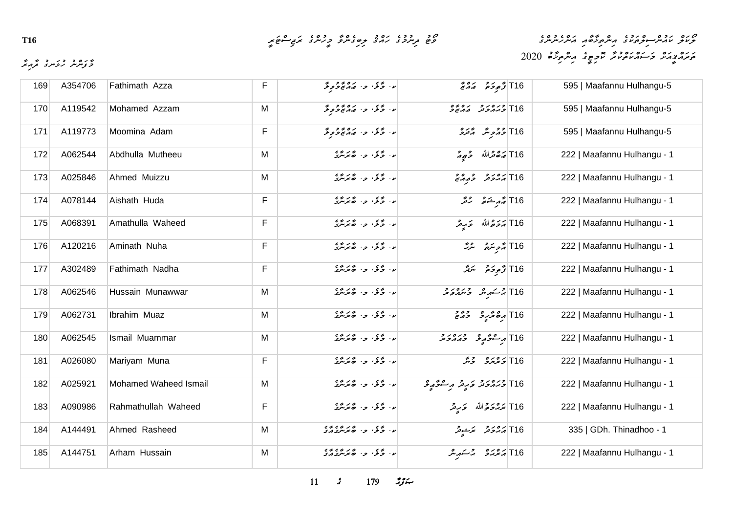*sCw7q7s5w7m< o<n9nOoAw7o< sCq;mAwBoEw7q<m; wBm;vB 2020<sup>, م</sup>وسوق المسجد التحقيق وسرمونية والم*جمع المسجد المسجد المسجد المسجد المسجد المسجد المسجد المسجد المسجد ال

| A354706 | Fathimath Azza        | F |                                                                                             |                                                                                                                                                                                                                                                          | 595   Maafannu Hulhangu-5                                                                                                                                                                                                                                                                                                                                                                                                                                                                                                                                                 |
|---------|-----------------------|---|---------------------------------------------------------------------------------------------|----------------------------------------------------------------------------------------------------------------------------------------------------------------------------------------------------------------------------------------------------------|---------------------------------------------------------------------------------------------------------------------------------------------------------------------------------------------------------------------------------------------------------------------------------------------------------------------------------------------------------------------------------------------------------------------------------------------------------------------------------------------------------------------------------------------------------------------------|
| A119542 | Mohamed Azzam         | M |                                                                                             |                                                                                                                                                                                                                                                          | 595   Maafannu Hulhangu-5                                                                                                                                                                                                                                                                                                                                                                                                                                                                                                                                                 |
| A119773 | Moomina Adam          | F |                                                                                             |                                                                                                                                                                                                                                                          | 595   Maafannu Hulhangu-5                                                                                                                                                                                                                                                                                                                                                                                                                                                                                                                                                 |
| A062544 | Abdhulla Mutheeu      | M |                                                                                             |                                                                                                                                                                                                                                                          | 222   Maafannu Hulhangu - 1                                                                                                                                                                                                                                                                                                                                                                                                                                                                                                                                               |
| A025846 | Ahmed Muizzu          | M | لا د کامی د کامی برده و                                                                     |                                                                                                                                                                                                                                                          | 222   Maafannu Hulhangu - 1                                                                                                                                                                                                                                                                                                                                                                                                                                                                                                                                               |
| A078144 | Aishath Huda          | F | لا د څو د ځمرش                                                                              |                                                                                                                                                                                                                                                          | 222   Maafannu Hulhangu - 1                                                                                                                                                                                                                                                                                                                                                                                                                                                                                                                                               |
| A068391 | Amathulla Waheed      | F | لا ژوادا څېرمند                                                                             |                                                                                                                                                                                                                                                          | 222   Maafannu Hulhangu - 1                                                                                                                                                                                                                                                                                                                                                                                                                                                                                                                                               |
| A120216 | Aminath Nuha          | F | لا ژوادا څېرمند                                                                             |                                                                                                                                                                                                                                                          | 222   Maafannu Hulhangu - 1                                                                                                                                                                                                                                                                                                                                                                                                                                                                                                                                               |
| A302489 | Fathimath Nadha       | F |                                                                                             |                                                                                                                                                                                                                                                          | 222   Maafannu Hulhangu - 1                                                                                                                                                                                                                                                                                                                                                                                                                                                                                                                                               |
| A062546 | Hussain Munawwar      | M | ر، دُبُو، د. ځېرمتر <sub>ک</sub>                                                            |                                                                                                                                                                                                                                                          | 222   Maafannu Hulhangu - 1                                                                                                                                                                                                                                                                                                                                                                                                                                                                                                                                               |
| A062731 | Ibrahim Muaz          | M | لاستخرق وسقيمتهما                                                                           |                                                                                                                                                                                                                                                          | 222   Maafannu Hulhangu - 1                                                                                                                                                                                                                                                                                                                                                                                                                                                                                                                                               |
| A062545 | Ismail Muammar        | M |                                                                                             |                                                                                                                                                                                                                                                          | 222   Maafannu Hulhangu - 1                                                                                                                                                                                                                                                                                                                                                                                                                                                                                                                                               |
| A026080 | Mariyam Muna          | F | لا د څو د ځمه شد                                                                            |                                                                                                                                                                                                                                                          | 222   Maafannu Hulhangu - 1                                                                                                                                                                                                                                                                                                                                                                                                                                                                                                                                               |
| A025921 | Mohamed Waheed Ismail | M |                                                                                             |                                                                                                                                                                                                                                                          | 222   Maafannu Hulhangu - 1                                                                                                                                                                                                                                                                                                                                                                                                                                                                                                                                               |
| A090986 | Rahmathullah Waheed   | F | لا د څو د ځمه شد                                                                            |                                                                                                                                                                                                                                                          | 222   Maafannu Hulhangu - 1                                                                                                                                                                                                                                                                                                                                                                                                                                                                                                                                               |
| A144491 | Ahmed Rasheed         | M |                                                                                             |                                                                                                                                                                                                                                                          | 335   GDh. Thinadhoo - 1                                                                                                                                                                                                                                                                                                                                                                                                                                                                                                                                                  |
| A144751 | Arham Hussain         | M | $\begin{array}{cc} 0 & 0 & 0 & 0 & 0 \\ 0 & 0 & 0 & 0 & 0 \\ 0 & 0 & 0 & 0 & 0 \end{array}$ |                                                                                                                                                                                                                                                          | 222   Maafannu Hulhangu - 1                                                                                                                                                                                                                                                                                                                                                                                                                                                                                                                                               |
| 180     |                       |   |                                                                                             | ر، وګڼ د رووونځ<br>$\stackrel{3}{\cancel{5}}$<br>$\stackrel{3}{\cancel{5}}$<br>لا د څو د ځمکن<br>  پارسی کا در کار کار کار کار کردن کار کردن کردن کردن کردن کردن کار کردن کار کردن کار کردن کار کردن کار کردن ک<br>ل د څخه د ځمه پر<br>لا د څو د ځمه شوه | T16 تُرجوحُ صَ <i>مَدَّجَ</i><br>T16 <i>جي مرد ۾ م</i> حمد ج<br>T16 تر <i>م برقر محمد ب</i><br>T16 كەھىراللە   3 <sub>جو</sub> كە<br>T16 كەبۇ قىدىم قىرىدىنى <i>قى</i> ر<br>T16 مُەم شىم ئىگر<br>T16 كەنتە ھەرىتىر<br>T16 مُجرسَعُہ مُرَبَّہ<br>T16 رُّجِ دَمُ سَنَدَّ<br>T16 يُرْسَمَ مِنْ مُحَمَّدَ مِنْ 16<br>T16 <sub>مر</sub> ھ <i>گرب</i> و حمق<br>T16 <sub>م</sub> رےد <i>ۇرى</i> ئەمەدىر<br>T16 كەنگەر ئەنگە<br>T16  <i>وبروبرو <sub>ق</sub>ربرة وبدؤو</i> يو<br>T16 <i>تربر3 تي الله - ق ب</i> ر تر<br>T16 كەنزى كىلى تەرىپى كىلەن ئىس<br>T16 كەيرىزى - جەشەرىتى |

#### *n8o<n@ qC7m:q5 q7w7m?n>*

 $11$  *s*  $179$  *if*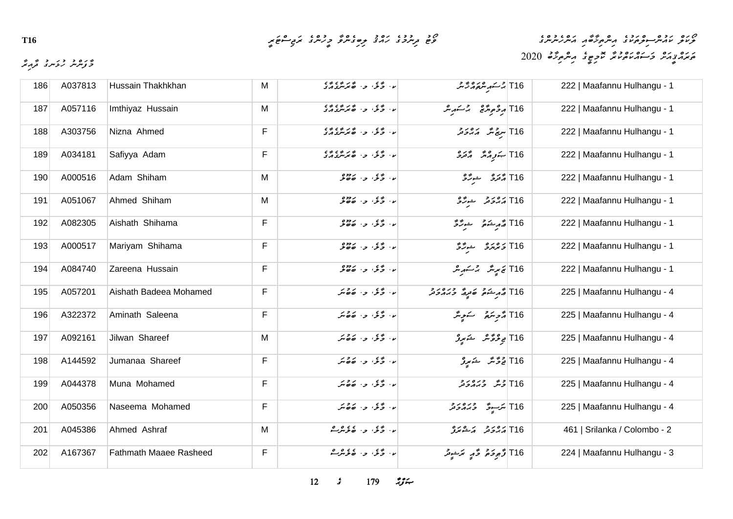*sCw7q7s5w7m< o<n9nOoAw7o< sCq;mAwBoEw7q<m; wBm;vB 2020<sup>, م</sup>وسوق المسجد التحقيق وسرمونية والم*جمع المسجد المسجد المسجد المسجد المسجد المسجد المسجد المسجد المسجد ال

#### *n8o<n@ qC7m:q5 q7w7m?n>*

| 186 | A037813 | Hussain Thakhkhan      | M | ر به ده کار ده ده ده ده د                                                                     | T16 ترىسىمب <i>ەر ئارىگە</i>                                                                                    | 222   Maafannu Hulhangu - 1  |
|-----|---------|------------------------|---|-----------------------------------------------------------------------------------------------|-----------------------------------------------------------------------------------------------------------------|------------------------------|
| 187 | A057116 | Imthiyaz Hussain       | M |                                                                                               | T16 م <i>وقومگ</i> ھ جڪمبرنگر                                                                                   | 222   Maafannu Hulhangu - 1  |
| 188 | A303756 | Nizna Ahmed            | F | $\begin{array}{cc} 0 & 0 & 0 & 0 & 0 \\ 0 & 0 & 0 & 0 & 0 \\ 0 & 0 & 0 & 0 & 0 \end{array}$   | T16 سِيِّ مَدْ دَرَكْتَرَ                                                                                       | 222   Maafannu Hulhangu - 1  |
| 189 | A034181 | Safiyya Adam           | F | $\frac{c}{c}$ , $\frac{c}{c}$ , $\frac{c}{c}$ , $\frac{c}{c}$ , $\frac{c}{c}$ , $\frac{c}{c}$ | T16 ب <i>ەدەم</i> م <i>ەندۇ</i>                                                                                 | 222   Maafannu Hulhangu - 1  |
| 190 | A000516 | Adam Shiham            | M | لا و و فره ده ده و                                                                            | T16 <i>مُحَرَّدُ</i> ش <i>ِرْدُ</i> وْ                                                                          | 222   Maafannu Hulhangu - 1  |
| 191 | A051067 | Ahmed Shiham           | M | ر، وی د هغه و                                                                                 | T16 <i>ټرې تو</i> شو <i>گ</i> و                                                                                 | 222   Maafannu Hulhangu - 1  |
| 192 | A082305 | Aishath Shihama        | F | لا و و فره ده ده و                                                                            | T16 م <i>ۇم شۇڭ</i> ۇ                                                                                           | 222   Maafannu Hulhangu - 1  |
| 193 | A000517 | Mariyam Shihama        | F | لا د څو، د ۱۵۵۰ و                                                                             | T16 كى <i>جەنگە ئى</i> مىدىگە                                                                                   | 222   Maafannu Hulhangu - 1  |
| 194 | A084740 | Zareena Hussain        | F | $\overset{0.77}{5.00}$ $\cdot$ $\overset{0.77}{5.00}$ $\cdot$ $\overset{0.77}{5.00}$          | T16 کے مرینگ کے سکھریش                                                                                          | 222   Maafannu Hulhangu - 1  |
| 195 | A057201 | Aishath Badeea Mohamed | F | لا د څخه د کاکامک                                                                             | T16 مُرسُو صَرِمُ ورورو                                                                                         | 225   Maafannu Hulhangu - 4  |
| 196 | A322372 | Aminath Saleena        | F | لا رقمی که کاگانگر                                                                            | T16 گەج ئىكە     سكوپىگە                                                                                        | 225   Maafannu Hulhangu - 4  |
| 197 | A092161 | Jilwan Shareef         | M | لا رقمۇ، جە ھەھىكە                                                                            | T16 <sub>مح</sub> وم محمد مستقرر محمد السنة السنة السنة السنة السنة السنة السنة السنة السنة السنة السنة السنة ا | 225   Maafannu Hulhangu - 4  |
| 198 | A144592 | Jumanaa Shareef        | F | لا کافی داده کاه ش                                                                            | T16 فے گنگر شکور کی ا                                                                                           | 225   Maafannu Hulhangu - 4  |
| 199 | A044378 | Muna Mohamed           | F | لا د څو د ځه شک                                                                               | T16 رُسٌ دِيرُدَدَ                                                                                              | 225   Maafannu Hulhangu - 4  |
| 200 | A050356 | Naseema Mohamed        | F | لا د څو د ځه ش                                                                                | T16 <sub>مترسو</sub> ى ب <i>ح تك</i> رى تور                                                                     | 225   Maafannu Hulhangu - 4  |
| 201 | A045386 | Ahmed Ashraf           | M | ىر، ئۇنى بەر ئەقەشرىشە                                                                        | T16 كەبرى كەنتىدۇ                                                                                               | 461   Srilanka / Colombo - 2 |
| 202 | A167367 | Fathmath Maaee Rasheed | F | لا ، ۇى كەن ھۆش                                                                               | T16   <i>وَّ. وِحَمْ</i> وَ <sub>ّمٍ</sub> مَرْس <sub>ُبِ</sub> ثَر                                             | 224   Maafannu Hulhangu - 3  |

*12 s 179 <i>n*<sub>3</sub> *n*<sub>1</sub>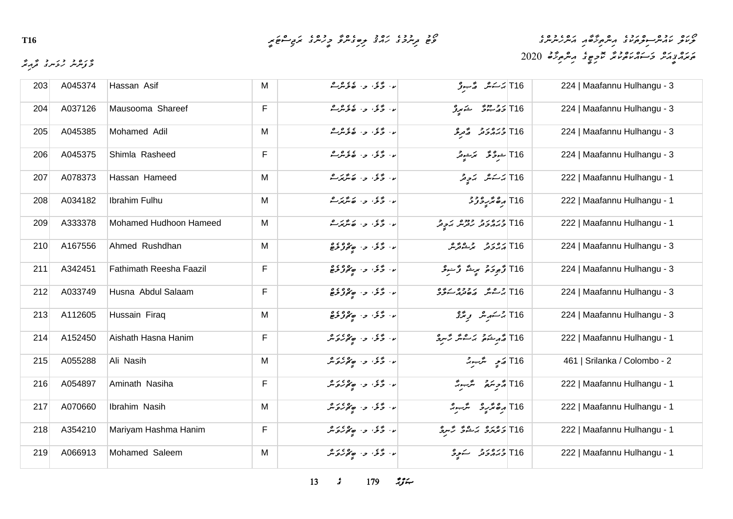*sCw7q7s5w7m< o<n9nOoAw7o< sCq;mAwBoEw7q<m; wBm;vB 2020<sup>, م</sup>وسر در مدد مدرج به مدرم مقرم قرار 2020*<br>موسر المستقرم المستقرم المستقرم المستقرم المستقرم المستقرم المستقرم المستقرم المستقرم المستقرم المستقرم المستقر

| 203 | A045374 | Hassan Asif             | M | ىر، بۇي بەر ئەي ھۆشۈر                                                           | T16   يَرْسَسْ     يُرْسِوْرْ                  | 224   Maafannu Hulhangu - 3  |
|-----|---------|-------------------------|---|---------------------------------------------------------------------------------|------------------------------------------------|------------------------------|
| 204 | A037126 | Mausooma Shareef        | F | لا ئۇق بە قۇشى                                                                  | T16 <i>خەششۇ</i> شىرۇ                          | 224   Maafannu Hulhangu - 3  |
| 205 | A045385 | Mohamed Adil            | M | لا بە ئۇق بەر ئەنقەرىش                                                          | T16 <i>وبروبر س</i> مبر                        | 224   Maafannu Hulhangu - 3  |
| 206 | A045375 | Shimla Rasheed          | F | $\sim$ د ژکې د ه وگړ ش                                                          | T16 حوثی - مَرْحومْر                           | 224   Maafannu Hulhangu - 3  |
| 207 | A078373 | Hassan Hameed           | M | لا په دې د ځمگړک                                                                | T16  ټريند کري تر                              | 222   Maafannu Hulhangu - 1  |
| 208 | A034182 | Ibrahim Fulhu           | M | ، ئۇق جە ئەن <i>ترىت</i>                                                        | T16 <sub>مو</sub> ڭ ترىپرو توقر                | 222   Maafannu Hulhangu - 1  |
| 209 | A333378 | Mohamed Hudhoon Hameed  | M | لا بە ئۇق بەر ئەنترىت بىر                                                       | T16   جزیره بر در برگر بر برد تر               | 222   Maafannu Hulhangu - 1  |
| 210 | A167556 | Ahmed Rushdhan          | M | $\begin{bmatrix} 0 & 0 & 0 & 0 \\ 0 & 0 & 0 & 0 \\ 0 & 0 & 0 & 0 \end{bmatrix}$ | T16 كەبرۇ بۇ ئەمەمەر بىر                       | 224   Maafannu Hulhangu - 3  |
| 211 | A342451 | Fathimath Reesha Faazil | F |                                                                                 | T16   <i>ژُهِ دَهُ</i> ۖ بِرِیدٌ ۖ رُّسِودُ    | 224   Maafannu Hulhangu - 3  |
| 212 | A033749 | Husna Abdul Salaam      | F | $\begin{bmatrix} 0 & 0 & 0 & 0 \\ 0 & 0 & 0 & 0 \\ 0 & 0 & 0 & 0 \end{bmatrix}$ | T16 يُرْسُمَّرُ سَقَ <i>وْهُ سَوَّوْ</i>       | 224   Maafannu Hulhangu - 3  |
| 213 | A112605 | Hussain Firaq           | M | $\begin{bmatrix} 0 & 0 & 0 & 0 \\ 0 & 0 & 0 & 0 \\ 0 & 0 & 0 & 0 \end{bmatrix}$ | T16 پرستمبر عربرد مح                           | 224   Maafannu Hulhangu - 3  |
| 214 | A152450 | Aishath Hasna Hanim     | F | پارستخوا داداره ده کارونکر                                                      | T16 مۇم شەھ ئەس <sup>ى</sup> گە ئەس <i>ب</i> ۇ | 222   Maafannu Hulhangu - 1  |
| 215 | A055288 | Ali Nasih               | M | الأرمح في المستور والمحار والكر                                                 | T16 <i>ھو</i> مگرجي <sup>و</sup>               | 461   Srilanka / Colombo - 2 |
| 216 | A054897 | Aminath Nasiha          | F | الأرمح في المستور والمحار والكر                                                 | T16 مَّ حِسَمَۃ مَّ سَنَ مِنَّةَ بِهِ مَ       | 222   Maafannu Hulhangu - 1  |
| 217 | A070660 | Ibrahim Nasih           | M | پارستخوا داداره ده کار در هر                                                    | T16 <sub>م</sub> ەنگەر ئەسىر ئىسىد             | 222   Maafannu Hulhangu - 1  |
| 218 | A354210 | Mariyam Hashma Hanim    | F | $\mathcal{L}^{(1)}$ لا، د څو، د او په کارونکر                                   | T16 كەبەر كەشى ئەربى                           | 222   Maafannu Hulhangu - 1  |
| 219 | A066913 | Mohamed Saleem          | M | پارستخوا داداره ده کار در هر                                                    | T16  <i>32,35 مىنو</i> د                       | 222   Maafannu Hulhangu - 1  |
|     |         |                         |   |                                                                                 |                                                |                              |

*n8o<n@ qC7m:q5 q7w7m?n>*

*13 s 179 <i>n*<sub>s</sub>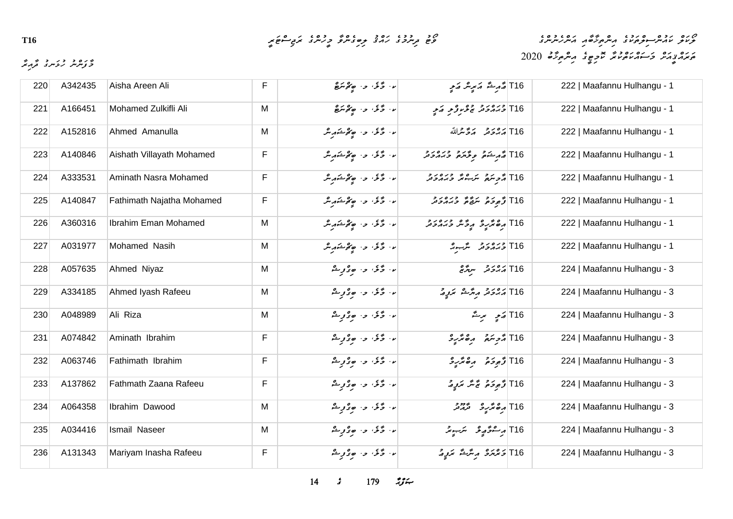*sCw7q7s5w7m< o<n9nOoAw7o< sCq;mAwBoEw7q<m; wBm;vB 2020<sup>, م</sup>وسر در مدد مدرج به مدرم مقرم قرار 2020*<br>موسر المستقرم المستقرم المستقرم المستقرم المستقرم المستقرم المستقرم المستقرم المستقرم المستقرم المستقرم المستقر

| 220 | A342435 | Aisha Areen Ali           | F | ر، د څو، د موکومن <u>و</u>                      | T16 مُگهرڪ مَريگر <i>مَ</i> حوِ                      | 222   Maafannu Hulhangu - 1 |
|-----|---------|---------------------------|---|-------------------------------------------------|------------------------------------------------------|-----------------------------|
| 221 | A166451 | Mohamed Zulkifli Ali      | M | $e^{2}$ , $e^{2}$ , $e^{2}$ , $e^{2}$ , $e^{2}$ | T16  <i>ويزودو چ</i> وبرونو چو                       | 222   Maafannu Hulhangu - 1 |
| 222 | A152816 | Ahmed Amanulla            | M | الا و محمد الله محمد مشهر مثل                   | T16 كەبۇ بۇ كەنزى ئىگەنىسى قىلغان                    | 222   Maafannu Hulhangu - 1 |
| 223 | A140846 | Aishath Villayath Mohamed | F | الا و محكوم و المحافظ مشركتر                    | T16 مُرسُوَّ وِمُرَوْدِ وَرُورَدِّ                   | 222   Maafannu Hulhangu - 1 |
| 224 | A333531 | Aminath Nasra Mohamed     | F | لا د کال دا ھائ شهر مگر                         | T16 مَّ جِسَمَةَ سَرَجَةً وَبَرَهُ وَدَ              | 222   Maafannu Hulhangu - 1 |
| 225 | A140847 | Fathimath Najatha Mohamed | F | الا و محكوم و المحافظ مشركتر                    | T16 زُب <i>وِدَ ۾ روپو ورور</i> و                    | 222   Maafannu Hulhangu - 1 |
| 226 | A360316 | Ibrahim Eman Mohamed      | M | الا و محكوم و المحافظ مشور مثل                  | T16 مەھەر بەر ئەمەد <i>جەم</i> دىرى                  | 222   Maafannu Hulhangu - 1 |
| 227 | A031977 | Mohamed Nasih             | M | الا و محمد الله محمد مشهر مثل                   | T16 <i>ۋىزۇدۇ ئىگى</i> د <i>ۇ</i>                    | 222   Maafannu Hulhangu - 1 |
| 228 | A057635 | Ahmed Niyaz               | M | لا د څخه د له دولت                              | T16 كەش <b>ەت ئىس</b> ىرىقى بىر                      | 224   Maafannu Hulhangu - 3 |
| 229 | A334185 | Ahmed Iyash Rafeeu        | M | لا گري دا ھور ش                                 | T16 كەبۇ <i>قىرىقى تىرو</i> گە                       | 224   Maafannu Hulhangu - 3 |
| 230 | A048989 | Ali Riza                  | M | الا د څخه او الله د کالو ک                      | T16 كەمچە موت                                        | 224   Maafannu Hulhangu - 3 |
| 231 | A074842 | Aminath Ibrahim           | F | الا المحكى المرا المحاويث                       | T16 مَّ حِسَمَ <sub>ّة م</sub> ِ مَحْرِجْ            | 224   Maafannu Hulhangu - 3 |
| 232 | A063746 | Fathimath Ibrahim         | F | لاء څکې او د ځوړ شه                             | T16 رَّ <sub>م</sub> ورَة <sub>ُ م</sub> ِهْتَرِيْتِ | 224   Maafannu Hulhangu - 3 |
| 233 | A137862 | Fathmath Zaana Rafeeu     | F | لا گري دا ھور ھ                                 | T16 أَوَّجِ وَحَمَّ مَحَمَّدٌ مَرْرٍ مُ              | 224   Maafannu Hulhangu - 3 |
| 234 | A064358 | Ibrahim Dawood            | M | الا المحكوم المحاويث                            | T16 <sub>مر</sub> ھ <i>مُربوڤ مُرم</i> مَّر          | 224   Maafannu Hulhangu - 3 |
| 235 | A034416 | <b>Ismail Naseer</b>      | M | الا المحكى المرا المحاويث                       | T16 <sub>م</sub> رےد <i>و پ</i> و سرجو پر            | 224   Maafannu Hulhangu - 3 |
| 236 | A131343 | Mariyam Inasha Rafeeu     | F | پار د محکمه کار د محمد و مش                     | T16 كەبۇرگە م <sub>ە</sub> بۇيىگە ب <i>روپ</i> ۇ     | 224   Maafannu Hulhangu - 3 |

#### *n8o<n@ qC7m:q5 q7w7m?n>*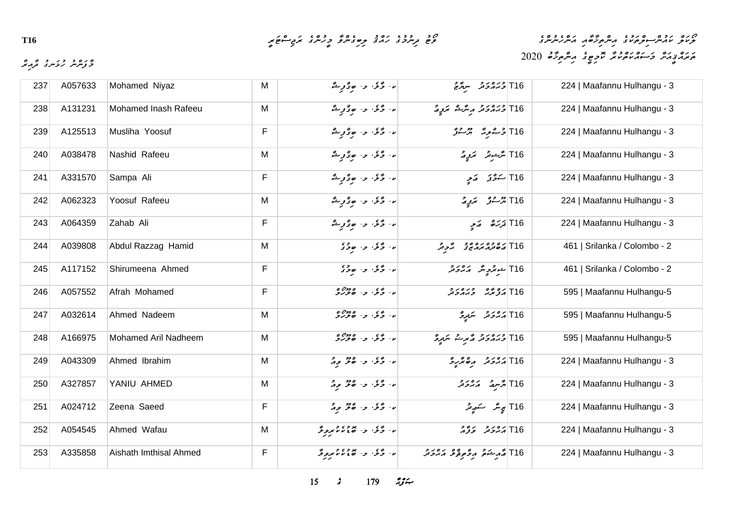*sCw7q7s5w7m< o<n9nOoAw7o< sCq;mAwBoEw7q<m; wBm;vB 2020<sup>, م</sup>وسر در مدد مدرج به مدرم مقرم قرار 2020*<br>موسر المستقرم المستقرم المستقرم المستقرم المستقرم المستقرم المستقرم المستقرم المستقرم المستقرم المستقرم المستقر

| 237 | A057633 | Mohamed Niyaz          | M | لا گرگو، دا ھۆرگ                                                                                                                  | T16 <i>3225 مرمرٌج</i>                         | 224   Maafannu Hulhangu - 3  |
|-----|---------|------------------------|---|-----------------------------------------------------------------------------------------------------------------------------------|------------------------------------------------|------------------------------|
| 238 | A131231 | Mohamed Inash Rafeeu   | M | الا المحكوم والمحاويث                                                                                                             | T16 <i>وُبَرُودُو وِبتَرْ</i> َ يَرَوٍ وَ      | 224   Maafannu Hulhangu - 3  |
| 239 | A125513 | Musliha Yoosuf         | F | الا المحكوم والمحاويث                                                                                                             | T16 ترينز پير بين ترين                         | 224   Maafannu Hulhangu - 3  |
| 240 | A038478 | Nashid Rafeeu          | M | الا المحكى المرا المحاويث                                                                                                         | T16 سَّرْحُومَرُ - <i>مَرْوِجُ</i>             | 224   Maafannu Hulhangu - 3  |
| 241 | A331570 | Sampa Ali              | F | لا گرگو، دا ھۆرىش                                                                                                                 | T16 ڪري <i>م</i> کمي                           | 224   Maafannu Hulhangu - 3  |
| 242 | A062323 | Yoosuf Rafeeu          | M | الا الحكى المرا ھائى والىش                                                                                                        | T16 پژستۇ ئى <i>ز</i> وڭ                       | 224   Maafannu Hulhangu - 3  |
| 243 | A064359 | Zahab Ali              | F | الا المحكوم المحاويث                                                                                                              | T16 ن <i>ۆرگ</i> ھەم                           | 224   Maafannu Hulhangu - 3  |
| 244 | A039808 | Abdul Razzag Hamid     | M | $\overset{c}{\cancel{5}}$ $\overset{c}{\cancel{5}}$ $\overset{c}{\cancel{5}}$ $\overset{c}{\cancel{5}}$ $\overset{c}{\cancel{5}}$ | T16 كەھىر <i>مەمەج</i> گەجىر                   | 461   Srilanka / Colombo - 2 |
| 245 | A117152 | Shirumeena Ahmed       | F | لا د څو د ه ده د                                                                                                                  | T16 حو <i>مرّو بدّ كەنزى</i> تر                | 461   Srilanka / Colombo - 2 |
| 246 | A057552 | Afrah Mohamed          | F | ر، دی د. ۵۵۶۵<br>ر، دگر، د. ۱۶۵۶                                                                                                  | T16 كەنزىترىيە مەكبەد ئىر                      | 595   Maafannu Hulhangu-5    |
| 247 | A032614 | Ahmed Nadeem           | M | ر، دمجنۍ د ه و <i>ده</i> و                                                                                                        | T16 كەندى كىمە ئىرىدى كىمە ئىرىدى <i>قى</i> رى | 595   Maafannu Hulhangu-5    |
| 248 | A166975 | Mohamed Aril Nadheem   | M | لا د څو د ه ده وه                                                                                                                 | T16   <i>وَيُرُودُو مُ</i> مِرِسُمْ سَمَدٍوْ   | 595   Maafannu Hulhangu-5    |
| 249 | A043309 | Ahmed Ibrahim          | M | ر د محکمه د ده محمد جام <sup>ه</sup>                                                                                              | T16   كەبۇ <i>كەن مەھەر ب</i> و                | 224   Maafannu Hulhangu - 3  |
| 250 | A327857 | YANIU AHMED            | M | الأرمح في المستحق والمر                                                                                                           | T16 م <i>رَّسِيھُ مَدْحَ</i> قَر               | 224   Maafannu Hulhangu - 3  |
| 251 | A024712 | Zeena Saeed            | F | رو دي.<br>د کاري د هغا وړ                                                                                                         | T16 <sub>مح</sub> مد شہر                       | 224   Maafannu Hulhangu - 3  |
| 252 | A054545 | Ahmed Wafau            | M | ، دې د پرورو په                                                                                                                   | T16 كەنزىق ئۇق                                 | 224   Maafannu Hulhangu - 3  |
| 253 | A335858 | Aishath Imthisal Ahmed | F | ، دې د پرو، د موږ                                                                                                                 | T16 مُصِحْمَة مِرْحَمِّةً مُصَرَّمَةً          | 224   Maafannu Hulhangu - 3  |
|     |         |                        |   |                                                                                                                                   |                                                |                              |

#### *n8o<n@ qC7m:q5 q7w7m?n>*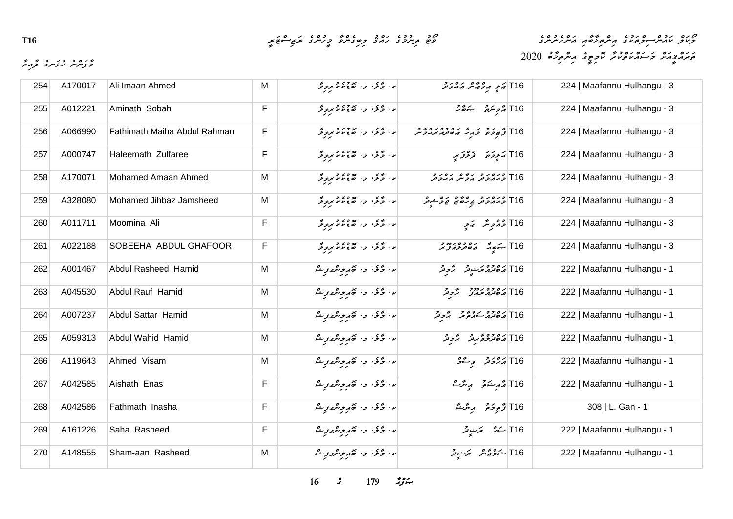*sCw7q7s5w7m< o<n9nOoAw7o< sCq;mAwBoEw7q<m; wBm;vB 2020<sup>, م</sup>وسر در مدد مدرج به مدرم مقرم قرار 2020*<br>موسر المستقرم المستقرم المستقرم المستقرم المستقرم المستقرم المستقرم المستقرم المستقرم المستقرم المستقرم المستقر

| 254 | A170017 | Ali Imaan Ahmed              | M | ر، دې د پرورونو ک         | T16 <i>جَرِمٍ م</i> ِرْحَمَّدْ <i>مَدْدَوْر</i> َ | 224   Maafannu Hulhangu - 3 |
|-----|---------|------------------------------|---|---------------------------|---------------------------------------------------|-----------------------------|
| 255 | A012221 | Aminath Sobah                | F | ، دې د پردې د پروتو       | T16 مَّ جِسَمَّة سَنَصَّرَ                        | 224   Maafannu Hulhangu - 3 |
| 256 | A066990 | Fathimath Maiha Abdul Rahman | F | ، دې د پرو، د په کلمبرونو | T16 تُرجوحَمُ حَمِيرٌ مُصْرَمٌ مَدَيْرٍ مِنْ      | 224   Maafannu Hulhangu - 3 |
| 257 | A000747 | Haleemath Zulfaree           | F | ، دې د پرو، د موږ         | T16 كر <i>و5ۇ قرۇق ب</i> ر                        | 224   Maafannu Hulhangu - 3 |
| 258 | A170071 | Mohamed Amaan Ahmed          | M | لا د څخه د په ده د په د   | T16 <i>ويرورو برؤير برور</i> و                    | 224   Maafannu Hulhangu - 3 |
| 259 | A328080 | Mohamed Jihbaz Jamsheed      | M | ، دې د پردې د پروتو       | T16 <i>دېمگرونو پېرهگ</i> و کولوگوند              | 224   Maafannu Hulhangu - 3 |
| 260 | A011711 | Moomina Ali                  | F | لا د څو د په پروه د په د  | T16   دُبُرُوبٹر کی مو                            | 224   Maafannu Hulhangu - 3 |
| 261 | A022188 | SOBEEHA ABDUL GHAFOOR        | F | ، دې د پرورو په           | 716 ين <i>وبر مەھەردە د</i>                       | 224   Maafannu Hulhangu - 3 |
| 262 | A001467 | Abdul Rasheed Hamid          | M | پار دی وا محمومترور دی    | T16 كەھە <i>تەمەتىرىنى</i> مەر قرىر               | 222   Maafannu Hulhangu - 1 |
| 263 | A045530 | Abdul Rauf Hamid             | M | لا د څخه د څه د شمور شه   | T16 בפינה <i>יגבי</i> לכנר                        | 222   Maafannu Hulhangu - 1 |
| 264 | A007237 | Abdul Sattar Hamid           | M | بالمستحق والمحموم معدوية  | T16ھ مرم سوم پر بر مرم د                          | 222   Maafannu Hulhangu - 1 |
| 265 | A059313 | Abdul Wahid Hamid            | M | ، دې د محمومتروپ          | T16 كەھەر <i>بىرى بى</i> بۇ بىر                   | 222   Maafannu Hulhangu - 1 |
| 266 | A119643 | Ahmed Visam                  | M | لا د څخه د څه د شرور ش    | T16 <i>גَ بَدْوَ</i> تَرَ   مِ سُرَّحْ            | 222   Maafannu Hulhangu - 1 |
| 267 | A042585 | Aishath Enas                 | F | لا د څخه د څه د شرور ش    | T16 مَگْرِسْتَعْرُ – رِسَّرْتْ                    | 222   Maafannu Hulhangu - 1 |
| 268 | A042586 | Fathmath Inasha              | F | لا د څخه د څه د شمور ش    | T16 رَّجِودَة مِسَّنَةَ                           | 308   L. Gan - 1            |
| 269 | A161226 | Saha Rasheed                 | F | لا د څخه د څه د شمور ش    | T16 سَتَرٌ - مَرْشِوِتْرُ                         | 222   Maafannu Hulhangu - 1 |
| 270 | A148555 | Sham-aan Rasheed             | м | لا د څخه د څه د شمور ش    | T16 ڪر <i>وگر پرجيوگر</i>                         | 222   Maafannu Hulhangu - 1 |

#### *n8o<n@ qC7m:q5 q7w7m?n>*

 $16$  *s*  $179$   $23$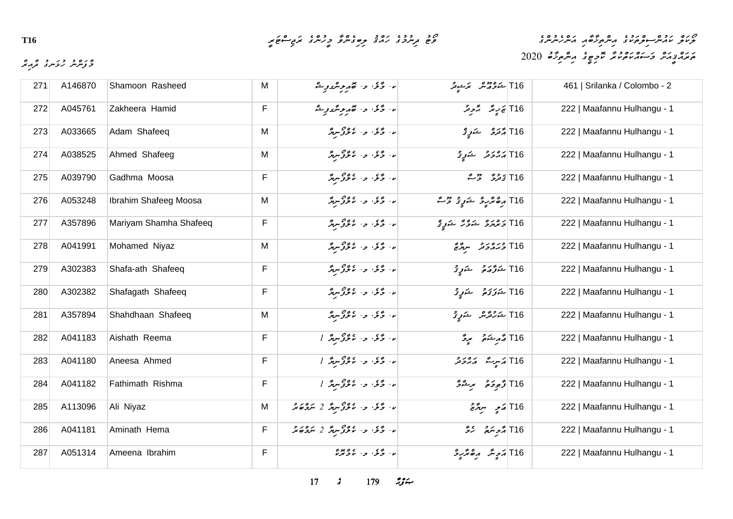*sCw7q7s5w7m< o<n9nOoAw7o< sCq;mAwBoEw7q<m; wBm;vB 2020*<br>*په پوهر وسوډيرونو لومو د موجو د مرمونه* 2020

| 271 | A146870 | Shamoon Rasheed        | M | ، دُکر، د. قهرم شمور ی        | T16 شۇ <i>ھەم</i> كەنبەتر                                    | 461   Srilanka / Colombo - 2 |
|-----|---------|------------------------|---|-------------------------------|--------------------------------------------------------------|------------------------------|
| 272 | A045761 | Zakheera Hamid         | F | پار د څې د استمدي په د        | T16 کے <i>نی</i> مگر گرونڈ                                   | 222   Maafannu Hulhangu - 1  |
| 273 | A033665 | Adam Shafeeq           | M | ئەس ئۇنى بەر ئابدۇ ئابلار     | T16 مُحَرَّدٌ حَ <i>وِي</i> ٌ                                | 222   Maafannu Hulhangu - 1  |
| 274 | A038525 | Ahmed Shafeeg          | M | لا . د څکې د . ماووسنگ        | T16 <i>كەنگەنىڭ سىتمونى</i>                                  | 222   Maafannu Hulhangu - 1  |
| 275 | A039790 | Gadhma Moosa           | F | لا . د څکې د . ماووسنگ        | $23$ $53$ T16                                                | 222   Maafannu Hulhangu - 1  |
| 276 | A053248 | Ibrahim Shafeeg Moosa  | M | لا کوی د موژمبر               | T16 <sub>م</sub> ەنگرى <sub>د</sub> ى خىرپى ق <sup>ەمم</sup> | 222   Maafannu Hulhangu - 1  |
| 277 | A357896 | Mariyam Shamha Shafeeq | F | لا : د د د الاور سرگر         | T16 كەيمەر ئىمى ئىمار قىلىپ قىلىپ ئى                         | 222   Maafannu Hulhangu - 1  |
| 278 | A041991 | Mohamed Niyaz          | M | لا : د د د الاور سرگر         | T16 <i>2222 سرگر</i> ج                                       | 222   Maafannu Hulhangu - 1  |
| 279 | A302383 | Shafa-ath Shafeeq      | F | لا : د د د الاور سرگر         | T16 خَوَّرَة حَوِرَ                                          | 222   Maafannu Hulhangu - 1  |
| 280 | A302382 | Shafagath Shafeeq      | F | لا : د د د الاور سرگر         | T16 خ <i>ور پیم شور چ</i>                                    | 222   Maafannu Hulhangu - 1  |
| 281 | A357894 | Shahdhaan Shafeeq      | M | لا : د د د الاور سرگر         | T16 ڪرگرنگر ڪ <i>وي</i> ٽر                                   | 222   Maafannu Hulhangu - 1  |
| 282 | A041183 | Aishath Reema          | F | لا ئۇق د ، ئاۋۇس دا           | T16 مُ مِشَمَّ مِرَّدَّ                                      | 222   Maafannu Hulhangu - 1  |
| 283 | A041180 | Aneesa Ahmed           | F | لا د څخه د ، موژمېند 1        | T16 كەسى <sup>س</sup> كەندى تەر                              | 222   Maafannu Hulhangu - 1  |
| 284 | A041182 | Fathimath Rishma       | F | لا د څخه د ، موژمېند ا        | T16 <i>وُّجِ دَمَّة بِ</i> سِسْرَةً                          | 222   Maafannu Hulhangu - 1  |
| 285 | A113096 | Ali Niyaz              | M | لا کری و انگرومبرگر 2 مرده مر | T16 <i>ڇي سرمڙي</i>                                          | 222   Maafannu Hulhangu - 1  |
| 286 | A041181 | Aminath Hema           | F | $7.0012$ $2.900$ $-3.00$      | T16 مُج سَمَع کر                                             | 222   Maafannu Hulhangu - 1  |
| 287 | A051314 | Ameena Ibrahim         | F | ر، دې د ۱۶۶۶                  | T16 أ <i>مَ</i> جٍ مَّر مِنْ مَرْسِرْ مِنْ                   | 222   Maafannu Hulhangu - 1  |

#### *n8o<n@ qC7m:q5 q7w7m?n>*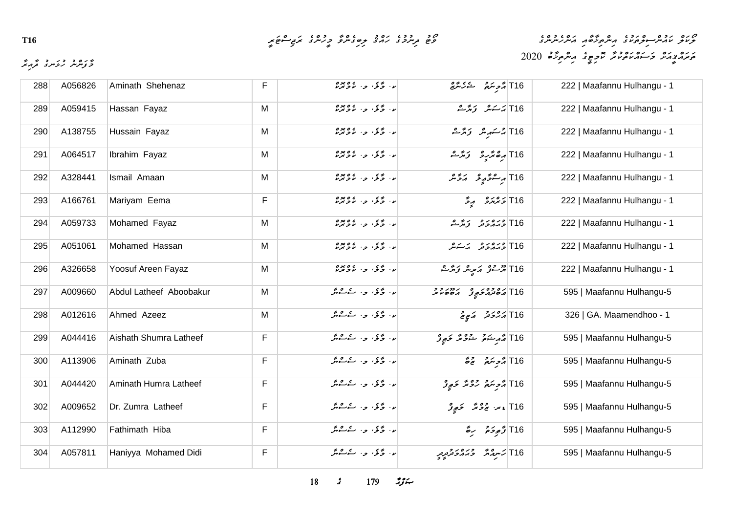*sCw7q7s5w7m< o<n9nOoAw7o< sCq;mAwBoEw7q<m; wBm;vB 2020<sup>, م</sup>وسر در مدد مدرج به مدرم مقرم قرار 2020*<br>موسر المستقرم المستقرم المستقرم المستقرم المستقرم المستقرم المستقرم المستقرم المستقرم المستقرم المستقرم المستقر

| A056826 | Aminath Shehenaz        | F           | ر، دې د روبره         |  | 222   Maafannu Hulhangu - 1                                                                                                                                                                                                                                                                                                                                                                                                                                                                                                     |
|---------|-------------------------|-------------|-----------------------|--|---------------------------------------------------------------------------------------------------------------------------------------------------------------------------------------------------------------------------------------------------------------------------------------------------------------------------------------------------------------------------------------------------------------------------------------------------------------------------------------------------------------------------------|
| A059415 | Hassan Fayaz            | M           | لا د څخه د عوض        |  | 222   Maafannu Hulhangu - 1                                                                                                                                                                                                                                                                                                                                                                                                                                                                                                     |
| A138755 | Hussain Fayaz           | M           | لا د څخه د عوض        |  | 222   Maafannu Hulhangu - 1                                                                                                                                                                                                                                                                                                                                                                                                                                                                                                     |
| A064517 | Ibrahim Fayaz           | M           | لا د څخه د عوض        |  | 222   Maafannu Hulhangu - 1                                                                                                                                                                                                                                                                                                                                                                                                                                                                                                     |
| A328441 | Ismail Amaan            | M           | ر، دې د روبوه         |  | 222   Maafannu Hulhangu - 1                                                                                                                                                                                                                                                                                                                                                                                                                                                                                                     |
| A166761 | Mariyam Eema            | F           | ر، دې د ۱۶۴۶          |  | 222   Maafannu Hulhangu - 1                                                                                                                                                                                                                                                                                                                                                                                                                                                                                                     |
| A059733 | Mohamed Fayaz           | M           | ر، دې د روبوه         |  | 222   Maafannu Hulhangu - 1                                                                                                                                                                                                                                                                                                                                                                                                                                                                                                     |
| A051061 | Mohamed Hassan          | M           | ر، دې د روبوه         |  | 222   Maafannu Hulhangu - 1                                                                                                                                                                                                                                                                                                                                                                                                                                                                                                     |
| A326658 | Yoosuf Areen Fayaz      | M           | لا د څخه د عودتمون    |  | 222   Maafannu Hulhangu - 1                                                                                                                                                                                                                                                                                                                                                                                                                                                                                                     |
| A009660 | Abdul Latheef Aboobakur | M           | لار گرمی که را میکنگر |  | 595   Maafannu Hulhangu-5                                                                                                                                                                                                                                                                                                                                                                                                                                                                                                       |
| A012616 | Ahmed Azeez             | M           | لار ۇي كى سەھەر       |  | 326   GA. Maamendhoo - 1                                                                                                                                                                                                                                                                                                                                                                                                                                                                                                        |
| A044416 | Aishath Shumra Latheef  | F           | لاستخرى بالمستك مثلا  |  | 595   Maafannu Hulhangu-5                                                                                                                                                                                                                                                                                                                                                                                                                                                                                                       |
| A113906 | Aminath Zuba            | F           | لار گرمی که را میکنگر |  | 595   Maafannu Hulhangu-5                                                                                                                                                                                                                                                                                                                                                                                                                                                                                                       |
| A044420 | Aminath Humra Latheef   | F           | لار گرمی که را میکنگر |  | 595   Maafannu Hulhangu-5                                                                                                                                                                                                                                                                                                                                                                                                                                                                                                       |
| A009652 | Dr. Zumra Latheef       | F           | لار ۇي كى سەھەر       |  | 595   Maafannu Hulhangu-5                                                                                                                                                                                                                                                                                                                                                                                                                                                                                                       |
| A112990 | Fathimath Hiba          | $\mathsf F$ | لار ۇي كى سەھەر       |  | 595   Maafannu Hulhangu-5                                                                                                                                                                                                                                                                                                                                                                                                                                                                                                       |
| A057811 | Haniyya Mohamed Didi    | F           | لار ۇي كى ئەسەئىگە    |  | 595   Maafannu Hulhangu-5                                                                                                                                                                                                                                                                                                                                                                                                                                                                                                       |
|         |                         |             |                       |  | T16 مَّ حِسَمَة مَسَّسَمَّة الله<br>T16 پرستد ق <i>م</i> یرشہ<br>T16 يزيتمبريش توپژيشه<br>T16 م <i>وڭ ئوچى</i> شى ئىش<br>T16 <sub>م</sub> رىمۇرپى كەۋىر<br>T16 كەنگەنى مەمى<br>T16 تر پروتر کو پڑے<br>T16 <i>ۋىزەدۇ بەسكى</i> ر<br>T16 ټرسنو <sub>مکمی</sub> تر زیر شه<br>T16 בסתגופת הסטיב<br>T16 كەبرى <i>قىي قى</i><br>T16 مُەمِسْمَى سْمَوْمُ كَمِوِرْ<br>T16 مُجِسَعُ بِيَّةَ<br>T16 مَّ حِسَمَ رَوْحَ <sub>مَح</sub> وِرْ<br>T16 ۽ برا چوڻ کو <i>چو</i> ڙ<br>T16 تُ <i>موح</i> ق برصَّ<br>T16 كەمبەر ئەر ئەر ئەر ئورىيە ب |

*n8o<n@ qC7m:q5 q7w7m?n>*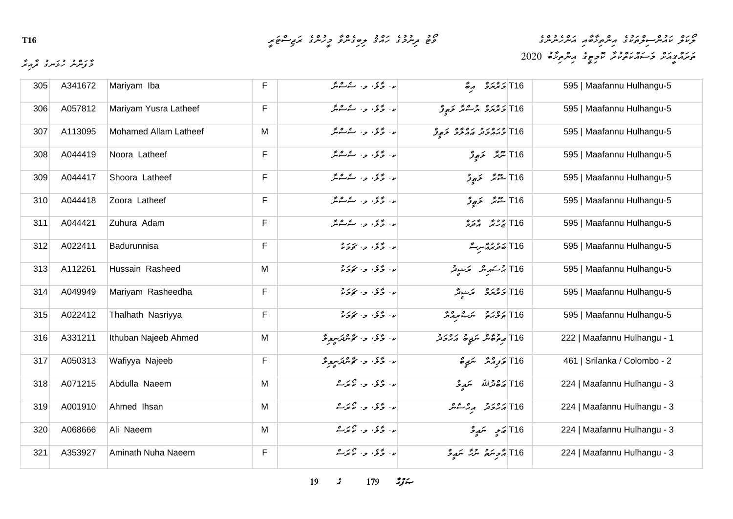*sCw7q7s5w7m< o<n9nOoAw7o< sCq;mAwBoEw7q<m; wBm;vB 2020*<br>*په پوهر وسوډيرونو لومو د موجو د مرمونه* 2020

| 305 | A341672 | Mariyam Iba           | F | لاستۇق بەر سەسىگە         | T16 كەب <i>تەرق م</i> ەڭ                   | 595   Maafannu Hulhangu-5    |
|-----|---------|-----------------------|---|---------------------------|--------------------------------------------|------------------------------|
| 306 | A057812 | Mariyam Yusra Latheef | F | لاستخرى بالمستك متكرينكر  | T16 كەنگەردە مەسىم <i>ە ئەبو</i> ر         | 595   Maafannu Hulhangu-5    |
| 307 | A113095 | Mohamed Allam Latheef | M | لاستخرش وسيكشكش           | T16 ديرە دىم ئەردى ئەرى                    | 595   Maafannu Hulhangu-5    |
| 308 | A044419 | Noora Latheef         | F | لار گرمی که سکرسگریمگر    | T16 يُمْرَدُ تَحَ <i>بِّوِدُ</i>           | 595   Maafannu Hulhangu-5    |
| 309 | A044417 | Shoora Latheef        | F | لار ۇي كى سەسەھە          | T16 يتيمر تح <i>وف</i>                     | 595   Maafannu Hulhangu-5    |
| 310 | A044418 | Zoora Latheef         | F | لار ۇي كى سەسەھە          | T16 ينيمًد تح <i>موث</i> ر                 | 595   Maafannu Hulhangu-5    |
| 311 | A044421 | Zuhura Adam           | F | لار ۇي كى سەسەھە          | T16 يح <sup>2</sup> مگرو                   | 595   Maafannu Hulhangu-5    |
| 312 | A022411 | Badurunnisa           | F | لا د څوکو د کارونو        | T16 <i>ھَنر پر مُ</i> ہر سَر               | 595   Maafannu Hulhangu-5    |
| 313 | A112261 | Hussain Rasheed       | M | لا د څخه د کارونو         | T16 پڑے پر نئ <i>ڑ م</i> تر سورتر          | 595   Maafannu Hulhangu-5    |
| 314 | A049949 | Mariyam Rasheedha     | F | لا د څوکال د کارونو       | T16 كەيمە <i>دۇ ب</i> ەئىيەت <i>ۇ</i>      | 595   Maafannu Hulhangu-5    |
| 315 | A022412 | Thalhath Nasriyya     | F | لا د څو د کارا            | T16 <i>چۇنىۋە سىبىھىدە</i> گە              | 595   Maafannu Hulhangu-5    |
| 316 | A331211 | Ithuban Najeeb Ahmed  | M | ۱۰ ژنگی، دار گارگارمبروگر | T16 م <i>ِ وَقَّسْ سَعِي قَمَدُونَر</i>    | 222   Maafannu Hulhangu - 1  |
| 317 | A050313 | Wafiyya Najeeb        | F | ، د د کار د کارگرس د      | T16 <i>قۇم</i> ىگە سىي <i>چ</i>            | 461   Srilanka / Colombo - 2 |
| 318 | A071215 | Abdulla Naeem         | M | لا د محرکې د انگرېنگ      | T16 مَەقراللە سَم <u>ە</u> د               | 224   Maafannu Hulhangu - 3  |
| 319 | A001910 | Ahmed Ihsan           | M | لا د محرکې د انگرېنگ      |                                            | 224   Maafannu Hulhangu - 3  |
| 320 | A068666 | Ali Naeem             | M | لار څخه لور لامړ شه       | T16 کړ <i>و سمو</i> د                      | 224   Maafannu Hulhangu - 3  |
| 321 | A353927 | Aminath Nuha Naeem    | F | ىد، بۇي بەر ئۇندىشە       | T16 مَّ حِسَمَ مِنْدَ سَمِي <sup>و</sup> َ | 224   Maafannu Hulhangu - 3  |
|     |         |                       |   |                           |                                            |                              |

*19 s 179 <i>n*<sub>3</sub> *n*<sub>2</sub>

*n8o<n@ qC7m:q5 q7w7m?n>*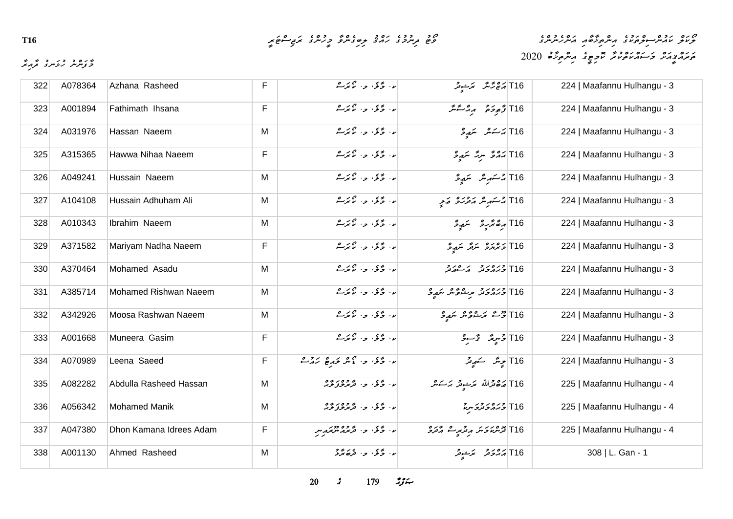*sCw7q7s5w7m< o<n9nOoAw7o< sCq;mAwBoEw7q<m; wBm;vB* م من المرة المرة المرة المرجع المرجع في المركبة 2020<br>مجم*د المريض المربوط المربع المرجع في المراجع المركبة* 

|  | ۇرومە زىرىدە ئەرتر |  |
|--|--------------------|--|

| 322 | A078364 | Azhana Rasheed          | F           | ر، ځوې د ۱ <b>ن</b> مړ شه                                                      | T16   پر چرنگر    پر <sub>شو</sub> رتر    | 224   Maafannu Hulhangu - 3 |
|-----|---------|-------------------------|-------------|--------------------------------------------------------------------------------|-------------------------------------------|-----------------------------|
| 323 | A001894 | Fathimath Ihsana        | $\mathsf F$ | لار ۇي بىر ئەيزىش                                                              | T16 ۇ <sub>ج</sub> وڭ مەششىر              | 224   Maafannu Hulhangu - 3 |
| 324 | A031976 | Hassan Naeem            | M           | لا : دَنْنَ و الْمَمَرْك                                                       | T16 پرسکس شھ <i>ی</i> گ                   | 224   Maafannu Hulhangu - 3 |
| 325 | A315365 | Hawwa Nihaa Naeem       | $\mathsf F$ | ىد، بۇي بەر ئۇندىش                                                             | T16 بَرْدُوَّ سِرَّ سَمِر <sup>و</sup> َ  | 224   Maafannu Hulhangu - 3 |
| 326 | A049241 | Hussain Naeem           | M           | ىد، بۇي بەر ئۇندىش                                                             | T16 يُرْسَمَ مِيْرِ مَسْرِ وَ             | 224   Maafannu Hulhangu - 3 |
| 327 | A104108 | Hussain Adhuham Ali     | M           | ر، دَگر، د. م <i>ای</i> ز ۲                                                    | T16 يُرسَم <i>, بكر مرتزر بحريم</i>       | 224   Maafannu Hulhangu - 3 |
| 328 | A010343 | Ibrahim Naeem           | M           | ىد، بۇي بەر ئۇندىش                                                             | T16 م <i>وڭ ئۇر</i> ئىمرى<br>ق            | 224   Maafannu Hulhangu - 3 |
| 329 | A371582 | Mariyam Nadha Naeem     | F           | لار ۇي بىر ئەيزىش                                                              | T16 كەبەدى ئىگە ئىر <sup>6</sup>          | 224   Maafannu Hulhangu - 3 |
| 330 | A370464 | Mohamed Asadu           | M           | لا د څخه د ۱۷ تمرگ                                                             | T16 <i>جزی بی جنگ پر شهر تو</i>           | 224   Maafannu Hulhangu - 3 |
| 331 | A385714 | Mohamed Rishwan Naeem   | M           | ر، ۇي <sub>چە</sub> ئىمەت                                                      | T16 <i>وبروبرو برحومٌ م</i> سَمِيرٌ       | 224   Maafannu Hulhangu - 3 |
| 332 | A342926 | Moosa Rashwan Naeem     | M           | ىد، ۋې كې ئەتمەت كې                                                            | T16 تۆگ ئەش <i>ۇش ئىم</i> وگ              | 224   Maafannu Hulhangu - 3 |
| 333 | A001668 | Muneera Gasim           | F           | ىد، بۇينى بەر، ئۇنجەت                                                          | T16   جُسِبَدُ لَمَحْ سِوْ                | 224   Maafannu Hulhangu - 3 |
| 334 | A070989 | Leena Saeed             | $\mathsf F$ | لا الحق والمحمد محمدها المكانية                                                | T16 مِیٹر ک <i>می</i> ٹر                  | 224   Maafannu Hulhangu - 3 |
| 335 | A082282 | Abdulla Rasheed Hassan  | M           | ر د مي د ودوه د وه د ده و                                                      | T16 كەھەراللە تىرىشوش تەسكەش              | 225   Maafannu Hulhangu - 4 |
| 336 | A056342 | <b>Mohamed Manik</b>    | M           | ر دی.<br>رن وگی، و مورود ویر                                                   | T16 <i>دېم د ورځ سره</i>                  | 225   Maafannu Hulhangu - 4 |
| 337 | A047380 | Dhon Kamana Idrees Adam | $\mathsf F$ | ر ده د و در در در در در در استان برای است.<br>است از گرفتن از در در بازیگری سر | T16 قرشرىكە ئەر قرىرىشە مەمرى             | 225   Maafannu Hulhangu - 4 |
| 338 | A001130 | Ahmed Rasheed           | M           | ، د څو، د غر <i>ه پ</i> رو                                                     | T16   كەش <sup>ى</sup> ر قىم سىم سىرىدىگر | 308   L. Gan - 1            |

 $20$  *s*  $179$  *i*<sub>s</sub>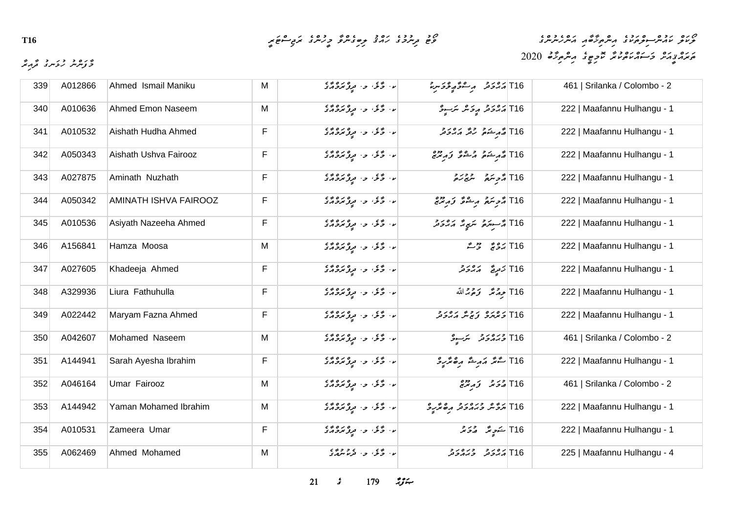*sCw7q7s5w7m< o<n9nOoAw7o< sCq;mAwBoEw7q<m; wBm;vB 2020<sup>, م</sup>وسر در مدد مدرج به مدرم مقرم قرار 2020*<br>موسر المستقرم المستقرم المستقرم المستقرم المستقرم المستقرم المستقرم المستقرم المستقرم المستقرم المستقرم المستقر

| 339 | A012866 | Ahmed Ismail Maniku   | M           | ۱۰ وگی و۰ موژنگر <i>وه</i> ی     | T16 كەبرى قىرىش <i>ۇ مەشتۇر بولى</i> ئ             | 461   Srilanka / Colombo - 2 |
|-----|---------|-----------------------|-------------|----------------------------------|----------------------------------------------------|------------------------------|
| 340 | A010636 | Ahmed Emon Naseem     | M           | ۱۰ وگی و۰ م <sub>ی</sub> وترومرد | T16 كەبۇر قىر بەرگە ئىزىس <sub>ى</sub> رى          | 222   Maafannu Hulhangu - 1  |
| 341 | A010532 | Aishath Hudha Ahmed   | F           | ۱۰ د څخه و٠ تړو پرووړی           | T16 مەم شەھ رىق <i>مەدە</i> ند                     | 222   Maafannu Hulhangu - 1  |
| 342 | A050343 | Aishath Ushva Fairooz | F           | ۱۰ د دی. د وروبرواره             | T16 مەم شىم مەشمۇ كەم <i>دە</i>                    | 222   Maafannu Hulhangu - 1  |
| 343 | A027875 | Aminath Nuzhath       | F           | ، د څو، د پروترون                | T16 مَّ مِسَمَّد مَّسَمِّ رَمَّ                    | 222   Maafannu Hulhangu - 1  |
| 344 | A050342 | AMINATH ISHVA FAIROOZ | F           | ۱۰ د څو، د ۰ وړونده وه           | T16 مُرْمِسَمْ مِشْرَةَ زَمِتْنَجْ                 | 222   Maafannu Hulhangu - 1  |
| 345 | A010536 | Asiyath Nazeeha Ahmed | F           | ۱۰ وگی، د. دروبرواری             | T16 مُرْسِ <i>رْهُ</i> سَمِيدٌ مَ <sup>رور</sup> د | 222   Maafannu Hulhangu - 1  |
| 346 | A156841 | Hamza Moosa           | M           | ر د څو د پروتروره                | $23$ $25$ T16                                      | 222   Maafannu Hulhangu - 1  |
| 347 | A027605 | Khadeeja Ahmed        | F           | ر د محکي د ورونده ده             | T16 زَمَرِجٌ     دَرُدُوَرٌ                        | 222   Maafannu Hulhangu - 1  |
| 348 | A329936 | Liura Fathuhulla      | F           | ر د محکي د ورونده د د            | T16 مِرْمَمَّد وَحْرَمْ اللّه                      | 222   Maafannu Hulhangu - 1  |
| 349 | A022442 | Maryam Fazna Ahmed    | F           | ر د محکي د ورونده ده             | T16 كەبەر ئۇي ئەرەپ ئەرەبىرى ئەرەبىر               | 222   Maafannu Hulhangu - 1  |
| 350 | A042607 | Mohamed Naseem        | M           | ، د څو، د پروترون                | T16  <i>وُبَہُ دُوَمَۃُ</i> سَ <i>رَسِیوْ</i>      | 461   Srilanka / Colombo - 2 |
| 351 | A144941 | Sarah Ayesha Ibrahim  | F           | ر د څو د پروتروره                | T16 سَنَّمَّدَ <i>مَهِ</i> مَنْ مِصْرَّرِدْ        | 222   Maafannu Hulhangu - 1  |
| 352 | A046164 | Umar Fairooz          | M           | ۱۰ د څو، د ۰ د وره ده د          | T16 ح. <i>5 م. م. م.</i> م.                        | 461   Srilanka / Colombo - 2 |
| 353 | A144942 | Yaman Mohamed Ibrahim | M           | ۱۰ د څخه و٠ تیروبروبرو           | T16 يرو مه د در دو مرد ده کرد د                    | 222   Maafannu Hulhangu - 1  |
| 354 | A010531 | Zameera Umar          | $\mathsf F$ | ر د څخه د وره ده ده              | T16 سَم <i>وِنڈ 23 پ</i> ر                         | 222   Maafannu Hulhangu - 1  |
| 355 | A062469 | Ahmed Mohamed         | M           | ر د محتی د در دوره د د           | T16 كەبرى مەكەرىم                                  | 225   Maafannu Hulhangu - 4  |

#### *n8o<n@ qC7m:q5 q7w7m?n>*

 $21$  *s*  $179$  *i*<sub>s</sub>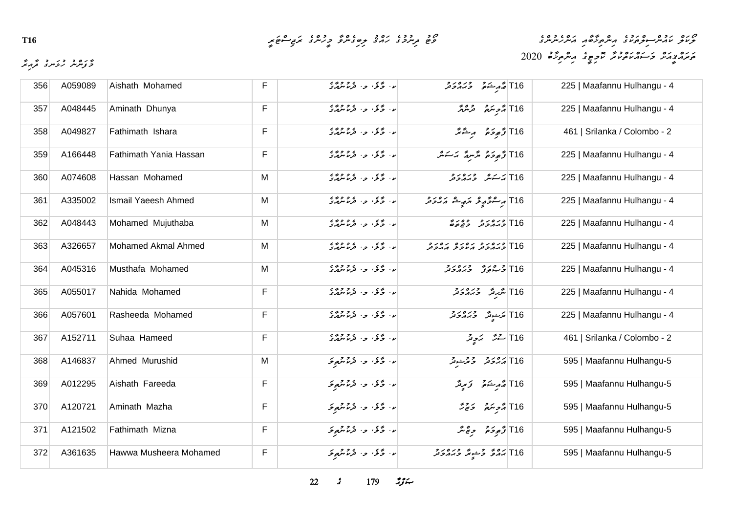*sCw7q7s5w7m< o<n9nOoAw7o< sCq;mAwBoEw7q<m; wBm;vB 2020*<br>*په پوهر وسوډيرونو لومو د موجو د مرمونه* 2020

| 356 | A059089 | Aishath Mohamed            | F | ر، دمجنۍ، درجوړي<br>ران دمخنۍ، در، فرمانترونوي                                                                                                                                                                                   | T16 مەم ئەم ئەمەدىر                           | 225   Maafannu Hulhangu - 4  |
|-----|---------|----------------------------|---|----------------------------------------------------------------------------------------------------------------------------------------------------------------------------------------------------------------------------------|-----------------------------------------------|------------------------------|
| 357 | A048445 | Aminath Dhunya             | F | ر، دمجنۍ، درجوړه ده ده وروي.<br>دا د کلی کلی و اولاد محمد و                                                                                                                                                                      | T16 مُّحِسَمُ مُسْمَّدٌ                       | 225   Maafannu Hulhangu - 4  |
| 358 | A049827 | Fathimath Ishara           | F | ر، دی. د. دوره دور                                                                                                                                                                                                               | T16 رَّجِوَة مِشَّتَر                         | 461   Srilanka / Colombo - 2 |
| 359 | A166448 | Fathimath Yania Hassan     | F | ر، دمجنې، د وروس د ده و                                                                                                                                                                                                          | T16 <i>وُجِعَة مُ</i> سِمَّ بَرَسَمْ          | 225   Maafannu Hulhangu - 4  |
| 360 | A074608 | Hassan Mohamed             | M | ر د محکې د د د ده ده د                                                                                                                                                                                                           | T16  يَرْسَعْرُ فَيَرَوْدُونَّر               | 225   Maafannu Hulhangu - 4  |
| 361 | A335002 | <b>Ismail Yaeesh Ahmed</b> | M | ر، دی. د. دوره دور                                                                                                                                                                                                               | T16 <sub>م</sub> ر ش <i>ۇرپى مەيدى مەدە</i> ر | 225   Maafannu Hulhangu - 4  |
| 362 | A048443 | Mohamed Mujuthaba          | M | ر د دی.<br>روز د تر د سر در                                                                                                                                                                                                      | T16 تربره تر وقامری<br>T16 تربر تر وقامون     | 225   Maafannu Hulhangu - 4  |
| 363 | A326657 | <b>Mohamed Akmal Ahmed</b> | M | ر د مي د دوه د ده د د                                                                                                                                                                                                            | T16   <i>وبروبرة بروبرو بروب</i> ر            | 225   Maafannu Hulhangu - 4  |
| 364 | A045316 | Musthafa Mohamed           | M | ر ده ده ده ده ده ده دارد کار داده داده کار در ده داده کار در ده داده کار در داده کار در داده کار در داده کار د<br>در داده کار داده کار داده کار داده کار داده کار داده کار داده کار داده کار داده کار داده کار داده کار داده کار | T16 ژب <i>روز در درور</i> د                   | 225   Maafannu Hulhangu - 4  |
| 365 | A055017 | Nahida Mohamed             | F | ر د محکې د د د ده ده د                                                                                                                                                                                                           | T16 مَّر <i>ْبِ</i> مَّ دَيَرْدُدَدَ          | 225   Maafannu Hulhangu - 4  |
| 366 | A057601 | Rasheeda Mohamed           | F | ر د محکې د د د ده ده د                                                                                                                                                                                                           | T16 يَرَسُوِيَّر - وَيَرْدُوَيْرَ             | 225   Maafannu Hulhangu - 4  |
| 367 | A152711 | Suhaa Hameed               | F |                                                                                                                                                                                                                                  | T16 کے تحقیقہ                                 | 461   Srilanka / Colombo - 2 |
| 368 | A146837 | Ahmed Murushid             | M | ، دُمَّ، د مراسمبرمَ                                                                                                                                                                                                             | T16   كەبرى كىمى ئىس ئىس ئىس ئىس ئىس          | 595   Maafannu Hulhangu-5    |
| 369 | A012295 | Aishath Fareeda            | F | لا د څخه د وراسمبونو                                                                                                                                                                                                             | T16 م <i>مَّ مِ</i> شَمَّة وَمَرِيْدَ         | 595   Maafannu Hulhangu-5    |
| 370 | A120721 | Aminath Mazha              | F | لا د څخه د وراسمبونو                                                                                                                                                                                                             | T16 م <i>ۇمەتتە خەت</i>                       | 595   Maafannu Hulhangu-5    |
| 371 | A121502 | Fathimath Mizna            | F | لا د څخه د ورلاسمونو                                                                                                                                                                                                             | T16 <i>وَّج</i> وحَةُ حِيْثَرُ                | 595   Maafannu Hulhangu-5    |
| 372 | A361635 | Hawwa Musheera Mohamed     | F | الا د څخه د د ترلاشونو                                                                                                                                                                                                           | T16 يَرْدُوُ وَحَسِرَ وَيَرْدُونَرَ           | 595   Maafannu Hulhangu-5    |

#### *n8o<n@ qC7m:q5 q7w7m?n>*

*22 s* **179** *n***<sub>s</sub>**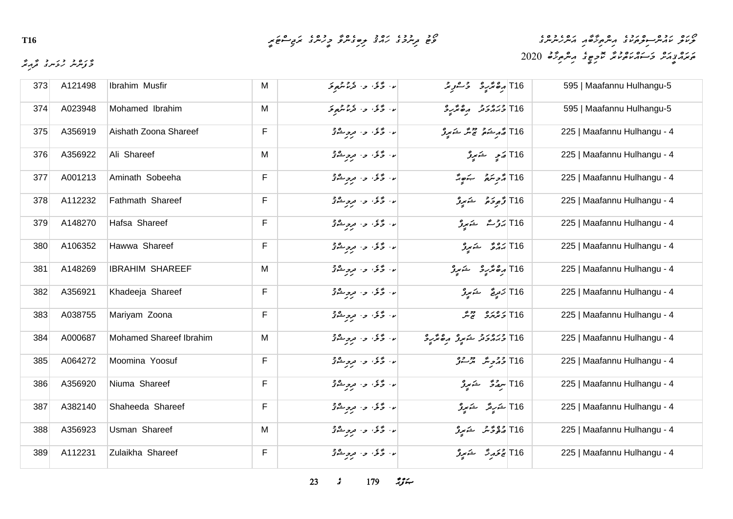*sCw7q7s5w7m< o<n9nOoAw7o< sCq;mAwBoEw7q<m; wBm;vB 2020*<br>*په پوهر وسوډيرونو لومو د موجو د مرمونه* 2020

| A121498 | Ibrahim Musfir          | M | لا د څخه د اورامهوځ |                                                                                                                                                                                                                                                                                                                                                                                                                                                                                | 595   Maafannu Hulhangu-5                                                                                                                                                                                                                                                                                                                                                                                                                                                                                                                                                                                   |
|---------|-------------------------|---|---------------------|--------------------------------------------------------------------------------------------------------------------------------------------------------------------------------------------------------------------------------------------------------------------------------------------------------------------------------------------------------------------------------------------------------------------------------------------------------------------------------|-------------------------------------------------------------------------------------------------------------------------------------------------------------------------------------------------------------------------------------------------------------------------------------------------------------------------------------------------------------------------------------------------------------------------------------------------------------------------------------------------------------------------------------------------------------------------------------------------------------|
| A023948 | Mohamed Ibrahim         | M |                     |                                                                                                                                                                                                                                                                                                                                                                                                                                                                                | 595   Maafannu Hulhangu-5                                                                                                                                                                                                                                                                                                                                                                                                                                                                                                                                                                                   |
| A356919 | Aishath Zoona Shareef   | F |                     |                                                                                                                                                                                                                                                                                                                                                                                                                                                                                | 225   Maafannu Hulhangu - 4                                                                                                                                                                                                                                                                                                                                                                                                                                                                                                                                                                                 |
| A356922 | Ali Shareef             | M |                     |                                                                                                                                                                                                                                                                                                                                                                                                                                                                                | 225   Maafannu Hulhangu - 4                                                                                                                                                                                                                                                                                                                                                                                                                                                                                                                                                                                 |
| A001213 | Aminath Sobeeha         | F |                     |                                                                                                                                                                                                                                                                                                                                                                                                                                                                                | 225   Maafannu Hulhangu - 4                                                                                                                                                                                                                                                                                                                                                                                                                                                                                                                                                                                 |
| A112232 | Fathmath Shareef        | F |                     |                                                                                                                                                                                                                                                                                                                                                                                                                                                                                | 225   Maafannu Hulhangu - 4                                                                                                                                                                                                                                                                                                                                                                                                                                                                                                                                                                                 |
| A148270 | Hafsa Shareef           | F |                     |                                                                                                                                                                                                                                                                                                                                                                                                                                                                                | 225   Maafannu Hulhangu - 4                                                                                                                                                                                                                                                                                                                                                                                                                                                                                                                                                                                 |
| A106352 | Hawwa Shareef           | F |                     |                                                                                                                                                                                                                                                                                                                                                                                                                                                                                | 225   Maafannu Hulhangu - 4                                                                                                                                                                                                                                                                                                                                                                                                                                                                                                                                                                                 |
| A148269 | <b>IBRAHIM SHAREEF</b>  | M |                     |                                                                                                                                                                                                                                                                                                                                                                                                                                                                                | 225   Maafannu Hulhangu - 4                                                                                                                                                                                                                                                                                                                                                                                                                                                                                                                                                                                 |
| A356921 | Khadeeja Shareef        | F |                     |                                                                                                                                                                                                                                                                                                                                                                                                                                                                                | 225   Maafannu Hulhangu - 4                                                                                                                                                                                                                                                                                                                                                                                                                                                                                                                                                                                 |
| A038755 | Mariyam Zoona           | F |                     |                                                                                                                                                                                                                                                                                                                                                                                                                                                                                | 225   Maafannu Hulhangu - 4                                                                                                                                                                                                                                                                                                                                                                                                                                                                                                                                                                                 |
| A000687 | Mohamed Shareef Ibrahim | M |                     |                                                                                                                                                                                                                                                                                                                                                                                                                                                                                | 225   Maafannu Hulhangu - 4                                                                                                                                                                                                                                                                                                                                                                                                                                                                                                                                                                                 |
| A064272 | Moomina Yoosuf          | F |                     |                                                                                                                                                                                                                                                                                                                                                                                                                                                                                | 225   Maafannu Hulhangu - 4                                                                                                                                                                                                                                                                                                                                                                                                                                                                                                                                                                                 |
| A356920 | Niuma Shareef           | F |                     |                                                                                                                                                                                                                                                                                                                                                                                                                                                                                | 225   Maafannu Hulhangu - 4                                                                                                                                                                                                                                                                                                                                                                                                                                                                                                                                                                                 |
| A382140 | Shaheeda Shareef        | F |                     |                                                                                                                                                                                                                                                                                                                                                                                                                                                                                | 225   Maafannu Hulhangu - 4                                                                                                                                                                                                                                                                                                                                                                                                                                                                                                                                                                                 |
| A356923 | Usman Shareef           | M |                     |                                                                                                                                                                                                                                                                                                                                                                                                                                                                                | 225   Maafannu Hulhangu - 4                                                                                                                                                                                                                                                                                                                                                                                                                                                                                                                                                                                 |
| A112231 | Zulaikha Shareef        | F | ا د گري و مروسود    |                                                                                                                                                                                                                                                                                                                                                                                                                                                                                | 225   Maafannu Hulhangu - 4                                                                                                                                                                                                                                                                                                                                                                                                                                                                                                                                                                                 |
|         |                         |   |                     | لا : د د و دراستهوی ک<br>  ۱۰ د گلی، دا اوږد شویح<br>ا د گري و مروسود<br>  د گري و مروستونو<br>  د گري و مروسوي<br>  ۱۰ وگی، و۰ فرونشویچ<br>  ۱۰ د گڼۍ و٠ تورو شو د<br>  ۱۰ وگی، و۰ توپور دوچ<br>الا د څخه و مروشن<br>الا د څخه و مروشن<br>$\left  \begin{array}{cc} \mathbf{c} & \mathbf{c} & \mathbf{c} & \mathbf{c} \ & \mathbf{c} & \mathbf{c} & \mathbf{c} \end{array} \right $<br>ا د گري و امرو شو د<br>  ۱۰ وگی و وروستونج<br>ا د گري و اورو شود<br>ا د گري و اورو شود | T16 ب <i>ر&amp;نڈرِی - ڈےوب</i> ڑ<br>T16 <i>جُهُدُود وهُنَّرِدْ</i><br>T16 صُمِيسَة فَمَمْ سَمَّ سَمَّ سِمَدٍ مِنْ<br>T16 کی شہر<br>T16 مُ <i>جِينَهُ جَيْهِ بُ</i><br>T16 رَّج <i>ِ دَمَ</i> شَمِرِرُ<br>T16 كەثرىشة كىتى <i>مب</i> ۇ<br>T16 يَرْدُمُّ شَمِيرُ<br>T16 م <i>ِرڠمَّرٍ وَ</i> سُمَبِر <i>وْ</i><br>T16 كَتْمِيعٌ مُسْتَمِيلٌ<br>T16 كەبەر يەنگە<br>T16 <i>دېمم</i> وتر خ <i>مېرو م</i> ېڅر <i>ې</i> و<br>T16   ج <sub>د م</sub> حرمہ میں جو<br>T16سر <i>مڈڈ</i> شہری<br>T16 ڪَرِيَّر ڪَمِرِيُّ<br>T16 ۾ پُروگس ڪمبرو<br>T16 كچ <i>قرم</i> ر شخص ميتون بين المستقرم السياسي<br>مستقبل المستقبل |

#### *n8o<n@ qC7m:q5 q7w7m?n>*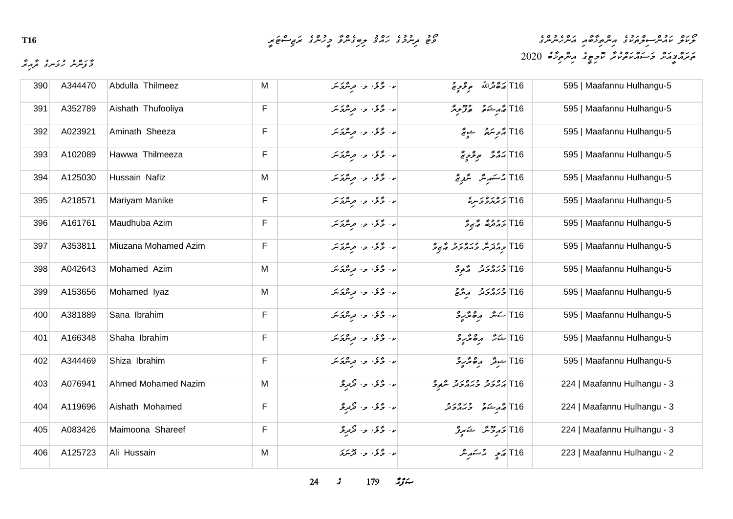*sCw7q7s5w7m< o<n9nOoAw7o< sCq;mAwBoEw7q<m; wBm;vB* م من المرة المرة المرة المرجع المرجع في المركبة 2020<br>مجم*د المريض المربوط المربع المرجع في المراجع المركبة* 

| 390 | A344470 | Abdulla Thilmeez           | M | الا المحكى الأراهيم والمركز مكر                                                                                | T16 كەھىراللە موقرى <i>رى</i> ج         | 595   Maafannu Hulhangu-5   |
|-----|---------|----------------------------|---|----------------------------------------------------------------------------------------------------------------|-----------------------------------------|-----------------------------|
| 391 | A352789 | Aishath Thufooliya         | F | ا د گري و او مره کار                                                                                           | T16 مُەڪ ھۆمچە محمد موق                 | 595   Maafannu Hulhangu-5   |
| 392 | A023921 | Aminath Sheeza             | F | ۱۰ گی، دا مرکزکر                                                                                               | T16 مُرمِتَهُم سُبِعٌ                   | 595   Maafannu Hulhangu-5   |
| 393 | A102089 | Hawwa Thilmeeza            | F | الا گرگی که فرهمکار                                                                                            | T16 <i>بَدْهُ وَ وِ وُو بِعُ</i>        | 595   Maafannu Hulhangu-5   |
| 394 | A125030 | Hussain Nafiz              | M | الا المحتى الأراسي المستخدم المستخدم المستخدم المستخدم المستخدم المستخدم المستخدم المستخدم المستخدم المستخدم ا | T16 يُرْسَمب <sup>9</sup> مُتَّتَّبِي   | 595   Maafannu Hulhangu-5   |
| 395 | A218571 | Mariyam Manike             | F | الا د گی دا مرکزکر                                                                                             | T16 كەبە <i>دۇ</i> كەبدى <i>گ</i> ە     | 595   Maafannu Hulhangu-5   |
| 396 | A161761 | Maudhuba Azim              | F | الا د گی دا مرکزکر                                                                                             | T16 <i>خەندى گەن</i> ج                  | 595   Maafannu Hulhangu-5   |
| 397 | A353811 | Miuzana Mohamed Azim       | F | الا : دَنْنَى أَنْ الْمَرْسُوَيْتَرْ                                                                           | T16 <i>ڊم.نئرنگ 3،دوبرو گي و</i>        | 595   Maafannu Hulhangu-5   |
| 398 | A042643 | Mohamed Azim               | M | الا د گی دا مرکزکر                                                                                             | T16 <i>جەنگە خۇرگەنج</i> ۇ              | 595   Maafannu Hulhangu-5   |
| 399 | A153656 | Mohamed Iyaz               | M | دا د کلی او او مرمگرد کل                                                                                       | T16 <i>وَبَدْوَ</i> مِنْ مِنْ مِنْ مِنْ | 595   Maafannu Hulhangu-5   |
| 400 | A381889 | Sana Ibrahim               | F | الا د گی دا مرکزکر                                                                                             | T16 سَتَرَ مِنْ مِرْدِدْ                | 595   Maafannu Hulhangu-5   |
| 401 | A166348 | Shaha Ibrahim              | F | لاء گري کا در مرمگر کرد                                                                                        | T16 ڪر <i>ڻ وڪي پ</i> و                 | 595   Maafannu Hulhangu-5   |
| 402 | A344469 | Shiza Ibrahim              | F | الا المحكى الأراهيم والمركز مكر                                                                                | T16 حوثر ب <i>رھ ترب</i> و              | 595   Maafannu Hulhangu-5   |
| 403 | A076941 | <b>Ahmed Mohamed Nazim</b> | M | $\mathcal{L}$ ر گرگز، در ترورگر                                                                                | T16 كەندىق <i>دىمەدە ئىب</i> ۇ          | 224   Maafannu Hulhangu - 3 |
| 404 | A119696 | Aishath Mohamed            | F | $\mathcal{L}$ ر گرگ و گرفرگر                                                                                   | T16 مُرمِسَمَ وَيَرْمُرَ مَرْ           | 224   Maafannu Hulhangu - 3 |
| 405 | A083426 | Maimoona Shareef           | F | ، دَ دَ د نَرْمَرِ د                                                                                           | T16 ك <i>ۈم</i> وشىگە ھەمپىرتى          | 224   Maafannu Hulhangu - 3 |
| 406 | A125723 | Ali Hussain                | M | الا المحكى الأراكيليكي                                                                                         | T16 کی پر پر شہر شر                     | 223   Maafannu Hulhangu - 2 |

*24 sC 179 nNw?mS*

## *n8o<n@ qC7m:q5 q7w7m?n>*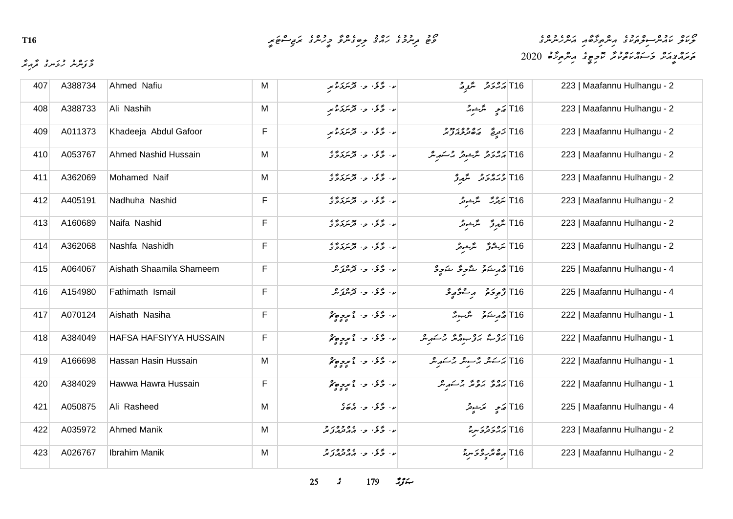*sCw7q7s5w7m< o<n9nOoAw7o< sCq;mAwBoEw7q<m; wBm;vB 2020<sup>, م</sup>وسر در مدد مدرج به مدرم مقرم قرار 2020*<br>موسر المستقرم المستقرم المستقرم المستقرم المستقرم المستقرم المستقرم المستقرم المستقرم المستقرم المستقرم المستقر

| 407 | A388734 | Ahmed Nafiu                 | M | لا : وَنَحْرُ و : فَرْسَرَوْنَا مِرْ                                                               | T16  پَرُوُتُو مُحَمَّدِ پُ                                    | 223   Maafannu Hulhangu - 2 |
|-----|---------|-----------------------------|---|----------------------------------------------------------------------------------------------------|----------------------------------------------------------------|-----------------------------|
| 408 | A388733 | Ali Nashih                  | M | لا : د محمد المحمد المحمد المحمد المحمد المحمد المحمد المحمد المحمد المحمد المحمد المحمد المحمد ال | T16 كەمچە س <i>گرىشور</i> 2                                    | 223   Maafannu Hulhangu - 2 |
| 409 | A011373 | Khadeeja Abdul Gafoor       | F | لا : وَنَحْرُ و الْمُرْسَرُونَ مِر                                                                 | T16 كَتَوِيعٌ - مَنْ <i>هُوَمُ وَمُنْ مَرَّةٍ وَ</i>           | 223   Maafannu Hulhangu - 2 |
| 410 | A053767 | <b>Ahmed Nashid Hussain</b> | M | لا د څو، د مريدوی                                                                                  | T16 <i>בُ.2 دُو تَرْجِيعْ جُسَمَ بِ</i> رُ                     | 223   Maafannu Hulhangu - 2 |
| 411 | A362069 | Mohamed Naif                | M | ر، دمجني، در مورده در دم                                                                           | T16 <i>5225 سُمُدوْ</i>                                        | 223   Maafannu Hulhangu - 2 |
| 412 | A405191 | Nadhuha Nashid              | F | ر، دمجنې کې تر <i>مرده</i> د                                                                       | T16 <i>سَرْمَرْدُ</i> سَّرْسُومَرُ                             | 223   Maafannu Hulhangu - 2 |
| 413 | A160689 | Naifa Nashid                | F | ر، دمجني، در مورده در دم                                                                           | T16 مُتَّمِرةً مُتَّسِنِيْتِ                                   | 223   Maafannu Hulhangu - 2 |
| 414 | A362068 | Nashfa Nashidh              | F | لا د څو د ترس ده د                                                                                 | T16 <i>سَرْشَرُقَ سُرْحِيْ</i> تُر                             | 223   Maafannu Hulhangu - 2 |
| 415 | A064067 | Aishath Shaamila Shameem    | F | ىر ئەقتى بەر ئى <i>چەر ئى</i> ر                                                                    | T16 مُرِحَمٌ حُرْدِءٌ حَرَدٍّ                                  | 225   Maafannu Hulhangu - 4 |
| 416 | A154980 | Fathimath Ismail            | F | ىر، ئۇقى بەر ئېزىنگىزىش                                                                            | T16 <i>وُ<sub>ج</sub>ودَة</i> مِ <sup>ر</sup> ْدُّم <i>ودْ</i> | 225   Maafannu Hulhangu - 4 |
| 417 | A070124 | Aishath Nasiha              | F | ١، دُکَنَ د ، ؟ مرده کا                                                                            | T16 م <i>ۇم شۇمۇ</i> - ئ <i>ۇسوم</i> گ                         | 222   Maafannu Hulhangu - 1 |
| 418 | A384049 | HAFSA HAFSIYYA HUSSAIN      | F | ١٠ د کال د ، ؟ مرده کا                                                                             | T16 ئۇيگە ئەۋىبەرگە ئ <sup>ە</sup> سەر ش                       | 222   Maafannu Hulhangu - 1 |
| 419 | A166698 | Hassan Hasin Hussain        | M | لا د کمکی د ، کامرده کا                                                                            | T16   يَرْسَدُ مُرْسِدِمْرِ رَّرْسَهِرِمْر                     | 222   Maafannu Hulhangu - 1 |
| 420 | A384029 | Hawwa Hawra Hussain         | F | ١٠ وگو، و٠ ٤ مروه کا                                                                               | T16 <i>بَرْدُوْ بَرُوْبُرْ بْرُسَهِ بْرُ</i>                   | 222   Maafannu Hulhangu - 1 |
| 421 | A050875 | Ali Rasheed                 | M | ىر، بۇي بەر ، بەر،                                                                                 | T16 <i>ڇُجِ - مَ</i> ڻيِھُ                                     | 225   Maafannu Hulhangu - 4 |
| 422 | A035972 | <b>Ahmed Manik</b>          | M | ر دی.<br>روز و ممدرمون                                                                             | T16 كەبرى قىرىخ سىرى <i>ت</i>                                  | 223   Maafannu Hulhangu - 2 |
| 423 | A026767 | Ibrahim Manik               | M | ه ده ده ده ده ده در د<br>پس وگو، در بر بر برو بر                                                   | T16 <sub>مر</sub> ڭ ئ <sup>ې</sup> ر ئىشرىقى بىرى <i>گ</i> ا   | 223   Maafannu Hulhangu - 2 |

#### *n8o<n@ qC7m:q5 q7w7m?n>*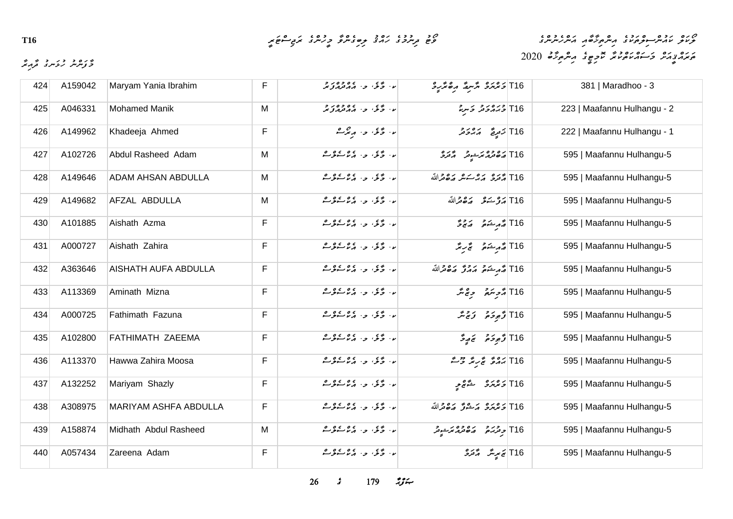*sCw7q7s5w7m< o<n9nOoAw7o< sCq;mAwBoEw7q<m; wBm;vB 2020*<br>*په پوهر وسوډيرونو لومو د موجو د مرمونه* 2020

| 424 | A159042 | Maryam Yania Ibrahim         | F           | ر ده ده ده ده ده در د<br>را د گرمن در امام مارس کرد | T16 كەبىر ئەرگە بەھ <i>ت</i> ىر ق                 | 381   Maradhoo - 3          |
|-----|---------|------------------------------|-------------|-----------------------------------------------------|---------------------------------------------------|-----------------------------|
| 425 | A046331 | <b>Mohamed Manik</b>         | M           | ر په مخې د ۱۵۶۵ و.<br>د گلې د ملمومونو              | T16  <i>وټرونو وَسِرة</i>                         | 223   Maafannu Hulhangu - 2 |
| 426 | A149962 | Khadeeja Ahmed               | $\mathsf F$ | لا د څخه د اوبرگ                                    | T16 كَتَمِيعٌ - <i>مُرْدُوَمُ</i> رُ -            | 222   Maafannu Hulhangu - 1 |
| 427 | A102726 | Abdul Rasheed Adam           | M           |                                                     | T16 كەھەر <i>مە مۇسىرى مەدى</i> رى                | 595   Maafannu Hulhangu-5   |
| 428 | A149646 | <b>ADAM AHSAN ABDULLA</b>    | M           | ىر بەي بەر بەھ بەھ ب                                | T16 كَمَتْرَى حَ <i>رْثَ شَرْ حَا</i> هْتْرَاللّه | 595   Maafannu Hulhangu-5   |
| 429 | A149682 | AFZAL ABDULLA                | M           | لا د مې د ، د لاسوې                                 | T16 كَرْتْرْ شَوْ كَرْهُ مِّدَاللَّهُ             | 595   Maafannu Hulhangu-5   |
| 430 | A101885 | Aishath Azma                 | $\mathsf F$ | ىر بەي بەر بەھ بەھ ھ                                | T16 م <i>ۇم شىم قىم قى</i>                        | 595   Maafannu Hulhangu-5   |
| 431 | A000727 | Aishath Zahira               | $\mathsf F$ | ىدى ئۇر، ئۇي ئۇي ھ                                  | T16 مۇم ھۇم ئىچ بىر                               | 595   Maafannu Hulhangu-5   |
| 432 | A363646 | <b>AISHATH AUFA ABDULLA</b>  | $\mathsf F$ | ۴۰ د دی. د ۱۲۹ میلوگ                                | T16 مُرمِّسْمَعْ مَ <i>مْرُقُ مَ</i> صْغَرِاللَّه | 595   Maafannu Hulhangu-5   |
| 433 | A113369 | Aminath Mizna                | $\mathsf F$ | لا د مې د ، د لاسوې                                 | T16 مَّ <i>جِسَمَ</i> جِهْ شَ                     | 595   Maafannu Hulhangu-5   |
| 434 | A000725 | Fathimath Fazuna             | $\mathsf F$ | ىر بەي بەر بەھ بەھ ب                                | T16 ت <sub>رك</sub> وچر <i>ة ت</i> وتج تثر        | 595   Maafannu Hulhangu-5   |
| 435 | A102800 | FATHIMATH ZAEEMA             | F           | ىر بەي بەر بەھ بەھ ھ                                | T16 گەچەقە ئەرگە                                  | 595   Maafannu Hulhangu-5   |
| 436 | A113370 | Hawwa Zahira Moosa           | $\mathsf F$ | ، دې د مرغوث                                        | T16 بَرَوْءٌ گَرِيْرٌ وَ <sup>ْ</sup> تُ          | 595   Maafannu Hulhangu-5   |
| 437 | A132252 | Mariyam Shazly               | $\mathsf F$ | ر، دې د، دراسوت                                     |                                                   | 595   Maafannu Hulhangu-5   |
| 438 | A308975 | <b>MARIYAM ASHFA ABDULLA</b> | $\mathsf F$ | ر، دې د، دراسوت                                     | T16 كر مركز مركز كرك مركز الله                    | 595   Maafannu Hulhangu-5   |
| 439 | A158874 | Midhath Abdul Rasheed        | M           | ، دې د پره عوث                                      | T16 <i>وِنْدُمْهُ مُەنْزە ب</i> ُرَسْبِيْتْر      | 595   Maafannu Hulhangu-5   |
| 440 | A057434 | Zareena Adam                 | F           | ، دې د ، د ۱۳ کوپ                                   | T16 نج مریٹر گ <sup>ی</sup> ترقر                  | 595   Maafannu Hulhangu-5   |

#### *n8o<n@ qC7m:q5 q7w7m?n>*

 $26$  *s*  $179$  *n***<sub>3</sub>** *n*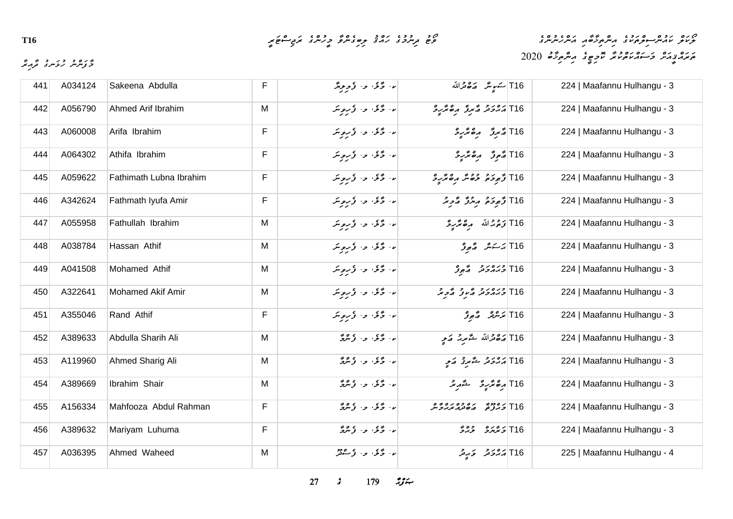*sCw7q7s5w7m< o<n9nOoAw7o< sCq;mAwBoEw7q<m; wBm;vB 2020*<br>*په پوهر وسوډيرونو لومو د موجو د مرمونه* 2020

| 441 | A034124 | Sakeena Abdulla          | $\mathsf F$ | لا الحكي والمحووظ           | T16 كىرى <i>گە كەھەڭ</i> راللە                     | 224   Maafannu Hulhangu - 3 |
|-----|---------|--------------------------|-------------|-----------------------------|----------------------------------------------------|-----------------------------|
| 442 | A056790 | Ahmed Arif Ibrahim       | M           | الا د گی، و کورونگ          | T16 <i>גُرْدَنْد مُبِردْ م</i> ِ صَ <i>رْبِ</i> دْ | 224   Maafannu Hulhangu - 3 |
| 443 | A060008 | Arifa Ibrahim            | $\mathsf F$ | الا دمجني او د توره پس      | T16 مَّ بروَّ مِنْ مِرْدِدْ                        | 224   Maafannu Hulhangu - 3 |
| 444 | A064302 | Athifa Ibrahim           | F           | الا د گی کار کی بره مگر     | T16 مَّموتَ مِصْرَّرِدْ                            | 224   Maafannu Hulhangu - 3 |
| 445 | A059622 | Fathimath Lubna Ibrahim  | F           | لا الحجمي، والمحرم ولكن     | T16 زُ <sub>ج</sub> ودَ ۾ وُهنگ م <i>ِ</i> هنگريدُ | 224   Maafannu Hulhangu - 3 |
| 446 | A342624 | Fathmath Iyufa Amir      | $\mathsf F$ | الا د گی و د ژبوین          | T16 <i>وُّجوحَمْ مِ</i> هْرُدٌ مُرَّحِبُّرُ        | 224   Maafannu Hulhangu - 3 |
| 447 | A055958 | Fathullah Ibrahim        | M           | لا د گري و کورونگ           | T16 كَرَمْ بِرْ اللّه مِنْ مِنْ بِرْ حَ            | 224   Maafannu Hulhangu - 3 |
| 448 | A038784 | Hassan Athif             | M           | لا د څخه و کورونک           | T16   يَرْسَشْ مَيْهِ وَ                           | 224   Maafannu Hulhangu - 3 |
| 449 | A041508 | Mohamed Athif            | M           | لاستخفى وسوكرونتر           | T16 <i>جنہ جو شہول</i>                             | 224   Maafannu Hulhangu - 3 |
| 450 | A322641 | <b>Mohamed Akif Amir</b> | M           | لا الحجي، الأس المحر للأمر  | T16 <i>وَيُدُونُو مُ</i> مِنْ مُحَمِّد             | 224   Maafannu Hulhangu - 3 |
| 451 | A355046 | Rand Athif               | $\mathsf F$ | لا - 33، و- 3م پوس          | T16 بَرْسْرْدْ مَ <sub>حْ</sub> بِرْ               | 224   Maafannu Hulhangu - 3 |
| 452 | A389633 | Abdulla Sharih Ali       | M           | الا . وَبَقَ أَنْ وَاللَّهُ | T16 كَدَهْ قَرْاللّه مُحْمَدِيْهِ كَمَعِيدِ        | 224   Maafannu Hulhangu - 3 |
| 453 | A119960 | Ahmed Sharig Ali         | M           | ىر، ئۇنى، بەر ئۇنترنى       | T16   كەشكەتىر ئىچە قىچ                            | 224   Maafannu Hulhangu - 3 |
| 454 | A389669 | Ibrahim Shair            | M           | لا گرگو، به وکیلگر          | T16 م <i>وڭ ئۇرى</i> ھەمبىر                        | 224   Maafannu Hulhangu - 3 |
| 455 | A156334 | Mahfooza Abdul Rahman    | F           | لار ۇي بىر بۇيىۋ            | T16 <i>دەددە مەھەرە بەھ</i>                        | 224   Maafannu Hulhangu - 3 |
| 456 | A389632 | Mariyam Luhuma           | F           | لا گرگا و کوهرگر            | T16 كەبەر بورى<br>716 كىلىرى بورى                  | 224   Maafannu Hulhangu - 3 |
| 457 | A036395 | Ahmed Waheed             | M           | لا : وَكُوْا وَالْوَكْثَرُ  | T16 كەنزى قىرى <i>گ</i>                            | 225   Maafannu Hulhangu - 4 |

*27 sC 179 nNw?mS*

*n8o<n@ qC7m:q5 q7w7m?n>*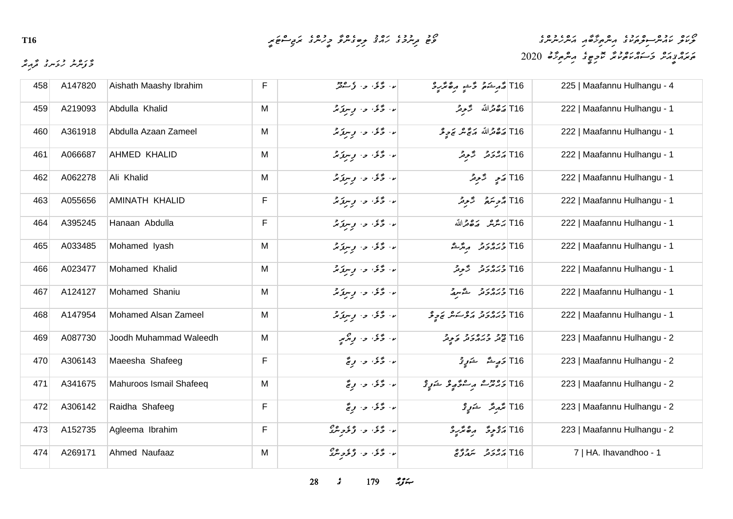*sCw7q7s5w7m< o<n9nOoAw7o< sCq;mAwBoEw7q<m; wBm;vB 2020<sup>, م</sup>وسر در مدد مدرج به مدرم مقرم قرار 2020*<br>موسر المستقرم المستقرم المستقرم المستقرم المستقرم المستقرم المستقرم المستقرم المستقرم المستقرم المستقرم المستقر

| 458 | A147820 | Aishath Maashy Ibrahim      | F | لاستخرى بن وكالمقر      | T16 مُتَرَسِّعَةُ الرَّسِيَّةِ الرَّهْ مُرْكَبِيَّةِ ال | 225   Maafannu Hulhangu - 4 |
|-----|---------|-----------------------------|---|-------------------------|---------------------------------------------------------|-----------------------------|
| 459 | A219093 | Abdulla Khalid              | M | لا انځنگه او او سرونکر  | T16 مَەقراللە ئەرى <i>ر</i>                             | 222   Maafannu Hulhangu - 1 |
| 460 | A361918 | Abdulla Azaan Zameel        | M | بار گرمی کار وسوی پر    | T16 كَدَهْتَرَاللَّهُ ۖ مَتَّ مَّرْ يَحْرِ مَحْ         | 222   Maafannu Hulhangu - 1 |
| 461 | A066687 | AHMED KHALID                | M | لا انحکار و اوسوکر      | T16 كەنزىق گەمى                                         | 222   Maafannu Hulhangu - 1 |
| 462 | A062278 | Ali Khalid                  | M | الا د گلی او اوسوکر     | T16 کړي گړ <i>وگ</i>                                    | 222   Maafannu Hulhangu - 1 |
| 463 | A055656 | <b>AMINATH KHALID</b>       | F | ما انځنگی او او سروکنگ  | T16 مَّ جِسَمَة مَّ تَحِمَّدُ                           | 222   Maafannu Hulhangu - 1 |
| 464 | A395245 | Hanaan Abdulla              | F | ما الحكي الأرا وسوكر مر | T16 كەش <i>ۇنلە</i> كەھ قىراللە                         | 222   Maafannu Hulhangu - 1 |
| 465 | A033485 | Mohamed Iyash               | M | بار گرمی کار وسوی پر    | T16 <i>جەيمۇقى بە</i> نگىشە                             | 222   Maafannu Hulhangu - 1 |
| 466 | A023477 | Mohamed Khalid              | M | الا د گلی او اوسوکر     | T16  <i>3223 ڈیون</i> گ                                 | 222   Maafannu Hulhangu - 1 |
| 467 | A124127 | Mohamed Shaniu              | M | الا د گلی او اوسوکر     | T16 <i>جُدُمْ دُمْرِ</i> مُحَسِّم <i>ُ</i>              | 222   Maafannu Hulhangu - 1 |
| 468 | A147954 | <b>Mohamed Alsan Zameel</b> | M | لا انځنگ وا وسوکړ       | T16 <i>وبرورو بروسكر <sub>تك</sub>و</i> كر              | 222   Maafannu Hulhangu - 1 |
| 469 | A087730 | Joodh Muhammad Waleedh      | M | د د څو د د وترمي        | T16 فِيْ تَمْرُ دَيْرُونَدْ كَرَمِيْرُ                  | 223   Maafannu Hulhangu - 2 |
| 470 | A306143 | Maeesha Shafeeg             | F | لا - 33، و- ونج         | T16 <i>کَهِ</i> نْہُ شَہرِتْر                           | 223   Maafannu Hulhangu - 2 |
| 471 | A341675 | Mahuroos Ismail Shafeeq     | M | د د دې و د د ځ          | T16 ئەجمىر مەمەم ئىچە ئەربى                             | 223   Maafannu Hulhangu - 2 |
| 472 | A306142 | Raidha Shafeeg              | F | لا - دَنْسٌ و- وِجْ     | T16 تُرْمِرَّرُ     شَرَرٍ وَّ                          | 223   Maafannu Hulhangu - 2 |
| 473 | A152735 | Agleema Ibrahim             | F | لا د څخه د وگوچکی       | T16 <i>كَنْتْمُوِدُّ بِرەْتْرُر</i> ْد                  | 223   Maafannu Hulhangu - 2 |
| 474 | A269171 | Ahmed Naufaaz               | M | ۱۰ د څخه د ۱۰ وګور شری  | T16 كەبرىق ئى <i>دۇ</i> ئ                               | 7   HA. Ihavandhoo - 1      |

#### *n8o<n@ qC7m:q5 q7w7m?n>*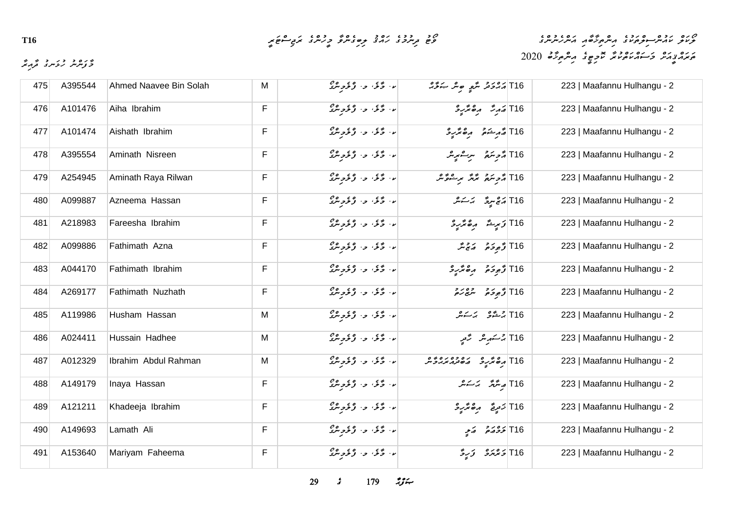*sCw7q7s5w7m< o<n9nOoAw7o< sCq;mAwBoEw7q<m; wBm;vB 2020*<br>*په پوهر وسوډيرونو لومو د موجو د مرمونه* 2020

| A395544 | Ahmed Naavee Bin Solah | M | ۱۰ د څخه و٠ وڅو شو                                                                                | T16 <i>ג د د تر گرمي ھ بگر جنو</i> گر                   | 223   Maafannu Hulhangu - 2 |
|---------|------------------------|---|---------------------------------------------------------------------------------------------------|---------------------------------------------------------|-----------------------------|
| A101476 | Aiha Ibrahim           | F | $\begin{bmatrix} 0 & 0 & 0 & 0 \ 0 & 0 & 0 & 0 \end{bmatrix}$ ۰۶ مخرج المرد                       | T16 <i>ھَ بِرِ مَّ</i> مِعْدَبِ وَ                      | 223   Maafannu Hulhangu - 2 |
| A101474 | Aishath Ibrahim        | F | لا : د محمد الله و الله و الله و الله و الله و الله و الله و الله و الله و الله و الله و الله و ا | T16 مُەمِسْمَى مەھمَّرىد                                | 223   Maafannu Hulhangu - 2 |
| A395554 | Aminath Nisreen        | F | ۱۰ د څخه د و و وو پره                                                                             | T16   گەچەتىگە - سرىس <sup>ى</sup> بېرىش                | 223   Maafannu Hulhangu - 2 |
| A254945 | Aminath Raya Rilwan    | F | لا : د څو او د و و و وه پرې                                                                       | T16 مُر <i>َحِ مَنْ مُمَّرَّ بِرِ</i> سُو <i>رَ</i> مَر | 223   Maafannu Hulhangu - 2 |
| A099887 | Azneema Hassan         | F | لا : د څو او د و و و وه پرې                                                                       | T16 كەيج س <sub>ى</sub> مى سىكىش                        | 223   Maafannu Hulhangu - 2 |
| A218983 | Fareesha Ibrahim       | F | لا و د د و د و د و و و و                                                                          | T16 كۆمچىنى <i>گە مەھەتگە</i> ر بى                      | 223   Maafannu Hulhangu - 2 |
| A099886 | Fathimath Azna         | F | ۱۰ د څخه د و و وو پره                                                                             | T16 <i>وُّجوح</i> و مَنْ مَدَّمَ                        | 223   Maafannu Hulhangu - 2 |
| A044170 | Fathimath Ibrahim      | F | ۱۰ د څخه و٠ وڅو شو                                                                                | T16 أَوَّجِ دَمَّ مِنْ مَرْرِدْ                         | 223   Maafannu Hulhangu - 2 |
| A269177 | Fathimath Nuzhath      | F | لا : د محمد الله و د محمد و محمد الله و الله و الله و الله و الله و الله و الله و الله و الله و ا | T16 گۇج <sub>و</sub> چە ھەرچە                           | 223   Maafannu Hulhangu - 2 |
| A119986 | Husham Hassan          | M | لا د څو د و وووسی                                                                                 | T16 يُسْتَدُّوُ بَرَسَتْر                               | 223   Maafannu Hulhangu - 2 |
| A024411 | Hussain Hadhee         | M |                                                                                                   | T16  پرستمبر بھر محمد م                                 | 223   Maafannu Hulhangu - 2 |
| A012329 | Ibrahim Abdul Rahman   | M |                                                                                                   | T16 رەتمرى مەدەبرە دە                                   | 223   Maafannu Hulhangu - 2 |
| A149179 | Inaya Hassan           | F | لا د څخه د وگولوندي                                                                               | T16 مەنتىر كەشىر                                        | 223   Maafannu Hulhangu - 2 |
| A121211 | Khadeeja Ibrahim       | F | لا و د د و و د و د و و و و                                                                        | T16 كَتْرِيعٌ مِنْ صُرِيرٌ                              | 223   Maafannu Hulhangu - 2 |
| A149693 | Lamath Ali             | F | ۱۰ د څخه و٠ وڅو شو                                                                                | T16 <i>ترة مدّة مدّي</i>                                | 223   Maafannu Hulhangu - 2 |
| A153640 | Mariyam Faheema        | F | ر گو د ودومر                                                                                      | T16  <i>5 بُرْمَرْڈ ڈرِ</i> دًّ                         | 223   Maafannu Hulhangu - 2 |
|         |                        |   |                                                                                                   |                                                         |                             |

#### *n8o<n@ qC7m:q5 q7w7m?n>*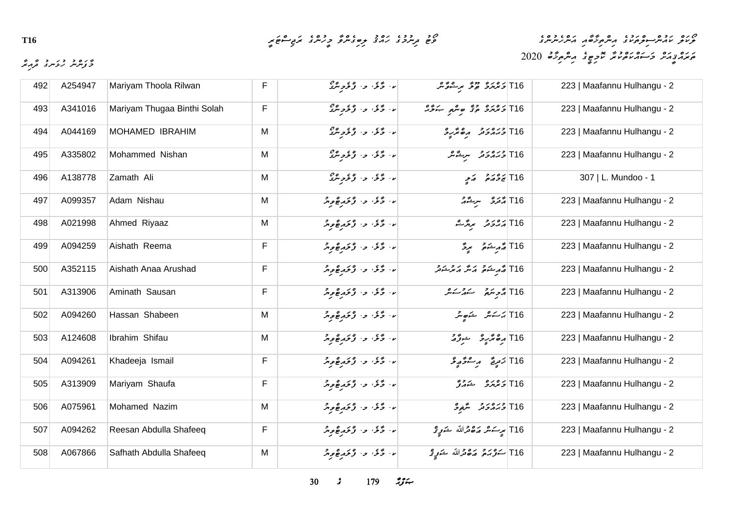*sCw7q7s5w7m< o<n9nOoAw7o< sCq;mAwBoEw7q<m; wBm;vB 2020*<br>*په پوهر وسوډيرونو لومو د موجو د مرمونه* 2020

| 492 | A254947 | Mariyam Thoola Rilwan       | F | لا د څخه د وگودندن                                                                                 | T16 كەبەر ھەر بىر ئەھەر                                       | 223   Maafannu Hulhangu - 2 |
|-----|---------|-----------------------------|---|----------------------------------------------------------------------------------------------------|---------------------------------------------------------------|-----------------------------|
| 493 | A341016 | Mariyam Thugaa Binthi Solah | F | لا . وَ فَي د . وَقَوْمِ مِنْ                                                                      | T16 <i>د ورو وقت ھ</i> اشم جنوبر                              | 223   Maafannu Hulhangu - 2 |
| 494 | A044169 | <b>MOHAMED IBRAHIM</b>      | M | لا د محکي د و وگوه شو                                                                              | T16 <i>جُهُدُونَ م</i> ِهْتَرِدْ                              | 223   Maafannu Hulhangu - 2 |
| 495 | A335802 | Mohammed Nishan             | M | لا د محکي د و وگوه شو                                                                              | T16 <i>وُبَهُ وَ</i> تَرَ سَرْشَمْسُ                          | 223   Maafannu Hulhangu - 2 |
| 496 | A138778 | Zamath Ali                  | M | لا د محکي د و وگوه شو                                                                              | T16 يَح <i>دُّهُمْ - مَ</i> حِ                                | 307   L. Mundoo - 1         |
| 497 | A099357 | Adam Nishau                 | M | لا د څخه د وکومه وومړ                                                                              | T16   مُرترى سِيشَمْرُ                                        | 223   Maafannu Hulhangu - 2 |
| 498 | A021998 | Ahmed Riyaaz                | M | ١٠ د کار د و د و د مورد                                                                            | T16 كەبرى كىمە بىر ئىستىسى ئىس                                | 223   Maafannu Hulhangu - 2 |
| 499 | A094259 | Aishath Reema               | F | ١٠ د کار د و د و د مورد                                                                            | T16 مُگهرِ شَمَّة مِرَدَّ                                     | 223   Maafannu Hulhangu - 2 |
| 500 | A352115 | Aishath Anaa Arushad        | F | ١٠ د کار د و د و د مومر                                                                            | T16 مُدمِسْمَة مَسَّر مَعْرَسْوَتْر                           | 223   Maafannu Hulhangu - 2 |
| 501 | A313906 | Aminath Sausan              | F | ١٠ د کا د و د و موره و مر                                                                          | T16 گەج سىق سىم ئىكىشىشىشىشىر                                 | 223   Maafannu Hulhangu - 2 |
| 502 | A094260 | Hassan Shabeen              | M | لا د څخه د وکومه وومړ                                                                              | T16 كەسكىر مى <i>قوم</i> گر                                   | 223   Maafannu Hulhangu - 2 |
| 503 | A124608 | Ibrahim Shifau              | M | ١٠ د کار د و د د و م                                                                               | T16 <sub>م</sub> ەنگەر ئىس <i>ۇر</i>                          | 223   Maafannu Hulhangu - 2 |
| 504 | A094261 | Khadeeja Ismail             | F | ١٠ دُکُرَ، د. وُکُرْمَ عَوِيرٌ                                                                     | T16 كَتَبِيعٌ - مِتْ مُتَّامِدٌ -                             | 223   Maafannu Hulhangu - 2 |
| 505 | A313909 | Mariyam Shaufa              | F | ١٠ د کار د و د د و م                                                                               | T16 كَيْرْتَرْدْ شَ <i>رْدْ</i> زْ                            | 223   Maafannu Hulhangu - 2 |
| 506 | A075961 | Mohamed Nazim               | M | ١٠ د کار و د و در مومر                                                                             | T16 <i>وَيَدُوَ</i> وَتَرَ سَّهْوَةَ                          | 223   Maafannu Hulhangu - 2 |
| 507 | A094262 | Reesan Abdulla Shafeeq      | F | لا المحموم المحد والمحمد المحمد المحمد المحمد المحمد المحمد المحمد المحمد المحمد المحمد المحمد الم | T16 مرِسَمَّكَ 10% مُتَّة وَ تَحَمَّدُ اللَّهُ مُشَوَّرٍ تَحْ | 223   Maafannu Hulhangu - 2 |
| 508 | A067866 | Safhath Abdulla Shafeeq     | M | ١٠ د کا د و د و موره و مر                                                                          | T16 كو <i>نز قەھەت</i> ەللە ش <i>ور</i> تە                    | 223   Maafannu Hulhangu - 2 |
|     |         |                             |   |                                                                                                    |                                                               |                             |

*30 sC 179 nNw?mS*

*n8o<n@ qC7m:q5 q7w7m?n>*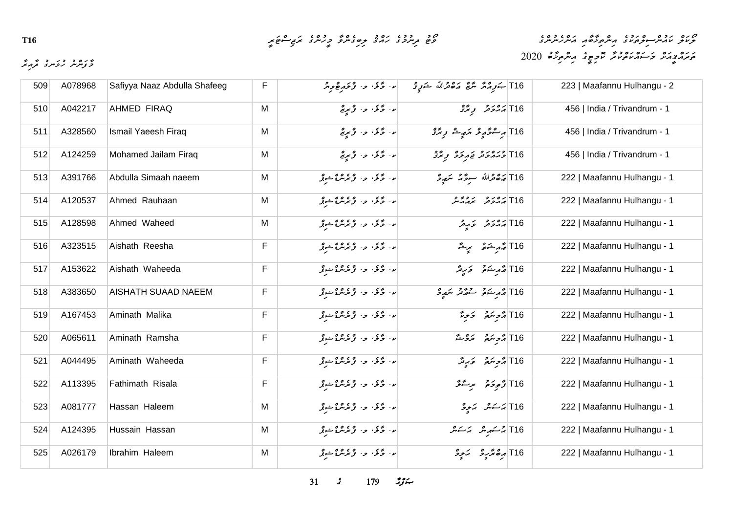*sCw7q7s5w7m< o<n9nOoAw7o< sCq;mAwBoEw7q<m; wBm;vB 2020<sup>, م</sup>وسر در مدد مدرج به مدرم مقرم قرار 2020*<br>موسر المستقرم المستقرم المستقرم المستقرم المستقرم المستقرم المستقرم المستقرم المستقرم المستقرم المستقرم المستقر

| A078968 | Safiyya Naaz Abdulla Shafeeg | F           |                                                |                                                                                                                                                                                                                                                                                                                                                                                                                               | 223   Maafannu Hulhangu - 2                                                                                                                                                                                                                                                                                                                                                                                                                                                                                                                                                                                                 |
|---------|------------------------------|-------------|------------------------------------------------|-------------------------------------------------------------------------------------------------------------------------------------------------------------------------------------------------------------------------------------------------------------------------------------------------------------------------------------------------------------------------------------------------------------------------------|-----------------------------------------------------------------------------------------------------------------------------------------------------------------------------------------------------------------------------------------------------------------------------------------------------------------------------------------------------------------------------------------------------------------------------------------------------------------------------------------------------------------------------------------------------------------------------------------------------------------------------|
| A042217 | AHMED FIRAQ                  | M           | لا المحتى الماد المح موجع                      |                                                                                                                                                                                                                                                                                                                                                                                                                               | 456   India / Trivandrum - 1                                                                                                                                                                                                                                                                                                                                                                                                                                                                                                                                                                                                |
| A328560 | Ismail Yaeesh Firaq          | M           | $\epsilon$ لا، دگانگا، دارا و موسی             |                                                                                                                                                                                                                                                                                                                                                                                                                               | 456   India / Trivandrum - 1                                                                                                                                                                                                                                                                                                                                                                                                                                                                                                                                                                                                |
| A124259 | Mohamed Jailam Firaq         | M           | $\epsilon$ ، د د د کال د او کال کال $\epsilon$ |                                                                                                                                                                                                                                                                                                                                                                                                                               | 456   India / Trivandrum - 1                                                                                                                                                                                                                                                                                                                                                                                                                                                                                                                                                                                                |
| A391766 | Abdulla Simaah naeem         | M           | لا گرگان و د وروه شودگی                        |                                                                                                                                                                                                                                                                                                                                                                                                                               | 222   Maafannu Hulhangu - 1                                                                                                                                                                                                                                                                                                                                                                                                                                                                                                                                                                                                 |
| A120537 | Ahmed Rauhaan                | M           | لا د څخه د ويرس جوړ                            |                                                                                                                                                                                                                                                                                                                                                                                                                               | 222   Maafannu Hulhangu - 1                                                                                                                                                                                                                                                                                                                                                                                                                                                                                                                                                                                                 |
| A128598 | Ahmed Waheed                 | M           | لا د څکې د او د د لماندونو کل                  |                                                                                                                                                                                                                                                                                                                                                                                                                               | 222   Maafannu Hulhangu - 1                                                                                                                                                                                                                                                                                                                                                                                                                                                                                                                                                                                                 |
| A323515 | Aishath Reesha               | F           | لا د څکې د او د د لماندونو ک                   |                                                                                                                                                                                                                                                                                                                                                                                                                               | 222   Maafannu Hulhangu - 1                                                                                                                                                                                                                                                                                                                                                                                                                                                                                                                                                                                                 |
| A153622 | Aishath Waheeda              | F           | لا د څکې د ويوسو شوکې                          |                                                                                                                                                                                                                                                                                                                                                                                                                               | 222   Maafannu Hulhangu - 1                                                                                                                                                                                                                                                                                                                                                                                                                                                                                                                                                                                                 |
| A383650 | <b>AISHATH SUAAD NAEEM</b>   | F           | لا د څکې و د ویرس شوو                          |                                                                                                                                                                                                                                                                                                                                                                                                                               | 222   Maafannu Hulhangu - 1                                                                                                                                                                                                                                                                                                                                                                                                                                                                                                                                                                                                 |
| A167453 | Aminath Malika               | $\mathsf F$ | لا د څکې د او د د لماندونو کل                  |                                                                                                                                                                                                                                                                                                                                                                                                                               | 222   Maafannu Hulhangu - 1                                                                                                                                                                                                                                                                                                                                                                                                                                                                                                                                                                                                 |
| A065611 | Aminath Ramsha               | $\mathsf F$ | لا د څخه د ویرس شور                            |                                                                                                                                                                                                                                                                                                                                                                                                                               | 222   Maafannu Hulhangu - 1                                                                                                                                                                                                                                                                                                                                                                                                                                                                                                                                                                                                 |
| A044495 | Aminath Waheeda              | F           | لا د څکې د او د د لماندونو ک                   |                                                                                                                                                                                                                                                                                                                                                                                                                               | 222   Maafannu Hulhangu - 1                                                                                                                                                                                                                                                                                                                                                                                                                                                                                                                                                                                                 |
| A113395 | Fathimath Risala             | F           | لا د څخه د ويوسوسونو                           |                                                                                                                                                                                                                                                                                                                                                                                                                               | 222   Maafannu Hulhangu - 1                                                                                                                                                                                                                                                                                                                                                                                                                                                                                                                                                                                                 |
| A081777 | Hassan Haleem                | M           | لا د څخه د ويرس جوړ                            |                                                                                                                                                                                                                                                                                                                                                                                                                               | 222   Maafannu Hulhangu - 1                                                                                                                                                                                                                                                                                                                                                                                                                                                                                                                                                                                                 |
| A124395 | Hussain Hassan               | M           | لا د څخه د ويرس شوو                            |                                                                                                                                                                                                                                                                                                                                                                                                                               | 222   Maafannu Hulhangu - 1                                                                                                                                                                                                                                                                                                                                                                                                                                                                                                                                                                                                 |
| A026179 | Ibrahim Haleem               | M           | لا د څخه د ویرسوسوژ                            |                                                                                                                                                                                                                                                                                                                                                                                                                               | 222   Maafannu Hulhangu - 1                                                                                                                                                                                                                                                                                                                                                                                                                                                                                                                                                                                                 |
|         |                              |             |                                                | $\begin{bmatrix} 0 & \mathbf{0} & \mathbf{0} & \mathbf{0} & \mathbf{0} & \mathbf{0} & \mathbf{0} & \mathbf{0} & \mathbf{0} & \mathbf{0} & \mathbf{0} & \mathbf{0} & \mathbf{0} & \mathbf{0} & \mathbf{0} & \mathbf{0} & \mathbf{0} & \mathbf{0} & \mathbf{0} & \mathbf{0} & \mathbf{0} & \mathbf{0} & \mathbf{0} & \mathbf{0} & \mathbf{0} & \mathbf{0} & \mathbf{0} & \mathbf{0} & \mathbf{0} & \mathbf{0} & \mathbf{0} & \$ | T16 ج <i>وړه مرگ</i> ه کاه شالله شو <i>ړ د</i><br>T16 كەندى بەترى<br>T16 <sub>م</sub> رشۇم <sub>و</sub> بۇ مەمدىش رىڭدى<br>T16 وُيَرُودُو مَمْ يَوَمَ وِيَرَّدُ<br>T16 كَەھقەللە سەۋ <sup>ى</sup> سَمەدْ<br>T16 كەبروتى ئىمە <i>بەتى</i> ر<br>T16   كەش <sup>ى</sup> كەر قەر بىر قىلىپ قىلىپ قىلىپ قىلىپ قىلىپ قىلىپ قىل<br>T16 م <i>ەمبىشى قەب</i> ەتر<br>T16 مُەمشى سىمەتر سەرق<br>T16 مَّ <i>جِسَعَۃ حَجِرَةً</i><br>T16 مَّ حِسَمَ مَحَدَّثَ<br>T16 مَّ <i>حِ سَعْهِ _ حَ بِ</i> مَّد<br>T16 <i>وُّجِودَة</i> مِرْسَمَّة <i>ُ</i><br>T16  زسکر کے بور<br>T16 پر شہر پر پر تھا۔<br>T16  ر <i>ے پڑ<sub>یے کی</sub></i> وی |

#### *n8o<n@ qC7m:q5 q7w7m?n>*

*31 <i>s 179 <i>n*<sub>1</sub> *n*<sub>1</sub>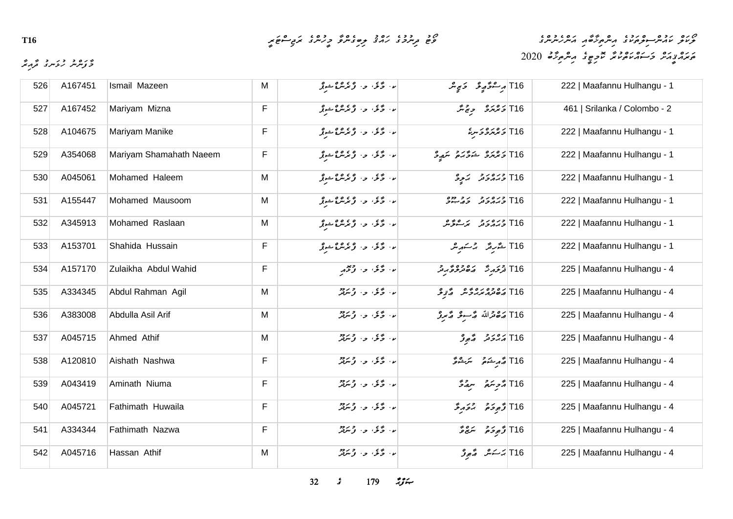*sCw7q7s5w7m< o<n9nOoAw7o< sCq;mAwBoEw7q<m; wBm;vB 2020<sup>, م</sup>وسر در مدد مدرج به مدرم مقرم قرار 2020*<br>موسر المستقرم المستقرم المستقرم المستقرم المستقرم المستقرم المستقرم المستقرم المستقرم المستقرم المستقرم المستقر

| 526 | A167451 | Ismail Mazeen           | M | لا د څخه د ورسنده جوړ         | T16 <sub>م</sub> رےد <i>و پو</i> ٹھ کی پار                                      | 222   Maafannu Hulhangu - 1  |
|-----|---------|-------------------------|---|-------------------------------|---------------------------------------------------------------------------------|------------------------------|
| 527 | A167452 | Mariyam Mizna           | F | لا د څکې د او د د لمورو شوکړ  | T16 كەبىر بىر بىر ئىستىك                                                        | 461   Srilanka / Colombo - 2 |
| 528 | A104675 | Mariyam Manike          | F | لا د څکې د او د د لمورو شوگه  | T16 ئ <i>ۇيزۇ ئەرىئ</i>                                                         | 222   Maafannu Hulhangu - 1  |
| 529 | A354068 | Mariyam Shamahath Naeem | F | لا د څکې د او د د لمورو شوکړ  | T16 كالمحافظة المتحديدة المتماريح                                               | 222   Maafannu Hulhangu - 1  |
| 530 | A045061 | Mohamed Haleem          | M | ل گرگان و د و کار می و ه و د  | T16 <i>وُبَہُ وُبَر بَرْدِ</i> وُ                                               | 222   Maafannu Hulhangu - 1  |
| 531 | A155447 | Mohamed Mausoom         | M | ل کوي د ویرس شوړ              | $\begin{array}{ccc} 2.2 & 2.2 & 2.2 & 1.6 \\ 2.2 & 2.2 & 2.2 & 2.2 \end{array}$ | 222   Maafannu Hulhangu - 1  |
| 532 | A345913 | Mohamed Raslaan         | M | لا د څکې د ویمرس شوتو         | T16 <i>دې ده د پر شو</i> گر                                                     | 222   Maafannu Hulhangu - 1  |
| 533 | A153701 | Shahida Hussain         | F | لا د څکې د او د د لمورو شوکړ  | T16 ڪري <i>گ برڪوينگ</i>                                                        | 222   Maafannu Hulhangu - 1  |
| 534 | A157170 | Zulaikha Abdul Wahid    | F | الاستحق والمحظم               | T16 نْرْمَه رَبِّ مَصْرُمْتُرْمَد رَبِّر                                        | 225   Maafannu Hulhangu - 4  |
| 535 | A334345 | Abdul Rahman Agil       | M | لا گرگی که وکنگر              | T16 كەھە <i>ر مەدە</i> بۇ ئەر                                                   | 225   Maafannu Hulhangu - 4  |
| 536 | A383008 | Abdulla Asil Arif       | M | لا : د کمی کار و د د کرد و ا  | T16 كەھەراللە گەسىۋە گەمر <i>ۇ</i>                                              | 225   Maafannu Hulhangu - 4  |
| 537 | A045715 | Ahmed Athif             | M | لا د څو د ورترن               | T16 كەنزىقى ھەدى                                                                | 225   Maafannu Hulhangu - 4  |
| 538 | A120810 | Aishath Nashwa          | F | لا د گري د و کمکل             | T16 مَ <sub>ّه</sub> رِ شَمَّ سَرَ شَمَّ                                        | 225   Maafannu Hulhangu - 4  |
| 539 | A043419 | Aminath Niuma           | F | لا د څکې د د وګرون            | T16 مُّحِسَمُ مِنْ مِنْ اللَّهُ مِنْ اللَّهُ                                    | 225   Maafannu Hulhangu - 4  |
| 540 | A045721 | Fathimath Huwaila       | F | لا د گري د و کمکل             | T16 تۇ <sub>ج</sub> وخۇ بىم <i>قىرى</i> م                                       | 225   Maafannu Hulhangu - 4  |
| 541 | A334344 | Fathimath Nazwa         | F | الا : دَنْنَ وَ وَتَتَرَبَّرُ | T16 <i>وَّجِ دَمَّةَ سَيُّامَّ</i>                                              | 225   Maafannu Hulhangu - 4  |
| 542 | A045716 | Hassan Athif            | M | لاستخرق التاريخ               | T16   يَرْسَسْ مَصَّعِوثَرَ                                                     | 225   Maafannu Hulhangu - 4  |

*32 s 179 <i>n*<sub>3</sub> *n*<sub>1</sub>

# *n8o<n@ qC7m:q5 q7w7m?n>*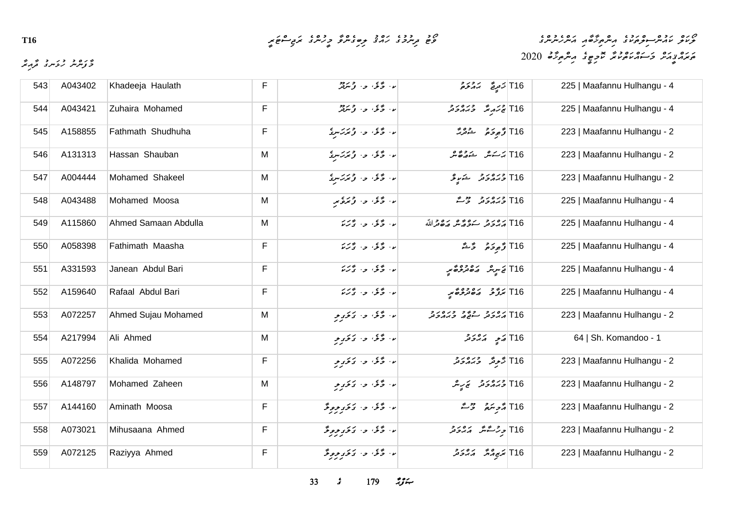*sCw7q7s5w7m< o<n9nOoAw7o< sCq;mAwBoEw7q<m; wBm;vB 2020<sup>, م</sup>وسوق المسجد التحقيق وسرمونية والم*جمع المسجد المسجد المسجد المسجد المسجد المسجد المسجد المسجد المسجد ال

| A043402 | Khadeeja Haulath     | F | لا - ۇىق بەر - ۋىترېتر             | T16 كَتْمِيعٌ - يَرْتَمْتَحْرَ                                                                       | 225   Maafannu Hulhangu - 4 |
|---------|----------------------|---|------------------------------------|------------------------------------------------------------------------------------------------------|-----------------------------|
| A043421 | Zuhaira Mohamed      | F | لا د څوک و د توکنونو               | T16 يخ <i>ترم بگر تخ ترون</i> خو تر                                                                  | 225   Maafannu Hulhangu - 4 |
| A158855 | Fathmath Shudhuha    | F | لاستخف وسوممكرسي                   | T16 <i>وُّجِ دَمَّةَ</i> شَعْفَ <i>رْ</i> دُّ                                                        | 223   Maafannu Hulhangu - 2 |
| A131313 | Hassan Shauban       | M | لا د گاگا و د و کارکرد کا          | T16 كەسكەر ئىق <i>مەڭ بىر</i>                                                                        | 223   Maafannu Hulhangu - 2 |
| A004444 | Mohamed Shakeel      | M | لا د گانگان و د کوټرکسری           | T16  <i>وُبَہُ وَمَدْ</i> حَ <i>بِ وَ</i>                                                            | 223   Maafannu Hulhangu - 2 |
| A043488 | Mohamed Moosa        | M | لا دمجني والمخفض                   | T16 يزير وينتشر فقر مشركة المنتقل المنتقل المنتقل المنتقل المنتقل المنتقل المنتقل المنتقل المنتقل ال | 225   Maafannu Hulhangu - 4 |
| A115860 | Ahmed Samaan Abdulla | M | لاستحق وسمج ترتما                  | T16 كربرى تورى بىر كەنگە لله                                                                         | 225   Maafannu Hulhangu - 4 |
| A058398 | Fathimath Maasha     | F | الأراقي في المحاركة                | T16 <i>وُجِ دَمْ</i> گَسْمُ                                                                          | 225   Maafannu Hulhangu - 4 |
| A331593 | Janean Abdul Bari    | F | الأراقيقي الاراسي وتركيا           | T16 <sub>فک</sub> ىرى <i>گە خەھەرگەھى</i> ر                                                          | 225   Maafannu Hulhangu - 4 |
| A159640 | Rafaal Abdul Bari    | F | الأراقيقي الاراسي وتركيا           | T16 يَرُوُّ مُەمْرُوُّتَىرِ                                                                          | 225   Maafannu Hulhangu - 4 |
| A072257 | Ahmed Sujau Mohamed  | M | الأركابى المراكا كالمحاوج          | T16  رژويز گونځ و <i>دو</i> رونر                                                                     | 223   Maafannu Hulhangu - 2 |
| A217994 | Ali Ahmed            | M | الأرمح في أورا كالمحاوي            | T16 <i>ڇَجِ - پَرُوُوَ</i> ٽَر                                                                       | 64   Sh. Komandoo - 1       |
| A072256 | Khalida Mohamed      | F | الأرمح في أورا كالمحاوي            | T16 تَرْمِعٌ     وَرَمْ دَوْرٌ                                                                       | 223   Maafannu Hulhangu - 2 |
| A148797 | Mohamed Zaheen       | M | الأركابى الأركاكي والمحالي         |                                                                                                      | 223   Maafannu Hulhangu - 2 |
| A144160 | Aminath Moosa        | F | الأرمحق والممكومولوفى              | T16 أ <i>مَّ وِسَمَعْ</i> حَرْمَتْهُ                                                                 | 223   Maafannu Hulhangu - 2 |
| A073021 | Mihusaana Ahmed      | F | الأرمح في الأرام وكالمحادثة والمحر | T16 <sub>ح</sub> رثە شەرقىدىنى ئىسكەن                                                                | 223   Maafannu Hulhangu - 2 |
| A072125 | Raziyya Ahmed        | F | ، دُی دا دَوَدِوهِ دَ              | T16 <i>بَرَې هُمَّة مَ</i> بَرُوَتَرُ                                                                | 223   Maafannu Hulhangu - 2 |
|         |                      |   |                                    |                                                                                                      | T16 <i>2222 تارىتى</i>      |

#### *n8o<n@ qC7m:q5 q7w7m?n>*

**33** *s* **179** *n***<sub>s</sub>**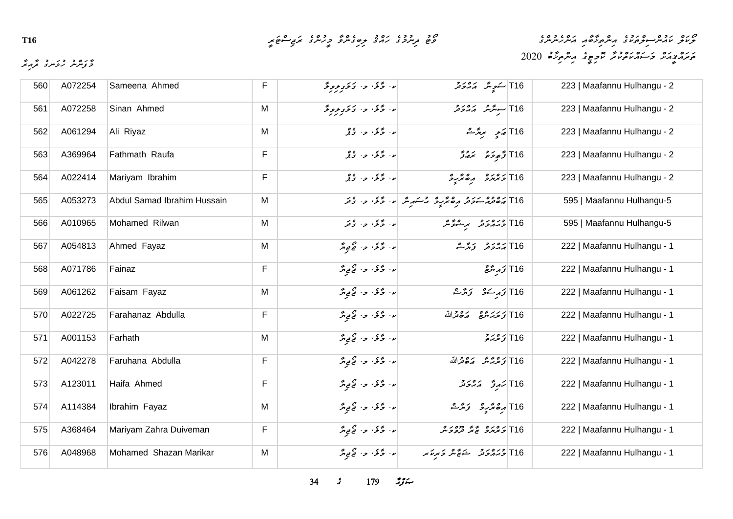*sCw7q7s5w7m< o<n9nOoAw7o< sCq;mAwBoEw7q<m; wBm;vB 2020<sup>, م</sup>وسوق المسجد التحقيق وسرمونية والم*جمع المسجد المسجد المسجد المسجد المسجد المسجد المسجد المسجد المسجد ال

| 560 | A072254 | Sameena Ahmed               | F | لا : وَ فَيَ الْمَحْرَوَ وَ وَ فَيَ                                                                         | T16 س <i>نوپٹر پر ب</i> وتر                                                                | 223   Maafannu Hulhangu - 2 |
|-----|---------|-----------------------------|---|-------------------------------------------------------------------------------------------------------------|--------------------------------------------------------------------------------------------|-----------------------------|
| 561 | A072258 | Sinan Ahmed                 | M | لا : د کمی کا د کار کار و د برگ                                                                             | T16سویٹر پر پرویز                                                                          | 223   Maafannu Hulhangu - 2 |
| 562 | A061294 | Ali Riyaz                   | M | لا د گڼې و د وبي                                                                                            | T16 کی بروگ                                                                                | 223   Maafannu Hulhangu - 2 |
| 563 | A369964 | Fathmath Raufa              | F | لا د څکې لو، دي                                                                                             | T16 تَ <i>ُمِّدَةً بَرَمْتَ</i>                                                            | 223   Maafannu Hulhangu - 2 |
| 564 | A022414 | Mariyam Ibrahim             | F | لا، دې د، دې                                                                                                | T16 <i>وَبُرْمَرْوْ مِنْ مُرْبِ</i> رْ                                                     | 223   Maafannu Hulhangu - 2 |
| 565 | A053273 | Abdul Samad Ibrahim Hussain | M |                                                                                                             | T16 رَحْمَدِ مِسْبَوْتِهِ مِنْ مُحَمَّدٍ وَ مُسَمَّدٍ مَنْ وَ وَ مَنْ اللَّهِ مِنْ وَتَمَّ | 595   Maafannu Hulhangu-5   |
| 566 | A010965 | Mohamed Rilwan              | M | الا انځي وانځم                                                                                              | T16 <i>3282 برشوڤر</i><br>16 <i>528 برايو</i>                                              | 595   Maafannu Hulhangu-5   |
| 567 | A054813 | Ahmed Fayaz                 | M | $\stackrel{\circ}{\mathscr{S}}$ ر الله عليه الله عليه الله عليه الله عليه الله عليه الله عليه $\mathscr{S}$ | T16 كەبرى تەڭرىشە                                                                          | 222   Maafannu Hulhangu - 1 |
| 568 | A071786 | Fainaz                      | F | الاستحق المراج في المجمد                                                                                    | T16 ق <i>رم</i> شع                                                                         | 222   Maafannu Hulhangu - 1 |
| 569 | A061262 | Faisam Fayaz                | M | $\mathcal{L}$ ر گري واکي کال                                                                                | T16 تۇم شىرق ئەترىشە                                                                       | 222   Maafannu Hulhangu - 1 |
| 570 | A022725 | Farahanaz Abdulla           | F | $\mathcal{L}$ ر گري واکي کال                                                                                | T16 كوتتريم محد مركز الله                                                                  | 222   Maafannu Hulhangu - 1 |
| 571 | A001153 | Farhath                     | M | الا الحكي والفحافية                                                                                         | T16 تر <i>برتر تم</i>                                                                      | 222   Maafannu Hulhangu - 1 |
| 572 | A042278 | Faruhana Abdulla            | F | الا المحتى الماس محافي الم                                                                                  |                                                                                            | 222   Maafannu Hulhangu - 1 |
| 573 | A123011 | Haifa Ahmed                 | F | $\mathcal{L}$ ر گري واکي کال                                                                                | T16 <i>تربو تەن</i> تى                                                                     | 222   Maafannu Hulhangu - 1 |
| 574 | A114384 | Ibrahim Fayaz               | M | $\stackrel{\circ}{\mathscr{S}}$ ر الله عليه الله عليه الله عليه الله عليه الله عليه الله عليه $\mathscr{S}$ | T16 <sub>م</sub> ەمگەر قىمىشىتىشى بىر                                                      | 222   Maafannu Hulhangu - 1 |
| 575 | A368464 | Mariyam Zahra Duiveman      | F | $\mathcal{L}(\mathcal{L}) = \mathcal{L}(\mathcal{L}) = \mathcal{L}(\mathcal{L})$ لا، وتحري                  | T16 كەبەر ئەلگە دەر ب <sub>ە</sub>                                                         | 222   Maafannu Hulhangu - 1 |
| 576 | A048968 | Mohamed Shazan Marikar      | M | لا : او کان کان می مگر                                                                                      | T16 <i>ويرورو شيغ مگر و برماير</i>                                                         | 222   Maafannu Hulhangu - 1 |

#### *n8o<n@ qC7m:q5 q7w7m?n>*

*34 s 179 <i>n*<sub>3</sub> *n*<sub>1</sub>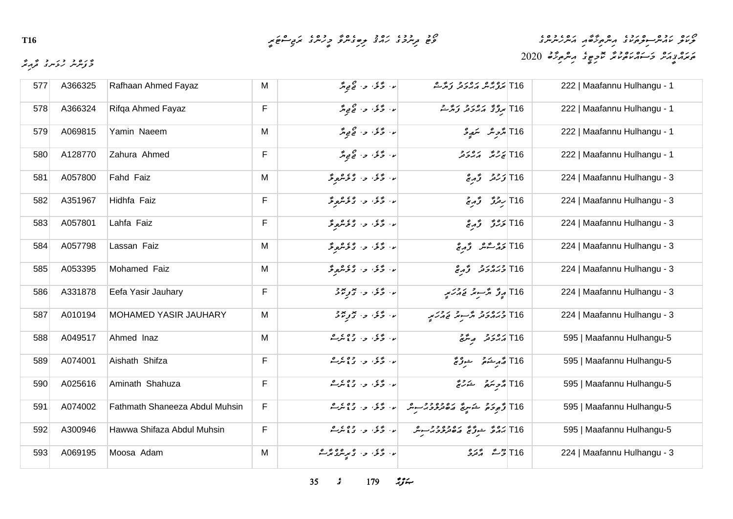*sCw7q7s5w7m< o<n9nOoAw7o< sCq;mAwBoEw7q<m; wBm;vB 2020*<br>*په پوهر وسوډيرونو لومو د موجو د مرمونه* 2020

| 222   Maafannu Hulhangu - 1 |
|-----------------------------|
| 222   Maafannu Hulhangu - 1 |
| 222   Maafannu Hulhangu - 1 |
| 222   Maafannu Hulhangu - 1 |
| 224   Maafannu Hulhangu - 3 |
| 224   Maafannu Hulhangu - 3 |
| 224   Maafannu Hulhangu - 3 |
| 224   Maafannu Hulhangu - 3 |
| 224   Maafannu Hulhangu - 3 |
| 224   Maafannu Hulhangu - 3 |
| 224   Maafannu Hulhangu - 3 |
| 595   Maafannu Hulhangu-5   |
| 595   Maafannu Hulhangu-5   |
| 595   Maafannu Hulhangu-5   |
| 595   Maafannu Hulhangu-5   |
| 595   Maafannu Hulhangu-5   |
| 224   Maafannu Hulhangu - 3 |
|                             |

#### *n8o<n@ qC7m:q5 q7w7m?n>*

*35 s 179 <i>n*<sub>2</sub> *n*<sub>2</sub>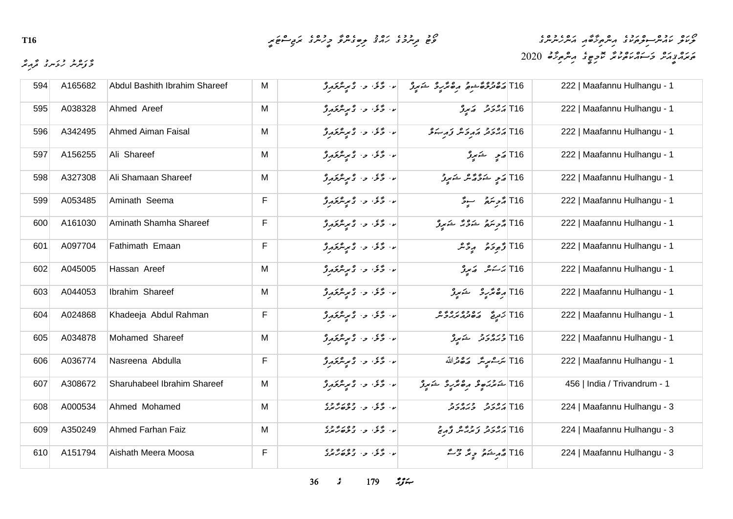*sCw7q7s5w7m< o<n9nOoAw7o< sCq;mAwBoEw7q<m; wBm;vB 2020<sup>, م</sup>وسر در مدد مدرج به مدرم مقرم قرار 2020*<br>موسر المستقرم المستقرم المستقرم المستقرم المستقرم المستقرم المستقرم المستقرم المستقرم المستقرم المستقرم المستقر

| 594 | A165682 | Abdul Bashith Ibrahim Shareef | м           |                                                                                                      | T16 رَەترى شەر رەترى شەر ئاس گە، دى ئايرىكرى 3    | 222   Maafannu Hulhangu - 1  |
|-----|---------|-------------------------------|-------------|------------------------------------------------------------------------------------------------------|---------------------------------------------------|------------------------------|
| 595 | A038328 | Ahmed Areef                   | M           | لا : د د کال د د کال بر مرکز برای                                                                    | T16 كەنزى قىمى <i>ل</i> ى                         | 222   Maafannu Hulhangu - 1  |
| 596 | A342495 | <b>Ahmed Aiman Faisal</b>     | M           | لا د د د د روم برگرمانی                                                                              | T16 كەندى قىرىكى قەرىبكى                          | 222   Maafannu Hulhangu - 1  |
| 597 | A156255 | Ali Shareef                   | M           | لا د محکي د د مخپر مرکزم و                                                                           | T16 کړ <i>و</i> خېر <i>و</i>                      | 222   Maafannu Hulhangu - 1  |
| 598 | A327308 | Ali Shamaan Shareef           | M           | لا د محکي د د مخپر مرکزم و                                                                           | T16 كەي خەۋگەنگر خەير <i>ۇ</i>                    | 222   Maafannu Hulhangu - 1  |
| 599 | A053485 | Aminath Seema                 | F           | الاستخرى المستحصر والمرادي                                                                           | T16 مُ <i>جِسَعْہ</i> ہے مُح                      | 222   Maafannu Hulhangu - 1  |
| 600 | A161030 | Aminath Shamha Shareef        | F           | لاستخرى وسيحبر مرمز ورقي                                                                             | T16 مُر <i>جِسَة</i> حَدَّثَ حَ <i>مِي</i> رُ     | 222   Maafannu Hulhangu - 1  |
| 601 | A097704 | Fathimath Emaan               | $\mathsf F$ | ، د د د و د پرترورو                                                                                  | T16 <i>وُّجِوَة دِوَّ</i> سُ                      | 222   Maafannu Hulhangu - 1  |
| 602 | A045005 | Hassan Areef                  | M           | لاستخرى وسيحبر مرمز ورقي                                                                             | T16  تەسىھ كەمب <i>و</i> گ                        | 222   Maafannu Hulhangu - 1  |
| 603 | A044053 | Ibrahim Shareef               | M           | لاستخرى وسيحبر مرمز ورقي                                                                             | T16  مەھەرىرى ھەمرىرى                             | 222   Maafannu Hulhangu - 1  |
| 604 | A024868 | Khadeeja Abdul Rahman         | F           | الاء المحكما الماء والمحمد والمحمد والمحمد والمحمد والمحمد والمحمد والمحمد والمحمد والمحمد والمحمد و | T16 كەرق مەھەر <i>مەدۋىر</i>                      | 222   Maafannu Hulhangu - 1  |
| 605 | A034878 | Mohamed Shareef               | M           | ، د د و د پرترورو                                                                                    | T16 <i>ق.22 قر</i> شكور و                         | 222   Maafannu Hulhangu - 1  |
| 606 | A036774 | Nasreena Abdulla              | $\mathsf F$ | بار محمى التار مى موسر محمد و                                                                        | T16 <i>مَرْتْمِرِمَّرْ مَ<b>صْ</b>مَرْ</i> اللَّه | 222   Maafannu Hulhangu - 1  |
| 607 | A308672 | Sharuhabeel Ibrahim Shareef   | M           | الا دمجى لار مولوگرو                                                                                 | T16 خ <i>وبرو و م</i> ۇمرى خو <i>ب</i> رۇ         | 456   India / Trivandrum - 1 |
| 608 | A000534 | Ahmed Mohamed                 | M           | ر دی.<br>روز در دورور                                                                                | T16   <i>גُرُوَ دُرُ دُرُوَدُ</i>                 | 224   Maafannu Hulhangu - 3  |
| 609 | A350249 | Ahmed Farhan Faiz             | M           | ر وي د ده ده ده.<br>راس وگل د دخوه رس                                                                | T16 <i>ړېږي ویرن</i> ګر ژبرج                      | 224   Maafannu Hulhangu - 3  |
| 610 | A151794 | Aishath Meera Moosa           | F           | ر د وي د ده ده ده.<br>د گون د دخوه رود                                                               | T16 مَّ مِشَمَّ وِبَرَّ وَكَّ                     | 224   Maafannu Hulhangu - 3  |

#### *n8o<n@ qC7m:q5 q7w7m?n>*

*36 s* 179  $23.6$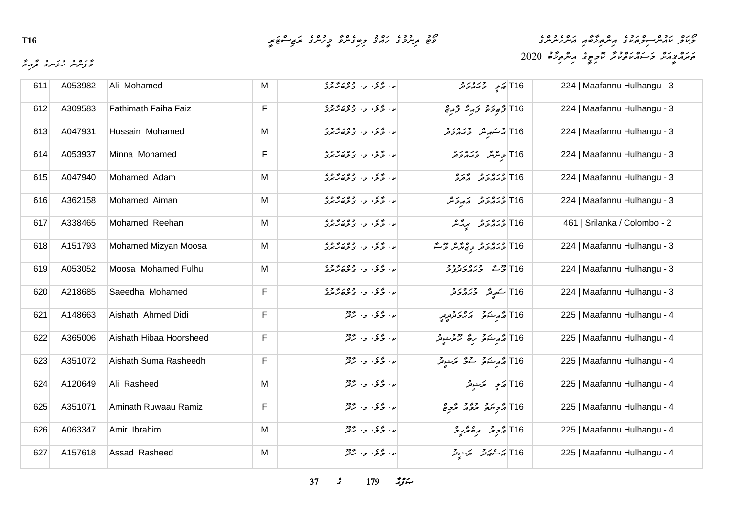*sCw7q7s5w7m< o<n9nOoAw7o< sCq;mAwBoEw7q<m; wBm;vB 2020<sup>, م</sup>وسوق المسجد التحقيق وسرمونية والم*جمع المسجد المسجد المسجد المسجد المسجد المسجد المسجد المسجد المسجد ال

| 611 | A053982 | Ali Mohamed                 | M | د ده ده ده ده ده<br>د گرف د د و ده ریمرد                                                                                                                                                                                         | T16  كەمچە    ئەيرە ئەر                      | 224   Maafannu Hulhangu - 3  |
|-----|---------|-----------------------------|---|----------------------------------------------------------------------------------------------------------------------------------------------------------------------------------------------------------------------------------|----------------------------------------------|------------------------------|
| 612 | A309583 | <b>Fathimath Faiha Faiz</b> | F | ر ده ده ده ده ده ده د                                                                                                                                                                                                            | T16 وَج <i>ِءَهُ وَمِ</i> رَّ وَ <i>مِ</i> ع | 224   Maafannu Hulhangu - 3  |
| 613 | A047931 | Hussain Mohamed             | M | د ده ده ده ده ده<br>پارسی د دخوه رس                                                                                                                                                                                              | T16 يُر <i>مريد ويُرودو</i>                  | 224   Maafannu Hulhangu - 3  |
| 614 | A053937 | Minna Mohamed               | F | د ده ده ده ده ده<br>پارسی د دخوه رس                                                                                                                                                                                              | T16 <sub>ج</sub> ىرى <i>گە خەنگە</i> خەر     | 224   Maafannu Hulhangu - 3  |
| 615 | A047940 | Mohamed Adam                | M | د ده ده ده ده ده<br>پارسی د دخوه رس                                                                                                                                                                                              | T16 <i>2222 مُقرَّة</i>                      | 224   Maafannu Hulhangu - 3  |
| 616 | A362158 | Mohamed Aiman               | M | د ده ده ده ده ده ده<br>د گرف د دخوه رسمه                                                                                                                                                                                         | T16  <i>خ.ز.وجو مەم</i> كىر                  | 224   Maafannu Hulhangu - 3  |
| 617 | A338465 | Mohamed Reehan              | M | د ده ده ده ده ده<br>د گرف د دخوه ربرد                                                                                                                                                                                            | T16  <i>3223\$ برن</i> گر                    | 461   Srilanka / Colombo - 2 |
| 618 | A151793 | Mohamed Mizyan Moosa        | M | د ده ده ده ده ده<br>پارسی د دخوه رس                                                                                                                                                                                              | T16 دېرونر <sub>ج</sub> بر شرحت              | 224   Maafannu Hulhangu - 3  |
| 619 | A053052 | Moosa Mohamed Fulhu         | M | ر د مي د ده ده ده د د کار د د کار د د کار د کار د د کار د د کار د د کار د د کار د د کار د د کار د د کار د د کا<br>د کار د کار کار د کار د کار د کار د کار د کار د کار د کار د کار د کار د کار د کار د کار د کار د کار د کار د کا | T16 فخر محمد المرورور                        | 224   Maafannu Hulhangu - 3  |
| 620 | A218685 | Saeedha Mohamed             | F | د ده ده ده ده ده<br>پارسی د دخوه رس                                                                                                                                                                                              | T16 س <i>َمومَّز وَبَرُودَوْ</i>             | 224   Maafannu Hulhangu - 3  |
| 621 | A148663 | Aishath Ahmed Didi          | F | لاستحق وسمين                                                                                                                                                                                                                     | T16 م <i>ۇم شەھ مەركە قرىرى</i> ر            | 225   Maafannu Hulhangu - 4  |
| 622 | A365006 | Aishath Hibaa Hoorsheed     | F | ا د گري و، گريز                                                                                                                                                                                                                  | T16 مُرمِشَمْ رِحٌ رَحْمَنِيْوِيْر           | 225   Maafannu Hulhangu - 4  |
| 623 | A351072 | Aishath Suma Rasheedh       | F | لاستحق وسيحض                                                                                                                                                                                                                     | T16 م <i>ەم شىمى ھىڭ مەھبى</i> ر             | 225   Maafannu Hulhangu - 4  |
| 624 | A120649 | Ali Rasheed                 | M | ى ئۇق مەركۇ                                                                                                                                                                                                                      | T16 <i>هُ مٍ</i> - مَرْشِ <sup>و</sup> مٌ    | 225   Maafannu Hulhangu - 4  |
| 625 | A351071 | Aminath Ruwaau Ramiz        | F | ى ئۇق مەركۇ                                                                                                                                                                                                                      | T16 أُمُّ مِسَمَّدٍ مُحَمَّدٍ مُحْمَدِ مِحَ  | 225   Maafannu Hulhangu - 4  |
| 626 | A063347 | Amir Ibrahim                | M | لاستحق وسمين                                                                                                                                                                                                                     |                                              | 225   Maafannu Hulhangu - 4  |
| 627 | A157618 | Assad Rasheed               | M | ى ئۇتى بەرلىق                                                                                                                                                                                                                    | T16 كەشىھەتىلى مەش <sub>ى</sub> قر           | 225   Maafannu Hulhangu - 4  |
|     |         |                             |   |                                                                                                                                                                                                                                  |                                              |                              |

*n8o<n@ qC7m:q5 q7w7m?n>*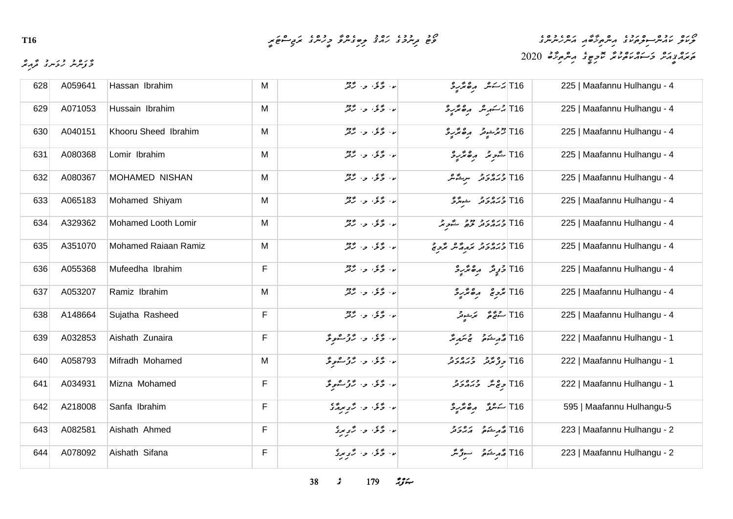*sCw7q7s5w7m< o<n9nOoAw7o< sCq;mAwBoEw7q<m; wBm;vB 2020<sup>, م</sup>وسر در مدد مدرج به مدرم مقرم قرار 2020*<br>موسر المستقرم المستقرم المستقرم المستقرم المستقرم المستقرم المستقرم المستقرم المستقرم المستقرم المستقرم المستقر

| 628 | A059641 | Hassan Ibrahim              | M           | الاستحق، البرامج 22                  | T16 ئەسەمىر مە <i>ھەترى</i> رى                                                                                                                                                                                               | 225   Maafannu Hulhangu - 4 |
|-----|---------|-----------------------------|-------------|--------------------------------------|------------------------------------------------------------------------------------------------------------------------------------------------------------------------------------------------------------------------------|-----------------------------|
| 629 | A071053 | Hussain Ibrahim             | M           | الا المحتى الاس محقر                 | T16 يُرسَمب <sup>9</sup> مِنْ مُعَرَّبِ                                                                                                                                                                                      | 225   Maafannu Hulhangu - 4 |
| 630 | A040151 | Khooru Sheed Ibrahim        | M           | الا انجني الاستحق                    | T16 تختر شوتر مرکانگریز و                                                                                                                                                                                                    | 225   Maafannu Hulhangu - 4 |
| 631 | A080368 | Lomir Ibrahim               | M           | الاستخري البراسيج والمحمد            | T16 ڪوبر م <i>ھنگ</i> رو                                                                                                                                                                                                     | 225   Maafannu Hulhangu - 4 |
| 632 | A080367 | <b>MOHAMED NISHAN</b>       | M           | الاستحق، الاستحقر                    | T16 <i>وُبَرُوْدُوْ</i> سَرْشَمْر                                                                                                                                                                                            | 225   Maafannu Hulhangu - 4 |
| 633 | A065183 | Mohamed Shiyam              | M           | الاستحق الاستحق                      | $5.522$ 716 مۇرگرى كىلىمىتىسى كىلىمىتى كىلىمىتى ئىستات ئىستات ئىستات ئىستات ئىستات ئىستات ئىستات ئىستات ئىستات ئىستات ئىستات ئىستات ئىستات ئىستات ئىستات ئىستات ئىستات ئىستات ئىستات ئىستات ئىستات ئىستات ئىستات ئىستات ئىست | 225   Maafannu Hulhangu - 4 |
| 634 | A329362 | Mohamed Looth Lomir         | M           | الاستخفى التاريخ                     | T16 كَرْبُرُونَ فَرْتَجْ شَرْبَرْ                                                                                                                                                                                            | 225   Maafannu Hulhangu - 4 |
| 635 | A351070 | <b>Mohamed Raiaan Ramiz</b> | M           | ا د گري و . گري                      | T16 <i>وبرودو بروشر بڑ</i> ج                                                                                                                                                                                                 | 225   Maafannu Hulhangu - 4 |
| 636 | A055368 | Mufeedha Ibrahim            | F           | الاستخري البراسية والمحافظ           | T16  دۇپۇر مەھزىرى                                                                                                                                                                                                           | 225   Maafannu Hulhangu - 4 |
| 637 | A053207 | Ramiz Ibrahim               | M           | ى ئۇق مەركۇ                          | T16 بَرُ <sub>ح</sub> ِ مِنْ مِنْ بِرِدْ                                                                                                                                                                                     | 225   Maafannu Hulhangu - 4 |
| 638 | A148664 | Sujatha Rasheed             | $\mathsf F$ | الاستحق الاستحق                      | T16 كەنتى قىم ئىرىسى <i>دى</i> گە                                                                                                                                                                                            | 225   Maafannu Hulhangu - 4 |
| 639 | A032853 | Aishath Zunaira             | F           | لا د کمکی د گروگرونگر                | T16 مَ <i>مْ بِشَعْرِ مِنْ مَتَدِيمَ</i>                                                                                                                                                                                     | 222   Maafannu Hulhangu - 1 |
| 640 | A058793 | Mifradh Mohamed             | M           | لا د کمکی د گروگرونگر                | T16   <i>وِوْمُرَّدْ وْبَهُ</i> وَمُرْ                                                                                                                                                                                       | 222   Maafannu Hulhangu - 1 |
| 641 | A034931 | Mizna Mohamed               | F           | پار د محمد کار مشاه د محمد استاده می | T16 <i>ڊي پڙ جنھ جو</i>                                                                                                                                                                                                      | 222   Maafannu Hulhangu - 1 |
| 642 | A218008 | Sanfa Ibrahim               | F           | الا د محکوا د اگرېمه دي              | T16 سَتَمَدَّرُ مِرْحَمَّدِيْرَ                                                                                                                                                                                              | 595   Maafannu Hulhangu-5   |
| 643 | A082581 | Aishath Ahmed               | $\mathsf F$ | لا : قَرَّقْ و : رُّي مِرَّى         | T16 مەم ئەرەبىرى ئەرەبىرى ئىس                                                                                                                                                                                                | 223   Maafannu Hulhangu - 2 |
| 644 | A078092 | Aishath Sifana              | F           | لاستخرش وسترويره                     | T16 <i>مُّ مِ</i> حَمَّة مُسَوَّتَدَّ                                                                                                                                                                                        | 223   Maafannu Hulhangu - 2 |

## *n8o<n@ qC7m:q5 q7w7m?n>*

**38** *s* **179** *n***<sub>s</sub>**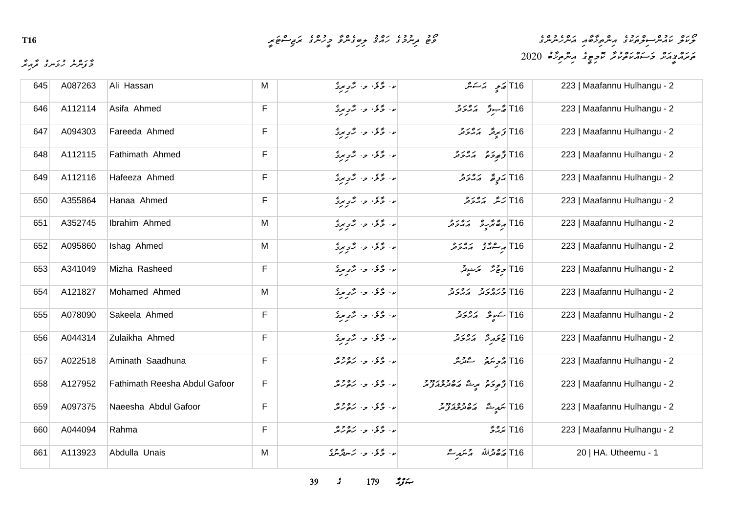*sCw7q7s5w7m< o<n9nOoAw7o< sCq;mAwBoEw7q<m; wBm;vB 2020*<br>*په پوهر وسوډيرونو لومو د موجو د مرمونه* 2020

| A087263 | Ali Hassan                    | M           | لاستخرش وسترويرى       |  | 223   Maafannu Hulhangu - 2                                                                                                                                                                                                                                                                                                                                                                                                                                                                                                                                                                                            |
|---------|-------------------------------|-------------|------------------------|--|------------------------------------------------------------------------------------------------------------------------------------------------------------------------------------------------------------------------------------------------------------------------------------------------------------------------------------------------------------------------------------------------------------------------------------------------------------------------------------------------------------------------------------------------------------------------------------------------------------------------|
| A112114 | Asifa Ahmed                   | F           | الاستخفى التأس محرمونى |  | 223   Maafannu Hulhangu - 2                                                                                                                                                                                                                                                                                                                                                                                                                                                                                                                                                                                            |
| A094303 | Fareeda Ahmed                 | F           | الأراقي والمجموري      |  | 223   Maafannu Hulhangu - 2                                                                                                                                                                                                                                                                                                                                                                                                                                                                                                                                                                                            |
| A112115 | Fathimath Ahmed               | F           | الاستخفى التأس محرمونى |  | 223   Maafannu Hulhangu - 2                                                                                                                                                                                                                                                                                                                                                                                                                                                                                                                                                                                            |
| A112116 | Hafeeza Ahmed                 | F           | لاستخوان وستمويونى     |  | 223   Maafannu Hulhangu - 2                                                                                                                                                                                                                                                                                                                                                                                                                                                                                                                                                                                            |
| A355864 | Hanaa Ahmed                   | $\mathsf F$ | لاستخرش وسترويدى       |  | 223   Maafannu Hulhangu - 2                                                                                                                                                                                                                                                                                                                                                                                                                                                                                                                                                                                            |
| A352745 | Ibrahim Ahmed                 | M           | لاستخرش وستمويري       |  | 223   Maafannu Hulhangu - 2                                                                                                                                                                                                                                                                                                                                                                                                                                                                                                                                                                                            |
| A095860 | Ishag Ahmed                   | M           | الأراقي والمجموري      |  | 223   Maafannu Hulhangu - 2                                                                                                                                                                                                                                                                                                                                                                                                                                                                                                                                                                                            |
| A341049 | Mizha Rasheed                 | F           | الاستخفى التأس محرمونى |  | 223   Maafannu Hulhangu - 2                                                                                                                                                                                                                                                                                                                                                                                                                                                                                                                                                                                            |
| A121827 | Mohamed Ahmed                 | M           | لاستخرش وستمويزة       |  | 223   Maafannu Hulhangu - 2                                                                                                                                                                                                                                                                                                                                                                                                                                                                                                                                                                                            |
| A078090 | Sakeela Ahmed                 | F           | لاستخرش وسترويونى      |  | 223   Maafannu Hulhangu - 2                                                                                                                                                                                                                                                                                                                                                                                                                                                                                                                                                                                            |
| A044314 | Zulaikha Ahmed                | F           | الاستخراف التراميماني  |  | 223   Maafannu Hulhangu - 2                                                                                                                                                                                                                                                                                                                                                                                                                                                                                                                                                                                            |
| A022518 | Aminath Saadhuna              | F           | لا د محکې د ره دي      |  | 223   Maafannu Hulhangu - 2                                                                                                                                                                                                                                                                                                                                                                                                                                                                                                                                                                                            |
| A127952 | Fathimath Reesha Abdul Gafoor | $\mathsf F$ | لا د څخه د ره دي       |  | 223   Maafannu Hulhangu - 2                                                                                                                                                                                                                                                                                                                                                                                                                                                                                                                                                                                            |
| A097375 | Naeesha Abdul Gafoor          | $\mathsf F$ | ر، دې د، ره دي         |  | 223   Maafannu Hulhangu - 2                                                                                                                                                                                                                                                                                                                                                                                                                                                                                                                                                                                            |
| A044094 | Rahma                         | F           | ر، دې د، ره دي         |  | 223   Maafannu Hulhangu - 2                                                                                                                                                                                                                                                                                                                                                                                                                                                                                                                                                                                            |
| A113923 | Abdulla Unais                 | M           | لا کانگان کاروگریزی    |  | 20   HA. Utheemu - 1                                                                                                                                                                                                                                                                                                                                                                                                                                                                                                                                                                                                   |
|         |                               |             |                        |  | T16  كەمچە كەشكە <i>بى</i><br>T16 صَّبِوتَ صَفَرَة مَدْ<br>T16 تۇم <sub>ى</sub> نگە كەندى تەر<br>T16 وَج <i>وحَ</i> حَمَدَ حَدَّ<br>T16 <i>يَرْدٍ وَ مَدْوَنْرُ</i><br>T16 كەنتى <i>ر ش</i> ەئەتىر<br>T16 مەھ <i>مگىرى مەدە</i> م<br>T16 <sub>م</sub> رش <i>تىق مەدە</i> م<br>T16 <i>ج</i> يچر تم بمرش <sub>و</sub> مر<br>T16 <i>وبروبر م</i> روبر<br>T16  سَرِءٌ <i>مَدْدَة</i> رُ<br>T16 يح <i>قرم 3 مرك</i> قر<br>T16 مُّجِسَعُ مُسَمَّدٌ مُّ<br>T16 ژ <sub>يج څ</sub> ر <sub>مړ</sub> ينه <sub>م</sub> صور درو د<br>T16 سَمدِيعٌ مَ <b>صْرُوْرُوْ</b> بَرْ<br>$52\frac{2}{5}$ T16<br>T16 كەھەراللە ك <i>ەسم</i> ەت |

## *n8o<n@ qC7m:q5 q7w7m?n>*

*39 s 179 <i>n*<sub>2</sub> *n*<sub>2</sub>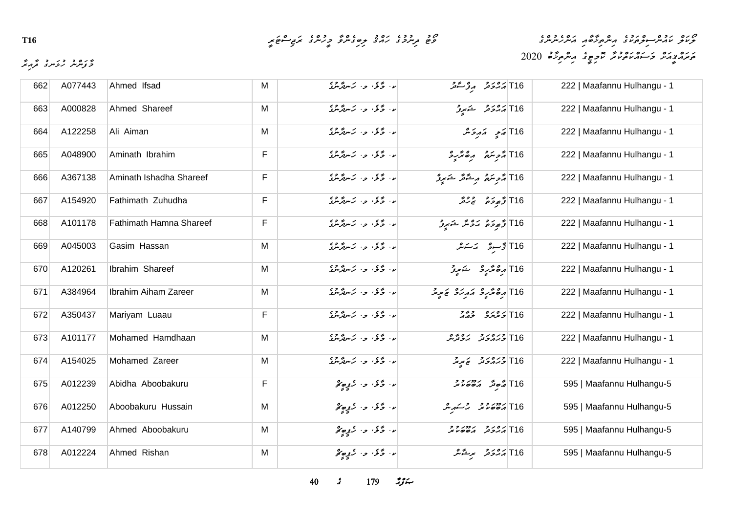*sCw7q7s5w7m< o<n9nOoAw7o< sCq;mAwBoEw7q<m; wBm;vB 2020*<br>*په پوهر وسوډيرونو لومو د موجو د مرمونه* 2020

| 662 | A077443 | Ahmed Ifsad             | M | لاستخوش وستكسرهم فروي         | T16 كەبرى قىمى بورگىتىلى بول                 | 222   Maafannu Hulhangu - 1 |
|-----|---------|-------------------------|---|-------------------------------|----------------------------------------------|-----------------------------|
| 663 | A000828 | Ahmed Shareef           | M | لاستخرى بالمستكر سركة المرادي | T16 كەندى قىرىقىسى قىلىنى ئىستان بىر         | 222   Maafannu Hulhangu - 1 |
| 664 | A122258 | Ali Aiman               | M | لاستخرى بالمستكر سركة المرادي | T16 <i>ڇَجِ - سَمِ</i> حَسْ                  | 222   Maafannu Hulhangu - 1 |
| 665 | A048900 | Aminath Ibrahim         | F | لا کانگان کاروگرمانگا         | T16 مُ <i>جِسَمُ مِنْ مِ</i> حَدِّدِ         | 222   Maafannu Hulhangu - 1 |
| 666 | A367138 | Aminath Ishadha Shareef | F | لاستخرق وستكسرهم فروي         | T16 مُرْسَمَة مِشَمَّدٌ حَ <i>مَبِ</i> رْ    | 222   Maafannu Hulhangu - 1 |
| 667 | A154920 | Fathimath Zuhudha       | F | لاستخرى بالمسترسين            | T16 ر <i>ُّڄِ دَيْ</i> گِرْتُرُ              | 222   Maafannu Hulhangu - 1 |
| 668 | A101178 | Fathimath Hamna Shareef | F | لاستخرى بالمستكر سركة المرادي | T16 <i>وُجِ دَهُ بَ</i> وْسٌ حَ <i>مِيوْ</i> | 222   Maafannu Hulhangu - 1 |
| 669 | A045003 | Gasim Hassan            | M | لاستخرى بالمستكر سركة المرادي | T16 تخ-بى - ئەسەنلە                          | 222   Maafannu Hulhangu - 1 |
| 670 | A120261 | Ibrahim Shareef         | M | لا کانگان کاروگرمانگا         | T16 مەھەرى ھەمرى <sup>3</sup>                | 222   Maafannu Hulhangu - 1 |
| 671 | A384964 | Ibrahim Aiham Zareer    | M | لاستخرى بالمستكر سركة المرادي | T16 مەھمەر ئەمەر ئەھمەر ئىمە                 | 222   Maafannu Hulhangu - 1 |
| 672 | A350437 | Mariyam Luaau           | F | ىلەن ئۇقتۇل بەر ئەسەئەت ئە    | T16 ك <i>رورو وگړو</i>                       | 222   Maafannu Hulhangu - 1 |
| 673 | A101177 | Mohamed Hamdhaan        | M | لاستخرى بالمسترسين            | T16 <i>32028 بروترين</i> ر                   | 222   Maafannu Hulhangu - 1 |
| 674 | A154025 | Mohamed Zareer          | M | لا : 33) و اكسره مرد          | T16 <i>\$نەۋۇقى تەيرى</i> گ                  | 222   Maafannu Hulhangu - 1 |
| 675 | A012239 | Abidha Aboobakuru       | F | د گوځي د کروه کو              | $2222$ $\frac{2}{3}$ $\frac{2}{3}$ T16       | 595   Maafannu Hulhangu-5   |
| 676 | A012250 | Aboobakuru Hussain      | M | د گڼو، د کړه کړ               | T16 كەھەم بىر ب <sub>ىر</sub> شەرىئى         | 595   Maafannu Hulhangu-5   |
| 677 | A140799 | Ahmed Aboobakuru        | M | الاء ومحوال والمحروم و        | $72222$ $7227$ $716$                         | 595   Maafannu Hulhangu-5   |
| 678 | A012224 | Ahmed Rishan            | M | الاء ومحوال والمحروم و        | T16   كەبرى كەر س <sub>ىرى</sub> سىگەنلەر    | 595   Maafannu Hulhangu-5   |
|     |         |                         |   |                               |                                              |                             |

## *n8o<n@ qC7m:q5 q7w7m?n>*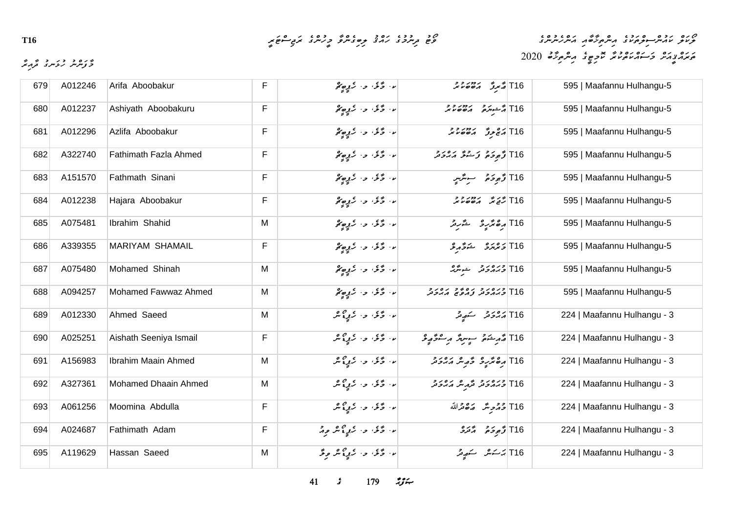*sCw7q7s5w7m< o<n9nOoAw7o< sCq;mAwBoEw7q<m; wBm;vB 2020<sup>, م</sup>وسر در مدد مدرج به مدرم مقرم قرار 2020*<br>موسر المستقرم المستقرم المستقرم المستقرم المستقرم المستقرم المستقرم المستقرم المستقرم المستقرم المستقرم المستقر

| 679 | A012246 | Arifa Aboobakur              | F |                                                                                                                                | T16 مەيرۇ مەھەمدىمە                           | 595   Maafannu Hulhangu-5   |
|-----|---------|------------------------------|---|--------------------------------------------------------------------------------------------------------------------------------|-----------------------------------------------|-----------------------------|
| 680 | A012237 | Ashiyath Aboobakuru          | F | الا د کمکی د کرده می                                                                                                           | T16 مُسْبِّرَة مُصْحَبة                       | 595   Maafannu Hulhangu-5   |
| 681 | A012296 | Azlifa Aboobakur             | F | لا المحكى والكروه مح                                                                                                           | T16 مَعْ مِرَّ مُصْحَبِّ مِ                   | 595   Maafannu Hulhangu-5   |
| 682 | A322740 | <b>Fathimath Fazla Ahmed</b> | F | لا المحكى والكرومج                                                                                                             | T16 <i>وُّجِ وَمَعْ وَسُعَوَّ مَدُوَمَ</i> رُ | 595   Maafannu Hulhangu-5   |
| 683 | A151570 | Fathmath Sinani              | F | الاء ومحوالي والمتجرومي                                                                                                        | T16 <i>وُجوحَةْ سِيسَّ</i> سِ                 | 595   Maafannu Hulhangu-5   |
| 684 | A012238 | Hajara Aboobakur             | F | ر، وَکَو، د. رُوِهِ کا                                                                                                         | T16 تُنْصَعَّرُ مُصْحَصَّرَ                   | 595   Maafannu Hulhangu-5   |
| 685 | A075481 | Ibrahim Shahid               | M | الا د کمکی د کرده کا                                                                                                           | T16 م <i>ِرەْ ئُرْرِدْ</i> شَر <i>ْ</i> ىرْ   | 595   Maafannu Hulhangu-5   |
| 686 | A339355 | <b>MARIYAM SHAMAIL</b>       | F | الا د کمکی د کرده کا                                                                                                           | T16 كى <i>ئىرى ئىمى ئىمى</i> ئىچە <i>ئىرى</i> | 595   Maafannu Hulhangu-5   |
| 687 | A075480 | Mohamed Shinah               | M | الا د کمکی د کرده کا                                                                                                           | T16 <i>\$222 ئۇيۇنى</i> ئىستى <i>گ</i>        | 595   Maafannu Hulhangu-5   |
| 688 | A094257 | Mohamed Fawwaz Ahmed         | M | الاء ومحوالي والمتجرومي                                                                                                        | T16 ويرورو رووو رورو                          | 595   Maafannu Hulhangu-5   |
| 689 | A012330 | Ahmed Saeed                  | M | لا د څخه د کويونکر                                                                                                             | T16 كەندى قىرىقر                              | 224   Maafannu Hulhangu - 3 |
| 690 | A025251 | Aishath Seeniya Ismail       | F | $\left  \begin{array}{cc} \varphi & \varphi & \varphi \ \varphi & \varphi & \varphi \end{array} \right $ ر . و المحروبات المعر | T16 مەم شەھ سوسى <i>گە مەشتۇم بى</i> ر        | 224   Maafannu Hulhangu - 3 |
| 691 | A156983 | Ibrahim Maain Ahmed          | M | الا د څخه لوا د کابيءَ مکر                                                                                                     | T16 مەھەم بەر قىم مەمدى قىلىپىتى ئىش          | 224   Maafannu Hulhangu - 3 |
| 692 | A327361 | <b>Mohamed Dhaain Ahmed</b>  | M | لاء دمحوا والتكريم چو                                                                                                          | T16 <i>32823 فرم مگرمتر مگرم</i> ونر          | 224   Maafannu Hulhangu - 3 |
| 693 | A061256 | Moomina Abdulla              | F | الا د څخه لوا د ري په پر                                                                                                       | T16 <i>55 مِ مَرَّة مَدَّ</i> اللَّه          | 224   Maafannu Hulhangu - 3 |
| 694 | A024687 | Fathimath Adam               | F | الا د د د کال د کال د چار کال د کال د ک                                                                                        | T16 <i>وَّجِ حَمَّى مُ</i> تَرَ <i>دُّ</i>    | 224   Maafannu Hulhangu - 3 |
| 695 | A119629 | Hassan Saeed                 | M | الا د د د د د د د کاله و د د                                                                                                   | T16  ترسكر مسك <i>رم</i> يز                   | 224   Maafannu Hulhangu - 3 |

## *n8o<n@ qC7m:q5 q7w7m?n>*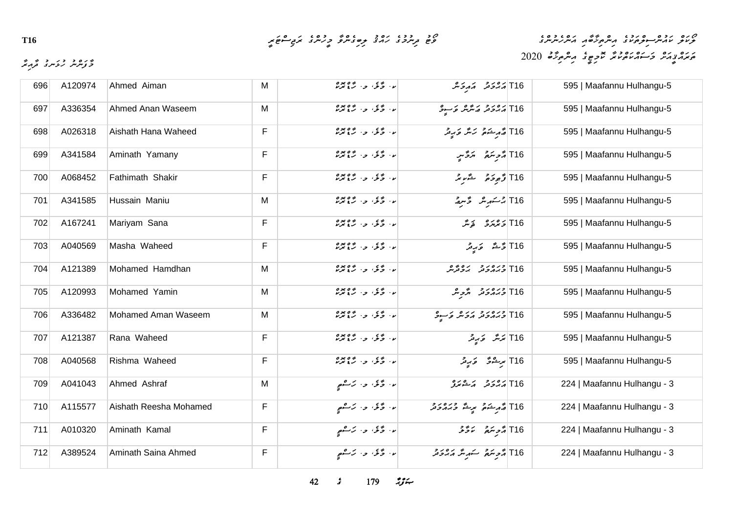*sCw7q7s5w7m< o<n9nOoAw7o< sCq;mAwBoEw7q<m; wBm;vB 2020*<br>*په پوهر وسوډيرونو لومو د موجو د مرمونه* 2020

| 696 | A120974 | Ahmed Aiman            | M           | ر، دې د ريږي.            | T16 <i>בک</i> وتر <i>مُ</i> موَتر                        | 595   Maafannu Hulhangu-5   |
|-----|---------|------------------------|-------------|--------------------------|----------------------------------------------------------|-----------------------------|
| 697 | A336354 | Ahmed Anan Waseem      | M           | لا د څخه د کامونه        | T16 <i>ړُرُدَوَ پَرُسُ وَ-دِوْ</i>                       | 595   Maafannu Hulhangu-5   |
| 698 | A026318 | Aishath Hana Waheed    | F           | ر، دې د ريږه             | T16 م <i>ۇم شەھ كىگ ق</i> ېرى <i>گ</i>                   | 595   Maafannu Hulhangu-5   |
| 699 | A341584 | Aminath Yamany         | F           | ر، دې د ريږده            | T16 مُح <i>مِّسَمُ مَحَ</i> سِ                           | 595   Maafannu Hulhangu-5   |
| 700 | A068452 | Fathimath Shakir       | F           | ر، دې د ريږيوه           | T16 ۇ <sub>جو</sub> رَة <sub>م</sub> ش <sup>ى</sup> رىتر | 595   Maafannu Hulhangu-5   |
| 701 | A341585 | Hussain Maniu          | M           | لا، دې د رجوړه پره       | T16 يُرْسَمب <sup>9</sup> مُحْسِمَة                      | 595   Maafannu Hulhangu-5   |
| 702 | A167241 | Mariyam Sana           | $\mathsf F$ | ر، دې د، دې پره پوه      | T16 كەبىر ئۇنىگە                                         | 595   Maafannu Hulhangu-5   |
| 703 | A040569 | Masha Waheed           | F           | ر، دې د ريږه             | T16 گرشته ت <i>وری</i> ژ                                 | 595   Maafannu Hulhangu-5   |
| 704 | A121389 | Mohamed Hamdhan        | M           | ر، دې د، رُوموه          | T16 <i>ۋىرودى برونۇ</i> تر                               | 595   Maafannu Hulhangu-5   |
| 705 | A120993 | Mohamed Yamin          | M           | ر، دې د ريږي.            | T16  <i>3223 گرونگ</i> ر                                 | 595   Maafannu Hulhangu-5   |
| 706 | A336482 | Mohamed Aman Waseem    | M           | په د څون د رمحه د محمد م | T16 <i>وَبَرُوْدَوْ دَوَسْ وَبِ</i> وْ                   | 595   Maafannu Hulhangu-5   |
| 707 | A121387 | Rana Waheed            | F           | لا، دې د ريږي            |                                                          | 595   Maafannu Hulhangu-5   |
| 708 | A040568 | Rishma Waheed          | F           | ر، دې د ريږه             | T16 مرڪو <i>ق</i> ريقر                                   | 595   Maafannu Hulhangu-5   |
| 709 | A041043 | Ahmed Ashraf           | M           | ر د نځنۍ و رکنده په      | T16 كەبرىق كەش <i>ەترى</i>                               | 224   Maafannu Hulhangu - 3 |
| 710 | A115577 | Aishath Reesha Mohamed | F           | پار گچی کار رک کره مح    | T16 مُرسُمَّة مِيشُّ وَيَرْدُونَرَ                       | 224   Maafannu Hulhangu - 3 |
| 711 | A010320 | Aminath Kamal          | F           | الا المحتى الاستراكيم    | T16 گەج ئىرقى ئىسى قىلىقى ئىسى ئىسى ئ                    | 224   Maafannu Hulhangu - 3 |
| 712 | A389524 | Aminath Saina Ahmed    | F           | ۱۰ وګو، او ۱۰ کرکنني     | T16 مُرجعة سَمدِ مُدَّدَومُر                             | 224   Maafannu Hulhangu - 3 |

## *n8o<n@ qC7m:q5 q7w7m?n>*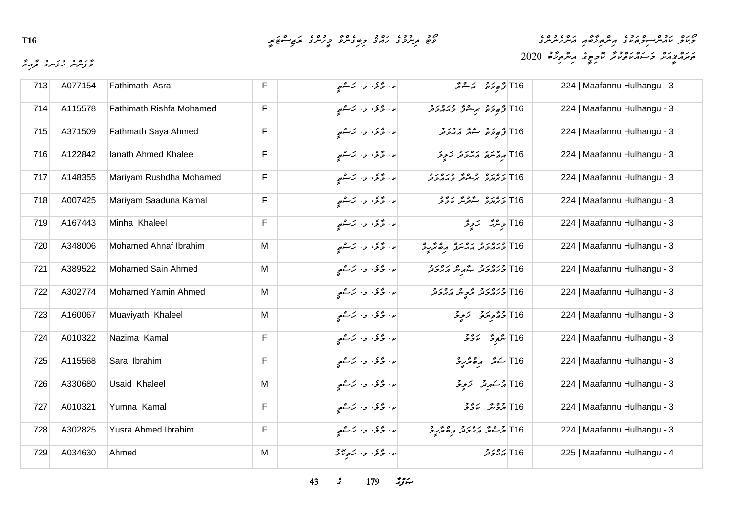*sCw7q7s5w7m< o<n9nOoAw7o< sCq;mAwBoEw7q<m; wBm;vB 2020<sup>, م</sup>وسر در مدد مدرج به مدرم مقرم قرار 2020*<br>موسر المستقرم المستقرم المستقرم المستقرم المستقرم المستقرم المستقرم المستقرم المستقرم المستقرم المستقرم المستقر

| 713 | A077154 | Fathimath Asra           | F | لا : وَكَرْ ) و : رَكْسُمْ إِ | T16 ۇ <sub>جو</sub> رَة <sub>،</sub> كەشق        | 224   Maafannu Hulhangu - 3 |
|-----|---------|--------------------------|---|-------------------------------|--------------------------------------------------|-----------------------------|
| 714 | A115578 | Fathimath Rishfa Mohamed | F | لا : گُرِگْو : الرَّسْمَيْ    | T16 و <i>ُمِودَة برِحْوُدُ وي</i> رورو           | 224   Maafannu Hulhangu - 3 |
| 715 | A371509 | Fathmath Saya Ahmed      | F | الا الحكى الاستكسمي           | T16 رُج <i>وحَة</i> سَنَّةَ م <i>ُ</i> يَحَةَ لِ | 224   Maafannu Hulhangu - 3 |
| 716 | A122842 | lanath Ahmed Khaleel     | F | الا الحكى الاستكسمي           | T16 م <i>ەشتى خەرەنى</i> ئىرى                    | 224   Maafannu Hulhangu - 3 |
| 717 | A148355 | Mariyam Rushdha Mohamed  | F | الا الحجي واكركني             | T16 كوجرمري برحومر كوبرمركر                      | 224   Maafannu Hulhangu - 3 |
| 718 | A007425 | Mariyam Saaduna Kamal    | F | الا الحجي والركب همي          | T16 كەبۇرى ئىقرى <i>گە ئەۋ</i> تۇ                | 224   Maafannu Hulhangu - 3 |
| 719 | A167443 | Minha Khaleel            | F | الا الحكى الاستكسمي           | 116   وِ مَدَّدٌ کَوِ دُ                         | 224   Maafannu Hulhangu - 3 |
| 720 | A348006 | Mohamed Ahnaf Ibrahim    | M | لا : گُرِگْ ) و : كَرَكْسُي   | T16 درورو رورو مقبرة                             | 224   Maafannu Hulhangu - 3 |
| 721 | A389522 | Mohamed Sain Ahmed       | M | لا : گُرِگْو : الرَّسْمَيْ    | T16 <i>وبروبرو بگهرش م</i> روبرو                 | 224   Maafannu Hulhangu - 3 |
| 722 | A302774 | Mohamed Yamin Ahmed      | M | الا الحكى الاستراكيمي         | T16 <i>وبروبرو پر وبر م</i> هروبر                | 224   Maafannu Hulhangu - 3 |
| 723 | A160067 | Muaviyath Khaleel        | M | الا الحجي والركب همي          | T16 <i>وُهُ وِمَرْهُ</i> کَمِرٍ وُ               | 224   Maafannu Hulhangu - 3 |
| 724 | A010322 | Nazima Kamal             | F | الا الحجي والركب همج          | T16 مَّئْمِرَة - مَارَّتْر                       | 224   Maafannu Hulhangu - 3 |
| 725 | A115568 | Sara Ibrahim             | F | پار د مخکې او ، ارکستمبر      | T16 سَتَ مَهْ مِصَمَّرِ فِي                      | 224   Maafannu Hulhangu - 3 |
| 726 | A330680 | <b>Usaid Khaleel</b>     | M | لا : د کلی د از کرهمي         | T16   پر شہر شروتی تریخی<br>م                    | 224   Maafannu Hulhangu - 3 |
| 727 | A010321 | Yumna Kamal              | F | الا الحجي واكركني             | T16 پرونگ برگ نو                                 | 224   Maafannu Hulhangu - 3 |
| 728 | A302825 | Yusra Ahmed Ibrahim      | F | لا : وَكَرْ ) و : رَكْسُمْ إِ | T16 <sub>م</sub> رے پر برو بحد ہے بر بح          | 224   Maafannu Hulhangu - 3 |
| 729 | A034630 | Ahmed                    | M | الأرمح في الأراضي في المعرفي  | T16 يزونه                                        | 225   Maafannu Hulhangu - 4 |
|     |         |                          |   |                               |                                                  |                             |

## *n8o<n@ qC7m:q5 q7w7m?n>*

*43 s* 179  $23$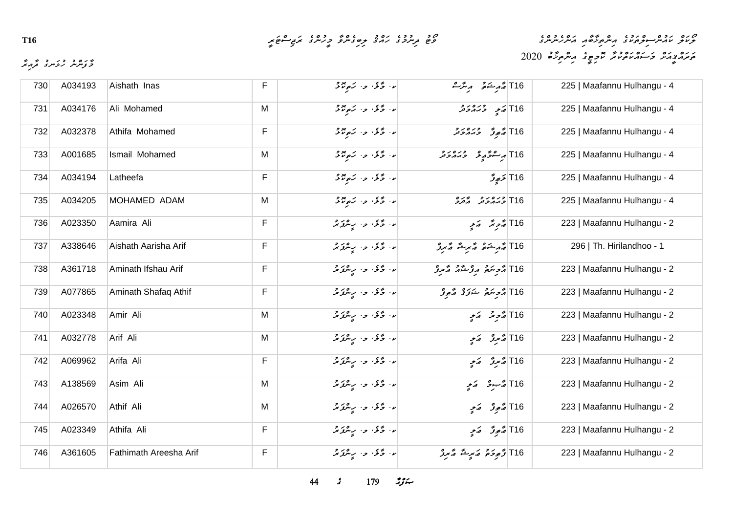*sCw7q7s5w7m< o<n9nOoAw7o< sCq;mAwBoEw7q<m; wBm;vB 2020*<br>*په پوهر وسوډيرونو لومو د موجو د مرمونه* 2020

| 730 | A034193 | Aishath Inas           | F | لا د څخه د رکه لار                  | T16 م <i>مَّدمشقو م</i> تَدَّثَ                                                                      | 225   Maafannu Hulhangu - 4 |
|-----|---------|------------------------|---|-------------------------------------|------------------------------------------------------------------------------------------------------|-----------------------------|
| 731 | A034176 | Ali Mohamed            | M | الا د نځی د ارت <sub>فو</sub> لان   | T16 <i>ھَيِ جُمُحُمَّدُ</i>                                                                          | 225   Maafannu Hulhangu - 4 |
| 732 | A032378 | Athifa Mohamed         | F | پارسی کلی در مرکز در محدود می کند و | T16 مَّ بِوتَرَ حَمَدَ حَمَدَ                                                                        | 225   Maafannu Hulhangu - 4 |
| 733 | A001685 | Ismail Mohamed         | M | الأرمح في الأراضي للمجمع            | T16 م سۇم قىق قايرىم ئىلگەن ئىلگەن ئىلگەن ئىلگەن ئىلگەن ئىلگەن ئىلگەن ئىلگەن ئىلگەن ئىلگەن ئىلگەن قى | 225   Maafannu Hulhangu - 4 |
| 734 | A034194 | Latheefa               | F | لا د څخه د کیږدد                    | T16 تز <i>ې<sub>و</sub>ژ</i>                                                                         | 225   Maafannu Hulhangu - 4 |
| 735 | A034205 | MOHAMED ADAM           | M | لا د څخه د رکه لار                  | T16 <i>وبروبر مح</i> رو                                                                              | 225   Maafannu Hulhangu - 4 |
| 736 | A023350 | Aamira Ali             | F | الا د څخه و اړسود پر                | T16 م <i>حُوبِرٌ مَيْ</i>                                                                            | 223   Maafannu Hulhangu - 2 |
| 737 | A338646 | Aishath Aarisha Arif   | F | الأرتجني والإلكاني                  | T16 مُرمِّسَمَّ مُرَمِّدٌ مُرَمِّرٌ                                                                  | 296   Th. Hirilandhoo - 1   |
| 738 | A361718 | Aminath Ifshau Arif    | F | الا دمجني وا ريتملانز               | T16 مُرجِسَة <i> وِرْحَةُ مُبِرِدْ</i>                                                               | 223   Maafannu Hulhangu - 2 |
| 739 | A077865 | Aminath Shafaq Athif   | F | الا دمجني وا ريتملانژ               | T16 مُرْحِسَمُ شَرَرَ مُگْهُورٌ                                                                      | 223   Maafannu Hulhangu - 2 |
| 740 | A023348 | Amir Ali               | M | الأرتجني والإلكاني                  | T16 م <i>حُوبِرٌ مَ</i> حٍ                                                                           | 223   Maafannu Hulhangu - 2 |
| 741 | A032778 | Arif Ali               | M | ۱۰ د دی. د ۱ په کلام                | T16 م <i>حبوق مک</i> حی                                                                              | 223   Maafannu Hulhangu - 2 |
| 742 | A069962 | Arifa Ali              | F | لا د نځې و رسوړند                   | T16 م <i>حْبِرَّة مَيْ</i>                                                                           | 223   Maafannu Hulhangu - 2 |
| 743 | A138569 | Asim Ali               | M | الا د څخه و اړسود پر                | T16 محسوط م <i>حم</i> ح                                                                              | 223   Maafannu Hulhangu - 2 |
| 744 | A026570 | Athif Ali              | M | الا دمجني الأرسيكريم                | T16 <i>ڇُوڻ چَ</i> مِي                                                                               | 223   Maafannu Hulhangu - 2 |
| 745 | A023349 | Athifa Ali             | F | الأرتجني والإمرون                   | T16 <i>ڇُوڻ ڇَ</i> رِ                                                                                | 223   Maafannu Hulhangu - 2 |
| 746 | A361605 | Fathimath Areesha Arif | F | الا د څخه و اړسود پر                | T16 <i>وُجوحَۃ مَبِ</i> حَّۃ م <i>ُبروْ</i>                                                          | 223   Maafannu Hulhangu - 2 |

## *n8o<n@ qC7m:q5 q7w7m?n>*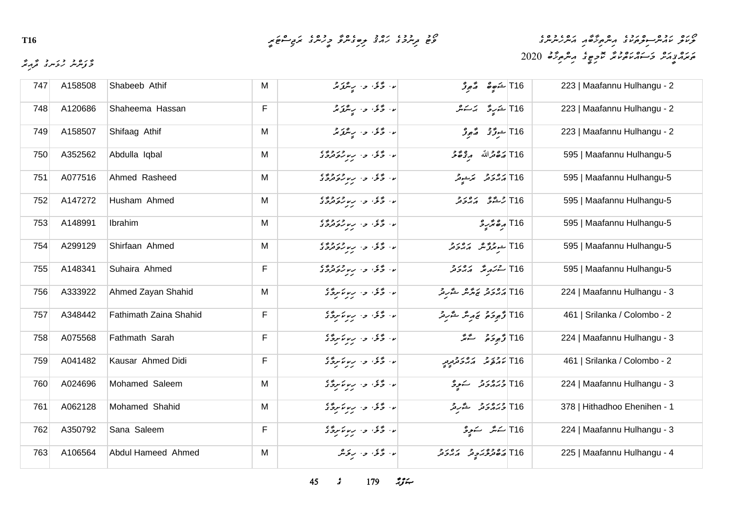*sCw7q7s5w7m< o<n9nOoAw7o< sCq;mAwBoEw7q<m; wBm;vB 2020*<br>*په پوهر وسوډيرونو لومو د موجو د مرمونه* 2020

| 747 | A158508 | Shabeeb Athif          | M | الأرتجني والإمريمي            | T16 شَهِ <i>هُ وُ</i> جُورُ                  | 223   Maafannu Hulhangu - 2  |
|-----|---------|------------------------|---|-------------------------------|----------------------------------------------|------------------------------|
| 748 | A120686 | Shaheema Hassan        | F | الا د نځنۍ او اړسملانک        | T16 حَدرِ حَدَ سَدَ مَد                      | 223   Maafannu Hulhangu - 2  |
| 749 | A158507 | Shifaag Athif          | M | لا : د کمی او او د می مرکز می | T16 جو <i>وڈ گھو</i> ڑ                       | 223   Maafannu Hulhangu - 2  |
| 750 | A352562 | Abdulla Iqbal          | M | ر په نومه د برلانرولوده       | T16 مَ <b>ـُوتَر</b> َاللّه مِقْ <b>صُوْ</b> | 595   Maafannu Hulhangu-5    |
| 751 | A077516 | Ahmed Rasheed          | M | ، د د د رسده د ده             | T16   كەش <sup>ى</sup> رى كىمى سىرىقىدى كىل  | 595   Maafannu Hulhangu-5    |
| 752 | A147272 | Husham Ahmed           | M | ر په نومه د برلانرولوده       | T16 ژشو پزوتر                                | 595   Maafannu Hulhangu-5    |
| 753 | A148991 | Ibrahim                | M | ر د دی د روزوده               | T16 بر <i>ے بڑر</i> و                        | 595   Maafannu Hulhangu-5    |
| 754 | A299129 | Shirfaan Ahmed         | M | ، د د د د روزوده              | T16 خې <i>ترنگ مکرگرم</i> و                  | 595   Maafannu Hulhangu-5    |
| 755 | A148341 | Suhaira Ahmed          | F | لا کمی و را را دوره           | T16 يتزير بم المركز تركيب                    | 595   Maafannu Hulhangu-5    |
| 756 | A333922 | Ahmed Zayan Shahid     | M | ، دُی در روزبردی              | T16 كەش <sup>ى</sup> كە ئەر ئىگەن ئىگەن بىر  | 224   Maafannu Hulhangu - 3  |
| 757 | A348442 | Fathimath Zaina Shahid | F | ، دُی د روویوی                | T16 رُّجِودَة نَمَ مِسَّرَ حَدَّرِيْرَ       | 461   Srilanka / Colombo - 2 |
| 758 | A075568 | Fathmath Sarah         | F | لا د د د رومانزده             | T16 <i>وُّجِ دَمَّة</i> مُسَمَّد             | 224   Maafannu Hulhangu - 3  |
| 759 | A041482 | Kausar Ahmed Didi      | F | ، وی د رسانده                 | T16 <i>مَهُوَّجْهُ مَدْكَ مُ</i> مِيمِرِ     | 461   Srilanka / Colombo - 2 |
| 760 | A024696 | Mohamed Saleem         | M | لا د څخه د رستروند            | T16  <i>3223\$ سَنَوِوْ</i>                  | 224   Maafannu Hulhangu - 3  |
| 761 | A062128 | Mohamed Shahid         | M | الا د د دارلولوړي کال د د د   | T16  <i>3223 مَذْرِقْ</i> ر                  | 378   Hithadhoo Ehenihen - 1 |
| 762 | A350792 | Sana Saleem            | F | لا د څخه د رمړمونونو          | T16   سُعَّر سَمَوِرْ                        | 224   Maafannu Hulhangu - 3  |
| 763 | A106564 | Abdul Hameed Ahmed     | M | الا گی وسرگر                  | T16 كەھەرگەر <i>چەر كەردۇر</i>               | 225   Maafannu Hulhangu - 4  |

## *n8o<n@ qC7m:q5 q7w7m?n>*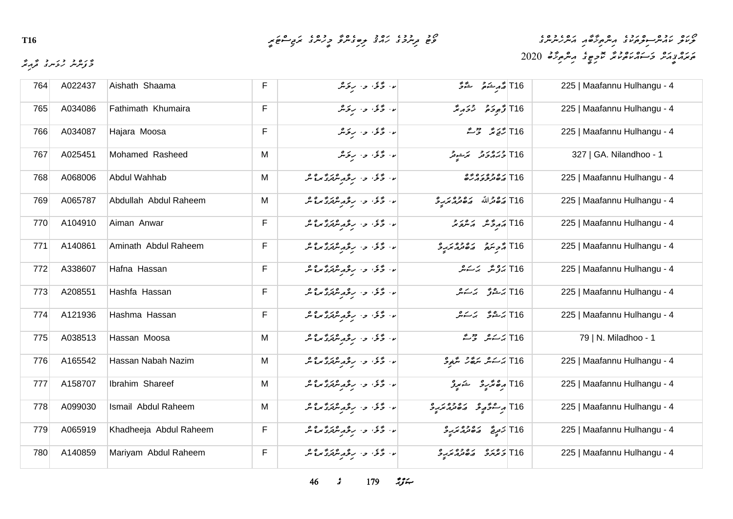*sCw7q7s5w7m< o<n9nOoAw7o< sCq;mAwBoEw7q<m; wBm;vB 2020<sup>, م</sup>وسر در مدد مدرج به مدرم مقرم قرار 2020*<br>موسر المستقرم المستقرم المستقرم المستقرم المستقرم المستقرم المستقرم المستقرم المستقرم المستقرم المستقرم المستقر

| 764 | A022437 | Aishath Shaama         | F | ىر گەنى كەركەش                                                                                                 | T16 م <i>ۇم شۇڭى</i> ھ                   | 225   Maafannu Hulhangu - 4 |
|-----|---------|------------------------|---|----------------------------------------------------------------------------------------------------------------|------------------------------------------|-----------------------------|
| 765 | A034086 | Fathimath Khumaira     | F | ۱۰ د څخه و۰ روګر                                                                                               | T16 ۇ <sub>ج</sub> ورۇ ئەربىگە           | 225   Maafannu Hulhangu - 4 |
| 766 | A034087 | Hajara Moosa           | F | الا دمجني وا رِوَس                                                                                             | $23$ $22$ T16                            | 225   Maafannu Hulhangu - 4 |
| 767 | A025451 | Mohamed Rasheed        | M | ىر گەنى كەرىكى بە                                                                                              | T16  <i>وُيَرُوُوَنَّوْ يَرَجُونَوْ</i>  | 327   GA. Nilandhoo - 1     |
| 768 | A068006 | Abdul Wahhab           | M | ، دُکو، د- رگور موکرد می مگ                                                                                    | T16 رەمز <i>وەرە</i> بى                  | 225   Maafannu Hulhangu - 4 |
| 769 | A065787 | Abdullah Abdul Raheem  | M | لا المحكي المار المحمد من من من من من من من                                                                    | T16 مَصْعَرِ اللّه مَصْعَرْ مُعَبَّدٍ وَ | 225   Maafannu Hulhangu - 4 |
| 770 | A104910 | Aiman Anwar            | F | لا المحكى المار بالمحمد مركز من من مر                                                                          | T16 <i>مَهوَّنْگ مَنْتَوَى</i> مُ        | 225   Maafannu Hulhangu - 4 |
| 771 | A140861 | Aminath Abdul Raheem   | F | لا المحكى المار بالمحمد مركز من من من                                                                          | T16 مُجرِسَعُ مُصْرِمْ مَرِدِ            | 225   Maafannu Hulhangu - 4 |
| 772 | A338607 | Hafna Hassan           | F | لا د څخه د ار ور شمکرد لرو ش                                                                                   | T16 پژنگ پرسکنل                          | 225   Maafannu Hulhangu - 4 |
| 773 | A208551 | Hashfa Hassan          | F | لا المحكي المار المحمد من من من من من من من                                                                    | T16 كەشۇ كە <i>سكەنل</i>                 | 225   Maafannu Hulhangu - 4 |
| 774 | A121936 | Hashma Hassan          | F | لا د څکې د ار لوم شمکرد مرو ش                                                                                  | T16  پَسْوُءٌ پَسَ <i>دُ</i> رٌ          | 225   Maafannu Hulhangu - 4 |
| 775 | A038513 | Hassan Moosa           | M | لا د څکې د ار لوم شمکرد مرو ش                                                                                  | $23$ $22/116$                            | 79   N. Miladhoo - 1        |
| 776 | A165542 | Hassan Nabah Nazim     | M | ، ۇق دا بەھمەھەر مەس                                                                                           | T16   يَرْسَسْ سَهَّرْ سُهْدِرْ          | 225   Maafannu Hulhangu - 4 |
| 777 | A158707 | Ibrahim Shareef        | M | لا المحكى المار بالمحمد مركز من من مر                                                                          | T16 ب <i>رھ مُربِ</i> حُسَبِ وَ          | 225   Maafannu Hulhangu - 4 |
| 778 | A099030 | Ismail Abdul Raheem    | M | ر کال دار کرد به کال کال کال کال کرد کال کرد کال کرد کال کرد کال کرد کال کرد کال کرد کال کرد کال کرد کال کرد ک | T16 م شۇم بۇ مەمەمدىر ۋ                  | 225   Maafannu Hulhangu - 4 |
| 779 | A065919 | Khadheeja Abdul Raheem | F | لا د څخه د ريوم شمره مروند                                                                                     | T16 زَمَرِيَّ صَرَّهُ بَرَبِرَ وَ        | 225   Maafannu Hulhangu - 4 |
| 780 | A140859 | Mariyam Abdul Raheem   | F | لا المحكى المار بالمحمد مركز من من مر                                                                          | T16 <i>كاندگرى مەھەمەتب</i> رى           | 225   Maafannu Hulhangu - 4 |

## *n8o<n@ qC7m:q5 q7w7m?n>*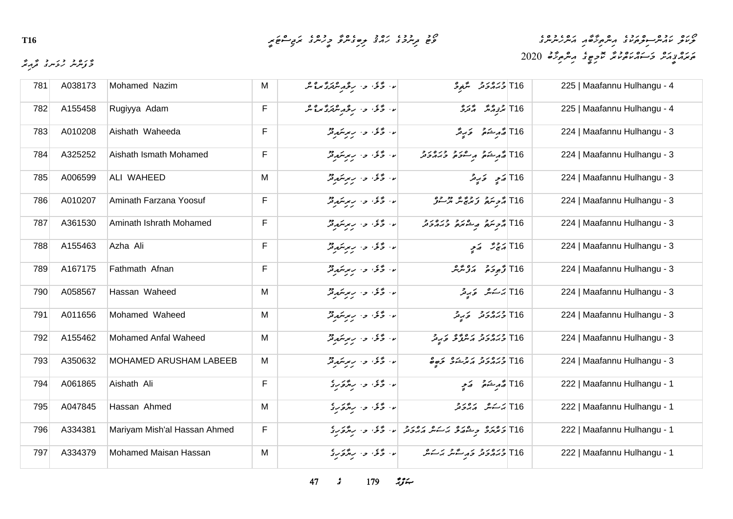*sCw7q7s5w7m< o<n9nOoAw7o< sCq;mAwBoEw7q<m; wBm;vB 2020*<br>*په پوهر وسوډيرونو لومو د موجو د مرمونه* 2020

| A038173 | Mohamed Nazim                 | M           | لا : 33، و ا باقهام مرکز گامی مر                                                     |                                                                                                                                                        |                                                                                                                                                                                                                                                                                                                                                                                                                                              | 225   Maafannu Hulhangu - 4                                                                                                                                                                                                                                                                                                                                                                                                                                                                                                                                                                               |
|---------|-------------------------------|-------------|--------------------------------------------------------------------------------------|--------------------------------------------------------------------------------------------------------------------------------------------------------|----------------------------------------------------------------------------------------------------------------------------------------------------------------------------------------------------------------------------------------------------------------------------------------------------------------------------------------------------------------------------------------------------------------------------------------------|-----------------------------------------------------------------------------------------------------------------------------------------------------------------------------------------------------------------------------------------------------------------------------------------------------------------------------------------------------------------------------------------------------------------------------------------------------------------------------------------------------------------------------------------------------------------------------------------------------------|
| A155458 | Rugiyya Adam                  | F           |                                                                                      |                                                                                                                                                        |                                                                                                                                                                                                                                                                                                                                                                                                                                              | 225   Maafannu Hulhangu - 4                                                                                                                                                                                                                                                                                                                                                                                                                                                                                                                                                                               |
| A010208 | Aishath Waheeda               | F           |                                                                                      |                                                                                                                                                        |                                                                                                                                                                                                                                                                                                                                                                                                                                              | 224   Maafannu Hulhangu - 3                                                                                                                                                                                                                                                                                                                                                                                                                                                                                                                                                                               |
| A325252 | Aishath Ismath Mohamed        | F           |                                                                                      |                                                                                                                                                        |                                                                                                                                                                                                                                                                                                                                                                                                                                              | 224   Maafannu Hulhangu - 3                                                                                                                                                                                                                                                                                                                                                                                                                                                                                                                                                                               |
| A006599 | ALI WAHEED                    | M           | لا د څکې د رېرسگړنگر                                                                 |                                                                                                                                                        |                                                                                                                                                                                                                                                                                                                                                                                                                                              | 224   Maafannu Hulhangu - 3                                                                                                                                                                                                                                                                                                                                                                                                                                                                                                                                                                               |
| A010207 | Aminath Farzana Yoosuf        | F           | ما المحتى الأس برسكرفر                                                               |                                                                                                                                                        |                                                                                                                                                                                                                                                                                                                                                                                                                                              | 224   Maafannu Hulhangu - 3                                                                                                                                                                                                                                                                                                                                                                                                                                                                                                                                                                               |
| A361530 | Aminath Ishrath Mohamed       | F           |                                                                                      |                                                                                                                                                        |                                                                                                                                                                                                                                                                                                                                                                                                                                              | 224   Maafannu Hulhangu - 3                                                                                                                                                                                                                                                                                                                                                                                                                                                                                                                                                                               |
| A155463 | Azha Ali                      | $\mathsf F$ | ، دُی د ریز شده.                                                                     |                                                                                                                                                        |                                                                                                                                                                                                                                                                                                                                                                                                                                              | 224   Maafannu Hulhangu - 3                                                                                                                                                                                                                                                                                                                                                                                                                                                                                                                                                                               |
| A167175 | Fathmath Afnan                | F           | ، دُی د ریز شهر                                                                      |                                                                                                                                                        |                                                                                                                                                                                                                                                                                                                                                                                                                                              | 224   Maafannu Hulhangu - 3                                                                                                                                                                                                                                                                                                                                                                                                                                                                                                                                                                               |
| A058567 | Hassan Waheed                 | M           | ۱۰ د څکې د رېرسمدنگ                                                                  |                                                                                                                                                        |                                                                                                                                                                                                                                                                                                                                                                                                                                              | 224   Maafannu Hulhangu - 3                                                                                                                                                                                                                                                                                                                                                                                                                                                                                                                                                                               |
| A011656 | Mohamed Waheed                | M           | ما المحكى الأس برسكردنى                                                              |                                                                                                                                                        |                                                                                                                                                                                                                                                                                                                                                                                                                                              | 224   Maafannu Hulhangu - 3                                                                                                                                                                                                                                                                                                                                                                                                                                                                                                                                                                               |
| A155462 | Mohamed Anfal Waheed          | M           |                                                                                      |                                                                                                                                                        |                                                                                                                                                                                                                                                                                                                                                                                                                                              | 224   Maafannu Hulhangu - 3                                                                                                                                                                                                                                                                                                                                                                                                                                                                                                                                                                               |
| A350632 | <b>MOHAMED ARUSHAM LABEEB</b> | M           |                                                                                      |                                                                                                                                                        |                                                                                                                                                                                                                                                                                                                                                                                                                                              | 224   Maafannu Hulhangu - 3                                                                                                                                                                                                                                                                                                                                                                                                                                                                                                                                                                               |
| A061865 | Aishath Ali                   | F           | لا : وَ وَ اللَّهُ وَ اللَّهُ وَاللَّهِ وَ اللَّهِ وَاللَّهِ وَ اللَّهِ وَاللَّهِ وَ |                                                                                                                                                        |                                                                                                                                                                                                                                                                                                                                                                                                                                              | 222   Maafannu Hulhangu - 1                                                                                                                                                                                                                                                                                                                                                                                                                                                                                                                                                                               |
| A047845 | Hassan Ahmed                  | M           | لا د څخه د په پروکړي                                                                 |                                                                                                                                                        |                                                                                                                                                                                                                                                                                                                                                                                                                                              | 222   Maafannu Hulhangu - 1                                                                                                                                                                                                                                                                                                                                                                                                                                                                                                                                                                               |
| A334381 | Mariyam Mish'al Hassan Ahmed  | $\mathsf F$ |                                                                                      |                                                                                                                                                        |                                                                                                                                                                                                                                                                                                                                                                                                                                              | 222   Maafannu Hulhangu - 1                                                                                                                                                                                                                                                                                                                                                                                                                                                                                                                                                                               |
| A334379 | Mohamed Maisan Hassan         | M           |                                                                                      |                                                                                                                                                        |                                                                                                                                                                                                                                                                                                                                                                                                                                              | 222   Maafannu Hulhangu - 1                                                                                                                                                                                                                                                                                                                                                                                                                                                                                                                                                                               |
|         |                               |             |                                                                                      | $\left  \begin{array}{ccc} \mathbf{v} & \mathbf{v} & \mathbf{v} & \mathbf{v} \\ \mathbf{v} & \mathbf{v} & \mathbf{v} & \mathbf{v} \end{array} \right $ | ، دُی د ریز شرقه<br>  لا المحتى الأس برسكرونش<br>  لا المحتى الأس برسكرون<br> ، دُکی د· ربر شمرش<br>$\mathcal{L}(\mathcal{L}(\mathcal{L}))$ ، د کار میں کرونز کی<br>$\left  \begin{array}{cc} \mathbf{c} & \mathbf{c} & \mathbf{c} \end{array} \right $ ر و المحمد المعرف المحمد المعرف المحمد المحمد المحمد المحمد المحمد المحمد المحمد المحمد المحمد المحمد المحمد المحمد المحمد المحمد المحمد المحمد المحمد المحمد المحمد المحمد المحمد ا | T16  <i>3223\$ سُمُود</i><br>T16 بُرۡتِہُ پُر مُسَ کَرَ مُ<br>T16 مَگْرِسْتَمْ وَرِمَّدُ<br>T16 مەم شەھ بەسىم <i>قەمەم</i> دىر<br>T16 کړ <i>و وکړ</i> و<br>T16 مُ <i>جِسْعِهْ وَ بِرْبِيَ مَرَّ مِرْسَوْ</i><br>T16 مُرْجِسَمُ مِشْمَعِ وَبِرُورُو "<br>T16 پر پچ گھ پی ج<br>T16 <i>وَّجِ حَقَّ مَوْ</i> شَ <i>بْرُ مَّا</i><br>T16  زستانگر او تاریخر<br>T16 <i>\$222 مَرِينْ</i><br>T16 <i>وَبَرُوْدَوْ مَسْرُّوْ وَب</i> ِيْر<br>T16 ورەرو روپرە كەھ<br>T16 مُگهِ شَمَعٌ مَگَرِ<br>T16 يَرْسَعْرُ مَدْوَمْرُ<br>T16 زەرە بەشھەر ئەسەش مەدرە باشكى باشكەر<br>T16 <i>دې د دې</i> خ <sub>م</sub> رگس ټرگس |

## *n8o<n@ qC7m:q5 q7w7m?n>*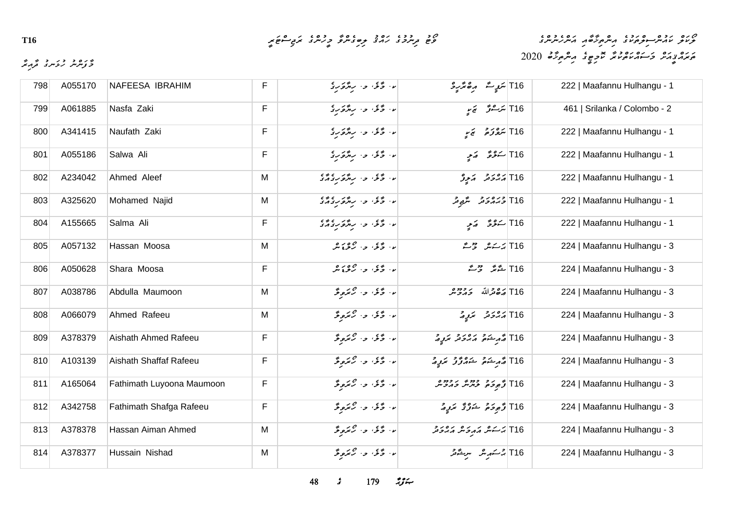*sCw7q7s5w7m< o<n9nOoAw7o< sCq;mAwBoEw7q<m; wBm;vB 2020<sup>, م</sup>وسوق المسجد التحقيق وسرمونية والم*جمع المسجد المسجد المسجد المسجد المسجد المسجد المسجد المسجد المسجد ال

#### *n8o<n@ qC7m:q5 q7w7m?n>*

| 798 | A055170 | NAFEESA IBRAHIM           | F           | لا : د د کال د ارتگار کال ا                                                                                   | T16 <i>سَمِيتَ م</i> ِ صَمَّرِ وَ                                                                              | 222   Maafannu Hulhangu - 1  |
|-----|---------|---------------------------|-------------|---------------------------------------------------------------------------------------------------------------|----------------------------------------------------------------------------------------------------------------|------------------------------|
| 799 | A061885 | Nasfa Zaki                | F           | الا د څخه د رنگورئ                                                                                            | T16 سرشور پچ په                                                                                                | 461   Srilanka / Colombo - 2 |
| 800 | A341415 | Naufath Zaki              | F           | الا د د د . به د د د د د                                                                                      | T16 يىق <i>ۇق تى</i> ر                                                                                         | 222   Maafannu Hulhangu - 1  |
| 801 | A055186 | Salwa Ali                 | F           | الأستحق والبردة وردي                                                                                          | T16  ستورتم - م <i>زم</i> ح                                                                                    | 222   Maafannu Hulhangu - 1  |
| 802 | A234042 | Ahmed Aleef               | M           | ۱۰ د د . د . باره د .                                                                                         | T16 كەنزى كەرى                                                                                                 | 222   Maafannu Hulhangu - 1  |
| 803 | A325620 | Mohamed Najid             | M           | لا د څو د په ده ده ده                                                                                         | T16 وُبَرُدُونَرُ سَمَّهِ مُرْ                                                                                 | 222   Maafannu Hulhangu - 1  |
| 804 | A155665 | Salma Ali                 | F           | الا و و المحمد المحمد المحمد المحمد المحمد المحمد المحمد المحمد المحمد المحمد المحمد المحمد المحمد المحمد     | T16 سَنَوْءٌ     رَبِّ                                                                                         | 222   Maafannu Hulhangu - 1  |
| 805 | A057132 | Hassan Moosa              | M           | لا کامی کا محیط کامل کامل کامل کرده کامل کرده کامل کرده کامل کرده کامل کرده کامل کرد کامل کردید کامل کردید کا | T16 زىنىڭ تۆسىگە                                                                                               | 224   Maafannu Hulhangu - 3  |
| 806 | A050628 | Shara Moosa               | F           | لا د څکې د کولونک                                                                                             | $23$ $22$ T16                                                                                                  | 224   Maafannu Hulhangu - 3  |
| 807 | A038786 | Abdulla Maumoon           | M           | الا د گاگا و ار گاگان گا                                                                                      | T16 كەھەراللە ئەدەمىر                                                                                          | 224   Maafannu Hulhangu - 3  |
| 808 | A066079 | Ahmed Rafeeu              | M           | $\stackrel{2}{\sim}$ ، د د را را برگرو گر                                                                     | T16  پَرُوُتَرُ کَرَوِیْ                                                                                       | 224   Maafannu Hulhangu - 3  |
| 809 | A378379 | Aishath Ahmed Rafeeu      | F           | $\mathcal{Z}(\mathcal{Z}) \cong \mathcal{Z}(\mathcal{Z})$ .                                                   | T16 مُصِحَم مَرْدَدَ مَرْدٍ مُ                                                                                 | 224   Maafannu Hulhangu - 3  |
| 810 | A103139 | Aishath Shaffaf Rafeeu    | F           |                                                                                                               | T16 مەم شىرە ئەرەپچە تەرەپىيە بىر ئەرەپتە ئەرەپتە ئەرەپتە ئەرەپتە ئەرەپتە ئەرەپتە ئەرەپتە ئەرەپتە ئەرەپتە ئەرە | 224   Maafannu Hulhangu - 3  |
| 811 | A165064 | Fathimath Luyoona Maumoon | F           | لا - 3 كى - 3 كىرى 3                                                                                          | T16 ژ <sub>م</sub> وده درور دروه                                                                               | 224   Maafannu Hulhangu - 3  |
| 812 | A342758 | Fathimath Shafga Rafeeu   | $\mathsf F$ |                                                                                                               | T16 <i>وَّجِ دَمَّة حَوْثَ</i> بَرَوِيْرَ                                                                      | 224   Maafannu Hulhangu - 3  |
| 813 | A378378 | Hassan Aiman Ahmed        | M           | $\sim$ وَگَرَ، و $\sim$ مَرَوگَ                                                                               | T16 يَرْسَسْ مَ <sub>م</sub> رِى مَد مَدْوَمْرَ                                                                | 224   Maafannu Hulhangu - 3  |
| 814 | A378377 | Hussain Nishad            | M           | $\mathcal{Z}(\mathcal{Z})$ ، د کريمونځ                                                                        | T16 کرکٹریٹر سرینگٹر                                                                                           | 224   Maafannu Hulhangu - 3  |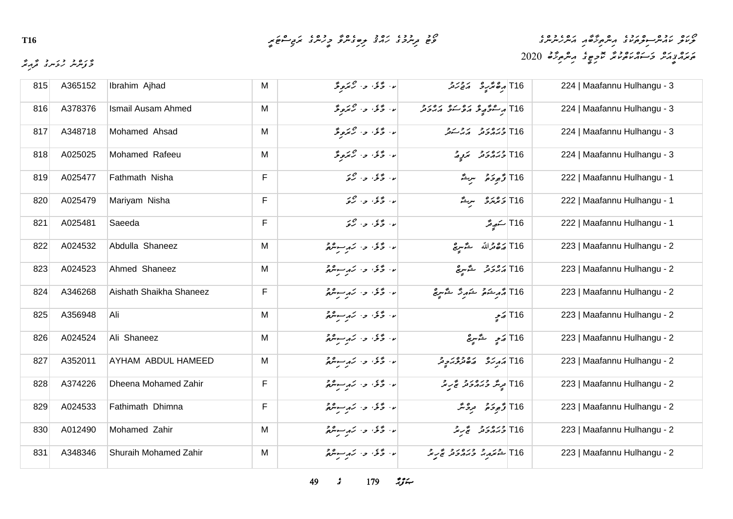*sCw7q7s5w7m< o<n9nOoAw7o< sCq;mAwBoEw7q<m; wBm;vB* م من المرة المرة المرة المرجع المرجع في المركبة 2020<br>مجم*د المريض المربوط المربع المرجع في المراجع المركبة* 

| 815 | A365152 | Ibrahim Ajhad           | M           | الا د د د ان را د کرد د کار                                                                       | T16 م <i>ِیڠتَرِیدْ مَفتح</i> تر              | 224   Maafannu Hulhangu - 3 |
|-----|---------|-------------------------|-------------|---------------------------------------------------------------------------------------------------|-----------------------------------------------|-----------------------------|
| 816 | A378376 | Ismail Ausam Ahmed      | M           | بار گەنگە وراگەتكەنگە                                                                             | T16 <sub>م</sub> ر ش <i>ۇرۇ خۇسكى مەدرە</i> ر | 224   Maafannu Hulhangu - 3 |
| 817 | A348718 | Mohamed Ahsad           | M           | $\mathcal{Z}(\mathcal{Z}) \cong \mathcal{Z}(\mathcal{Z})$ .                                       | T16 دېم دي د برخت ته ک                        | 224   Maafannu Hulhangu - 3 |
| 818 | A025025 | Mohamed Rafeeu          | M           | $\mathcal{Z}(\mathcal{Z})$ ، د را مرکزه گر                                                        | T16 <i>\$نەمۇمۇسىرى</i> م                     | 224   Maafannu Hulhangu - 3 |
| 819 | A025477 | Fathmath Nisha          | $\mathsf F$ | لا، دېڅو، د کار                                                                                   | T16 <i>وُمودَة</i> سِٹَ                       | 222   Maafannu Hulhangu - 1 |
| 820 | A025479 | Mariyam Nisha           | F           | لا د محکې د کړې                                                                                   | T16 كى <i>ئەنگە ئى</i> رىشى بىر               | 222   Maafannu Hulhangu - 1 |
| 821 | A025481 | Saeeda                  | $\mathsf F$ | الا د محکې او د کري                                                                               | T16 شەپىر                                     | 222   Maafannu Hulhangu - 1 |
| 822 | A024532 | Abdulla Shaneez         | M           | لا د محکي د زم سوهي                                                                               | T16 مَرْحْمَّرْاللَّهُ شَّمَّسِيْحْ           | 223   Maafannu Hulhangu - 2 |
| 823 | A024523 | Ahmed Shaneez           | M           | لا د محکي د زم سوهي                                                                               | T16 كەش <b>كەتى</b> شەھىرى                    | 223   Maafannu Hulhangu - 2 |
| 824 | A346268 | Aishath Shaikha Shaneez | F           | الا دمجني والكرسوسي                                                                               | T16 مُرمِسَمُو سَمَعِرْ شَمْسِيْنَ            | 223   Maafannu Hulhangu - 2 |
| 825 | A356948 | Ali                     | M           | لا : 33، و الكهر سوره 2                                                                           | 716  پی موٍ                                   | 223   Maafannu Hulhangu - 2 |
| 826 | A024524 | Ali Shaneez             | M           | لا : د محمد الله عن الله عن الله و المحمد و الله و الله و الله و الله و الله و الله و الله و الله | T16 <i>ڇُوِ ڪُمپي</i>                         | 223   Maafannu Hulhangu - 2 |
| 827 | A352011 | AYHAM ABDUL HAMEED      | M           | لا د محکي د که سوهي                                                                               | T16 <i>גَوְرَدْ • مَەڤورْبِرَوِي</i> ْرَ      | 223   Maafannu Hulhangu - 2 |
| 828 | A374226 | Dheena Mohamed Zahir    | $\mathsf F$ | لا : د د کال الله الله عليه الله د الله د الله د                                                  | T16 مرین <i>گ ڈیزودو تاریز</i>                | 223   Maafannu Hulhangu - 2 |
| 829 | A024533 | Fathimath Dhimna        | $\mathsf F$ | لا د محکي د زمان شهر                                                                              | T16 <i>وَّجِ حَيْ</i> مِرْحَمَّد              | 223   Maafannu Hulhangu - 2 |
| 830 | A012490 | Mohamed Zahir           | M           | لا : د د کار سوسره د                                                                              | T16 <i>ڈیز پڑج تج ب</i>                       | 223   Maafannu Hulhangu - 2 |
| 831 | A348346 | Shuraih Mohamed Zahir   | M           | لا د محکمه د ار کار سوهای                                                                         | T16 شىمدىك ئەمەدىرى ئىرىم                     | 223   Maafannu Hulhangu - 2 |
|     |         |                         |             |                                                                                                   |                                               |                             |

*n8o<n@ qC7m:q5 q7w7m?n>*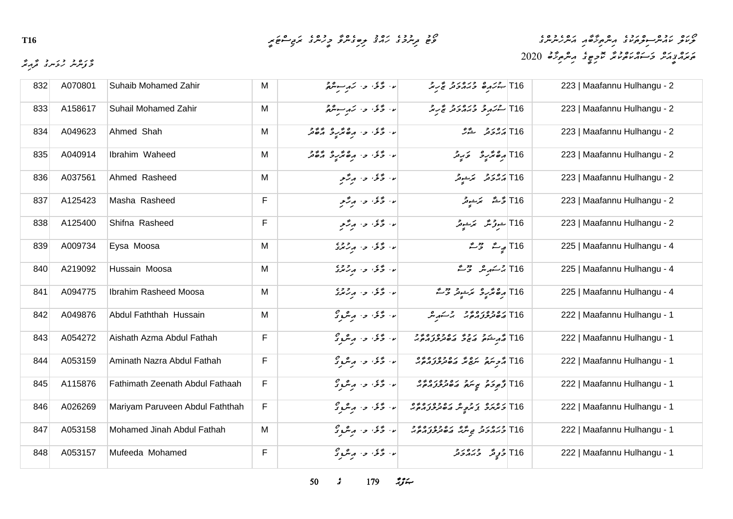*sCw7q7s5w7m< o<n9nOoAw7o< sCq;mAwBoEw7q<m; wBm;vB 2020*<br>*په پوهر وسوډيرونو لومو د موجو د مرمونه* 2020

| 832 | A070801 | Suhaib Mohamed Zahir            | M           | لا : د د کال الله الله عليه الله د الله د الله د                                                                                                                                                                                                                                                                          | T16 بەزىرە ئەبەر ئەر ئارىم                                            | 223   Maafannu Hulhangu - 2 |
|-----|---------|---------------------------------|-------------|---------------------------------------------------------------------------------------------------------------------------------------------------------------------------------------------------------------------------------------------------------------------------------------------------------------------------|-----------------------------------------------------------------------|-----------------------------|
| 833 | A158617 | Suhail Mohamed Zahir            | M           | لا المحتى والكرسوسي                                                                                                                                                                                                                                                                                                       | T16 لـ <i>ـُمْدَمِ وْ دُمُ</i> دْدَنْدْ يَحْرِيْرُ                    | 223   Maafannu Hulhangu - 2 |
| 834 | A049623 | Ahmed Shah                      | M           | $\begin{bmatrix} 2 & 2 & 2 & 0 & 2 & 0 \\ 0 & 2 & 2 & 2 & 0 & 0 \\ 0 & 0 & 0 & 2 & 2 & 0 \\ 0 & 0 & 0 & 0 & 0 & 0 \\ 0 & 0 & 0 & 0 & 0 & 0 \\ 0 & 0 & 0 & 0 & 0 & 0 \\ 0 & 0 & 0 & 0 & 0 & 0 \\ 0 & 0 & 0 & 0 & 0 & 0 \\ 0 & 0 & 0 & 0 & 0 & 0 \\ 0 & 0 & 0 & 0 & 0 & 0 \\ 0 & 0 & 0 & 0 & 0 & 0 \\ 0 & 0 & 0 & 0 & 0 & $ | T16 كەنزى ھەر                                                         | 223   Maafannu Hulhangu - 2 |
| 835 | A040914 | Ibrahim Waheed                  | M           | ر و د ده بره بر د ده د د                                                                                                                                                                                                                                                                                                  | T16 <sub>م</sub> ەنگەر ئ <i>ەبەت</i> ر                                | 223   Maafannu Hulhangu - 2 |
| 836 | A037561 | Ahmed Rasheed                   | M           | ، دُبْنَ دا دِرْمَوِ                                                                                                                                                                                                                                                                                                      | T16   كەش <sup>ى</sup> ر كىم بىر كىلىنىش ئىشتىر ئىشتى ئىشتى ئىشتى كىل | 223   Maafannu Hulhangu - 2 |
| 837 | A125423 | Masha Rasheed                   | F           | الا د نځنۍ او اورنګو                                                                                                                                                                                                                                                                                                      | T16 گرشہ تر <sub>شو</sub> تر                                          | 223   Maafannu Hulhangu - 2 |
| 838 | A125400 | Shifna Rasheed                  | F           | الا د څخه د اورشو                                                                                                                                                                                                                                                                                                         | T16 حوثر مگر میں میں تھا۔<br>16                                       | 223   Maafannu Hulhangu - 2 |
| 839 | A009734 | Eysa Moosa                      | M           | ر، وَکَیْ وَ مِرْمَوَی                                                                                                                                                                                                                                                                                                    | $\mathcal{L}$ پر محمد حس                                              | 225   Maafannu Hulhangu - 4 |
| 840 | A219092 | Hussain Moosa                   | M           | ر، وګڼ و مرمون                                                                                                                                                                                                                                                                                                            | T16 پرڪ <sub>يمب</sub> ر وحيد                                         | 225   Maafannu Hulhangu - 4 |
| 841 | A094775 | Ibrahim Rasheed Moosa           | M           | لاستحق وسمائعه                                                                                                                                                                                                                                                                                                            | T16 <sub>م</sub> ەنگەر تكەنپەتر ۋىگە                                  | 225   Maafannu Hulhangu - 4 |
| 842 | A049876 | Abdul Faththah Hussain          | M           | پار دمجنۍ او او مرغونو                                                                                                                                                                                                                                                                                                    | T16 رەپرەرەپر ب <sub>ە</sub> ركىرىش                                   | 222   Maafannu Hulhangu - 1 |
| 843 | A054272 | Aishath Azma Abdul Fathah       | F           | پارسخوا دا مانندوی                                                                                                                                                                                                                                                                                                        | T16 <i>مەم شىم مەمۇرە بوھەدە بو</i>                                   | 222   Maafannu Hulhangu - 1 |
| 844 | A053159 | Aminath Nazra Abdul Fathah      | F           | پار د محمد کار مرسموند ک                                                                                                                                                                                                                                                                                                  | T16 څو شرح شرح پر محصو <del>د د ده د</del>                            | 222   Maafannu Hulhangu - 1 |
| 845 | A115876 | Fathimath Zeenath Abdul Fathaah | $\mathsf F$ | مار محرمي الارس مرسمومي                                                                                                                                                                                                                                                                                                   | T16 ژُب <i>وِ دَه پی سَهْ م</i> ُه <i>مُروزو م</i> ُه د               | 222   Maafannu Hulhangu - 1 |
| 846 | A026269 | Mariyam Paruveen Abdul Faththah | F           | پارستخت دار مرسمع ک                                                                                                                                                                                                                                                                                                       | T16 ځمه <i>ده بر چې مې م</i> ه مورومونه                               | 222   Maafannu Hulhangu - 1 |
| 847 | A053158 | Mohamed Jinah Abdul Fathah      | M           |                                                                                                                                                                                                                                                                                                                           | T16 دره دو په ده ده ده ده دو است وی د ارس و                           | 222   Maafannu Hulhangu - 1 |
| 848 | A053157 | Mufeeda Mohamed                 | F           | پار د څخه او با مرسمونو                                                                                                                                                                                                                                                                                                   | T16   <i>3ي قرق جن</i> م <i>23 قر</i>                                 | 222   Maafannu Hulhangu - 1 |
|     |         |                                 |             |                                                                                                                                                                                                                                                                                                                           |                                                                       |                             |

*n8o<n@ qC7m:q5 q7w7m?n>*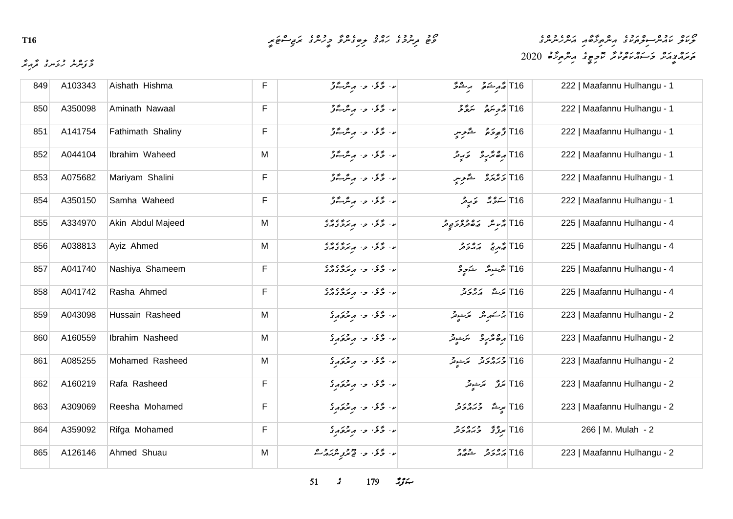*sCw7q7s5w7m< o<n9nOoAw7o< sCq;mAwBoEw7q<m; wBm;vB 2020<sup>, م</sup>وسر در مدد مدرج به مدرم مقرم قرار 2020*<br>موسر المستقرم المستقرم المستقرم المستقرم المستقرم المستقرم المستقرم المستقرم المستقرم المستقرم المستقرم المستقر

| 849 | A103343 | Aishath Hishma    | F | الا د څخه د اولرنگو                                                                                                           | T16 مَّەمِشَى بِرِ شَرَّ                             | 222   Maafannu Hulhangu - 1 |
|-----|---------|-------------------|---|-------------------------------------------------------------------------------------------------------------------------------|------------------------------------------------------|-----------------------------|
| 850 | A350098 | Aminath Nawaal    | F | الا د نځو او او مرسود                                                                                                         | T16 مُّحِسَمُ سَمَّعْ                                | 222   Maafannu Hulhangu - 1 |
| 851 | A141754 | Fathimath Shaliny | F | الا د کمکی او ا مرکز کرد                                                                                                      | T16 ر <i>ُّڄِوَةُ</i> شَّعِسِ                        | 222   Maafannu Hulhangu - 1 |
| 852 | A044104 | Ibrahim Waheed    | M | الا د کمکی او ا مرکز کرد                                                                                                      | T16 م <i>وڭ ئۇي</i> رۇ ھەرىتر                        | 222   Maafannu Hulhangu - 1 |
| 853 | A075682 | Mariyam Shalini   | F | لا د څو د او پرس                                                                                                              | T16 كەيمەنى ھەمبىر                                   | 222   Maafannu Hulhangu - 1 |
| 854 | A350150 | Samha Waheed      | F | الا د څخه د اولرنگو                                                                                                           | T16 س <i>ترة بم ق</i> ديم                            | 222   Maafannu Hulhangu - 1 |
| 855 | A334970 | Akin Abdul Majeed | M | ۱۰ وی. د. مغرفردری                                                                                                            | T16 م <i>ۇيومۇ مەھەردى ي</i> ومۇ                     | 225   Maafannu Hulhangu - 4 |
| 856 | A038813 | Ayiz Ahmed        | M | $\frac{c}{c}$ , $\frac{c}{c}$ , $\frac{c}{c}$ , $\frac{c}{c}$ , $\frac{c}{c}$ , $\frac{c}{c}$ , $\frac{c}{c}$ , $\frac{c}{c}$ | T16 مُگهريج م <i>مرد څ</i> و                         | 225   Maafannu Hulhangu - 4 |
| 857 | A041740 | Nashiya Shameem   | F | $\frac{c}{c}$ , $\frac{c}{c}$ , $\frac{c}{c}$ , $\frac{c}{c}$ , $\frac{c}{c}$ , $\frac{c}{c}$ , $\frac{c}{c}$ , $\frac{c}{c}$ | T16 سُرْجِيمٌ     حَرَجِ \$                          | 225   Maafannu Hulhangu - 4 |
| 858 | A041742 | Rasha Ahmed       | F | ۱۰ وگی و مرکزوری                                                                                                              | T16 يَرْئَدُ     بَرْرُوَبْرُ                        | 225   Maafannu Hulhangu - 4 |
| 859 | A043098 | Hussain Rasheed   | M | ۱۰ د دی. د امريزواری                                                                                                          | T16   پرستہر شر سمزشور تھر<br>ا                      | 223   Maafannu Hulhangu - 2 |
| 860 | A160559 | Ibrahim Nasheed   | M | ، د د د و پروود                                                                                                               | T16 <sub>مر</sub> ھ <i>مگرچ</i> و سمجھ مگر           | 223   Maafannu Hulhangu - 2 |
| 861 | A085255 | Mohamed Rasheed   | M | ۱۰ د څو، د اوبرووړي                                                                                                           | T16  <i>وُبَہُ وَمَدْ</i> بَرَ <sub>ّسُوِمُ</sub> رُ | 223   Maafannu Hulhangu - 2 |
| 862 | A160219 | Rafa Rasheed      | F | ۱۰ د د د اربرورد                                                                                                              | T16 تروٌ ترجوترُ                                     | 223   Maafannu Hulhangu - 2 |
| 863 | A309069 | Reesha Mohamed    | F | ۱۰ د دی. د امريزوگرد                                                                                                          | T16 برِتْہٗ     ڈِرُدُدَتَرُ                         | 223   Maafannu Hulhangu - 2 |
| 864 | A359092 | Rifga Mohamed     | F | ۱۰ د دی. د امروز د                                                                                                            | T16 بروتى ت <i>ورودو</i> تر                          | 266   M. Mulah - 2          |
| 865 | A126146 | Ahmed Shuau       | M | ر، د څخه د او د وروسته شو                                                                                                     | $222 - 222$ $-16$                                    | 223   Maafannu Hulhangu - 2 |

## *n8o<n@ qC7m:q5 q7w7m?n>*

 $51$  *s*  $179$  *i*<sub>s</sub>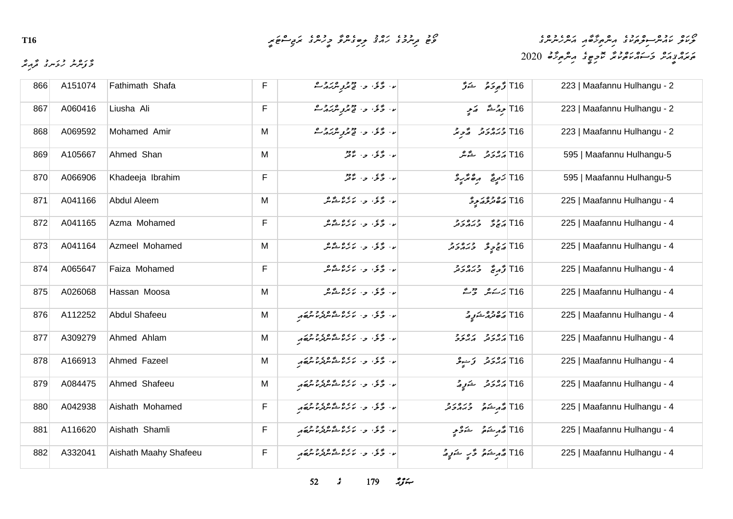*sCw7q7s5w7m< o<n9nOoAw7o< sCq;mAwBoEw7q<m; wBm;vB 2020*<br>*په پوهر وسوډيرونو لومو د موجو د مرمونه* 2020

| 866 | A151074 | Fathimath Shafa       | F | لا با محركي المسابق المعروف المستقرح المستقرح المستقرح المستقرح المستقرح المستقرح المستقرح المستقرح المستقرح ا | T16 <i>وَّج</i> وَتَمُ شَرَّ           | 223   Maafannu Hulhangu - 2 |
|-----|---------|-----------------------|---|----------------------------------------------------------------------------------------------------------------|----------------------------------------|-----------------------------|
| 867 | A060416 | Liusha Ali            | F | لا : وَكُوْا و الْمَحْمَّةِ بِعْرَةِ بِعَرْبِهِ مِسْرَارِ فَيْ                                                 | T16 مرثرشہ ک <i>ے م</i>                | 223   Maafannu Hulhangu - 2 |
| 868 | A069592 | Mohamed Amir          | M | لا با محركا او المع مع مع مع روابع السكر و المحرك السكر و المحرك السكر و المحرك المحركة المحركة الم            | T16 <i>جُہُمُدُوَنَہ مُ</i> ُوِیْرَ    | 223   Maafannu Hulhangu - 2 |
| 869 | A105667 | Ahmed Shan            | M | لاستحق وسقطر                                                                                                   | T16 كەبۇر ھەر                          | 595   Maafannu Hulhangu-5   |
| 870 | A066906 | Khadeeja Ibrahim      | F | ىن گەنتى، جەن ئەقر                                                                                             | T16 كَتَعِيقَ - مِرْكَةَ مَرْكَبِيرَةَ | 595   Maafannu Hulhangu-5   |
| 871 | A041166 | <b>Abdul Aleem</b>    | M | ىر، بۇي بەر ئارلاشگەش                                                                                          | T16 كەھىر <i>ى مۇ</i> يى               | 225   Maafannu Hulhangu - 4 |
| 872 | A041165 | Azma Mohamed          | F | ىر، بۇي بەر ئەرەپ ئەھ                                                                                          | T16 كەبىر ئەرگە ئەرگە                  | 225   Maafannu Hulhangu - 4 |
| 873 | A041164 | Azmeel Mohamed        | M | ىر ئەق بەر رەەب ئەش                                                                                            | T16 كەنج يەرقى ئەمدى ئىس               | 225   Maafannu Hulhangu - 4 |
| 874 | A065647 | Faiza Mohamed         | F | لا : ۇقۇرا دا ئارلاشگەش                                                                                        | T16 وٌَمِيعٌ وَيَرْدُونَرُ             | 225   Maafannu Hulhangu - 4 |
| 875 | A026068 | Hassan Moosa          | M | ىر، بۇي بەر ئەزەھەر                                                                                            | T16 زىكىر تۇر                          | 225   Maafannu Hulhangu - 4 |
| 876 | A112252 | Abdul Shafeeu         | M | ر د څخه و د روه په ۲۶۵۵ ور<br>د گون و د رورد شومبرټور مبر <del>ه</del> د                                       | T16 <i>كەڭ تەرگىنىدۇ ئ</i>             | 225   Maafannu Hulhangu - 4 |
| 877 | A309279 | Ahmed Ahlam           | M | ر، دهی در روه به ۲۵۵ در در                                                                                     | T16 كەبرو كەبەر 35                     | 225   Maafannu Hulhangu - 4 |
| 878 | A166913 | Ahmed Fazeel          | M |                                                                                                                | T16 ړ <i>ژی ق ق</i> نیو                | 225   Maafannu Hulhangu - 4 |
| 879 | A084475 | Ahmed Shafeeu         | M | ر د څخه و د روه په ۲۶۵۵ ور<br>د گون و د رورد شومبرټور مبر <del>ه</del> د                                       | T16 كەبۇر ئىم بەر ئىكتىن ئى            | 225   Maafannu Hulhangu - 4 |
| 880 | A042938 | Aishath Mohamed       | F | ر د څخه و د روه په ۲۶۵۵ ور<br>د گون و د رورد شومبرټور مبر <del>ه</del> د                                       | T16 مەم <i>قىدە ئەرەبى</i>             | 225   Maafannu Hulhangu - 4 |
| 881 | A116620 | Aishath Shamli        | F | ر، دهی در روه به ۲۵۵ در در                                                                                     | T16 صَّرِحْتَمُو حَدَوْمِ              | 225   Maafannu Hulhangu - 4 |
| 882 | A332041 | Aishath Maahy Shafeeu | F | ر د څخه و د روه په ۲۶۵۵ ور<br>د گون و د رورد شومبرټور مبر <del>ه</del> د                                       | T16 مُرِحَمَۃ کَرٍ حَو <i>َرٍ (</i>    | 225   Maafannu Hulhangu - 4 |
|     |         |                       |   |                                                                                                                |                                        |                             |

 $52$  *s*  $179$   $23$ 

*n8o<n@ qC7m:q5 q7w7m?n>*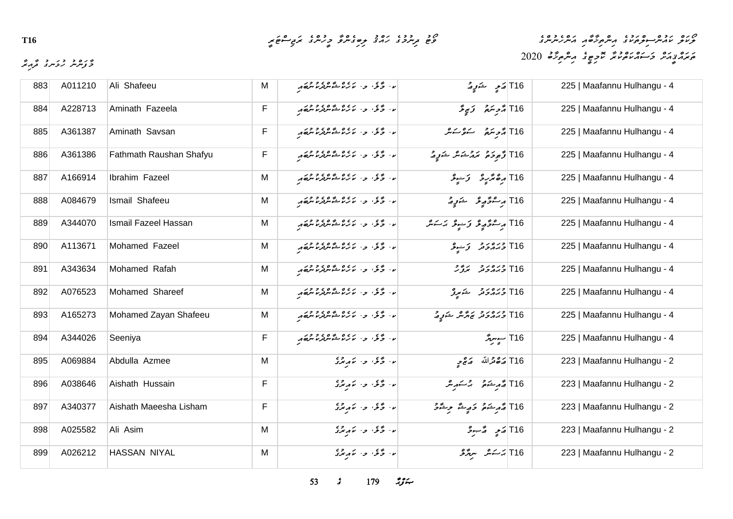*sCw7q7s5w7m< o<n9nOoAw7o< sCq;mAwBoEw7q<m; wBm;vB 2020*<br>*په پوهر وسوډيرونو لومو د موجو د مرمونه* 2020

| 883 | A011210 | Ali Shafeeu                 | M | ر، نجمی، د، ری ه عروج دور.<br>دا نگوش د، دارد شوس در مرتفار | T16 <i>ڇَوِ حَوَرِةُ</i>                    | 225   Maafannu Hulhangu - 4 |
|-----|---------|-----------------------------|---|-------------------------------------------------------------|---------------------------------------------|-----------------------------|
| 884 | A228713 | Aminath Fazeela             | F |                                                             | T16 مَّ مِسَمَّد وَيِءَّ                    | 225   Maafannu Hulhangu - 4 |
| 885 | A361387 | Aminath Savsan              | F | ر، دهی در روه به ۲۵۵ در در                                  | T16 م <sup>ۇ</sup> جەتئە ئەرەسەتلەر         | 225   Maafannu Hulhangu - 4 |
| 886 | A361386 | Fathmath Raushan Shafyu     | F | ر، حجمي که در ۱۵۶۵ ورود.<br>دا گرگ که ارد استمداد در سره د  | T16 <i>وُجِرَدُ بَرَمْ شَهْرٌ شَوْرٍ مُ</i> | 225   Maafannu Hulhangu - 4 |
| 887 | A166914 | Ibrahim Fazeel              | M | ر د څخه و د روه په ۲۶۶۵ وو.                                 | T16 ب <i>ر&amp;نڈرِی ق</i> 'خوی             | 225   Maafannu Hulhangu - 4 |
| 888 | A084679 | Ismail Shafeeu              | M | ر، حجمي که در ۱۵۶۵ ورود.<br>دا گرگ که ارد استمداد در سره د  | T16 م <i>ې</i> شۇم <sub>ۇ</sub> ھەرچ        | 225   Maafannu Hulhangu - 4 |
| 889 | A344070 | <b>Ismail Fazeel Hassan</b> | M | ر د څخه و د روه په ۲۶۶۵ وو.                                 | T16 برىئىگ <sub>ە</sub> تۇرىنىدى تەسكىل     | 225   Maafannu Hulhangu - 4 |
| 890 | A113671 | Mohamed Fazeel              | M | لا و و د المرکز شهر و د د د د د کار د و د د ا               | T16 <i>\$نە\$ى قىنى</i> ۋ                   | 225   Maafannu Hulhangu - 4 |
| 891 | A343634 | Mohamed Rafah               | M | ر، حجمي که در ۱۵۶۵ ورود.<br>دا گرگ که ارد استمداد در سره د  | T16 <i>222 كروم</i><br>16                   | 225   Maafannu Hulhangu - 4 |
| 892 | A076523 | Mohamed Shareef             | M | ر، حجمي که در ۱۵۶۵ ورود.<br>دا گرگ که ارد استمداد در سره د  | T16 <i>\$222 مىغىر</i> ۇ                    | 225   Maafannu Hulhangu - 4 |
| 893 | A165273 | Mohamed Zayan Shafeeu       | M | ر د څخه و د روه په ۲۶۶۵ وو.                                 | T16 <i>وَبَرُودُو بَهُرُسُ حَوَوِدُ</i>     | 225   Maafannu Hulhangu - 4 |
| 894 | A344026 | Seeniya                     | F | ر، حجمي که در ۱۵۶۴ مرکز در ۱۵۶۴                             | T16 سوبير <i>گ</i> ر                        | 225   Maafannu Hulhangu - 4 |
| 895 | A069884 | Abdulla Azmee               | M | لاستحق وسنهدي                                               |                                             | 223   Maafannu Hulhangu - 2 |
| 896 | A038646 | Aishath Hussain             | F | لاستخرش وسنهدي                                              | T16 مۇمەشقى بىرىكىمبەش                      | 223   Maafannu Hulhangu - 2 |
| 897 | A340377 | Aishath Maeesha Lisham      | F | لا د څخه د لامړيزه                                          | T16 مُرمِشَمْ وَرِحْہ مِحْرَدْ              | 223   Maafannu Hulhangu - 2 |
| 898 | A025582 | Ali Asim                    | M | لا د څخه د لاړيږي                                           | T16 <i>ڇُجِهِ جُ</i> سِوڤ                   | 223   Maafannu Hulhangu - 2 |
| 899 | A026212 | <b>HASSAN NIYAL</b>         | M | لا د څخه د لامړين                                           | T16   پرستربر سر <i>مڑ</i> و                | 223   Maafannu Hulhangu - 2 |

## *n8o<n@ qC7m:q5 q7w7m?n>*

 $53$   $5$   $179$   $25$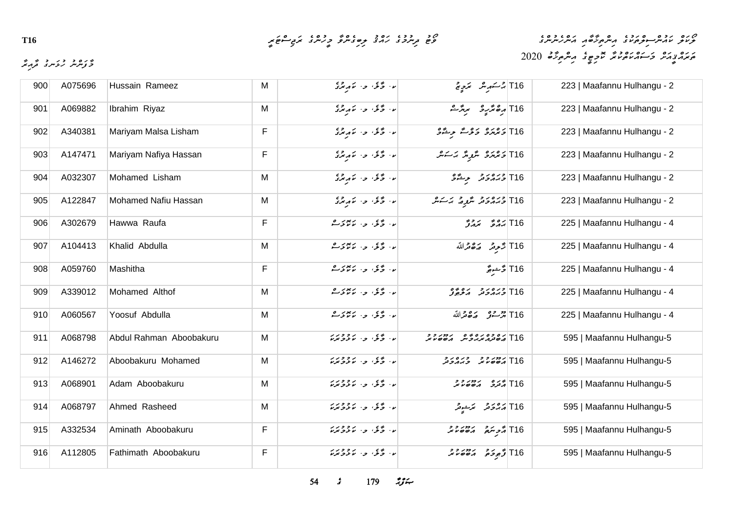*sCw7q7s5w7m< o<n9nOoAw7o< sCq;mAwBoEw7q<m; wBm;vB 2020*<br>*په پوهر وسوډيرونو لومو د موجو د مرمونه* 2020

| 900 | A075696 | Hussain Rameez          | M | لا د څخه د عهر پرې          | T16 بڑے ہر شہ سرج محمد تحریکی کے S   | 223   Maafannu Hulhangu - 2 |
|-----|---------|-------------------------|---|-----------------------------|--------------------------------------|-----------------------------|
| 901 | A069882 | Ibrahim Riyaz           | M | لا د څخه د لامړيزه          | T16 م <i>ِیڠَدَّرِدْ بِرَمَّ</i> ّہُ | 223   Maafannu Hulhangu - 2 |
| 902 | A340381 | Mariyam Malsa Lisham    | F | لا د څخه د لامديزه          | T16 كەنگەنى كەمىگە مەشگەنى           | 223   Maafannu Hulhangu - 2 |
| 903 | A147471 | Mariyam Nafiya Hassan   | F | لا د څخه د لامدېږي          | T16 كەبۇرى ئۇيەتر ئەس <i>ت</i> ىر    | 223   Maafannu Hulhangu - 2 |
| 904 | A032307 | Mohamed Lisham          | M | لا الحجو الأو الأمريكي      | T16  <i>وُبَہُ وَبَرْ وَجِسَّوْ</i>  | 223   Maafannu Hulhangu - 2 |
| 905 | A122847 | Mohamed Nafiu Hassan    | M | لا . وَ فَي و اللَّهِ مِنْ  | T16 تربروتر شَعِرة برَسَسْ           | 223   Maafannu Hulhangu - 2 |
| 906 | A302679 | Hawwa Raufa             | F | ىد، بۇي بەر ئەيىزىش         | T16 يَرْدُوَّ - يَرْدُوَّ            | 225   Maafannu Hulhangu - 4 |
| 907 | A104413 | Khalid Abdulla          | M | لا : د څو د ارا پارسته      | T16 كَرْمِيْرُ     مَرْكَة لَّلَّه   | 225   Maafannu Hulhangu - 4 |
| 908 | A059760 | Mashitha                | F | ، ۇي <sub>ج</sub> ې پىمى كە | T16 گەنج <b>ە</b>                    | 225   Maafannu Hulhangu - 4 |
| 909 | A339012 | Mohamed Althof          | M | ىد، بۇي بەر ئەئىزىشە        | T16 <i>ۋېزودنى پروچۇ</i>             | 225   Maafannu Hulhangu - 4 |
| 910 | A060567 | Yoosuf Abdulla          | M | لار ۇي بەر ئەتىزىش          | T16 ترتيو پەھەراللە                  | 225   Maafannu Hulhangu - 4 |
| 911 | A068798 | Abdul Rahman Aboobakuru | M | لا د څو د لاروبرلا          | T16 يەھ <i>دە جەھ مەدە ج</i>         | 595   Maafannu Hulhangu-5   |
| 912 | A146272 | Aboobakuru Mohamed      | M | لا د څوک د لاروندلا         | T16 <i>בשפיל בברבית</i>              | 595   Maafannu Hulhangu-5   |
| 913 | A068901 | Adam Aboobakuru         | M | لا د څخه د لاروندلا         | T16 كەنزى مەھەمدىكى                  | 595   Maafannu Hulhangu-5   |
| 914 | A068797 | Ahmed Rasheed           | M | لاستخنى التاراة ولايران     | T16 كەندى كى مىزىدى كىلەت بىرىدا ئاس | 595   Maafannu Hulhangu-5   |
| 915 | A332534 | Aminath Aboobakuru      | F | لا د څخه د املاد در         | T16 مُجِسَعَ مُقْصَدَ مُ             | 595   Maafannu Hulhangu-5   |
| 916 | A112805 | Fathimath Aboobakuru    | F | لا د څخه د الاروبرلا        | T16 تُرجوحَمُ مُقْصَلَةٌ             | 595   Maafannu Hulhangu-5   |

## *n8o<n@ qC7m:q5 q7w7m?n>*

 $54$   $5$   $179$   $29$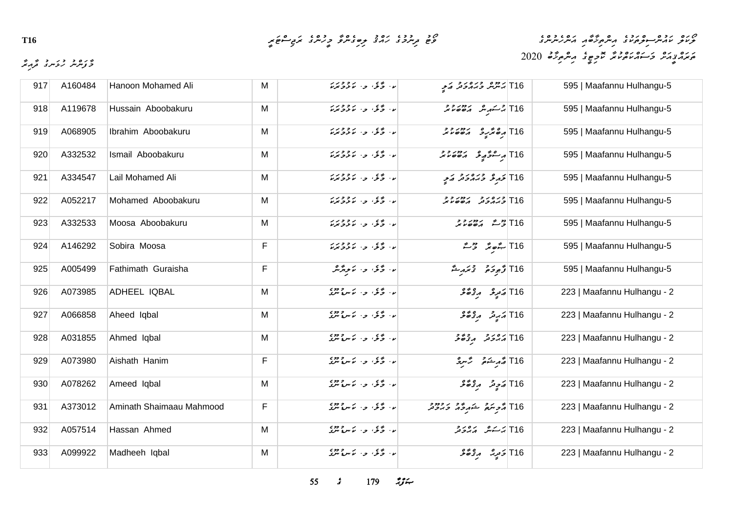*sCw7q7s5w7m< o<n9nOoAw7o< sCq;mAwBoEw7q<m; wBm;vB 2020<sup>, م</sup>وسوق المسجد التحقيق وسرمونية والم*جمع المسجد المسجد المسجد المسجد المسجد المسجد المسجد المسجد المسجد ال

| 917 | A160484 | Hanoon Mohamed Ali       | M | لا گرفته و کودکرد                       | T16 بریژی <i>ں ڈبروروٹر م</i> زم                            | 595   Maafannu Hulhangu-5   |
|-----|---------|--------------------------|---|-----------------------------------------|-------------------------------------------------------------|-----------------------------|
| 918 | A119678 | Hussain Aboobakuru       | M | لا د څوک د لاروندلا                     | T16 يُرسَمه شَرَ مُتَصَفَّعَة مُنْ                          | 595   Maafannu Hulhangu-5   |
| 919 | A068905 | Ibrahim Aboobakuru       | M | لا د څکې د لاروندل                      | T16 مەھمەر 2 مەھەمدىن                                       | 595   Maafannu Hulhangu-5   |
| 920 | A332532 | Ismail Aboobakuru        | M | لا د څوک د الاروبرړ                     | T16 مەش <i>ۇم</i> ۇ مەھەمدى                                 | 595   Maafannu Hulhangu-5   |
| 921 | A334547 | Lail Mohamed Ali         | M | لا د څوک د الاروبرړ                     | T16 تح <i>مد بحر و بحر و تح</i> رید کردید از این می         | 595   Maafannu Hulhangu-5   |
| 922 | A052217 | Mohamed Aboobakuru       | M | ر، دحق، د. رودبرر<br>را، دحق، د. رودبرر | $22222$ $25222$ T16                                         | 595   Maafannu Hulhangu-5   |
| 923 | A332533 | Moosa Aboobakuru         | M | ر، دې د رودر                            | 2000127                                                     | 595   Maafannu Hulhangu-5   |
| 924 | A146292 | Sobira Moosa             | F | ر، دحق، د، روورر                        | $23$ مُصِمَّر 22 $\sim$                                     | 595   Maafannu Hulhangu-5   |
| 925 | A005499 | Fathimath Guraisha       | F | لا د څخه د لکونگر                       | T16 <i>وُّجِوَدَهُ</i> تَحْمَدِيثُهُ                        | 595   Maafannu Hulhangu-5   |
| 926 | A073985 | ADHEEL IQBAL             | M | لاستخرق وسأسلح بين                      | T16 كەبېرى ب <i>وقى</i> ئى                                  | 223   Maafannu Hulhangu - 2 |
| 927 | A066858 | Aheed Iqbal              | M | لاستخوش وستكس ودوي                      | T16 كەبەتر ب <i>وقى</i> مى                                  | 223   Maafannu Hulhangu - 2 |
| 928 | A031855 | Ahmed Iqbal              | M | لاستخرى بالمستخدمة                      |                                                             | 223   Maafannu Hulhangu - 2 |
| 929 | A073980 | Aishath Hanim            | F | لا د محرکې له د انگلاب د د دي           | T16 مەم ئەتقى ئەس <i>ب</i> ۇ                                | 223   Maafannu Hulhangu - 2 |
| 930 | A078262 | Ameed Iqbal              | M | لا په نومي د لاسوده                     | T16 <i>مَ</i> حٍمْ <sub>مِ</sub> وْھُوْ                     | 223   Maafannu Hulhangu - 2 |
| 931 | A373012 | Aminath Shaimaau Mahmood | F | لا په نومي د لاسوده                     | T16 مَّ مِسَمَّى حَمَدِ مَّةً مَ يَرْدَّوْ وَ يَسْتَفَرَّسَ | 223   Maafannu Hulhangu - 2 |
| 932 | A057514 | Hassan Ahmed             | M | ىن ۇي جەنئەتلەدە                        | T16 يُركبش مَ يُرْوَمْرُ                                    | 223   Maafannu Hulhangu - 2 |
| 933 | A099922 | Madheeh Iqbal            | M | لاستخرق وسأسلح بين                      | T16   دَمرٍ مِهْ مِرْهُ دُ                                  | 223   Maafannu Hulhangu - 2 |
|     |         |                          |   |                                         |                                                             |                             |

## *n8o<n@ qC7m:q5 q7w7m?n>*

 $55$   $\frac{2}{3}$   $179$   $\frac{2}{3}$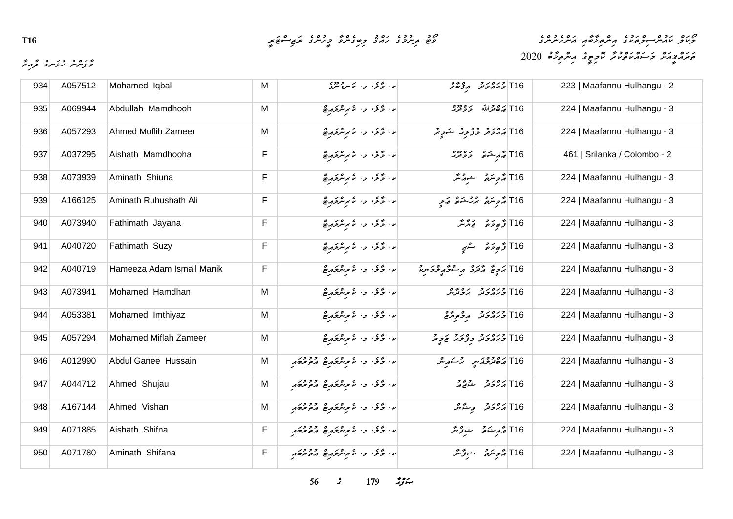*sCw7q7s5w7m< o<n9nOoAw7o< sCq;mAwBoEw7q<m; wBm;vB 2020*<br>*په پوهر وسوډيرونو لومو د موجو د مرمونه* 2020

| A057512 | Mohamed Iqbal                | M            | لا به محتی به انگلامی در در در با                                                                                                                                                                                                                                                                                              | T16 <i>جُهُدُونُ دِقْعُوْ</i>                        | 223   Maafannu Hulhangu - 2  |
|---------|------------------------------|--------------|--------------------------------------------------------------------------------------------------------------------------------------------------------------------------------------------------------------------------------------------------------------------------------------------------------------------------------|------------------------------------------------------|------------------------------|
| A069944 | Abdullah Mamdhooh            | M            | لا د محكى و الأمر مركز مردم                                                                                                                                                                                                                                                                                                    | T16 مَرْدَّقْرَاللَّهُ وَوَمَّرْبَرُ                 | 224   Maafannu Hulhangu - 3  |
| A057293 | <b>Ahmed Muflih Zameer</b>   | M            | ١٠ د دي. د الم پرچرم و                                                                                                                                                                                                                                                                                                         | T16 كەندى قۇمۇر شە <i>پەت</i>                        | 224   Maafannu Hulhangu - 3  |
| A037295 | Aishath Mamdhooha            | F            | لا د څکې د انگېر مرکزم ه                                                                                                                                                                                                                                                                                                       | T16 مەم ئەمەدە بەردە                                 | 461   Srilanka / Colombo - 2 |
| A073939 | Aminath Shiuna               | $\mathsf F$  | الا ومحق والمعبره ومعرضه                                                                                                                                                                                                                                                                                                       | T16 مُرْحِبَهُمْ سُومْتُر                            | 224   Maafannu Hulhangu - 3  |
| A166125 | Aminath Ruhushath Ali        | $\mathsf F$  | لا : د د الله المعلم المعلم المعلم المعلم المعلم المعلم المعلم المعلم المعلم المعلم المعلم المعلم ال                                                                                                                                                                                                                           | T16 مَّ جِسَمَۃ مَرْکَسْمَۃ مَہِ ج                   | 224   Maafannu Hulhangu - 3  |
| A073940 | Fathimath Jayana             | $\mathsf{F}$ | لا د څخه د الم مرمر مرمو م                                                                                                                                                                                                                                                                                                     | T16 <i>وَّجِ حَقَّ</i> مَحَمَّدٌ                     | 224   Maafannu Hulhangu - 3  |
| A040720 | Fathimath Suzy               | F            | لا د څخه د الم مرمر مرمو م                                                                                                                                                                                                                                                                                                     | T16 گۇجوڭرۇ شىمىي                                    | 224   Maafannu Hulhangu - 3  |
| A040719 | Hameeza Adam Ismail Manik    | F            | لا د محكي و الأمر مركز مردم                                                                                                                                                                                                                                                                                                    | T16   يَرجِعُ مُسْرَوْ مِرْ شَوَّمْ وَحَسِرَةَ       | 224   Maafannu Hulhangu - 3  |
| A073941 | Mohamed Hamdhan              | M            | لا د څخه د اکامر شرکرونغ                                                                                                                                                                                                                                                                                                       | T16 <i>وبرەرو برومۇنى</i> ر                          | 224   Maafannu Hulhangu - 3  |
| A053381 | Mohamed Imthiyaz             | M            | لا د څخه د انگېر شرکرونو                                                                                                                                                                                                                                                                                                       | T16 <i>בُגَגُّدُوَنَّةَ و</i> قُومَ <i>نَّ</i> عَ    | 224   Maafannu Hulhangu - 3  |
| A057294 | <b>Mohamed Miflah Zameer</b> | M            | لا : د محمد الله عليه الله عليه الله عليه الله عليه الله عليه الله                                                                                                                                                                                                                                                             | T16 دُبَہْدَوَنَّہُ وِوْوَبَہُ <sub>کَا</sub> وِبْرُ | 224   Maafannu Hulhangu - 3  |
| A012990 | Abdul Ganee Hussain          | M            |                                                                                                                                                                                                                                                                                                                                | T16 كەھەترى كەر ب <sup>ە</sup> سەر بىر               | 224   Maafannu Hulhangu - 3  |
| A044712 | Ahmed Shujau                 | M            | ر. و و د عرض معرض معرضه                                                                                                                                                                                                                                                                                                        | T16 كەبرى ئىس ئىقدىق ئە                              | 224   Maafannu Hulhangu - 3  |
| A167144 | Ahmed Vishan                 | M            | ١٠٤٤٠٤ - المرسر والموسع المعامر                                                                                                                                                                                                                                                                                                | T16 كەبرى قىر مەشكىلا                                | 224   Maafannu Hulhangu - 3  |
| A071885 | Aishath Shifna               | F            | $\begin{bmatrix} 2 & 2 & 2 & 0 \\ 0 & 2 & 3 & 0 \\ 0 & 0 & 0 & 0 \\ 0 & 0 & 0 & 0 \\ 0 & 0 & 0 & 0 \\ 0 & 0 & 0 & 0 \\ 0 & 0 & 0 & 0 \\ 0 & 0 & 0 & 0 \\ 0 & 0 & 0 & 0 \\ 0 & 0 & 0 & 0 \\ 0 & 0 & 0 & 0 \\ 0 & 0 & 0 & 0 & 0 \\ 0 & 0 & 0 & 0 & 0 \\ 0 & 0 & 0 & 0 & 0 \\ 0 & 0 & 0 & 0 & 0 \\ 0 & 0 & 0 & 0 & 0 \\ 0 & 0 & $ | T16 صَّمِيصَة صَوتَرْ مَّتْرَ                        | 224   Maafannu Hulhangu - 3  |
| A071780 | Aminath Shifana              | F            | $\left  \begin{array}{cc} \sqrt{2} & 2 & 2 & 2 \\ 2 & 2 & 2 & 2 \end{array} \right.$                                                                                                                                                                                                                                           | T16 مَّرِسَمَّ مُورَّسَّ                             | 224   Maafannu Hulhangu - 3  |
|         |                              |              |                                                                                                                                                                                                                                                                                                                                |                                                      |                              |

## *n8o<n@ qC7m:q5 q7w7m?n>*

 $56$   $\frac{2}{3}$   $179$   $\frac{2}{3}$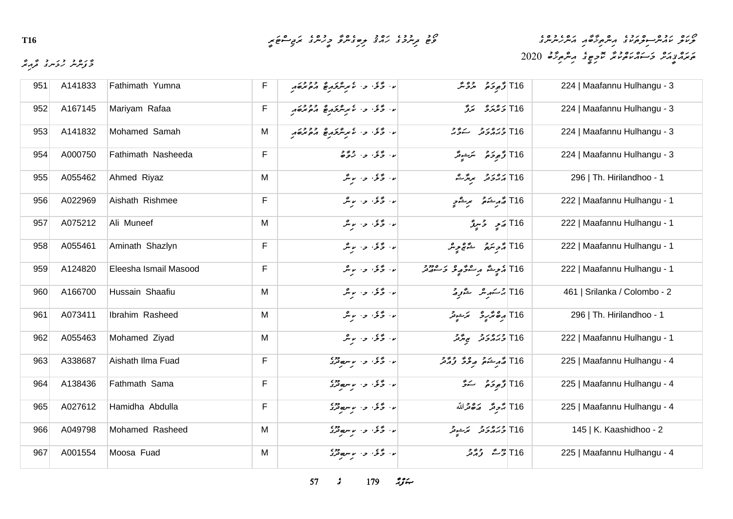*sCw7q7s5w7m< o<n9nOoAw7o< sCq;mAwBoEw7q<m; wBm;vB 2020*<br>*په پوهر وسوډيرونو لومو د موجو د مرمونه* 2020

| 951 | A141833 | Fathimath Yumna       | F | V. ES. C. Jungles Volton        | T16 <i>وَّجِوَة مَّ</i> رْدَ مَّدَ              | 224   Maafannu Hulhangu - 3  |
|-----|---------|-----------------------|---|---------------------------------|-------------------------------------------------|------------------------------|
| 952 | A167145 | Mariyam Rafaa         | F | ر. و د . د . د مرکز و د د د د . | T16 كەنگەر ئىمىگە                               | 224   Maafannu Hulhangu - 3  |
| 953 | A141832 | Mohamed Samah         | M | $\frac{1}{2}$                   | T16 <i>3323 سَوَّيْر</i> َ                      | 224   Maafannu Hulhangu - 3  |
| 954 | A000750 | Fathimath Nasheeda    | F | لا و د ده دوه                   | T16 <i>وُّجِ دَمْ</i> سَنِسِيشَ                 | 224   Maafannu Hulhangu - 3  |
| 955 | A055462 | Ahmed Riyaz           | M | لا د څخه د الامل                | T16 كەبۇبۇ مەرگەشە                              | 296   Th. Hirilandhoo - 1    |
| 956 | A022969 | Aishath Rishmee       | F | الارتخص ورباش                   | T16 مَگْرِسْتَمْ مِنْ مِرْسُورِ                 | 222   Maafannu Hulhangu - 1  |
| 957 | A075212 | Ali Muneef            | M | لار څخه لور لومل                | T16 کړ <i>و څېړو</i>                            | 222   Maafannu Hulhangu - 1  |
| 958 | A055461 | Aminath Shazlyn       | F | لار څخه لور لومل                | T16 گەج سَمَّ ھۇي ھۇس                           | 222   Maafannu Hulhangu - 1  |
| 959 | A124820 | Eleesha Ismail Masood | F | مارتخۇرى بولىگە                 | T16 كەمچىنىڭ مەش <i>ۇر قۇ خاسى</i> رەتتە        | 222   Maafannu Hulhangu - 1  |
| 960 | A166700 | Hussain Shaafiu       | M | لاڪري وسلامل                    | T16 پژ <i>ے <sub>می</sub>رش جگور</i> ژ          | 461   Srilanka / Colombo - 2 |
| 961 | A073411 | Ibrahim Rasheed       | M | لا د څخه د الامل                | T16 <sub>م</sub> ەنگەر تىمىنى تىرىدى            | 296   Th. Hirilandhoo - 1    |
| 962 | A055463 | Mohamed Ziyad         | M | لار څخه لور لومل                | T16 <i>دېمم</i> ر تر په پروتر                   | 222   Maafannu Hulhangu - 1  |
| 963 | A338687 | Aishath Ilma Fuad     | F | د کچي د د پاسه دده              | T16 مُرِسَمَ مِرْدَّ زَمَّدَ                    | 225   Maafannu Hulhangu - 4  |
| 964 | A138436 | Fathmath Sama         | F | ر. د کې د رسودون                | T16 ر <i>ُّ ۾ دُمُ</i> سَدُّ                    | 225   Maafannu Hulhangu - 4  |
| 965 | A027612 | Hamidha Abdulla       | F | الا المحكى الماس المعاهدى       | T16 كجر <i>وتر مك</i> رات الله                  | 225   Maafannu Hulhangu - 4  |
| 966 | A049798 | Mohamed Rasheed       | M | را د څکې د بابله دده            | T16 <i>وُبَرُوْدَوْ بَرَحِي<sup>و</sup>ُد</i> ُ | 145   K. Kaashidhoo - 2      |
| 967 | A001554 | Moosa Fuad            | M | ر، دمجنۍ، د رسده دده            | T16 أَرْسَمُ وَرُدُّوَ                          | 225   Maafannu Hulhangu - 4  |

*57 sC 179 nNw?mS*

*n8o<n@ qC7m:q5 q7w7m?n>*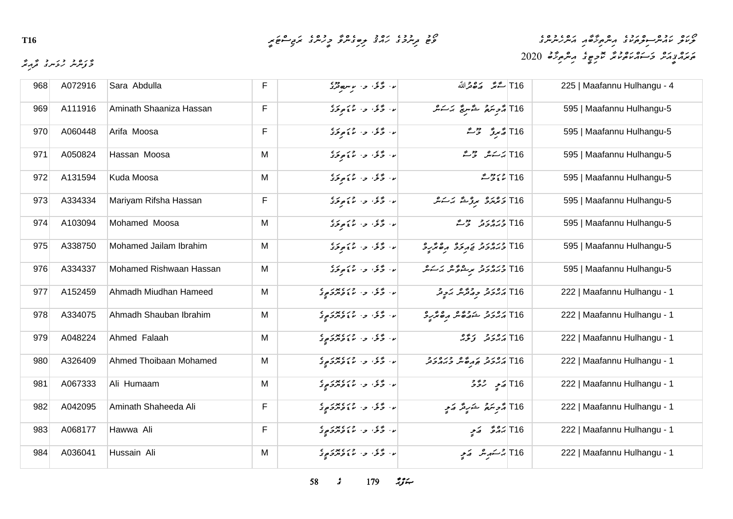*sCw7q7s5w7m< o<n9nOoAw7o< sCq;mAwBoEw7q<m; wBm;vB 2020<sup>, م</sup>وسوق المسجد التحقيق وسرمونية والم*جمع المسجد المسجد المسجد المسجد المسجد المسجد المسجد المسجد المسجد ال

| 968 | A072916 | Sara Abdulla            | F | ۱۰ ڈگی و۰ برس دور                                    | T16 گەنگە كەھەتراللە                        | 225   Maafannu Hulhangu - 4 |
|-----|---------|-------------------------|---|------------------------------------------------------|---------------------------------------------|-----------------------------|
| 969 | A111916 | Aminath Shaaniza Hassan | F | لا د څخه د لانکونونه                                 | T16 مَّرجِسَةٌ حَسَّبةٌ بَرَحَسْ            | 595   Maafannu Hulhangu-5   |
| 970 | A060448 | Arifa Moosa             | F | لا د څخه و لاغ کولوی                                 | T16 مَحْبِرَ حَرْثَہ                        | 595   Maafannu Hulhangu-5   |
| 971 | A050824 | Hassan Moosa            | M | لا د څخه و لاغ کولوی                                 | T16  پرسٹر بیجہ                             | 595   Maafannu Hulhangu-5   |
| 972 | A131594 | Kuda Moosa              | M | لا د څخه و لاغ کولوی                                 | $232$ T16                                   | 595   Maafannu Hulhangu-5   |
| 973 | A334334 | Mariyam Rifsha Hassan   | F | لا د څکې د لانکامونونه                               | T16 كەبۇرى بورىشە ئەسەنلە                   | 595   Maafannu Hulhangu-5   |
| 974 | A103094 | Mohamed Moosa           | M | لا د څخه د لانامونوی                                 | T16 تر پروژ ویشتر شده است.                  | 595   Maafannu Hulhangu-5   |
| 975 | A338750 | Mohamed Jailam Ibrahim  | M | لاستحق وسائمة وقرى                                   | T16 <i>وبروبر قه وبرزو م</i> وشربرو         | 595   Maafannu Hulhangu-5   |
| 976 | A334337 | Mohamed Rishwaan Hassan | M | لا د څخه د لانکولوی                                  | T16 <i>وبروبرو بربشوگر برڪيل</i>            | 595   Maafannu Hulhangu-5   |
| 977 | A152459 | Ahmadh Miudhan Hameed   | M | ر د محکمه د د د د د د د د د د                        | T16   كەش <sup>ى</sup> ر قىرىگە بەر كەردىگە | 222   Maafannu Hulhangu - 1 |
| 978 | A334075 | Ahmadh Shauban Ibrahim  | M | ر، دمجنۍ د ۱۶۷۶ ورومون<br>راس د کلورومون             | T16 رورو شروره مرضور                        | 222   Maafannu Hulhangu - 1 |
| 979 | A048224 | Ahmed Falaah            | M | ر، دهی در اروپایی در ای<br>را، دهگر، در اروپایی در   | T16 كەنزىق تەنزى                            | 222   Maafannu Hulhangu - 1 |
| 980 | A326409 | Ahmed Thoibaan Mohamed  | M | ر وي د در در در د                                    | T16 رور د په په شمه ورورو                   | 222   Maafannu Hulhangu - 1 |
| 981 | A067333 | Ali Humaam              | M | ر، دهی در اروپایی در ای<br>را، دهگر، در اروپایی در   | T16 <i>ڇي رو</i> و                          | 222   Maafannu Hulhangu - 1 |
| 982 | A042095 | Aminath Shaheeda Ali    | F | ر، ده ده در ۲۵ در ۲۵<br>را، ده دار ۲۵ در ۲۵ در در ۲۵ | T16 مَّ حِ سَمَّۃ   حَدرِ مَّذَ مَدرِ       | 222   Maafannu Hulhangu - 1 |
| 983 | A068177 | Hawwa Ali               | F | ر، وی د. در پرد ،<br>را وی د. روبردوی                | T16  يَرْدُوَّ کَيْ مِ                      | 222   Maafannu Hulhangu - 1 |
| 984 | A036041 | Hussain Ali             | M | ر وي د در در در د                                    | T16 پر <i>ستهر بنگ</i> ر م <i>ح</i> میٍ     | 222   Maafannu Hulhangu - 1 |

## *n8o<n@ qC7m:q5 q7w7m?n>*

 $58$  *s*  $179$  *n***<sub>2</sub>** *n*<sub>2</sub> *n*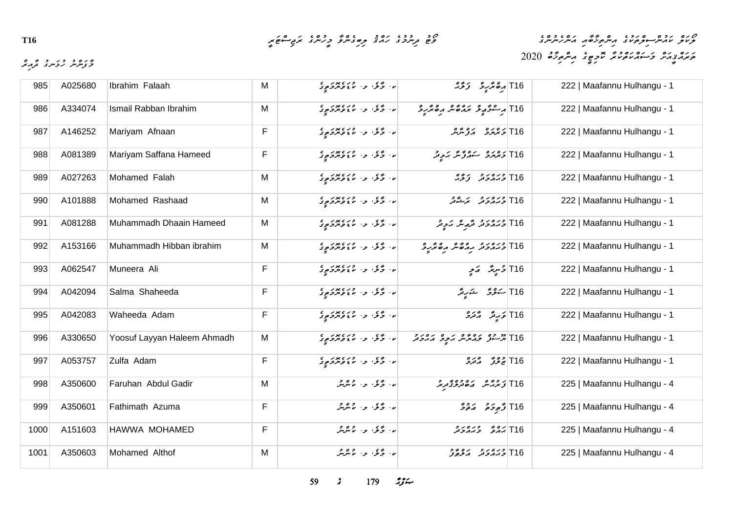*sCw7q7s5w7m< o<n9nOoAw7o< sCq;mAwBoEw7q<m; wBm;vB 2020*<br>*په پوهر وسوډيرونو لومو د موجو د مرمونه* 2020

| T16 <sub>م</sub> ِ س <i>وڈ پو</i> ڈ <i>مَدُهُ مَّد مِ</i> مَ <i>دُرِ دُ</i><br>  د کامی کامی در د د د د د د<br>986<br>A334074<br>Ismail Rabban Ibrahim<br>M<br>ر، دمجنۍ د ۱۶۷۶ ورومونو<br>T16  <i>دَ پُرْ</i> ہُرُوْ کُرُوْ بَیْرَبْر<br>F<br>987<br>A146252<br>Mariyam Afnaan<br>ر، دمی د. در پرد ،<br>را، دمگر، د. روبرده بود<br>T16 كەبۇرى سەر ئەگە ئەجەتر<br>Mariyam Saffana Hameed<br>A081389<br>F<br>988<br>ر، دمی د. در پرد ،<br>را، دمگر، د. روبرده بود<br>Mohamed Falah<br>T16 <i>2222 ذور</i><br>989<br>A027263<br>M<br>ر د محکې د ۱۶۷۶ ورومون<br>راس څکې د سروم<br>T16 <i>وُبَرُوُوَتَرْ بَرَحْ</i> تُوَ<br>990<br>A101888<br>Mohamed Rashaad<br>M<br>ر، وقو، د. در پرد ،<br>را، وقو، د. راه والرومي<br>T16 <i>وُبُرُودُو مُرَّمٍ بِرْ بَرْدِيْر</i><br>A081288<br>Muhammadh Dhaain Hameed<br>991<br>M<br>ر د محکمه د د د د د د د د د د د<br>T16 دېروبرو بره څمکر برخه ټربرو<br>A153166<br>Muhammadh Hibban ibrahim<br>992<br>M<br>ر، دمی د. در پرد ،<br>را، دمگر، د. روبرده بود<br>F<br>T16  3س <sub>ی</sub> بر کی ی<br>A062547<br>993<br>Muneera Ali | 985 | A025680 | Ibrahim Falaah | M | ر د څو، د ريږد ، د د د | T16 <sub>مر</sub> ھ <i>مگرد</i> ی کی تھی | 222   Maafannu Hulhangu - 1 |
|-------------------------------------------------------------------------------------------------------------------------------------------------------------------------------------------------------------------------------------------------------------------------------------------------------------------------------------------------------------------------------------------------------------------------------------------------------------------------------------------------------------------------------------------------------------------------------------------------------------------------------------------------------------------------------------------------------------------------------------------------------------------------------------------------------------------------------------------------------------------------------------------------------------------------------------------------------------------------------------------------------------------------------------------------------------------|-----|---------|----------------|---|------------------------|------------------------------------------|-----------------------------|
|                                                                                                                                                                                                                                                                                                                                                                                                                                                                                                                                                                                                                                                                                                                                                                                                                                                                                                                                                                                                                                                                   |     |         |                |   |                        |                                          | 222   Maafannu Hulhangu - 1 |
|                                                                                                                                                                                                                                                                                                                                                                                                                                                                                                                                                                                                                                                                                                                                                                                                                                                                                                                                                                                                                                                                   |     |         |                |   |                        |                                          | 222   Maafannu Hulhangu - 1 |
|                                                                                                                                                                                                                                                                                                                                                                                                                                                                                                                                                                                                                                                                                                                                                                                                                                                                                                                                                                                                                                                                   |     |         |                |   |                        |                                          | 222   Maafannu Hulhangu - 1 |
|                                                                                                                                                                                                                                                                                                                                                                                                                                                                                                                                                                                                                                                                                                                                                                                                                                                                                                                                                                                                                                                                   |     |         |                |   |                        |                                          | 222   Maafannu Hulhangu - 1 |
|                                                                                                                                                                                                                                                                                                                                                                                                                                                                                                                                                                                                                                                                                                                                                                                                                                                                                                                                                                                                                                                                   |     |         |                |   |                        |                                          | 222   Maafannu Hulhangu - 1 |
|                                                                                                                                                                                                                                                                                                                                                                                                                                                                                                                                                                                                                                                                                                                                                                                                                                                                                                                                                                                                                                                                   |     |         |                |   |                        |                                          | 222   Maafannu Hulhangu - 1 |
|                                                                                                                                                                                                                                                                                                                                                                                                                                                                                                                                                                                                                                                                                                                                                                                                                                                                                                                                                                                                                                                                   |     |         |                |   |                        |                                          | 222   Maafannu Hulhangu - 1 |
|                                                                                                                                                                                                                                                                                                                                                                                                                                                                                                                                                                                                                                                                                                                                                                                                                                                                                                                                                                                                                                                                   |     |         |                |   |                        |                                          | 222   Maafannu Hulhangu - 1 |
| ر د وي د در در در د<br>را گرگ د را در جر<br>T16 سَعْوَدُ شَرِيْرُ<br>Salma Shaheeda<br>F<br>994<br>A042094                                                                                                                                                                                                                                                                                                                                                                                                                                                                                                                                                                                                                                                                                                                                                                                                                                                                                                                                                        |     |         |                |   |                        |                                          | 222   Maafannu Hulhangu - 1 |
| $\mathsf F$<br>ر د محکې د ۱۶۷۶ ورومون<br>راس څکې د سروم<br>A042083<br>T16 ك <i>ەبەنگە</i> م <i>گەن</i> دى<br>995<br>Waheeda Adam                                                                                                                                                                                                                                                                                                                                                                                                                                                                                                                                                                                                                                                                                                                                                                                                                                                                                                                                  |     |         |                |   |                        |                                          | 222   Maafannu Hulhangu - 1 |
| T16 برِّ - وه بره برُّ برِّ بر بر بر در د<br>  په د څون د ۱۶۷۶ ورومون<br>A330650<br>996<br>Yoosuf Layyan Haleem Ahmadh<br>M                                                                                                                                                                                                                                                                                                                                                                                                                                                                                                                                                                                                                                                                                                                                                                                                                                                                                                                                       |     |         |                |   |                        |                                          | 222   Maafannu Hulhangu - 1 |
| ر، دمجو، د، روبر ورد و<br>را، دمجو، د، روبردونوی<br>F<br>T16 يحوً <i>و مح</i> ترو<br>Zulfa Adam<br>997<br>A053757                                                                                                                                                                                                                                                                                                                                                                                                                                                                                                                                                                                                                                                                                                                                                                                                                                                                                                                                                 |     |         |                |   |                        |                                          | 222   Maafannu Hulhangu - 1 |
| لاستخرق بالمستريش<br>T16 <i>ۇيرىگىرى مەھەرى تۇ</i> برىر<br>998<br>A350600<br>Faruhan Abdul Gadir<br>M                                                                                                                                                                                                                                                                                                                                                                                                                                                                                                                                                                                                                                                                                                                                                                                                                                                                                                                                                             |     |         |                |   |                        |                                          | 225   Maafannu Hulhangu - 4 |
| F<br>لاستخرق بالمستريش<br>T16 زُ <sub>ّج</sub> ودَة كَمَنْوَدَّ<br>999<br>A350601<br>Fathimath Azuma                                                                                                                                                                                                                                                                                                                                                                                                                                                                                                                                                                                                                                                                                                                                                                                                                                                                                                                                                              |     |         |                |   |                        |                                          | 225   Maafannu Hulhangu - 4 |
| $\mathsf F$<br>لاستخرق وسيماندينر<br>T16 يَرْمُوَّ بِرَمْدَوْتِر<br>1000<br>A151603<br><b>HAWWA MOHAMED</b>                                                                                                                                                                                                                                                                                                                                                                                                                                                                                                                                                                                                                                                                                                                                                                                                                                                                                                                                                       |     |         |                |   |                        |                                          | 225   Maafannu Hulhangu - 4 |
| لاستخرق وسيماندينر<br>T16 تربروتر بروبور<br>1001<br>A350603<br>Mohamed Althof<br>M                                                                                                                                                                                                                                                                                                                                                                                                                                                                                                                                                                                                                                                                                                                                                                                                                                                                                                                                                                                |     |         |                |   |                        |                                          | 225   Maafannu Hulhangu - 4 |

## *n8o<n@ qC7m:q5 q7w7m?n>*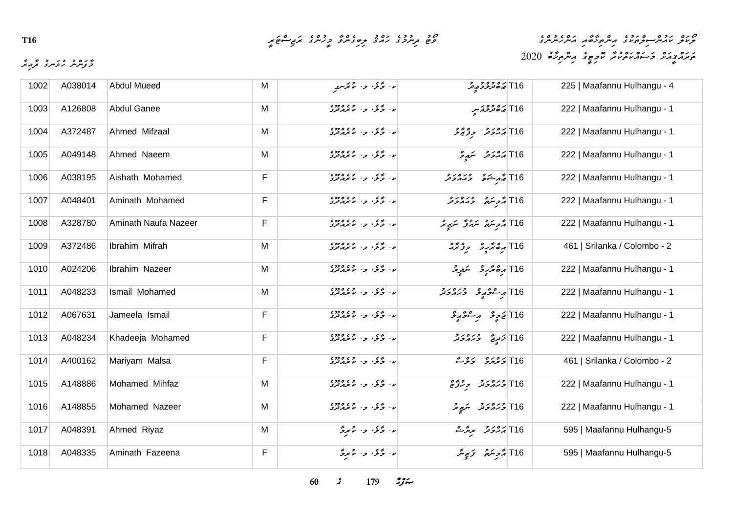*sCw7q7s5w7m< o<n9nOoAw7o< sCq;mAwBoEw7q<m; wBm;vB 2020*<br>*په پوهر وسوډيرونو لومو د موجو د مرمونه* 2020

| 1002 | A038014 | <b>Abdul Mueed</b>   | M | لاستخفى وساتموسى                                                                                                                                                                                                                | T16 كەھەرگە <i>جەم</i> ەتر                     | 225   Maafannu Hulhangu - 4  |
|------|---------|----------------------|---|---------------------------------------------------------------------------------------------------------------------------------------------------------------------------------------------------------------------------------|------------------------------------------------|------------------------------|
| 1003 | A126808 | <b>Abdul Ganee</b>   | M | ر د محمد و ده ده ده د د کار د کار د کار د کار د کار د کار د کار د کار د کار د کار د کار د کار د کار د کار د کا<br>د کار د کار کار د کار د کار کار کار کار د کار کار د کار کار د کار د کار د کار د کار د کار د کار د کار د کار د | T16 كەھ تىرىجەترىپىر                           | 222   Maafannu Hulhangu - 1  |
| 1004 | A372487 | Ahmed Mifzaal        | M | ر د محتی د ده دوه<br>را گرگ د رسمدارور                                                                                                                                                                                          | T16 <i>גُرُدَوْ وِوْيُوْ</i>                   | 222   Maafannu Hulhangu - 1  |
| 1005 | A049148 | Ahmed Naeem          | M | ر د محتی د ده دوه<br>را گرگ د رسمدارور                                                                                                                                                                                          | T16 <i>ټرې تر شمې</i> و                        | 222   Maafannu Hulhangu - 1  |
| 1006 | A038195 | Aishath Mohamed      | F | د می د ده ده<br>د گوار معهدن                                                                                                                                                                                                    | T16 مەم ئەرەبەتە                               | 222   Maafannu Hulhangu - 1  |
| 1007 | A048401 | Aminath Mohamed      | F | ر د محکې د ۲۶۵،۵۶۶ ورونو                                                                                                                                                                                                        | T16 مُجسَم حَمَدُ دَمَر                        | 222   Maafannu Hulhangu - 1  |
| 1008 | A328780 | Aminath Naufa Nazeer | F | ر د محتی د ده دوه<br>را گرگ د رسمدارور                                                                                                                                                                                          | T16 مَّ جِسَمَۃُ سَمَٰرْتُ سَمِي مِّر          | 222   Maafannu Hulhangu - 1  |
| 1009 | A372486 | Ibrahim Mifrah       | M | د د محکي د د ده ده د د                                                                                                                                                                                                          | T16 م <i>وڭ ئۇرۇ بولۇن</i> د                   | 461   Srilanka / Colombo - 2 |
| 1010 | A024206 | Ibrahim Nazeer       | M | د می د ده ده<br>د گوار معهدن                                                                                                                                                                                                    | T16 م <i>وڭ بگر</i> و سىمن <sub>ىي</sub> ىر    | 222   Maafannu Hulhangu - 1  |
| 1011 | A048233 | Ismail Mohamed       | M | د د محکي د د ده ده د د                                                                                                                                                                                                          | T16 <sub>م</sub> ر مۇ <sub>م</sub> بۇ ئەيمەدىر | 222   Maafannu Hulhangu - 1  |
| 1012 | A067631 | Jameela Ismail       | F | د می د ده ده<br>د گوار معهدن                                                                                                                                                                                                    | T16 <sub>تح</sub> وِرَ م <i>جارَّة وِ</i> رْ   | 222   Maafannu Hulhangu - 1  |
| 1013 | A048234 | Khadeeja Mohamed     | F | ر، گري، در دوره<br>را، گري، دار مربر ترو                                                                                                                                                                                        | T16 كَتَمِيعٌ - وَيَرْدُونَرْ                  | 222   Maafannu Hulhangu - 1  |
| 1014 | A400162 | Mariyam Malsa        | F | ر د محکې د ۲۵۵،۵۶۰<br>د گرگې د د متروفري                                                                                                                                                                                        | T16 كەبەدى كەبىئە                              | 461   Srilanka / Colombo - 2 |
| 1015 | A148886 | Mohamed Mihfaz       | M | د د محکي د د ده ده د د                                                                                                                                                                                                          | T16 <i>3225 ورؤي</i>                           | 222   Maafannu Hulhangu - 1  |
| 1016 | A148855 | Mohamed Nazeer       | M | ر د محتی د ده دوه<br>را گرف د رسمان                                                                                                                                                                                             | T16  <i>32,325 سَرَ<sub>ّ</sub>ج</i> گ         | 222   Maafannu Hulhangu - 1  |
| 1017 | A048391 | Ahmed Riyaz          | M | الاستخرى الاستمراضي                                                                                                                                                                                                             | T16 كەبۇبۇقە ئىبەرگەشە                         | 595   Maafannu Hulhangu-5    |
| 1018 | A048335 | Aminath Fazeena      | F | الا وكلي والإلجامي                                                                                                                                                                                                              | T16 ۾ <i>وينھ ڏي</i> ش                         | 595   Maafannu Hulhangu-5    |
|      |         |                      |   |                                                                                                                                                                                                                                 |                                                |                              |

*n8o<n@ qC7m:q5 q7w7m?n>*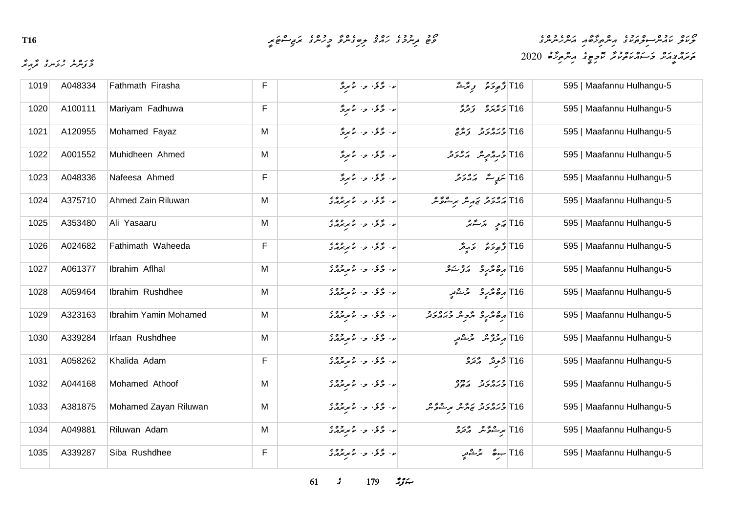*sCw7q7s5w7m< o<n9nOoAw7o< sCq;mAwBoEw7q<m; wBm;vB 2020<sup>, م</sup>وسر در مدد مدرج به مدرم مقرم قرار 2020*<br>موسر المستقرم المستقرم المستقرم المستقرم المستقرم المستقرم المستقرم المستقرم المستقرم المستقرم المستقرم المستقر

| A048334 | Fathmath Firasha      | $\mathsf F$ |                       |                                                                                                                                                                                                                                                                                                                                                                              | 595   Maafannu Hulhangu-5                                                                                                                                                                                                                                                                                                                                                                                                                                                                                                                                                                                                                                                                   |
|---------|-----------------------|-------------|-----------------------|------------------------------------------------------------------------------------------------------------------------------------------------------------------------------------------------------------------------------------------------------------------------------------------------------------------------------------------------------------------------------|---------------------------------------------------------------------------------------------------------------------------------------------------------------------------------------------------------------------------------------------------------------------------------------------------------------------------------------------------------------------------------------------------------------------------------------------------------------------------------------------------------------------------------------------------------------------------------------------------------------------------------------------------------------------------------------------|
| A100111 | Mariyam Fadhuwa       | F           |                       |                                                                                                                                                                                                                                                                                                                                                                              | 595   Maafannu Hulhangu-5                                                                                                                                                                                                                                                                                                                                                                                                                                                                                                                                                                                                                                                                   |
| A120955 | Mohamed Fayaz         | M           |                       |                                                                                                                                                                                                                                                                                                                                                                              | 595   Maafannu Hulhangu-5                                                                                                                                                                                                                                                                                                                                                                                                                                                                                                                                                                                                                                                                   |
| A001552 | Muhidheen Ahmed       | M           |                       |                                                                                                                                                                                                                                                                                                                                                                              | 595   Maafannu Hulhangu-5                                                                                                                                                                                                                                                                                                                                                                                                                                                                                                                                                                                                                                                                   |
| A048336 | Nafeesa Ahmed         | $\mathsf F$ |                       |                                                                                                                                                                                                                                                                                                                                                                              | 595   Maafannu Hulhangu-5                                                                                                                                                                                                                                                                                                                                                                                                                                                                                                                                                                                                                                                                   |
| A375710 | Ahmed Zain Riluwan    | M           |                       |                                                                                                                                                                                                                                                                                                                                                                              | 595   Maafannu Hulhangu-5                                                                                                                                                                                                                                                                                                                                                                                                                                                                                                                                                                                                                                                                   |
| A353480 | Ali Yasaaru           | M           |                       |                                                                                                                                                                                                                                                                                                                                                                              | 595   Maafannu Hulhangu-5                                                                                                                                                                                                                                                                                                                                                                                                                                                                                                                                                                                                                                                                   |
| A024682 | Fathimath Waheeda     | F           |                       |                                                                                                                                                                                                                                                                                                                                                                              | 595   Maafannu Hulhangu-5                                                                                                                                                                                                                                                                                                                                                                                                                                                                                                                                                                                                                                                                   |
| A061377 | Ibrahim Aflhal        | M           |                       |                                                                                                                                                                                                                                                                                                                                                                              | 595   Maafannu Hulhangu-5                                                                                                                                                                                                                                                                                                                                                                                                                                                                                                                                                                                                                                                                   |
| A059464 | Ibrahim Rushdhee      | M           |                       |                                                                                                                                                                                                                                                                                                                                                                              | 595   Maafannu Hulhangu-5                                                                                                                                                                                                                                                                                                                                                                                                                                                                                                                                                                                                                                                                   |
| A323163 | Ibrahim Yamin Mohamed | M           |                       |                                                                                                                                                                                                                                                                                                                                                                              | 595   Maafannu Hulhangu-5                                                                                                                                                                                                                                                                                                                                                                                                                                                                                                                                                                                                                                                                   |
| A339284 | Irfaan Rushdhee       | M           |                       |                                                                                                                                                                                                                                                                                                                                                                              | 595   Maafannu Hulhangu-5                                                                                                                                                                                                                                                                                                                                                                                                                                                                                                                                                                                                                                                                   |
| A058262 | Khalida Adam          | F           |                       |                                                                                                                                                                                                                                                                                                                                                                              | 595   Maafannu Hulhangu-5                                                                                                                                                                                                                                                                                                                                                                                                                                                                                                                                                                                                                                                                   |
| A044168 | Mohamed Athoof        | M           |                       |                                                                                                                                                                                                                                                                                                                                                                              | 595   Maafannu Hulhangu-5                                                                                                                                                                                                                                                                                                                                                                                                                                                                                                                                                                                                                                                                   |
| A381875 | Mohamed Zayan Riluwan | M           |                       |                                                                                                                                                                                                                                                                                                                                                                              | 595   Maafannu Hulhangu-5                                                                                                                                                                                                                                                                                                                                                                                                                                                                                                                                                                                                                                                                   |
| A049881 | Riluwan Adam          | M           |                       |                                                                                                                                                                                                                                                                                                                                                                              | 595   Maafannu Hulhangu-5                                                                                                                                                                                                                                                                                                                                                                                                                                                                                                                                                                                                                                                                   |
| A339287 | Siba Rushdhee         | F           | ر، دمجي د رحم پر ده د |                                                                                                                                                                                                                                                                                                                                                                              | 595   Maafannu Hulhangu-5                                                                                                                                                                                                                                                                                                                                                                                                                                                                                                                                                                                                                                                                   |
|         |                       |             |                       | لاستخرق وسامرة<br>لا د څخه د لامرڅ<br>لا د څخه د لامرهٔ<br>لا د څخه و لامرو<br>لا د څخه د لامرژ<br>لا د کمکې د لام ده ده<br>لا د کمکې د لامريزوه د<br>لا د کمکې د لامريزوي<br>لا گرگی و تمریز ده د<br>لا د څکې د لامريزه ده<br>با د کمکی د ام بربردی<br>لا د کمکې د لامريزوي<br>لا د کمکې د لامريزوي<br>لا د څکې و له مومروه د<br>لا د څکې و لامرمدوه<br>لا د کمی و لایویوری | T16 گەچەقەھ بويتىشە<br>T16 كەبىر بەر ئەرگە قىرىدىگە ئەرگەنگە ئاس<br>T16 <i>222 ق. ق. م.</i><br>T16  تجرير عبر المركز تركيز كليسية المركز تركيز<br>T16 سَمِرِتْہ ک <sup>م</sup> رْدَفر<br>T16 كەبرى <i>تى كەر بىل مېرىشمۇ بىر</i><br>T16 كەمچە بىر شەمگە<br>T16 <i>وُّجِوَدَة</i> وَرِيْدَ<br>T16 <sub>م</sub> ەممەر مۇشۇ<br>T16 <sub>مر</sub> ھ <i>مُرْرِدْ مُرْ</i> شْر <sub>ِرِ</sub><br>T16 <sub>م</sub> ِر <sub>َّ</sub> م <i>ُرُرٍ \$ مُرَّدٍ وَبَرَ مُرَّدٍ</i><br>T16 م <i>ېنگ<sup>ى</sup>گە</i> مۇش <sup>ى</sup> مە<br>T16 تَزْمِعَ مَرَّمَوْدُ<br>T16 <i>32823 م</i> عو <i>د</i><br>T16 <i>دې مړی پر شو</i> شر مړے مص<br>T16 برے <i>وُمَّہ مگرو</i><br>T16 سو <i>ھُ مُ</i> رْشُورِ |

 $61$  *s*  $179$  *i*<sub>s</sub>

*n8o<n@ qC7m:q5 q7w7m?n>*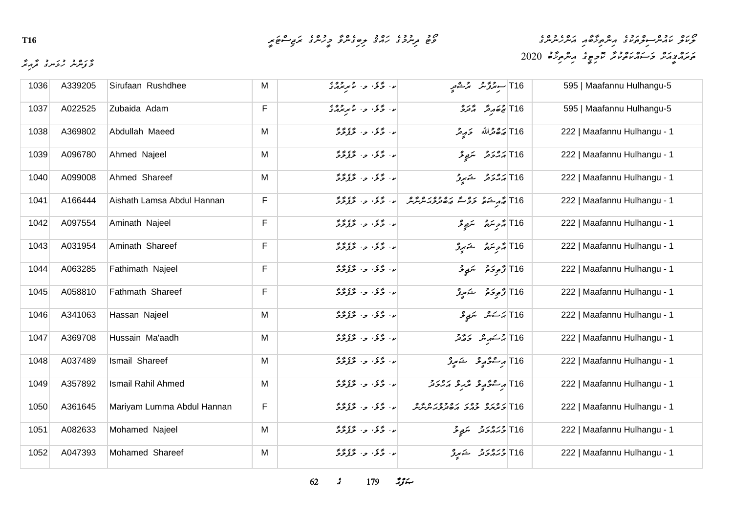*sCw7q7s5w7m< o<n9nOoAw7o< sCq;mAwBoEw7q<m; wBm;vB 2020<sup>, م</sup>وسوق المسجد التحقيق وسرمونية والم*جمع المسجد المسجد المسجد المسجد المسجد المسجد المسجد المسجد المسجد ال

# *n8o<n@ qC7m:q5 q7w7m?n>*

| 1036 | A339205 | Sirufaan Rushdhee          | M           | لا د څخه د لامرمدن                                                                                                                                                                                                                                                                                                                                                                                                                                                                           | T16 س <i>ېنگرنگر ب</i> گه شور کل                  | 595   Maafannu Hulhangu-5   |
|------|---------|----------------------------|-------------|----------------------------------------------------------------------------------------------------------------------------------------------------------------------------------------------------------------------------------------------------------------------------------------------------------------------------------------------------------------------------------------------------------------------------------------------------------------------------------------------|---------------------------------------------------|-----------------------------|
| 1037 | A022525 | Zubaida Adam               | F           | لا د څکې د لامرمده د                                                                                                                                                                                                                                                                                                                                                                                                                                                                         |                                                   | 595   Maafannu Hulhangu-5   |
| 1038 | A369802 | Abdullah Maeed             | M           | $\begin{bmatrix} 2 & 2 & 2 & 3 \ 2 & 2 & 3 & 6 \end{bmatrix}$ . $\mathbf{r}$                                                                                                                                                                                                                                                                                                                                                                                                                 |                                                   | 222   Maafannu Hulhangu - 1 |
| 1039 | A096780 | Ahmed Najeel               | M           | د گرگاه او انگروگرگاه<br>  د انگراگراه استروگرگرگاه                                                                                                                                                                                                                                                                                                                                                                                                                                          | T16 كەنزى تىرىپ                                   | 222   Maafannu Hulhangu - 1 |
| 1040 | A099008 | Ahmed Shareef              | M           | $\left  \begin{array}{cc} \mathcal{E}_{\mathcal{E}} & \mathcal{E}_{\mathcal{E}} & \mathcal{E}_{\mathcal{E}} & \mathcal{E}_{\mathcal{E}} & \mathcal{E}_{\mathcal{E}} & \mathcal{E}_{\mathcal{E}} & \mathcal{E}_{\mathcal{E}} & \mathcal{E}_{\mathcal{E}} & \mathcal{E}_{\mathcal{E}} & \mathcal{E}_{\mathcal{E}} & \mathcal{E}_{\mathcal{E}} & \mathcal{E}_{\mathcal{E}} & \mathcal{E}_{\mathcal{E}} & \mathcal{E}_{\mathcal{E}} & \mathcal{E}_{\mathcal{E}} & \mathcal{E}_{\mathcal{E}} & \$ | T16 كەندى قىرىقىسىدى                              | 222   Maafannu Hulhangu - 1 |
| 1041 | A166444 | Aishath Lamsa Abdul Hannan | F           |                                                                                                                                                                                                                                                                                                                                                                                                                                                                                              | T16 مەمئەم كەرەپ رەمەدەرەش بىر ئۇ، مەمئەم ئۇرۇ    | 222   Maafannu Hulhangu - 1 |
| 1042 | A097554 | Aminath Najeel             | $\mathsf F$ | $\begin{bmatrix} 2 & 2 & 2 & 3 \ 2 & 2 & 3 & 6 \end{bmatrix}$ . $\mathbf{v}$                                                                                                                                                                                                                                                                                                                                                                                                                 | T16 مَّ <i>جِسَمَ</i> سَمِو مَ                    | 222   Maafannu Hulhangu - 1 |
| 1043 | A031954 | Aminath Shareef            | F           | د گرگاه او انگروگرگاه<br>  د انگراگراه استروگرگرگاه                                                                                                                                                                                                                                                                                                                                                                                                                                          | T16 مَّ حِ سَمَّ مِنْ مَسْتَمَرِيْرِ              | 222   Maafannu Hulhangu - 1 |
| 1044 | A063285 | Fathimath Najeel           | $\mathsf F$ | الا دمجني الاستخداد و د                                                                                                                                                                                                                                                                                                                                                                                                                                                                      | T16 گەچەقە سىرىپ                                  | 222   Maafannu Hulhangu - 1 |
| 1045 | A058810 | Fathmath Shareef           | F           | $\begin{bmatrix} 2 & 2 & 2 & 3 \ 2 & 2 & 3 & 6 \end{bmatrix}$                                                                                                                                                                                                                                                                                                                                                                                                                                | T16 گەچەقە ئىسىمبىر                               | 222   Maafannu Hulhangu - 1 |
| 1046 | A341063 | Hassan Najeel              | M           | الا د نۇر ئۇز ئۇز                                                                                                                                                                                                                                                                                                                                                                                                                                                                            | T16   پزشکر س <i>ت</i> ھے تھ                      | 222   Maafannu Hulhangu - 1 |
| 1047 | A369708 | Hussain Ma'aadh            | M           | الا وَتَوْا والوَّوْوَةْ                                                                                                                                                                                                                                                                                                                                                                                                                                                                     | T16 يُرْسَمه مَر وَرَكْبَرُ                       | 222   Maafannu Hulhangu - 1 |
| 1048 | A037489 | Ismail Shareef             | M           | د گرگاه او انگروگرگاه<br>  د انگراگراه استروگرگرگاه                                                                                                                                                                                                                                                                                                                                                                                                                                          | T16 <sub>م</sub> رےد <i>و پ</i> و خوبور           | 222   Maafannu Hulhangu - 1 |
| 1049 | A357892 | <b>Ismail Rahil Ahmed</b>  | M           | $\begin{bmatrix} 2 & 2 & 3 \ 2 & 3 & 5 \end{bmatrix}$ . $\mathbf{v}$                                                                                                                                                                                                                                                                                                                                                                                                                         | T16 <sub>م</sub> ِ م <i>ُحَمَّدٍ وَ مُدَوَّدٍ</i> | 222   Maafannu Hulhangu - 1 |
| 1050 | A361645 | Mariyam Lumma Abdul Hannan | F           | لا : وَگُوْ ) و : وَگُوُوُوْدَ                                                                                                                                                                                                                                                                                                                                                                                                                                                               |                                                   | 222   Maafannu Hulhangu - 1 |
| 1051 | A082633 | Mohamed Najeel             | M           | ، د د و و د د د                                                                                                                                                                                                                                                                                                                                                                                                                                                                              | T16 <i>وُبَرُمْ وَمَرْ</i> سَمِعٍ قُرْ            | 222   Maafannu Hulhangu - 1 |
| 1052 | A047393 | Mohamed Shareef            | M           | ا ، د د و . د و د د                                                                                                                                                                                                                                                                                                                                                                                                                                                                          | T16  <i>ويروونز</i> خىر <i>ب</i> ۇ                | 222   Maafannu Hulhangu - 1 |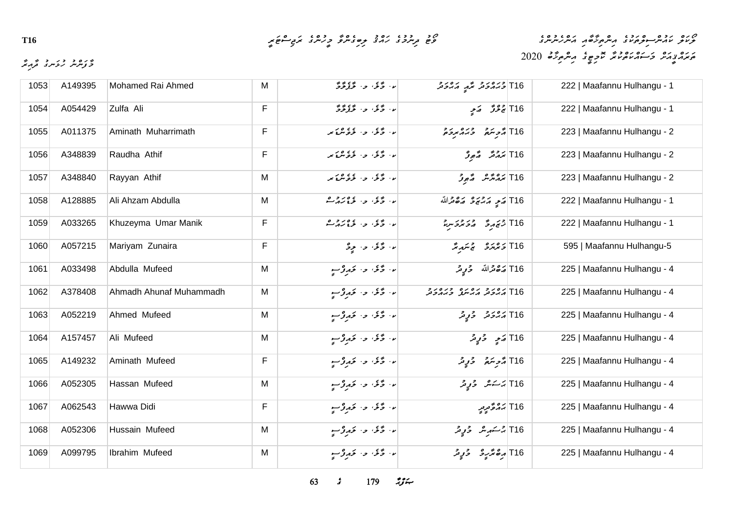*sCw7q7s5w7m< o<n9nOoAw7o< sCq;mAwBoEw7q<m; wBm;vB 2020<sup>, م</sup>وسوق المسجد التحقيق وسرمونية والم*جمع المسجد المسجد المسجد المسجد المسجد المسجد المسجد المسجد المسجد ال

# *n8o<n@ qC7m:q5 q7w7m?n>*

| 1053 | A149395 | Mohamed Rai Ahmed       | M            | ر، دَگر، د. دَّڏَرَدَّرَ | T16  <i>322م تمبر ה</i> 22تر                              | 222   Maafannu Hulhangu - 1 |
|------|---------|-------------------------|--------------|--------------------------|-----------------------------------------------------------|-----------------------------|
| 1054 | A054429 | Zulfa Ali               | F            | ، دَگرَ، د· گَرُوُگُرَ   | T16 يح ي محمد محمد من محدد السير السير<br>مستقط علم السير | 222   Maafannu Hulhangu - 1 |
| 1055 | A011375 | Aminath Muharrimath     | F            | لا : ۇىق د : ئۇۋىترىكىمە | T16 مُ <i>جِسَعُو حُبَيْرُ مِرْحَمْ</i>                   | 223   Maafannu Hulhangu - 2 |
| 1056 | A348839 | Raudha Athif            | F            | لا کې د عوصيت پر         | T16 <i>بَدْيَرْ مُ</i> مُورْ                              | 223   Maafannu Hulhangu - 2 |
| 1057 | A348840 | Rayyan Athif            | M            | لا کې د عوصيت پر         | T16 <i>بَرْمُ مُرَّسْ مُنَّهُو</i> رُ                     | 223   Maafannu Hulhangu - 2 |
| 1058 | A128885 | Ali Ahzam Abdulla       | M            | لا د محکمه د د کارورو ه  | T16 <i>حَرِّمْ حَدَّيْ</i> حْ حَدَّهْ مِلَّلَّهُ          | 222   Maafannu Hulhangu - 1 |
| 1059 | A033265 | Khuzeyma Umar Manik     | F            | لا ، ۇي د ، دې ئەرم      | T16 تر <i>ىن مەڭ ھەقەتكە</i> بىر                          | 222   Maafannu Hulhangu - 1 |
| 1060 | A057215 | Mariyam Zunaira         | F            | الاء گري او د موگر       | T16  <i>وَبُرْدَرْدْ</i> يُمَدِيَّر                       | 595   Maafannu Hulhangu-5   |
| 1061 | A033498 | Abdulla Mufeed          | M            | الا دمجني والمحادثوب     | T16 كەچ قىراللە     ق. يەشر                               | 225   Maafannu Hulhangu - 4 |
| 1062 | A378408 | Ahmadh Ahunaf Muhammadh | M            | الأرتجى والحدوث          | T16 <i>גېرونو ټرمنو ورورون</i> و                          | 225   Maafannu Hulhangu - 4 |
| 1063 | A052219 | Ahmed Mufeed            | $\mathsf{M}$ | الا دمجني والمحدوث       | T16   كەش <sup>ى</sup> كەر قىلى قىلىمىتى ئىس              | 225   Maafannu Hulhangu - 4 |
| 1064 | A157457 | Ali Mufeed              | M            | الا د څخه د کرمړنو ک     | T16 <i>ڇُجِ - ڏُوِيَرُ</i>                                | 225   Maafannu Hulhangu - 4 |
| 1065 | A149232 | Aminath Mufeed          | F            | الا د د ي د ان د د و     | T16 مَّ <i>جِسَمَّۃ حَ وِمَّ</i>                          | 225   Maafannu Hulhangu - 4 |
| 1066 | A052305 | Hassan Mufeed           | M            | ، دُی دا دَروپ           | T16  زسکس تی توفر                                         | 225   Maafannu Hulhangu - 4 |
| 1067 | A062543 | Hawwa Didi              | F            | لا د د د د د ور          | T16   بَرُوگ <sup>و</sup> يِدِيرِ                         | 225   Maafannu Hulhangu - 4 |
| 1068 | A052306 | Hussain Mufeed          | M            | الا دمجني والمحدوث       | T16  پُرڪوپش تي وي                                        | 225   Maafannu Hulhangu - 4 |
| 1069 | A099795 | Ibrahim Mufeed          | M            | الأرتجى والمحادثي        | T16 <sub>م</sub> ەنگەپ <sup>ى ئ</sup> ەيەتر               | 225   Maafannu Hulhangu - 4 |

*63 s* 179 *i*<sub>s</sub> $\approx$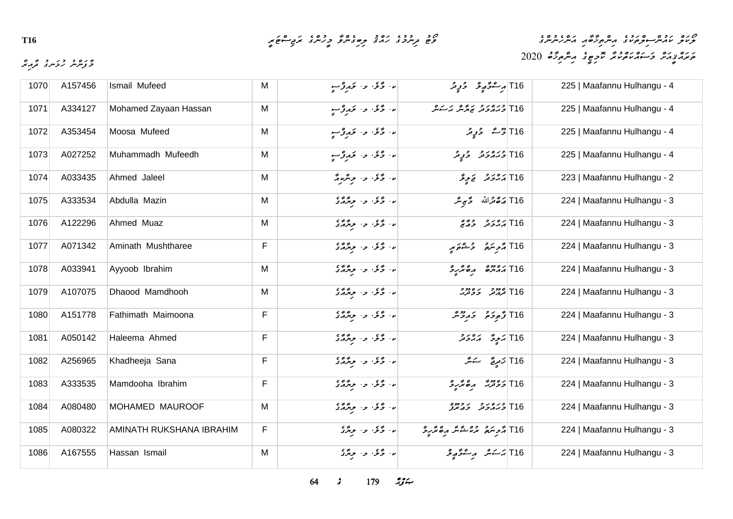*sCw7q7s5w7m< o<n9nOoAw7o< sCq;mAwBoEw7q<m; wBm;vB 2020<sup>, م</sup>وسر در مدد مدرج به مدرم مقرم قرار 2020*<br>موسر المستقرم المستقرم المستقرم المستقرم المستقرم المستقرم المستقرم المستقرم المستقرم المستقرم المستقرم المستقر

| 1070 | A157456 | Ismail Mufeed            | M           | الا د څخه د کروکسو             | T16 م مــُوتُور تحمي تحرير قريد                         | 225   Maafannu Hulhangu - 4 |
|------|---------|--------------------------|-------------|--------------------------------|---------------------------------------------------------|-----------------------------|
| 1071 | A334127 | Mohamed Zayaan Hassan    | M           | لا د د د نوروب                 | T16 <i>وَبَرُوْدُو پِی وَبَرْ بَرَسَ</i> سُ             | 225   Maafannu Hulhangu - 4 |
| 1072 | A353454 | Moosa Mufeed             | M           | ، دُی د نمبروگ                 | T16 تخریقر                                              | 225   Maafannu Hulhangu - 4 |
| 1073 | A027252 | Muhammadh Mufeedh        | M           | لا د نځې د نمبروک              | T16  <i>وُيَهُوَوُتْ</i> وُرِيْرُ                       | 225   Maafannu Hulhangu - 4 |
| 1074 | A033435 | Ahmed Jaleel             | M           | ما المحتى الله المحامدة الم    | T16   كەش <sup>ى</sup> كىم قىم يەرىخە                   | 223   Maafannu Hulhangu - 2 |
| 1075 | A333534 | Abdulla Mazin            | M           | أأنا المحتى المحاسبين والمردان | T16 كەھەراللە گەمچە بىر                                 | 224   Maafannu Hulhangu - 3 |
| 1076 | A122296 | Ahmed Muaz               | M           | د کچې د پرمدې                  | T16 كەبرى قارىمى قارىم                                  | 224   Maafannu Hulhangu - 3 |
| 1077 | A071342 | Aminath Mushtharee       | $\mathsf F$ | د کچې د پرمدې                  | T16 مَّ حِسَمَةٌ حَسْقَمَ مِرِ                          | 224   Maafannu Hulhangu - 3 |
| 1078 | A033941 | Ayyoob Ibrahim           | M           | ر، وَکَیْ وَ وِجَرَمَہُ        | $5.5$ $2.5$ $2.5$ $16$                                  | 224   Maafannu Hulhangu - 3 |
| 1079 | A107075 | Dhaood Mamdhooh          | M           | ر، وی در دوره                  | T16 مُهْرَمْہ دَوْمِهِ مِ                               | 224   Maafannu Hulhangu - 3 |
| 1080 | A151778 | Fathimath Maimoona       | F           | ألاء تخريجا والمجمعة           | T16 أَوَّجِ دَمَ قَصَرَ مَرَّسَمَدُ                     | 224   Maafannu Hulhangu - 3 |
| 1081 | A050142 | Haleema Ahmed            | F           | ۱۰ وگی و وجه                   | T16 كيودً <i>ة كەنەۋى</i> تى                            | 224   Maafannu Hulhangu - 3 |
| 1082 | A256965 | Khadheeja Sana           | $\mathsf F$ | ۱۰ وگی و وجه                   | T16 كَتَوِيعٌ مُسَتَمَدٌ                                | 224   Maafannu Hulhangu - 3 |
| 1083 | A333535 | Mamdooha Ibrahim         | F           | ر، وَکَیْ وَ وِجَرَمَہُ        | T16  <i>وَوَثَرْبُہ م</i> ِ صُ <i>گرٍ وُ</i>            | 224   Maafannu Hulhangu - 3 |
| 1084 | A080480 | MOHAMED MAUROOF          | M           | ر، وَکَیْ وَ مِعْلَمَتَ        | T16 <i>בגמבת בחינים</i>                                 | 224   Maafannu Hulhangu - 3 |
| 1085 | A080322 | AMINATH RUKSHANA IBRAHIM | F           | الا د څخه د اودون              | T16 مُ <i>جِسَمَ مُنْ شَمَّتُر مِ</i> صُ <i>بُرٍ \$</i> | 224   Maafannu Hulhangu - 3 |
| 1086 | A167555 | Hassan Ismail            | M           | الا د څخه د او پروژ            | T16   يَرْسَسْ - مِرْسُوَّمِيْوْ -                      | 224   Maafannu Hulhangu - 3 |

## *n8o<n@ qC7m:q5 q7w7m?n>*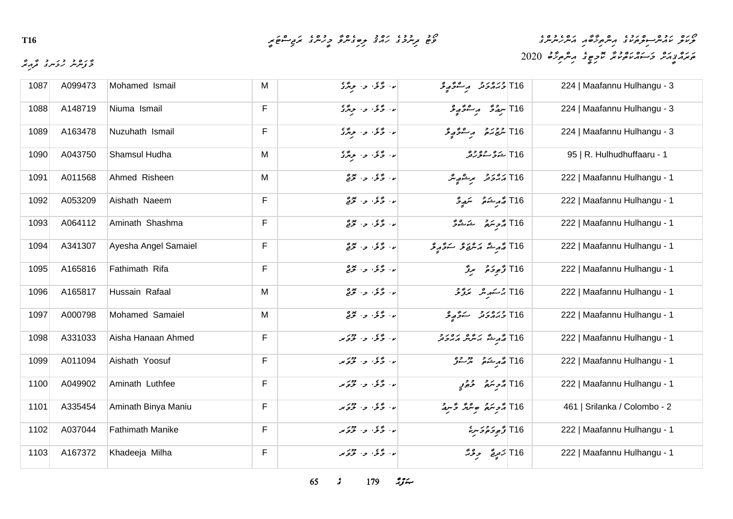*sCw7q7s5w7m< o<n9nOoAw7o< sCq;mAwBoEw7q<m; wBm;vB 2020<sup>, م</sup>وسر در مدد مدرج به مدرم مقرم قرار 2020*<br>موسر المستقرم المستقرم المستقرم المستقرم المستقرم المستقرم المستقرم المستقرم المستقرم المستقرم المستقرم المستقر

| T16 <i>جەنگە جۇمەتتى</i> ئىستا <i>ۋە بى</i><br>224   Maafannu Hulhangu - 3 | ر، وَکَوَ، و، وچی                     | M | Mohamed Ismail          | A099473 | 1087 |
|----------------------------------------------------------------------------|---------------------------------------|---|-------------------------|---------|------|
| T16 سِمَدًّ مِ سُرَّمٍ وُ مِ<br>224   Maafannu Hulhangu - 3                | الا د څخه د او پروژ                   | F | Niuma Ismail            | A148719 | 1088 |
| T16 ىن ئەقرىر مەش <i>ۇر بى</i><br>224   Maafannu Hulhangu - 3              | د څخه د پروژه                         | F | Nuzuhath Ismail         | A163478 | 1089 |
| T16 شۇرقىزى<br><br>95   R. Hulhudhuffaaru - 1                              | لاء وحجو ألواء المحافري               | M | Shamsul Hudha           | A043750 | 1090 |
| T16 كەبرى كىم يونى ئىسىمبەتلىر<br>222   Maafannu Hulhangu - 1              | ىر، ئۇنى بەر بوھ                      | M | Ahmed Risheen           | A011568 | 1091 |
| T16 مُەمسىم مەرگى<br>222   Maafannu Hulhangu - 1                           | ىر، گەنى كى ئىچى ھ                    | F | Aishath Naeem           | A053209 | 1092 |
| T16 مَّ صِنَّعَمُ شَمَشْرَحُ<br>222   Maafannu Hulhangu - 1                | ىر گەنى كەرگە                         | F | Aminath Shashma         | A064112 | 1093 |
| T16 مەم شەھقى ئىن <i>دۇر بى</i><br>222   Maafannu Hulhangu - 1             | الا انحاقی الاسم میتون                | F | Ayesha Angel Samaiel    | A341307 | 1094 |
| T16 <i>وُّجِ وَءُ</i> مِعَ<br>222   Maafannu Hulhangu - 1                  | ىر گەنى كەرگە                         | F | Fathimath Rifa          | A165816 | 1095 |
| T16 پڑے پر پڑو تر<br>222   Maafannu Hulhangu - 1                           | ىر، گەنى كى ئىچى ھ                    | M | Hussain Rafaal          | A165817 | 1096 |
| T16  <i>وُبَہُ دو جو سَوَّہِ و</i><br>222   Maafannu Hulhangu - 1          | ىر، ئۇنى بەر بوھ                      | M | Mohamed Samaiel         | A000798 | 1097 |
| T16 مُگرمش بَرْمَرْمَرْ مَرْدَوْمْرَ<br>222   Maafannu Hulhangu - 1        | لا د څو د د وویم                      | F | Aisha Hanaan Ahmed      | A331033 | 1098 |
| T16 مُدِيشَة مسروفي<br>222   Maafannu Hulhangu - 1                         | لاستخرش وسيحوس                        | F | Aishath Yoosuf          | A011094 | 1099 |
| T16 مَّرِسَمَّۃُ خَفْرَبِهِ<br>222   Maafannu Hulhangu - 1                 | ىن ۇىق ۋە بۇھەر                       | F | Aminath Luthfee         | A049902 | 1100 |
| T16 أَمُّ حِسَمَةً وَسَمَّدَ خُسِمَّهُ<br>461   Srilanka / Colombo - 2     | لا رقمی و مخونم                       | F | Aminath Binya Maniu     | A335454 | 1101 |
| T16 ۇ <sub>جو</sub> رۇمۇرىبرىئە<br>222   Maafannu Hulhangu - 1             | ۱۰ وگی و دور                          | F | <b>Fathimath Manike</b> | A037044 | 1102 |
| T16 زَمِيعٌ <sub>حِ</sub> وْبٌ<br>222   Maafannu Hulhangu - 1              | ر، گ <sup>و</sup> گ و، ف <i>ژو</i> نر | F | Khadeeja Milha          | A167372 | 1103 |
|                                                                            |                                       |   |                         |         |      |

 $65$  *s*  $179$   $23$   $\div$ 

*n8o<n@ qC7m:q5 q7w7m?n>*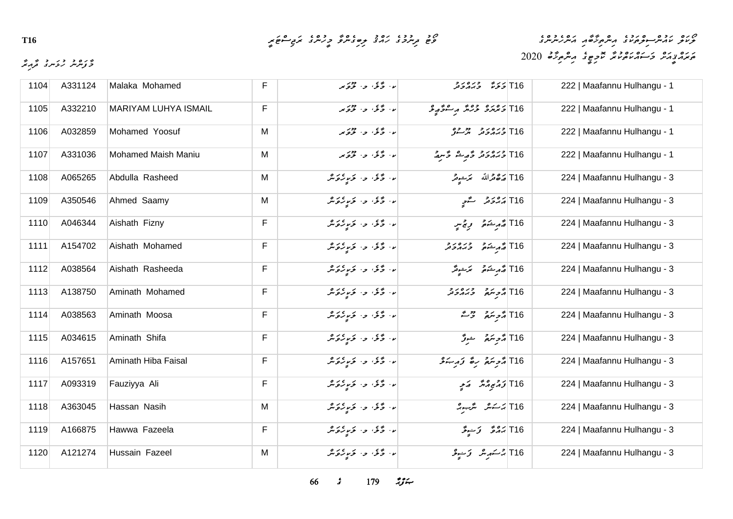*sCw7q7s5w7m< o<n9nOoAw7o< sCq;mAwBoEw7q<m; wBm;vB 2020<sup>, م</sup>وسوق المسجد التحقيق وسرمونية والم*جمع المسجد المسجد المسجد المسجد المسجد المسجد المسجد المسجد المسجد ال

#### *n8o<n@ qC7m:q5 q7w7m?n>*

| 1104 | A331124 | Malaka Mohamed             | F            | لا په څوا د کوې په                                                                                             | T16   <i>قىغاڭ قىتەۋەت</i> ر                   | 222   Maafannu Hulhangu - 1 |
|------|---------|----------------------------|--------------|----------------------------------------------------------------------------------------------------------------|------------------------------------------------|-----------------------------|
| 1105 | A332210 | MARIYAM LUHYA ISMAIL       | F            | الا انجني الأروم المحتمد                                                                                       | T16 كى <i>مەدى بۇرىگە م</i> ېرىقتۇم <i>پ</i> و | 222   Maafannu Hulhangu - 1 |
| 1106 | A032859 | Mohamed Yoosuf             | M            | لاستخرق وسيحقص                                                                                                 | T16 <i>جەمەدە</i> ر مەسىر                      | 222   Maafannu Hulhangu - 1 |
| 1107 | A331036 | <b>Mohamed Maish Maniu</b> | $\mathsf{M}$ | لاستخرق وسيحقص                                                                                                 | T16 كەبەر ئەربىي ئەربە                         | 222   Maafannu Hulhangu - 1 |
| 1108 | A065265 | Abdulla Rasheed            | M            | لا : د کلی و : د کمیونرونتر                                                                                    | T16 كەچ قىراللە     كەرىئوقر                   | 224   Maafannu Hulhangu - 3 |
| 1109 | A350546 | Ahmed Saamy                | M            | لا : 33، و بم ترکار کار                                                                                        | T16 كەنزى قىرىسىگى <i>ر</i>                    | 224   Maafannu Hulhangu - 3 |
| 1110 | A046344 | Aishath Fizny              | F            | لا : دَّى و : دَرِدْدُهْ لَدْ                                                                                  | T16 <i>۾ مرشو وچ</i> س                         | 224   Maafannu Hulhangu - 3 |
| 1111 | A154702 | Aishath Mohamed            | F            | لا : دَّى و : دَرِدْدُهْ لَدْ                                                                                  | T16 مُصِنَعْمٌ وَيَدْوَمُرْ                    | 224   Maafannu Hulhangu - 3 |
| 1112 | A038564 | Aishath Rasheeda           | F            | لا : 33، و بم ترکار کار                                                                                        | T16 م <i>مَّ مِ شَيْءٍ مَرْ</i> حِيثَر         | 224   Maafannu Hulhangu - 3 |
| 1113 | A138750 | Aminath Mohamed            | F            | لا : د څو و : د کمونرونتر                                                                                      | T16 مَّ حِسَمَة صَمَّ حَدَّ حَمَّدَ حَمَّد     | 224   Maafannu Hulhangu - 3 |
| 1114 | A038563 | Aminath Moosa              | F            | لا : د د کارد کارد کار د کار د کار د کار د کار د کار د کار د کار د کار د کار د کار د کار د کار د کار د کار د ک | T16 گەج ئىگە ق <sup>ىم</sup> گ                 | 224   Maafannu Hulhangu - 3 |
| 1115 | A034615 | Aminath Shifa              | F            | لا : دَّى و : دَرِدْدُهْ لَدْ                                                                                  | T16 مُرِسَمَ مِنْ                              | 224   Maafannu Hulhangu - 3 |
| 1116 | A157651 | Aminath Hiba Faisal        | F            | لا : دَّى و نوَلاِرْوَلا                                                                                       | T16 مُ <i>وِسَمَعُ رِحَ وَم</i> ِسَوَ          | 224   Maafannu Hulhangu - 3 |
| 1117 | A093319 | Fauziyya Ali               | F            | لا : د کلی و : د کمیونرونتر                                                                                    | T16 <i>قەتمى ھەتىھى</i> ھەمچە                  | 224   Maafannu Hulhangu - 3 |
| 1118 | A363045 | Hassan Nasih               | M            | لا : د څو و : د کمونرونتر                                                                                      | T16  پرسترش س <i>رگرید</i> پر                  | 224   Maafannu Hulhangu - 3 |
| 1119 | A166875 | Hawwa Fazeela              | F            | لا : وَبَقٍّ وَ وَلَازُوَنَّرْ                                                                                 | T16  يَرْدُوَّ كَرْسِوْدً                      | 224   Maafannu Hulhangu - 3 |
| 1120 | A121274 | Hussain Fazeel             | M            | لا : د څو و : د کمار کار کار                                                                                   | T16  پژ <i>ستهرنگ ق</i> رسیدهی                 | 224   Maafannu Hulhangu - 3 |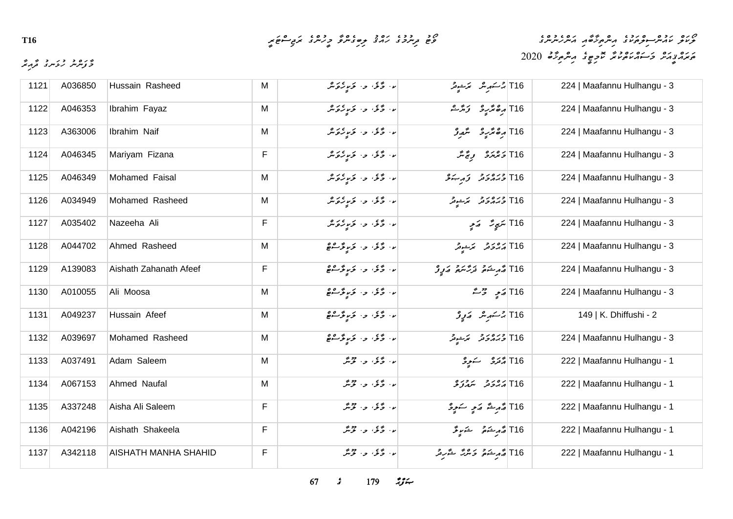*sCw7q7s5w7m< o<n9nOoAw7o< sCq;mAwBoEw7q<m; wBm;vB 2020 محمد من المحمد المحمد المحمد العربية وسر بعد من المحمد العالمية*<br>محمد المحمد المحمد المحمد المحمد المحمد المحمد العالم

| 1121 | A036850 | Hussain Rasheed             | M           |                                                                                                      | T16   پرستہر شر سمزش <sub>ی</sub> تر                  | 224   Maafannu Hulhangu - 3 |
|------|---------|-----------------------------|-------------|------------------------------------------------------------------------------------------------------|-------------------------------------------------------|-----------------------------|
| 1122 | A046353 | Ibrahim Fayaz               | M           | لا : 33 و : 3 كور كار ه                                                                              | T16 مەھەرىپە زەمە                                     | 224   Maafannu Hulhangu - 3 |
| 1123 | A363006 | Ibrahim Naif                | M           |                                                                                                      | T16 م <i>وڭ بگرى سىھ</i> وتى                          | 224   Maafannu Hulhangu - 3 |
| 1124 | A046345 | Mariyam Fizana              | F           |                                                                                                      | T16 <i>حَمْدَة دِيُّ</i> مَّ                          | 224   Maafannu Hulhangu - 3 |
| 1125 | A046349 | Mohamed Faisal              | M           | لا د څکې د کولوگونگر                                                                                 | T16  <i>ڈیزہ ڈی ق</i> ہ بکٹ                           | 224   Maafannu Hulhangu - 3 |
| 1126 | A034949 | Mohamed Rasheed             | M           |                                                                                                      | T16  <i>وُبَہُ وُوَدٌ</i> کَرَسُوِیْرُ                | 224   Maafannu Hulhangu - 3 |
| 1127 | A035402 | Nazeeha Ali                 | $\mathsf F$ | لا : د څو و . ځې زوند                                                                                | T16 <i>سَمِي گَهُ وَ</i>                              | 224   Maafannu Hulhangu - 3 |
| 1128 | A044702 | Ahmed Rasheed               | M           | لا : د څو د و نورو څو                                                                                | T16 كەنزى كىمى تىرىدى كىلەن ئىس                       | 224   Maafannu Hulhangu - 3 |
| 1129 | A139083 | Aishath Zahanath Afeef      | $\mathsf F$ | لا : د څو د و نورو څو                                                                                | T16 مُەمِسْمَى نَرَرَّىدَە مَەرِرْ                    | 224   Maafannu Hulhangu - 3 |
| 1130 | A010055 | Ali Moosa                   | M           | لا : دَ دَ الله و الله دَ عَمَلٍ وَ عَلَيْهِ عَلَيْهِ عَلَيْهِ عَلَيْهِ عَلَيْهِ عَلَيْهِ عَلَيْهِ ع | T16  پر ویں م                                         | 224   Maafannu Hulhangu - 3 |
| 1131 | A049237 | Hussain Afeef               | M           | لا . 33، و . ئۇيۇقشۇ                                                                                 | T16   پرستمبر مگر تھی تھا۔<br>مسلمات                  | 149   K. Dhiffushi - 2      |
| 1132 | A039697 | Mohamed Rasheed             | M           | ، دُی د دَرِدْهُ و                                                                                   | T16  <i>وَبَہُ وَبَوْء</i> َ مَرْ <sub>شُو</sub> مِرُ | 224   Maafannu Hulhangu - 3 |
| 1133 | A037491 | Adam Saleem                 | M           | لا د گري د . مختگر                                                                                   | T16 مُرتر <i>و سَنوو</i>                              | 222   Maafannu Hulhangu - 1 |
| 1134 | A067153 | Ahmed Naufal                | M           | لار گەنگى بەر جۇنگرا                                                                                 | T16 كەبرى ئىمەتەتى                                    | 222   Maafannu Hulhangu - 1 |
| 1135 | A337248 | Aisha Ali Saleem            | F           | لا د څخه د د چش                                                                                      | T16 صَّرِيحَ صَعٍ سَعِرِي                             | 222   Maafannu Hulhangu - 1 |
| 1136 | A042196 | Aishath Shakeela            | F           | ىر، ئۇنى بەر ئۇنىگە                                                                                  | T16 مَ <sub>م</sub> ُ مِسْمَعٌ مُسَرِعٌ               | 222   Maafannu Hulhangu - 1 |
| 1137 | A342118 | <b>AISHATH MANHA SHAHID</b> | $\mathsf F$ | لاءِ گاڻي ۾ ڪار                                                                                      | T16 مەمۇم كەش <i>ۇ ھەرى</i> ر                         | 222   Maafannu Hulhangu - 1 |

*67 sC 179 nNw?mS*

*n8o<n@ qC7m:q5 q7w7m?n>*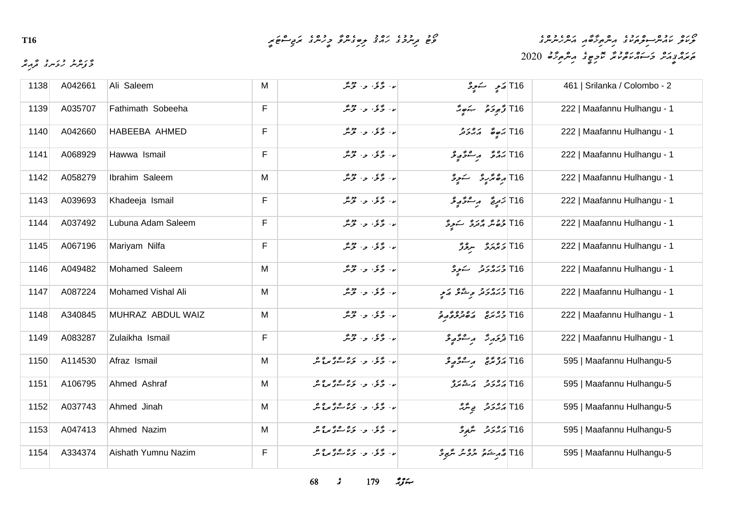*sCw7q7s5w7m< o<n9nOoAw7o< sCq;mAwBoEw7q<m; wBm;vB* م من المرة المرة المرة المرجع المرجع في المركبة 2020<br>مجم*د المريض المربوط المربع المرجع في المراجع المركبة* 

| 1138 | A042661 | Ali Saleem           | M  | لا د څو د د ونگر              | T16 کړي شو <u>ی</u> و                                                                                                                                                                                                           | 461   Srilanka / Colombo - 2 |
|------|---------|----------------------|----|-------------------------------|---------------------------------------------------------------------------------------------------------------------------------------------------------------------------------------------------------------------------------|------------------------------|
| 1139 | A035707 | Fathimath Sobeeha    | F  | الا : وَتَوْا وَالْوَشْ       | T16 رَّجِ دَمَّةَ جَمَعِيَّةَ                                                                                                                                                                                                   | 222   Maafannu Hulhangu - 1  |
| 1140 | A042660 | <b>HABEEBA AHMED</b> | F  | لار څخه لور څنگ               | T16 بَرَصِرَة مَدَّدَتَر                                                                                                                                                                                                        | 222   Maafannu Hulhangu - 1  |
| 1141 | A068929 | Hawwa Ismail         | F  | لا د گري د . وهر              | T16 <i>بَدْهُ * وِسْتَوَّوِدْ</i>                                                                                                                                                                                               | 222   Maafannu Hulhangu - 1  |
| 1142 | A058279 | Ibrahim Saleem       | M  | لار گەنگى بەر جۇنگرا          | T16 <sub>م</sub> ەنزى <sub>ر</sub> و سىرو                                                                                                                                                                                       | 222   Maafannu Hulhangu - 1  |
| 1143 | A039693 | Khadeeja Ismail      | F. | لار څخه لور څنگ               | T16 دَمِيعٌ ۔ مِـــْمَوَّمِيوْ ۔                                                                                                                                                                                                | 222   Maafannu Hulhangu - 1  |
| 1144 | A037492 | Lubuna Adam Saleem   | F  | لا د گري د . مختگر            | T16 تِرْصَعْرُ مُرْمَرْدُ سَعِرْدُ                                                                                                                                                                                              | 222   Maafannu Hulhangu - 1  |
| 1145 | A067196 | Mariyam Nilfa        | F  | لار گەنگى بەر جۇنگرا          | T16  <i>5نگەنى سى</i> بىرى                                                                                                                                                                                                      | 222   Maafannu Hulhangu - 1  |
| 1146 | A049482 | Mohamed Saleem       | M  | لا د څو د د ونگر              | T16 <i>5 برو 5 بن سکو</i> ی                                                                                                                                                                                                     | 222   Maafannu Hulhangu - 1  |
| 1147 | A087224 | Mohamed Vishal Ali   | M  | لا د گڼې وا مختگر             | T16  وَيَرُوُونُو مِشَوْ كَمَعِ                                                                                                                                                                                                 | 222   Maafannu Hulhangu - 1  |
| 1148 | A340845 | MUHRAZ ABDUL WAIZ    | M  | لار څخه لور څنگ               | T16 <i>دوبره برە دوم</i> پر د                                                                                                                                                                                                   | 222   Maafannu Hulhangu - 1  |
| 1149 | A083287 | Zulaikha Ismail      | F  | لا د گڼې وا مختگر             | T16 ن <i>ۇقەر</i> مى مەش <i>ۇم</i> ۇ                                                                                                                                                                                            | 222   Maafannu Hulhangu - 1  |
| 1150 | A114530 | Afraz Ismail         | M  | ، دې د نورانو پرونکر          | T16 مَرْدَ بَيْنَجَ مِ سُتَّحَمَّدِ فَ                                                                                                                                                                                          | 595   Maafannu Hulhangu-5    |
| 1151 | A106795 | Ahmed Ashraf         | M  | ىر ئەنتى بەر ئەشقى ئەرقىس     | T16 كەبر <i>ە كەشىرى</i>                                                                                                                                                                                                        | 595   Maafannu Hulhangu-5    |
| 1152 | A037743 | Ahmed Jinah          | M  | ىر، ئۇنى، بەر ئۇر ئەمۇمدە بىر | T16 كەنزى قىمى ئىنگەنىچە ئىنگەنىڭ كىيەن ئىنگەنىڭ كىيەن ئىنگەنىڭ كىيەن كىيەن كىيەن كىيەن كىيەن كىيەن كىيەن كىي<br>مەنبەت كىيان كىيان كىيان كىيان كىيان كىيان كىيان كىيان كىيان كىيان كىيان كىيان كىيان كىيان كىيان كىيان كىيان ك | 595   Maafannu Hulhangu-5    |
| 1153 | A047413 | Ahmed Nazim          | M  | ىر ئەنتى بەر ئەشقى ئەرقىس     |                                                                                                                                                                                                                                 | 595   Maafannu Hulhangu-5    |
| 1154 | A334374 | Aishath Yumnu Nazim  | F  | ىر، ئۇق بەر ئەرەپ ئەرەپىر     | T16 م <i>ەم شەم مەدىر مەنب</i> ۇ                                                                                                                                                                                                | 595   Maafannu Hulhangu-5    |

*68 s* 179 *i*<sub>s</sub> $\div$ 

*n8o<n@ qC7m:q5 q7w7m?n>*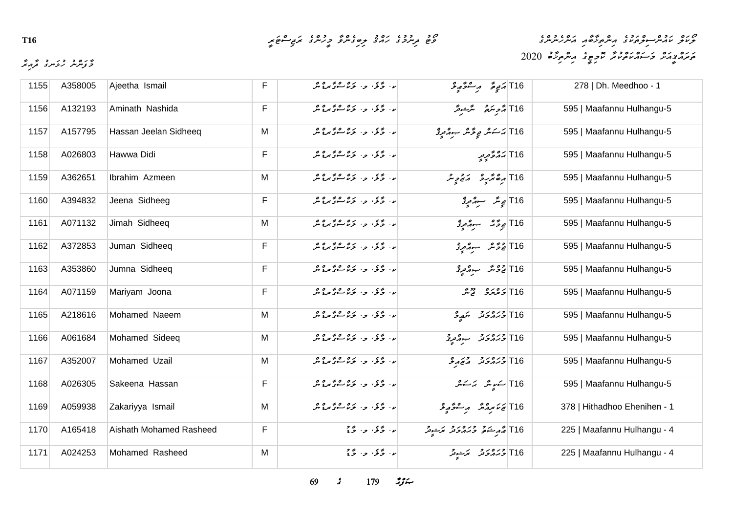*sCw7q7s5w7m< o<n9nOoAw7o< sCq;mAwBoEw7q<m; wBm;vB 2020<sup>, م</sup>وسر در مدد مدرج به مدرم مقرم قرار 2020*<br>موسر المستقرم المستقرم المستقرم المستقرم المستقرم المستقرم المستقرم المستقرم المستقرم المستقرم المستقرم المستقر

| 1155 | A358005 | Ajeetha Ismail                 | F | ىر، ئۇنى، بەر ئەرگەرى بىر         | T16   رَمٍ حٌ      بر_شَرَّمٍ ثَرْ                     | 278   Dh. Meedhoo - 1        |
|------|---------|--------------------------------|---|-----------------------------------|--------------------------------------------------------|------------------------------|
| 1156 | A132193 | Aminath Nashida                | F | ىر، ئۇنى، بەر ئەرگەرىمى ئاش       | T16 مُرْحِ سَمْ مُسْتَقِدٌ                             | 595   Maafannu Hulhangu-5    |
| 1157 | A157795 | Hassan Jeelan Sidheeq          | M | لا ئەق بەر ئەھمىيەت ئىلگەنلەر     | T16   يَرْسَسْ <sub>فِو</sub> قْسْ سِبْرُمْرِيْرْ      | 595   Maafannu Hulhangu-5    |
| 1158 | A026803 | Hawwa Didi                     | F | لا ئەق بەر ئەھمىيەت ئىگەنلەر ئەھر | T16 كەمگ <sup>ە</sup> تېرىپە                           | 595   Maafannu Hulhangu-5    |
| 1159 | A362651 | Ibrahim Azmeen                 | M | لا ئەقتۇر بەر ئەھ سىرتى بىر ئەش   | T16 <sub>م</sub> ەھ <i>ئۇر</i> قىسىم ئەرىپىتىكى بىر    | 595   Maafannu Hulhangu-5    |
| 1160 | A394832 | Jeena Sidheeg                  | F | ىر، ئۇنى بەر ئۇناسىمەتلىرى بىر    | T16   مٍ مَّر سِنْ مِرْ مِرِيْح                        | 595   Maafannu Hulhangu-5    |
| 1161 | A071132 | Jimah Sidheeq                  | M | ىر، ئۇنى، بەر ئەرگەرىمى ئاش       | T16  ي <sub>و</sub> دٌ ۾ مروري <sub>و</sub>            | 595   Maafannu Hulhangu-5    |
| 1162 | A372853 | Juman Sidheeq                  | F | ىر ئەق بەر ئەشقى ئەرقىس           | T16 <i>فی ڈ شہر جو مربز</i>                            | 595   Maafannu Hulhangu-5    |
| 1163 | A353860 | Jumna Sidheeq                  | F | ىر ئەق بەر ئەشقى ئەرقىس           | T16 <i>فى 3 شەھىرى</i> بىر                             | 595   Maafannu Hulhangu-5    |
| 1164 | A071159 | Mariyam Joona                  | F | لا د څو و د نولاسوتمبره نگر       | T16 كەبەر ئۇنىگە                                       | 595   Maafannu Hulhangu-5    |
| 1165 | A218616 | Mohamed Naeem                  | M | ىر، ئۇنى، بەر ئۇناسلىق ئىرقىش     | T16 <i>522.5 تمدی</i>                                  | 595   Maafannu Hulhangu-5    |
| 1166 | A061684 | Mohamed Sideeq                 | M | لا ئەق بەر ئەھمىيەتلىكى ئاس       | T16  <i>3223\$ جوهورة</i>                              | 595   Maafannu Hulhangu-5    |
| 1167 | A352007 | Mohamed Uzail                  | M | ىر ئەنتى بەر ئەھمەت ئەتتى بىر     | T16 تر بروت ته من بر محمد السابقية بر محر              | 595   Maafannu Hulhangu-5    |
| 1168 | A026305 | Sakeena Hassan                 | F | لا د دې د ده مېړۍ مړ              | T16 س <i>ے پیڈ</i> پرسکٹر                              | 595   Maafannu Hulhangu-5    |
| 1169 | A059938 | Zakariyya Ismail               | M | لا ئەقتۇر بەر ئەھ سىرتى بىر ئەش   | T16 <i>تەنىروش مەشۋە</i> يھ                            | 378   Hithadhoo Ehenihen - 1 |
| 1170 | A165418 | <b>Aishath Mohamed Rasheed</b> | F | الا ومحوم المروج ويو              | T16 مُرمِشَمُ وَبَرْرُونَرْ بَرَسُونَرْ                | 225   Maafannu Hulhangu - 4  |
| 1171 | A024253 | Mohamed Rasheed                | M | لا، وَکَیْ و، وَکِیْ              | T16 <i>وُبَرُمْ وَبُرْ</i> - بَرَسْ <sub>وِ</sub> مُرْ | 225   Maafannu Hulhangu - 4  |

## *n8o<n@ qC7m:q5 q7w7m?n>*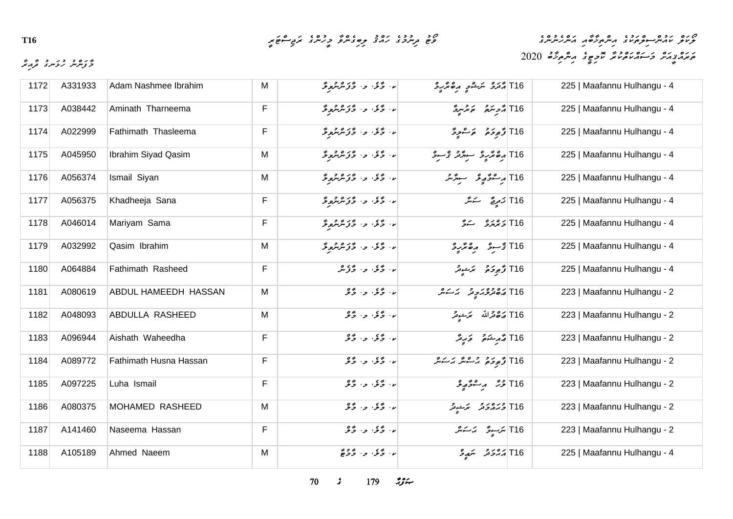*sCw7q7s5w7m< o<n9nOoAw7o< sCq;mAwBoEw7q<m; wBm;vB 2020<sup>, م</sup>وسر در مدد مدرج به مدرم مقرم قرار 2020*<br>موسر المستقرم المستقرم المستقرم المستقرم المستقرم المستقرم المستقرم المستقرم المستقرم المستقرم المستقرم المستقر

| A331933 | Adam Nashmee Ibrahim   | M           | لا د څخه د د ژوللملمونځ           |                             | 225   Maafannu Hulhangu - 4                                                                                                                                                                                                                                                                                                                                                                                                                                                                                                                                                                                        |
|---------|------------------------|-------------|-----------------------------------|-----------------------------|--------------------------------------------------------------------------------------------------------------------------------------------------------------------------------------------------------------------------------------------------------------------------------------------------------------------------------------------------------------------------------------------------------------------------------------------------------------------------------------------------------------------------------------------------------------------------------------------------------------------|
| A038442 | Aminath Tharneema      | F           | لا د څو د ورکومرمونو              |                             | 225   Maafannu Hulhangu - 4                                                                                                                                                                                                                                                                                                                                                                                                                                                                                                                                                                                        |
| A022999 | Fathimath Thasleema    | F           |                                   |                             | 225   Maafannu Hulhangu - 4                                                                                                                                                                                                                                                                                                                                                                                                                                                                                                                                                                                        |
| A045950 | Ibrahim Siyad Qasim    | M           | لا د څو د ورکومرمونو              |                             | 225   Maafannu Hulhangu - 4                                                                                                                                                                                                                                                                                                                                                                                                                                                                                                                                                                                        |
| A056374 | Ismail Siyan           | M           | لا د څخه د د ژولگرمترونڅ          |                             | 225   Maafannu Hulhangu - 4                                                                                                                                                                                                                                                                                                                                                                                                                                                                                                                                                                                        |
| A056375 | Khadheeja Sana         | $\mathsf F$ | لا د څخه د د ژوکلرمگونڅ           |                             | 225   Maafannu Hulhangu - 4                                                                                                                                                                                                                                                                                                                                                                                                                                                                                                                                                                                        |
| A046014 | Mariyam Sama           | F           | لا ئەقتى كەر ئۇتەتلىرى ئى         |                             | 225   Maafannu Hulhangu - 4                                                                                                                                                                                                                                                                                                                                                                                                                                                                                                                                                                                        |
| A032992 | Qasim Ibrahim          | M           | ، دُکَنْ وَا دُکَرْ مُرْمُّهِ دُّ |                             | 225   Maafannu Hulhangu - 4                                                                                                                                                                                                                                                                                                                                                                                                                                                                                                                                                                                        |
| A064884 | Fathimath Rasheed      | $\mathsf F$ | لا د څخه د د گرونگر               |                             | 225   Maafannu Hulhangu - 4                                                                                                                                                                                                                                                                                                                                                                                                                                                                                                                                                                                        |
| A080619 | ABDUL HAMEEDH HASSAN   | M           | ا د گې و کو                       |                             | 223   Maafannu Hulhangu - 2                                                                                                                                                                                                                                                                                                                                                                                                                                                                                                                                                                                        |
| A048093 | <b>ABDULLA RASHEED</b> | M           | ا د گی که گی                      |                             | 223   Maafannu Hulhangu - 2                                                                                                                                                                                                                                                                                                                                                                                                                                                                                                                                                                                        |
| A096944 | Aishath Waheedha       | F           | ا د گې و کو                       |                             | 223   Maafannu Hulhangu - 2                                                                                                                                                                                                                                                                                                                                                                                                                                                                                                                                                                                        |
| A089772 | Fathimath Husna Hassan | F           | 3.5.5.3.1                         |                             | 223   Maafannu Hulhangu - 2                                                                                                                                                                                                                                                                                                                                                                                                                                                                                                                                                                                        |
| A097225 | Luha Ismail            | $\mathsf F$ | ، دُی دادو                        |                             | 223   Maafannu Hulhangu - 2                                                                                                                                                                                                                                                                                                                                                                                                                                                                                                                                                                                        |
| A080375 | <b>MOHAMED RASHEED</b> | M           | ا د گې و کو                       |                             | 223   Maafannu Hulhangu - 2                                                                                                                                                                                                                                                                                                                                                                                                                                                                                                                                                                                        |
| A141460 | Naseema Hassan         | F           | ا د گی که گی                      |                             | 223   Maafannu Hulhangu - 2                                                                                                                                                                                                                                                                                                                                                                                                                                                                                                                                                                                        |
| A105189 | Ahmed Naeem            | M           | ، دَيْ دا دُومْ                   |                             | 225   Maafannu Hulhangu - 4                                                                                                                                                                                                                                                                                                                                                                                                                                                                                                                                                                                        |
|         |                        |             |                                   | ل د محکمه د اور محرم شهر مح | T16 مُترَدٌ سَڪْرِ مِـ2ْتَرِدُ<br>T16 أ <i>مَّ حِ سَمَعْ - مَ مُ</i> سِرِعًا<br>T16 رَّجِ دَمَ مَ مُرْمِرَّ<br>T16 مەھەمگەپى سىزىگە ئ <sup>ۇ</sup> سىرى<br>T16 <sub>م</sub> رےدمچ پوط مس <i>رش</i> ر<br>T16 كَتْمِيعٌ مُسَتَمَّرٌ<br>T16 كەبە <i>دۇ</i> سەۋ<br>T16 تۇسوم مەھ <i>مگې</i> ۋ<br>T16 وَّجِرَةَ مَمَّ سِمَّةٍ مِّرْ<br>T16 كەھەترى <i>گە بىر بەسكىل</i><br>T16 كەڭداللە كە <u>س</u> وتر<br>T16 مَگْرِسْتَمْ وَرِمَّد<br>T16 <i>ۋ<sub>ە</sub>دە چىشىگە بەسكىل</i><br>T16 ترج م <i>ر ش</i> ۇرى بىر<br>T16  <i>وُبَرُوْدَوْ بَرَحْبِ</i> يْر<br>T16] ىترسىدى - ئەسكەنلە<br>T16 <i>ב ب</i> حقر س <i>تمب</i> |

#### *70 sC 179 nNw?mS*

*n8o<n@ qC7m:q5 q7w7m?n>*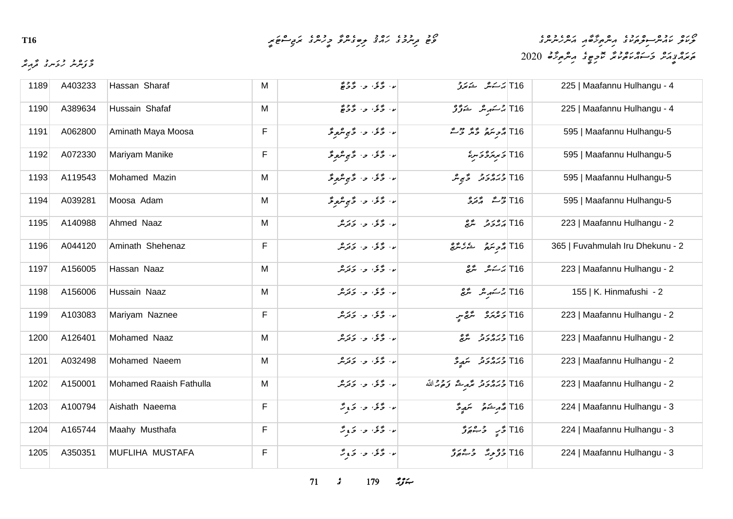*sCw7q7s5w7m< o<n9nOoAw7o< sCq;mAwBoEw7q<m; wBm;vB 2020<sup>, م</sup>وسر در مدد مدرج به مدرم مقرم قرار 2020*<br>موسر المستقرم المستقرم المستقرم المستقرم المستقرم المستقرم المستقرم المستقرم المستقرم المستقرم المستقرم المستقر

| 1189 | A403233 | Hassan Sharaf           | M | ى ئۇق دا ئۇۋغ                     | T16 يزير خ <i>وترق</i>                          | 225   Maafannu Hulhangu - 4      |
|------|---------|-------------------------|---|-----------------------------------|-------------------------------------------------|----------------------------------|
| 1190 | A389634 | Hussain Shafaf          | M | ر، گري و، گ <sup>99</sup> کا      | T16 پرستمبر شر <i>وژ</i> و                      | 225   Maafannu Hulhangu - 4      |
| 1191 | A062800 | Aminath Maya Moosa      | F | الا . ۇگۇ، ئار گاياشقوڭر          | T16 أُمَّ مِ سَمَّدٍ حَمَّدٌ حَمَّدٌ الْمَسَ    | 595   Maafannu Hulhangu-5        |
| 1192 | A072330 | Mariyam Manike          | F | لا د څخه د د څې شوڅ               | T16 كەمپەتر3كەس <sup>تا</sup>                   | 595   Maafannu Hulhangu-5        |
| 1193 | A119543 | Mohamed Mazin           | M | لا : دَ دَ او ا دَ مِ مَرْدِ دَ ا | T16 <i>\$نەۋەتى گ</i> ېرى                       | 595   Maafannu Hulhangu-5        |
| 1194 | A039281 | Moosa Adam              | M | لا : دَ دْ الرَّسِي سُمْعِ مَدْ   | T16 فخرش محمدة محمدة المحددة بن                 | 595   Maafannu Hulhangu-5        |
| 1195 | A140988 | Ahmed Naaz              | M | ىر بەقتى بەر كەتكەش               | T16 كەبۇر قىر ئىن ئى                            | 223   Maafannu Hulhangu - 2      |
| 1196 | A044120 | Aminath Shehenaz        | F | ىر بەقتى بەر كەتكەش               | T16 مُج <i>رِسَمُ</i> شَرَسَّنَ                 | 365   Fuvahmulah Iru Dhekunu - 2 |
| 1197 | A156005 | Hassan Naaz             | M | لاستخرق وستكفرش                   | T16   پرسٹر گرچ                                 | 223   Maafannu Hulhangu - 2      |
| 1198 | A156006 | Hussain Naaz            | M | لاستخرق وستحقرهما                 | T16   پرستمبر مرتبع<br>م                        | 155   K. Hinmafushi - 2          |
| 1199 | A103083 | Mariyam Naznee          | F | ىر گەنى كەرگەش                    | T16 <i>كەنگەنگە</i> مەنتى بىر                   | 223   Maafannu Hulhangu - 2      |
| 1200 | A126401 | Mohamed Naaz            | M | ىن گەنگى كەرگەش                   | T16 دېمبروتر گړ <u>ي</u>                        | 223   Maafannu Hulhangu - 2      |
| 1201 | A032498 | Mohamed Naeem           | M | الاستخرق المراكبة كالكريش         | T16 <i>جەچمەقىلى</i> س <i>ىم</i> ەبى            | 223   Maafannu Hulhangu - 2      |
| 1202 | A150001 | Mohamed Raaish Fathulla | M | لاستخرق وستكفرش                   | T16 <i>وبروج مرَّم</i> شَرِّثْ وَتَحْرَ اللَّهُ | 223   Maafannu Hulhangu - 2      |
| 1203 | A100794 | Aishath Naeema          | F | الأرمحى والمحافي                  | T16 مُ مِسْنَعْرِ مَسَمِّدٍ مَّ                 | 224   Maafannu Hulhangu - 3      |
| 1204 | A165744 | Maahy Musthafa          | F | الأرمح في الأرامي و تحريم ت       | T16 <sub>ح</sub> وي تحب بمبر <i>و</i> م         | 224   Maafannu Hulhangu - 3      |
| 1205 | A350351 | MUFLIHA MUSTAFA         | F | لاء وَگُوءَ وَالْوَلَاثِ          | T16  <i>33ع5 - مجبورٌ</i>                       | 224   Maafannu Hulhangu - 3      |

## *n8o<n@ qC7m:q5 q7w7m?n>*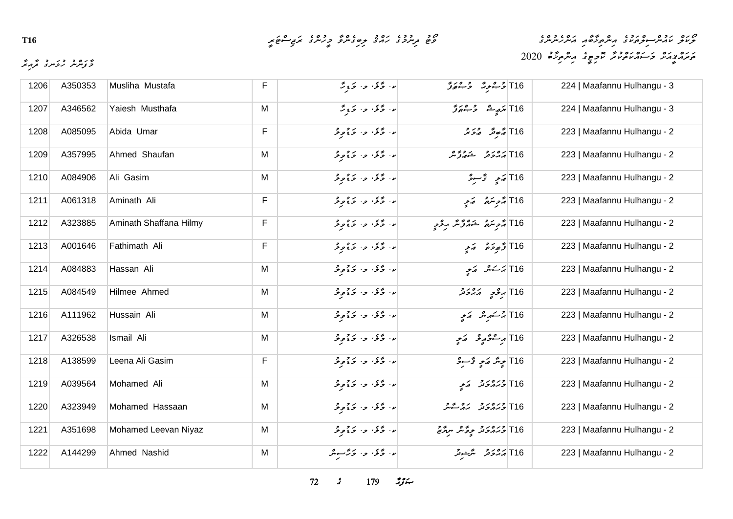*sCw7q7s5w7m< o<n9nOoAw7o< sCq;mAwBoEw7q<m; wBm;vB* م من المرة المرة المرة المرجع المرجع في المركبة 2020<br>مجم*د المريض المربوط المربع المرجع في المراجع المركبة* 

| 1206 | A350353 | Musliha Mustafa        | F           | الله وحي والمحفظ                                                                                                                                                         | T16 ۇروپۇ ق <i>رىبۇۋ</i>                        | 224   Maafannu Hulhangu - 3 |
|------|---------|------------------------|-------------|--------------------------------------------------------------------------------------------------------------------------------------------------------------------------|-------------------------------------------------|-----------------------------|
| 1207 | A346562 | Yaiesh Musthafa        | M           | الله محتى الله المحفظ                                                                                                                                                    | T16 مَهِيْش وَجَعُبُوتَرَ                       | 224   Maafannu Hulhangu - 3 |
| 1208 | A085095 | Abida Umar             | F           | لا د گڼل د د کالونو                                                                                                                                                      | T16 مُصِعَّر مُحَمَّد                           | 223   Maafannu Hulhangu - 2 |
| 1209 | A357995 | Ahmed Shaufan          | M           | لا د گري د د کالونو                                                                                                                                                      | T16 كەبرى ئەرەم ئىسىن ئىسىن ئىس                 | 223   Maafannu Hulhangu - 2 |
| 1210 | A084906 | Ali Gasim              | M           | لا الحجنى الاس كالمحفوظ                                                                                                                                                  | T16 كەي گەس <i>ب</i> ۇ                          | 223   Maafannu Hulhangu - 2 |
| 1211 | A061318 | Aminath Ali            | $\mathsf F$ | لا د گلي د کالمولی                                                                                                                                                       | T16 مُتَصِبَعَةُ صَعِي                          | 223   Maafannu Hulhangu - 2 |
| 1212 | A323885 | Aminath Shaffana Hilmy | $\mathsf F$ | لا د گري د د کامونو                                                                                                                                                      | T16 مَّ مِسَمَّدٍ حَمَّدَتَرَ مِنْ مِنْ الْمَسَ | 223   Maafannu Hulhangu - 2 |
| 1213 | A001646 | Fathimath Ali          | $\mathsf F$ | $\begin{bmatrix} 2 & 2 & 2 \\ 2 & 2 & 2 \end{bmatrix}$ , $\begin{bmatrix} 2 & 2 & 2 \\ 2 & 2 & 2 \end{bmatrix}$ , $\begin{bmatrix} 2 & 2 & 2 \\ 2 & 2 & 2 \end{bmatrix}$ | T16 <i>وُجِوَۃ مَڊِ</i>                         | 223   Maafannu Hulhangu - 2 |
| 1214 | A084883 | Hassan Ali             | M           | لا د څخه د د کالونو                                                                                                                                                      | T16   يَرْسَعْرُ - مَ <i>جْ</i>                 | 223   Maafannu Hulhangu - 2 |
| 1215 | A084549 | Hilmee Ahmed           | M           | لا الحجنى الاس كانا وقر                                                                                                                                                  | T16 برقرم - <i>م</i> کرمار                      | 223   Maafannu Hulhangu - 2 |
| 1216 | A111962 | Hussain Ali            | M           | لا د گلي د کالمولی                                                                                                                                                       | T16   پرستمبر مح <b>رم</b>                      | 223   Maafannu Hulhangu - 2 |
| 1217 | A326538 | Ismail Ali             | M           | لا د گلی د د کامونی                                                                                                                                                      | T16 مرڪوگيري ڪي                                 | 223   Maafannu Hulhangu - 2 |
| 1218 | A138599 | Leena Ali Gasim        | F           | لا د گري د د کامونو                                                                                                                                                      | T16 مِرِسَّر صَرِّ تَخْسِرَةُ                   | 223   Maafannu Hulhangu - 2 |
| 1219 | A039564 | Mohamed Ali            | M           | لا الحجمي الاس المحقي ولحر                                                                                                                                               | T16 <i>وُبَرُوُبِرْ مَ</i> عِ                   | 223   Maafannu Hulhangu - 2 |
| 1220 | A323949 | Mohamed Hassaan        | M           | لا د نځنۍ و کولونونو                                                                                                                                                     | T16 <i>2222 دور محمد ال</i>                     | 223   Maafannu Hulhangu - 2 |
| 1221 | A351698 | Mohamed Leevan Niyaz   | M           | لا د گڼل د د کالونو                                                                                                                                                      | T16 <i>وُبُهُ وَمَدْ جِرةٌ بَدْ سِرْجُ</i>      | 223   Maafannu Hulhangu - 2 |
| 1222 | A144299 | Ahmed Nashid           | M           | $ y_1 - z_2 \rangle$ ، د د د د کرد ک                                                                                                                                     | T16 <i>ړېرى تى</i> ر سر سر بار                  | 223   Maafannu Hulhangu - 2 |

#### *n8o<n@ qC7m:q5 q7w7m?n>*

*72 s* 179  $25$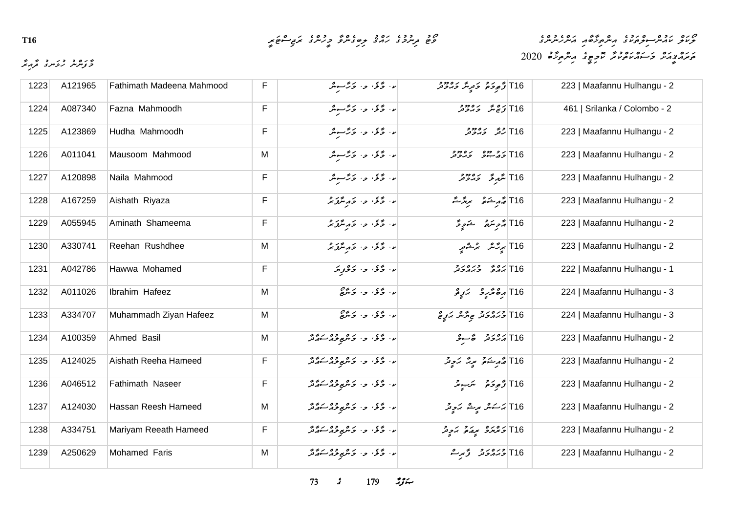*sCw7q7s5w7m< o<n9nOoAw7o< sCq;mAwBoEw7q<m; wBm;vB 2020<sup>, م</sup>وسر در مدد مدرج به مدرم مقرم قرار 2020*<br>موسر المستقرم المستقرم المستقرم المستقرم المستقرم المستقرم المستقرم المستقرم المستقرم المستقرم المستقرم المستقر

| 1223 | A121965 | Fathimath Madeena Mahmood | F           | ئار ئۇنى بەر ئەڭ سەنگە                                                                               | T16 رَّجِ رَحَمَ ۖ دَمِرِسَّ دَبَرْدَتْرُ    | 223   Maafannu Hulhangu - 2  |
|------|---------|---------------------------|-------------|------------------------------------------------------------------------------------------------------|----------------------------------------------|------------------------------|
| 1224 | A087340 | Fazna Mahmoodh            | F           | لا د گڼې و د کرگ دهر                                                                                 | T16 زچ پژ پی دور                             | 461   Srilanka / Colombo - 2 |
| 1225 | A123869 | Hudha Mahmoodh            | F           | ئار گەنگى كەن كەرگەنلىكى با                                                                          | T16 ژن <i>گ وَبُرونو</i>                     | 223   Maafannu Hulhangu - 2  |
| 1226 | A011041 | Mausoom Mahmood           | M           | لاستخوش كالمتحارث والمساهر                                                                           | T16 كەھەسىد <i>ە بەدەن</i> د                 | 223   Maafannu Hulhangu - 2  |
| 1227 | A120898 | Naila Mahmood             | $\mathsf F$ | لار گەنگى كەر كەرگەنلىك                                                                              | T16 يُتمبر تحمد ترونز                        | 223   Maafannu Hulhangu - 2  |
| 1228 | A167259 | Aishath Riyaza            | $\mathsf F$ | لا د محکي د که شمکه                                                                                  | T16 م <i>ەُم</i> بەشقى مەمەرىگە              | 223   Maafannu Hulhangu - 2  |
| 1229 | A055945 | Aminath Shameema          | F           | لا د کال د که شمکاند                                                                                 | T16 مَّ حِسَمَ صَوِرَّ                       | 223   Maafannu Hulhangu - 2  |
| 1230 | A330741 | Reehan Rushdhee           | M           | لا د کال د که شمکاند                                                                                 | T16 برِرَّتْر بُرَشْهِرِ                     | 223   Maafannu Hulhangu - 2  |
| 1231 | A042786 | Hawwa Mohamed             | F           | ۱۰ د دی د زود ته                                                                                     | T16 يَهُمَّ حَيَدُونَّرَ                     | 222   Maafannu Hulhangu - 1  |
| 1232 | A011026 | Ibrahim Hafeez            | M           | لا : وَتَوْا و الرَسْمَع                                                                             | T16 <sub>مر</sub> ھ تژر پھی تاریخ            | 224   Maafannu Hulhangu - 3  |
| 1233 | A334707 | Muhammadh Ziyan Hafeez    | M           | لا . ۇ ئۇ ، د . د ئىرى                                                                               | T16 <i>دې ده د</i> و <sub>مج</sub> رگر ټرې چ | 224   Maafannu Hulhangu - 3  |
| 1234 | A100359 | Ahmed Basil               | M           | لا المحكي المار وه روم                                                                               | T16 كەبرى قەسىۋ                              | 223   Maafannu Hulhangu - 2  |
| 1235 | A124025 | Aishath Reeha Hameed      | F           | لا المحتى المن المحمد المسهم فر                                                                      | T16   مَدْرِسَة مِّ سِرَّ بَرَدٍ مَرَ        | 223   Maafannu Hulhangu - 2  |
| 1236 | A046512 | Fathimath Naseer          | F           | لا المحكى الاستخدام المعرور المحمد ولا المحمد ولا المحمد ولا المحمد المحمد المحمد المحمد المحمد المح | T16 <i>وُّجِوحَةْ - مَرْسِ</i> وِيْر         | 223   Maafannu Hulhangu - 2  |
| 1237 | A124030 | Hassan Reesh Hameed       | M           |                                                                                                      | T16  ټرسکر مړينځ ټر <sub>و</sub> پر          | 223   Maafannu Hulhangu - 2  |
| 1238 | A334751 | Mariyam Reeath Hameed     | F           |                                                                                                      | T16 كەبۇرۇ  برۇرۇ برەپۇر                     | 223   Maafannu Hulhangu - 2  |
| 1239 | A250629 | Mohamed Faris             | M           | لا المحتى المن المحمد المسهم فر                                                                      | T16 <i>ۇنەم دىگە</i> تۇبرىشە                 | 223   Maafannu Hulhangu - 2  |
|      |         |                           |             |                                                                                                      |                                              |                              |

*73 s* 179  $23$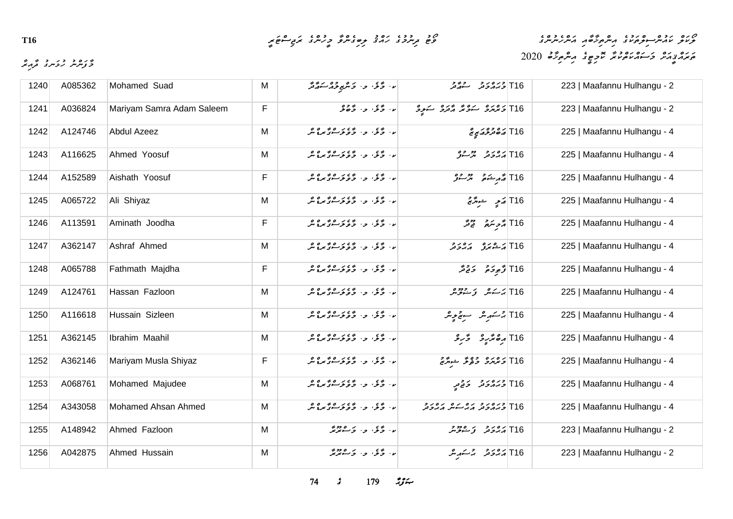*sCw7q7s5w7m< o<n9nOoAw7o< sCq;mAwBoEw7q<m; wBm;vB 2020<sup>, م</sup>وسر در مدد مدرج به مدرم مقرم قرار 2020*<br>موسر المستقرم المستقرم المستقرم المستقرم المستقرم المستقرم المستقرم المستقرم المستقرم المستقرم المستقرم المستقر

| A085362 | Mohamed Suad              | M | ئەس ئۇنى، ئەس ئۇرۇسىدە ئە                                                                                     |  | 223   Maafannu Hulhangu - 2                                                                                                                                                                                                                                                                                                                                                                                                                                                                                                        |
|---------|---------------------------|---|---------------------------------------------------------------------------------------------------------------|--|------------------------------------------------------------------------------------------------------------------------------------------------------------------------------------------------------------------------------------------------------------------------------------------------------------------------------------------------------------------------------------------------------------------------------------------------------------------------------------------------------------------------------------|
| A036824 | Mariyam Samra Adam Saleem | F |                                                                                                               |  | 223   Maafannu Hulhangu - 2                                                                                                                                                                                                                                                                                                                                                                                                                                                                                                        |
| A124746 | <b>Abdul Azeez</b>        | M | لا د څوا د اوونو شویده ش                                                                                      |  | 225   Maafannu Hulhangu - 4                                                                                                                                                                                                                                                                                                                                                                                                                                                                                                        |
| A116625 | Ahmed Yoosuf              | M | لا د څو، د د څوکره د د پره پر                                                                                 |  | 225   Maafannu Hulhangu - 4                                                                                                                                                                                                                                                                                                                                                                                                                                                                                                        |
| A152589 | Aishath Yoosuf            | F | لا د څو، د او د د د سره بره بر                                                                                |  | 225   Maafannu Hulhangu - 4                                                                                                                                                                                                                                                                                                                                                                                                                                                                                                        |
| A065722 | Ali Shiyaz                | M | لا د دې د د د د د د د د ل                                                                                     |  | 225   Maafannu Hulhangu - 4                                                                                                                                                                                                                                                                                                                                                                                                                                                                                                        |
| A113591 | Aminath Joodha            | F | لا ئەتى بەر ئەتەر ئەتەر بىر ئاش                                                                               |  | 225   Maafannu Hulhangu - 4                                                                                                                                                                                                                                                                                                                                                                                                                                                                                                        |
| A362147 | Ashraf Ahmed              | M | لا د څو، د او څوکورونو لرونکر                                                                                 |  | 225   Maafannu Hulhangu - 4                                                                                                                                                                                                                                                                                                                                                                                                                                                                                                        |
| A065788 | Fathmath Majdha           | F | ىل ئەنى بەر ئەن ئەر ئەر ئەر                                                                                   |  | 225   Maafannu Hulhangu - 4                                                                                                                                                                                                                                                                                                                                                                                                                                                                                                        |
| A124761 | Hassan Fazloon            | M | لا ئەتى بەر ئەتەر ئەتەر بىر ئاش                                                                               |  | 225   Maafannu Hulhangu - 4                                                                                                                                                                                                                                                                                                                                                                                                                                                                                                        |
| A116618 | Hussain Sizleen           | M | لا د څو، د د څوکوکوي لرونکر                                                                                   |  | 225   Maafannu Hulhangu - 4                                                                                                                                                                                                                                                                                                                                                                                                                                                                                                        |
| A362145 | Ibrahim Maahil            | M | لا د دې د د د د د د د د ل                                                                                     |  | 225   Maafannu Hulhangu - 4                                                                                                                                                                                                                                                                                                                                                                                                                                                                                                        |
| A362146 | Mariyam Musla Shiyaz      | F | لا د څوا د او د ور د ور ه ه و                                                                                 |  | 225   Maafannu Hulhangu - 4                                                                                                                                                                                                                                                                                                                                                                                                                                                                                                        |
| A068761 | Mohamed Majudee           | M | لا د څو، د او څوکورونو لرونکر                                                                                 |  | 225   Maafannu Hulhangu - 4                                                                                                                                                                                                                                                                                                                                                                                                                                                                                                        |
| A343058 | Mohamed Ahsan Ahmed       | M | لا : د د کار د د د کار د کار د کار د کار د کار د کار د کار کار د کار کار د کار کار کار کار کار کار کار کار کا |  | 225   Maafannu Hulhangu - 4                                                                                                                                                                                                                                                                                                                                                                                                                                                                                                        |
| A148942 | Ahmed Fazloon             | M | لا کې د کره ددې                                                                                               |  | 223   Maafannu Hulhangu - 2                                                                                                                                                                                                                                                                                                                                                                                                                                                                                                        |
| A042875 | Ahmed Hussain             | M | لار ۇي بەر ئەسىرىمە                                                                                           |  | 223   Maafannu Hulhangu - 2                                                                                                                                                                                                                                                                                                                                                                                                                                                                                                        |
|         |                           |   |                                                                                                               |  | T16  <i>32,322 هۇن</i> ر<br>T16 كەھ تىر <i>ى قەرى</i> ج<br>T16 كەبرى تەرىپى تۈرگىتىلىش ئىستىر<br>T16 گەرىشى ھەمىسىرتى<br><br>T16 <i>مَرْمِ حَبِيرَة</i><br>T16 مَّ جِسَمَۃ ضَمَّ<br>T16 كەش <i>ەترۇ مەدە</i> تر<br>T16 <i>وَّجِ حَقَّ</i> حَقَّ مَ<br>T16   ئەسەپىر <b>زىن</b> چەشر<br>T16   پرسکورنٹر سے <i>میڈیونٹ</i> ر<br>T16 ب <i>ر&amp;نڈرِی ڈر</i> و<br>T16 كەشكەنى ئەھمەتى شەھرىمى<br>T16 <i>وُبَرُمْ وَمَنْ</i> وَمِعْ مِرِ<br>T16   <i>ج بروجود كم براكستر كم برون</i> و<br>T16 كەبرى ئەرەپىر<br>T16 كەبۇبىقە ئەسكەرلىمى |

*n8o<n@ qC7m:q5 q7w7m?n>*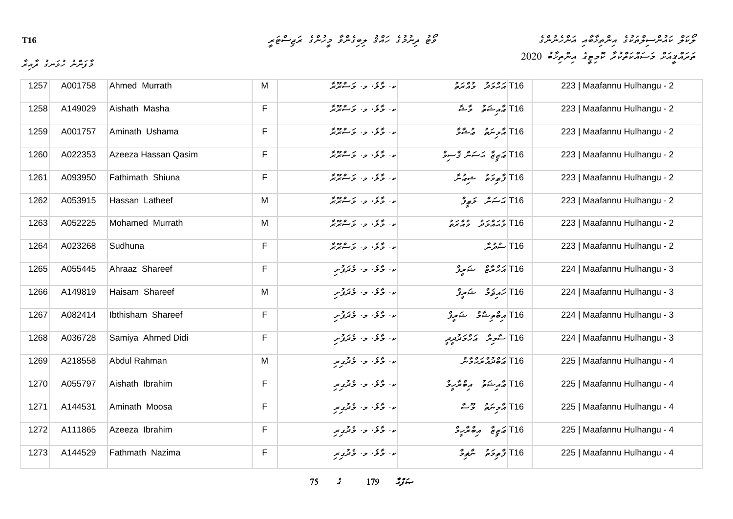*sCw7q7s5w7m< o<n9nOoAw7o< sCq;mAwBoEw7q<m; wBm;vB 2020<sup>, م</sup>وسر در مدد مدرج به مدرم مقرم قرار 2020*<br>موسر المستقرم المستقرم المستقرم المستقرم المستقرم المستقرم المستقرم المستقرم المستقرم المستقرم المستقرم المستقر

| 1257 | A001758 | Ahmed Murrath       | M | لا ، وَگُوَ، و ، وَسُلِمَعْهُمْ         | T16 كەبرو مەمدە                             | 223   Maafannu Hulhangu - 2 |
|------|---------|---------------------|---|-----------------------------------------|---------------------------------------------|-----------------------------|
| 1258 | A149029 | Aishath Masha       | F | لا د محکې د کامله د کل                  | T16 مُرِيدَة كَيْدً                         | 223   Maafannu Hulhangu - 2 |
| 1259 | A001757 | Aminath Ushama      | F | لا د څوک د کال د دي                     | T16 مَّ <i>جِسَمَ</i> مَشَرَّدَّ            | 223   Maafannu Hulhangu - 2 |
| 1260 | A022353 | Azeeza Hassan Qasim | F | لا د څخه د کره د د                      | T16 كەي تەكەش تۇسىۋ                         | 223   Maafannu Hulhangu - 2 |
| 1261 | A093950 | Fathimath Shiuna    | F | لا د څخه د کره د د                      | T16 رَّجِ دَمَّ شِيمَةٌ مَّ                 | 223   Maafannu Hulhangu - 2 |
| 1262 | A053915 | Hassan Latheef      | M | لا د محکې د کاملونونو                   | T16  ترسكى تح <i>وفى</i>                    | 223   Maafannu Hulhangu - 2 |
| 1263 | A052225 | Mohamed Murrath     | M | لا ، ۇىق بەر ئەسىرىر                    | T16 تربره بر در در در                       | 223   Maafannu Hulhangu - 2 |
| 1264 | A023268 | Sudhuna             | F | لا د څخه د کره د د                      | T16 كىتىگر                                  | 223   Maafannu Hulhangu - 2 |
| 1265 | A055445 | Ahraaz Shareef      | F | الا . وَ وَاللَّهِ وَاللَّهُ وَمَرْوَسٍ | T16 كەنزىرى ھەمرى                           | 224   Maafannu Hulhangu - 3 |
| 1266 | A149819 | Haisam Shareef      | M | د د نځې و کوتونو                        | T16 كەرت <sub>ە</sub> بۇ سىمبىرتى           | 224   Maafannu Hulhangu - 3 |
| 1267 | A082414 | Ibthisham Shareef   | F | $\mathbf{v}^2$ ، د د د د دورې           | T16 م <i>ِ ڇُو جُدُدُ</i> جَمَعِيوْ         | 224   Maafannu Hulhangu - 3 |
| 1268 | A036728 | Samiya Ahmed Didi   | F | الا د گی او ان گارونو                   | T16 گەچەد كەبىر <i>كەنى قەبوي</i> ر         | 224   Maafannu Hulhangu - 3 |
| 1269 | A218558 | Abdul Rahman        | M | د د څخه و٠ وکري پ                       | T16 كەھ <i>ۋە بىرە</i> ج                    | 225   Maafannu Hulhangu - 4 |
| 1270 | A055797 | Aishath Ibrahim     | F | الا وگی و کورې بر                       | T16 مُەمِسْمَى مِرەمُدَىرِدْ                | 225   Maafannu Hulhangu - 4 |
| 1271 | A144531 | Aminath Moosa       | F | الا وگی و کورې بر                       | T16 گەجەنىقە ق <sup>ىم</sup> ىگە            | 225   Maafannu Hulhangu - 4 |
| 1272 | A111865 | Azeeza Ibrahim      | F | د د نځې او د د نځه تنوم پر              | T16 <i>ھَيِ جُه م</i> ِ ھُڻَ <i>رِ دُ</i>   | 225   Maafannu Hulhangu - 4 |
| 1273 | A144529 | Fathmath Nazima     | F | لا گرگاه و گرگوم                        | T16 <i>وُّجِوَدَة</i> مُ <i>مَّبِوَدُ</i> ّ | 225   Maafannu Hulhangu - 4 |

# *n8o<n@ qC7m:q5 q7w7m?n>*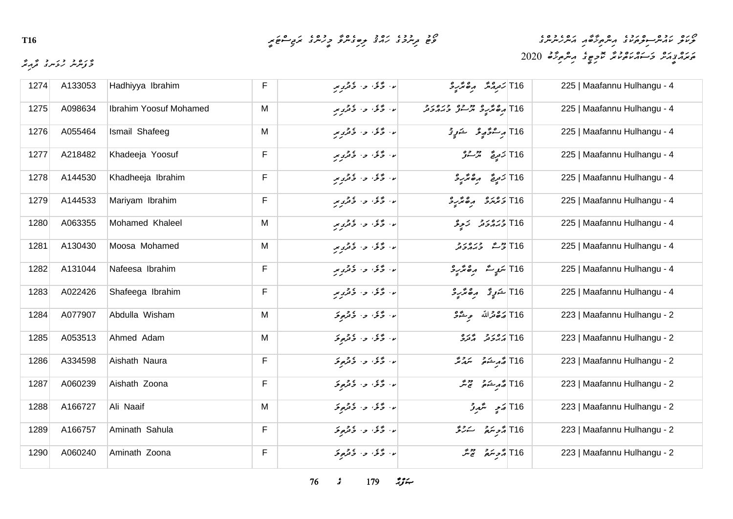*sCw7q7s5w7m< o<n9nOoAw7o< sCq;mAwBoEw7q<m; wBm;vB* م من المرة المرة المرة المرجع المرجع في المركبة 2020<br>مجم*د المريض المربوط المربع المرجع في المراجع المركبة* 

| 1274 | A133053 | Hadhiyya Ibrahim       | F           | لا الحكى والمحكمي من                                  | T16 <i>كېرمىگە مەمگرى</i> ۋ                                                                                    | 225   Maafannu Hulhangu - 4 |
|------|---------|------------------------|-------------|-------------------------------------------------------|----------------------------------------------------------------------------------------------------------------|-----------------------------|
| 1275 | A098634 | Ibrahim Yoosuf Mohamed | M           |                                                       | T16 رەھ ئىرە « دە دىرە دە دەر ئىرى ئىرىم بىر                                                                   | 225   Maafannu Hulhangu - 4 |
| 1276 | A055464 | Ismail Shafeeg         | M           | الا انحق والمحفري بر                                  | T16 <sub>م</sub> رےد <i>و پی جو پی</i>                                                                         | 225   Maafannu Hulhangu - 4 |
| 1277 | A218482 | Khadeeja Yoosuf        | $\mathsf F$ | د د څخه و٠ وکري پر                                    | T16 كَتْمِيعٌ مَمْ شَرْدٌ مَنْ الْمُسْتَمَرُّ                                                                  | 225   Maafannu Hulhangu - 4 |
| 1278 | A144530 | Khadheeja Ibrahim      | F           | الا انحق والمحفري بر                                  | T16 كَتَمِيعٌ مَتَ مِنْ مَحْرَبِ وَحَدَثَتِ اللَّهِ مِنْ مِنْ مِنْ مِنْ الْمَدَّةِ وَالْمَدَّةِ وَا            | 225   Maafannu Hulhangu - 4 |
| 1279 | A144533 | Mariyam Ibrahim        | $\mathsf F$ | $\mathbf{v} \in \mathbb{R}^d \times \mathbb{R}^d$ ، و | T16 كاندىرى مەھ <i>مەرى</i> 3                                                                                  | 225   Maafannu Hulhangu - 4 |
| 1280 | A063355 | Mohamed Khaleel        | M           | الاستحق وسقفري بر                                     | T16 دُبَہْدَوَتَر   زَمِوڈ                                                                                     | 225   Maafannu Hulhangu - 4 |
| 1281 | A130430 | Moosa Mohamed          | M           | لا . وَ فَي و المحفري مِر                             | T16 تخريم ويروند                                                                                               | 225   Maafannu Hulhangu - 4 |
| 1282 | A131044 | Nafeesa Ibrahim        | $\mathsf F$ | لا . وَ فَي و المحفري مِر                             | T16 سَمِيتَ مِنْ مِنْ مِنْ الْمَدَّرِ فِي                                                                      | 225   Maafannu Hulhangu - 4 |
| 1283 | A022426 | Shafeega Ibrahim       | $\mathsf F$ | لا المحمق أو المحفوى من                               | T16 ڪر <i>پ</i> و ۾ همگرچ                                                                                      | 225   Maafannu Hulhangu - 4 |
| 1284 | A077907 | Abdulla Wisham         | M           | الا د څکې د او د د د د د                              | T16 مَەمْرَاللە مەشى                                                                                           | 223   Maafannu Hulhangu - 2 |
| 1285 | A053513 | Ahmed Adam             | M           | لا د گلی و د وگرون                                    | T16 كەبۇر قىر ئەرەپىيە ئەرەپىيە ئاستان ئاستان ئاستان ئاستان ئاستان ئاستان ئاستان ئاستان ئاستان ئاستان ئاستان ئ | 223   Maafannu Hulhangu - 2 |
| 1286 | A334598 | Aishath Naura          | F           | الا د گاگا و د گاگاه کار                              | T16 م <i>ەمبەھىتىمىتىگە</i>                                                                                    | 223   Maafannu Hulhangu - 2 |
| 1287 | A060239 | Aishath Zoona          | F           | الأرمح في الأرامج فرجونو                              | T16 مۇم شەقر ئىچ ئىگر                                                                                          | 223   Maafannu Hulhangu - 2 |
| 1288 | A166727 | Ali Naaif              | M           | لا المحمق والمحفرة وكل                                | T16 کړ <i>ی</i> شمی <sup>و</sup>                                                                               | 223   Maafannu Hulhangu - 2 |
| 1289 | A166757 | Aminath Sahula         | F           | الا د څخه د او د وترونو                               | T16 مَّ حِسَمَةٌ سَكَرْتَرُ                                                                                    | 223   Maafannu Hulhangu - 2 |
| 1290 | A060240 | Aminath Zoona          | F           | الأرمح في الأرامج فرجونجر                             | T16 مَّ مِسَعَمٍ مَحَمَّد                                                                                      | 223   Maafannu Hulhangu - 2 |
|      |         |                        |             |                                                       |                                                                                                                |                             |

#### *n8o<n@ qC7m:q5 q7w7m?n>*

 $76$  *s*  $179$   $23$   $\div$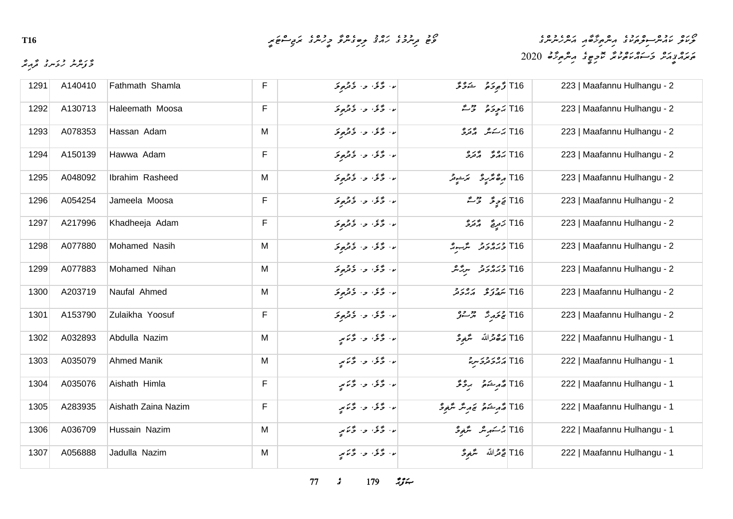*sCw7q7s5w7m< o<n9nOoAw7o< sCq;mAwBoEw7q<m; wBm;vB 2020<sup>, م</sup>وسر در مدد مدرج به مدرم مقرم قرار 2020*<br>موسر المستقرم المستقرم المستقرم المستقرم المستقرم المستقرم المستقرم المستقرم المستقرم المستقرم المستقرم المستقر

| 1291 | A140410 | Fathmath Shamla     | F           | لا الحكي والمحفرة وكل                                                                                    | T16 تَ <i>وْجِوَةْ</i> شَرَكْتَرْ              | 223   Maafannu Hulhangu - 2 |
|------|---------|---------------------|-------------|----------------------------------------------------------------------------------------------------------|------------------------------------------------|-----------------------------|
| 1292 | A130713 | Haleemath Moosa     | F           | لا الحكى والمحفرة وكل                                                                                    | T16 بَر <i>وِدَة</i> حَرَّثَتَ                 | 223   Maafannu Hulhangu - 2 |
| 1293 | A078353 | Hassan Adam         | M           | لا المحمق والمحفرة وكل                                                                                   | T16 پرسترش محم <i>ق</i> ری                     | 223   Maafannu Hulhangu - 2 |
| 1294 | A150139 | Hawwa Adam          | $\mathsf F$ | لا د گلی و کوهی                                                                                          | T16 يَرْدُوَّ مُرْمَرْدُ                       | 223   Maafannu Hulhangu - 2 |
| 1295 | A048092 | Ibrahim Rasheed     | M           | لا المحتى الماد المحقرة وكل                                                                              | T16 <sub>مر</sub> ھ <i>مگرچ</i> و سمڪومر       | 223   Maafannu Hulhangu - 2 |
| 1296 | A054254 | Jameela Moosa       | $\mathsf F$ | الأرمح في الأرامج فرجونجر                                                                                | T16 ت <sub>ح</sub> وِرٌ حَمْتُ                 | 223   Maafannu Hulhangu - 2 |
| 1297 | A217996 | Khadheeja Adam      | F           | الأرمح في الأرامج فرجونجر                                                                                | T16 كَتَمِيعٌ مُحَمَّدً                        | 223   Maafannu Hulhangu - 2 |
| 1298 | A077880 | Mohamed Nasih       | M           | لا المحمق والمحفرة وكل                                                                                   | T16 <i>وَرَوْدُوَ</i> تَرَ سُرَّب <i>ِي</i> رُ | 223   Maafannu Hulhangu - 2 |
| 1299 | A077883 | Mohamed Nihan       | M           | لا المحتى الماد المحقرة وكل                                                                              | T16  <i>3223 سرچ</i> ھ                         | 223   Maafannu Hulhangu - 2 |
| 1300 | A203719 | Naufal Ahmed        | M           | لا : وَ فَي اللَّهِ وَ اللَّهُ وَ وَ لَهُ مَعْ وَ لَهُ اللَّهِ وَ لَهُ لَهُ وَ لَهُ لَهُ وَ لَهُ ل       | T16 يتم <i>مۇنى خەرەت</i> ر                    | 223   Maafannu Hulhangu - 2 |
| 1301 | A153790 | Zulaikha Yoosuf     | F           | $\star$ وَمَحْرٌ وَالْمَحْرَمُومَنَّى وَالْمُرْجَمَةُ وَالْمُرْجَمَةُ وَالْمُرْجَمَةُ وَالْمُرْجَمَةُ وَ | T16 يح ترم 2° جي ترتيخو                        | 223   Maafannu Hulhangu - 2 |
| 1302 | A032893 | Abdulla Nazim       | M           | لا : 35، و : 35 يو.                                                                                      | T16 كەھىراللە شەرى                             | 222   Maafannu Hulhangu - 1 |
| 1303 | A035079 | <b>Ahmed Manik</b>  | M           | لا د څخه و څنو                                                                                           | T16 كەبرى قرىخ س <sub>ىرىم</sub>               | 222   Maafannu Hulhangu - 1 |
| 1304 | A035076 | Aishath Himla       | F           | لا : 35، و : 35 يو.                                                                                      | T16 مَّەمِسْتَمَّى بِ9\$                       | 222   Maafannu Hulhangu - 1 |
| 1305 | A283935 | Aishath Zaina Nazim | F           | لا الحق والحمامي                                                                                         | T16 م <i>ۇم شەق تەمەنگ مۇمۇ</i> ر              | 222   Maafannu Hulhangu - 1 |
| 1306 | A036709 | Hussain Nazim       | M           | لا : 35، و : 35 يو.                                                                                      | T16 يُرْسَمب <sup>و</sup> سَمْعِ وَ            | 222   Maafannu Hulhangu - 1 |
| 1307 | A056888 | Jadulla Nazim       | M           | لا د څخه د د د تمکي                                                                                      | T16 قَوْمَرْالله مُتَّمَّهِ دَّ                | 222   Maafannu Hulhangu - 1 |

*n8o<n@ qC7m:q5 q7w7m?n>*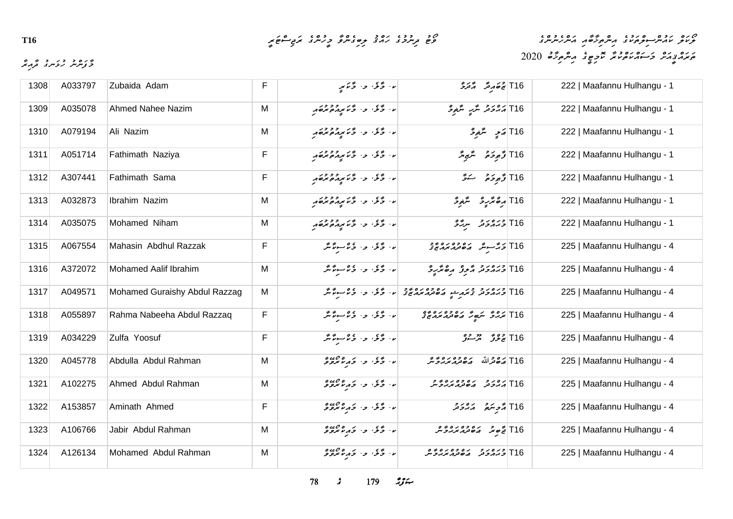*sCw7q7s5w7m< o<n9nOoAw7o< sCq;mAwBoEw7q<m; wBm;vB* م من المسجد المسجد المسجد المسجد المسجد العام 2020<br>مسجد المسجد المسجد المسجد المسجد المسجد المسجد المسجد المسجد ال

| 1308 | A033797 | Zubaida Adam                  | F  | لا د څخه د د څندې                                                                                                                                                                                                                                                                                                                                                                                                                                            | T16 ن <i>ح ھَ بہ مَدَّ مَدَّوَ</i>                   | 222   Maafannu Hulhangu - 1 |
|------|---------|-------------------------------|----|--------------------------------------------------------------------------------------------------------------------------------------------------------------------------------------------------------------------------------------------------------------------------------------------------------------------------------------------------------------------------------------------------------------------------------------------------------------|------------------------------------------------------|-----------------------------|
| 1309 | A035078 | <b>Ahmed Nahee Nazim</b>      | M  | $\left  \begin{array}{cc} \mathcal{L}_{1} & \mathcal{L}_{2} & \mathcal{L}_{3} & \mathcal{L}_{4} \\ \mathcal{L}_{5} & \mathcal{L}_{6} & \mathcal{L}_{7} & \mathcal{L}_{8} & \mathcal{L}_{9} \\ \mathcal{L}_{7} & \mathcal{L}_{8} & \mathcal{L}_{9} & \mathcal{L}_{10} & \mathcal{L}_{11} \\ \mathcal{L}_{8} & \mathcal{L}_{10} & \mathcal{L}_{11} & \mathcal{L}_{12} & \mathcal{L}_{13} \\ \mathcal{L}_{11} & \mathcal{L}_{12} & \mathcal{L}_{13} & \mathcal$ | T16 كەندى مەر شەر ئىنى ئى                            | 222   Maafannu Hulhangu - 1 |
| 1310 | A079194 | Ali Nazim                     | M  | י ציבי כי ציון ככבן<br>יו ציבי כי ציון ומינוסיות                                                                                                                                                                                                                                                                                                                                                                                                             | T16 کړ <i>ی</i> سگھوی                                | 222   Maafannu Hulhangu - 1 |
| 1311 | A051714 | Fathimath Naziya              | F  | ر محتی و مرکز و و در در در در در در در در در دارد.<br>در محتی و مرکز در دولری                                                                                                                                                                                                                                                                                                                                                                                | T16 <i>وُّهِ دَهْ</i> مُّسَى مَّدَ                   | 222   Maafannu Hulhangu - 1 |
| 1312 | A307441 | Fathimath Sama                | F. | ر، د د د د کام دود د د                                                                                                                                                                                                                                                                                                                                                                                                                                       | T16 <i>وُجِ دَءُ</i> سَرُّ                           | 222   Maafannu Hulhangu - 1 |
| 1313 | A032873 | Ibrahim Nazim                 | M  | ر، د د د د کام دود د د                                                                                                                                                                                                                                                                                                                                                                                                                                       | T16 ب <i>ر&amp;ټرپ</i> و     س <i>رُن</i> وِ و       | 222   Maafannu Hulhangu - 1 |
| 1314 | A035075 | Mohamed Niham                 | M  | ١٠ وګڼ و٠ وګړيږو مرحوم                                                                                                                                                                                                                                                                                                                                                                                                                                       | T16 <i>وَبَهُ وَفَرْ سِرْدُوْ</i>                    | 222   Maafannu Hulhangu - 1 |
| 1315 | A067554 | Mahasin Abdhul Razzak         | F  | لا د څخه د د د کال مانگر                                                                                                                                                                                                                                                                                                                                                                                                                                     | T16 كەبگەسىرى مەھ <i>ىرە مەھ</i>                     | 225   Maafannu Hulhangu - 4 |
| 1316 | A372072 | <b>Mohamed Aalif Ibrahim</b>  | M  | لا د څخه د د ولاسترنګ                                                                                                                                                                                                                                                                                                                                                                                                                                        | T16 دېمگردند م <i>زو</i> د مق <i>مر د</i> و          | 225   Maafannu Hulhangu - 4 |
| 1317 | A049571 | Mohamed Guraishy Abdul Razzag | M  |                                                                                                                                                                                                                                                                                                                                                                                                                                                              | T16 در دورو دىم دىن مەدەبرە دول الله دى. دا ئاسان ئا | 225   Maafannu Hulhangu - 4 |
| 1318 | A055897 | Rahma Nabeeha Abdul Razzaq    | F  | ئەس ئۇق بەر ئۇ ئۇسىر ئەنگە                                                                                                                                                                                                                                                                                                                                                                                                                                   | T16 يروم شھڻ مەمەم برمانو                            | 225   Maafannu Hulhangu - 4 |
| 1319 | A034229 | Zulfa Yoosuf                  | F  | لارتجني وركوه ستتش                                                                                                                                                                                                                                                                                                                                                                                                                                           | T16 <i>ج وڻ پڻيو</i>                                 | 225   Maafannu Hulhangu - 4 |
| 1320 | A045778 | Abdulla Abdul Rahman          | M  |                                                                                                                                                                                                                                                                                                                                                                                                                                                              | T16 كەھەرللە كەھ <i>ەرە بورە تە</i>                  | 225   Maafannu Hulhangu - 4 |
| 1321 | A102275 | Ahmed Abdul Rahman            | M  |                                                                                                                                                                                                                                                                                                                                                                                                                                                              | T16 <i>ביכיב בפיפיביבית</i>                          | 225   Maafannu Hulhangu - 4 |
| 1322 | A153857 | Aminath Ahmed                 | F  | ر، دمجو، د، دمان ۱۵۵۵<br>را، دمجو، د، دمانمبرولو                                                                                                                                                                                                                                                                                                                                                                                                             | T16 مَّ حِسَمَ مَدَّدَمْ                             | 225   Maafannu Hulhangu - 4 |
| 1323 | A106766 | Jabir Abdul Rahman            | M  |                                                                                                                                                                                                                                                                                                                                                                                                                                                              | T16 قُدِّ صِمْرٍ مَد <i>وم م</i> ُهْرَمْتُ مِنْ      | 225   Maafannu Hulhangu - 4 |
| 1324 | A126134 | Mohamed Abdul Rahman          | M  | ر، وی د. وړه موه و                                                                                                                                                                                                                                                                                                                                                                                                                                           | T16 دره در ده ده ده ده در محمد ش                     | 225   Maafannu Hulhangu - 4 |

# *n8o<n@ qC7m:q5 q7w7m?n>*

*78 s* 179  $23$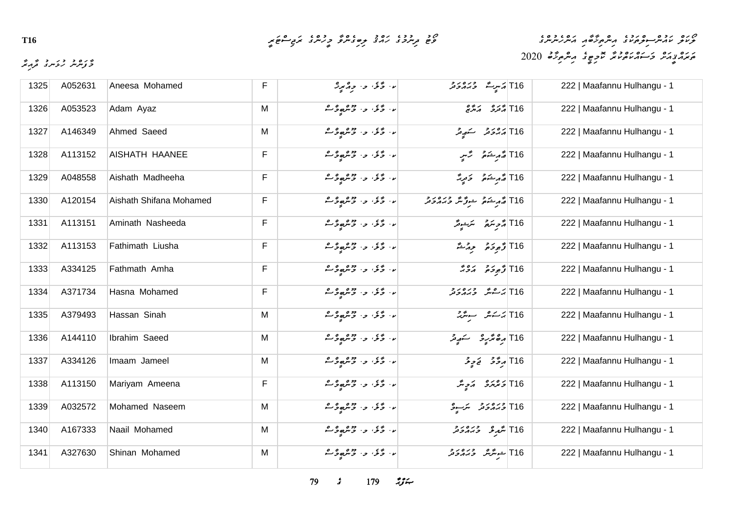*sCw7q7s5w7m< o<n9nOoAw7o< sCq;mAwBoEw7q<m; wBm;vB 2020<sup>, م</sup>وسر در مدد مدرج به مدرم مقرم قرار 2020*<br>موسر المستقرم المستقرم المستقرم المستقرم المستقرم المستقرم المستقرم المستقرم المستقرم المستقرم المستقرم المستقر

| A052631 | Aneesa Mohamed          | F | الا د څخه د او ورموز                                                                                                                                                                                                                                                                                                                                                                                                                                            |                                                                                                                                                       | 222   Maafannu Hulhangu - 1                                                                                                                                                                                                                                                                                                                                                                                                                                                                                                                                                                                               |
|---------|-------------------------|---|-----------------------------------------------------------------------------------------------------------------------------------------------------------------------------------------------------------------------------------------------------------------------------------------------------------------------------------------------------------------------------------------------------------------------------------------------------------------|-------------------------------------------------------------------------------------------------------------------------------------------------------|---------------------------------------------------------------------------------------------------------------------------------------------------------------------------------------------------------------------------------------------------------------------------------------------------------------------------------------------------------------------------------------------------------------------------------------------------------------------------------------------------------------------------------------------------------------------------------------------------------------------------|
| A053523 | Adam Ayaz               | M | ۱۰ د د و د و شهور شو                                                                                                                                                                                                                                                                                                                                                                                                                                            |                                                                                                                                                       | 222   Maafannu Hulhangu - 1                                                                                                                                                                                                                                                                                                                                                                                                                                                                                                                                                                                               |
| A146349 | Ahmed Saeed             | M | ۱۰ ژنگی د وسطی ده وگ                                                                                                                                                                                                                                                                                                                                                                                                                                            |                                                                                                                                                       | 222   Maafannu Hulhangu - 1                                                                                                                                                                                                                                                                                                                                                                                                                                                                                                                                                                                               |
| A113152 | <b>AISHATH HAANEE</b>   | F | ۱۰ ژنگی د وسطی ده وگ                                                                                                                                                                                                                                                                                                                                                                                                                                            |                                                                                                                                                       | 222   Maafannu Hulhangu - 1                                                                                                                                                                                                                                                                                                                                                                                                                                                                                                                                                                                               |
| A048558 | Aishath Madheeha        | F | ۱۰ ژنگی د وسطی ده وگ                                                                                                                                                                                                                                                                                                                                                                                                                                            |                                                                                                                                                       | 222   Maafannu Hulhangu - 1                                                                                                                                                                                                                                                                                                                                                                                                                                                                                                                                                                                               |
| A120154 | Aishath Shifana Mohamed | F |                                                                                                                                                                                                                                                                                                                                                                                                                                                                 |                                                                                                                                                       | 222   Maafannu Hulhangu - 1                                                                                                                                                                                                                                                                                                                                                                                                                                                                                                                                                                                               |
| A113151 | Aminath Nasheeda        | F | ۱۰ ژنگی د وسطی ده وگ                                                                                                                                                                                                                                                                                                                                                                                                                                            |                                                                                                                                                       | 222   Maafannu Hulhangu - 1                                                                                                                                                                                                                                                                                                                                                                                                                                                                                                                                                                                               |
| A113153 | Fathimath Liusha        | F | ۱۰ ژنگی د وسطی ده وگ                                                                                                                                                                                                                                                                                                                                                                                                                                            |                                                                                                                                                       | 222   Maafannu Hulhangu - 1                                                                                                                                                                                                                                                                                                                                                                                                                                                                                                                                                                                               |
| A334125 | Fathmath Amha           | F | 2.8883.5.5.1                                                                                                                                                                                                                                                                                                                                                                                                                                                    |                                                                                                                                                       | 222   Maafannu Hulhangu - 1                                                                                                                                                                                                                                                                                                                                                                                                                                                                                                                                                                                               |
| A371734 | Hasna Mohamed           | F | $\overset{o}{\sim} \overset{o}{\sim} \overset{o}{\sim} \overset{m}{\sim} \overset{m}{\sim} \overset{c}{\sim} \overset{c}{\sim} \overset{m}{\sim} \overset{c}{\sim} \overset{m}{\sim} \overset{c}{\sim} \overset{m}{\sim} \overset{c}{\sim} \overset{m}{\sim} \overset{c}{\sim} \overset{m}{\sim} \overset{c}{\sim} \overset{m}{\sim} \overset{c}{\sim} \overset{m}{\sim} \overset{c}{\sim} \overset{c}{\sim} \overset{c}{\sim} \overset{c}{\sim} \overset{c}{\$ |                                                                                                                                                       | 222   Maafannu Hulhangu - 1                                                                                                                                                                                                                                                                                                                                                                                                                                                                                                                                                                                               |
| A379493 | Hassan Sinah            | M | ۱۰ ژنگی د وسطی ده وگ                                                                                                                                                                                                                                                                                                                                                                                                                                            |                                                                                                                                                       | 222   Maafannu Hulhangu - 1                                                                                                                                                                                                                                                                                                                                                                                                                                                                                                                                                                                               |
| A144110 | Ibrahim Saeed           | M | ۱۰ وګڼ و وسره وگ                                                                                                                                                                                                                                                                                                                                                                                                                                                |                                                                                                                                                       | 222   Maafannu Hulhangu - 1                                                                                                                                                                                                                                                                                                                                                                                                                                                                                                                                                                                               |
| A334126 | Imaam Jameel            | M | ۱۰ ژبې د وسمهور ش                                                                                                                                                                                                                                                                                                                                                                                                                                               |                                                                                                                                                       | 222   Maafannu Hulhangu - 1                                                                                                                                                                                                                                                                                                                                                                                                                                                                                                                                                                                               |
| A113150 | Mariyam Ameena          | F | ۱۰ وګڼ و وسره وگ                                                                                                                                                                                                                                                                                                                                                                                                                                                |                                                                                                                                                       | 222   Maafannu Hulhangu - 1                                                                                                                                                                                                                                                                                                                                                                                                                                                                                                                                                                                               |
| A032572 | Mohamed Naseem          | M | ۱۰ وګڼ و وسره وگ                                                                                                                                                                                                                                                                                                                                                                                                                                                |                                                                                                                                                       | 222   Maafannu Hulhangu - 1                                                                                                                                                                                                                                                                                                                                                                                                                                                                                                                                                                                               |
| A167333 | Naail Mohamed           | M | ۱۰ ژنگی د وسطی ده وگ                                                                                                                                                                                                                                                                                                                                                                                                                                            |                                                                                                                                                       | 222   Maafannu Hulhangu - 1                                                                                                                                                                                                                                                                                                                                                                                                                                                                                                                                                                                               |
| A327630 | Shinan Mohamed          | M | ر، دُبُو، د <sub>ا</sub> دور <sub>هو</sub> وے                                                                                                                                                                                                                                                                                                                                                                                                                   |                                                                                                                                                       | 222   Maafannu Hulhangu - 1                                                                                                                                                                                                                                                                                                                                                                                                                                                                                                                                                                                               |
|         |                         |   |                                                                                                                                                                                                                                                                                                                                                                                                                                                                 | $\mathcal{L}_{\mathcal{P}}^{\circ}$ , $\mathcal{L}_{\mathcal{P}}^{\circ}$ , $\mathcal{L}_{\mathcal{P}}^{\circ}$ , $\mathcal{L}_{\mathcal{P}}^{\circ}$ | T16  كەسپەسى ئ <i>اشلاھى</i> ر<br>T16 گەنىزى كەيزى<br>T16 كەندى قىرىقى سى <i>مبەت</i> ر<br>T16 م <i>حْمِيشَة بِ</i> رَّسِ<br>T16 م <i>ۇم ھۇھ</i> خ <sup>و</sup> يد <i>ى</i> گە<br>T16 مەم شەھ سىر <i>ۇش جەم جەن</i><br>T16 مَّ حِ سَمَعَ مَسَّجِعَّر<br>T16 رَّجِ دَمَّۃ مِہ <sup>ْ ک</sup> ُہُ<br>T16 <i>وَّجِ حَمَّى مَ</i> حَمَّ <i>ّ</i><br>T16 يَرْمَعَ حَمَدَ وَحَدَّدَ<br>T16   يز سنة سنة مستقدمة<br>T16 <sub>م</sub> ەمگەر ئەسكىرىم<br>T16 مِرَّدَّ کَے یِگَی<br>T16  <i>دَ بْرْ<sub>مْ</sub>دْ بْهُ بِ</i> رَ<br>T16  <i>وُبَہُ وَمَدْ</i> سَرَسِ وَ<br>T16 مگيري و <i>جه دو</i><br>T16 حو <i>مگنگ و چم</i> ونو |

# *n8o<n@ qC7m:q5 q7w7m?n>*

*79 s* 179 *z*<sub>*s*</sub> *n*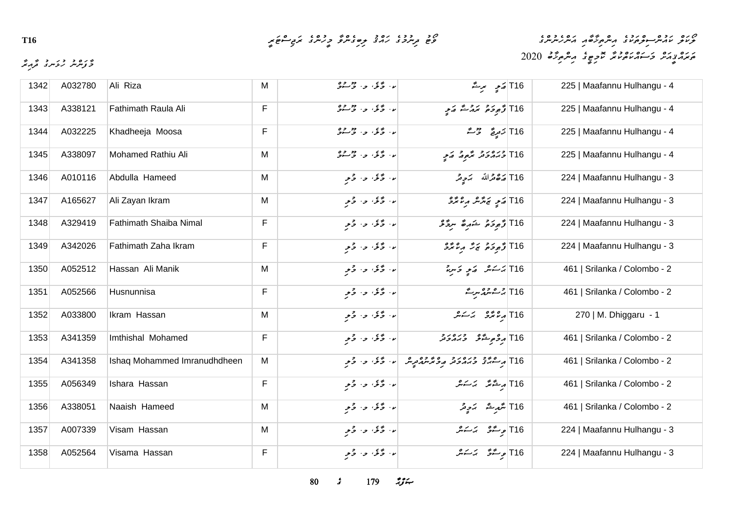*sCw7q7s5w7m< o<n9nOoAw7o< sCq;mAwBoEw7q<m; wBm;vB 2020<sup>, م</sup>وسر در مدد مدرج به مدرم مقرم قرار 2020*<br>موسر المستقرم المستقرم المستقرم المستقرم المستقرم المستقرم المستقرم المستقرم المستقرم المستقرم المستقرم المستقر

| 1342 | A032780 | Ali Riza                      | М | لا د څو د د د چې د و         | T16 کرم ہوگ                                        | 225   Maafannu Hulhangu - 4  |
|------|---------|-------------------------------|---|------------------------------|----------------------------------------------------|------------------------------|
| 1343 | A338121 | Fathimath Raula Ali           | F | لا د گري د د حرم             | T16 <i>وُّجِوَدَةُ مَدَيْثَةً مَ</i> عِ            | 225   Maafannu Hulhangu - 4  |
| 1344 | A032225 | Khadheeja Moosa               | F | لا د څو د د د چې د چ         | T16 كَتَمِيعٌ مُحْمَدٌ مُ                          | 225   Maafannu Hulhangu - 4  |
| 1345 | A338097 | Mohamed Rathiu Ali            | M | لا : وَتَوْا و المَرْكَبُوصُ | T16 <i>ڈبزہ ڈبز</i> ب <i>ڑ<sub>ج</sub> پر کمبر</i> | 225   Maafannu Hulhangu - 4  |
| 1346 | A010116 | Abdulla Hameed                | M | پار د څخه او او د څو         | T16 كەچ قىراللە    ئەر قىر                         | 224   Maafannu Hulhangu - 3  |
| 1347 | A165627 | Ali Zayan Ikram               | M | لاء گري کي او د څخه          | T16 كەبىر بى <i>م ئاھرىم بىر ئاھرى</i>             | 224   Maafannu Hulhangu - 3  |
| 1348 | A329419 | <b>Fathimath Shaiba Nimal</b> | F | الأرمح في أمراء وهم و        | T16 أَرَّمِ <i>دَهُ حَمَدِ مَّ</i> سِرَّدَ وَ      | 224   Maafannu Hulhangu - 3  |
| 1349 | A342026 | Fathimath Zaha Ikram          | F | لاء گرگاه او د گرمو          | T16 <i>وُجوحَرْمَ بَارَّ</i> مِنْ مَرَّدَّ         | 224   Maafannu Hulhangu - 3  |
| 1350 | A052512 | Hassan Ali Manik              | M | لا المحركي الأراضي           | T16   يَرْسَسْ _ مَرِ _ وَسِرْءٌ _                 | 461   Srilanka / Colombo - 2 |
| 1351 | A052566 | Husnunnisa                    | F | الأرمح في أوراح و            | T16 يُر مِيمْ پُر سِرْ مَسْ                        | 461   Srilanka / Colombo - 2 |
| 1352 | A033800 | Ikram Hassan                  | M | الا انځنۍ او انځو            | T16 مەنزى ئەسىر                                    | 270   M. Dhiggaru - 1        |
| 1353 | A341359 | Imthishal Mohamed             | F | پار گچې او د کولو            | T16 مۇم <sub>ۇ</sub> شۇ <i>دىمەدىر</i>             | 461   Srilanka / Colombo - 2 |
| 1354 | A341358 | Ishaq Mohammed Imranudhdheen  | M |                              | T16 رحمة ورورد رونتر شهر المستحق و ومو             | 461   Srilanka / Colombo - 2 |
| 1355 | A056349 | Ishara Hassan                 | F | لاء گري کي او د څخه          | T16 مِسْتَمَّدَ بَرَسَسْ                           | 461   Srilanka / Colombo - 2 |
| 1356 | A338051 | Naaish Hameed                 | M | الأرمح في أوراح في           | T16 مُتَمَدِّ يَدَّدِيْرُ                          | 461   Srilanka / Colombo - 2 |
| 1357 | A007339 | Visam Hassan                  | Μ | لا الحجي والحجو              | T16 <sub>ج</sub> رىنىۋە كەسكەنلەر                  | 224   Maafannu Hulhangu - 3  |
| 1358 | A052564 | Visama Hassan                 | F | الأرمح في أورا وهمي          | T16 م <sub>و</sub> سترڈ برسکھ                      | 224   Maafannu Hulhangu - 3  |
|      |         |                               |   |                              |                                                    |                              |

*80 sC 179 nNw?mS*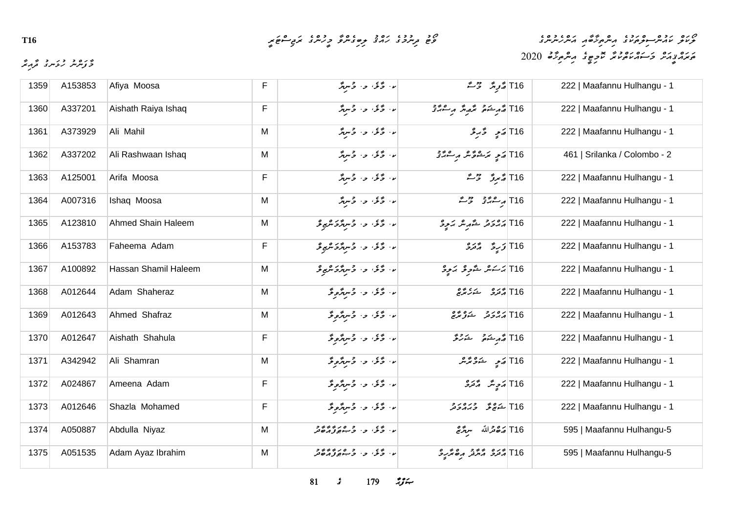*sCw7q7s5w7m< o<n9nOoAw7o< sCq;mAwBoEw7q<m; wBm;vB* م من المرة المرة المرة المرجع المرجع في المركبة 2020<br>مجم*د المريض المربوط المربع المرجع في المراجع المركبة* 

| 1359 | A153853 | Afiya Moosa               | F | لا المحمى المحاسنة المحسنة المحسنة             | T16 مَحْرِمَ حَرْمَتْ                            | 222   Maafannu Hulhangu - 1  |
|------|---------|---------------------------|---|------------------------------------------------|--------------------------------------------------|------------------------------|
| 1360 | A337201 | Aishath Raiya Ishaq       | F | مار محتى المال محسنة الم                       | T16 مەم شەھ ئىرمەتتە مەسىمەتى                    | 222   Maafannu Hulhangu - 1  |
| 1361 | A373929 | Ali Mahil                 | M | لاء محتى الماء وحسنة                           | T16 کړې تر <i>ب</i> و                            | 222   Maafannu Hulhangu - 1  |
| 1362 | A337202 | Ali Rashwaan Ishaq        | M | لاء الحري الأرامج سرگر                         | T16 كەمچە بۇشۇڭلا مەش <i>ەر قى</i> ر             | 461   Srilanka / Colombo - 2 |
| 1363 | A125001 | Arifa Moosa               | F | لا د څخه د د څمنگ                              | $23$ مَرِزَ 2ْتَ                                 | 222   Maafannu Hulhangu - 1  |
| 1364 | A007316 | Ishaq Moosa               | M | ما گرمی کار کار کرد                            | $23.2$ $\sim$ T16                                | 222   Maafannu Hulhangu - 1  |
| 1365 | A123810 | <b>Ahmed Shain Haleem</b> | M | ، دَوْ، د وسِرْدَسْهِ وْ                       | T16 كەبۇبۇ ھەمبەھ كەبوبى                         | 222   Maafannu Hulhangu - 1  |
| 1366 | A153783 | Faheema Adam              | F | ئەس ئۇ ئەس ئۇ ئارى                             | T16 كَرَرٍ مَحْ مَدَّرَة مَسَرِ                  | 222   Maafannu Hulhangu - 1  |
| 1367 | A100892 | Hassan Shamil Haleem      | M | ، دَوْ، د وسِرْدَسْهِ وْ                       | T16  يزسترو مس <i>تح</i> و بحر بربود كالمعربي    | 222   Maafannu Hulhangu - 1  |
| 1368 | A012644 | Adam Shaheraz             | M | لا د د د کار د کار د کار و لا                  | T16 يُرتر <sup>و</sup> شَرْتَرَبَّنَّ            | 222   Maafannu Hulhangu - 1  |
| 1369 | A012643 | Ahmed Shafraz             | M | ، دُکو، دا دُسِرُوکُ                           | T16 كەبرى ئەرگىزىمى ئىقتىدىنى ئىستان ئىستان ئىقت | 222   Maafannu Hulhangu - 1  |
| 1370 | A012647 | Aishath Shahula           | F | ، دُکو، دا دُسِرُوکُ                           | T16 مَجْمِيشَمْ شَرْكَةً                         | 222   Maafannu Hulhangu - 1  |
| 1371 | A342942 | Ali Shamran               | M | ، دُکو، دا دُسِرُوکُ                           | T16 <i>ڇَجِ ڪوچي هِ</i>                          | 222   Maafannu Hulhangu - 1  |
| 1372 | A024867 | Ameena Adam               | F | لا د کال د د کالمرکونگر                        | T16 كەچ ئىگە مەترى                               | 222   Maafannu Hulhangu - 1  |
| 1373 | A012646 | Shazla Mohamed            | F | لا د کمکی د وسرگرونگر                          | T16 خەم بەردىرى 716                              | 222   Maafannu Hulhangu - 1  |
| 1374 | A050887 | Abdulla Niyaz             | M | ر، دی. د. د مرد دود.<br>را، د کل، د. د جوړو مص | T16 كەنھەتراللە س <i>ەڭ ج</i>                    | 595   Maafannu Hulhangu-5    |
| 1375 | A051535 | Adam Ayaz Ibrahim         | M | ر، دی، دې د ۱۵۶۶ و.<br>د کوي د کرينونو مصر     | T16 مُمَرَّد مُمَّرْ مِعْمَرِدْ                  | 595   Maafannu Hulhangu-5    |

#### *n8o<n@ qC7m:q5 q7w7m?n>*

*81 s* 179 *i*<sub>s</sub>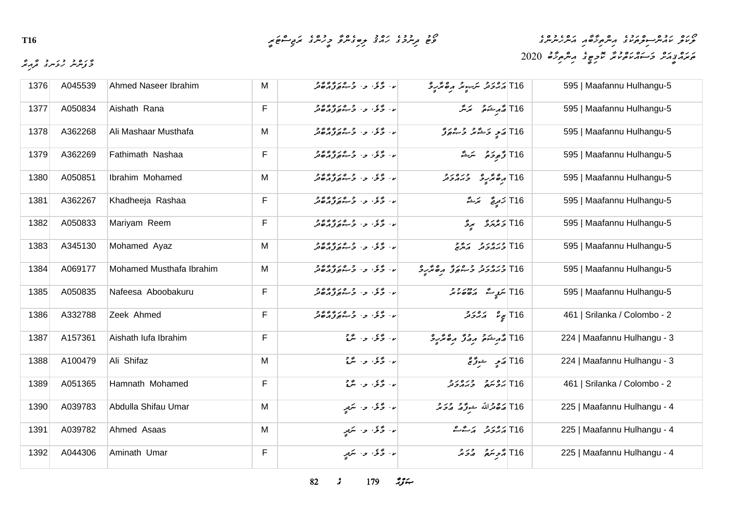*sCw7q7s5w7m< o<n9nOoAw7o< sCq;mAwBoEw7q<m; wBm;vB 2020<sup>, م</sup>وسر در مدد مدرج به مدرم مقرم قرار 2020*<br>موسر المستقرم المستقرم المستقرم المستقرم المستقرم المستقرم المستقرم المستقرم المستقرم المستقرم المستقرم المستقر

| 1376 | A045539 | Ahmed Naseer Ibrahim     | M | ر دی. د و درودود و                         | T16 كەبرى تىر ئىر بىر قىلىدى ئىلىمىتى بىر | 595   Maafannu Hulhangu-5    |
|------|---------|--------------------------|---|--------------------------------------------|-------------------------------------------|------------------------------|
| 1377 | A050834 | Aishath Rana             | F | ر دی. د و درودود و                         | T16 م <i>ۇم شۇمى</i> ئىرتى <i>گ</i>       | 595   Maafannu Hulhangu-5    |
| 1378 | A362268 | Ali Mashaar Musthafa     | M | ر دی.<br>در گون در وجود ده در              | T16 كەي كەشگە ئەس <i>ەۋۇ</i>              | 595   Maafannu Hulhangu-5    |
| 1379 | A362269 | Fathimath Nashaa         | F | ر دی. د و درودود و                         | T16 <i>وُّجِ دَمْ</i> سَرَحَّة            | 595   Maafannu Hulhangu-5    |
| 1380 | A050851 | Ibrahim Mohamed          | M | ر دي.<br>د گرگ و و چېبوژمېن                | T16 <sub>م</sub> ەنگەر ئەزەر ئەرەپىر      | 595   Maafannu Hulhangu-5    |
| 1381 | A362267 | Khadheeja Rashaa         | F | ر دی.<br>روز در وجوز ده د                  | T16 كَتَوِيعٌ - مَرْحَدٌ -                | 595   Maafannu Hulhangu-5    |
| 1382 | A050833 | Mariyam Reem             | F | ر دی.<br>روز در وجوز ده د                  | T16  <i>5نگ<sup>و</sup>ڈ ب</i> رڈ         | 595   Maafannu Hulhangu-5    |
| 1383 | A345130 | Mohamed Ayaz             | M | ر، دی، دې د ۱۵۶۶ و.<br>د کوي د کرينونو مصر | T16 <i>2522 كەيم</i> ى                    | 595   Maafannu Hulhangu-5    |
| 1384 | A069177 | Mohamed Musthafa Ibrahim | M | ر دي.<br>د گون د کريه ورومون               | T16 ديره د د و مردو په ده تربرو           | 595   Maafannu Hulhangu-5    |
| 1385 | A050835 | Nafeesa Aboobakuru       | F | ر دی.<br>روز در وجوز ده د                  | T16 يتربه مقصوم بر                        | 595   Maafannu Hulhangu-5    |
| 1386 | A332788 | Zeek Ahmed               | F | ، دی، د. د مردوده د                        | T16 <sub>مي</sub> ء ۾ پروتر               | 461   Srilanka / Colombo - 2 |
| 1387 | A157361 | Aishath lufa Ibrahim     | F | ىد. ئۇقۇر بەر، ئىگەنى                      | T16 مُرسُوَّ رِمِدْتَ رِهِ مُرَبِّ        | 224   Maafannu Hulhangu - 3  |
| 1388 | A100479 | Ali Shifaz               | M | لا د څخه د لمړيځ                           | T16 <i>ڇُوِ خوڙچ</i>                      | 224   Maafannu Hulhangu - 3  |
| 1389 | A051365 | Hamnath Mohamed          | F | لا د څخه له د مثنۍ                         | T16 كەندىق بەرگە دىر                      | 461   Srilanka / Colombo - 2 |
| 1390 | A039783 | Abdulla Shifau Umar      | M | الاستخرن الدار الكرابي                     | T16 كەھەراللە خو <i>زۇ مەدى</i> ر         | 225   Maafannu Hulhangu - 4  |
| 1391 | A039782 | Ahmed Asaas              | M | لاءِ گريگو ۾ ۽ سگھي                        | T16 كەبرى كەرىگە يىلى                     | 225   Maafannu Hulhangu - 4  |
| 1392 | A044306 | Aminath Umar             | F | الاء گرگرا، برای متراپر                    | T16 مَّ حِسَمَ مَحَمَّد                   | 225   Maafannu Hulhangu - 4  |

# *n8o<n@ qC7m:q5 q7w7m?n>*

**82** *s* **179** *n***<sub>s</sub>***n*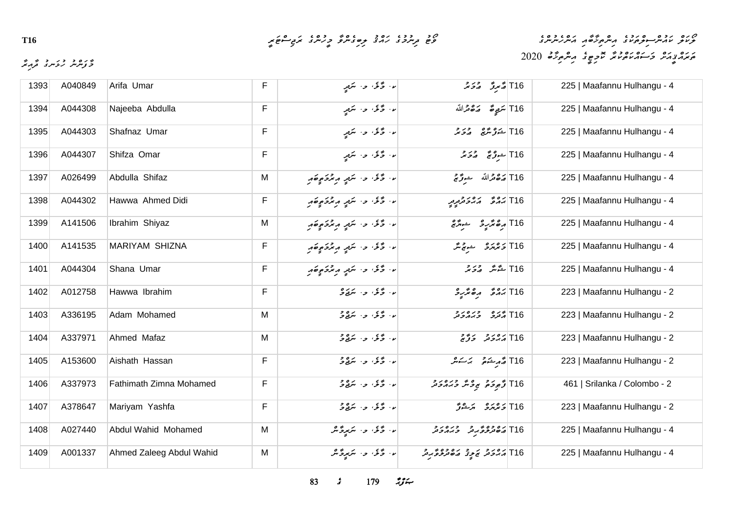*sCw7q7s5w7m< o<n9nOoAw7o< sCq;mAwBoEw7q<m; wBm;vB 2020<sup>, م</sup>وسر در مدد مدرج به مدرم مقرم قرار 2020*<br>موسر المستقرم المستقرم المستقرم المستقرم المستقرم المستقرم المستقرم المستقرم المستقرم المستقرم المستقرم المستقر

| 1393 | A040849 | Arifa Umar               | F | الاء گرگراه و اسکاپی                  | T16 م <i>حبوق م</i> 5مر                       | 225   Maafannu Hulhangu - 4  |
|------|---------|--------------------------|---|---------------------------------------|-----------------------------------------------|------------------------------|
| 1394 | A044308 | Najeeba Abdulla          | F | لا : د څو د د سرمبر                   | T16 سَمِعٍ صَدَّ اللَّهُ M                    | 225   Maafannu Hulhangu - 4  |
| 1395 | A044303 | Shafnaz Umar             | F | لاءِ گري کا کاملي کا                  | T16 ڪوڻينج <i>۾ جي</i> ر                      | 225   Maafannu Hulhangu - 4  |
| 1396 | A044307 | Shifza Omar              | F | لاستخرق الدار الكرمني                 | T16 خو <i>دي چ</i> ې ته                       | 225   Maafannu Hulhangu - 4  |
| 1397 | A026499 | Abdulla Shifaz           | M | ١٠ وَ وَاسَعِرِ مِعْرَفَهِمْ          | T16 كەڭداللە خى <i>رۇيج</i>                   | 225   Maafannu Hulhangu - 4  |
| 1398 | A044302 | Hawwa Ahmed Didi         | F | ١٠ د د د سرمر مرکزه وه.               | T16 <i>بَدَهُمَّة - مَدْوَمْدِيرِ</i> دِ      | 225   Maafannu Hulhangu - 4  |
| 1399 | A141506 | Ibrahim Shiyaz           | M | الأراقي والكبر منكوكموكم              | T16 م <i>وڭ ئۇر</i> ئىستىرىمى<br>16           | 225   Maafannu Hulhangu - 4  |
| 1400 | A141535 | <b>MARIYAM SHIZNA</b>    | F | ر، دَ کَو، د. سَمِرِ مِنْزَوَةٍ صَمَّ | T16 كەب <i>تەرگە</i> ھېدىم ئىگە               | 225   Maafannu Hulhangu - 4  |
| 1401 | A044304 | Shana Umar               | F | الأراقيق الأراميل والمركز والمراقبة   | T16 گەنگە ھ <sup>5</sup> ىر                   | 225   Maafannu Hulhangu - 4  |
| 1402 | A012758 | Hawwa Ibrahim            | F | ىر، بۇي بەر ئىن بەر ئ                 | T16 بَرْدُوَّ مِنْ مَحْرِدْ                   | 223   Maafannu Hulhangu - 2  |
| 1403 | A336195 | Adam Mohamed             | M | ىن گەنقى كەرە تەرەپچە ب               | T16 كەندۇ بەردە بەر                           | 223   Maafannu Hulhangu - 2  |
| 1404 | A337971 | Ahmed Mafaz              | M | ا د گري و اسره و                      | T16 كەبرى قىرىمىتى قىرىمىتى ئى                | 223   Maafannu Hulhangu - 2  |
| 1405 | A153600 | Aishath Hassan           | F | الا انجني، الاستطار والمحمد           | T16 <i>مگهرڪو پرڪش</i>                        | 223   Maafannu Hulhangu - 2  |
| 1406 | A337973 | Fathimath Zimna Mohamed  | F | الا گري که اندوج                      | T16 ر <i>قوحا و وحدود و دورو</i>              | 461   Srilanka / Colombo - 2 |
| 1407 | A378647 | Mariyam Yashfa           | F | لا گرگان و سرچ و                      | T16 كەبىر بىر بىر ئىش <i>ۇ</i>                | 223   Maafannu Hulhangu - 2  |
| 1408 | A027440 | Abdul Wahid Mohamed      | M | لا : وَكُوْا وَ الْمَعْرِوَّشْ        | T16 رەۋۋۇرىز ئ <i>ەرەر</i> د                  | 225   Maafannu Hulhangu - 4  |
| 1409 | A001337 | Ahmed Zaleeg Abdul Wahid | M | ئار گەنگە رەز سىرىرگەش                | T16 בכבי <i>ב <sub>א</sub>יביל בסיניקל</i> בי | 225   Maafannu Hulhangu - 4  |

# *n8o<n@ qC7m:q5 q7w7m?n>*

**83** *s* **179** *n***<sub>s</sub>**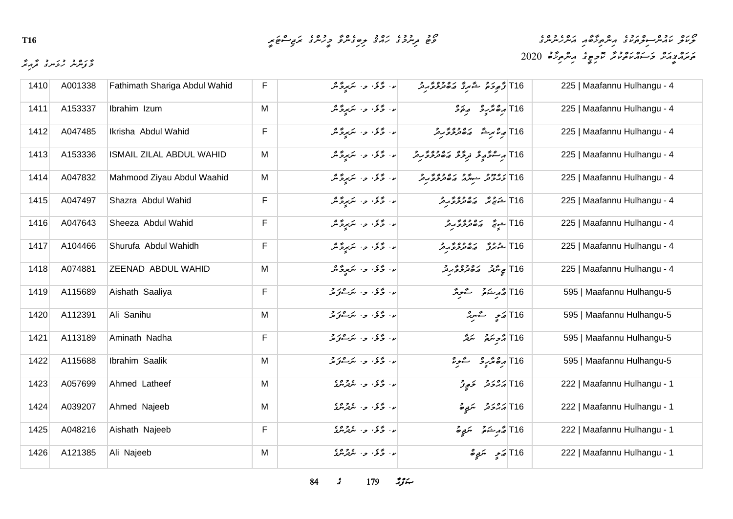*sCw7q7s5w7m< o<n9nOoAw7o< sCq;mAwBoEw7q<m; wBm;vB 2020<sup>, م</sup>وسر در مدد مدرج به مدرم مقرم قرار 2020*<br>موسر المستقرم المستقرم المستقرم المستقرم المستقرم المستقرم المستقرم المستقرم المستقرم المستقرم المستقرم المستقر

| 1410 | A001338 | Fathimath Shariga Abdul Wahid   | F | ئار ئۇنى بەر سىرىگە ئار                                                                                    | T16 تَرْجِوَدَةً ۖ شَمَرِيَّةَ ۖ رَصْرُوْحَ بِرَتْرِ                                                           | 225   Maafannu Hulhangu - 4 |
|------|---------|---------------------------------|---|------------------------------------------------------------------------------------------------------------|----------------------------------------------------------------------------------------------------------------|-----------------------------|
| 1411 | A153337 | Ibrahim Izum                    | M | لا : دَّى و سَمِردَّسْ                                                                                     | T16 مەھمەر ھەم ئەرقىمى<br>ق                                                                                    | 225   Maafannu Hulhangu - 4 |
| 1412 | A047485 | Ikrisha Abdul Wahid             | F | $\downarrow$ ، دَ دَ الله الله دَ الله الله عليه دَ الله عليه الله عليه الله عليه الله عليه الله عليه الله | T16 مەنىمىڭ مەھىر <i>ۈۋىد</i> ىر                                                                               | 225   Maafannu Hulhangu - 4 |
| 1413 | A153336 | <b>ISMAIL ZILAL ABDUL WAHID</b> | M | لا : دَکْرُ و ا سَهْرِدَّسْ                                                                                | T16 مِ سُوَّمَ وِ وَ مِرْتَوَى مَدَّوْرَةَ مِرْدَ مِنْ مِرْدَةِ مِنْ مِرْدَةِ مِنْ مِرْدَةِ مِنْ مِ            | 225   Maafannu Hulhangu - 4 |
| 1414 | A047832 | Mahmood Ziyau Abdul Waahid      | M | ئار گەنگە كەر سىرىمەتلىك                                                                                   | T16 رەدد د بەرد دەرە بەر                                                                                       | 225   Maafannu Hulhangu - 4 |
| 1415 | A047497 | Shazra Abdul Wahid              | F | ئار گەنگە كەن ئىر ئەسىر كەنگە                                                                              | T16 شەيم ھەم <i>مۇھەب</i> ىر                                                                                   | 225   Maafannu Hulhangu - 4 |
| 1416 | A047643 | Sheeza Abdul Wahid              | F | لا : دَّکَوْ ) و ا سَمَعِردَّنْشْ                                                                          | T16 خويج – <i>مەھەر بى قىرى</i> ر                                                                              | 225   Maafannu Hulhangu - 4 |
| 1417 | A104466 | Shurufa Abdul Wahidh            | F | $\downarrow$ ، دَّکَنْ د $\downarrow$ سَمِردَّسْ                                                           | T16 خەمزۇ ھەمز <i>ۈھ ب</i> ىر                                                                                  | 225   Maafannu Hulhangu - 4 |
| 1418 | A074881 | <b>ZEENAD ABDUL WAHID</b>       | M | ئار گەنگە رەز سىرىرگەش                                                                                     | T16 <sub>م</sub> حد <i>گرد مەھىرى ئەرە</i>                                                                     | 225   Maafannu Hulhangu - 4 |
| 1419 | A115689 | Aishath Saaliya                 | F | لا : 33، ق. مگر شۇنجە                                                                                      | T16 مەم ئىقىمە مەم ئىم ئىر                                                                                     | 595   Maafannu Hulhangu-5   |
| 1420 | A112391 | Ali Sanihu                      | M | ىلار ئۇنق بەر ئىر ئىسروپى                                                                                  | T16 کی په مش <i>هد</i>                                                                                         | 595   Maafannu Hulhangu-5   |
| 1421 | A113189 | Aminath Nadha                   | F | لاستخنى الاسترادية                                                                                         | T16 مَّ صِنَّعَةٌ مَنَّتَر                                                                                     | 595   Maafannu Hulhangu-5   |
| 1422 | A115688 | Ibrahim Saalik                  | M | لاستخرق وستركزونهم                                                                                         | T16 <sub>مو</sub> ھ پڑر و گورا                                                                                 | 595   Maafannu Hulhangu-5   |
| 1423 | A057699 | Ahmed Latheef                   | M | لاستخرق وسيرورون                                                                                           | T16 كەندى قەم <i>ب</i> ۇ                                                                                       | 222   Maafannu Hulhangu - 1 |
| 1424 | A039207 | Ahmed Najeeb                    | M | لاستخوان وسيكوه معالمي                                                                                     | T16 كەندى كىرىمى قىلغان قىلغان قىلغان قىلغان قىلغان قىلغان قىلغان قىلغان قىلغان قىلغان قىلغان قىلغان قىلغان قى | 222   Maafannu Hulhangu - 1 |
| 1425 | A048216 | Aishath Najeeb                  | F | لا : 33، د. مگرمگر                                                                                         | T16 مَگْرِسْتَمْ مَنْ مَرْجِمْ A                                                                               | 222   Maafannu Hulhangu - 1 |
| 1426 | A121385 | Ali Najeeb                      | M | ر، گرمی، د. مگرمین                                                                                         | T16 کړ <i>و سکي</i> و ه                                                                                        | 222   Maafannu Hulhangu - 1 |
|      |         |                                 |   |                                                                                                            |                                                                                                                |                             |

# *n8o<n@ qC7m:q5 q7w7m?n>*

**84** *s* **179** *n***<sub>s</sub>**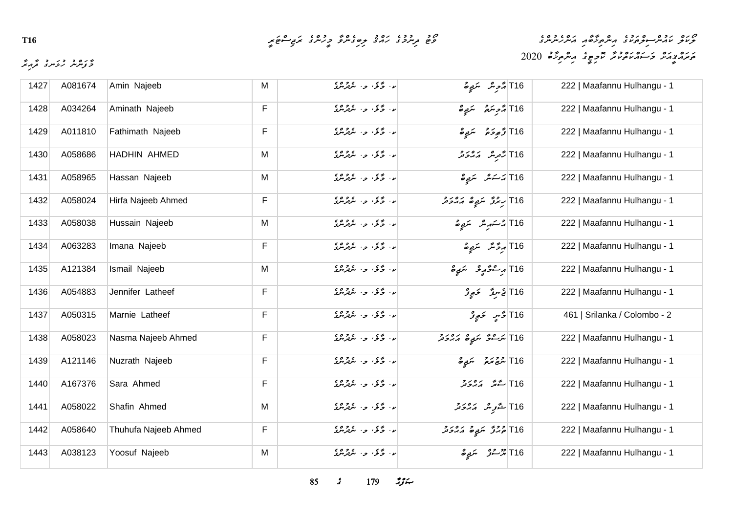*sCw7q7s5w7m< o<n9nOoAw7o< sCq;mAwBoEw7q<m; wBm;vB 2020<sup>, م</sup>وسر در مدد مدرج به مدرم مقرم قرار 2020*<br>موسر المستقرم المستقرم المستقرم المستقرم المستقرم المستقرم المستقرم المستقرم المستقرم المستقرم المستقرم المستقر

| 1427 | A081674 | Amin Najeeb          | M | ر، گرمی، د. ۱۵۶۵.<br>را، گرمی، د. سرپرسری  | T16 مُّرِسُ سَمِعُ                                            | 222   Maafannu Hulhangu - 1  |
|------|---------|----------------------|---|--------------------------------------------|---------------------------------------------------------------|------------------------------|
| 1428 | A034264 | Aminath Najeeb       | F | ۱۰ ژ <sup>و</sup> ، د <sup>.</sup> شهرس    | T16 مُرْمِسَمُ سَمِو <sup>ة</sup>                             | 222   Maafannu Hulhangu - 1  |
| 1429 | A011810 | Fathimath Najeeb     | F | لا گرگو، به انگرېزنگو                      | T16 <i>وُّجِ دَمُ</i> سَم <i>َع</i> ٍ صُ                      | 222   Maafannu Hulhangu - 1  |
| 1430 | A058686 | <b>HADHIN AHMED</b>  | M | لا ژوکا دا شهرسی                           | T16 رًّمبر م <i>مردة د</i>                                    | 222   Maafannu Hulhangu - 1  |
| 1431 | A058965 | Hassan Najeeb        | M | لاستخرى بالمسترورى                         | T16  يَرْسَسْ سَ <sub>ّ</sub> بِي                             | 222   Maafannu Hulhangu - 1  |
| 1432 | A058024 | Hirfa Najeeb Ahmed   | F | ۱۰ ژ <sup>و</sup> ، د <sup>.</sup> شهرس    | T16 بِثَرَقَ سَمِعٍ صَدَّدَتَهِ                               | 222   Maafannu Hulhangu - 1  |
| 1433 | A058038 | Hussain Najeeb       | M | ۱۰ ژ <sup>و</sup> ، د <sup>.</sup> شهرس    | T16 پڑے پر بڑ سکھ <sub>ی</sub> ے                              | 222   Maafannu Hulhangu - 1  |
| 1434 | A063283 | Imana Najeeb         | F | لا گرگو، به انگرېزنگو                      | T16 م <i>ِیُرنگ سَمِی</i> ر                                   | 222   Maafannu Hulhangu - 1  |
| 1435 | A121384 | Ismail Najeeb        | M | لا : 33، د الگرېزنگر                       | T16 <sub>م</sub> رشۇر ئىستىم ھ                                | 222   Maafannu Hulhangu - 1  |
| 1436 | A054883 | Jennifer Latheef     | F | لا : 33، د. مگرمگر                         | T16 في س <i>بدَّ - خ</i> َمِيوثَر                             | 222   Maafannu Hulhangu - 1  |
| 1437 | A050315 | Marnie Latheef       | F | ر، گرمی، د. روه د.<br>را، گرمی، د. سرپرسری | T16   گرس کر <i>چو</i> گر                                     | 461   Srilanka / Colombo - 2 |
| 1438 | A058023 | Nasma Najeeb Ahmed   | F | لا : 33، د. مگرمگر                         | T16 مَرْسْوَدٌ مَرْ <sub>مَو</sub> ة <i>مَ</i> دْوَنْز        | 222   Maafannu Hulhangu - 1  |
| 1439 | A121146 | Nuzrath Najeeb       | F | ، دَگر، د. مگرمن                           | T16 بىر <i>ى تىمۇ بىر تو</i> ڭ                                | 222   Maafannu Hulhangu - 1  |
| 1440 | A167376 | Sara Ahmed           | F | لاستخرق وسيرورون                           | T16 يثري بروتر                                                | 222   Maafannu Hulhangu - 1  |
| 1441 | A058022 | Shafin Ahmed         | M | لا : 33، د. مگرمگر                         | T16 ڪ <i>وبر پرون</i> و                                       | 222   Maafannu Hulhangu - 1  |
| 1442 | A058640 | Thuhufa Najeeb Ahmed | F | ر. ۇي د. ئوترىرى                           | T16 <i>وُبْ</i> رُوَّ سَ <sub>ّعِ</sub> رَ <i>مَدْدَوْر</i> َ | 222   Maafannu Hulhangu - 1  |
| 1443 | A038123 | Yoosuf Najeeb        | M | ر، گرمی، د. مگرمین                         | T16 تېرىشۇ سى <i>مبى</i>                                      | 222   Maafannu Hulhangu - 1  |

# *n8o<n@ qC7m:q5 q7w7m?n>*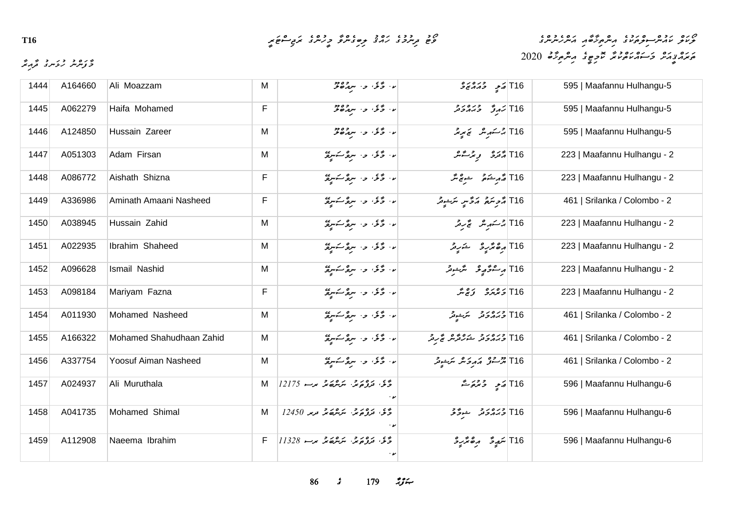*sCw7q7s5w7m< o<n9nOoAw7o< sCq;mAwBoEw7q<m; wBm;vB 2020<sup>, م</sup>وسر در مدد مدرج به مدرم مقرم قرار 2020*<br>موسر المستقرم المستقرم المستقرم المستقرم المستقرم المستقرم المستقرم المستقرم المستقرم المستقرم المستقرم المستقر

| 1444 | A164660 | Ali Moazzam              | M | ر، وي د سم <i>م</i> حو              | T16 <i>مَرٍ وَمَمْدَىٰ</i> وْ                      | 595   Maafannu Hulhangu-5    |
|------|---------|--------------------------|---|-------------------------------------|----------------------------------------------------|------------------------------|
| 1445 | A062279 | Haifa Mohamed            | F | پار د محمد و سمه د ده د             | T16 <i>تروڈ تی می</i> ون                           | 595   Maafannu Hulhangu-5    |
| 1446 | A124850 | Hussain Zareer           | M | ۱۰ وگی و سره مو                     | T16 بڑے ہر شر کا کا پر بڑ                          | 595   Maafannu Hulhangu-5    |
| 1447 | A051303 | Adam Firsan              | M | لا : وَكَوْا و السِرِهْ سَاسِرَةَ   | T16 مُرترد و برسْد ملا                             | 223   Maafannu Hulhangu - 2  |
| 1448 | A086772 | Aishath Shizna           | F | لا : د کال د : سره کاسرها           | T16 <i>مُذہب مَحَمَّة وَ مُحَمَّةً مَّذَ</i>       | 223   Maafannu Hulhangu - 2  |
| 1449 | A336986 | Aminath Amaani Nasheed   | F | ئاس ئۇنقى بول سرەك سرەك سرەك        | T16 مُر <i>ْسِرَةُ مَ</i> وَّسٍ سَ <i>نِجِيد</i> ُ | 461   Srilanka / Colombo - 2 |
| 1450 | A038945 | Hussain Zahid            | M | لا : دَکْرُ ) و ا سِرهْ کُسِرْهَ    | T16 پرڪ <i>ي پر چ</i> پڙ                           | 223   Maafannu Hulhangu - 2  |
| 1451 | A022935 | Ibrahim Shaheed          | M | لا : وَكَوْا و السِرِهْ سَاسِرَةَ   | T16 <sub>م</sub> ەمگ <sup>ىرى</sup> شەرى <i>گ</i>  | 223   Maafannu Hulhangu - 2  |
| 1452 | A096628 | Ismail Nashid            | M | لا : 3 كى و . سرەكسىرى              | T16 م سگوگھر پیچھ مگر شومگر<br>سینمبر              | 223   Maafannu Hulhangu - 2  |
| 1453 | A098184 | Mariyam Fazna            | F | لا : دَ کَوْ و ا سِرهْ کَسِرْهُ     | T16 كەبىر ئۇي ئەرەكىتى ئى                          | 223   Maafannu Hulhangu - 2  |
| 1454 | A011930 | Mohamed Nasheed          | M | لا : 3 كى الله المعرض مكر من كا     | T16 <i>وُكەڤەقە</i> سَرَجەمْد                      | 461   Srilanka / Colombo - 2 |
| 1455 | A166322 | Mohamed Shahudhaan Zahid | M | لا : 3 كى و البرەكسرى               | T16 <i>وَبَرُوْدَوْ حَدَّرْمُرْسْ بِحَ</i> ْرِيْرَ | 461   Srilanka / Colombo - 2 |
| 1456 | A337754 | Yoosuf Aiman Nasheed     | M | لا : 33، و البره كالبره             | T16 برَّتْ بَرْ بَرْبِرْ بَرْ بَرْشِيْرَ بِهِ      | 461   Srilanka / Colombo - 2 |
| 1457 | A024937 | Ali Muruthala            | M | 33، تروم تر. سَرْسْھ تَر سِرِ 12175 |                                                    | 596   Maafannu Hulhangu-6    |
| 1458 | A041735 | Mohamed Shimal           | M | 33، تروڅ تر. ترش توبر 12450         | T16 <i>5 بەدى ئى</i> رگە                           | 596   Maafannu Hulhangu-6    |
| 1459 | A112908 | Naeema Ibrahim           | F | 33، ئۇۋەتمە. ئىرتىھ ئەسىر 11328     | T16 ىت <sub>مې</sub> ۇ م <i>ەشرى</i> ۋ             | 596   Maafannu Hulhangu-6    |

# *n8o<n@ qC7m:q5 q7w7m?n>*

**86** *s* **179** *n***<sub>s</sub>**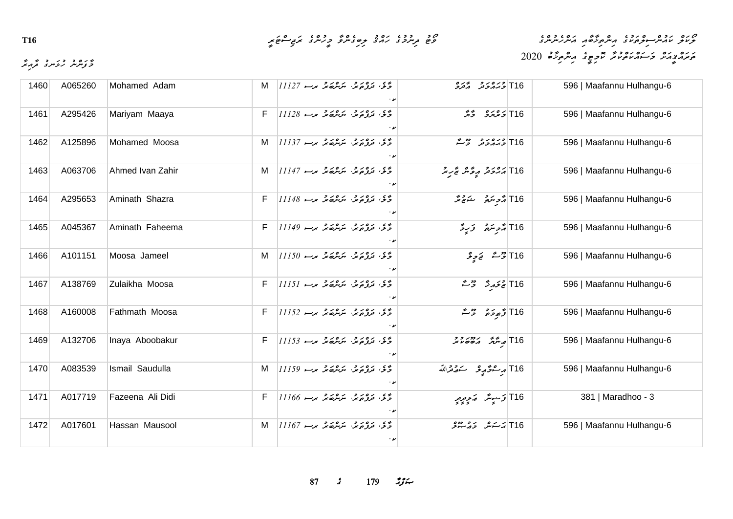*sCw7q7s5w7m< o<n9nOoAw7o< sCq;mAwBoEw7q<m; wBm;vB 2020<sup>, م</sup>وسوق المسجد التحقيق وسرمونية والم*جمع المسجد المسجد المسجد المسجد المسجد المسجد المسجد المسجد المسجد ال

### *n8o<n@ qC7m:q5 q7w7m?n>*

| 1460 | A065260 | Mohamed Adam     | м            | ۇق، يرەپرى، ئىرتكەنتى بىر 11127                | T16 <i>\$222 مُقرَّة</i>         | 596   Maafannu Hulhangu-6 |
|------|---------|------------------|--------------|------------------------------------------------|----------------------------------|---------------------------|
| 1461 | A295426 | Mariyam Maaya    | $\mathsf{F}$ | 35، تروم تمر شریع تمرین 11128                  | T16 كەبەر ئەر                    | 596   Maafannu Hulhangu-6 |
| 1462 | A125896 | Mohamed Moosa    | M            | 35، تروم تمر سرچونجر برج 11137                 | T16 كەبەبە بەر ئەسىر             | 596   Maafannu Hulhangu-6 |
| 1463 | A063706 | Ahmed Ivan Zahir | M            | 33، تروم تمر 11147 مرسو 11147                  | T16 كەبرى قىرىمى ئىم سىمبە ئىر   | 596   Maafannu Hulhangu-6 |
| 1464 | A295653 | Aminath Shazra   | $\mathsf{F}$ | 33، تروم تر. سَرْسْھَ تَرْ سِرِ 11148          | T16 مُرْحِسَمُ شَيْءَ مُّ        | 596   Maafannu Hulhangu-6 |
| 1465 | A045367 | Aminath Faheema  | $\mathsf{F}$ | 33) مَرْوْمَ بْمْ. سَرْسْھَ بْمْ سِيْدِ 11149. | T16 مُجرِسَمٌ وَرِدًّ            | 596   Maafannu Hulhangu-6 |
| 1466 | A101151 | Moosa Jameel     | M            | رَّتَوْ، مَرْوْجَةْ. سَرْسْھَةْ بِرِبْ 11150]  | T16 فخرع ت <sub>ح</sub> وی       | 596   Maafannu Hulhangu-6 |
| 1467 | A138769 | Zulaikha Moosa   | $\mathsf{F}$ | 35، ئۇقۇمۇ. ئىر ئۇچۇ بىر 11151                 | $23$ $25$ $27$ $716$             | 596   Maafannu Hulhangu-6 |
| 1468 | A160008 | Fathmath Moosa   | $\mathsf F$  | 33، مَرْوْحَةٍ. سَرْسْھَةٌ مِرْ - 11152        | T16 تۇ <sub>جوخى</sub> تۆشە      | 596   Maafannu Hulhangu-6 |
| 1469 | A132706 | Inaya Aboobakur  | $\mathsf{F}$ | 35، تروم تى. تىر شىم تىر بىر 11153             | T16 مېتى <i>گە ئەھەمدىكى</i>     | 596   Maafannu Hulhangu-6 |
| 1470 | A083539 | Ismail Saudulla  | M            | 35، مَرْوْحَ پْرْ. سَرْسْھَ پْرْ سِرْ 11159]   | T16 م <i>ې</i> شۇمەي سەر ئەراللە | 596   Maafannu Hulhangu-6 |
| 1471 | A017719 | Fazeena Ali Didi | F            | 35، ئۇۋەتمە. ئىرتىھ تەرىپە 11166               | T16 ترسيس كەرىپەر                | 381   Maradhoo - 3        |
| 1472 | A017601 | Hassan Mausool   | M            | 33، تروم تمر سرچونجر برجہ 11167                | T16   ئەسەھرى ئەھرىيىتى ئى       | 596   Maafannu Hulhangu-6 |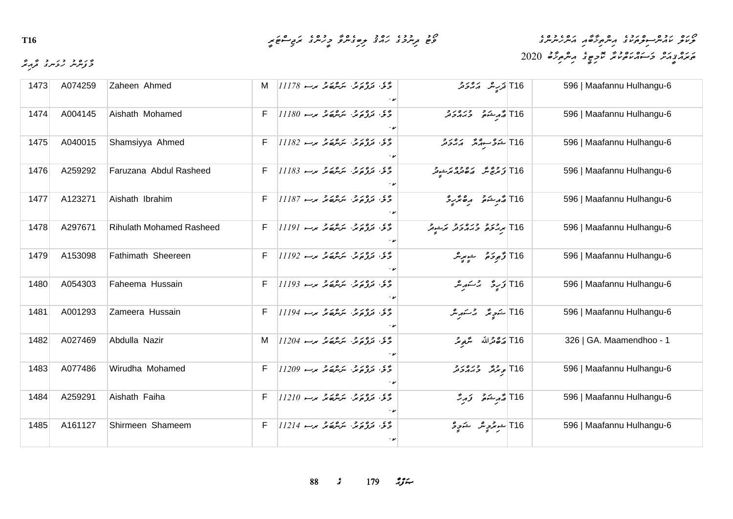*sCw7q7s5w7m< o<n9nOoAw7o< sCq;mAwBoEw7q<m; wBm;vB*  $2020$  *مُحَمَّدَةٍ مَثَرَّ حَسَوْمَ مُحَمَّدٍ مُحَمَّدٍ فَقَ* 

596 | Maafannu Hulhangu-6

596 | Maafannu Hulhangu-6

| 1473 | A074259 | Zaheen Ahmed                    | М  | 33، تروم تر شرش تر 11178                    | T16 نَدَرِيْرُ مَدْوَمْرُ            | 596   Maafannu Hulhangu-6 |
|------|---------|---------------------------------|----|---------------------------------------------|--------------------------------------|---------------------------|
| 1474 | A004145 | Aishath Mohamed                 | F  | 33، تروم تر. سَرْسَ تَمْرَ سِرِ 11180       | T16 مەم ئىق ئەم ئەرىپىتى ئىش         | 596   Maafannu Hulhangu-6 |
| 1475 | A040015 | Shamsiyya Ahmed                 | F. | رَّ مِنْ مَرْكَ مِنْ سَرْحَامَةً مِنْ 11182 | T16 ينوڤر مهرم مركز قر               | 596   Maafannu Hulhangu-6 |
| 1476 | A259292 | Faruzana Abdul Rasheed          | F. | 33، تروم تر. سَرْسْھَ تَرْ سِرِ 11183       | T16 <i>ۇيرىتى شەھەرمەتتى</i> تىر     | 596   Maafannu Hulhangu-6 |
| 1477 | A123271 | Aishath Ibrahim                 | F  | 33، مَرْوْحَة. سَرْحَقَة مِرْ - 11187]      | T16 مەم ئىقى مەھمەر ئى               | 596   Maafannu Hulhangu-6 |
| 1478 | A297671 | <b>Rihulath Mohamed Rasheed</b> | F. | 35، تروم تمر سرچونجر برج [119]              | T16   <i>برقىقى ئەتەۋەتى بى</i> ھىدى | 596   Maafannu Hulhangu-6 |
| 1479 | A153098 | Fathimath Sheereen              | F. | 33، مَرْوْحَة. سَرْجَعَة بِرَ 11192.        | T16 <i>وُّہودَہ</i> ہے پر            | 596   Maafannu Hulhangu-6 |
| 1480 | A054303 | Faheema Hussain                 | F  | 33، تروم تمر سرچونجر برج 11193              | T16 تۇرى <i>گە بۇستەپى</i> گە        | 596   Maafannu Hulhangu-6 |
| 1481 | A001293 | Zameera Hussain                 | F  | 33، تروم تى. تىر شىم تىر سىن 11194          | T16 خوپر پر شہر شر                   | 596   Maafannu Hulhangu-6 |
| 1482 | A027469 | Abdulla Nazir                   | м  | 33، تروم تم. ترشق تمر سو 11204              | T16 كەھەراللە ش <i>ۇم</i> گر         | 326   GA. Maamendhoo - 1  |
| 1483 | A077486 | Wirudha Mohamed                 | F  | 33، تروم تم. تركيمة تمرين 11209]            | T16 <i>وبرقر تەبەدى</i> ر            | 596   Maafannu Hulhangu-6 |

#### *n8o<n@ qC7m:q5 q7w7m?n>*

**88** *s* **179** *n***<sub>s</sub>***n* 

1484 A259291 Aishath Faiha F *11210 sr urwbcnwn .urwtcfwd ,elWm* 

وَكِيَّةِ مَرْوَّجَةٍ. سَرْحَةَ جَرْسِةِ 1485 A161127 Shirmeen Shameem **F** 11214 . مَدَّجَّة بِسَرْحَةَ بِسَرْحَةَ بِسَرْحَةَ بِسَرْحَةَ بِيَسْتَ بِسَرْحَةَ بِيَسْتَ بِسَرْحَةٍ بِيَسْتَ بِسَرْحَةٍ بِيَسْتِ بِسَرْحِيَّةٍ ب

*.k*

*.k*

*.k*

*Whiawf utwxiaWA* T16

*cmImwx cnImurix* T16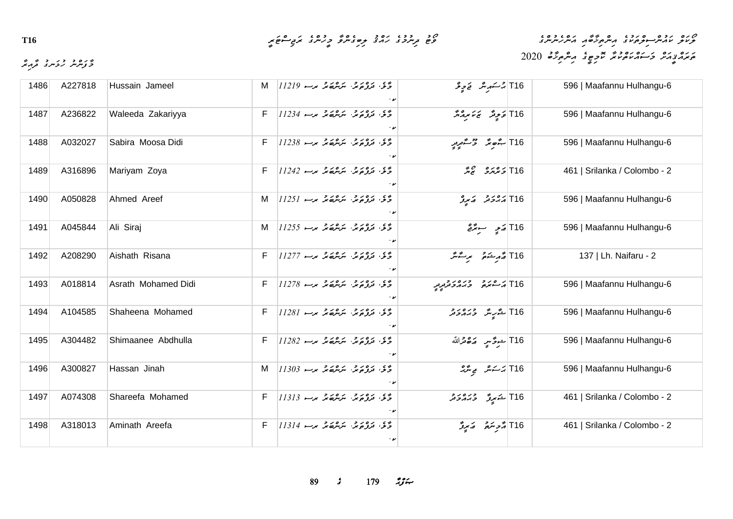*sCw7q7s5w7m< o<n9nOoAw7o< sCq;mAwBoEw7q<m; wBm;vB 2020<sup>, م</sup>وسوق المسجد التحقيق وسرمونية والم*جمع المسجد المسجد المسجد المسجد المسجد المسجد المسجد المسجد المسجد ال

# *n8o<n@ qC7m:q5 q7w7m?n>*

| 1486 | A227818 | Hussain Jameel      |   | وَّى مَرْوَةٍ مَّ سَرْسَ حَمَّدٍ مِنْ 11219 M      | T16   پرستمبر محمد مح                     | 596   Maafannu Hulhangu-6    |
|------|---------|---------------------|---|----------------------------------------------------|-------------------------------------------|------------------------------|
| 1487 | A236822 | Waleeda Zakariyya   | F | 33، تروم 3. س س 234 مرسو 11234                     | T16   وَمِرِثَرٌ نَجْ مَ مَرِيْرٌ مَّرَ   | 596   Maafannu Hulhangu-6    |
| 1488 | A032027 | Sabira Moosa Didi   | F | 35، تروم تمر، سَرْسْھَ تَمْ سِرِ 11238             | T16 جۇمۇسى تۆگەرىر                        | 596   Maafannu Hulhangu-6    |
| 1489 | A316896 | Mariyam Zoya        | F | 33، تروم 3. س مرضى برسه 11242                      | T16 كەبەر ئەمەسىم                         | 461   Srilanka / Colombo - 2 |
| 1490 | A050828 | Ahmed Areef         | M | 33) مَرْقِ مَرْشَ مِنْ مَسْتَة مَرْ سِيْسِدِ 11251 | T16 كەندى قەرى                            | 596   Maafannu Hulhangu-6    |
| 1491 | A045844 | Ali Siraj           | M | 33، تروم تر شهر ترجمہ سے 11255                     | T16 کړې سو <i>مگ</i>                      | 596   Maafannu Hulhangu-6    |
| 1492 | A208290 | Aishath Risana      | F | 33) مَرْقِ مَرْشَ مِنْ مَسْتَصَمَّرَ سِبْ 11277    | T16 مُ مِسْدَمْ مِ سِدَّسَ آ              | 137   Lh. Naifaru - 2        |
| 1493 | A018814 | Asrath Mohamed Didi | F | 33، تروم تر. ترشق تر بر سو 11278                   | T16 كەش <i>ەتتى بەيدە كەردىرى</i> ر       | 596   Maafannu Hulhangu-6    |
| 1494 | A104585 | Shaheena Mohamed    | F | 33) مَرْوْمَ بْرْ. سَرْسْهَة بْرْ سِيرِ 11281.     | T16 حَدَرِ مَدَ دَيَرُونَدُ –             | 596   Maafannu Hulhangu-6    |
| 1495 | A304482 | Shimaanee Abdhulla  | F | 33، ئۇۋىق ئىر ھەتە بىر 11282                       | T16 حوڱسٍ   صَ§مِّراللَّه                 | 596   Maafannu Hulhangu-6    |
| 1496 | A300827 | Hassan Jinah        | M | 33، تروڅ تر سرسي تر 11303 ]                        | T16  تەسىقىر ب <i>ې</i> قى <sup>ت</sup> ە | 596   Maafannu Hulhangu-6    |
| 1497 | A074308 | Shareefa Mohamed    | F | 33، ئۇۋۇتمى: سەھەتمە بىر سىن 11313                 | T16 ڪمبر <i>گ وٽرونر</i>                  | 461   Srilanka / Colombo - 2 |
| 1498 | A318013 | Aminath Areefa      | F | 33، ئۇۋۇتمى: سەھەتمە بىر سە 11314                  | T16 مَّ <i>جِسَعْہ مَبِرِدٌ</i>           | 461   Srilanka / Colombo - 2 |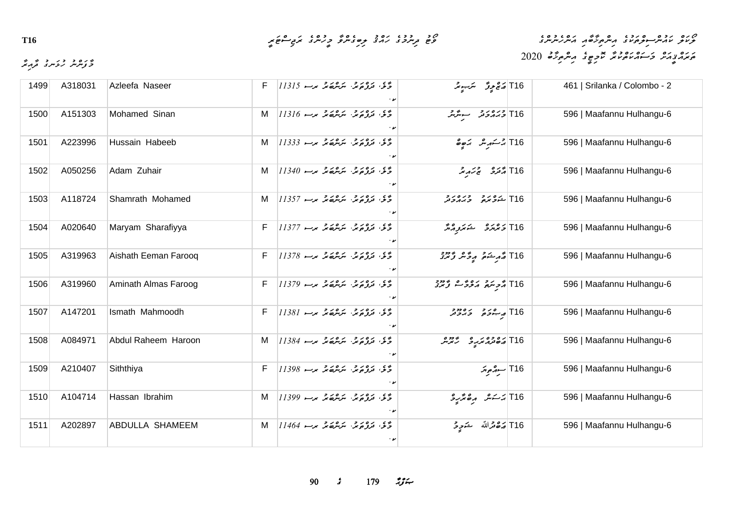*sCw7q7s5w7m< o<n9nOoAw7o< sCq;mAwBoEw7q<m; wBm;vB 2020<sup>, م</sup>وسوق المسجد التحقيق وسرمونية والم*جمع المسجد المسجد المسجد المسجد المسجد المسجد المسجد المسجد المسجد ال

### *n8o<n@ qC7m:q5 q7w7m?n>*

| 1499 | A318031 | Azleefa Naseer       |             | ۇق يو <i>ۋى</i> تى شرى <i>ققى</i> بىسە 11315    | T16 <i>مَہُ جوڑ</i> سَرسومُر             | 461   Srilanka / Colombo - 2 |
|------|---------|----------------------|-------------|-------------------------------------------------|------------------------------------------|------------------------------|
| 1500 | A151303 | Mohamed Sinan        | M           | 35، ئۇۋەتمە. ئىرتىھ تەرىپە 11316                | T16 <i>ۋىزودۇ بەش</i> تر                 | 596   Maafannu Hulhangu-6    |
| 1501 | A223996 | Hussain Habeeb       | M           | 33، تروم تر. سَرْسْھَ تَرْ 11333 ]              | T16 يُرْسَمب <sup>9</sup> يَرْحِدُ       | 596   Maafannu Hulhangu-6    |
| 1502 | A050256 | Adam Zuhair          | M           | 33، مَرْوْمَ بْمْ. سَرْسْھَ بْمْ سِرْ 11340.    | T16 مُحَمَدٌ مِحْرَم <i>ِ</i> مُ         | 596   Maafannu Hulhangu-6    |
| 1503 | A118724 | Shamrath Mohamed     | M           | 33، ئۇۋۇپر، ئىر شەكىر بىر 11357                 | T16 ينوبرو وبروبرو                       | 596   Maafannu Hulhangu-6    |
| 1504 | A020640 | Maryam Sharafiyya    | $\mathsf F$ | 33، ئۇۋىر ئىر ئىگەنجە بىر 11377                 | T16 <i>كەنگەنگە</i> ھە <i>نگەنۋەت</i> گە | 596   Maafannu Hulhangu-6    |
| 1505 | A319963 | Aishath Eeman Farooq | F           | 33، تروم تر شهر تر 11378                        | T16 مەم شەھ ب <i>و</i> گىر <i>ۋىرى</i>   | 596   Maafannu Hulhangu-6    |
| 1506 | A319960 | Aminath Almas Faroog | F           | 33) مَرْوَمَ بْنُ سَرْسُ مَعْرَ مِرْسِدِ 11379. | T16 مُرمِسَمُ مَعْرُبٌ رُمَّنَ           | 596   Maafannu Hulhangu-6    |
| 1507 | A147201 | Ismath Mahmoodh      | F           | 33، ئۇۋكەش ئىر ھەتكە بىر سىندا 11381            | T16 ريزونو بره دور                       | 596   Maafannu Hulhangu-6    |
| 1508 | A084971 | Abdul Raheem Haroon  | M           | 33، تروم تر سكره تر بر سو 11384                 | T16 كەھ <i>ەمەكتىرى مەھەر</i>            | 596   Maafannu Hulhangu-6    |
| 1509 | A210407 | Siththiya            | F           | 33، ئۇۋەتمە. ئىرتىھىم بىر سى 11398              | T16 سوچه پر                              | 596   Maafannu Hulhangu-6    |
| 1510 | A104714 | Hassan Ibrahim       | M           | 33، ئۇقۇمۇ. ئىر ئەھم بىر 11399                  | T16  يَرْسَسْ مِنْ مِرْسِرْ وَ           | 596   Maafannu Hulhangu-6    |
| 1511 | A202897 | ABDULLA SHAMEEM      | M           | 35، تروم تم. سَرْسْھَ تَمْ سِرِ 11464]          | T16 كەھەراللە شەرى <sup>3</sup>          | 596   Maafannu Hulhangu-6    |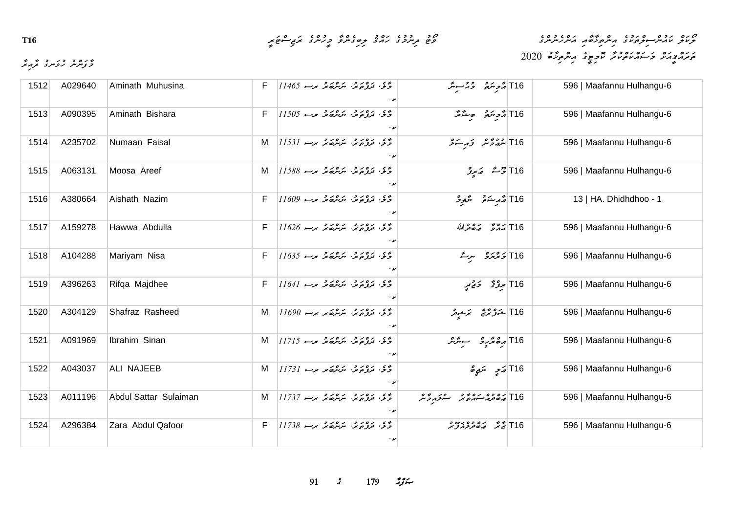*sCw7q7s5w7m< o<n9nOoAw7o< sCq;mAwBoEw7q<m; wBm;vB 2020<sup>, م</sup>وسوق المسجد التحقيق وسرمونية والم*جمع المسجد المسجد المسجد المسجد المسجد المسجد المسجد المسجد المسجد ال

### *n8o<n@ qC7m:q5 q7w7m?n>*

| 1512 | A029640 | Aminath Muhusina      | F | گ ئىگ ئىرگە ئىگە ئىگە ئىگە 11465                 | T16 أَمُّ مِ سَمَّةٌ فَمَّ مِسْبَسٌ          | 596   Maafannu Hulhangu-6 |
|------|---------|-----------------------|---|--------------------------------------------------|----------------------------------------------|---------------------------|
| 1513 | A090395 | Aminath Bishara       | F | 33، تروڅ پر پرېږې پر 11505                       | T16 أَمَّ مِسَمَّد صِشَمَّد                  | 596   Maafannu Hulhangu-6 |
| 1514 | A235702 | Numaan Faisal         | M | 33) مَرْوْمَ بْرْ. سَرْسْهَ بْرْ سِرْ 11531]     | T16 يتمة <i>5 ق. بن</i> و                    | 596   Maafannu Hulhangu-6 |
| 1515 | A063131 | Moosa Areef           | M | 33، تروم تى. ترىش تىر سى 11588                   | T16 فخريج م <i>حبوب</i> و                    | 596   Maafannu Hulhangu-6 |
| 1516 | A380664 | Aishath Nazim         | F | 33، ئۇق مۇسى ئىس 11609                           | T16 مەم شىم ئىسى ئىشىمى ئىشىمى ئىس           | 13   HA. Dhidhdhoo - 1    |
| 1517 | A159278 | Hawwa Abdulla         | F | 33، ئۇق ئۇس ئىر ئەق ئەسە 11626                   | T16 كَدْرَةً كَمْ صَوْمِّرْاللَّه            | 596   Maafannu Hulhangu-6 |
| 1518 | A104288 | Mariyam Nisa          | F | 33، ئۇق ئۇس ئىر ئىش ئەسىر 11635                  | T16 كەبە <i>دۇ بىر</i> ىگە                   | 596   Maafannu Hulhangu-6 |
| 1519 | A396263 | Rifqa Majdhee         | F | 33، مَرْوْمَ بْرْ. سَرْسْھَ بْرْ سِيْسِدِ 11641] | T16 مِرْدٌ تَحَقِّمِهِ                       | 596   Maafannu Hulhangu-6 |
| 1520 | A304129 | Shafraz Rasheed       | M | 33، ئۇۋەتمە. ئىرىگەنجە بىر سا11690               | T16 شۇرگەمج كەن بۇر                          | 596   Maafannu Hulhangu-6 |
| 1521 | A091969 | Ibrahim Sinan         | M | 33) مَرْوْمَ بْمْ. سَرْسْھَ بْمْ سِيْسِعْ 11715  | T16 <sub>مر</sub> ھ ب <i>ڑ بڑ دی سبر بھر</i> | 596   Maafannu Hulhangu-6 |
| 1522 | A043037 | <b>ALI NAJEEB</b>     | M | 33، تروم تر. ترش) پر دا                          | T16 کړ <i>و سکي</i> ږ <i>ی</i>               | 596   Maafannu Hulhangu-6 |
| 1523 | A011196 | Abdul Sattar Sulaiman | M | 33، ئۇقۇمۇ. ئىر ئەھم بىر 11737]                  | T16 رە دە سوھ ئىس ئىس ئورۇش                  | 596   Maafannu Hulhangu-6 |
| 1524 | A296384 | Zara Abdul Qafoor     | F | 33، تروم تر. س س 2013.                           | T16 تج تمر مەھەر <i>دە دى</i> ر              | 596   Maafannu Hulhangu-6 |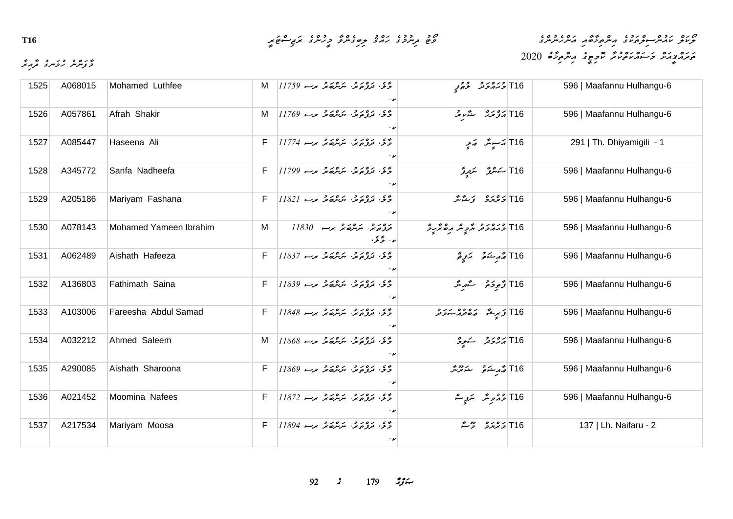*sCw7q7s5w7m< o<n9nOoAw7o< sCq;mAwBoEw7q<m; wBm;vB 2020<sup>, م</sup>وسوق المسجد التحقيق وسرمونية والم*جمع المسجد المسجد المسجد المسجد المسجد المسجد المسجد المسجد المسجد ال

### *n8o<n@ qC7m:q5 q7w7m?n>*

| 1525 | A068015 | Mohamed Luthfee        | м            | 33، نروم تمر سكھة تمرين 11759                                                | T16 <i>\$نەۋەتى قەۋى</i>                        | 596   Maafannu Hulhangu-6 |
|------|---------|------------------------|--------------|------------------------------------------------------------------------------|-------------------------------------------------|---------------------------|
| 1526 | A057861 | Afrah Shakir           | M            | 35، تروم تر. ترشق تر بر 11769.                                               | T16 <i>ټروننډ</i> څمه ټر                        | 596   Maafannu Hulhangu-6 |
| 1527 | A085447 | Haseena Ali            | F            | 32، تروم تر. سرچونکر برجہ 11774                                              | T16  پرسیڈ کی پ <sub>ے</sub>                    | 291   Th. Dhiyamigili - 1 |
| 1528 | A345772 | Sanfa Nadheefa         | $\mathsf{F}$ | 35، تروم تمر سرچونجر برسہ 11799                                              | T16 سَتَمَدَّ سَمِيرٌَ                          | 596   Maafannu Hulhangu-6 |
| 1529 | A205186 | Mariyam Fashana        | $\mathsf{F}$ | 33، ئۇۋىر ئىر ئىر 11821                                                      | T16 كەيرى كەشىر                                 | 596   Maafannu Hulhangu-6 |
| 1530 | A078143 | Mohamed Yameen Ibrahim | M            | $11830$ مَرْتَوْهَمْ. مَرْسْهَةَ مِّرْ مِرْسَعَةَ مِنْ الْقَالَ<br>ىد بەلتى، | T16 ديرورد گر <sub>چ</sub> ش <sub>م</sub> ھنگرد | 596   Maafannu Hulhangu-6 |
| 1531 | A062489 | Aishath Hafeeza        | $\mathsf{F}$ | 33، تروم تر. س سگھاتھ برے 11837                                              | T16 م <i>ۇم شۇھ برو</i> گە                      | 596   Maafannu Hulhangu-6 |
| 1532 | A136803 | Fathimath Saina        | F            | 35، تروم تمر شرکت تر 11839                                                   | T16 <i>وُّجِ دَمْ شَهِ مُدَّ</i>                | 596   Maafannu Hulhangu-6 |
| 1533 | A103006 | Fareesha Abdul Samad   | $\mathsf{F}$ | 33، تروڅ تر سرسي تر سه 11848                                                 | T16 كۆمىيەتتى كەنھە <i>تلەر قىر</i>             | 596   Maafannu Hulhangu-6 |
| 1534 | A032212 | Ahmed Saleem           | M            | 33، تروڅ تر سرسي ته 11868                                                    | T16 كەنزى كەربى                                 | 596   Maafannu Hulhangu-6 |
| 1535 | A290085 | Aishath Sharoona       | $\mathsf{F}$ | 35، تروْمَ تْمْ. سَرْسْھَ تْمْ يْمْسْ 11869.                                 |                                                 | 596   Maafannu Hulhangu-6 |
| 1536 | A021452 | Moomina Nafees         | F            | 35، تروم تمر، سَرْسْھَ تِمْ سِرِ 11872                                       | T16   ج <sup>و</sup> جر بٹر س <i>ربائ</i> ے     | 596   Maafannu Hulhangu-6 |
| 1537 | A217534 | Mariyam Moosa          | F            | 35، تروم تم. ترشھ تم سے 11894                                                | $23$ $222$ $716$                                | 137   Lh. Naifaru - 2     |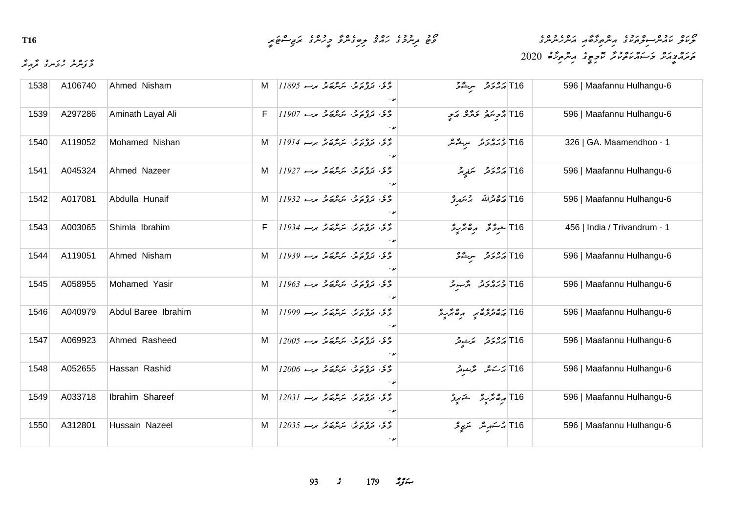*sCw7q7s5w7m< o<n9nOoAw7o< sCq;mAwBoEw7q<m; wBm;vB 2020<sup>, م</sup>وسوق المسجد التحقيق وسرمونية والم*جمع المسجد المسجد المسجد المسجد المسجد المسجد المسجد المسجد المسجد ال

| 1538 | A106740 | Ahmed Nisham        | м            | رَّتَوْ، تَرَوْهِ بْرُ. سَرْسْهُ بْرُ بِرْ— 11895 | T16   كەردى ئەرسىگە تە                               | 596   Maafannu Hulhangu-6    |
|------|---------|---------------------|--------------|---------------------------------------------------|------------------------------------------------------|------------------------------|
| 1539 | A297286 | Aminath Layal Ali   | F            | 33، تروم تمر شرش تمر سه 11907                     | T16] <i>مَّ وِسَمَّةَ ۖ وَمَّرْتَ</i> حَ صَعِي       | 596   Maafannu Hulhangu-6    |
| 1540 | A119052 | Mohamed Nishan      | M            | 33، مَرْوَى مِنْ سَرْسَى مِنْ سِنْ 11914          | T16 <i>وُبَرُوْدُوْ</i> سَرْشَرْ سَرْ                | 326   GA. Maamendhoo - 1     |
| 1541 | A045324 | Ahmed Nazeer        | M            | 33، تروم 3. سَرْجَمَة برِ 11927 ]                 | T16 كەنزىق سىن <sub>ج</sub> ىتر                      | 596   Maafannu Hulhangu-6    |
| 1542 | A017081 | Abdulla Hunaif      | M            | 33) مَرْوْمَ بْرْ. سَرْسْرْھَ بْرْ بِهِ 11932]    | T16 كَرْهُ مِّرْاللَّهُ مَرْسَمْ مَرْ                | 596   Maafannu Hulhangu-6    |
| 1543 | A003065 | Shimla Ibrahim      | $\mathsf{F}$ | 33، مَرْوْمَ مَرْ. سَرْسْھَ مِرْ سِيْلَ 11934     | T16 حو <i>3 \$مۇمۇر</i> 16                           | 456   India / Trivandrum - 1 |
| 1544 | A119051 | Ahmed Nisham        | M            | 33، مَرْقِ جَمْهِ. سَرْسْھَ بْمْ سِرْ 11939.      | T16 كەثرى كىر س <sub>ى</sub> شۇ ئى                   | 596   Maafannu Hulhangu-6    |
| 1545 | A058955 | Mohamed Yasir       | M            | 33، ئۇق ئۇس ئىر ئىش ئەسىر 11963                   | T16 <i>ۇنەۋەقە</i> م <i>ۇسى</i> تە                   | 596   Maafannu Hulhangu-6    |
| 1546 | A040979 | Abdul Baree Ibrahim | M            | 33، تروم تر شرکته تر 11999                        | T16 בەمر <i>وھىي م</i> ەمگرى <sub>م</sub> ى          | 596   Maafannu Hulhangu-6    |
| 1547 | A069923 | Ahmed Rasheed       | M            | 33، مَرْوْحَةْ. سَرْسْھَةْ بِرْبِ 12005           | T16 كەثرى كىم تىرىش <sub>و</sub> مۇ                  | 596   Maafannu Hulhangu-6    |
| 1548 | A052655 | Hassan Rashid       | M            | 33، ترۇم تىر. تىرىش تىر سىر 12006                 | T16   پرسکس گرخوش                                    | 596   Maafannu Hulhangu-6    |
| 1549 | A033718 | Ibrahim Shareef     | M            | 33، مَرْوْمَ مْرْ سَرْسْھَ بْمْ سِرْ 12031        | T16 <sub>م</sub> ەمگرى <sub>د</sub> ۇ شىمور <i>ۇ</i> | 596   Maafannu Hulhangu-6    |
| 1550 | A312801 | Hussain Nazeel      | M            | 33، تروم تمر. ترشق تمر سے 12035                   | T16 پڑے پر نئر سکیے تحریک                            | 596   Maafannu Hulhangu-6    |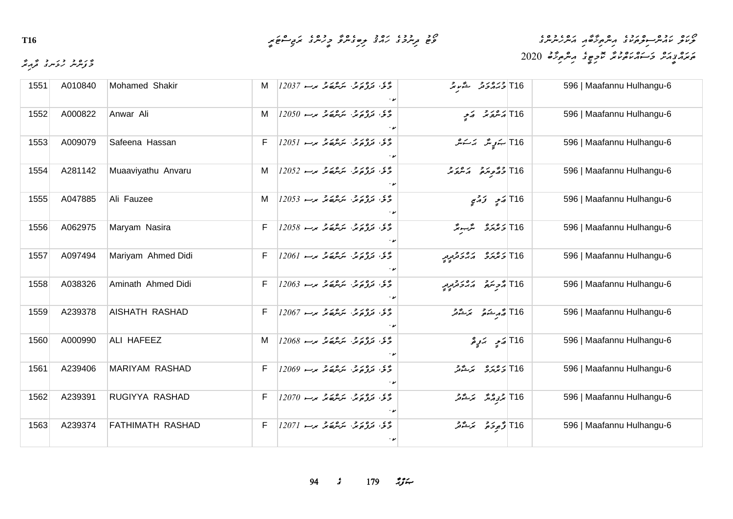*sCw7q7s5w7m< o<n9nOoAw7o< sCq;mAwBoEw7q<m; wBm;vB 2020<sup>, م</sup>وسوق المسجد التحقيق وسرمونية والم*جمع المسجد المسجد المسجد المسجد المسجد المسجد المسجد المسجد المسجد ال

| 1551 | A010840 | Mohamed Shakir          | м            | ۇق، ئوۋەتمە، ئىرىگەنمە ئەسە 12037             | T16 <i>ۋېزونى ئىگى</i> رى <i>گە</i>              | 596   Maafannu Hulhangu-6 |
|------|---------|-------------------------|--------------|-----------------------------------------------|--------------------------------------------------|---------------------------|
| 1552 | A000822 | Anwar Ali               | M            | 33، ئۇۋەتمە. ئىرتىھىم بىر سى 12050            | T16 كەشقەتمە كەم <u>و</u>                        | 596   Maafannu Hulhangu-6 |
| 1553 | A009079 | Safeena Hassan          | F            | 33، ئۇقۇمۇ. ئىرتىھىم بىر 12051                | T16   س <i>توبنڈ</i> کے سکنگر                    | 596   Maafannu Hulhangu-6 |
| 1554 | A281142 | Muaaviyathu Anvaru      | M            | 33، ئۇقەتمۇ. ئىرتىھەتمە بىر 12052             | T16 <i>جُهُّعِ هُرَّهُ</i> مَسْعَدَ مَ           | 596   Maafannu Hulhangu-6 |
| 1555 | A047885 | Ali Fauzee              | M            | 33، مَرْوْءَ پْرْ. سَرْسْھَ پْرْ سِرْ - 12053 | T16 کړ <i>ي وک</i> ړ <sub>ي</sub>                | 596   Maafannu Hulhangu-6 |
| 1556 | A062975 | Maryam Nasira           | $\mathsf F$  | 33، تروڅ تر سرسي تر 12058                     | T16  <i>ئەنگەنى شىبەن</i> گە                     | 596   Maafannu Hulhangu-6 |
| 1557 | A097494 | Mariyam Ahmed Didi      | $\mathsf{F}$ | 33، ئۇۋەتمە. ئىرتىھەتمە بىر 12061             | T16   <i>وَجُهْدَوْ    دَرْدُوَ</i> تْرِيْرِيْرِ | 596   Maafannu Hulhangu-6 |
| 1558 | A038326 | Aminath Ahmed Didi      | $\mathsf F$  | 33، مَرْوْحَةْ. سَرْسْھَةْ بِرَبْ 12063       | T16 مُّ جِسَمَة مَ مَدْدَ مُّرْمِرِ مِرِ         | 596   Maafannu Hulhangu-6 |
| 1559 | A239378 | <b>AISHATH RASHAD</b>   | F            | 33، ئۇۋەتمە. ئىرتىھ تەرىپە 12067              | T16 <i>مُذہب مُؤَمَّدُ مُؤَمَّدُ</i>             | 596   Maafannu Hulhangu-6 |
| 1560 | A000990 | ALI HAFEEZ              | M            | 33، تروڅ تر سرسي تر 12068                     | T16 کړ <i>و برو</i> نځ                           | 596   Maafannu Hulhangu-6 |
| 1561 | A239406 | <b>MARIYAM RASHAD</b>   | $\mathsf{F}$ | 33، مَرْوْحَةْ. سَرْسْھَةْ بِرَبْ 12069       | T16 كەبەر كەرگەتر                                | 596   Maafannu Hulhangu-6 |
| 1562 | A239391 | RUGIYYA RASHAD          | $\mathsf{F}$ | 33، ئۇقەتمۇ. ئىرتىھىم بىر سى 12070            | T16 برت <sub>و</sub> م پر برخ <sup>و</sup> تر    | 596   Maafannu Hulhangu-6 |
| 1563 | A239374 | <b>FATHIMATH RASHAD</b> | $\mathsf F$  | 33، مَرْوْحَةْ. سَرْسْھَةْ بِرَبْ 12071       | T16 تَ <i>وْجِ</i> وَمَ تَرَسَّمَتْرَ            | 596   Maafannu Hulhangu-6 |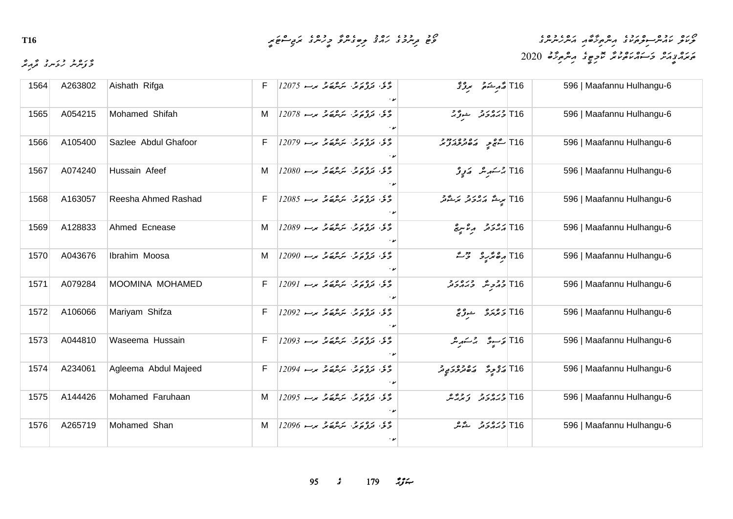*sCw7q7s5w7m< o<n9nOoAw7o< sCq;mAwBoEw7q<m; wBm;vB 2020*<br>*په پوهر وسوډيرونو لومو د موجو د مرمونه* 2020

596 | Maafannu Hulhangu-6

|      | تحرید مرکز مرد تحریر تحریر |                      |                                                                                                |                                      |
|------|----------------------------|----------------------|------------------------------------------------------------------------------------------------|--------------------------------------|
| 1564 | A263802                    | Aishath Rifga        | 33، تروم تر ترش) F  12075<br>ى .                                                               | T16 صَّەپ مَشَعْرِ مَعَرَفَزَةَ مَعَ |
| 1565 | A054215                    | Mohamed Shifah       | $\mathsf{M}$   $12078$ مَرْمَوْمَ مَرْسُوهُ مَمْرِ مِرْسُو $\mathcal{S}$   $\mathcal{S}$<br>٠. | T16 <i>ڈیزوڈو خوڈ</i> ٹر             |
| 1566 | A105400                    | Sazlee Abdul Ghafoor | لَّ قَبْلُ مَرْتَزِيْرِ مِنْ سَرْجَعَةٍ مِنْ 12079 [                                           | T16 گەنج مەھەر <i>ى بەرە بى</i> ر    |

| 1565 | A054215 | Mohamed Shifah       | M            | 33، تروڅ تر سرچي پر سه 12078                | T16  <i>32,352 خەۋ</i> 2                      | 596   Maafannu Hulhangu-6 |
|------|---------|----------------------|--------------|---------------------------------------------|-----------------------------------------------|---------------------------|
| 1566 | A105400 | Sazlee Abdul Ghafoor | F            | 33، تروڅ چې سرچي تر 12079                   | T16 ڪيمبر مقدم <i>دو</i> ر                    | 596   Maafannu Hulhangu-6 |
| 1567 | A074240 | Hussain Afeef        | M            | 33، تروڅ تر سرسي تر سه 12080                | T16 پڑے <i>پہلی چی و</i> ی                    | 596   Maafannu Hulhangu-6 |
| 1568 | A163057 | Reesha Ahmed Rashad  | F            | 33، تروڅ تر سرسي تر 12085                   | T16 برىن <i>گە كەندى كى ئى</i> شكىر           | 596   Maafannu Hulhangu-6 |
| 1569 | A128833 | Ahmed Ecnease        | M            | 33، تروڭ ترىش ئىرسى 12089                   | T16   كەبىرى كەر يەر يېزىقى<br>مەنبە          | 596   Maafannu Hulhangu-6 |
| 1570 | A043676 | Ibrahim Moosa        | M            | 33، ئۇقۇمۇ. ئىرتىق ئەسىر 12090              | T16 <sub>مو</sub> ھ عمرے صحیحہ                | 596   Maafannu Hulhangu-6 |
| 1571 | A079284 | MOOMINA MOHAMED      | F            | 35، تروْمَ تْمْ. سَرْسْھَ تْمْ يْمْ 12091   | T16   <i>وَمُحِرِّمُ وَبَهُ</i> حَمَّد        | 596   Maafannu Hulhangu-6 |
| 1572 | A106066 | Mariyam Shifza       | F            | 33، تروم تر. سَرْسْھَ تَرْ 12092            | T16 <i>5 يُرْدَدُ</i> شَ <i>وَرْجُ</i>        | 596   Maafannu Hulhangu-6 |
| 1573 | A044810 | Waseema Hussain      | F            | 35، تروْمَ تْمْ. سَرْسْھَ تْمْ يَرْبِ 12093 | T16   ق سوبح = جر شهر بھر                     | 596   Maafannu Hulhangu-6 |
| 1574 | A234061 | Agleema Abdul Majeed | $\mathsf{F}$ | 33، تروم تى. تىرىھ تىر يىسى 12094           | T16 كەۋى <sub>ر</sub> ۇ كەھەرد <i>ۇ ئا</i> ير | 596   Maafannu Hulhangu-6 |
| 1575 | A144426 | Mohamed Faruhaan     | M            | 33، تروم تمر سر 12095 برسه 12095            | T16 <i>ۋېرو دو زېرچم</i> ر                    | 596   Maafannu Hulhangu-6 |
| 1576 | A265719 | Mohamed Shan         | M            | 33، تروم تى. تىرىش تىر سە 12096             | T16 <i>\$نەۋەتى</i> ئىگەنتى                   | 596   Maafannu Hulhangu-6 |

*95 s 179 <i>n*<sub>3</sub> *i*</sup>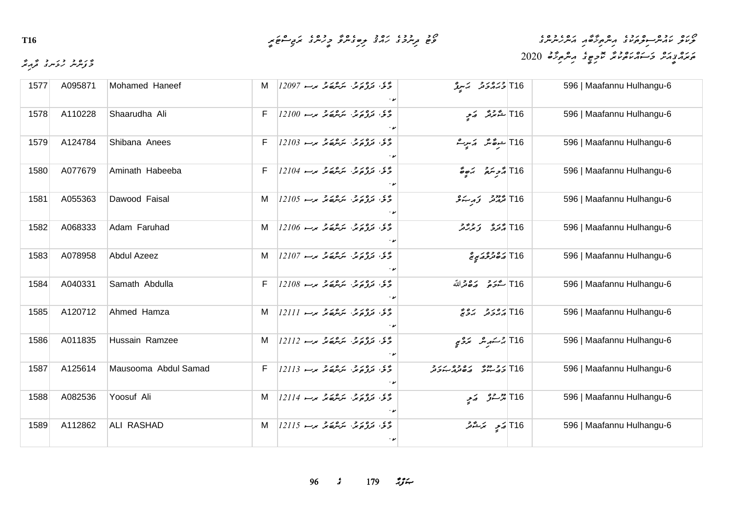*sCw7q7s5w7m< o<n9nOoAw7o< sCq;mAwBoEw7q<m; wBm;vB 2020<sup>, م</sup>وسوق المسجد التحقيق وسرمونية والم*جمع المسجد المسجد المسجد المسجد المسجد المسجد المسجد المسجد المسجد ال

| 1577 | A095871 | Mohamed Haneef       | м | ۇق، ئوۋەتمە، ئىرتىھەتمە بىر سە 12097          | T16  <i>3223\$ بَرْسِ</i> رْ  | 596   Maafannu Hulhangu-6 |
|------|---------|----------------------|---|-----------------------------------------------|-------------------------------|---------------------------|
| 1578 | A110228 | Shaarudha Ali        | F | 35، تروم تمر سرچونجر برجا 12100               | T16 گەترى <i>گە بى</i> ر      | 596   Maafannu Hulhangu-6 |
| 1579 | A124784 | Shibana Anees        | F | 35، تروم تمر، سَرْسْھ تمر سے 12103            | T16 شو <i>ھَنڈ مَ</i> سِرُ م  | 596   Maafannu Hulhangu-6 |
| 1580 | A077679 | Aminath Habeeba      | F | 33، تروم تم. ترشھ تم سے 12104                 | T16 مُجِسَعَ بَرَصِرَةً       | 596   Maafannu Hulhangu-6 |
| 1581 | A055363 | Dawood Faisal        | M | 33، مَرْوْءَ پْرْ. سَرْسْھَ پْرْ سِيْرِ 12105 | T16 ترپرتو تەرىبەتى           | 596   Maafannu Hulhangu-6 |
| 1582 | A068333 | Adam Faruhad         | M | 35، ئۇق مۇسى ئىشق ئىر سىر 12106               | T16 پژن <i>ره ذيردگ</i> ر     | 596   Maafannu Hulhangu-6 |
| 1583 | A078958 | <b>Abdul Azeez</b>   | M | 35، ئۇق مۇسى ئىشق ئىر سىز 12107               | T16 كەھ <sup>ىرى</sup> دىم ي  | 596   Maafannu Hulhangu-6 |
| 1584 | A040331 | Samath Abdulla       | F | 33، ئۇق مۇسى ئىش ئىسى 12108                   | T16 جُوَمَ بَرَصْوَاللَّه     | 596   Maafannu Hulhangu-6 |
| 1585 | A120712 | Ahmed Hamza          | M | 33، ئۇۋەتمە. ئىر ھەتمە ئەسە 12111             | T16 كەنزىق ئەۋىج              | 596   Maafannu Hulhangu-6 |
| 1586 | A011835 | Hussain Ramzee       | M | 33، ئۇۋەتمە. ئىرتىھەتمە ئەسە 12112            | T16 برڪبريڪ ترو <sub>مي</sub> | 596   Maafannu Hulhangu-6 |
| 1587 | A125614 | Mausooma Abdul Samad | F | 33، ئۇۋەتمە. ئىرتىرى ئەسىر 12113              | T16 تەھىبىر <i>ى مەدەب دو</i> | 596   Maafannu Hulhangu-6 |
| 1588 | A082536 | Yoosuf Ali           | M | 35، تروم تمر سرچونجر برج 12114                | T16 پر قسمبر کرمبر            | 596   Maafannu Hulhangu-6 |
| 1589 | A112862 | <b>ALI RASHAD</b>    | M | 33، تروم تر. سَرْسْھَ تَرْ 12115              | T16 كەمچە    ئىرىشىقر         | 596   Maafannu Hulhangu-6 |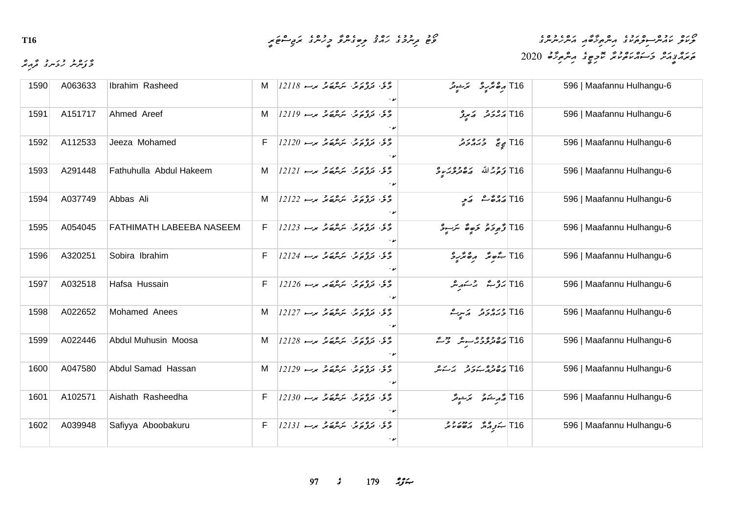*sCw7q7s5w7m< o<n9nOoAw7o< sCq;mAwBoEw7q<m; wBm;vB 2020<sup>, م</sup>وسر حسوم موجود بعروفة وسرمونية (202*0

596 | Maafannu Hulhangu-6

596 | Maafannu Hulhangu-6

| 1590 | A063633 | Ibrahim Rasheed                 | M | 35، ئۇۋەتمە. ئىرتىھەتمە بىر سە 12118.  | T16 <i>۾ ڇُٽي</i> و - مَرَش <sub>وِ</sub> مُر                                                                  | 596   Maafannu Hulhangu-6 |
|------|---------|---------------------------------|---|----------------------------------------|----------------------------------------------------------------------------------------------------------------|---------------------------|
| 1591 | A151717 | Ahmed Areef                     | M | 35، تروم تمر سرچونجر برجو 12119        | T16 كەنزى قىرىمى قىلىنى ئىستان ئىستان ئىستان ئىستان ئىستان ئىستان ئىستان ئىستان ئىستان ئىستان ئىستان ئىستان ئى | 596   Maafannu Hulhangu-6 |
| 1592 | A112533 | Jeeza Mohamed                   | F | 33، تروم تمر شرش تمر سے 12120          | T16 ي <i>ې تخ څخه څو</i>                                                                                       | 596   Maafannu Hulhangu-6 |
| 1593 | A291448 | Fathuhulla Abdul Hakeem         | M | 35، ئۇۋەتمە. ئىرتىھىم بىر يە 12121     | T16 كَرْحْرْ اللّه مُتَصْعَرْ مُرْدِرَ بِهِ 5                                                                  | 596   Maafannu Hulhangu-6 |
| 1594 | A037749 | Abbas Ali                       | M | 35، تروم تر. ترترچ تر برجا 12122]      | T16 مەمۇشەھ بە                                                                                                 | 596   Maafannu Hulhangu-6 |
| 1595 | A054045 | <b>FATHIMATH LABEEBA NASEEM</b> |   | 35، تروم تمر شریع تمرین 12123          | T16   <i>ژ<sub>ّج</sub>وَءُ وَچِ</i> مَرَسِو <i>دُ</i>                                                         | 596   Maafannu Hulhangu-6 |
| 1596 | A320251 | Sobira Ibrahim                  | F | 35، تروم تر. سَرْسْھَ تَرْ سِرِ 12124  | T16 بەھ <i>قى مەمۇر</i> ۇ                                                                                      | 596   Maafannu Hulhangu-6 |
| 1597 | A032518 | Hafsa Hussain                   | F | 35، تروم تمر شرش پر سه 12126           | T16  يَرُوْسُهُ - يُرْسَهر مَرْ                                                                                | 596   Maafannu Hulhangu-6 |
| 1598 | A022652 | Mohamed Anees                   | M | 33، تروم تر. سَرْسْھَ تَرْ سِرِ 12127] | T16 <i>\$22.3 \$ مرت</i>                                                                                       | 596   Maafannu Hulhangu-6 |
| 1599 | A022446 | Abdul Muhusin Moosa             | M | 33، تروم تر. ترشھ تر سے 12128          | T16 رەم <i>دو د</i> ر سەش ت <sup>و</sup> گ                                                                     | 596   Maafannu Hulhangu-6 |
| 1600 | A047580 | Abdul Samad Hassan              | M | 35، تروم تر. تركي ترب 12129]           | T16   ئەھە <i>تەر جەخەر بى</i> ئەسكەش                                                                          | 596   Maafannu Hulhangu-6 |

#### *n8o<n@ qC7m:q5 q7w7m?n>*

*97 s* 179 *i*<sub>s</sub> $\approx$ 

*.k*

*.k*

*WdIxwr utwxiaWA* T16

*urukwbUbwa WycaifwB* T16

1601 A102571 Aishath Rasheedha F *12130 sr urwbcnwn .urwtcfwd ,elWm* 

1602 A039948 Safiyya Aboobakuru F *12131 sr urwbcnwn .urwtcfwd ,elWm*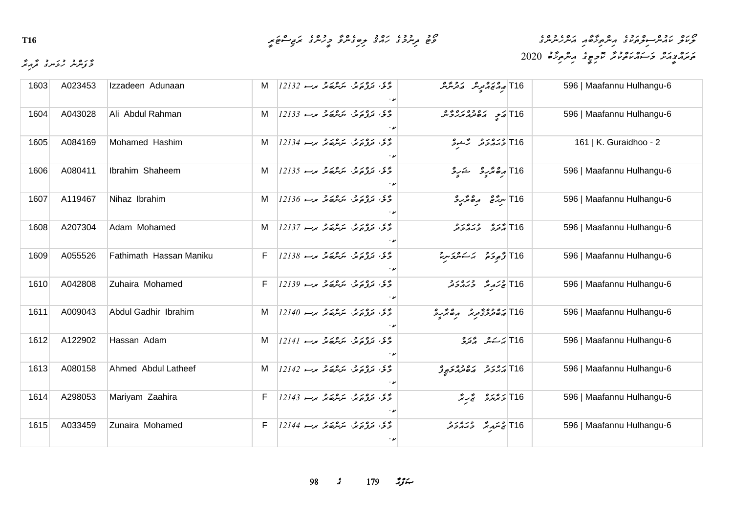*sCw7q7s5w7m< o<n9nOoAw7o< sCq;mAwBoEw7q<m; wBm;vB 2020<sup>, م</sup>وسوق المسجد التحقيق وسرمونية والم*جمع المسجد المسجد المسجد المسجد المسجد المسجد المسجد المسجد المسجد ال

### *n8o<n@ qC7m:q5 q7w7m?n>*

| 1603 | A023453 | Izzadeen Adunaan        |              | 33، تروڅ تر شريعي پر سر 12132                     | T16 <i>مِیہُ کاویربنگ مَیٹربنگ</i>         | 596   Maafannu Hulhangu-6 |
|------|---------|-------------------------|--------------|---------------------------------------------------|--------------------------------------------|---------------------------|
| 1604 | A043028 | Ali Abdul Rahman        | M            | 35، تروم تمر شریع تمرین 12133                     | T16 كىرى ئەھەرمەم ئىرگە                    | 596   Maafannu Hulhangu-6 |
| 1605 | A084169 | Mohamed Hashim          | M            | 35، تروم تر. سَرْسْھَ تَرْ سِرِ 12134             | T16  <i>3،25 \$رح</i> و                    | 161   K. Guraidhoo - 2    |
| 1606 | A080411 | Ibrahim Shaheem         | M            | 35، تروم تمر، سَرْسْھَ تَمْ سِرِ 12135            | T16 م <i>ِی چُرِ ڈِ ۔ جَرِ ڈِ</i>          | 596   Maafannu Hulhangu-6 |
| 1607 | A119467 | Nihaz Ibrahim           | M            | 33، ئۇۋىرى ئىر ھەتكە بىر سىر 12136                | T16 س <i>ردً بم مع مَّرد و</i>             | 596   Maafannu Hulhangu-6 |
| 1608 | A207304 | Adam Mohamed            | M            | وي مروري. مركز مركز مرسو 12137                    | T16 كەندە بەردەرد                          | 596   Maafannu Hulhangu-6 |
| 1609 | A055526 | Fathimath Hassan Maniku | $\mathsf{F}$ | 33، ئۇۋەتمە. ئىرتىھ تەرىپە 12138                  | T16 <i>ۋ<sub>ې</sub>ودۇ برسەمگە ئېرى</i> ز | 596   Maafannu Hulhangu-6 |
| 1610 | A042808 | Zuhaira Mohamed         | F            | 33) مَرْوَمَ بْنُ سَرْسُ كَمَدْ بِرِ سِيْنَ 12139 | T16 <i>بي ترم بگر تحكم ج</i> معر           | 596   Maafannu Hulhangu-6 |
| 1611 | A009043 | Abdul Gadhir Ibrahim    | M            | 33، ئۇق ئەڭ ئىر ھەتمە بىر سە 12140                | T16 كەھەر ئۇتوپتى مەھەر ب <sup>و</sup>     | 596   Maafannu Hulhangu-6 |
| 1612 | A122902 | Hassan Adam             | M            | 33، ئۇۋىر ئىر ئەھەتمە بىر 12141                   | T16   پرسٹر گھرو                           | 596   Maafannu Hulhangu-6 |
| 1613 | A080158 | Ahmed Abdul Latheef     | M            | وَى مَرْوَمَ مِنْ سَرْسُ صَدْرٍ 12142             | T16 גُرُدَتَر مَصْرُمْعَ بِيَوْ            | 596   Maafannu Hulhangu-6 |
| 1614 | A298053 | Mariyam Zaahira         | F            | 35، تروم تر. سَرْسْھَ تَرْ سِرِ 12143]            | T16  <i>خەنگەنى</i> گەرگە                  | 596   Maafannu Hulhangu-6 |
| 1615 | A033459 | Zunaira Mohamed         | $\mathsf{F}$ | 35، تروپر ترشق پر 12144                           | T16 <i>بی سَمدِ برَّ می دی د</i>           | 596   Maafannu Hulhangu-6 |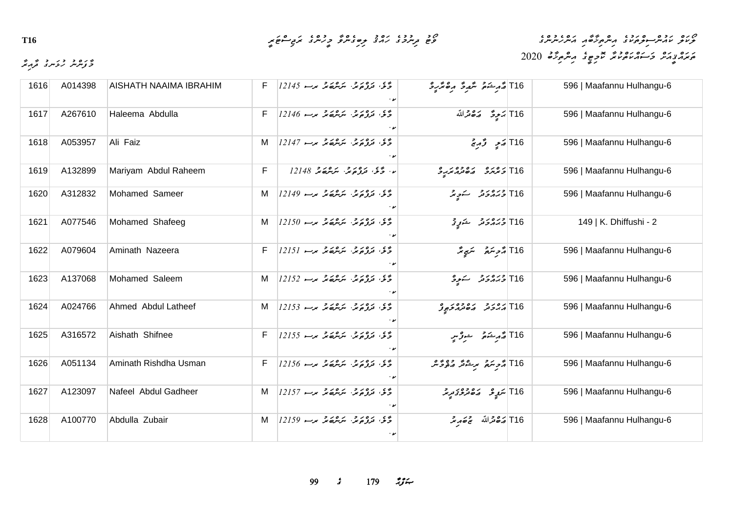*sCw7q7s5w7m< o<n9nOoAw7o< sCq;mAwBoEw7q<m; wBm;vB 2020<sup>, م</sup>وسوق المسجد التحقيق وسرمونية والم*جمع المسجد المسجد المسجد المسجد المسجد المسجد المسجد المسجد المسجد ال

| 1616 | A014398 | AISHATH NAAIMA IBRAHIM | F           | 33، تروه تمر شرش تمریب 12145           | T16   مَّەبەشەھ شەھ ئەھەمَدىرى         | 596   Maafannu Hulhangu-6 |
|------|---------|------------------------|-------------|----------------------------------------|----------------------------------------|---------------------------|
| 1617 | A267610 | Haleema Abdulla        | F           | 33، مَرْوْحَة. سَرْسْھَة مِرْ - 12146  | T16 كرمود كەنھەتراللە                  | 596   Maafannu Hulhangu-6 |
| 1618 | A053957 | Ali Faiz               | м           | 33، تروم تر. سَرْسْھَ تَرْ سِرِ 12147  | T16 كەير    ۋە بىج                     | 596   Maafannu Hulhangu-6 |
| 1619 | A132899 | Mariyam Abdul Raheem   | F           | ىر ئۇق برەپرى. بىر ھەتر 12148          | T16 كريمبرد مقدم يمبر                  | 596   Maafannu Hulhangu-6 |
| 1620 | A312832 | Mohamed Sameer         | M           | 35، تروپر سرچین پرے 12149              | T16  <i>32,325 سَنَوِيرٌ</i>           | 596   Maafannu Hulhangu-6 |
| 1621 | A077546 | Mohamed Shafeeg        | м           | 33، ئۇۋەتمە. ئىرتىھ تەرىپە 12150       | T16  <i>3پر\$وڈ خور</i> تح             | 149   K. Dhiffushi - 2    |
| 1622 | A079604 | Aminath Nazeera        | F           | 33، مَرْوْحَةْ سَرْحَصَةْ مِرْ - 12151 | T16   مَرْحِبَتَهُمْ مَسَبِيقَهُ       | 596   Maafannu Hulhangu-6 |
| 1623 | A137068 | Mohamed Saleem         | M           | 32، ئۇۋەتمە، ئىرتىرى ئەرسە 12152       | T16  <i>3223 سَنَج</i> و               | 596   Maafannu Hulhangu-6 |
| 1624 | A024766 | Ahmed Abdul Latheef    | м           | 35، تروم تر. ترشھ تر سے 12153          | T16 كەبرو بەھ <i>قرە خېرى</i>          | 596   Maafannu Hulhangu-6 |
| 1625 | A316572 | Aishath Shifnee        | $\mathsf F$ | 33، تروم تمر شریع تمرین 12155          | T16 <i>۾ُبرِڪَمُ</i> مورُسِ            | 596   Maafannu Hulhangu-6 |
| 1626 | A051134 | Aminath Rishdha Usman  | F           | 33، ئۇۋەتمە. ئىرتىھ تەرىپە 12156       | T16 مُرجِسَة بِرِحْشَ مُفْرَحَس        | 596   Maafannu Hulhangu-6 |
| 1627 | A123097 | Nafeel Abdul Gadheer   | M           | 33، تروم تر. ترشھ تر سے 12157          |                                        | 596   Maafannu Hulhangu-6 |
| 1628 | A100770 | Abdulla Zubair         | M           | 35، تروم تر. ترشھ تر سے 12159          | T16 كَدَهْ قَدْاللّه جَ كَمَ مِرْ مَرْ | 596   Maafannu Hulhangu-6 |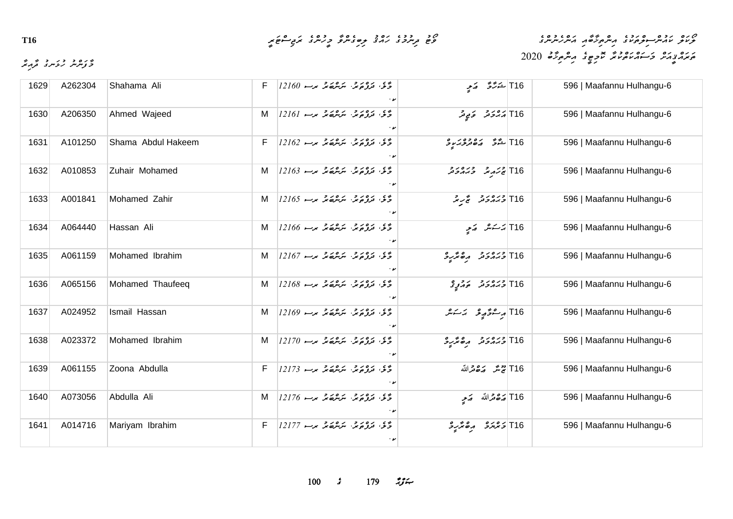*sCw7q7s5w7m< o<n9nOoAw7o< sCq;mAwBoEw7q<m; wBm;vB 2020<sup>, م</sup>وسر در مدد مدرج به مدرم مقرم قرار 2020*<br>موسر المستقرم المستقرم المستقرم المستقرم المستقرم المستقرم المستقرم المستقرم المستقرم المستقرم المستقرم المستقر

| 1629 | A262304 | Shahama Ali        | F | 33، تروڅ پر سرچي پر سه 12160                     | T16 شر <i>گ</i> ۇ كەم                        | 596   Maafannu Hulhangu-6 |
|------|---------|--------------------|---|--------------------------------------------------|----------------------------------------------|---------------------------|
| 1630 | A206350 | Ahmed Wajeed       | M | 33، ئۇۋۇتمە شەھەتمە برىسو 12161                  | T16 كەنزى قىم قىيە قىرىنى قىل                | 596   Maafannu Hulhangu-6 |
| 1631 | A101250 | Shama Abdul Hakeem | F | 33، ئۇۋكەتمى ئىر ھەتكە بىر سە 12162              | T16 يُدَّدُّ مُەمْرُوْرَىدِ و                | 596   Maafannu Hulhangu-6 |
| 1632 | A010853 | Zuhair Mohamed     | М | 33، ئۇۋەتمە. ئىرتىھەتمە بىر 12163                | T16 <i>بي ترم بلا مي 163 و</i> گر            | 596   Maafannu Hulhangu-6 |
| 1633 | A001841 | Mohamed Zahir      | М | 33، ئۇۋۇتمە. ئىر شۇھ بىر 12165                   | T16  <i>3223 جُرى</i> ر                      | 596   Maafannu Hulhangu-6 |
| 1634 | A064440 | Hassan Ali         | м | 3 قرق مَرْقِ مِرْسَ مِنْ مِنْ مِنْ 12166         | T16 پرستر ک <i>ی ب</i>                       | 596   Maafannu Hulhangu-6 |
| 1635 | A061159 | Mohamed Ibrahim    | M | 33، مَرْوْمَ بْرْ. سَرْسْھَ بْرْ سِيْسِدِ 12167] | T16 <i>جُهُدُونُو مِرْهُ بُرُو</i>           | 596   Maafannu Hulhangu-6 |
| 1636 | A065156 | Mohamed Thaufeeq   | М | 33، ئۇۋەتمە. ئىرتىھەتمە بىر سە 12168             | T16  <i>32,325 كەن</i> رى <i>ق</i>           | 596   Maafannu Hulhangu-6 |
| 1637 | A024952 | Ismail Hassan      | M | 33، مَرْقْ جَمْ. سَرْسْھَ جَمْ بِرِ 12169.       | T16 <sub>م</sub> رىئۇ <sub>م</sub> ۇ - ئەشىر | 596   Maafannu Hulhangu-6 |
| 1638 | A023372 | Mohamed Ibrahim    | М | 35، مَرْوْمَ بْمْ. سَرْسْھَ بْمْ سِيْءِ 12170    | T16 <i>3222 م</i> ەمگ <i>ر</i> و             | 596   Maafannu Hulhangu-6 |
| 1639 | A061155 | Zoona Abdulla      | F | 33، تروم 3. س مرحد برسه 12173                    | T16 يُحْتَمَّر صَ <b>صْحَ</b> رِاللَّه       | 596   Maafannu Hulhangu-6 |
| 1640 | A073056 | Abdulla Ali        | M | 33، مَرْقِ مَرْ، سَرْسْھَ مِنْ سِنْ 12176        | T16 كەھەراللە ك <i>ەم</i>                    | 596   Maafannu Hulhangu-6 |
| 1641 | A014716 | Mariyam Ibrahim    | F | 33، ئۇقۇمۇ. ئىر ئەھم بىر 12177                   | T16  <i>دَ بُرْمَرْ \$مِ مُرْبِ</i> رْ       | 596   Maafannu Hulhangu-6 |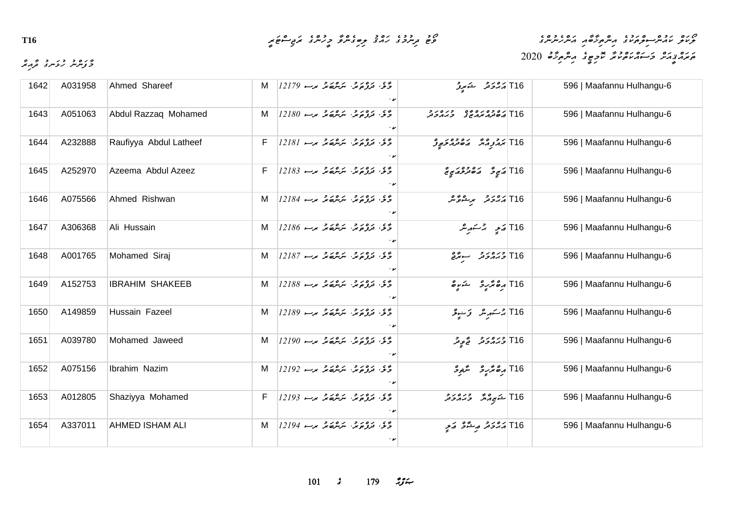*sCw7q7s5w7m< o<n9nOoAw7o< sCq;mAwBoEw7q<m; wBm;vB 2020<sup>, م</sup>وسر در مدد مدرج به مدرم مقرم قرار 2020*<br>موسر المستقرم المستقرم المستقرم المستقرم المستقرم المستقرم المستقرم المستقرم المستقرم المستقرم المستقرم المستقر

| 1642 | A031958 | Ahmed Shareef          | M | 33، نروم تى. ئىر شەكەتمە بىر ئىسرا 12179    | T16 كەنزى ئىر ئىكتىرى <i>ۋ</i>         | 596   Maafannu Hulhangu-6 |
|------|---------|------------------------|---|---------------------------------------------|----------------------------------------|---------------------------|
| 1643 | A051063 | Abdul Razzaq Mohamed   | M | 33، تروْمَ تْمْ. سَرْسْھَ تْمْ سِرْ - 12180 | T16   د <i>۱۹۶۵ مروچ و د ۱۹۶۶م</i>     | 596   Maafannu Hulhangu-6 |
| 1644 | A232888 | Raufiyya Abdul Latheef | F | 33، مَرْوْحَة. سَرْسْھة مِرْ سِدِ 12181]    | T16 <i>بزوروش م</i> ەمەم <i>بو</i> ر   | 596   Maafannu Hulhangu-6 |
| 1645 | A252970 | Azeema Abdul Azeez     | F | 33، تروم تر. ترشھ تر سے 12183               | T16 كەنب <i>وڭ مەھەردە كى</i> ي        | 596   Maafannu Hulhangu-6 |
| 1646 | A075566 | Ahmed Rishwan          | М | 33، تروم تر. ترشھ تر سے 12184               | T16 كەركە ئەر بىر ئەرگەنگە             | 596   Maafannu Hulhangu-6 |
| 1647 | A306368 | Ali Hussain            | M | 33، تروم تر شرش تر 12186                    | T16 کمبر پر ش <i>مبر ن</i> گر          | 596   Maafannu Hulhangu-6 |
| 1648 | A001765 | Mohamed Siraj          | M | 33، مَرْقِ مَرْ. سَرْسْھَ مِرْ - 12187      | T16 <i>\$222 سەنگى</i> ق               | 596   Maafannu Hulhangu-6 |
| 1649 | A152753 | <b>IBRAHIM SHAKEEB</b> | M | 33، تروم تر. ترش تر سه 12188                | T16 مەھمىر ئىس شەرىھ                   | 596   Maafannu Hulhangu-6 |
| 1650 | A149859 | Hussain Fazeel         | M | 33، ئۇۋەتمە. ئىرتىھەتمە بىر سە 12189.       | T16  يُرسَم <i>ونكر وَسِيوْ</i>        | 596   Maafannu Hulhangu-6 |
| 1651 | A039780 | Mohamed Jaweed         | M | 33، تروم تر. سَرْسْھَ تَرْ سِرِ 12190       | T16 <i>وُبَرُمْ وَمَرْ</i> مَحْ مِعْرُ | 596   Maafannu Hulhangu-6 |
| 1652 | A075156 | Ibrahim Nazim          | M | 33، تروم تر. س سره تر 12192                 | T16 <i>رەڭرى</i> ئىر                   | 596   Maafannu Hulhangu-6 |
| 1653 | A012805 | Shaziyya Mohamed       | F | 33، مَرْقِ مَرْ. سَرْسْھَ مِرْ - 12193.     | T16 ڪي پر پڻ حيد <i>ور</i>             | 596   Maafannu Hulhangu-6 |
| 1654 | A337011 | AHMED ISHAM ALI        | M | 35، تروم تر. سَرْسْھَتْر برے 12194          | T16 كەبۇبۇ مەشگە كەمچ                  | 596   Maafannu Hulhangu-6 |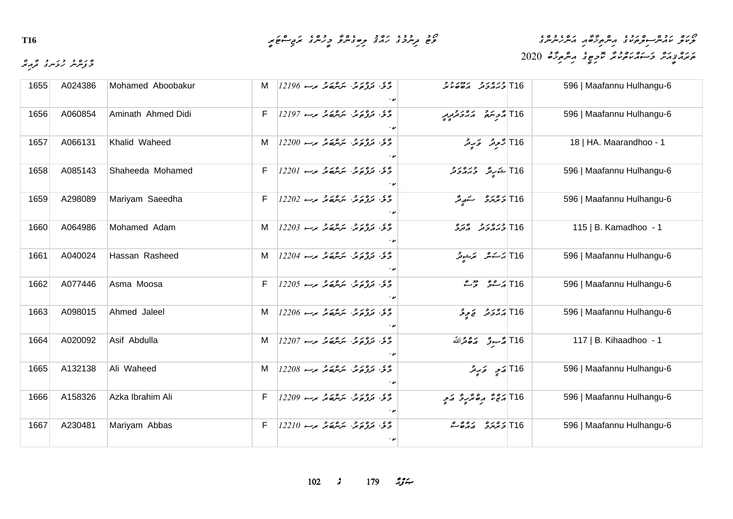*sCw7q7s5w7m< o<n9nOoAw7o< sCq;mAwBoEw7q<m; wBm;vB 2020<sup>, م</sup>وسوق المسجد التحقيق وسرمونية والم*جمع المسجد المسجد المسجد المسجد المسجد المسجد المسجد المسجد المسجد ال

| 1655 | A024386 | Mohamed Aboobakur  |   | وَّى مَرْوَةٍ مَّرْسَةٍ مَرْسُوْيَةٍ مِنْ 12196 M    | $72222$ , $7222$ , $716$                       | 596   Maafannu Hulhangu-6 |
|------|---------|--------------------|---|------------------------------------------------------|------------------------------------------------|---------------------------|
| 1656 | A060854 | Aminath Ahmed Didi | F | 33، ئۇۋە ئەر ئەھەتمە بىر سىز 12197                   | T16   مَّ حِ سَمَّة   مَدْ دَ مَّ مِرِيدِ بِهِ | 596   Maafannu Hulhangu-6 |
| 1657 | A066131 | Khalid Waheed      | M | 33، ئۇق مۇسى ئىشق ئىر سە 12200                       | T16 گروٹر ک <i>وہ</i> وٹر                      | 18   HA. Maarandhoo - 1   |
| 1658 | A085143 | Shaheeda Mohamed   | F | رَّتَوْ، مَرْوْءَ بْرُ. سَرْسْھَ بْرُ سِيْسِدِ 12201 | T16  شەرِق ق <i>ەتەۋەتى</i>                    | 596   Maafannu Hulhangu-6 |
| 1659 | A298089 | Mariyam Saeedha    | F | 33، تروڅ پر پرېږې پر سر 12202]                       | T16 كەبىر بىر سىر ئىر                          | 596   Maafannu Hulhangu-6 |
| 1660 | A064986 | Mohamed Adam       | M | 33، تروڅ تر سرش ته د 12203                           | T16 <i>ڈیز پڑھ پڑھ</i>                         | 115   B. Kamadhoo - 1     |
| 1661 | A040024 | Hassan Rasheed     | M | 33، مَرْقِ جَيْنَ سَرْسُ جَيْ بِرِ سِيدِ 12204 ]     | T16   پَرَسَسٌ کَرَحُومُرُ                     | 596   Maafannu Hulhangu-6 |
| 1662 | A077446 | Asma Moosa         | F | 33، مَرْقْ جَرْ. سَرْسْھَ جْر سِيد 12205]            | $23$ $52$ $\cancel{5}$ T16                     | 596   Maafannu Hulhangu-6 |
| 1663 | A098015 | Ahmed Jaleel       | M | رَّتَوْ، مَرْتَوْجَرْ سَرْسْرَجَةْ بِرِ سِيْنَ 12206 | T16 كەنزى قى يە قىچە تىل                       | 596   Maafannu Hulhangu-6 |
| 1664 | A020092 | Asif Abdulla       | M | 33، تروڅ پر پرېږې پر 12207 [                         | T16 صَّـب <i>وڤ صَ</i> صَّعْرَاللَّه           | 117   B. Kihaadhoo - 1    |
| 1665 | A132138 | Ali Waheed         | M | 33، تروڅ پر پرېږې تر 12208                           | T16 کم پوگر تھی۔<br>موض                        | 596   Maafannu Hulhangu-6 |
| 1666 | A158326 | Azka Ibrahim Ali   | F | 35، ئۇقۇمۇ. ئىرتىھىم بىر 12209                       | T16 كَرَبِيْءُ مِنْ مُرْرِدْ كَمَرِ            | 596   Maafannu Hulhangu-6 |
| 1667 | A230481 | Mariyam Abbas      | F | 33، تروڅ تر سرسي تر سه 12210                         | $2.222$ $2.27$ $-716$                          | 596   Maafannu Hulhangu-6 |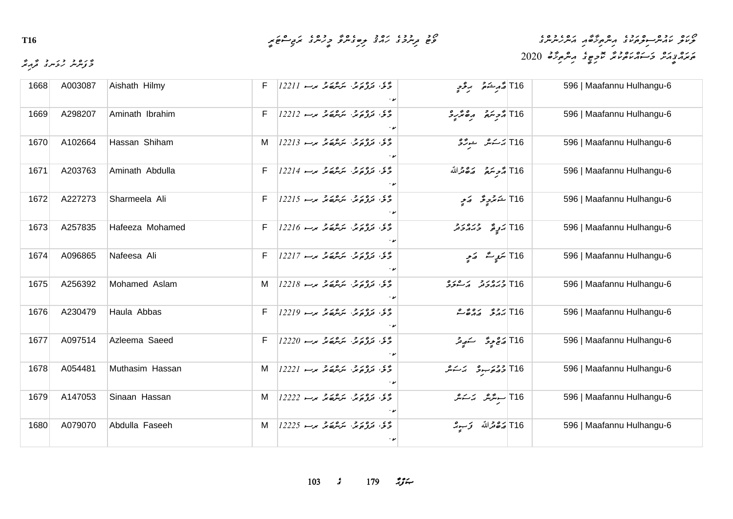*sCw7q7s5w7m< o<n9nOoAw7o< sCq;mAwBoEw7q<m; wBm;vB 2020 q9nOoAw7o< sCpHo>u; n8q;wAm;w<mEm> w6m<pYw<m8mA*

596 | Maafannu Hulhangu-6

596 | Maafannu Hulhangu-6

| 1668 | A003087 | Aishath Hilmy   | $\mathsf{F}$ | دَّى مَرْوَى مِنْ سَرْسْھَة مِنْ 12211    | T16 مُەمِسْمۇ ب <sub>و</sub> قو <sub>م</sub> | 596   Maafannu Hulhangu-6 |
|------|---------|-----------------|--------------|-------------------------------------------|----------------------------------------------|---------------------------|
| 1669 | A298207 | Aminath Ibrahim | F            | 35، تروم تى. تىرتىھ تىر سىن 12212.        | T16 مُح <i>مِسَمُ مِهْتَدِدْ</i>             | 596   Maafannu Hulhangu-6 |
| 1670 | A102664 | Hassan Shiham   | M            | 32 مَرْوَمَ مَنْ سَرْجَامَةٍ مِنْ 12213 ] | T16   يَرْسَمْرُ مُسْرَدُّةِ مُسَرَّرِ       | 596   Maafannu Hulhangu-6 |
| 1671 | A203763 | Aminath Abdulla | F            | 35، تروپر برموکار برسو 12214              | T16 مُرْحَدَّة مَصْحَّرْاللَّه               | 596   Maafannu Hulhangu-6 |
| 1672 | A227273 | Sharmeela Ali   | F            | 35، تروم تمر سرچونجر برسو 12215           | T16 ڪتر <i>و</i> ءَ ک <i>و</i>               | 596   Maafannu Hulhangu-6 |
| 1673 | A257835 | Hafeeza Mohamed | F            | 33، ئۇۋۇتمە بىر سەھەتمە بىر سە 12216      | T16 كەرپۇ ق <i>ىمى</i> مىقىر                 | 596   Maafannu Hulhangu-6 |
| 1674 | A096865 | Nafeesa Ali     | F            | 33، تروم تر. ترشھ تر سے 12217             | T16 سَمِرِ کَمَ مَرِ مِ                      | 596   Maafannu Hulhangu-6 |
| 1675 | A256392 | Mohamed Aslam   | М            | 33، تروم تر. ترش) تر سه 12218.            | T16 <i>جەممى</i> ھەرە                        | 596   Maafannu Hulhangu-6 |
| 1676 | A230479 | Haula Abbas     | F            | 33، تروم تر. ترشھ تر سے 12219             | $2222$ $2716$                                | 596   Maafannu Hulhangu-6 |
| 1677 | A097514 | Azleema Saeed   | $\mathsf{F}$ | 33، مَرْقِ جَمْ. سَرْجَ حَمْدِ سِنْ 12220 | T16 <i>ھَ جُوج</i> و سَم <i>وِمُ</i>         | 596   Maafannu Hulhangu-6 |
| 1678 | A054481 | Muthasim Hassan | M            | 35، تروم تر. سَرْسْھَ تَرْ سِرِ 12221     | T16 <i>جەمۇسى</i> ئەسەئىر                    | 596   Maafannu Hulhangu-6 |

1679 A147053 Sinaan Hassan M *12222 sr urwbcnwn .urwtcfwd ,elWm* 

1680 A079070 Abdulla Faseeh M *12225 sr urwbcnwn .urwtcfwd ,elWm* 

*103 sC 179 nNw?mS*

*.k*

*cnwswH cnWnis* T16

*cHIBwf QudcbwA* T16

*.k*

*.k*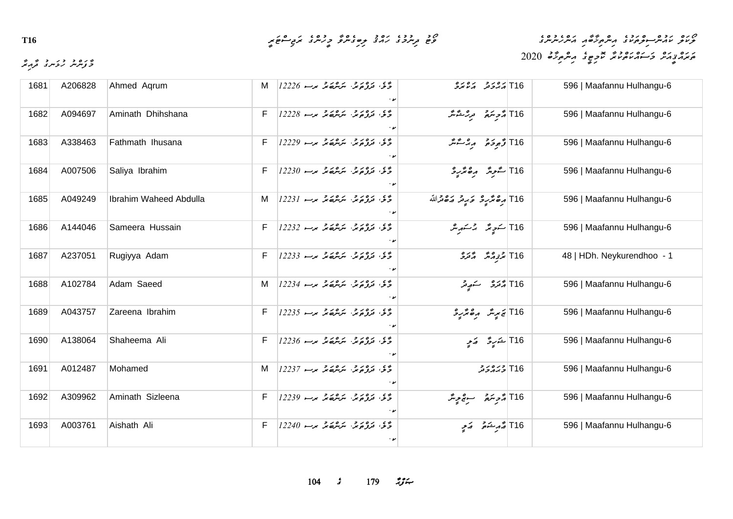*sCw7q7s5w7m< o<n9nOoAw7o< sCq;mAwBoEw7q<m; wBm;vB 2020<sup>, م</sup>وسر در مدد مدرج به مدرم مقرم قرار 2020*<br>موسر المستقرم المستقرم المستقرم المستقرم المستقرم المستقرم المستقرم المستقرم المستقرم المستقرم المستقرم المستقر

| 1681 | A206828 | Ahmed Aqrum            | м           | 35، تروم تمر سرچونجر برجہ 12226               | T16 كەبرى كەرەبرە                                  | 596   Maafannu Hulhangu-6  |
|------|---------|------------------------|-------------|-----------------------------------------------|----------------------------------------------------|----------------------------|
| 1682 | A094697 | Aminath Dhihshana      | $\mathsf F$ | وي مروم ته. سرچونه مرسو 12228                 | T16 مَّ حِسَمَةَ مِرْحَشَّسَ                       | 596   Maafannu Hulhangu-6  |
| 1683 | A338463 | Fathmath Ihusana       | F           | 33، تروم ته. س س 2229 برسه 12229              | T16 ۇ <sub>ج</sub> وڭ مەشقىتر                      | 596   Maafannu Hulhangu-6  |
| 1684 | A007506 | Saliya Ibrahim         | F           | 35، ئۇۋەتمە. ئىرتىرى تەرىپە 12230             | T16 ڪوب <i>ڙ م</i> ڪٽريڪ                           | 596   Maafannu Hulhangu-6  |
| 1685 | A049249 | Ibrahim Waheed Abdulla | M           | 33، مَرْوْحَةٍ. سَرْسْھَةٌ مِرْ - 12231       | T16 م <i>ِ هُ مَّرْرٍ وَ مَ</i> مِهْ مَهْ مَاللَّه | 596   Maafannu Hulhangu-6  |
| 1686 | A144046 | Sameera Hussain        | F           | 33) مَرْوَمَ مِنْ سَرْحَدَ مِنْ 12232         | T16 س <i>ے پر پڑے پر ب</i> ھ                       | 596   Maafannu Hulhangu-6  |
| 1687 | A237051 | Rugiyya Adam           | $\mathsf F$ | وي مروم ته. سرچونچه مرسو 12233                | T16 بُرۡدِمُہٗ مُسۡرَدُ                            | 48   HDh. Neykurendhoo - 1 |
| 1688 | A102784 | Adam Saeed             | M           | 33، تروم تر شهر تر 12234                      | T16 مُرْمَرْد سَم <i>وِ</i> مْر                    | 596   Maafannu Hulhangu-6  |
| 1689 | A043757 | Zareena Ibrahim        | F           | 33، تروم 3. س سگھایی برسہ 12235               | T16 ئ <sub>ى</sub> يرى <i>گە مەھگرى</i> گە         | 596   Maafannu Hulhangu-6  |
| 1690 | A138064 | Shaheema Ali           | F           | 33، مَرْوْمَ يْرْ. سَرْسْھَ يْمْ يْرْبِ 12236 | T16 ڪرير <i>ڏي</i>                                 | 596   Maafannu Hulhangu-6  |
| 1691 | A012487 | Mohamed                | M           | 33) مَرْوَمَ مِنْ سَرْحَدَ مِنْ 12237 [       | T16 وَبَرْدُوَتْرُ                                 | 596   Maafannu Hulhangu-6  |
| 1692 | A309962 | Aminath Sizleena       | F           | 32 مَرْوَمَ مِنْ سَرْسُ مَعْرَ مِنْ 12239     | T16 مُ <i>جِسَمُ</i> مِسِيَّحِ مِسَّرَ             | 596   Maafannu Hulhangu-6  |
| 1693 | A003761 | Aishath Ali            | F           | 35، تروم تمر. ترشھ تم سے 12240                | T16 م <i>حْمِرِ شَمْرِ مَہ</i> رِ                  | 596   Maafannu Hulhangu-6  |

### *n8o<n@ qC7m:q5 q7w7m?n>*

*104 s 179 <i>n*<sub>2</sub> *n*<sub>2</sub>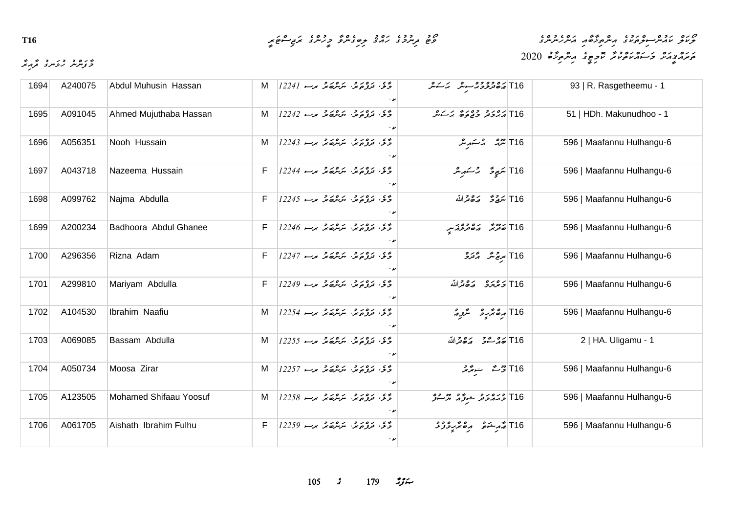*sCw7q7s5w7m< o<n9nOoAw7o< sCq;mAwBoEw7q<m; wBm;vB 2020<sup>, م</sup>وسوق المسجد التحقيق وسرمونية والم*جمع المسجد المسجد المسجد المسجد المسجد المسجد المسجد المسجد المسجد ال

| 1694 | A240075 | Abdul Muhusin Hassan   | м | ۇق، يروپرى. ئىرتىھىم بىر يە 12241          | T16   ئەھەترى <i>ۋە بۇ سەشىرى</i> كەشكەر  | 93   R. Rasgetheemu - 1   |
|------|---------|------------------------|---|--------------------------------------------|-------------------------------------------|---------------------------|
| 1695 | A091045 | Ahmed Mujuthaba Hassan | M | 33، تروم 3. س مرض مرسد 12242               | T16 كەبروتىر ئ <i>وقۇق ئەسكىل</i>         | 51   HDh. Makunudhoo - 1  |
| 1696 | A056351 | Nooh Hussain           | M | 33، مَرْقَ جَمْ. سَرْجَ حَمْدِ سِمْ 12243. | T16 يترجى ب <sub>ە</sub> شىرىش            | 596   Maafannu Hulhangu-6 |
| 1697 | A043718 | Nazeema Hussain        | F | 33، تروم تر. سرچھ تر سے 12244              | T16 ىترىپ <sup>ى جەسكە</sup> مەنلە        | 596   Maafannu Hulhangu-6 |
| 1698 | A099762 | Najma Abdulla          | F | 33، تروم تر. سرچونچر برجا 12245            | T16 يَرْدِيَّ صَدَّةَ مِلاَّ              | 596   Maafannu Hulhangu-6 |
| 1699 | A200234 | Badhoora Abdul Ghanee  | F | 35، تروم تى. ترشھىم بىر - 12246            | T16 <i>ھُنڙنگ مُ</i> ھُن <i>ڙن مُبُر</i>  | 596   Maafannu Hulhangu-6 |
| 1700 | A296356 | Rizna Adam             | F | وي مرور مرشد سرچ مرسو 12247                | T16 برج تر گ <sup>5</sup> رو              | 596   Maafannu Hulhangu-6 |
| 1701 | A299810 | Mariyam Abdulla        | F | 33، مَرْوْمَ مِنْ سَرْسْھَ مِنْ 12249 ]    | T16 كريمر كرم كالله M                     | 596   Maafannu Hulhangu-6 |
| 1702 | A104530 | Ibrahim Naafiu         | M | 32 مَرْوَمَ مِنْ سَرْسُ مَعْرَ مِنْ 12254  | T16 <sub>مر</sub> ھ تژر بھ س <i>تو</i> تھ | 596   Maafannu Hulhangu-6 |
| 1703 | A069085 | Bassam Abdulla         | M | 33، مَرْقِ جَمْ. سَرْسْھَ بْمْ سِرْ 12255. | T16 <i>حَدْ شَوْ مَرْهُ قَدْ</i> اللّه    | 2   HA. Uligamu - 1       |
| 1704 | A050734 | Moosa Zirar            | M | 33، تروم تر. سَرْسْھَ تَرْ سِرِ 12257]     | T16 ترمشہ سوئر <i>تن</i>                  | 596   Maafannu Hulhangu-6 |
| 1705 | A123505 | Mohamed Shifaau Yoosuf | M | 33، ئۇۋەتمە. ئىرتىرى تەرىپە 12258          | T16 دېرونر جوړې پرسو                      | 596   Maafannu Hulhangu-6 |
| 1706 | A061705 | Aishath Ibrahim Fulhu  | F | 35، ئۇۋەتمە. ئىرتىھ تەرب 12259             | T16مر شَمَعُ مِنْ مُحَمَّدٍ وَرْدَ        | 596   Maafannu Hulhangu-6 |

### *n8o<n@ qC7m:q5 q7w7m?n>*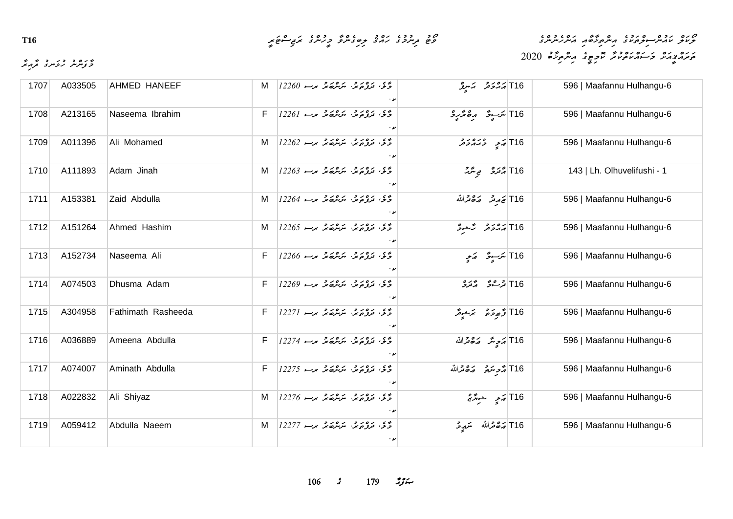*sCw7q7s5w7m< o<n9nOoAw7o< sCq;mAwBoEw7q<m; wBm;vB 2020<sup>, م</sup>وسوق المسجد التحقيق وسرمونية والم*جمع المسجد المسجد المسجد المسجد المسجد المسجد المسجد المسجد المسجد ال

| 1707 | A033505 | AHMED HANEEF       | M            | گەنگە ئىرگەمگە ئىر ئىرىمەكە 12260       | T16 كەبۇر <i>قىرى</i> گە                     | 596   Maafannu Hulhangu-6   |
|------|---------|--------------------|--------------|-----------------------------------------|----------------------------------------------|-----------------------------|
| 1708 | A213165 | Naseema Ibrahim    | F            | 35، تروم تمر شریع تمرین 12261           | T16 <sub>م</sub> تر <i>ب و مؤثر و مق</i> ررة | 596   Maafannu Hulhangu-6   |
| 1709 | A011396 | Ali Mohamed        | M            | 33، مَرْوْحَة. سَرْسْھَة مِرْ - 12262.  | T16 كەير - <i>2223 كە</i>                    | 596   Maafannu Hulhangu-6   |
| 1710 | A111893 | Adam Jinah         | м            | 33، مَرْوْحَة. سَرْجَعَة بِرَ - 12263.  | T16 مُرترد ب <i>ه م</i> ُرَ <sup>ر</sup>     | 143   Lh. Olhuvelifushi - 1 |
| 1711 | A153381 | Zaid Abdulla       | м            | 33، تروم تر سر سر 12264                 | T16 تج م <i>رفر ض</i> گھ قرالله              | 596   Maafannu Hulhangu-6   |
| 1712 | A151264 | Ahmed Hashim       | M            | 33، مَرْوْحَةْ. سَرْسْھَةْ يَرْبِ 12265 | T16  <i>ړی څخه گ</i> ېدو                     | 596   Maafannu Hulhangu-6   |
| 1713 | A152734 | Naseema Ali        | $\mathsf F$  | 33، ئۇۋەتمە. ئىرتىھەتمە بىر سە 12266    | T16 مَرْسِوءٌ     مَرِمٍ                     | 596   Maafannu Hulhangu-6   |
| 1714 | A074503 | Dhusma Adam        | F            | 35، تروم تمر سرچونجر برجا 12269         | T16 تركون گەنز <i>ۇ</i>                      | 596   Maafannu Hulhangu-6   |
| 1715 | A304958 | Fathimath Rasheeda | $\mathsf{F}$ | 33، مَرْوْحَةٍ. سَرْجَعَةٌ مِرْ - 12271 | T16 تَ <i>وْجِ دَةْ</i> - مَرْسُوشَ          | 596   Maafannu Hulhangu-6   |
| 1716 | A036889 | Ameena Abdulla     | F            | وي مرور مرشقة مرسو 12274                | T16 كەربە كەھەرللە                           | 596   Maafannu Hulhangu-6   |
| 1717 | A074007 | Aminath Abdulla    | F            | 33، تروم 3. تروم تر 12275               | T16 مَرْحِ سَرَمَ مَرَّةَ مِدْاللّهِ         | 596   Maafannu Hulhangu-6   |
| 1718 | A022832 | Ali Shiyaz         | M            | 33، تروم 3. س س مدين المريد 12276       | T16 کړ <i>و</i> شو <i>نگ</i> ئ               | 596   Maafannu Hulhangu-6   |
| 1719 | A059412 | Abdulla Naeem      | M            | 32 مرور مروری مرکز مرسو 12277           | T16 كەھىراللە   ئىمرى                        | 596   Maafannu Hulhangu-6   |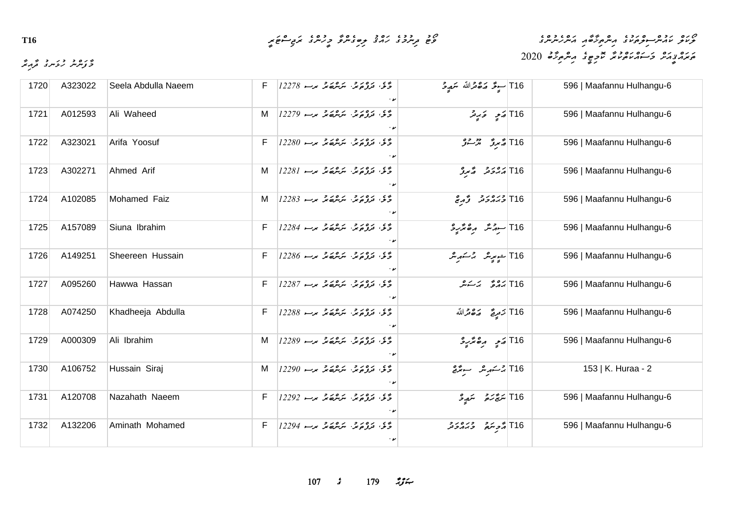*sCw7q7s5w7m< o<n9nOoAw7o< sCq;mAwBoEw7q<m; wBm;vB 2020<sup>, م</sup>وسوق المسجد التحقيق وسرمونية والم*جمع المسجد المسجد المسجد المسجد المسجد المسجد المسجد المسجد المسجد ال

### *n8o<n@ qC7m:q5 q7w7m?n>*

| 1720 | A323022 | Seela Abdulla Naeem |              | وَكَرْ، تَرَوْجْرْ. شَرْجَعْتْمْ بْرْبِ 12278 | T16 سوءٌ 10هزالله تتربه 3              | 596   Maafannu Hulhangu-6 |
|------|---------|---------------------|--------------|-----------------------------------------------|----------------------------------------|---------------------------|
| 1721 | A012593 | Ali Waheed          | M            | 35، تروم تر. سَرْسْھَ تَرْ سِرِ 12279]        | T16 کھ تو تو تو تھ                     | 596   Maafannu Hulhangu-6 |
| 1722 | A323021 | Arifa Yoosuf        | F            | 33، تروم تر. ترشق تر ب- 12280                 | T16 گەبىرۇ تەرىبۇ                      | 596   Maafannu Hulhangu-6 |
| 1723 | A302271 | Ahmed Arif          | M            | 33، تروم تر سر مصر الا228 الم                 | T16 كەندى قىلىدۇ                       | 596   Maafannu Hulhangu-6 |
| 1724 | A102085 | Mohamed Faiz        | M            | 33، مَرْوْحَة. سَرْجَعَة بِرَ - 12283.        | T16 <i>وبروبرو ژم</i> ی                | 596   Maafannu Hulhangu-6 |
| 1725 | A157089 | Siuna Ibrahim       | $\mathsf{F}$ | 32 مَرْوَمَ مَنْ سَرْسُ مَعْدَ سِرِ 12284     | T16 سوړنگر مرگانگړی ته                 | 596   Maafannu Hulhangu-6 |
| 1726 | A149251 | Sheereen Hussain    | F            | 33، تروم تر. س سره ته تر سه 12286             | T16   ھومريگر   پر شکر بگر             | 596   Maafannu Hulhangu-6 |
| 1727 | A095260 | Hawwa Hassan        | F            | 33، تروم 3. ترمۇم برسە 12287                  | T16 كەنگە كەسكەنلەر                    | 596   Maafannu Hulhangu-6 |
| 1728 | A074250 | Khadheeja Abdulla   | $\mathsf{F}$ | 33، تروڅ تر سرچي پر 12288                     | T16 كَرْمِرِيَّة _ مَرْكَة مِّرَاللَّه | 596   Maafannu Hulhangu-6 |
| 1729 | A000309 | Ali Ibrahim         | M            | 33، تروم 3. س س 2289 مرسو 12289               | T16 <i>ڇَڄِ به ڇُٽپ</i> و              | 596   Maafannu Hulhangu-6 |
| 1730 | A106752 | Hussain Siraj       | M            | 33، مَرْوْحَةَ. سَرْسْھَةَ مِرْ سِنْ 12290    | T16   يُرسَمرِ بْلْرَ سَنْتَيْتَعْ     | 153   K. Huraa - 2        |
| 1731 | A120708 | Nazahath Naeem      | $\mathsf{F}$ | 35، تروم تر. سَرْسْھَ تَرْ سِرِ 12292]        | T16 ى <i>تىڭ ئىق ئىم</i> رۇ            | 596   Maafannu Hulhangu-6 |
| 1732 | A132206 | Aminath Mohamed     | $\mathsf F$  | 33، مَرْوْحَةٍ. سَرْسْھَةٌ مِرْ - 12294       | T16 مَّ <i>جِسَمَّة حَمَدُهُ حَ</i> د  | 596   Maafannu Hulhangu-6 |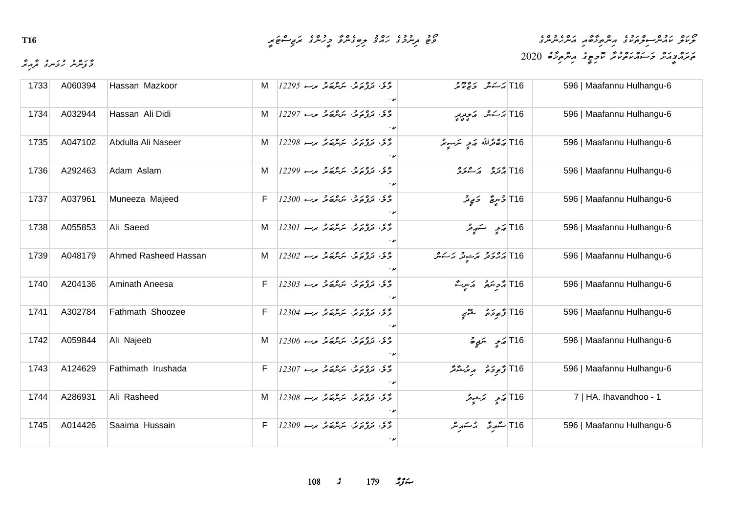*sCw7q7s5w7m< o<n9nOoAw7o< sCq;mAwBoEw7q<m; wBm;vB 2020<sup>, م</sup>وسوق المسجد التحقيق وسرمونية والم*جمع المسجد المسجد المسجد المسجد المسجد المسجد المسجد المسجد المسجد ال

### *n8o<n@ qC7m:q5 q7w7m?n>*

| 1733 | A060394 | Hassan Mazkoor       | M            | گەنگە ئىرگەمگە ئىر ئىھەتمە بىر سە 12295      | T16  تەسىھە ئ <i>ۇنى</i> مىتە                  | 596   Maafannu Hulhangu-6 |
|------|---------|----------------------|--------------|----------------------------------------------|------------------------------------------------|---------------------------|
| 1734 | A032944 | Hassan Ali Didi      | M            | 32 - دەرج. سەھەتمە بىر سە 12297.             | T16  پرسکر کے م <sub>ح</sub> مومی              | 596   Maafannu Hulhangu-6 |
| 1735 | A047102 | Abdulla Ali Naseer   | M            | 33، تروم تر. سُرْسُ تَمْرُ سِرْ 12298        | T16 كَدَهْتَدْاللَّهُ    كَمَعِ    مَرْسِومَّد | 596   Maafannu Hulhangu-6 |
| 1736 | A292463 | Adam Aslam           | M            | 33، تروم چى سرچىقى برسە 12299                | T16 مُرترى مَرْ شَوَرَةِ                       | 596   Maafannu Hulhangu-6 |
| 1737 | A037961 | Muneeza Majeed       | $\mathsf F$  | 33 مَرْقْ جَبْ سَرْسْھَ يَمْ سِيْدِ 12300    | T16   جُ سِيَّة = حَ مِيقر                     | 596   Maafannu Hulhangu-6 |
| 1738 | A055853 | Ali Saeed            | M            | 35، ئۇقەتمۇ. ئىرتىھ ئىر ئىرسىز 12301         | T16 <i>ڇُجِ ڪوپ</i> ٽر                         | 596   Maafannu Hulhangu-6 |
| 1739 | A048179 | Ahmed Rasheed Hassan | M            | 35، تروم تم. ترشھ تم سے 12302                | T16 كەندى كەر كەر كەسەر                        | 596   Maafannu Hulhangu-6 |
| 1740 | A204136 | Aminath Aneesa       | F            | رَّدْ مَرْوْحَةْ سَرْجَةْ بِرَ— 12303        | T16 مَّ جِسَمَۃ مَسِہَّ                        | 596   Maafannu Hulhangu-6 |
| 1741 | A302784 | Fathmath Shoozee     | $\mathsf{F}$ | 35، تروم تمر، ترشھ تمر سے 12304              | T16 <i>وَّجِودَة</i> مَقْيَمِ                  | 596   Maafannu Hulhangu-6 |
| 1742 | A059844 | Ali Najeeb           | M            | 33 مَرْوْحَ بْمْ. سَرْسْھَ بْمْ سِرْ 12306   | T16 <i>ھ</i> ُو سَمِوصُ                        | 596   Maafannu Hulhangu-6 |
| 1743 | A124629 | Fathimath Irushada   | $\mathsf F$  | 33 مَرْوْمَ مْرْ سَرْسْھَ بْمْ سِـرِ 12307   | T16 <i>وُّجِودَة بِ</i> بِرُّسْتَمَرَّ         | 596   Maafannu Hulhangu-6 |
| 1744 | A286931 | Ali Rasheed          | M            | 33 مَرْوْمَ مْرْ. سَرْسْھَ مْرْ سِيْرِ 12308 | T16 كەمچە - ئىزىش <sub>ى</sub> رتىر            | 7   HA. Ihavandhoo - 1    |
| 1745 | A014426 | Saaima Hussain       | $\mathsf{F}$ | 33) مَرْوْحَة. سَرْسْھَة يَرْسَدُ 12309      | T16 گەرى - ئەسەر ش                             | 596   Maafannu Hulhangu-6 |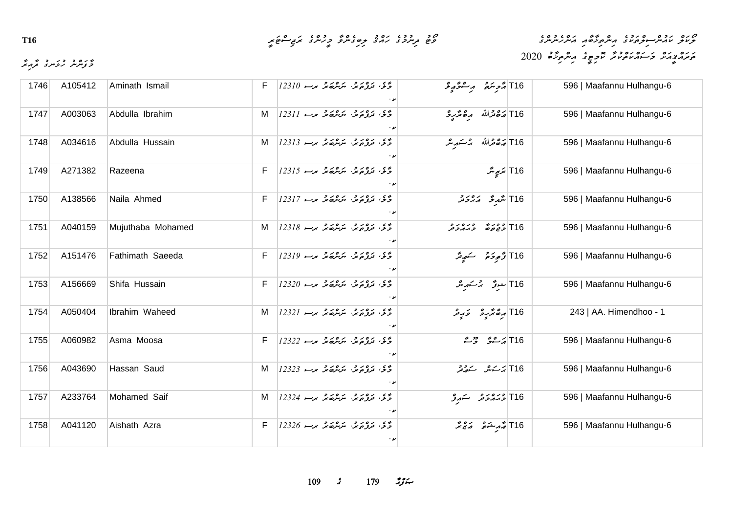*sCw7q7s5w7m< o<n9nOoAw7o< sCq;mAwBoEw7q<m; wBm;vB 2020<sup>, م</sup>وسوق المسجد التحقيق وسرمونية والم*جمع المسجد المسجد المسجد المسجد المسجد المسجد المسجد المسجد المسجد ال

| 1746 | A105412 | Aminath Ismail    | F            | دَّنْسُ مَرْوَةٍ مِّنْ مَرْسُرْجَةٍ مِنْ 12310 [  | T16 مَّ مِسَمَّد مِسْتَوَّرِ وَ           | 596   Maafannu Hulhangu-6 |
|------|---------|-------------------|--------------|---------------------------------------------------|-------------------------------------------|---------------------------|
| 1747 | A003063 | Abdulla Ibrahim   | M            | 33) مَرْوَمَ مَنْ سَرْسُ صَدْرِ - 12311 [         | T16 كەھىراللە م <i>ەھەرد</i> و            | 596   Maafannu Hulhangu-6 |
| 1748 | A034616 | Abdulla Hussain   | M            | 33، ئۇۋەتمە شرىھىم بىر 12313                      | T16 مَەمْمَراللە ب <sub>ە</sub> شىرىئر    | 596   Maafannu Hulhangu-6 |
| 1749 | A271382 | Razeena           | $\mathsf F$  | 33، ئۇۋەتمە. ئىرتىھەتمە ئەسە 12315                | T16 تر <sub>سم</sub> گر                   | 596   Maafannu Hulhangu-6 |
| 1750 | A138566 | Naila Ahmed       | $\mathsf{F}$ | 33) مَرْوْمَ مِنْ سَرْحَدَ مِنْ 12317             | T16 سَمَدِ مَدَّ دَمَدَ مَد               | 596   Maafannu Hulhangu-6 |
| 1751 | A040159 | Mujuthaba Mohamed | M            | 33، ئۇۋەتمە شرىھقى بىر سى 12318                   | T16 دوره وره دور                          | 596   Maafannu Hulhangu-6 |
| 1752 | A151476 | Fathimath Saeeda  | F            | 33، ئۇۋەتمە. ئىرتىرى تەرىپە 12319                 | T16 رَّجِ دَمَرُ مَسَم <i>َّرٍ مَدَّ</i>  | 596   Maafannu Hulhangu-6 |
| 1753 | A156669 | Shifa Hussain     | F            | 33) مَرْوْمَ بْرْ. سَرْسْرْھَ بْرْ سِيْسِدِ 12320 | T16 حو <i>ق بر شهر مثر</i>                | 596   Maafannu Hulhangu-6 |
| 1754 | A050404 | Ibrahim Waheed    | M            | 32) دەرج. ئېرىش ئەسىر 12321                       | T16 م <i>وڭ بگرى</i> ئۇم <sub>ي</sub> ىتر | 243   AA. Himendhoo - 1   |
| 1755 | A060982 | Asma Moosa        | F            | وي دورو. سەھەتە برىد 12322                        | $23$ $52$ $\sqrt{116}$                    | 596   Maafannu Hulhangu-6 |
| 1756 | A043690 | Hassan Saud       | M            | وي دورد. سەھەتە برسە 12323                        | T16 يزيتر سن <i>ھ</i> تر                  | 596   Maafannu Hulhangu-6 |
| 1757 | A233764 | Mohamed Saif      | M            | 33، تروم تر. سَرْسْھَ تَرْ سِرِ 12324             | T16 <i>5223 سَمبرو</i>                    | 596   Maafannu Hulhangu-6 |
| 1758 | A041120 | Aishath Azra      | $\mathsf{F}$ | 33 مَرْوَمَ مَنْ سَرْجَ مِنْ سَرْجِ 12326         | T16 م <i>جْهِيشَمْ مَيْ تَدُّ</i>         | 596   Maafannu Hulhangu-6 |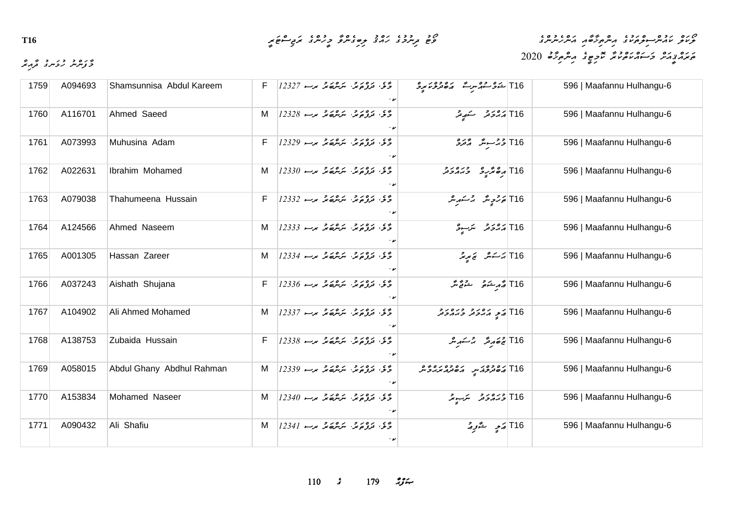*sCw7q7s5w7m< o<n9nOoAw7o< sCq;mAwBoEw7q<m; wBm;vB 2020<sup>, م</sup>وسر در مدد مدرج به مدرم مقرم قرار 2020*<br>موسر المستقرم المستقرم المستقرم المستقرم المستقرم المستقرم المستقرم المستقرم المستقرم المستقرم المستقرم المستقر

#### *n8o<n@ qC7m:q5 q7w7m?n>*

| 1759 | A094693 | Shamsunnisa Abdul Kareem  |   | 33، تروه تم. سَرْسُ تَمَدَّ بِرَ 12327          | T16 خەرجەمىرىگە مەھ <i>ەرۋىزىر</i> ۇ       | 596   Maafannu Hulhangu-6 |
|------|---------|---------------------------|---|-------------------------------------------------|--------------------------------------------|---------------------------|
| 1760 | A116701 | Ahmed Saeed               | м | 33، تروم تر. سَرْسْھَ تَرْ سِرِ 12328]          | T16 ړَرُدَوَ سَمهِ تَر                     | 596   Maafannu Hulhangu-6 |
| 1761 | A073993 | Muhusina Adam             | F | 33) مَرْوَمَ بْمُنْ سَرْسْھَ بْمْ سِيْدِ 12329  | T16 وُيُرْسِعَّرُ مُحَمَّرُ                | 596   Maafannu Hulhangu-6 |
| 1762 | A022631 | Ibrahim Mohamed           | M | 33، ئۇۋكەت ئىر ھەتكە بىر سىن 12330              | T16 مەھمەر قىقىدە ئەرەپىر                  | 596   Maafannu Hulhangu-6 |
| 1763 | A079038 | Thahumeena Hussain        | F | 32، ئۇۋەتمە شرىھىم بىر يە 12332                 | T16 <sub>ح</sub> رثر پڑتے ہر مگر بھر       | 596   Maafannu Hulhangu-6 |
| 1764 | A124566 | Ahmed Naseem              | M | 32، ئۇۋەتمە شرىھىم بىر يە 12333                 | T16 كەيرى تىم سىرسونى                      | 596   Maafannu Hulhangu-6 |
| 1765 | A001305 | Hassan Zareer             | M | 33، تروم تر. سرچھ تر سے 12334                   | T16   پزشکر ہے <i>م</i> یرنڈ               | 596   Maafannu Hulhangu-6 |
| 1766 | A037243 | Aishath Shujana           | F | 33، ئۇۋەتمە. ئىر ھەتمە ئەسە 12336               | T16 مُرْسَمَة شَقَّةَ مَّرَ                | 596   Maafannu Hulhangu-6 |
| 1767 | A104902 | Ali Ahmed Mohamed         | M | 33) مَرْوَمْ مَنْ سَرْجَة مِنْ 12337            | T16 كمامو المركزون وبراماد و               | 596   Maafannu Hulhangu-6 |
| 1768 | A138753 | Zubaida Hussain           | F | 33، ئۇقەتمە. ئىرتىھەتمە ئەسە 12338              | T16 ىن <i>ھەمەمەً بى</i> شەمەمىر           | 596   Maafannu Hulhangu-6 |
| 1769 | A058015 | Abdul Ghany Abdhul Rahman | M | 33) مَرْوَمَ مَنْ سَرْسُ مَعْدَ مِرْسِدِ 12339] | 716 - مەدەن بىر مەدەرە دەرە                | 596   Maafannu Hulhangu-6 |
| 1770 | A153834 | Mohamed Naseer            | м | 33، تروم تر. ترشھ تر سے 12340                   | T16  <i>وُيَرُوُوَ</i> تَرُ - سَرَسِيْتَرُ | 596   Maafannu Hulhangu-6 |
| 1771 | A090432 | Ali Shafiu                | M | 32، تروپر سرچینی پر سو 12341                    | T16 کړ <i>و</i> ش <i>ور</i>                | 596   Maafannu Hulhangu-6 |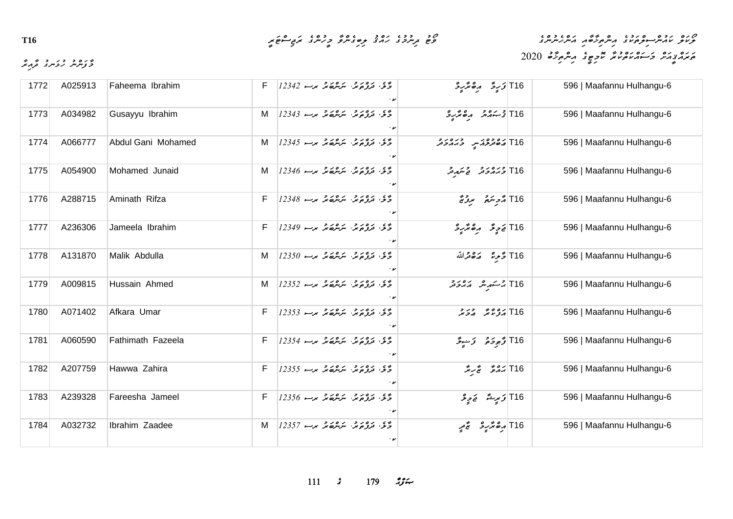*sCw7q7s5w7m< o<n9nOoAw7o< sCq;mAwBoEw7q<m; wBm;vB* م من المسجد المسجد المسجد المسجد المسجد العام 2020<br>مسجد المسجد المسجد المسجد المسجد المسجد المسجد المسجد المسجد ال

## *n8o<n@ qC7m:q5 q7w7m?n>*

| 1772 | A025913 | Faheema Ibrahim    | F            | 33، تروم تر سرچی پر 12342             | T16 كۆرى <sup>چ</sup> ە مەھم <i>گرى</i> 3          | 596   Maafannu Hulhangu-6 |
|------|---------|--------------------|--------------|---------------------------------------|----------------------------------------------------|---------------------------|
| 1773 | A034982 | Gusayyu Ibrahim    | M            | 35، تروپر برمۇنى برىسى 12343          | T16 تۈسە <i>مەتىر مەھەترى</i> رى                   | 596   Maafannu Hulhangu-6 |
| 1774 | A066777 | Abdul Gani Mohamed | M            | 33، مَرْوْحَة. سَرْسْھَة مِرْ 12345   | T16 בەممۇرىر دىمەدە                                | 596   Maafannu Hulhangu-6 |
| 1775 | A054900 | Mohamed Junaid     | M            | 33، ئۇۋۇش ئىر ھەتكە بىر سىم 12346     | T16 <i>وُبَرُوْجُوْ فِي مَرْمِ</i> قُرْ            | 596   Maafannu Hulhangu-6 |
| 1776 | A288715 | Aminath Rifza      | F            | 33، ئۇۋەتمە سەھەتمە بىر 12348         | T16 مَّ <i>جِسَعَةَ</i> بِرَقَّ مِّ                | 596   Maafannu Hulhangu-6 |
| 1777 | A236306 | Jameela Ibrahim    | F            | 32، ئۇۋەتتى. ئىرتىرى قىرىسى 12349     | T16 <sub>تح</sub> وِرَ م <i>ِ مِیْ بِ</i> وْ       | 596   Maafannu Hulhangu-6 |
| 1778 | A131870 | Malik Abdulla      | М            | 33، تروم تر. سَرْسْھَ تَرْ سِرِ 12350 | T16 حَ مِرْ مَصْعَمُ اللّه                         | 596   Maafannu Hulhangu-6 |
| 1779 | A009815 | Hussain Ahmed      | M            | 33، ئۇۋۇش ئىر 12352 بىر يە            | T16 يُرسَمه شركة محمد المحدوث                      | 596   Maafannu Hulhangu-6 |
| 1780 | A071402 | Afkara Umar        | $\mathsf{F}$ | 35 مەدرە بىرە يەر 12353.              | T16 پروند پر پرې                                   | 596   Maafannu Hulhangu-6 |
| 1781 | A060590 | Fathimath Fazeela  | $\mathsf{F}$ | 35، ئۇۋەتمە. ئىر ھەتمە ئەسە 12354     | T16   قەچەققە - ق <sup>ەس</sup> ىرى <del>ت</del> ە | 596   Maafannu Hulhangu-6 |
| 1782 | A207759 | Hawwa Zahira       | $\mathsf{F}$ | 33، تروم تر. سَرْسْھَ تَرْ 12355      | T16 يَرْدُوَّ گَمْ رَبَّرُ                         | 596   Maafannu Hulhangu-6 |
| 1783 | A239328 | Fareesha Jameel    | F            | 33، ئۇۋەتمە. ئىرتىرى كىرىد 12356      |                                                    | 596   Maafannu Hulhangu-6 |
| 1784 | A032732 | Ibrahim Zaadee     | M            | 33، تروڅ تر سرسي تر 12357             | T16 <i>۾ ڦٽڙي</i> و گي پي                          | 596   Maafannu Hulhangu-6 |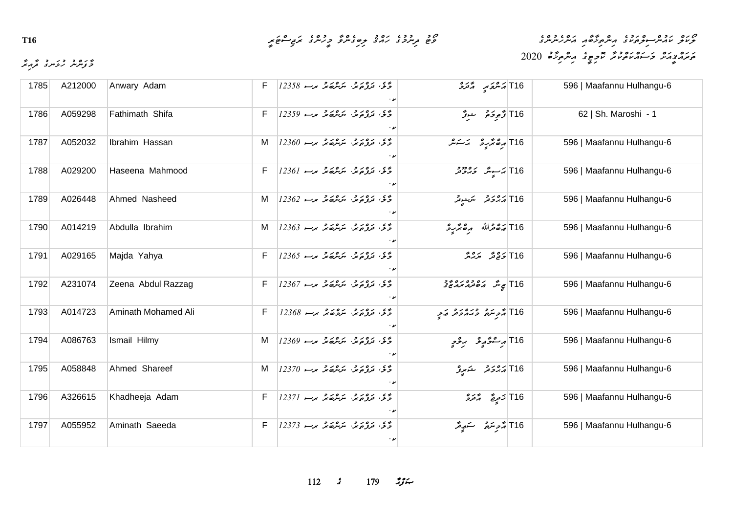*sCw7q7s5w7m< o<n9nOoAw7o< sCq;mAwBoEw7q<m; wBm;vB* م من المسجد المسجد المسجد المسجد المسجد العام 2020<br>مسجد المسجد المسجد المسجد المسجد المسجد المسجد المسجد المسجد ال

#### *n8o<n@ qC7m:q5 q7w7m?n>*

| 1785 | A212000 | Anwary Adam         |             | 33، تروم تر. ترتگر تھ تر سو 12358          | T16 كەش <i>ۇبە م</i> ۇنزۇ               | 596   Maafannu Hulhangu-6 |
|------|---------|---------------------|-------------|--------------------------------------------|-----------------------------------------|---------------------------|
| 1786 | A059298 | Fathimath Shifa     | F           | 33) قرقوم شرح مراجع من 12359               | T16 گەچەقەتە<br>شوگر                    | 62   Sh. Maroshi - 1      |
| 1787 | A052032 | Ibrahim Hassan      | M           | 33، ترۇپ ئىر سەھەتمە بىر سە 12360          | T16  مەھەرىۋە    ئەسەئىر                | 596   Maafannu Hulhangu-6 |
| 1788 | A029200 | Haseena Mahmood     | F           | 33، ئۇۋىر ئىرەھكى بىر 12361                | T16 بزسویٹر ن <i>خ</i> صیحتر            | 596   Maafannu Hulhangu-6 |
| 1789 | A026448 | Ahmed Nasheed       | M           | 33، مَرْوْحَةْ. سَرْسْھَةْ بِرْبِ 12362]   | T16   كەرى كى سىمىسى ئىشرىقى ئىس        | 596   Maafannu Hulhangu-6 |
| 1790 | A014219 | Abdulla Ibrahim     | м           | 33، مَرْوْحَة. سَرْسْھة مِرْ سِيْنَ 12363. | T16 كەھىراللە م <i>ەھەرد</i> ۇ          | 596   Maafannu Hulhangu-6 |
| 1791 | A029165 | Majda Yahya         | F           | 33، مَرْوْحَةْ. سَرْسْھَةْ بِرْبِ 12365    | T16 كَرْمْ مَدْ بَرْرْتَرْ \$           | 596   Maafannu Hulhangu-6 |
| 1792 | A231074 | Zeena Abdul Razzag  | F           | 33، مَرْوْحَة. سَرْسْھَة مِرْ - 12367      | T16 <sub>مح</sub> مد <i>مەھەرە مورى</i> | 596   Maafannu Hulhangu-6 |
| 1793 | A014723 | Aminath Mohamed Ali | $\mathsf F$ | 33، ئۇۋۇتمە. ئىردە ئەربىيە 12368           | T16 مُرجِسَة ورورة مَرِ                 | 596   Maafannu Hulhangu-6 |
| 1794 | A086763 | <b>Ismail Hilmy</b> | M           | 33، مَرْوْحَةْ. سَرْسْھَةْ بِرْبِ 12369    | T16 <sub>م</sub> رشۇر ئىمى بولىچە بەر   | 596   Maafannu Hulhangu-6 |
| 1795 | A058848 | Ahmed Shareef       | M           | 33، ئۇۋەتمە. ئىرتىھ ئەسىر 12370            | T16   كەش <sup>ى</sup> رى ھەمبەتى       | 596   Maafannu Hulhangu-6 |
| 1796 | A326615 | Khadheeja Adam      | $\mathsf F$ | 33) مَرْوَى مِنْ سَرْحَامَة مِنْ 12371     |                                         | 596   Maafannu Hulhangu-6 |
| 1797 | A055952 | Aminath Saeeda      | F           | 33، تروم 3. س س 2373 مرسو 12373            | T16 مَّ حِسَمَّة مَسَمِيَّة حَمَّد      | 596   Maafannu Hulhangu-6 |

*112 s 179 <i>n*<sub>s</sub>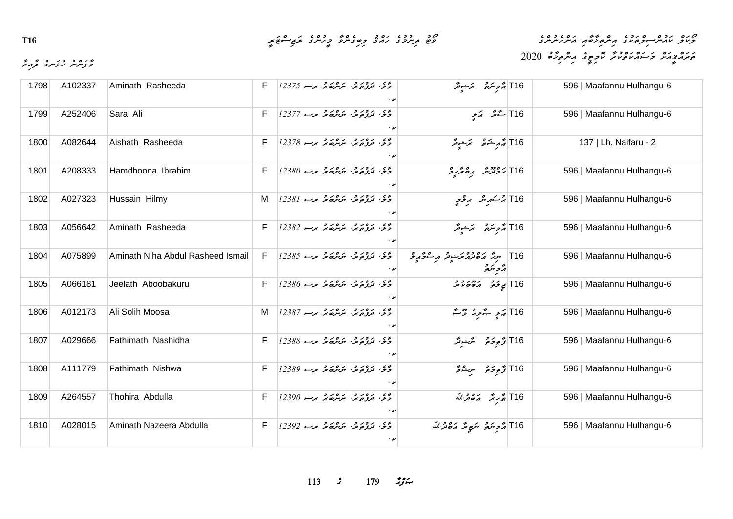*sCw7q7s5w7m< o<n9nOoAw7o< sCq;mAwBoEw7q<m; wBm;vB 2020<sup>, م</sup>وسر در مدد مدرج به مدرم مقرم قرار 2020*<br>موسر المستقرم المستقرم المستقرم المستقرم المستقرم المستقرم المستقرم المستقرم المستقرم المستقرم المستقرم المستقر

#### *n8o<n@ qC7m:q5 q7w7m?n>*

| 1798 | A102337 | Aminath Rasheeda                  |              | وَتَوْ، مَرْوَة مِنْ. سَرْسُرْھَ مَرْ سِيَنْ 12375                          |                                                                            | 596   Maafannu Hulhangu-6 |
|------|---------|-----------------------------------|--------------|-----------------------------------------------------------------------------|----------------------------------------------------------------------------|---------------------------|
| 1799 | A252406 | Sara Ali                          | $\mathsf{F}$ | وی مرور مرورد برابر 12377                                                   | T16 گنگ <i>ق</i> نو                                                        | 596   Maafannu Hulhangu-6 |
| 1800 | A082644 | Aishath Rasheeda                  | F            | 33، مَرْوْحَةٌ. سَرْسْھَةٌ مِرْسَدِ 12378]                                  | T16 مَگهرڪو گرجونگر                                                        | 137   Lh. Naifaru - 2     |
| 1801 | A208333 | Hamdhoona Ibrahim                 | $\mathsf F$  | 33، تروڅ تر سرسي تر بر سه 12380                                             | T16 ئۇنى <i>رىگە مەھگرى</i> 3                                              | 596   Maafannu Hulhangu-6 |
| 1802 | A027323 | Hussain Hilmy                     | M            | 32، ئۇۋەتمە شرىھقى بىر سىن 12381                                            | T16 پڑے پر ن <i>گ ب</i> وی <sub>چ</sub>                                    | 596   Maafannu Hulhangu-6 |
| 1803 | A056642 | Aminath Rasheeda                  | F            | 32) مَرْوَمَ مِنْ سَرْسُ مَعْرَ مِنْ 12382                                  | T16 مَّ حِسَمَ سَمَسِوْمَ                                                  | 596   Maafannu Hulhangu-6 |
| 1804 | A075899 | Aminath Niha Abdul Rasheed Ismail | F            | 33، مَرْوْمَ مِّرْ. سَرْسْھَ مِّرْ سِرْ 12385<br>$\cdot$ $\boldsymbol{\nu}$ | T16 س <i>رج مُـ9دُمُ مَرْسُومُرَ مِ</i> مُـ <i>وَّمُومِ</i> وَ<br>مرد سرمی | 596   Maafannu Hulhangu-6 |
| 1805 | A066181 | Jeelath Aboobakuru                | $\mathsf{F}$ | 35، ئۇق ئەڭ ئىر ئەھق ئەسە 12386                                             | T16 ي <sub>و</sub> ځې د <i>ه ه</i> وري                                     | 596   Maafannu Hulhangu-6 |
| 1806 | A012173 | Ali Solih Moosa                   | M            | 33، تروم تر سرچ تھ 12387                                                    | T16] پَرمٍ سِمَّوِرُ حُرْثَہُ                                              | 596   Maafannu Hulhangu-6 |
| 1807 | A029666 | Fathimath Nashidha                | $\mathsf F$  | 33، مَرْوْحَةِ. سَرْجَعَةْ بِرَبِّ 12388                                    | T16 رُّجِ رَحْمٌ مُتَرْسُوشٌ                                               | 596   Maafannu Hulhangu-6 |
| 1808 | A111779 | Fathimath Nishwa                  | $\mathsf F$  | 35، تروپر برمۇن برىسە 12389                                                 | T16 تَ <i>وْجِ</i> وَمَ سِشْرَةً                                           | 596   Maafannu Hulhangu-6 |
| 1809 | A264557 | Thohira Abdulla                   | $\mathsf F$  | 35، تروم تمر سر هفته بر ب                                                   | T16 كُوْرِيْتْ مَدَّرْ هَلْدَ اللّه                                        | 596   Maafannu Hulhangu-6 |
| 1810 | A028015 | Aminath Nazeera Abdulla           | $\mathsf{F}$ | 35، تروپر برمۇن برىسە 12392                                                 | T16 مَّر <i>ِ سَمَّةَ سَبِّ مَّ</i> مَ <i>َ</i> صْفَرَ <sup>اللّه</sup> َ  | 596   Maafannu Hulhangu-6 |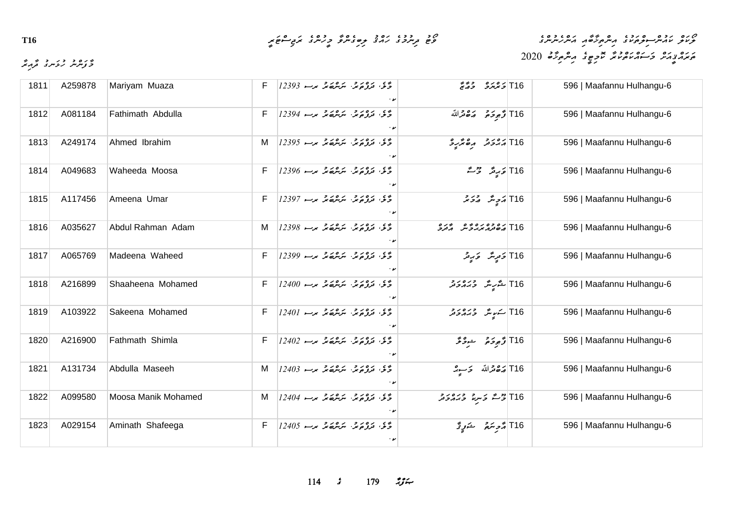*sCw7q7s5w7m< o<n9nOoAw7o< sCq;mAwBoEw7q<m; wBm;vB 2020<sup>, م</sup>وسر در مدد مدرج به مدرم مقرم قرار 2020*<br>موسر المستقرم المستقرم المستقرم المستقرم المستقرم المستقرم المستقرم المستقرم المستقرم المستقرم المستقرم المستقر

| 1811 | A259878 | Mariyam Muaza       |              | 33، تروم تم. ترشھ تمر سے 12393             | $5.3$ $5.3$ $716$                      | 596   Maafannu Hulhangu-6 |
|------|---------|---------------------|--------------|--------------------------------------------|----------------------------------------|---------------------------|
| 1812 | A081184 | Fathimath Abdulla   | F            | 35، تروم تر. سَرْسْھَ تَرْ سِرِ 12394      | T16 قُرْجِرَة مَ صَرَّاللَّهُ          | 596   Maafannu Hulhangu-6 |
| 1813 | A249174 | Ahmed Ibrahim       | м            | 33، تروم تر. س سره تر 12395                | T16 كەبرى قىر مەھ <i>مگرى</i> 3        | 596   Maafannu Hulhangu-6 |
| 1814 | A049683 | Waheeda Moosa       | $\mathsf{F}$ | 33، مَرْوْحَةْ. سَرْسْھَةْ بِرَبْعَ 12396  | T16 تحریگ تی شگ                        | 596   Maafannu Hulhangu-6 |
| 1815 | A117456 | Ameena Umar         | $\mathsf{F}$ | 32، مَرْوْمَ مِنْ سَرْسْرَة مِنْ 12397     | T16 كەرىگە كەنەتر                      | 596   Maafannu Hulhangu-6 |
| 1816 | A035627 | Abdul Rahman Adam   | м            | 35، تروم تمر شرش تمر سے 12398              | T16 كەھ <i>قەم مەرە</i> ئەر ئەر ئەر    | 596   Maafannu Hulhangu-6 |
| 1817 | A065769 | Madeena Waheed      | $\mathsf F$  | 33، ئۇۋىر ئىر ئەشقەتمە بىر سە 12399        | T16   حَ مِيسٌ = حَ بِيشٌ              | 596   Maafannu Hulhangu-6 |
| 1818 | A216899 | Shaaheena Mohamed   | $\mathsf{F}$ | 33، تروڅ تر سرسي تر سه 12400               | T16 ڪريگ <i>وندون</i> و                | 596   Maafannu Hulhangu-6 |
| 1819 | A103922 | Sakeena Mohamed     | F            | 35، ئۇۋەتمە. ئىرتىرى تەرىپە 12401          | T16 س <i>ەرىگە خەندە ق</i> ر           | 596   Maafannu Hulhangu-6 |
| 1820 | A216900 | Fathmath Shimla     | $\mathsf{F}$ | 35، مَرْقِ جَيْنَ سَرْسْرَةَ جَرْسِي 12402 | T16 رَّجِ حَمَّ صَوَدَّةَ ۖ            | 596   Maafannu Hulhangu-6 |
| 1821 | A131734 | Abdulla Maseeh      | м            | 33، مَرْوْحَة. سَرْسْھَة مِرْ - 12403.     | T16 كەھەراللە     كەب بە               | 596   Maafannu Hulhangu-6 |
| 1822 | A099580 | Moosa Manik Mohamed | M            | 35، تروم تر. سَرْسْھَ تَرْ سِرِ 12404      | T16 جي ئ <i>م دين جي دور</i>           | 596   Maafannu Hulhangu-6 |
| 1823 | A029154 | Aminath Shafeega    | F            | 33، تروم تر. ترشق تر ب- 12405              | T16 ۾َ <i>وِسَمَ</i> شَ <i>وِيَّةَ</i> | 596   Maafannu Hulhangu-6 |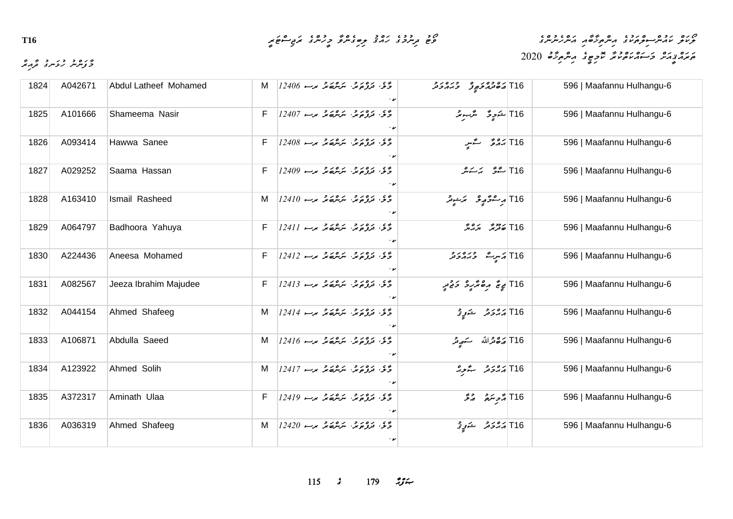*sCw7q7s5w7m< o<n9nOoAw7o< sCq;mAwBoEw7q<m; wBm;vB 2020<sup>, م</sup>وسوق المسجد التحقيق وسرمونية والم*جمع المسجد المسجد المسجد المسجد المسجد المسجد المسجد المسجد المسجد ال

| 1824 | A042671 | Abdul Latheef Mohamed |   | $\textsf{M}$   $12406$ مرسود مرسود $\sim$ $12406$ | T16 كەھە <i>تەكرى قۇيەم قارى</i> ت                                                                   | 596   Maafannu Hulhangu-6 |
|------|---------|-----------------------|---|---------------------------------------------------|------------------------------------------------------------------------------------------------------|---------------------------|
| 1825 | A101666 | Shameema Nasir        | F | 35، تروم تر. تركي تحريب 12407                     | T16 ڪوپوءُ گرسو <i>ب</i> رُ                                                                          | 596   Maafannu Hulhangu-6 |
| 1826 | A093414 | Hawwa Sanee           | F | 33، ئۇۋەتمە. ئىرتىھقى بىر سى 12408                | T16 كەبىر ئەسىر                                                                                      | 596   Maafannu Hulhangu-6 |
| 1827 | A029252 | Saama Hassan          | F | 33، تروم تر. سَرْسْھَ تَرْ سِرِ 12409             | T16 گرگ - پرسکر                                                                                      | 596   Maafannu Hulhangu-6 |
| 1828 | A163410 | Ismail Rasheed        | M | دَّى مَرْوْمَةْ. سَرْسْھَةْ بِرْ - 12410          | T16 م سگھ چو محمد محمد محمد محمد محمد ا                                                              | 596   Maafannu Hulhangu-6 |
| 1829 | A064797 | Badhoora Yahuya       | F | 33، ئۇۋۇتمە شەھەتمە برىسو 12411                   | T16 ھوپٹر پردیگر                                                                                     | 596   Maafannu Hulhangu-6 |
| 1830 | A224436 | Aneesa Mohamed        | F | 35، ئۇۋەتمە. ئىرتىھەتمە ئەسە 12412                | T16 كەسرىسە - ئ <i>ەندە</i> تىر                                                                      | 596   Maafannu Hulhangu-6 |
| 1831 | A082567 | Jeeza Ibrahim Majudee | F | 35، ئۇقۇمۇ. ئىرتىھىم بىر 12413                    | T16   مِي تَمَّ مِرْكَةٍ مِرْكَةٍ وَمِيْتِ مِنْ مِنْ مِيْتِيْنِ مِيْتِيْتِيْتِيْتِيْتِيْتِيْتِيْتِيْ | 596   Maafannu Hulhangu-6 |
| 1832 | A044154 | Ahmed Shafeeg         | M | 33، تروم تر. ترشق تر سه 12414                     | T16 كەنزى ھەر ئى                                                                                     | 596   Maafannu Hulhangu-6 |
| 1833 | A106871 | Abdulla Saeed         | M | 35، ئۇۋە ئەر ئەر ئەھەتمە ئەسە 12416               | T16 كەھىراللە ك <i>ەم</i> بىر                                                                        | 596   Maafannu Hulhangu-6 |
| 1834 | A123922 | Ahmed Solih           | M | 33) مَرْوَمَ مِنْ سَرْسْهَةَ مِنْ 12417           | T16  پزوتر گور                                                                                       | 596   Maafannu Hulhangu-6 |
| 1835 | A372317 | Aminath Ulaa          | F | 35، تروم تر. سَرْسْھَتْمْ بِرِ۔ 12419             | T16 مَّ مِسَمَّى مَى مَحَ                                                                            | 596   Maafannu Hulhangu-6 |
| 1836 | A036319 | Ahmed Shafeeg         | M | 35، تروم تمر شرش تمر سه 12420                     | T16 كەنزىق ش <i>ەر</i> تى                                                                            | 596   Maafannu Hulhangu-6 |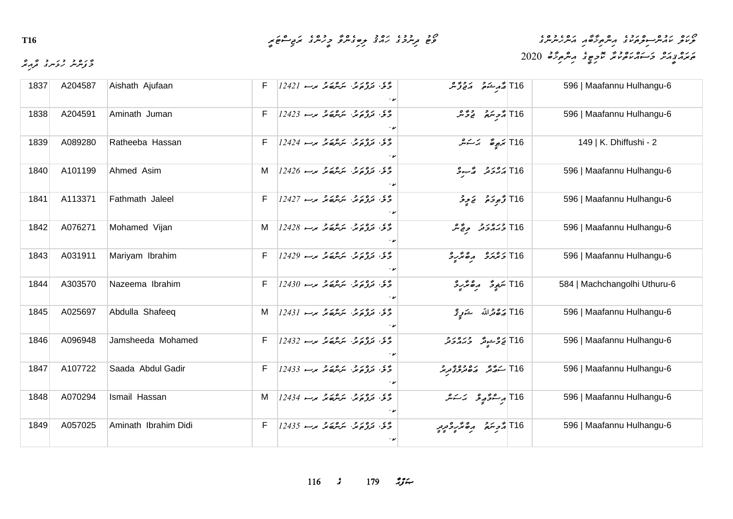*sCw7q7s5w7m< o<n9nOoAw7o< sCq;mAwBoEw7q<m; wBm;vB 2020<sup>, م</sup>وسر در مدد مدرج به مدرم مقرم قرار 2020*<br>موسر المستقرم المستقرم المستقرم المستقرم المستقرم المستقرم المستقرم المستقرم المستقرم المستقرم المستقرم المستقر

| 1837 | A204587 | Aishath Ajufaan      |             | دَّى مَرْوَمِيْ مَرْمُوْمَة بِرَبْ [1242]       | T16 م <i>جْهِ شَوَّة مَوْتَ</i> كُر                   | 596   Maafannu Hulhangu-6    |
|------|---------|----------------------|-------------|-------------------------------------------------|-------------------------------------------------------|------------------------------|
| 1838 | A204591 | Aminath Juman        | F           | 35، ئۇۋەتمە. ئىرتىرى تەرب 12423                 | T16 گەج ئىرىم ئىم قىم ئىس                             | 596   Maafannu Hulhangu-6    |
| 1839 | A089280 | Ratheeba Hassan      | F           | 32، تروم تر. سرچونچر برجا 12424                 | T16 <i>بَرْ<sub>بُ</sub>وِهُ بَرَسَ</i> سُ            | 149   K. Dhiffushi - 2       |
| 1840 | A101199 | Ahmed Asim           | M           | 33، تروم تر. سَرْسْھَ تَرْ سِرِ 12426           | T16 <i>ټرې پېرې</i> ه                                 | 596   Maafannu Hulhangu-6    |
| 1841 | A113371 | Fathmath Jaleel      | F           | 33، مَرْوْمَ مِنْ سَرْسْھَ مِنْ 12427 ]         | T16 وَّجِ دَمَّۃٌ مَحَ مِرْثَۃٌ مِنْ                  | 596   Maafannu Hulhangu-6    |
| 1842 | A076271 | Mohamed Vijan        | M           | 33، ئۇقەتمۇ. ئىر ئەھەتمە ئەسە 12428.            | T16   ج <i>ز پروڈ تو</i> قی ش                         | 596   Maafannu Hulhangu-6    |
| 1843 | A031911 | Mariyam Ibrahim      | F           | 35، ئۇقەتمۇن ئىر ئىھەتمە ئىرسىز 12429           | T16 كابر مركز مركز من المركزيزي.<br>مواليد برامبر     | 596   Maafannu Hulhangu-6    |
| 1844 | A303570 | Nazeema Ibrahim      | F           | 33، تروڅ تر سرسي تر 12430                       | T16 سَمِرِیَ م <i>ِ مِیْ بِرْدِ</i>                   | 584   Machchangolhi Uthuru-6 |
| 1845 | A025697 | Abdulla Shafeeq      | M           | 33) مَرْوْمَ بْمْ. سَرْسْھَ بْمْ سِيْسِدِ 12431 | T16 كەڭداللە ش <i>ەر ۋ</i>                            | 596   Maafannu Hulhangu-6    |
| 1846 | A096948 | Jamsheeda Mohamed    | F           | وي مروري. مركز عرب 12432                        | T16 <sub>ق</sub> ۇخ <sub>و</sub> نۇ كە <i>نەۋەت</i> ۇ | 596   Maafannu Hulhangu-6    |
| 1847 | A107722 | Saada Abdul Gadir    | F           | 33، تروم ج. س س 2433 مرسد 12433                 | T16 سەھەر مەھەر دەم بورى                              | 596   Maafannu Hulhangu-6    |
| 1848 | A070294 | Ismail Hassan        | M           | 35، تروم تر. سَرْسْھَ تَرْ سِرِ 12434           | T16 <sub>م</sub> رىئى <i>مى ئەستىر</i>                | 596   Maafannu Hulhangu-6    |
| 1849 | A057025 | Aminath Ibrahim Didi | $\mathsf F$ | 32ء، تروم پر، سرچھ پر سے 12435                  | T16 مُر <i>ِسَمُ م</i> ِهْ مُرْرِوْمِهِ               | 596   Maafannu Hulhangu-6    |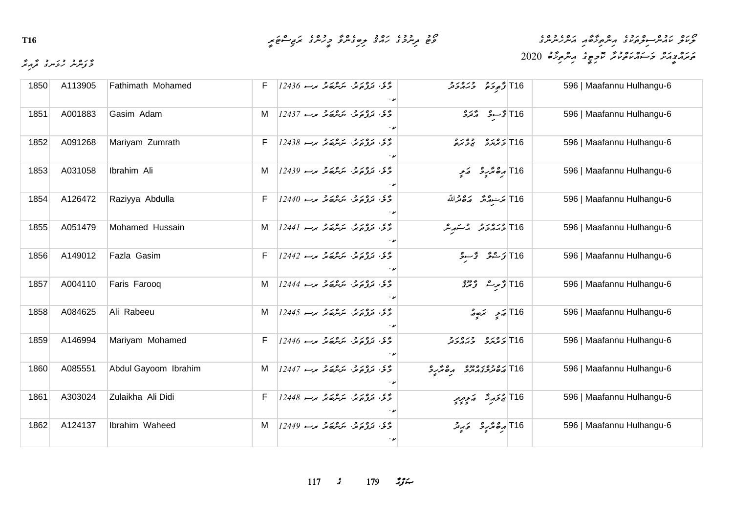*sCw7q7s5w7m< o<n9nOoAw7o< sCq;mAwBoEw7q<m; wBm;vB 2020<sup>, م</sup>وسوق المسجد التحقيق وسرمونية والم*جمع المسجد المسجد المسجد المسجد المسجد المسجد المسجد المسجد المسجد ال

| 1850 | A113905 | Fathimath Mohamed    |             | ۇق، ئوۋەتمە. ئىرىگە ئەتمە 12436                 | T16 <i>وَّجِ دَمَّةَ وَبَرْدُوَدَ</i>                 | 596   Maafannu Hulhangu-6 |
|------|---------|----------------------|-------------|-------------------------------------------------|-------------------------------------------------------|---------------------------|
| 1851 | A001883 | Gasim Adam           | M           | 33، ئۇقۇمۇ. ئىر ئەھم بىر 12437                  | T16 تۇسى <i>ۋە م</i> ۇت <i>رۇ</i>                     | 596   Maafannu Hulhangu-6 |
| 1852 | A091268 | Mariyam Zumrath      | F           | 33، تروم تر. سَرْسْھَ تَرْ 12438                | T16 كەبەرە مەمەدە                                     | 596   Maafannu Hulhangu-6 |
| 1853 | A031058 | Ibrahim Ali          | M           | 35، مَرْقِ جَمْ. سَرْسْھَ يَمْ سِيْءِ 12439]    | T16 م <i>ِرەْ ئ</i> ەرچە ھەمچە                        | 596   Maafannu Hulhangu-6 |
| 1854 | A126472 | Raziyya Abdulla      | F           | 33، ئۇق مۇسى ئىش ئىسى 12440                     | T16 <i>تزىنەۋۇ كەڭ قر</i> اللە                        | 596   Maafannu Hulhangu-6 |
| 1855 | A051479 | Mohamed Hussain      | M           | 33) مَرْوْمَ بْرْ. سَرْسْھَ بْرْ سِيْدِ 12441 ] | T16 <i>ۋىز مىڭ بىر شىر بىر</i>                        | 596   Maafannu Hulhangu-6 |
| 1856 | A149012 | Fazla Gasim          | $\mathsf F$ | 33، مَرْقِ جَمْ. سَرْسْھَ بْمْ سِرْ 12442]      | T16 كَرْشَوْتَر گَرْسَ <i>وْ</i>                      | 596   Maafannu Hulhangu-6 |
| 1857 | A004110 | Faris Farooq         | M           | 33، تروم تر. سَرْسْھَ تَرْ سِمْ 12444 ]         | T16 أُوَّسِرْ مِسْ مَحْرَمَةِ مِسْ                    | 596   Maafannu Hulhangu-6 |
| 1858 | A084625 | Ali Rabeeu           | M           | 33، مَرْقِ جَمْ. سَرْسْھَ بْمْ سِيْءِ 12445]    | T16 کړې تر <i>و</i> ړ                                 | 596   Maafannu Hulhangu-6 |
| 1859 | A146994 | Mariyam Mohamed      | F           | 33، ئۇۋىرى ئىر ھەتكە بىر سىم 12446              | T16 كەبەرە - <i>جەم</i> ەرە                           | 596   Maafannu Hulhangu-6 |
| 1860 | A085551 | Abdul Gayoom Ibrahim | M           | 33، ئۇقۇمۇ. ئىر ئەھم بىر 12447]                 | T16 رەپرەپرەپرە بەھترىر <i>ە</i>                      | 596   Maafannu Hulhangu-6 |
| 1861 | A303024 | Zulaikha Ali Didi    | F           | 33، تروم تر. سَرْسْھَتْرَ بِرَ سِرِ 12448       | T16 <i>ڇ ڏر</i> ڙ <sub>صو</sub> ر                     | 596   Maafannu Hulhangu-6 |
| 1862 | A124137 | Ibrahim Waheed       | M           | 33، تروم تر. سَرْسْھَتْمْ بِرِ۔ 12449           | T16 <sub>مر</sub> ھ تژر پار تھا تھا تھا تھا تھا<br>16 | 596   Maafannu Hulhangu-6 |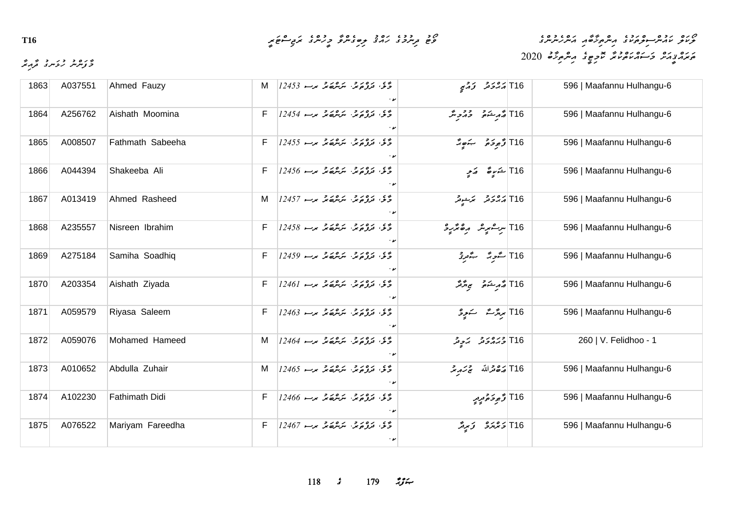*sCw7q7s5w7m< o<n9nOoAw7o< sCq;mAwBoEw7q<m; wBm;vB 2020*<br>*په پوهر وسوډيرونو لومو د موجو د مرمونه* 2020

| 1863 | A037551 | Ahmed Fauzy           | M            | 35، تروم تمر شریع تمرین 12453                                           | T16 كەش <sup>ى</sup> قىرقىي قىلىپى   | 596   Maafannu Hulhangu-6 |
|------|---------|-----------------------|--------------|-------------------------------------------------------------------------|--------------------------------------|---------------------------|
| 1864 | A256762 | Aishath Moomina       | F            | 35، تروم تر. سَرْسْھَتْر برے 12454                                      | T16 م <i>ۇم شۇھ</i> قىم <i>ۇم</i> گر | 596   Maafannu Hulhangu-6 |
| 1865 | A008507 | Fathmath Sabeeha      | F            | 33، مَرْوَة مَرْ سَرْجَة مِرْ 12455                                     | T16 رَّ <sub>ج</sub> وَۃ جَنَّے گَ   | 596   Maafannu Hulhangu-6 |
| 1866 | A044394 | Shakeeba Ali          | F            | 33، تروم تر. سَرْسْھَ تَرْ سِرِ 12456                                   | T16 ڪ <i>نڍڻ چَ</i> جِ               | 596   Maafannu Hulhangu-6 |
| 1867 | A013419 | Ahmed Rasheed         | M            | 33، ئۇقەتمۇ. ئىر ئەھم بىر 12457                                         | T16 كەندى كى مىزىدى كىلەت بىرىدا ئاس | 596   Maafannu Hulhangu-6 |
| 1868 | A235557 | Nisreen Ibrahim       | F            | 35، تروم تر. سَرْسْھَ تَرْ سِرْ 12458                                   | T16 سرے پر شہر مرک <i>ے پڑ</i> ے     | 596   Maafannu Hulhangu-6 |
| 1869 | A275184 | Samiha Soadhiq        | F            | 33، ئۇق ئەرگە ئىر 12459 يىلىد                                           | T16 گوبڈ ج <sup>و</sup> مبر          | 596   Maafannu Hulhangu-6 |
| 1870 | A203354 | Aishath Ziyada        | F            | 3 قرق قرق قرش تر من قراء 12461                                          | T16 م <i>ۇم ھۇمىتى تومۇم</i> گە      | 596   Maafannu Hulhangu-6 |
| 1871 | A059579 | Riyasa Saleem         | F            | 3 قرق قرق قرش شركت قريب 12463                                           | T16 برتر شمور سکوری                  | 596   Maafannu Hulhangu-6 |
| 1872 | A059076 | Mohamed Hameed        | M            | 35، تروم تر. سَرْسْھَ تَرْ سِــدِ 12464                                 | T16 <i>\$ن\$دقر برونز</i>            | 260   V. Felidhoo - 1     |
| 1873 | A010652 | Abdulla Zuhair        | M            | $ 12465\rangle$ حَرَّقَ مَرْتَوَىمَ. سَرْسَعَةَ حَمَّدَ حَمَّدَ حَمَّدَ | T16 كَدَّهْ قَرْاللَّهُ مَجْرَمِيْرٌ | 596   Maafannu Hulhangu-6 |
| 1874 | A102230 | <b>Fathimath Didi</b> | $\mathsf{F}$ | 33، ئۇۋىتى: ئىر ئۇھەتمە بىر سە 12466                                    | T16   <i>وَّ وِ دَ وُدِيدٍ</i>       | 596   Maafannu Hulhangu-6 |
| 1875 | A076522 | Mariyam Fareedha      | F            | 35، تروم تر. سَرْسْھَ تَرْ سِرِ 12467                                   | T16   <i>5 پر پر بو تو بو</i> تگ     | 596   Maafannu Hulhangu-6 |

#### *n8o<n@ qC7m:q5 q7w7m?n>*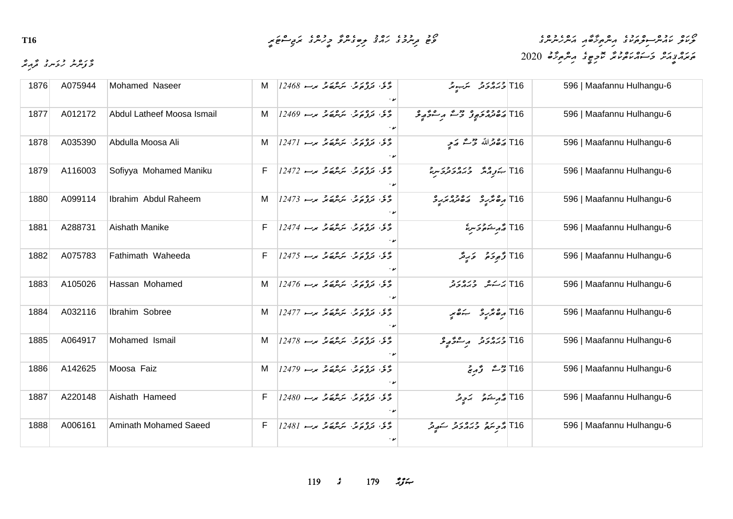*sCw7q7s5w7m< o<n9nOoAw7o< sCq;mAwBoEw7q<m; wBm;vB 2020<sup>, م</sup>وسود المستقطعة المستقطعة وسترم تقطعة والم*ستقطعة والمستقطعة والمستقطعة والمستقطعة والمستقطعة والمستقطعة وال

| 1876 | A075944 | Mohamed Naseer               | м | 33، ئۇۋىر. ئىر ھەكرىمە 12468                | T16 <i>ۇنەۋى تۇببون</i> گە                                         | 596   Maafannu Hulhangu-6 |
|------|---------|------------------------------|---|---------------------------------------------|--------------------------------------------------------------------|---------------------------|
| 1877 | A012172 | Abdul Latheef Moosa Ismail   | M | 33، مَرْوْمَ مْرْ. سَرْسْھَ مْرْ سِرْ 12469 | T16 رەدەر <sub>خوب</sub> ۇ ب <sup>و</sup> ڭ م <sup>ىل</sup> دۇم بۇ | 596   Maafannu Hulhangu-6 |
| 1878 | A035390 | Abdulla Moosa Ali            | м | 33، تروم 3. س س 2471 [1247]                 | T16 كَدَهْتَرْاللَّهُ    قُرْتُ   كَدَمِرِ                         | 596   Maafannu Hulhangu-6 |
| 1879 | A116003 | Sofiyya Mohamed Maniku       | F | 33، تروم 3. س مردم كر 12472                 | T16 بتوروش ورەرورىدە                                               | 596   Maafannu Hulhangu-6 |
| 1880 | A099114 | Ibrahim Abdul Raheem         | M | 32 كۇن مەدرە بىر قاندىن ئىسىم 12473         | T16 مەھمەر مەھەممەر 2                                              | 596   Maafannu Hulhangu-6 |
| 1881 | A288731 | Aishath Manike               | F | 33، تروم 3. س س 2474 / 12474                | T16 گەمەشەمۇ5 مىر <i>ىئ</i>                                        | 596   Maafannu Hulhangu-6 |
| 1882 | A075783 | Fathimath Waheeda            | F | 33، مَرْوْحَةِ. سَرْحَقَةَ مِرْ - 12475     | T16 رَّج <i>ِ دَمَ</i> ءَرِمَّ <i>رُ</i>                           | 596   Maafannu Hulhangu-6 |
| 1883 | A105026 | Hassan Mohamed               | M | $12476$ مَرْقَ مِنْ سَرْحَدَ مِنْ 12476     | T16   ئەسەھرە ئەيرە ئەر                                            | 596   Maafannu Hulhangu-6 |
| 1884 | A032116 | Ibrahim Sobree               | M | $12477$ كور موسى بوسى 12477 كى              | T16 مەھم <i>گې</i> رۇ س <i>ەھى</i> ر                               | 596   Maafannu Hulhangu-6 |
| 1885 | A064917 | Mohamed Ismail               | M | 33، تروم 3. س س 2478                        | T16 <i>32825 بەشۇم</i> ۇ                                           | 596   Maafannu Hulhangu-6 |
| 1886 | A142625 | Moosa Faiz                   | M | 33، مَرْوَى مَرْسُوْمَ مِنْ 12479           | T16 تخریج گ <i>ور</i> ی                                            | 596   Maafannu Hulhangu-6 |
| 1887 | A220148 | Aishath Hameed               | F | رَّدَى، مَرْوْجَةٍ. سَرْسْھَةْ يَرْبِ 12480 | T16 م <i>جْهِيشَمْ بَرْدِيْرْ</i>                                  | 596   Maafannu Hulhangu-6 |
| 1888 | A006161 | <b>Aminath Mohamed Saeed</b> | F | 33، تروم تر. ترشھ تر سے 12481               | T16 رُوسَمَ وَرَدُومَ سَهرتُ                                       | 596   Maafannu Hulhangu-6 |

#### *n8o<n@ qC7m:q5 q7w7m?n>*

*119 sC 179 nNw?mS*

*.k*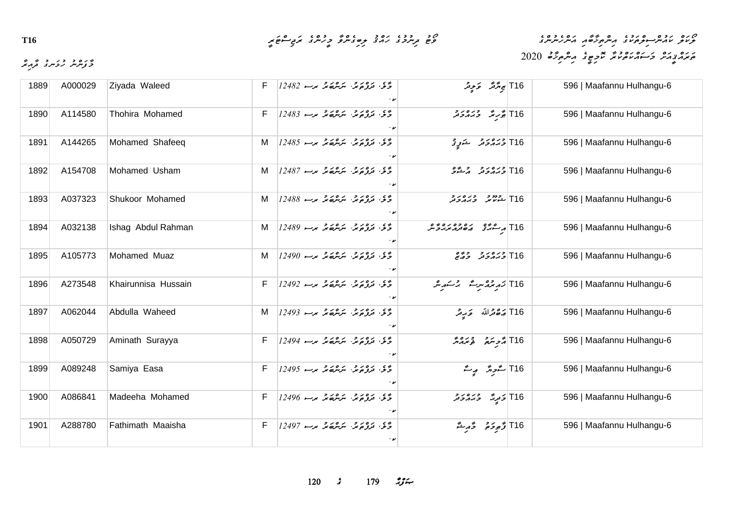*sCw7q7s5w7m< o<n9nOoAw7o< sCq;mAwBoEw7q<m; wBm;vB 2020<sup>, م</sup>وسر در مدد مدرج به مدرم مقرم قرار 2020*<br>موسر المستقرم المستقرم المستقرم المستقرم المستقرم المستقرم المستقرم المستقرم المستقرم المستقرم المستقرم المستقر

| 1889 | A000029 | Ziyada Waleed       | F | 33، نروم تى. ئىرتىش تىر بىر 12482                   | T16 <sub>مج</sub> مَّدَّ وَمِيْرَ         | 596   Maafannu Hulhangu-6 |
|------|---------|---------------------|---|-----------------------------------------------------|-------------------------------------------|---------------------------|
| 1890 | A114580 | Thohira Mohamed     | F | 33، تروم تر. س س 2483 مرسد 12483                    | T16 يُورِيَّ - وَيَرْدُونَرُ              | 596   Maafannu Hulhangu-6 |
| 1891 | A144265 | Mohamed Shafeeq     | M | 33، مَرْقِ جَمْ. سَرْسْھَ يَمْ سِيْءَ 12485         | T16  <i>3،25 مىنو</i> تى                  | 596   Maafannu Hulhangu-6 |
| 1892 | A154708 | Mohamed Usham       | M | 33، مَرْقِ جَمْ. سَرْسْھَ بْمْ سِرْ 12487 ]         | T16 تر بروتر برخو                         | 596   Maafannu Hulhangu-6 |
| 1893 | A037323 | Shukoor Mohamed     | M | 33، تروم 3. س س 288 مرسد 12488                      | T16 يەمىر بەربەر دىر                      | 596   Maafannu Hulhangu-6 |
| 1894 | A032138 | Ishag Abdul Rahman  | M | 33، مَرْقِ جَمْ. سَرْسْھَ يَمْ سِرْ 12489           | T16 رے پڑہ دہ دہ دہ محمد اللہ علیہ اللہ ا | 596   Maafannu Hulhangu-6 |
| 1895 | A105773 | Mohamed Muaz        | м | 33، تروم تر. سَرْسْھَ تَرْ سِرِ 12490               | T16 <i>جەممى ھەم</i> ى                    | 596   Maafannu Hulhangu-6 |
| 1896 | A273548 | Khairunnisa Hussain | F | 33، تروم 3. س ھەتمە برسە 12492                      | T16 كەرگە مەس ئەسىر بىر ئىككە بىر         | 596   Maafannu Hulhangu-6 |
| 1897 | A062044 | Abdulla Waheed      | M | 33، مَرْقِ جَيْنَ سَرْسْھَ بِمْ سِيْنَ 12493.<br>٠, | T16 كەچ قىراللە     كەبرىتر               | 596   Maafannu Hulhangu-6 |
| 1898 | A050729 | Aminath Surayya     | F | 33 <sup>,</sup> تروم تر شهره تر 12494               | T16 مَّ مِسَعَ <sub>مِ</sub> مُحَمَّدَةً  | 596   Maafannu Hulhangu-6 |
| 1899 | A089248 | Samiya Easa         | F | 33، مَرْقِ جَمْ. سَرْسْھَ يَمْ سِيْءَ 12495         | T16 گروگر ہ <i>و</i> گ                    | 596   Maafannu Hulhangu-6 |
| 1900 | A086841 | Madeeha Mohamed     | F | 33، ئۇق ئەڭ ئىر ئەھقىر بىر يە 12496                 | T16  وَمِرِيَّ - وَبَرَهُ وَمَرْ          | 596   Maafannu Hulhangu-6 |
| 1901 | A288780 | Fathimath Maaisha   | F | 32، تروم تر. سرچونچر برجا 12497                     | T16 رَّجِ <i>دَمَ تَجْ</i> رِيثَةَ        | 596   Maafannu Hulhangu-6 |

#### *n8o<n@ qC7m:q5 q7w7m?n>*

*120 s 179 <i>n*<sub>3</sub> *n*<sub>3</sub>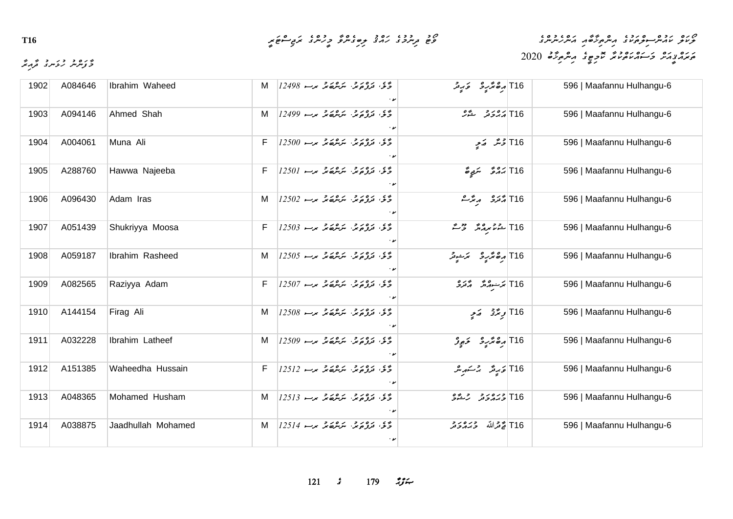*sCw7q7s5w7m< o<n9nOoAw7o< sCq;mAwBoEw7q<m; wBm;vB* م من المسجد المسجد المسجد المسجد المسجد العام 2020<br>مسجد المسجد المسجد المسجد المسجد المسجد المسجد المسجد المسجد ال

| 1902 | A084646 | Ibrahim Waheed     | м            | تَرَبَّى، مَرْوَةٍ بِرَ. سَرْسُرْھَ بَرْ سِيَ 12498] | T16 م <i>وڭ ئۇر</i> بۇ ھەرپىر            | 596   Maafannu Hulhangu-6 |
|------|---------|--------------------|--------------|------------------------------------------------------|------------------------------------------|---------------------------|
| 1903 | A094146 | Ahmed Shah         | M            | 3ء، ترویزی شریف تھ سے 12499                          | T16  پَرُوُتْرُ شَرُّرُ                  | 596   Maafannu Hulhangu-6 |
| 1904 | A004061 | Muna Ali           | $\mathsf{F}$ | 33، ترۇم تىر. تىرىش قىر سە 12500                     | T16 تح <sup>می</sup> کھیے                | 596   Maafannu Hulhangu-6 |
| 1905 | A288760 | Hawwa Najeeba      | $\mathsf F$  | 33، ئۇۋەتمە. ئىرتىھ تەرىپە 12501                     | T16 كەند <i>ۇ</i> سىرى ھ                 | 596   Maafannu Hulhangu-6 |
| 1906 | A096430 | Adam Iras          | M            | 35، ئۇق مۇسى ئىش ئىسى 12502                          | T16 گەنىزى مەنگەشە                       | 596   Maafannu Hulhangu-6 |
| 1907 | A051439 | Shukriyya Moosa    | F            | 33، ئۇۋەتمە. ئىرتىھەتمە بىر سە 12503                 | $23$ $322$ $-116$                        | 596   Maafannu Hulhangu-6 |
| 1908 | A059187 | Ibrahim Rasheed    | M            | 33، ئۇۋەتمە. ئىرتىھ تەرىپە 12505                     | T16 م <i>وڭ ئۇرۇ مۇ</i> خوش              | 596   Maafannu Hulhangu-6 |
| 1909 | A082565 | Raziyya Adam       | F            | 33، تروم تر. تركي تحريب 12507                        | T16 بَرَسَ <i>، مُمَّة مُمَّرَّد</i>     | 596   Maafannu Hulhangu-6 |
| 1910 | A144154 | Firag Ali          | M            | 33، تروڅ تر سرچي تر سه 12508                         | T16 <i>وِمُرَّدِّ - مَ</i> حِ            | 596   Maafannu Hulhangu-6 |
| 1911 | A032228 | Ibrahim Latheef    | M            | 33، تروْءَ تْمْ. سَرْسْھَ تْمْ يْمْسْدْ 12509.       | T16 بر <i>ے نگرد</i> ی تحجی <sup>9</sup> | 596   Maafannu Hulhangu-6 |
| 1912 | A151385 | Waheedha Hussain   | $\mathsf{F}$ | دى، تروم چې سرچىق برسە 12512                         | T16 كەرپىگە مىمىكەرىكە                   | 596   Maafannu Hulhangu-6 |
| 1913 | A048365 | Mohamed Husham     | M            | 33، ئۇۋەتمە. ئىرتىھەتمە ئەسە 12513.                  | T16 وَرَدُودَ رَحْدُوْ                   | 596   Maafannu Hulhangu-6 |
| 1914 | A038875 | Jaadhullah Mohamed | M            | 33، مَرْوْمَ مِنْ سَرْسْھَ مِنْ 12514 ]              | T16 قَ25 مَرَ اللّه حَ بَرَ جَرَحَ مَرَ  | 596   Maafannu Hulhangu-6 |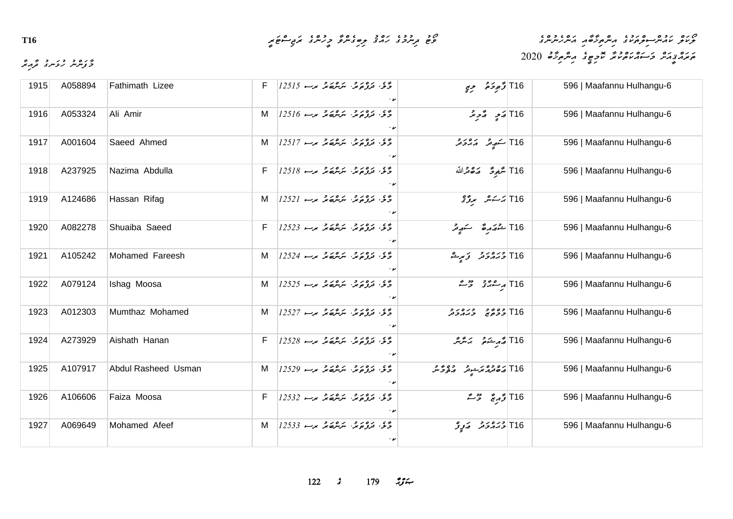*sCw7q7s5w7m< o<n9nOoAw7o< sCq;mAwBoEw7q<m; wBm;vB 2020<sup>, م</sup>وسوق المسجد التحقيق وسرمونية والم*جمع المسجد المسجد المسجد المسجد المسجد المسجد المسجد المسجد المسجد ال

| 1915 | A058894 | Fathimath Lizee     | F            | 33، تروپر ترشق پر 12515                       | T16 <i>وُهِ وَهُ</i> مِي                            | 596   Maafannu Hulhangu-6 |
|------|---------|---------------------|--------------|-----------------------------------------------|-----------------------------------------------------|---------------------------|
| 1916 | A053324 | Ali Amir            | M            | 33، تروم تر س سره مرسو 12516                  | T16 کړې گ <i>ړې</i> گ                               | 596   Maafannu Hulhangu-6 |
| 1917 | A001604 | Saeed Ahmed         | M            | 33، مَرْوْحَةٍ. سَرْحَقَةٌ مِرْ - 12517]      | T16 س <i>َمومڈ مَدْوَمْد</i>                        | 596   Maafannu Hulhangu-6 |
| 1918 | A237925 | Nazima Abdulla      | $\mathsf{F}$ | 33، مَرْوْحَةٍ. سَرْسْھَةٌ بِرَبِّ 12518      | T16 سَمْع <i>ودٌ مَ</i> صْحَراللّه                  | 596   Maafannu Hulhangu-6 |
| 1919 | A124686 | Hassan Rifag        | M            | 33، تروم 3. ترم هند 12521                     | T16   پرسٹر مرو <i>گی</i>                           | 596   Maafannu Hulhangu-6 |
| 1920 | A082278 | Shuaiba Saeed       | $\mathsf{F}$ | 33، مَرْوْحَة. سَرْجَعَة مِرْ 12523.          | T16 ش <i>ەمەم ھەمەم</i> گە                          | 596   Maafannu Hulhangu-6 |
| 1921 | A105242 | Mohamed Fareesh     | M            | 35، مَرْقِ جَمْ. سَرْسْھَ يَمْ سِرْ 12524.    | T16 <i>\$نەۋى ق</i> ىرى                             | 596   Maafannu Hulhangu-6 |
| 1922 | A079124 | Ishag Moosa         | M            | 35، تروم تى. ترتىش تىر 12525                  | T16 برگ <sup>م</sup> گر میں تھ                      | 596   Maafannu Hulhangu-6 |
| 1923 | A012303 | Mumthaz Mohamed     | M            | 33، مَرْوَى مِنْ سَرْحَاصَ مِنْ 12527         | T16 <i>دەپى دېرەر</i> د                             | 596   Maafannu Hulhangu-6 |
| 1924 | A273929 | Aishath Hanan       | F            | 33، مَرْوْحَةَ سَرْحَقَةَ مِرْ - 12528        | T16 م <i>مَّ مِ</i> شَمَّع سَمَّ سَمَّد <i>ُ ال</i> | 596   Maafannu Hulhangu-6 |
| 1925 | A107917 | Abdul Rasheed Usman | M            | 35) مَرْوْمَ بْمْ. سَرْسْھَ بْمْ سِــو 12529] | T16 كەھەركە <i>خىرى ھەۋ</i> رىتر                    | 596   Maafannu Hulhangu-6 |
| 1926 | A106606 | Faiza Moosa         | $\mathsf F$  | 33، تروم تر. سَرْسْھَ تَرْ سِرْ 12532]        | $23$ وَرِجَ $5$                                     | 596   Maafannu Hulhangu-6 |
| 1927 | A069649 | Mohamed Afeef       | M            | 33، تروم تر. ترشھ تر سے 12533]                | T16 <i>5 تەۋەقىلىر بۇ تۇ</i> تۇ                     | 596   Maafannu Hulhangu-6 |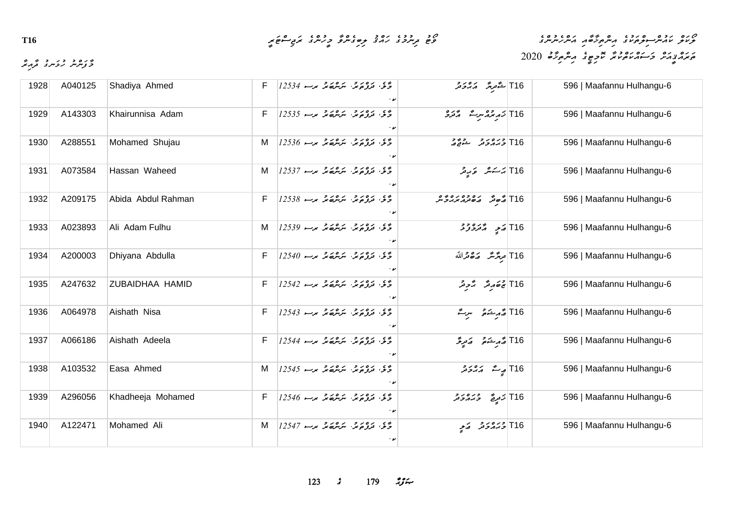*sCw7q7s5w7m< o<n9nOoAw7o< sCq;mAwBoEw7q<m; wBm;vB 2020<sup>, م</sup>وسوق المسجد التحقيق وسرمونية والم*جمع المسجد المسجد المسجد المسجد المسجد المسجد المسجد المسجد المسجد ال

#### *n8o<n@ qC7m:q5 q7w7m?n>*

| 1928 | A040125 | Shadiya Ahmed          | F            | 33) تروم تر. سَرْسُ مَعْرَ بِرِ - 12534        | T16 ڪوبر <i>گ پردگ</i> وگر                | 596   Maafannu Hulhangu-6 |
|------|---------|------------------------|--------------|------------------------------------------------|-------------------------------------------|---------------------------|
| 1929 | A143303 | Khairunnisa Adam       | F            | 35، تروپر برمۇن برسە 12535                     | T16 ئەرىرگەس ئەسىر ئەردى                  | 596   Maafannu Hulhangu-6 |
| 1930 | A288551 | Mohamed Shujau         | M            | 35، ئۇۋەتمە. ئىرتىھەتمە ئىسە 12536             | T16 <i>وُبَهُ وَبُوْرٍ مُسْتَقَ</i> هُ    | 596   Maafannu Hulhangu-6 |
| 1931 | A073584 | Hassan Waheed          | M            | 33) قرقوم شرق مراجع المحمد المحمد 12537        | T16   يَرْسَسْ _ حَ بِرِسْ                | 596   Maafannu Hulhangu-6 |
| 1932 | A209175 | Abida Abdul Rahman     | F            | 33، تروم تر. سَرْسْھَ تَرْ 12538               | T16 جُرْحِة مُصْرِمْ مُرْمَدِ مِنْ        | 596   Maafannu Hulhangu-6 |
| 1933 | A023893 | Ali Adam Fulhu         | M            | 33) مَرْوْحَة. سَرْجَعَة بِرَبِّ 12539         | T16 كەمىي مەترى <i>33 قى</i>              | 596   Maafannu Hulhangu-6 |
| 1934 | A200003 | Dhiyana Abdulla        | $\mathsf{F}$ | 33، ئۇق ئۇس ئىس ئەترىپ ئ                       | T16 مرتزنتر كەھەراللە                     | 596   Maafannu Hulhangu-6 |
| 1935 | A247632 | <b>ZUBAIDHAA HAMID</b> | $\mathsf{F}$ | 32، ئۇۋەتمە شرىق ئەسىر 12542                   | T16 تح <i>قه بنگر</i> بگ <sup>و</sup> مگر | 596   Maafannu Hulhangu-6 |
| 1936 | A064978 | Aishath Nisa           | F            | 32، ئۇۋەتمە شرىھىم بىر 12543                   | T16 مُرمِشَعُ سِرْءٌ                      | 596   Maafannu Hulhangu-6 |
| 1937 | A066186 | Aishath Adeela         | $\mathsf F$  | 33، مَرْوَمَ بْمْ. سَرْسْرْھَ بْمْ سِـدِ 12544 | T16 مَگْرِسْتَمْ مَگْرِمَّة مِنْ          | 596   Maafannu Hulhangu-6 |
| 1938 | A103532 | Easa Ahmed             | M            | 35، تروم تر. سَرْسْھَ تَرْ سِرِ 12545          | T16 <sub>جو</sub> ت پر پروتر              | 596   Maafannu Hulhangu-6 |
| 1939 | A296056 | Khadheeja Mohamed      | F            | 35، تروم تمر سرچونجر برسو 12546                | T16 زَمرِيَّ دُبَرُدُدَرْ                 | 596   Maafannu Hulhangu-6 |
| 1940 | A122471 | Mohamed Ali            | M            | 35، تروم تر. سرچونجر برجا 12547                | T16  <i>وُبَہُ وَبُوٹھ کی یا</i>          | 596   Maafannu Hulhangu-6 |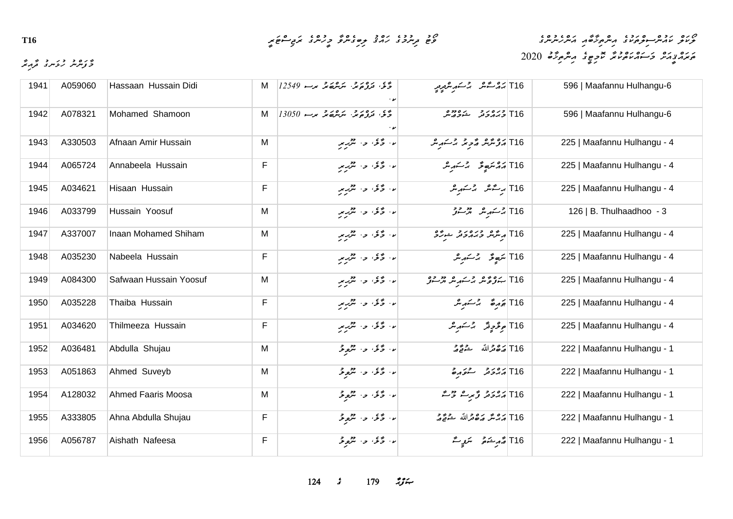*sCw7q7s5w7m< o<n9nOoAw7o< sCq;mAwBoEw7q<m; wBm;vB 2020<sup>, م</sup>وسوق المسجد التحقيق وسرمونية والم*جمع المسجد المسجد المسجد المسجد المسجد المسجد المسجد المسجد المسجد ال

## *n8o<n@ qC7m:q5 q7w7m?n>*

| 1941 | A059060 | Hassaan Hussain Didi      | M            | ۇق، يروپرى. ئىرتىھ تىر يىسى 12549. | T16   پَرُمْ سُمَّسْ بِرْسَمبِ سُرْمِرِمْرِ | 596   Maafannu Hulhangu-6   |
|------|---------|---------------------------|--------------|------------------------------------|---------------------------------------------|-----------------------------|
| 1942 | A078321 | Mohamed Shamoon           | M            | 33، تروڅ تر سرش تھ پر سه 13050     | T16 ديرويو خوړه ش                           | 596   Maafannu Hulhangu-6   |
| 1943 | A330503 | Afnaan Amir Hussain       | M            | لا د څخه د انگرېز                  | T16 كەنۇبىرىگە ھەجەمىر شەرىبىر              | 225   Maafannu Hulhangu - 4 |
| 1944 | A065724 | Annabeela Hussain         | F            | لا د څخه د انگرېز                  | T16 <i>مَمْهُ مَعِوَّة حُسَوبِيْر</i>       | 225   Maafannu Hulhangu - 4 |
| 1945 | A034621 | Hisaan Hussain            | F            | لا : وَنَحْرُ أو : الكريمي         | T16 برتے شہر پر شہر شر                      | 225   Maafannu Hulhangu - 4 |
| 1946 | A033799 | Hussain Yoosuf            | M            | پارسمجنۍ او انگرېبور               | T16 پرسے پر میر میں تھر میں تھا۔<br>ا       | 126   B. Thulhaadhoo - 3    |
| 1947 | A337007 | Inaan Mohamed Shiham      | M            | بالأرمح في الأراسي                 | T16 م <i>ېنگىل ۋىزمۇقۇ</i> خې <i>رگ</i> ۇ   | 225   Maafannu Hulhangu - 4 |
| 1948 | A035230 | Nabeela Hussain           | $\mathsf{F}$ | مارکچي او انگريز                   | T16 سَھِعٌ پُرِ سَ <sub>مَ</sub> رِ شَر     | 225   Maafannu Hulhangu - 4 |
| 1949 | A084300 | Safwaan Hussain Yoosuf    | M            | لا المحتى الماء التوريد            | T16 بے <i>وگر میں چے ہہ میں جو ح</i> و      | 225   Maafannu Hulhangu - 4 |
| 1950 | A035228 | Thaiba Hussain            | $\mathsf F$  | لاستخرق وسترميز                    | T16 يَحدِرُّ شَرْبَرْ مِرْ مِرْ             | 225   Maafannu Hulhangu - 4 |
| 1951 | A034620 | Thilmeeza Hussain         | $\mathsf{F}$ | لا : د محمد الله و المعرض الله الس | T16 موقرمونٹر کے ش <i>ہر</i> شر             | 225   Maafannu Hulhangu - 4 |
| 1952 | A036481 | Abdulla Shujau            | M            | الا المحكى المالي المعجوم          | T16 مَرْدُوْرَاللَّهُ شَوْقَ <sub>هُ</sub>  | 222   Maafannu Hulhangu - 1 |
| 1953 | A051863 | Ahmed Suveyb              | M            | لا د څخه د شمېرو                   | T16 كەبرى ئىر ئىقدىم                        | 222   Maafannu Hulhangu - 1 |
| 1954 | A128032 | <b>Ahmed Faaris Moosa</b> | M            | پارستخوا در انتزه و                | T16  زیروتر ڈیرٹ ڈیٹ                        | 222   Maafannu Hulhangu - 1 |
| 1955 | A333805 | Ahna Abdulla Shujau       | F            | لا المحتى الله المعروفي            | T16 كَدَيْرَ مَرَّدْ مَرْاللَّه شَوْقَ مَرْ | 222   Maafannu Hulhangu - 1 |
| 1956 | A056787 | Aishath Nafeesa           | F            | پارستخوا دار انگرېز کې             | T16 <i>۾ مرڪنو سرپ</i> گ                    | 222   Maafannu Hulhangu - 1 |

*124 s 179 <i>n*<sub>2</sub> *n*<sub>2</sub>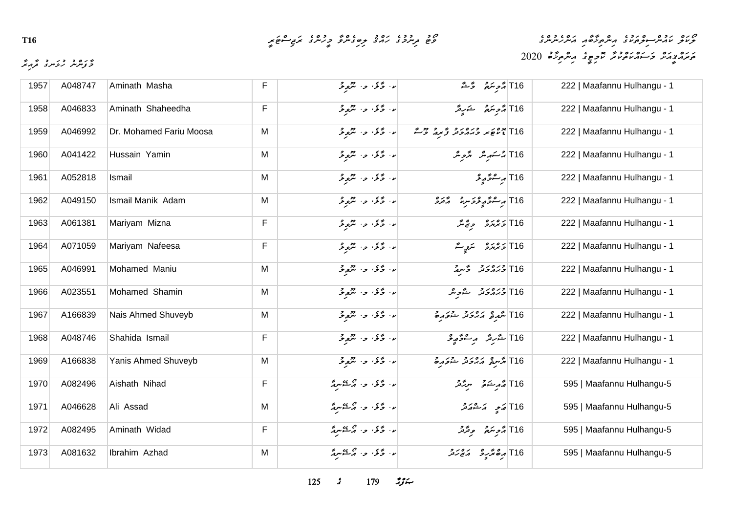*sCw7q7s5w7m< o<n9nOoAw7o< sCq;mAwBoEw7q<m; wBm;vB 2020*<br>*په پوهر وسوډيرونو لومو د موجو د مرمونه* 2020

| A048747 | Aminath Masha           | F           | لا د څخه د شمونو                                                                                                |  | 222   Maafannu Hulhangu - 1                                                                                                                                                                                                                                                                                                                                                                                                                                                                                                                                                                                                                                                   |
|---------|-------------------------|-------------|-----------------------------------------------------------------------------------------------------------------|--|-------------------------------------------------------------------------------------------------------------------------------------------------------------------------------------------------------------------------------------------------------------------------------------------------------------------------------------------------------------------------------------------------------------------------------------------------------------------------------------------------------------------------------------------------------------------------------------------------------------------------------------------------------------------------------|
| A046833 | Aminath Shaheedha       | F           | الأراقيمي والمتموفى                                                                                             |  | 222   Maafannu Hulhangu - 1                                                                                                                                                                                                                                                                                                                                                                                                                                                                                                                                                                                                                                                   |
| A046992 | Dr. Mohamed Fariu Moosa | M           | لا د څخه د شود                                                                                                  |  | 222   Maafannu Hulhangu - 1                                                                                                                                                                                                                                                                                                                                                                                                                                                                                                                                                                                                                                                   |
| A041422 | Hussain Yamin           | M           | الأرمح في الأراد في المحمد                                                                                      |  | 222   Maafannu Hulhangu - 1                                                                                                                                                                                                                                                                                                                                                                                                                                                                                                                                                                                                                                                   |
| A052818 | Ismail                  | M           | الا الحكي والتمولي                                                                                              |  | 222   Maafannu Hulhangu - 1                                                                                                                                                                                                                                                                                                                                                                                                                                                                                                                                                                                                                                                   |
| A049150 | Ismail Manik Adam       | M           | $\frac{3}{2}$ لا : د د د شروعي کل                                                                               |  | 222   Maafannu Hulhangu - 1                                                                                                                                                                                                                                                                                                                                                                                                                                                                                                                                                                                                                                                   |
| A061381 | Mariyam Mizna           | F           | الا الحكي والتمولي                                                                                              |  | 222   Maafannu Hulhangu - 1                                                                                                                                                                                                                                                                                                                                                                                                                                                                                                                                                                                                                                                   |
| A071059 | Mariyam Nafeesa         | $\mathsf F$ | الا الحكى الاستعجاب                                                                                             |  | 222   Maafannu Hulhangu - 1                                                                                                                                                                                                                                                                                                                                                                                                                                                                                                                                                                                                                                                   |
| A046991 | Mohamed Maniu           | M           | الا د څخه د اسمدونو                                                                                             |  | 222   Maafannu Hulhangu - 1                                                                                                                                                                                                                                                                                                                                                                                                                                                                                                                                                                                                                                                   |
| A023551 | Mohamed Shamin          | M           | الأرمح في الأراد في المحمد                                                                                      |  | 222   Maafannu Hulhangu - 1                                                                                                                                                                                                                                                                                                                                                                                                                                                                                                                                                                                                                                                   |
| A166839 | Nais Ahmed Shuveyb      | M           | پارستخوا دار میتوانی                                                                                            |  | 222   Maafannu Hulhangu - 1                                                                                                                                                                                                                                                                                                                                                                                                                                                                                                                                                                                                                                                   |
| A048746 | Shahida Ismail          | F           | $\left  \begin{array}{cc} 2 & 22 \\ 2 & 3 \end{array} \right $ ر - سرهای تر                                     |  | 222   Maafannu Hulhangu - 1                                                                                                                                                                                                                                                                                                                                                                                                                                                                                                                                                                                                                                                   |
| A166838 | Yanis Ahmed Shuveyb     | M           | $\frac{3}{2}$ لا، د د د سره د $\frac{3}{2}$                                                                     |  | 222   Maafannu Hulhangu - 1                                                                                                                                                                                                                                                                                                                                                                                                                                                                                                                                                                                                                                                   |
| A082496 | Aishath Nihad           | $\mathsf F$ | لا د محمود او محمد مسلم محمد المسلم محمد المسلم محمود المسلم محمد المسلم محمد المسلم معلم محمد المسلم معلم محمد |  | 595   Maafannu Hulhangu-5                                                                                                                                                                                                                                                                                                                                                                                                                                                                                                                                                                                                                                                     |
| A046628 | Ali Assad               | M           | لا د محمود او مشتر می کند که مردم                                                                               |  | 595   Maafannu Hulhangu-5                                                                                                                                                                                                                                                                                                                                                                                                                                                                                                                                                                                                                                                     |
| A082495 | Aminath Widad           | F           | لا د محمود او مشتر می کند                                                                                       |  | 595   Maafannu Hulhangu-5                                                                                                                                                                                                                                                                                                                                                                                                                                                                                                                                                                                                                                                     |
| A081632 | Ibrahim Azhad           | M           | لا د محمود او مشتر می کند                                                                                       |  | 595   Maafannu Hulhangu-5                                                                                                                                                                                                                                                                                                                                                                                                                                                                                                                                                                                                                                                     |
|         |                         |             |                                                                                                                 |  | T16 أ <i>مَّ وِسَمَّة</i> كَسَمَّ<br>T16 مَّ حِ سَمَعَ حَسَنِ مَّ<br>T16 يوه يو درور تر تر بره ديم.<br>T16 ترسَمبِ شَرْحِ مُدَّرِ مِثْرِ<br>T16 <sub>م</sub> رشۇم <sub>ۇ</sub> ئىس<br>T16 <sub>م</sub> ر <i>شۇر قۇس بىر مەندى</i><br>T16 كەبىر بىر بىر يىلىسى بىر ئاسىس<br>T16 كەيمەر ئىمى <i>لى</i> سىگە<br>T16 3222 مسمد<br>T16 <i>وُبَرُوْدُوْ</i> حُومِرُ<br>T16 سُمِيش مَ <i>. دُوَنْدَ</i> حُقُوَمِ صَحْبَ<br>T16 ڪري <i>گ م</i> يڪ <i>وي</i> و<br>T16 مُرْسِعْ, مَ <sup>ر</sup> ْدَدَتْر سْمُوَمِر <i>ْ</i><br>T16 م <i>مَّدِ مِنْ</i> مَعَ مِ <i>بِرْتَدُ</i><br>T16 <i>جَرِي جَـَـَمُحَمَّدَ</i><br>T16 مُرْحِسَمُ وِمُرْمَرُ<br>T16 <sub>مو</sub> ھ پژر پر مذہبر تھ |

*125 sC 179 nNw?mS*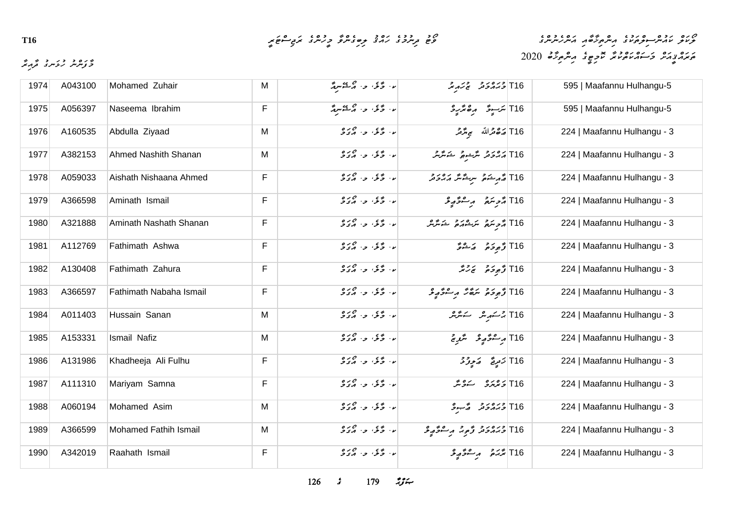*sCw7q7s5w7m< o<n9nOoAw7o< sCq;mAwBoEw7q<m; wBm;vB 2020<sup>, م</sup>وسر در مدد مدرج به مدرم مقرم قرار 2020*<br>موسر المستقرم المستقرم المستقرم المستقرم المستقرم المستقرم المستقرم المستقرم المستقرم المستقرم المستقرم المستقر

| A043100 | Mohamed Zuhair              | M | لا د محمود او محمد محمد معرضات المحمد |                    | 595   Maafannu Hulhangu-5                                                                                                                                                                                                                                                                                                                                                                                                                                                                                                                                                                                                                                                    |
|---------|-----------------------------|---|---------------------------------------|--------------------|------------------------------------------------------------------------------------------------------------------------------------------------------------------------------------------------------------------------------------------------------------------------------------------------------------------------------------------------------------------------------------------------------------------------------------------------------------------------------------------------------------------------------------------------------------------------------------------------------------------------------------------------------------------------------|
| A056397 | Naseema Ibrahim             | F | لا د کال د اکستگیرد کا                |                    | 595   Maafannu Hulhangu-5                                                                                                                                                                                                                                                                                                                                                                                                                                                                                                                                                                                                                                                    |
| A160535 | Abdulla Ziyaad              | M | ، د څو، د ، د ده                      |                    | 224   Maafannu Hulhangu - 3                                                                                                                                                                                                                                                                                                                                                                                                                                                                                                                                                                                                                                                  |
| A382153 | <b>Ahmed Nashith Shanan</b> | M | لا د څخه د کاره                       |                    | 224   Maafannu Hulhangu - 3                                                                                                                                                                                                                                                                                                                                                                                                                                                                                                                                                                                                                                                  |
| A059033 | Aishath Nishaana Ahmed      | F | لا د څخه د کاره                       |                    | 224   Maafannu Hulhangu - 3                                                                                                                                                                                                                                                                                                                                                                                                                                                                                                                                                                                                                                                  |
| A366598 | Aminath Ismail              | F | ر، بحق و۱۵ وره                        |                    | 224   Maafannu Hulhangu - 3                                                                                                                                                                                                                                                                                                                                                                                                                                                                                                                                                                                                                                                  |
| A321888 | Aminath Nashath Shanan      | F | ، دَبَی دا می ده                      |                    | 224   Maafannu Hulhangu - 3                                                                                                                                                                                                                                                                                                                                                                                                                                                                                                                                                                                                                                                  |
| A112769 | Fathimath Ashwa             | F | لا د څخه د کاره                       |                    | 224   Maafannu Hulhangu - 3                                                                                                                                                                                                                                                                                                                                                                                                                                                                                                                                                                                                                                                  |
| A130408 | Fathimath Zahura            | F | ، دې د ه ده                           |                    | 224   Maafannu Hulhangu - 3                                                                                                                                                                                                                                                                                                                                                                                                                                                                                                                                                                                                                                                  |
| A366597 | Fathimath Nabaha Ismail     | F | لا د څخه د کاره                       |                    | 224   Maafannu Hulhangu - 3                                                                                                                                                                                                                                                                                                                                                                                                                                                                                                                                                                                                                                                  |
| A011403 | Hussain Sanan               | M | لا د څخه د کاره                       |                    | 224   Maafannu Hulhangu - 3                                                                                                                                                                                                                                                                                                                                                                                                                                                                                                                                                                                                                                                  |
| A153331 | Ismail Nafiz                | M | لا د څخه د کاره                       |                    | 224   Maafannu Hulhangu - 3                                                                                                                                                                                                                                                                                                                                                                                                                                                                                                                                                                                                                                                  |
| A131986 | Khadheeja Ali Fulhu         | F | لا د څخه د کاره                       |                    | 224   Maafannu Hulhangu - 3                                                                                                                                                                                                                                                                                                                                                                                                                                                                                                                                                                                                                                                  |
| A111310 | Mariyam Samna               | F | ر، دمجري در، م <i>م</i> ره            |                    | 224   Maafannu Hulhangu - 3                                                                                                                                                                                                                                                                                                                                                                                                                                                                                                                                                                                                                                                  |
| A060194 | Mohamed Asim                | M | ر، بحق و۱۵ وره                        |                    | 224   Maafannu Hulhangu - 3                                                                                                                                                                                                                                                                                                                                                                                                                                                                                                                                                                                                                                                  |
| A366599 | Mohamed Fathih Ismail       | M |                                       |                    | 224   Maafannu Hulhangu - 3                                                                                                                                                                                                                                                                                                                                                                                                                                                                                                                                                                                                                                                  |
| A342019 | Raahath Ismail              | F | ر، ن <sup>ح</sup> ړي د کاره           |                    | 224   Maafannu Hulhangu - 3                                                                                                                                                                                                                                                                                                                                                                                                                                                                                                                                                                                                                                                  |
|         |                             |   |                                       | لا، دېڅو، د، دې ده | T16  <i>3223 جزم</i> ر<br>T16 <i>سَرْ–دِوَّة مِرەڭرى</i> رۇ<br>T16 كەھەراللە   سى ئارىم<br>T16 <i>كَ بُرْدُ كَرْ - بُرْجِي جُمْ بَيْرِ بِرْ</i><br>T16 مُرمِشَمُ سِيشَمَّر مَ <sup>رور</sup> د<br>T16 مُتَّحِسَمُ مِسْتَحَمِيثَ<br>T16 مُرْحِ سَرَةٍ سَرَتْ مِرْحٍ مِسَوَسَّرْسْر<br>T16 تُرجوحُر مَشْرَحٌ<br>T16 <i>وُّجِوَة بِيَ رُبُّرٌ</i><br>T16 زُب <i>ودَه مَعَدَّ ب</i> ِ <i>حَمَّدُ</i> وَ<br>T16 پرستمبر سر سک <i>نگرنگر</i><br>T16 م <i>ې</i> شۇمۇ ش <i>و</i> نج<br>T16 زَمِرِجٌ - رَمِرِرْزْ<br>T16 كەبەد سەۋىگە<br>T16 <i>\$ 35.22</i> م <i>جب</i> و<br>T16 <i>دېم</i> دته ر <sub>گو</sub> بر <sub>م</sub> ر شوګړو<br>T16 <i>بَدْيَ</i> مْ مِ سُرَّم <i>ُ و</i> |

*n8o<n@ qC7m:q5 q7w7m?n>*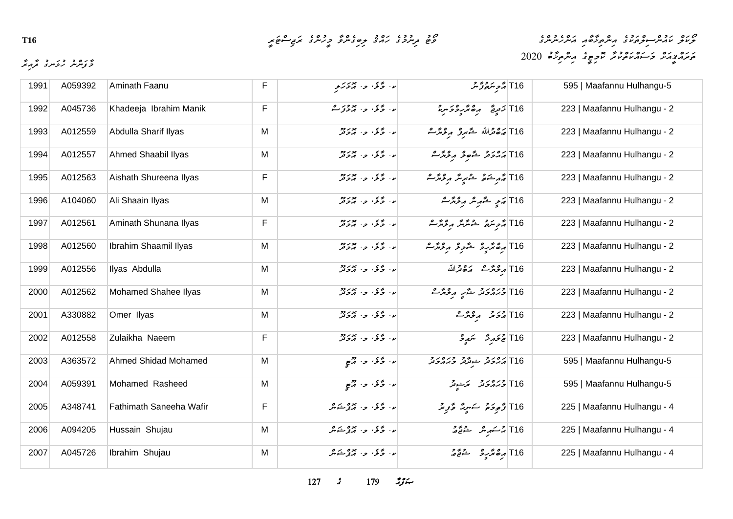*sCw7q7s5w7m< o<n9nOoAw7o< sCq;mAwBoEw7q<m; wBm;vB* م من المرة المرة المرة المرجع المرجع في المركبة 2020<br>مجم*د المريض المربوط المربع المرجع في المراجع المركبة* 

| 1991 | A059392 | Aminath Faanu               | F | لا د څخه د انگرېمنو                | T16 مَّ مِ سَهْوَ تَسْر                                                                              | 595   Maafannu Hulhangu-5   |
|------|---------|-----------------------------|---|------------------------------------|------------------------------------------------------------------------------------------------------|-----------------------------|
| 1992 | A045736 | Khadeeja Ibrahim Manik      | F | ، دې د پروژگ                       | T16 كَتَبِيعٌ مِنْ مُرْجَزَ مِنْ مِنْ                                                                | 223   Maafannu Hulhangu - 2 |
| 1993 | A012559 | Abdulla Sharif Ilyas        | M | پارسی کی در محروم                  | T16 يَرْھُ تَرَاللّهُ ۖ شَعْبِرُ ۖ مِرْمَّرْتُ                                                       | 223   Maafannu Hulhangu - 2 |
| 1994 | A012557 | <b>Ahmed Shaabil Ilyas</b>  | M | لا د څکې د په پېړود                | T16 كەبرى ئىر ئىگە ئەر بىر ئەشرىسە                                                                   | 223   Maafannu Hulhangu - 2 |
| 1995 | A012563 | Aishath Shureena Ilyas      | F | لا د څکې د اندونو                  | T16 مۇم شىم شىم يىش مەمەرگە                                                                          | 223   Maafannu Hulhangu - 2 |
| 1996 | A104060 | Ali Shaain Ilyas            | M | لا د څو، د امروز                   | T16 كەير ئىگەرش <sub>مو</sub> تۇش                                                                    | 223   Maafannu Hulhangu - 2 |
| 1997 | A012561 | Aminath Shunana Ilyas       | F | ر و و در مورد.<br>را د گور در موفر | T16 <i>مُّہِ مَنْ مُشَهَّدٌ مِ</i> عْرَمُتُ مُشَ                                                     | 223   Maafannu Hulhangu - 2 |
| 1998 | A012560 | Ibrahim Shaamil Ilyas       | M | لا و محوي د البردو                 | T16 مەھەرىپە ھەمەم مەھەر                                                                             | 223   Maafannu Hulhangu - 2 |
| 1999 | A012556 | Ilyas Abdulla               | M | لا د څو، د بردو                    | T16 مرتزم مَدَّة مَدَاللَّه                                                                          | 223   Maafannu Hulhangu - 2 |
| 2000 | A012562 | Mohamed Shahee Ilyas        | M | لا د څکې د اندونو                  | T16 دېرونو خ <sub>ت</sub> ر م <b>و</b> رث                                                            | 223   Maafannu Hulhangu - 2 |
| 2001 | A330882 | Omer Ilyas                  | M | لا د څو د پروه                     | T16 ړی په پو <u>ن</u> گ                                                                              | 223   Maafannu Hulhangu - 2 |
| 2002 | A012558 | Zulaikha Naeem              | F | پارسی کی در ایروز                  | T16 يح <i>قرق سَمدٍ \$</i>                                                                           | 223   Maafannu Hulhangu - 2 |
| 2003 | A363572 | <b>Ahmed Shidad Mohamed</b> | M | الا الحجي الاسم المنتج             | T16 <i>ג برونډ</i> جون <i>گر و برون</i> د                                                            | 595   Maafannu Hulhangu-5   |
| 2004 | A059391 | Mohamed Rasheed             | M | پار څري د در <mark>چ</mark>        | T16 <i>وُبَرُوُوَ</i> تَرُ كَرَسُوِيْرُ                                                              | 595   Maafannu Hulhangu-5   |
| 2005 | A348741 | Fathimath Saneeha Wafir     | F | لا گرمی دا برو شکر                 | T16 رُجوحَۃُ سَسِرَۃٌ قَ <sub>رُ</sub> مِۃٌ                                                          | 225   Maafannu Hulhangu - 4 |
| 2006 | A094205 | Hussain Shujau              | M | لا کوی که به محوط شور              | T16 يُرْسَمَّ مِيْشَقَّ مِيْتَ مِيْتَ مِيْتَ مِيْتَ مِيْتَ مِيْتَ مِيْتَ مِيْتَ مِيْتَ مِيْتَ مِيْتَ | 225   Maafannu Hulhangu - 4 |
| 2007 | A045726 | Ibrahim Shujau              | M | ۱۰ ۇق؛ د <sub>ا</sub> مۇشكەش       | T16 م <i>وڭگرى</i> شى <i>قم</i>                                                                      | 225   Maafannu Hulhangu - 4 |

*127 s 179 <i>n*<sub>s</sub>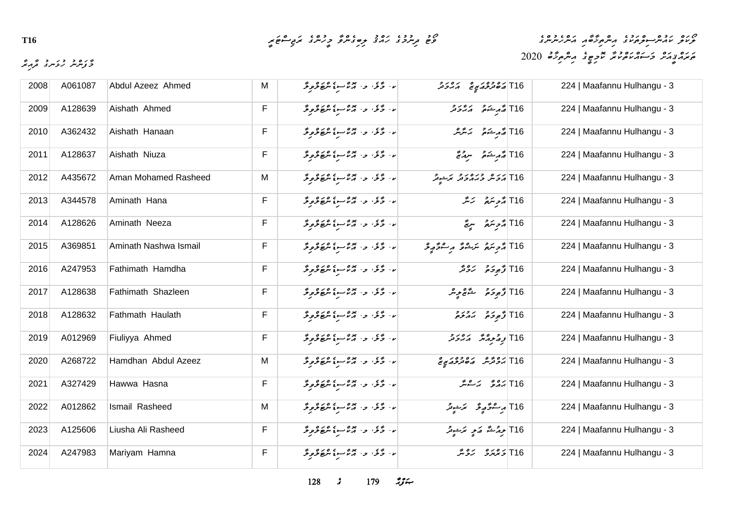*sCw7q7s5w7m< o<n9nOoAw7o< sCq;mAwBoEw7q<m; wBm;vB 2020<sup>, م</sup>وسر در مدد مدرج به مدرم مقرم قرار 2020*<br>موسر المستقرم المستقرم المستقرم المستقرم المستقرم المستقرم المستقرم المستقرم المستقرم المستقرم المستقرم المستقر

| 2008 | A061087 | Abdul Azeez Ahmed     | M | $ y - z^2 + 2z - 2z - 3z - 3z - 4 $                                                                                                                                                                                                                                              | T16 كەھىرگ <sub>ە تە</sub> م كەردىر                     | 224   Maafannu Hulhangu - 3 |
|------|---------|-----------------------|---|----------------------------------------------------------------------------------------------------------------------------------------------------------------------------------------------------------------------------------------------------------------------------------|---------------------------------------------------------|-----------------------------|
| 2009 | A128639 | Aishath Ahmed         | F | ر، دې د، مارسوناملي کولوگه                                                                                                                                                                                                                                                       | T16 مەم ئەرەبىرى ئەرەبىرى ئىس                           | 224   Maafannu Hulhangu - 3 |
| 2010 | A362432 | Aishath Hanaan        | F | $\left  \begin{array}{cc} 0 & 0 & 0 & 0 & 0 \\ 0 & 0 & 0 & 0 \\ 0 & 0 & 0 & 0 \end{array} \right $                                                                                                                                                                               | T16 م <i>ۇم شۇھى بە</i> ئە <i>رىگە</i>                  | 224   Maafannu Hulhangu - 3 |
| 2011 | A128637 | Aishath Niuza         | F | ر، ۇي دېم سوءِ مەھم دۇر                                                                                                                                                                                                                                                          | T16 مُ مِسْنَعْمُ سِمْنَةً                              | 224   Maafannu Hulhangu - 3 |
| 2012 | A435672 | Aman Mohamed Rasheed  | M | $\sim$ وَكَرْ، و، دَلابٍ وَلَا يَوْجَعُونَ                                                                                                                                                                                                                                       | T16 كەن <i>ئەنگەنى ت</i> ەنبەتر                         | 224   Maafannu Hulhangu - 3 |
| 2013 | A344578 | Aminath Hana          | F | $\left  \begin{array}{cc} 0 & 0 & 0 & 0 & 0 \\ 0 & 0 & 0 & 0 \\ 0 & 0 & 0 & 0 \end{array} \right $                                                                                                                                                                               | T16 م <i>ُّوِسَعُ</i> رَسُّرَ                           | 224   Maafannu Hulhangu - 3 |
| 2014 | A128626 | Aminath Neeza         | F | $\sim$ وَكَرْ، و، دَلَّا سِيَا مَرْجَعَرُ وَكَرْ                                                                                                                                                                                                                                 | T16 مُ <i>جِسَعْہ</i> مِنِیَّ                           | 224   Maafannu Hulhangu - 3 |
| 2015 | A369851 | Aminath Nashwa Ismail | F | $\sim$ وَكَرْ، وَالْمَرْسُوبَةَ مَرْكَافُرُومَ                                                                                                                                                                                                                                   | T16 مُجسِمُعُ سَنَشْعٌ مِسْتَخْصِعْ                     | 224   Maafannu Hulhangu - 3 |
| 2016 | A247953 | Fathimath Hamdha      | F | $\sim$ وَكَرْ، وَالْمَرْسُوبَةَ مَرْكَافُرُومَ                                                                                                                                                                                                                                   | T16 <i>وَّجِ حَمَّى حَ</i> وْمَّ                        | 224   Maafannu Hulhangu - 3 |
| 2017 | A128638 | Fathimath Shazleen    | F | $\chi^2$ , $\chi^2$ , $\chi^2$ , $\chi^2$ , $\chi^2$ , $\chi^2$ , $\chi^2$ , $\chi^2$ , $\chi^2$ , $\chi^2$ , $\chi^2$ , $\chi^2$ , $\chi^2$ , $\chi^2$ , $\chi^2$ , $\chi^2$ , $\chi^2$ , $\chi^2$ , $\chi^2$ , $\chi^2$ , $\chi^2$ , $\chi^2$ , $\chi^2$ , $\chi^2$ , $\chi^2$ | T16 <i>وَّج</i> وَدَ حَمَّةً مِسْر                      | 224   Maafannu Hulhangu - 3 |
| 2018 | A128632 | Fathmath Haulath      | F | $\chi^2$ , $\chi^2$ , $\chi^2$ , $\chi^2$ , $\chi^2$ , $\chi^2$ , $\chi^2$ , $\chi^2$ , $\chi^2$ , $\chi^2$ , $\chi^2$ , $\chi^2$ , $\chi^2$ , $\chi^2$ , $\chi^2$ , $\chi^2$ , $\chi^2$ , $\chi^2$ , $\chi^2$ , $\chi^2$ , $\chi^2$ , $\chi^2$ , $\chi^2$ , $\chi^2$ , $\chi^2$ | T16 ۇ <sub>ج</sub> ورۇ بەردۇ                            | 224   Maafannu Hulhangu - 3 |
| 2019 | A012969 | Fiuliyya Ahmed        | F | ، ۇي د <sub>ا</sub> برەپ، ھەدە بۇ                                                                                                                                                                                                                                                | T16 <i>وِجُعِهُمَّہ بَہُدُونَہ</i> ِ                    | 224   Maafannu Hulhangu - 3 |
| 2020 | A268722 | Hamdhan Abdul Azeez   | M | ر، ۇي د <sub>ا</sub> برەس <sub>ب</sub> ەشھۇرۇ                                                                                                                                                                                                                                    | T16 ئۇقرىش مەھىر <i>ۈم يى</i>                           | 224   Maafannu Hulhangu - 3 |
| 2021 | A327429 | Hawwa Hasna           | F | ر، دې د، مارس <sub>ان</sub> ي مورو د                                                                                                                                                                                                                                             | T16 يَرْدُوَّ بَرَسْدَسَّر                              | 224   Maafannu Hulhangu - 3 |
| 2022 | A012862 | Ismail Rasheed        | M | $\chi^2$ , $\chi^2$ , $\chi^2$ , $\chi^2$ , $\chi^2$ , $\chi^2$ , $\chi^2$ , $\chi^2$ , $\chi^2$ , $\chi^2$ , $\chi^2$ , $\chi^2$ , $\chi^2$ , $\chi^2$ , $\chi^2$ , $\chi^2$ , $\chi^2$ , $\chi^2$ , $\chi^2$ , $\chi^2$ , $\chi^2$ , $\chi^2$ , $\chi^2$ , $\chi^2$ , $\chi^2$ | T16 <sub>م</sub> رےد <i>و پو</i> ٹ کرنے م <sup>حد</sup> | 224   Maafannu Hulhangu - 3 |
| 2023 | A125606 | Liusha Ali Rasheed    | F | $\left  \begin{array}{cc} 0 & \times & \times & \times \\ \times & \times & \times & \times \end{array} \right $ ر. و کال استفاد کرد ک                                                                                                                                           | T16 مِهْرَشَہ کَہ پِ مَرَسُوتِر                         | 224   Maafannu Hulhangu - 3 |
| 2024 | A247983 | Mariyam Hamna         | F | ر، وګڼ و، مارسوځ مروموګر                                                                                                                                                                                                                                                         | T16 كەبە <i>دۇ زۇن</i> گە                               | 224   Maafannu Hulhangu - 3 |

#### *n8o<n@ qC7m:q5 q7w7m?n>*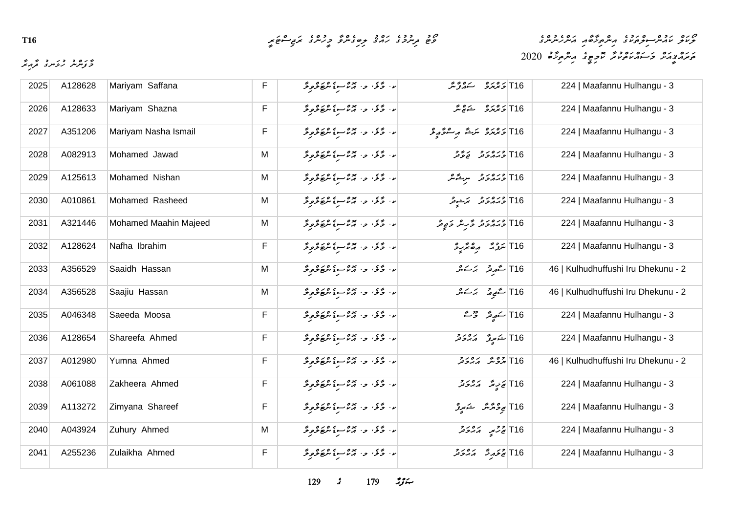*sCw7q7s5w7m< o<n9nOoAw7o< sCq;mAwBoEw7q<m; wBm;vB 2020<sup>, م</sup>وسر در مدد مدرج به مدرم مقرم قرار 2020*<br>موسر المستقرم المستقرم المستقرم المستقرم المستقرم المستقرم المستقرم المستقرم المستقرم المستقرم المستقرم المستقر

| 2025 | A128628 | Mariyam Saffana       | F | لا د څخه د به ده سره شريع څورنځه                                                                                                                                                                                                                                                 | T16 كەبىر بەر ئىش <i>رۇ</i> نتر               | 224   Maafannu Hulhangu - 3         |
|------|---------|-----------------------|---|----------------------------------------------------------------------------------------------------------------------------------------------------------------------------------------------------------------------------------------------------------------------------------|-----------------------------------------------|-------------------------------------|
| 2026 | A128633 | Mariyam Shazna        | F | الأركاني والملاسية للكافرونج                                                                                                                                                                                                                                                     | T16 كەنگەر ئىق ئىش                            | 224   Maafannu Hulhangu - 3         |
| 2027 | A351206 | Mariyam Nasha Ismail  | F | ر، دې د ماسنځ شرومونځ                                                                                                                                                                                                                                                            | T16 كەنگەنى ئىرىش <sub>م</sub> ېشىر ھەم بىر   | 224   Maafannu Hulhangu - 3         |
| 2028 | A082913 | Mohamed Jawad         | M | ، ۇي د <sub>ا</sub> برەپ، ئەھۋە ۋ                                                                                                                                                                                                                                                | T16 <i>3222 في قو</i> تر                      | 224   Maafannu Hulhangu - 3         |
| 2029 | A125613 | Mohamed Nishan        | M | ، دَ دَ د ړي په وووځ                                                                                                                                                                                                                                                             | T16  <i>وبزودوتر س</i> یگرمر                  | 224   Maafannu Hulhangu - 3         |
| 2030 | A010861 | Mohamed Rasheed       | M | $\chi^2$ , $\chi^2$ , $\chi^2$ , $\chi^2$ , $\chi^2$ , $\chi^2$ , $\chi^2$ , $\chi^2$ , $\chi^2$ , $\chi^2$ , $\chi^2$ , $\chi^2$ , $\chi^2$ , $\chi^2$ , $\chi^2$ , $\chi^2$ , $\chi^2$ , $\chi^2$ , $\chi^2$ , $\chi^2$ , $\chi^2$ , $\chi^2$ , $\chi^2$ , $\chi^2$ , $\chi^2$ | T16 <i>ۇنزۇدۇ تەتبىرى</i> گ                   | 224   Maafannu Hulhangu - 3         |
| 2031 | A321446 | Mohamed Maahin Majeed | M | لا تحق والمماسع مهوج و تح                                                                                                                                                                                                                                                        | T16  <i>وُرُدُودُو وُرِ</i> سُ وَمٍ وَ        | 224   Maafannu Hulhangu - 3         |
| 2032 | A128624 | Nafha Ibrahim         | F | ر، دې د ماسنځ شرومونځ                                                                                                                                                                                                                                                            | T16 ينزين م <i>ەشرى</i> ۋ                     | 224   Maafannu Hulhangu - 3         |
| 2033 | A356529 | Saaidh Hassan         | M | ر، دې د ماسنځ شرومونځ                                                                                                                                                                                                                                                            | T16 گەرىۋە ئەس <i>تەنل</i> ە                  | 46   Kulhudhuffushi Iru Dhekunu - 2 |
| 2034 | A356528 | Saajiu Hassan         | M | لا د څخه د اولاسوځ مرومونځ                                                                                                                                                                                                                                                       | T16 گى <i>چ ئەسى</i> تىر                      | 46   Kulhudhuffushi Iru Dhekunu - 2 |
| 2035 | A046348 | Saeeda Moosa          | F | $\chi^2$ , $\chi^2$ , $\chi^2$ , $\chi^2$ , $\chi^2$ , $\chi^2$ , $\chi^2$ , $\chi^2$ , $\chi^2$ , $\chi^2$ , $\chi^2$ , $\chi^2$ , $\chi^2$ , $\chi^2$ , $\chi^2$ , $\chi^2$ , $\chi^2$ , $\chi^2$ , $\chi^2$ , $\chi^2$ , $\chi^2$ , $\chi^2$ , $\chi^2$ , $\chi^2$ , $\chi^2$ | T16 سَمرِمَّر حَرْمَتْہ                       | 224   Maafannu Hulhangu - 3         |
| 2036 | A128654 | Shareefa Ahmed        | F | $x^2 + 2x + 2x + 3x + 3x + 4$                                                                                                                                                                                                                                                    | T16 ش <i>ەپرۇ مەدى ھ</i>                      | 224   Maafannu Hulhangu - 3         |
| 2037 | A012980 | Yumna Ahmed           | F | ر، دې د، مارس <sub>ان</sub> مونونو د                                                                                                                                                                                                                                             | T16 برویژ پروژنو                              | 46   Kulhudhuffushi Iru Dhekunu - 2 |
| 2038 | A061088 | Zakheera Ahmed        | F | ر، دې د، مارسېږې ش <u>ه</u> وه د                                                                                                                                                                                                                                                 | T16 يخ پ <i>رنگ پر پرو</i> گر                 | 224   Maafannu Hulhangu - 3         |
| 2039 | A113272 | Zimyana Shareef       | F | ر، دې د، مارسېږې ش <u>ه</u> وه د                                                                                                                                                                                                                                                 | T16 <i>پو\$مَرْمَّر</i> ش <sub>َمَ</sub> رِوْ | 224   Maafannu Hulhangu - 3         |
| 2040 | A043924 | Zuhury Ahmed          | M | لا د څخه د مرم سره شعور د کل                                                                                                                                                                                                                                                     | T16 <i>جي حيد مروج</i> و                      | 224   Maafannu Hulhangu - 3         |
| 2041 | A255236 | Zulaikha Ahmed        | F | لا د څخه د اولاسوځ مرومونځ                                                                                                                                                                                                                                                       | T16 يح تر بر كركر تركيز بر                    | 224   Maafannu Hulhangu - 3         |

*n8o<n@ qC7m:q5 q7w7m?n>*

*129 s 179 <i>n***<sub>3</sub>** *n*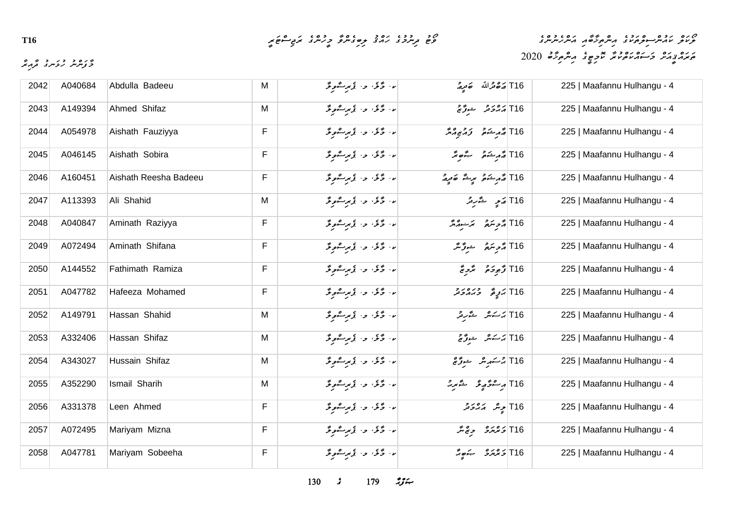*sCw7q7s5w7m< o<n9nOoAw7o< sCq;mAwBoEw7q<m; wBm;vB 2020<sup>, م</sup>وسوق المسجد التحقيق وسرمونية والم*جمع المسجد المسجد المسجد المسجد المسجد المسجد المسجد المسجد المسجد ال

| 2042 | A040684 | Abdulla Badeeu        | M | الا د د د کار د کار د کار د کار د کار د کار د کار د کار د کار د کار د کار د کار د کار د کار د کار د کار د کار  |                                          | 225   Maafannu Hulhangu - 4 |
|------|---------|-----------------------|---|----------------------------------------------------------------------------------------------------------------|------------------------------------------|-----------------------------|
| 2043 | A149394 | Ahmed Shifaz          | M | لا : د کمی کار د کار د شود گ                                                                                   | T16 <i>ټرې توگی</i> -                    | 225   Maafannu Hulhangu - 4 |
| 2044 | A054978 | Aishath Fauziyya      | F | لا : د کمی کار و د کمی بر شور محمد د کل                                                                        | T16 مُرمِّسَمُ وَرَمِّ دُمَّ             | 225   Maafannu Hulhangu - 4 |
| 2045 | A046145 | Aishath Sobira        | F | لا : د کمی کار و د کمی بر شور محمد د کل                                                                        | T16 مەم ئىچە ئەھەتمە                     | 225   Maafannu Hulhangu - 4 |
| 2046 | A160451 | Aishath Reesha Badeeu | F | لا : د کې د : کی پر شونگ                                                                                       | T16 مُرمِسَمَ مِنْ صَرِمُ                | 225   Maafannu Hulhangu - 4 |
| 2047 | A113393 | Ali Shahid            | M | لا : د کمی کار د کار د شود گ                                                                                   | T16 كەمچە ھە <i>مبەت</i> ر               | 225   Maafannu Hulhangu - 4 |
| 2048 | A040847 | Aminath Raziyya       | F |                                                                                                                | T16 مَّ <i>جِسَعَه بِمَ جَهْدَهُ</i>     | 225   Maafannu Hulhangu - 4 |
| 2049 | A072494 | Aminath Shifana       | F | لا : د کمی کار و د کمی بر شور محمد د کل                                                                        | T16 مَّ حِ سَمَّة مَّ حَبَّوَ سَّرَ      | 225   Maafannu Hulhangu - 4 |
| 2050 | A144552 | Fathimath Ramiza      | F | لا : د کمی کار و د بال کار د کار د کل ک                                                                        | T16 <i>وُّجِ دَمَّة تُرْدِيُّ</i>        | 225   Maafannu Hulhangu - 4 |
| 2051 | A047782 | Hafeeza Mohamed       | F | الا د د د کار د کار د کار د کار د کار کار د کار کار د کار کار د کار کار د کار کار د کار د کار کار د کار کار کا | T16 <i>بَرْدِةٌ وَبَرْدُوتْرٌ</i>        | 225   Maafannu Hulhangu - 4 |
| 2052 | A149791 | Hassan Shahid         | M | الا د د د کار د کار د کار د کار د کار د کار کار د کار د کار کار د کار د کار د کار د کار د کار د کار د کار د کا | T16 پزشکر گھری <sub>ٹر</sub>             | 225   Maafannu Hulhangu - 4 |
| 2053 | A332406 | Hassan Shifaz         | M | لا : د کمی کار و د بال کار د کار د کل ک                                                                        | T16 كەسكەش ھوق <i>ى</i> ج                | 225   Maafannu Hulhangu - 4 |
| 2054 | A343027 | Hussain Shifaz        | M | الا د کمکی او الگرمن کرده و گ                                                                                  | T16 پرستمبر شو <i>و</i> ع                | 225   Maafannu Hulhangu - 4 |
| 2055 | A352290 | Ismail Sharih         | M | پار د کلی کار د کوربر شور د کل                                                                                 | T16 <sub>م</sub> رےد <i>و پ</i> و جو ہے۔ | 225   Maafannu Hulhangu - 4 |
| 2056 | A331378 | Leen Ahmed            | F | پار د کلی کار د کوربر شور د کل                                                                                 | T16 م <sub>ح</sub> بر <i>م</i> ہور       | 225   Maafannu Hulhangu - 4 |
| 2057 | A072495 | Mariyam Mizna         | F | ۱۰ د د کار و به کار شود د                                                                                      | T16  <i>دَ بْرْدَدْ دِ</i> بِيْرٌ        | 225   Maafannu Hulhangu - 4 |
| 2058 | A047781 | Mariyam Sobeeha       | F | لا : د کال د : کال پر شوی                                                                                      | T16  <i>5ءگہرڈ ہنوبڈ</i>                 | 225   Maafannu Hulhangu - 4 |
|      |         |                       |   |                                                                                                                |                                          |                             |

*130 s 179 <i>n*<sub>2</sub> *n*<sub>2</sub>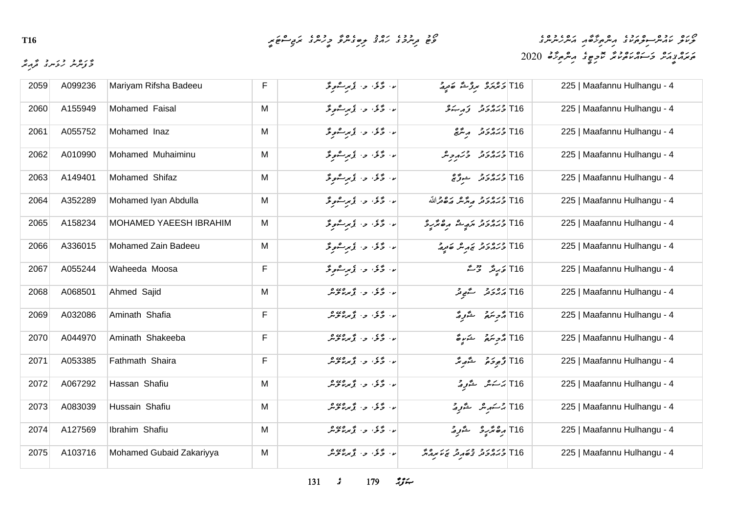*sCw7q7s5w7m< o<n9nOoAw7o< sCq;mAwBoEw7q<m; wBm;vB 2020<sup>, م</sup>وسر در مدد مدرج به مدرم مقرم قرار 2020*<br>موسر المستقرم المستقرم المستقرم المستقرم المستقرم المستقرم المستقرم المستقرم المستقرم المستقرم المستقرم المستقر

| 2059 | A099236 | Mariyam Rifsha Badeeu    | F | ئەس ئۇنى بەر بۇ ئۆزىس ئۆزگە                                                                                    | T16 كَرْتَرْتْرْ مِرْزْشٌ صَمْرِيْر                   | 225   Maafannu Hulhangu - 4 |
|------|---------|--------------------------|---|----------------------------------------------------------------------------------------------------------------|-------------------------------------------------------|-----------------------------|
| 2060 | A155949 | Mohamed Faisal           | M | الا د د د کار د کار د کار د کار د کار د کار د کار د کار د کار د کار د کار د کار د کار د کار د کار د کار د کار  | T16  <i>32,25 ق</i> ديكو                              | 225   Maafannu Hulhangu - 4 |
| 2061 | A055752 | Mohamed Inaz             | M | الا د د د کار د کار د شور د کار                                                                                | T16 <i>جەنگە جىر مەنگ</i> ى                           | 225   Maafannu Hulhangu - 4 |
| 2062 | A010990 | Mohamed Muhaiminu        | M | لا د کمکی و کولوسولونگر                                                                                        | T16 <i>3223 3223</i>                                  | 225   Maafannu Hulhangu - 4 |
| 2063 | A149401 | Mohamed Shifaz           | M | لا المحکي وا کی پرسکونگ                                                                                        | T16 <i>ۇرۇۋۇ خوۋچ</i>                                 | 225   Maafannu Hulhangu - 4 |
| 2064 | A352289 | Mohamed Iyan Abdulla     | M | الا د د کال د او د کال د کال د کال د کال د کال د کال د کال د کال د کال د کال د کال د کال د کال د کال د کال د ک | T16 <i>وَبَرُوْدَتْهِ مِتَرَسْ مَنْ</i> هُ مِنْ اللّه | 225   Maafannu Hulhangu - 4 |
| 2065 | A158234 | MOHAMED YAEESH IBRAHIM   | M | الا د د د کار د کار د کار د کار د کار د کار د کار د کار د کار د کار د کار د کار د کار د کار د کار د کار د کار  | T16 <i>ديرو</i> دتر مهيش م <i>وه م</i> ربو            | 225   Maafannu Hulhangu - 4 |
| 2066 | A336015 | Mohamed Zain Badeeu      | M | الا د کمکی او او کولوگونگو                                                                                     | T16 كَرَكْرُونْدْ يَجْمِسْ صَمْرِيْر                  | 225   Maafannu Hulhangu - 4 |
| 2067 | A055244 | Waheeda Moosa            | F | لا د کمکی و کولوسولونگر                                                                                        | T16 كەرىگە تۇسىگە                                     | 225   Maafannu Hulhangu - 4 |
| 2068 | A068501 | Ahmed Sajid              | M | لا د څکې د او کارونوس                                                                                          | T16 كەثرى قىر سىگە يەش                                | 225   Maafannu Hulhangu - 4 |
| 2069 | A032086 | Aminath Shafia           | F | ، د کار د او د کار ده کار میلاد کرد.                                                                           | T16 مَّ حِ سَمَّة مُصَّوِمَّة                         | 225   Maafannu Hulhangu - 4 |
| 2070 | A044970 | Aminath Shakeeba         | F | لا : 3 كى و : إز مربوعوس                                                                                       | T16 مَّ حِسَمَ حَسِنَّة                               | 225   Maafannu Hulhangu - 4 |
| 2071 | A053385 | Fathmath Shaira          | F | لا د څکې د کړېدالمحم                                                                                           | T16 رَّجِ دَمَرَ مُسَمَّدِيَّرَ                       | 225   Maafannu Hulhangu - 4 |
| 2072 | A067292 | Hassan Shafiu            | M | ، دَبَنَ د کَمِرْالَوْسَ                                                                                       | T16 پزشکر گ <i>ور</i>                                 | 225   Maafannu Hulhangu - 4 |
| 2073 | A083039 | Hussain Shafiu           | M | ، دَبَنَ د کَمِرْالَوْسَ                                                                                       | T16 پرستمبر ش منگور پر                                | 225   Maafannu Hulhangu - 4 |
| 2074 | A127569 | Ibrahim Shafiu           | M | ۴۰ د څوکړي د او په ۱۳۶۹ کل                                                                                     | T16 <sub>م</sub> ەنگەر ئىستى <i>مى</i> ر              | 225   Maafannu Hulhangu - 4 |
| 2075 | A103716 | Mohamed Gubaid Zakariyya | M | لا : 33) و : إِزْ يَرْبُلُوشْ                                                                                  | T16 ديرورد و ته ته ته تم تم تبره مر                   | 225   Maafannu Hulhangu - 4 |

*n8o<n@ qC7m:q5 q7w7m?n>*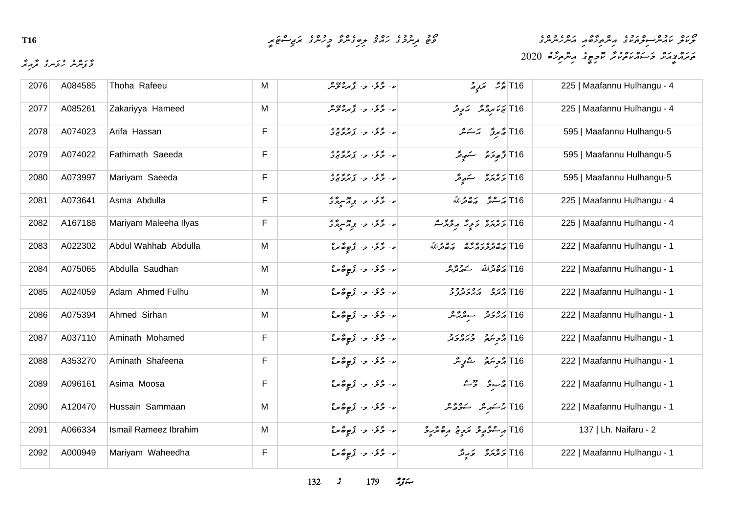*sCw7q7s5w7m< o<n9nOoAw7o< sCq;mAwBoEw7q<m; wBm;vB 2020<sup>, م</sup>وسر در مدد مدرج به مدرم مقرم قرار 2020*<br>موسر المستقرم المستقرم المستقرم المستقرم المستقرم المستقرم المستقرم المستقرم المستقرم المستقرم المستقرم المستقر

| 2076 | A084585 | Thoha Rafeeu          | M | لا ژۇ، دا ئۇيرىلۇش                                                                                                                             | T16 <i>چڙ - تزي</i> ر                                           | 225   Maafannu Hulhangu - 4 |
|------|---------|-----------------------|---|------------------------------------------------------------------------------------------------------------------------------------------------|-----------------------------------------------------------------|-----------------------------|
| 2077 | A085261 | Zakariyya Hameed      | M | ، دې د کېږي.<br>س گرو، د کې د لام                                                                                                              | T16 ىئ ئىرمىگە گەچەر                                            | 225   Maafannu Hulhangu - 4 |
| 2078 | A074023 | Arifa Hassan          | F | پارسمجني، او بار و و د و د                                                                                                                     | T16 م <i>مَّ</i> برگ بَرَسَسْ                                   | 595   Maafannu Hulhangu-5   |
| 2079 | A074022 | Fathimath Saeeda      | F | ر، دهی در دوده ده                                                                                                                              | T16 <i>وُّجِوحَةْ</i> سَم <i>َّدٍ مَّذَ</i>                     | 595   Maafannu Hulhangu-5   |
| 2080 | A073997 | Mariyam Saeeda        | F | ر، دې د زېږده<br>راسې د بال                                                                                                                    | T16 كەنگەنى سى <i>مەن</i> گە                                    | 595   Maafannu Hulhangu-5   |
| 2081 | A073641 | Asma Abdulla          | F | ۱۰ د څخه د او پر ټريوند                                                                                                                        | T16 كەشىر كەھەرللە                                              | 225   Maafannu Hulhangu - 4 |
| 2082 | A167188 | Mariyam Maleeha Ilyas | F | ۱۰ د څخه د ۱۶ پروتيږد کا                                                                                                                       | T16  5 <i>بحادة 5 بِيرَة <sub>م</sub>وقرَّتْ</i>                | 225   Maafannu Hulhangu - 4 |
| 2083 | A022302 | Abdul Wahhab Abdulla  | M | لا د څکې د بروه څخه                                                                                                                            | T16 يزه و و د و ده ه بر ه قرالله                                | 222   Maafannu Hulhangu - 1 |
| 2084 | A075065 | Abdulla Saudhan       | M | $\mathcal{E}_{\mathbf{z}}$ , $\mathcal{E}_{\mathbf{z}}$ , $\mathcal{E}_{\mathbf{z}}$ , $\mathcal{E}_{\mathbf{z}}$ , $\mathcal{E}_{\mathbf{z}}$ | T16 كەنتىراللە كە <i>ر ئۇن</i> تىر                              | 222   Maafannu Hulhangu - 1 |
| 2085 | A024059 | Adam Ahmed Fulhu      | M | لا د څکې د بروغ څمه                                                                                                                            | T16 گەندۇ كەبرە <i>دە</i> رى                                    | 222   Maafannu Hulhangu - 1 |
| 2086 | A075394 | Ahmed Sirhan          | M | لا د څکې د بروغ څمه                                                                                                                            | T16 <i>ټرې تو</i> ر سوچر شر                                     | 222   Maafannu Hulhangu - 1 |
| 2087 | A037110 | Aminath Mohamed       | F | لا د کو د روځونه                                                                                                                               | T16 مُ <i>جِسَمُ حُمَدُ مُ</i> حَمَّد                           | 222   Maafannu Hulhangu - 1 |
| 2088 | A353270 | Aminath Shafeena      | F | ر، دُکو، د، ژوپاهانده                                                                                                                          | T16 مَّ حِسَمَ حَسَّ مِسَّ                                      | 222   Maafannu Hulhangu - 1 |
| 2089 | A096161 | Asima Moosa           | F | $\mathcal{E}_{\mathbf{z}}$ , $\mathcal{E}_{\mathbf{z}}$ , $\mathcal{E}_{\mathbf{z}}$ , $\mathcal{E}_{\mathbf{z}}$ , $\mathcal{E}_{\mathbf{z}}$ | $23 - 216$                                                      | 222   Maafannu Hulhangu - 1 |
| 2090 | A120470 | Hussain Sammaan       | M | لا د څکې د بروغ څمه                                                                                                                            | T16 يُرسَمب <sup>9</sup> سَنَرْصُصْرَ                           | 222   Maafannu Hulhangu - 1 |
| 2091 | A066334 | Ismail Rameez Ibrahim | M | $\frac{3}{2}$ $\frac{3}{2}$ $\frac{3}{2}$ $\frac{3}{2}$ $\frac{3}{2}$ $\frac{3}{2}$ $\frac{3}{2}$                                              | T16 <sub>م</sub> ِ حُوَّدٍ مِ مَر <sub>ْ</sub> دٍ مِ مِعْدَبِ 3 | 137   Lh. Naifaru - 2       |
| 2092 | A000949 | Mariyam Waheedha      | F | ر، دُکو، د، ژوپهٔ ده                                                                                                                           | T16 كەچىرى ق <i>ەب</i> ەتر                                      | 222   Maafannu Hulhangu - 1 |

#### *n8o<n@ qC7m:q5 q7w7m?n>*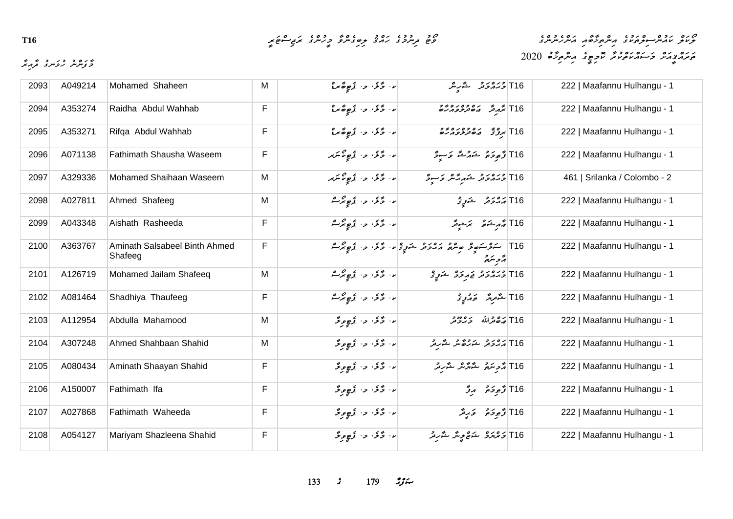*sCw7q7s5w7m< o<n9nOoAw7o< sCq;mAwBoEw7q<m; wBm;vB 2020<sup>, م</sup>وسر در مدد مدرج به مدرم مقرم قرار 2020*<br>موسر المستقرم المستقرم المستقرم المستقرم المستقرم المستقرم المستقرم المستقرم المستقرم المستقرم المستقرم المستقر

| 2093 | A049214 | Mohamed Shaheen                          | M | ر، دَ <sup>ک</sup> ر، د، ژی <sub>چ</sub> هٔ ده | T16  <i>32,322 حَمْرِ مَرْ م</i>                                      | 222   Maafannu Hulhangu - 1  |
|------|---------|------------------------------------------|---|------------------------------------------------|-----------------------------------------------------------------------|------------------------------|
| 2094 | A353274 | Raidha Abdul Wahhab                      | F | ۱۰ د کې د کوځه ده                              | T16 تُرْمِتْرُ بِرَهِ <i>مِوْمِرْمُرَهُ *</i>                         | 222   Maafannu Hulhangu - 1  |
| 2095 | A353271 | Rifqa Abdul Wahhab                       | F | ١٠ رُکُو، د. ژوپهٔ ده                          | T16 بروژ كەھەر <i>ە بە</i> رە                                         | 222   Maafannu Hulhangu - 1  |
| 2096 | A071138 | <b>Fathimath Shausha Waseem</b>          | F | الا الحجو الأراد والمحافظ المتعد               | T16 <i>وُّجِوَة حَمَّدْتُ</i> وَسِي <sup>و</sup> َ                    | 222   Maafannu Hulhangu - 1  |
| 2097 | A329336 | Mohamed Shaihaan Waseem                  | M |                                                | T16 <i>وبروبرو خهرشگر ق-د</i> و                                       | 461   Srilanka / Colombo - 2 |
| 2098 | A027811 | Ahmed Shafeeg                            | M | ۱۰ د دی د . د پولد                             | T16 كەندى ھەرىخ                                                       | 222   Maafannu Hulhangu - 1  |
| 2099 | A043348 | Aishath Rasheeda                         | F | لا گرمي د کوچرگ                                | T16 م <i>مَّ مِ</i> حَسَنٍ مَرْسُوِمَّ <i>رٌ</i>                      | 222   Maafannu Hulhangu - 1  |
| 2100 | A363767 | Aminath Salsabeel Binth Ahmed<br>Shafeeg | F |                                                | 116 كوكوكو و موقع مەدەر كور كال دى، دې كوم ك<br>پ <sup>ر</sup> تر سرچ | 222   Maafannu Hulhangu - 1  |
| 2101 | A126719 | Mohamed Jailam Shafeeq                   | M | ۱۰ د څخه د ۱۰ ټوپورگ                           | T16 وَرَدُومَرَ مَمْ يَوَمَ حَسَنٍ وَ                                 | 222   Maafannu Hulhangu - 1  |
| 2102 | A081464 | Shadhiya Thaufeeg                        | F | ر، د څو، د . <u>زه</u> پر <i>ش</i>             | T16 ڪُمبر <i>گ وَدُوِيُّ</i>                                          | 222   Maafannu Hulhangu - 1  |
| 2103 | A112954 | Abdulla Mahamood                         | M | ۱۰ د څو، د . ژوېد د                            | T16 مَەڤْمَراللە خ <sup>ەمەم</sup>                                    | 222   Maafannu Hulhangu - 1  |
| 2104 | A307248 | Ahmed Shahbaan Shahid                    | M | اء: دَّنَوْ، و: پُرْھِ مِرَّدُ                 | T16 كەبرى قىرىق قىرىقى كەرلىر                                         | 222   Maafannu Hulhangu - 1  |
| 2105 | A080434 | Aminath Shaayan Shahid                   | F | ۱۰ د کې د کی دونگ                              | T16 مُر <i>ج مَنْ مِنْ مُرْمَّرْ حَدَّرِ م</i> َرْ                    | 222   Maafannu Hulhangu - 1  |
| 2106 | A150007 | Fathimath Ifa                            | F | ۱۰ د څو، د . ژوېد د                            | T16 <i>وُجوحَة ووَّ</i>                                               | 222   Maafannu Hulhangu - 1  |
| 2107 | A027868 | Fathimath Waheeda                        | F | د د کې د کی د د کا                             | T16 <i>وَّجِوَة وَ مَ</i> دِمَّر                                      | 222   Maafannu Hulhangu - 1  |
| 2108 | A054127 | Mariyam Shazleena Shahid                 | F | الا د څخه لوا د ټولونځ                         | T16 كَرْجْرْجْرْ صْدَحْ مِسَّرْ حْدَرِيْرْ                            | 222   Maafannu Hulhangu - 1  |

#### *n8o<n@ qC7m:q5 q7w7m?n>*

**133** *s* **179** *n***<sub>s</sub>**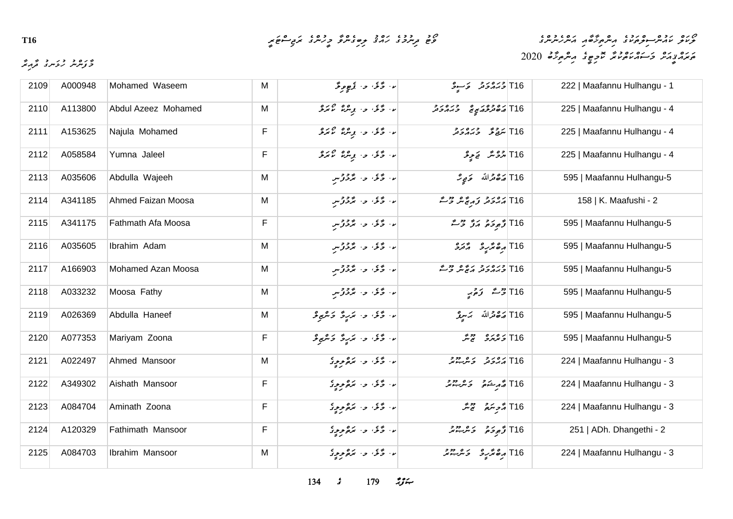*sCw7q7s5w7m< o<n9nOoAw7o< sCq;mAwBoEw7q<m; wBm;vB 2020<sup>, م</sup>وسوق المسجد التحقيق وسرمونية والم*جمع المسجد المسجد المسجد المسجد المسجد المسجد المسجد المسجد المسجد ال

## *n8o<n@ qC7m:q5 q7w7m?n>*

| 2109 | A000948 | Mohamed Waseem      | M           | پار گر کې او د کرچ وگر               | T16 <i>3222 وَسِ</i> وْ                   | 222   Maafannu Hulhangu - 1 |
|------|---------|---------------------|-------------|--------------------------------------|-------------------------------------------|-----------------------------|
| 2110 | A113800 | Abdul Azeez Mohamed | M           | لا د څخه د اولسره الاندو             | T16 בפנגם בגם בי                          | 225   Maafannu Hulhangu - 4 |
| 2111 | A153625 | Najula Mohamed      | F           | لا د څخه د په پره لاندو              | T16 يتمة <i>مح بحدود</i>                  | 225   Maafannu Hulhangu - 4 |
| 2112 | A058584 | Yumna Jaleel        | F           | لا د دې د بوشا لامره                 | T16 برُوْتَر کے <i>ج</i> و                | 225   Maafannu Hulhangu - 4 |
| 2113 | A035606 | Abdulla Wajeeh      | M           | لا د څخه د لمرکزونس                  | T16 كەشھەرللە     كەمچەر                  | 595   Maafannu Hulhangu-5   |
| 2114 | A341185 | Ahmed Faizan Moosa  | M           | لا د څکې د انگرونس                   | T16 كەبرى قىرىم ئىر ق <sup>ىمىگ</sup>     | 158   K. Maafushi - 2       |
| 2115 | A341175 | Fathmath Afa Moosa  | $\mathsf F$ | لا د څکې د انگرونس                   | T16 رُّجِ <i>حَمَّ مَنْ</i> رُّسُمُ       | 595   Maafannu Hulhangu-5   |
| 2116 | A035605 | Ibrahim Adam        | M           | الا المحکوم الاراد و مرکزو کلیل      | T16 م <i>ِ مُحَمَّدٍ \$ مُحَمَّ</i> د     | 595   Maafannu Hulhangu-5   |
| 2117 | A166903 | Mohamed Azan Moosa  | M           | د د څو، د انگرونس                    | T16 دره در درو بر در محمد استرا           | 595   Maafannu Hulhangu-5   |
| 2118 | A033232 | Moosa Fathy         | M           | الا د گی دا اگروژمو                  | T16 فخرشہ ق <i>م</i> قیہ                  | 595   Maafannu Hulhangu-5   |
| 2119 | A026369 | Abdulla Haneef      | M           | الا د د د ان اند د د د د کال کال د د |                                           | 595   Maafannu Hulhangu-5   |
| 2120 | A077353 | Mariyam Zoona       | $\mathsf F$ | الا المحكى الماء المركز كالمرجو      |                                           | 595   Maafannu Hulhangu-5   |
| 2121 | A022497 | Ahmed Mansoor       | M           | لا د څکې د نموکولونک                 | T16 كەبرو كەن ئەيدىن                      | 224   Maafannu Hulhangu - 3 |
| 2122 | A349302 | Aishath Mansoor     | $\mathsf F$ | لا د څکې د نمومونونو                 | T16 مۇم شەھ ئى ئىش ئىلىمىتى ئىس           | 224   Maafannu Hulhangu - 3 |
| 2123 | A084704 | Aminath Zoona       | F           | لا د څکې د نمومونونو                 | T16 گھ جي تھ تھي تھي تھي جي مير<br>16     | 224   Maafannu Hulhangu - 3 |
| 2124 | A120329 | Fathimath Mansoor   | F           | لا د څخه د بره دودن                  | T16 ر <i>ۇ<sub>بو</sub>ى ئى ئارىنى</i> گە | 251   ADh. Dhangethi - 2    |
| 2125 | A084703 | Ibrahim Mansoor     | M           | الا د څخه د نمکومونونو               | T16 <sub>م</sub> ەنگەر ئەربىتىمە          | 224   Maafannu Hulhangu - 3 |

*134 s 179 <i>n*<sub>2</sub> *n*<sub>2</sub>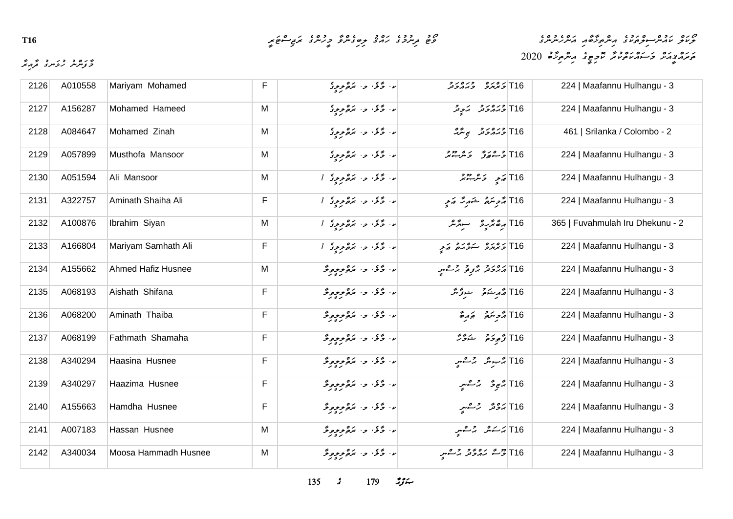*sCw7q7s5w7m< o<n9nOoAw7o< sCq;mAwBoEw7q<m; wBm;vB 2020<sup>, م</sup>وسر در مدد مدرج به مدرم مقرم قرار 2020*<br>موسر المستقرم المستقرم المستقرم المستقرم المستقرم المستقرم المستقرم المستقرم المستقرم المستقرم المستقرم المستقر

| 2126 | A010558 | Mariyam Mohamed           | F | الا د څکې د نمکه د دول         | T16 كەبەر <i>25.25 د</i>                       | 224   Maafannu Hulhangu - 3      |
|------|---------|---------------------------|---|--------------------------------|------------------------------------------------|----------------------------------|
| 2127 | A156287 | Mohamed Hameed            | M | الا د څخه د نمکومونونو         | T16  <i>3223\$ مَ</i> وِمْر                    | 224   Maafannu Hulhangu - 3      |
| 2128 | A084647 | Mohamed Zinah             | M | الا د د د انده مورد            | T16  <i>دُبَہْدُوَنَہ</i> پ <i>ی مُنْہُ</i>    | 461   Srilanka / Colombo - 2     |
| 2129 | A057899 | Musthofa Mansoor          | M | الا د د د انده مورد            | T16 ۇبەھۇ كەش <i>ەدە</i>                       | 224   Maafannu Hulhangu - 3      |
| 2130 | A051594 | Ali Mansoor               | M | لا د څخه د نمومومونه 1         | T16 <i>ھَ۔ ج</i> مبھ                           | 224   Maafannu Hulhangu - 3      |
| 2131 | A322757 | Aminath Shaiha Ali        | F | لا د څخه د نمومومونه ا         | T16 مَّ حِ سَمَّۃ صَبِرَ مَ مِ                 | 224   Maafannu Hulhangu - 3      |
| 2132 | A100876 | Ibrahim Siyan             | M | $1, 2, 3, 5$ و. برود دی        | T16 م <i>وڭ ئۇر</i> بۇ سە <i>نگى</i> ر         | 365   Fuvahmulah Iru Dhekunu - 2 |
| 2133 | A166804 | Mariyam Samhath Ali       | F | لا د څخه د نمکومونو ل          | T16 كالارد و كالارد كالو                       | 224   Maafannu Hulhangu - 3      |
| 2134 | A155662 | <b>Ahmed Hafiz Husnee</b> | M | ، دُکَنَ وَا بَرُهُ وَوِهِ وَّ | T16   كەشكە <i>تىگى قىرىگە بىر</i>             | 224   Maafannu Hulhangu - 3      |
| 2135 | A068193 | Aishath Shifana           | F | ، دُی دا نمگوموموگ             |                                                | 224   Maafannu Hulhangu - 3      |
| 2136 | A068200 | Aminath Thaiba            | F | ، دُکو، د· بَرُهُ ووِهِ وَ     | T16 مُر <sub>ْح</sub> ِسَمُ بَوَر <sup>ة</sup> | 224   Maafannu Hulhangu - 3      |
| 2137 | A068199 | Fathmath Shamaha          | F | ، دُی دا نمودودگ               | T16 تۇم <sub>ب</sub> وقۇ شۇڭر                  | 224   Maafannu Hulhangu - 3      |
| 2138 | A340294 | Haasina Husnee            | F | ، دُی دا نمودودگ               | T16 يُرجو بُر فريسي ب                          | 224   Maafannu Hulhangu - 3      |
| 2139 | A340297 | Haazima Husnee            | F | ، دُی د نمودوودْ               | T16 گنجو گرگس <sub>چ</sub>                     | 224   Maafannu Hulhangu - 3      |
| 2140 | A155663 | Hamdha Husnee             | F | الا د د د انده موږد د          | T16  پَرونژ گرشبر                              | 224   Maafannu Hulhangu - 3      |
| 2141 | A007183 | Hassan Husnee             | M | الا د د د انده د د دول         | T16] ټر <i>شکره پر ش</i> مېر                   | 224   Maafannu Hulhangu - 3      |
| 2142 | A340034 | Moosa Hammadh Husnee      | M | ، دُی دا نمودود دُ             | T16 جزيئة بروبرو برسانير                       | 224   Maafannu Hulhangu - 3      |

*n8o<n@ qC7m:q5 q7w7m?n>*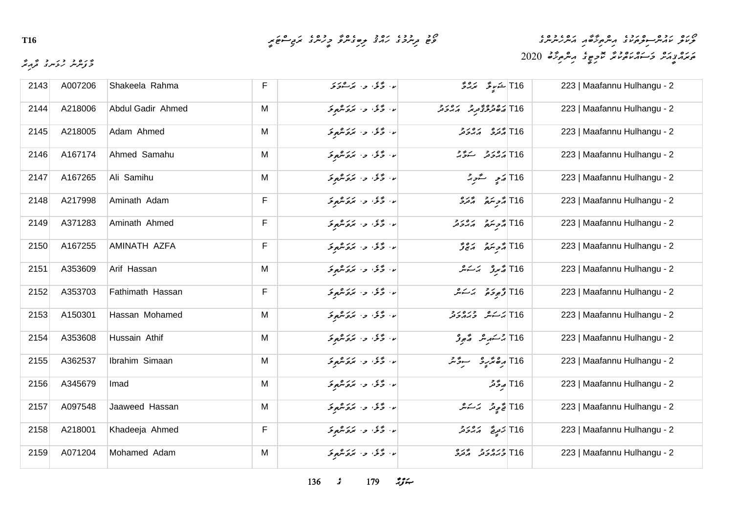*sCw7q7s5w7m< o<n9nOoAw7o< sCq;mAwBoEw7q<m; wBm;vB 2020<sup>, م</sup>وسوق المسجد التحقيق وسرمونية والم*جمع المسجد المسجد المسجد المسجد المسجد المسجد المسجد المسجد المسجد ال

### *n8o<n@ qC7m:q5 q7w7m?n>*

| 2143 | A007206 | Shakeela Rahma    | F           | ىر بەقتى بەر بىر شەيرىن | T16 ڪيو پو پروگر                          | 223   Maafannu Hulhangu - 2 |
|------|---------|-------------------|-------------|-------------------------|-------------------------------------------|-----------------------------|
| 2144 | A218006 | Abdul Gadir Ahmed | M           | لا د د د برو شور م      | T16 كەھەرگەتۇمىز كەردىر                   | 223   Maafannu Hulhangu - 2 |
| 2145 | A218005 | Adam Ahmed        | M           | لا د د د برو شور م      | T16 يُرتو بَرَ بِرَوتِر                   | 223   Maafannu Hulhangu - 2 |
| 2146 | A167174 | Ahmed Samahu      | M           | ، دُکَن دا برَوَسْهِ دَ | T16 كەبۇر كەرلىكى بىرىدىكى ئىستەرلىكى بىر | 223   Maafannu Hulhangu - 2 |
| 2147 | A167265 | Ali Samihu        | M           | ، دُکَن دا برَوْشُهِ دَ |                                           | 223   Maafannu Hulhangu - 2 |
| 2148 | A217998 | Aminath Adam      | F           | ، دُکو، دا برَوَسْعِ دَ | T16 مُج <i>رِسَمُ مُ</i> مَرَدُ           | 223   Maafannu Hulhangu - 2 |
| 2149 | A371283 | Aminath Ahmed     | F           | ، دُکو، دا برَوَسْهِ دَ | T16 مَّ حِسَمَ مَدْحَدَّ                  | 223   Maafannu Hulhangu - 2 |
| 2150 | A167255 | AMINATH AZFA      | F           | ، دُکو، دا برَوَسْهِ دَ | T16 مُرْحِسَمُ مَنْ مَنْ                  | 223   Maafannu Hulhangu - 2 |
| 2151 | A353609 | Arif Hassan       | M           | ، دُکَن دا برَوْشُهِ دَ | T16 م <i>جبوڤ بزخي</i> گر                 | 223   Maafannu Hulhangu - 2 |
| 2152 | A353703 | Fathimath Hassan  | $\mathsf F$ | ، دُکَن دا برَوْشُهِ دَ | T16 ر <i>ُّڄِ دَيْءَ</i> جَي سَمَسُ       | 223   Maafannu Hulhangu - 2 |
| 2153 | A150301 | Hassan Mohamed    | M           | ، دُکو، دا برَوَسْهِ دَ | T16  يَرْسَسْ وَيَرْدُونْدُ               | 223   Maafannu Hulhangu - 2 |
| 2154 | A353608 | Hussain Athif     | M           | لا د څخه د نمکوشونو     | T16 پرستمبر مگھوری                        | 223   Maafannu Hulhangu - 2 |
| 2155 | A362537 | Ibrahim Simaan    | M           | ، دُکو، دا برَوَسْهِ دَ | T16 م <i>وڭ ئۇرۇ سوڭى</i> ر               | 223   Maafannu Hulhangu - 2 |
| 2156 | A345679 | Imad              | M           | ، دُکو، دا برَوَسْعِ دَ | T16 روٌتر                                 | 223   Maafannu Hulhangu - 2 |
| 2157 | A097548 | Jaaweed Hassan    | M           | لا د د د برو شود        | T16 قَ مٍ مِنْ - بَرَسَسْ-                | 223   Maafannu Hulhangu - 2 |
| 2158 | A218001 | Khadeeja Ahmed    | F           | لا د د د برو شود        | T16 زَمَرِيحٌ <i>دَرُدُدَ</i> رُ          | 223   Maafannu Hulhangu - 2 |
| 2159 | A071204 | Mohamed Adam      | M           | ، دُکو، دا برَوَسْهِ دَ | T16 <i>2222 محمد م</i>                    | 223   Maafannu Hulhangu - 2 |

*136 s 179 <i>n*<sub>2</sub> *n*<sub>2</sub>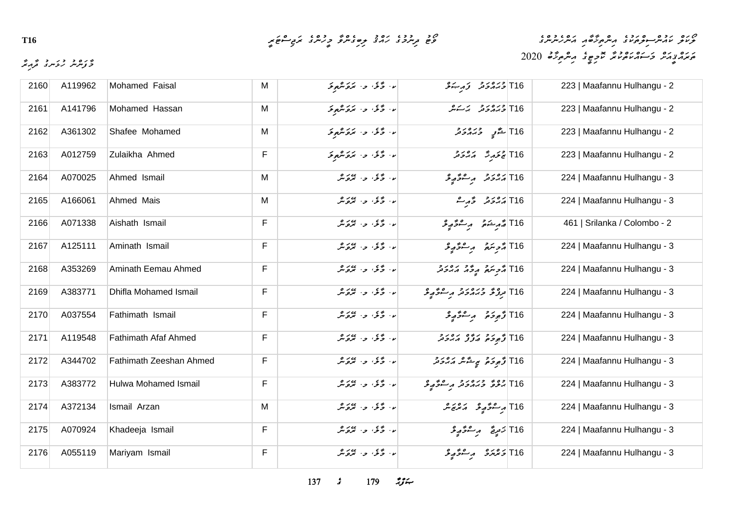*sCw7q7s5w7m< o<n9nOoAw7o< sCq;mAwBoEw7q<m; wBm;vB 2020*<br>*په پوهر وسوډيرونو لومو د موجو د مرمونه* 2020

| 2160 | A119962 | Mohamed Faisal              | M | لا د د د بروکرونو          | T16  <i>32,25 ذەببك</i>                                                                                                                                                                                               | 223   Maafannu Hulhangu - 2  |
|------|---------|-----------------------------|---|----------------------------|-----------------------------------------------------------------------------------------------------------------------------------------------------------------------------------------------------------------------|------------------------------|
| 2161 | A141796 | Mohamed Hassan              | M | ، دُکَن دا برَوْشُهِ دَ    | T16 <i>ۋىزۇدۇ بەسكى</i> ر                                                                                                                                                                                             | 223   Maafannu Hulhangu - 2  |
| 2162 | A361302 | Shafee Mohamed              | M | ، دُکَن دا برَوْشُهِ دَ    | T16 ڪري ت <i>ي جندو</i> تر                                                                                                                                                                                            | 223   Maafannu Hulhangu - 2  |
| 2163 | A012759 | Zulaikha Ahmed              | F | ۱۰ د دی د بروشود           | T16 يح ترم بحر مركز تركيب المركز بالمركز بالمركز بالمركز بالمركز بالمركز بالمركز بالمركز المركز المر<br>مركز المركز المركز المركز المركز المركز المركز المركز المركز المركز المركز المركز المركز المركز المركز المركز | 223   Maafannu Hulhangu - 2  |
| 2164 | A070025 | Ahmed Ismail                | M | ىن ئۇق بەر ئىبر ھەر        | T16 كەبرى قىرىمى ئەرگە بىرى ئىس                                                                                                                                                                                       | 224   Maafannu Hulhangu - 3  |
| 2165 | A166061 | Ahmed Mais                  | M | لا گرگی که میگریمگر        | T16 <i>ټرې تق</i> ریب                                                                                                                                                                                                 | 224   Maafannu Hulhangu - 3  |
| 2166 | A071338 | Aishath Ismail              | F | لا : ۇڭى كەن ئىنى ئىش      | T16 مۇم شكۇم بور ئوگۇمۇ                                                                                                                                                                                               | 461   Srilanka / Colombo - 2 |
| 2167 | A125111 | Aminath Ismail              | F | ىر بەقتى بەر ئەسىم ئەرەبىر | T16 مَّ حِسَمَ <sub>ّة م</sub> ِسْتَخْفَضِ مِحْ                                                                                                                                                                       | 224   Maafannu Hulhangu - 3  |
| 2168 | A353269 | Aminath Eemau Ahmed         | F | ر، ڈی و <sub>ُ</sub> بروکر | T16 مُوسَعَدٍ مِرْدَمٌ مَ <sup>رور</sup> د                                                                                                                                                                            | 224   Maafannu Hulhangu - 3  |
| 2169 | A383771 | Dhifla Mohamed Ismail       | F | لا کرکال د کار میں ش       | T16 مروتخ ب <i>ورور بر مؤدي</i>                                                                                                                                                                                       | 224   Maafannu Hulhangu - 3  |
| 2170 | A037554 | Fathimath Ismail            | F | ىر، بۇق، بەر ئىبى ئىبر     | T16 ۇ <sub>ج</sub> ومۇ ب <i>ې</i> شۇرېمۇ                                                                                                                                                                              | 224   Maafannu Hulhangu - 3  |
| 2171 | A119548 | <b>Fathimath Afaf Ahmed</b> | F | الا المحق والممكان         | T16 ز <i>ُّج دَ وَ وَ دُورُ درور و</i>                                                                                                                                                                                | 224   Maafannu Hulhangu - 3  |
| 2172 | A344702 | Fathimath Zeeshan Ahmed     | F | لاستخرق وسيحوش             | T16 <i>ؤودة</i> وشر <i>ة مددو</i>                                                                                                                                                                                     | 224   Maafannu Hulhangu - 3  |
| 2173 | A383772 | <b>Hulwa Mohamed Ismail</b> | F | لاستخرق وسيحوش             | T16 يروء وبرورو برجون <sub>ت و</sub>                                                                                                                                                                                  | 224   Maafannu Hulhangu - 3  |
| 2174 | A372134 | Ismail Arzan                | M | لا گرگی که میتونگر         | T16 <sub>م</sub> رےد <i>ۇ<sub>م</sub>ىۋە مەمەنى ش</i>                                                                                                                                                                 | 224   Maafannu Hulhangu - 3  |
| 2175 | A070924 | Khadeeja Ismail             | F | ىر، ئۇقى بەر ئەيمەش        | T16 كَتَمِيعٌ - مِرْ شُوَّمٍ وَ حَمَّ                                                                                                                                                                                 | 224   Maafannu Hulhangu - 3  |
| 2176 | A055119 | Mariyam Ismail              | F | ىر، بۇق، بەر بىر ئەر       | T16 <i>كەنگەرى بە</i> مەگەرىمى                                                                                                                                                                                        | 224   Maafannu Hulhangu - 3  |

*137 sC 179 nNw?mS*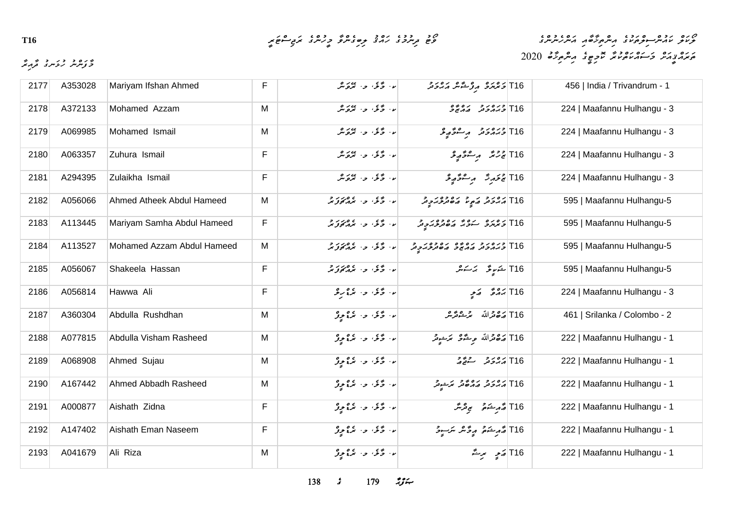*sCw7q7s5w7m< o<n9nOoAw7o< sCq;mAwBoEw7q<m; wBm;vB 2020<sup>, م</sup>وسوق المسجد التحقيق وسرمونية والم*جمع المسجد المسجد المسجد المسجد المسجد المسجد المسجد المسجد المسجد ال

| 2177 | A353028 | Mariyam Ifshan Ahmed             | F            | لا کرکال د کارگان کار اور است | T16 كەبەر قەرۇشگەر كەبرى قر                   | 456   India / Trivandrum - 1 |
|------|---------|----------------------------------|--------------|-------------------------------|-----------------------------------------------|------------------------------|
| 2178 | A372133 | Mohamed Azzam                    | M            | ىر، ئۇقى بەر ئىبىر ش          | T16 <i>څنه څونه په وغ</i> و                   | 224   Maafannu Hulhangu - 3  |
| 2179 | A069985 | Mohamed Ismail                   | M            | ىر ئەقتى بەر ئەيمەش           | T16 <i>5 يُدُوَوَ بِهِ سُوَّم</i> ِوْ         | 224   Maafannu Hulhangu - 3  |
| 2180 | A063357 | Zuhura Ismail                    | $\mathsf F$  | لا کرکی کار میں میں میں       | T16 تح <sup>ري</sup> ر ميگوگيرن <i>و</i>      | 224   Maafannu Hulhangu - 3  |
| 2181 | A294395 | Zulaikha Ismail                  | F            | لا کامی د کلونگر              | T16 ىج <i>قىر</i> ى ھەر مەمۇر بولا            | 224   Maafannu Hulhangu - 3  |
| 2182 | A056066 | <b>Ahmed Atheek Abdul Hameed</b> | M            | الا د څو د سره پرونو          | T16 ג' <i>ביב הקיי הסינבה</i> ביב             | 595   Maafannu Hulhangu-5    |
| 2183 | A113445 | Mariyam Samha Abdul Hameed       | $\mathsf{F}$ | لا د څو، د عمله کاوند         | T16 رەرە بەدە دەرەرد                          | 595   Maafannu Hulhangu-5    |
| 2184 | A113527 | Mohamed Azzam Abdul Hameed       | M            | لا د څو د برمړي د             | T16 دره در دره ۵۶۵ در وور در                  | 595   Maafannu Hulhangu-5    |
| 2185 | A056067 | Shakeela Hassan                  | F            | لا د څخه د عمله کاوند         | T16 خىرى\$ كەشكەر                             | 595   Maafannu Hulhangu-5    |
| 2186 | A056814 | Hawwa Ali                        | $\mathsf F$  | لا . د څو و . برو د د         | T16 يَرْدُوَّ كَيْمِ                          | 224   Maafannu Hulhangu - 3  |
| 2187 | A360304 | Abdulla Rushdhan                 | M            | لا د څخه د اندونونو           | T16 كەھەراللە مەشە <i>مەتە</i>                | 461   Srilanka / Colombo - 2 |
| 2188 | A077815 | Abdulla Visham Rasheed           | M            | لا د څخه د اندونونو           | T16 كَرَّةَ مَّرْاللَّهُ مِشْرَقَ مَرْشِيْتَر | 222   Maafannu Hulhangu - 1  |
| 2189 | A068908 | Ahmed Sujau                      | M            | الا دمجني الاستحاضي           | T16 كەبۇر مەرتىم                              | 222   Maafannu Hulhangu - 1  |
| 2190 | A167442 | Ahmed Abbadh Rasheed             | M            | الا دمجني الدامج والمحلي      | T16 كەندى كەرگەنى كەندىنى                     | 222   Maafannu Hulhangu - 1  |
| 2191 | A000877 | Aishath Zidna                    | $\mathsf F$  | لا د څخه د امرونونو           | T16 م <i>ۇم شۇمىي توپىر</i>                   | 222   Maafannu Hulhangu - 1  |
| 2192 | A147402 | Aishath Eman Naseem              | $\mathsf F$  | لا الحكي والمماموثو           | T16 مُرِسْدَمْ رِدَّىْر مَرَسِيْتِ            | 222   Maafannu Hulhangu - 1  |
| 2193 | A041679 | Ali Riza                         | M            | لا د څو د لرونول              | 116∥ټرم برگ                                   | 222   Maafannu Hulhangu - 1  |

*138 sC 179 nNw?mS*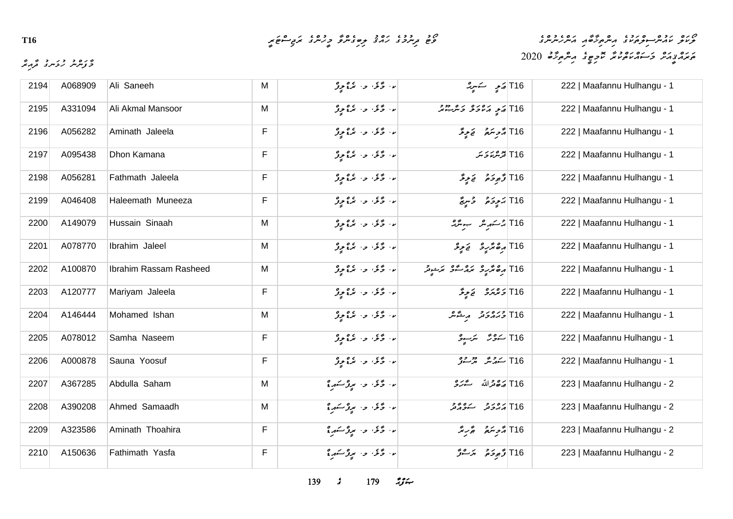*sCw7q7s5w7m< o<n9nOoAw7o< sCq;mAwBoEw7q<m; wBm;vB 2020<sup>, م</sup>وسر در مدد مدرج به مدرم مقرم قرار 2020*<br>موسر المستقرم المستقرم المستقرم المستقرم المستقرم المستقرم المستقرم المستقرم المستقرم المستقرم المستقرم المستقر

| 2194 | A068909 | Ali Saneeh             | M | الا د څخه او د اندانونو     | T16   ر <sub>ک</sub> م سے سرپر م                 | 222   Maafannu Hulhangu - 1 |
|------|---------|------------------------|---|-----------------------------|--------------------------------------------------|-----------------------------|
| 2195 | A331094 | Ali Akmal Mansoor      | M | لا د نځنۍ د برونونو         | T16 كما بالمراكز بالمحافظة المحمد المحمد المحمد  | 222   Maafannu Hulhangu - 1 |
| 2196 | A056282 | Aminath Jaleela        | F | لا د څخه د اندې وو          | T16 مُرْمِسَمٌ     يَوِمَّرُ                     | 222   Maafannu Hulhangu - 1 |
| 2197 | A095438 | Dhon Kamana            | F | ، دَگَرَ، دَا بَرْءُ مِرْدُ | T16 تژيژ <i>ن 5 تن</i>                           | 222   Maafannu Hulhangu - 1 |
| 2198 | A056281 | Fathmath Jaleela       | F | الا دمجني الاسم ومي وهي     | T16 وَّجِ دَمَ * يَ مِ وَّ                       | 222   Maafannu Hulhangu - 1 |
| 2199 | A046408 | Haleemath Muneeza      | F | الا دمجني الاسم ومي وهي     | T16 كەردۇم - ئ <sup>ې</sup> رى <i>گ</i> ا        | 222   Maafannu Hulhangu - 1 |
| 2200 | A149079 | Hussain Sinaah         | M | ، دُی دا بروژ               | T16 يُرتكوب سويترك                               | 222   Maafannu Hulhangu - 1 |
| 2201 | A078770 | Ibrahim Jaleel         | M | لا د څخه د لمخه دو          | T16 <sub>مر</sub> ھ پَرِ وَ کَے پِوْ             | 222   Maafannu Hulhangu - 1 |
| 2202 | A100870 | Ibrahim Rassam Rasheed | M | لا الحكي والمماجول          | T16 مەھەرىپە ئەمەت ئەھمىيەتە                     | 222   Maafannu Hulhangu - 1 |
| 2203 | A120777 | Mariyam Jaleela        | F | الا دمجني الاسم ومي وهي     | T16 كەندى قى ي                                   | 222   Maafannu Hulhangu - 1 |
| 2204 | A146444 | Mohamed Ishan          | M | لا د څخه د لمري وو          | T16 <i>ۇنەۋەقى ب</i> ەش <i>گى</i> ر              | 222   Maafannu Hulhangu - 1 |
| 2205 | A078012 | Samha Naseem           | F | لا د گلی د بردود            | T16  سُرُمُرٌ - سَرَسِرُوُ                       | 222   Maafannu Hulhangu - 1 |
| 2206 | A000878 | Sauna Yoosuf           | F | لا د نځنۍ د لمريونو         | T16 سەپرىش بېزىيەتى                              | 222   Maafannu Hulhangu - 1 |
| 2207 | A367285 | Abdulla Saham          | M | لا د څخه د اميرو شهره       | T16 مَ <b>ـُوتَر</b> َاللّه ـَـَمَّـرَ <i>وْ</i> | 223   Maafannu Hulhangu - 2 |
| 2208 | A390208 | Ahmed Samaadh          | M | لا د څخه د اميرو شهره       | T16 كەبروتىر سەۋە <i>م</i> ىر                    | 223   Maafannu Hulhangu - 2 |
| 2209 | A323586 | Aminath Thoahira       | F | لا د محکي د البرو شهره      | T16 مَّ جِسَعَة مَّ مِجَبَّعَت                   | 223   Maafannu Hulhangu - 2 |
| 2210 | A150636 | Fathimath Yasfa        | F | لا د محکي د البرو شهره      | T16 ر <i>ُّڄِ دَيْ بَرُ—رُ</i> رُّ               | 223   Maafannu Hulhangu - 2 |
|      |         |                        |   |                             |                                                  |                             |

#### *n8o<n@ qC7m:q5 q7w7m?n>*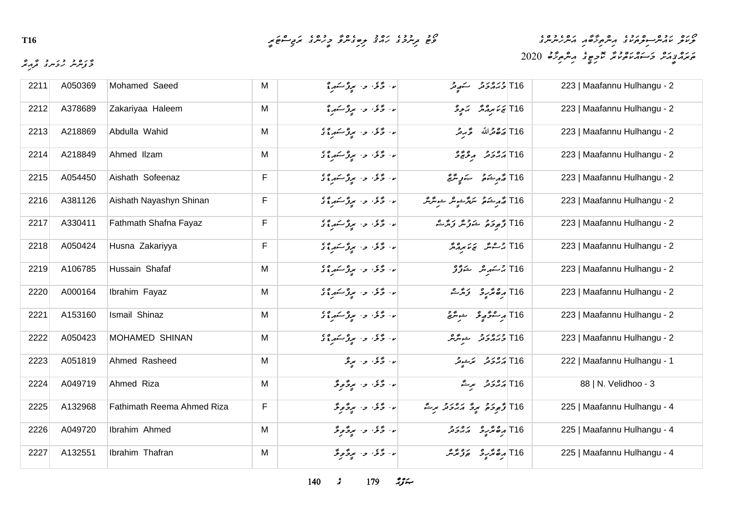*sCw7q7s5w7m< o<n9nOoAw7o< sCq;mAwBoEw7q<m; wBm;vB 2020<sup>, م</sup>وسر در مدد مدرج به مدرم مقرم قرار 2020*<br>موسر المستقرم المستقرم المستقرم المستقرم المستقرم المستقرم المستقرم المستقرم المستقرم المستقرم المستقرم المستقر

| 2211 | A050369 | Mohamed Saeed              | M | ۱۰ د د د . مروکه په                                                                                          | T16 <i>\$22.3 نەمەت</i> ر                              | 223   Maafannu Hulhangu - 2 |
|------|---------|----------------------------|---|--------------------------------------------------------------------------------------------------------------|--------------------------------------------------------|-----------------------------|
| 2212 | A378689 | Zakariyaa Haleem           | M | لا د محکي د البرو شهره                                                                                       | T16 ىئ ئىروش تەرە                                      | 223   Maafannu Hulhangu - 2 |
| 2213 | A218869 | Abdulla Wahid              | M | لا د څخه و مروسه ده د                                                                                        | T16 مَدَّة الله مُحْسِنْتْر                            | 223   Maafannu Hulhangu - 2 |
| 2214 | A218849 | Ahmed IIzam                | M | لا د دې د بروسه، ده                                                                                          | T16 كەيمە كەن مەمرىج تە                                | 223   Maafannu Hulhangu - 2 |
| 2215 | A054450 | Aishath Sofeenaz           | F | لا د څخه د بروسه، ده                                                                                         | T16 گەمەشكەق سەرپەتى <i>گ</i> ى                        | 223   Maafannu Hulhangu - 2 |
| 2216 | A381126 | Aishath Nayashyn Shinan    | F | پار دی کار دی دی دی                                                                                          | T16 مُرمِّدَة مَرمَّرْجِيشْ خومَّرْشْ                  | 223   Maafannu Hulhangu - 2 |
| 2217 | A330411 | Fathmath Shafna Fayaz      | F | ۱۰ د کمي کار وي. د د کار د کار د کار د کار د کار د کار د کار د کار د کار د کار د کار د کار د کار د کار د کار | T16 <i>وُجِودَة</i> شَرَرْتُرَ وَتَرْتَ                | 223   Maafannu Hulhangu - 2 |
| 2218 | A050424 | Husna Zakariyya            | F | لا د څخه د اميروسکه ده د                                                                                     | T16 يُرْسُمَّدُ نَجْسَمَبِرْدُمَّدُ                    | 223   Maafannu Hulhangu - 2 |
| 2219 | A106785 | Hussain Shafaf             | M | لا د محتی و مروسه ده ده                                                                                      | T16 يُرسَم <i>هِ بَنْ</i> شَوَّرُوْ                    | 223   Maafannu Hulhangu - 2 |
| 2220 | A000164 | Ibrahim Fayaz              | M | لا د څخه د بروکهای                                                                                           | T16 <sub>م</sub> ەمگەر ئەرگەشە                         | 223   Maafannu Hulhangu - 2 |
| 2221 | A153160 | Ismail Shinaz              | М | لا د نخوا و ا موژکرده د ک                                                                                    | T16  <sub>مر</sub> شۇ <sub>م</sub> ۇ خ <sub>و</sub> شى | 223   Maafannu Hulhangu - 2 |
| 2222 | A050423 | <b>MOHAMED SHINAN</b>      | M | لا د څخه د اميروسته ده د                                                                                     | T16 <i>ۇنەم كەنتى ھەمگەنگ</i> ە                        | 223   Maafannu Hulhangu - 2 |
| 2223 | A051819 | Ahmed Rasheed              | M | الاء گري کا برگر                                                                                             | T16 كەرگە كىم كەرسىيە تەر                              | 222   Maafannu Hulhangu - 1 |
| 2224 | A049719 | Ahmed Riza                 | M | الا دمجني والمحروُ وقر                                                                                       | T16 كەندى كەرىگە                                       | 88   N. Velidhoo - 3        |
| 2225 | A132968 | Fathimath Reema Ahmed Riza | F | لا الحكي والمحروم و                                                                                          | T16 أَرَّمِودَةً  بِرِدَّ  بَرَدْدَتْر برِتَّةً        | 225   Maafannu Hulhangu - 4 |
| 2226 | A049720 | Ibrahim Ahmed              | M | الا د د د الله د مرد د د                                                                                     | T16 <sub>مو</sub> ھ <i>مگرد</i> و کار دور د            | 225   Maafannu Hulhangu - 4 |
| 2227 | A132551 | Ibrahim Thafran            | M | الا د د د الله د برد کار د                                                                                   | T16 <sub>م</sub> ەنگەرچە ئ <sub>ە</sub> ۋىگە           | 225   Maafannu Hulhangu - 4 |

*140 s 179 <i>n*<sub>2</sub> *n*<sub>2</sub>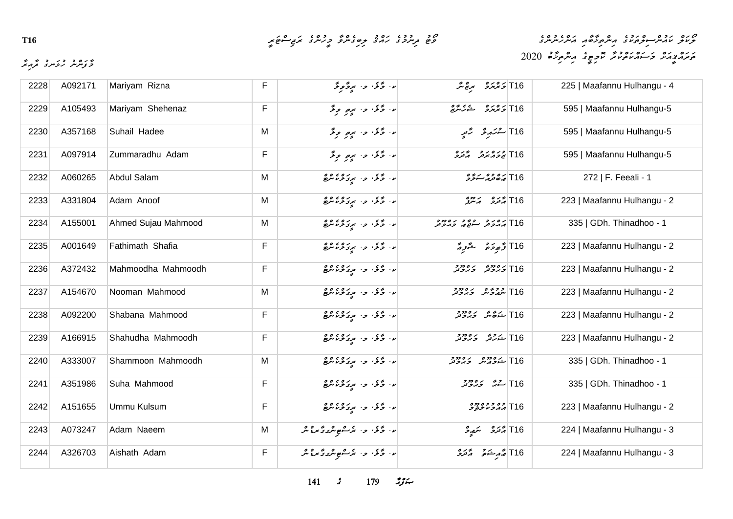*sCw7q7s5w7m< o<n9nOoAw7o< sCq;mAwBoEw7q<m; wBm;vB 2020<sup>, م</sup>وسر در مدد مدرج به مدرم مقرم قرار 2020*<br>موسر المستقرم المستقرم المستقرم المستقرم المستقرم المستقرم المستقرم المستقرم المستقرم المستقرم المستقرم المستقر

| 2228 | A092171 | Mariyam Rizna       | F           | الا د څخه د المردگونځا                                  | T16  <i>خ<sup>و</sup>ندند</i> و برج نگر                                                                       | 225   Maafannu Hulhangu - 4 |
|------|---------|---------------------|-------------|---------------------------------------------------------|---------------------------------------------------------------------------------------------------------------|-----------------------------|
| 2229 | A105493 | Mariyam Shehenaz    | $\mathsf F$ | ، دُی دا بره ودٌ                                        | T16 كەبەر ئەرەك ئەرەر يېتىنى ئاراسىيە ئاراسىيە ئاراسىيە ئاراسىيە ئاراسىيە ئاراسىيە ئاراسىيە ئاراسىيە ئاراسىيە | 595   Maafannu Hulhangu-5   |
| 2230 | A357168 | Suhail Hadee        | M           | ، دڅو، د بره وق                                         | T16 لے <i>ترو</i> ڈ گ <i>ی</i> ر                                                                              | 595   Maafannu Hulhangu-5   |
| 2231 | A097914 | Zummaradhu Adam     | $\mathsf F$ | ، دُی د بره ودٌ                                         | T16 يح <i>وړ پروگر مرگور</i> و                                                                                | 595   Maafannu Hulhangu-5   |
| 2232 | A060265 | Abdul Salam         | M           | ر، د څو، د مرد کورمره                                   | T16 ئەۋەپرىسى <del>گ</del> ۇ                                                                                  | 272   F. Feeali - 1         |
| 2233 | A331804 | Adam Anoof          | M           | لا کامی دا برد ولاسط                                    | T16 گەنىۋە كەنتىۋە                                                                                            | 223   Maafannu Hulhangu - 2 |
| 2234 | A155001 | Ahmed Sujau Mahmood | M           |                                                         | T16   <i>גُייָב גُ</i> مُشْرِكُمْ الْمُسْرَوْرَ مُسَرَّدَة مُسَرِّدَة مُسَرِّدَة مُسَرِّد                     | 335   GDh. Thinadhoo - 1    |
| 2235 | A001649 | Fathimath Shafia    | $\mathsf F$ | لا د څخه د بروکولاس                                     | T16 رَّج <i>وحَة</i> شَ <i>ّوبةً</i>                                                                          | 223   Maafannu Hulhangu - 2 |
| 2236 | A372432 | Mahmoodha Mahmoodh  | F           | ، د څو، د پروکولانوم                                    | T16 كەم <sup>دى</sup> ر كەمدىر                                                                                | 223   Maafannu Hulhangu - 2 |
| 2237 | A154670 | Nooman Mahmood      | M           | ، د څو، د پروکولانوم                                    | T16 يتروج محدود و                                                                                             | 223   Maafannu Hulhangu - 2 |
| 2238 | A092200 | Shabana Mahmood     | F           | لا کامی دا برد ولاسط                                    | T16 شەھ <i>ئۇ دەۋە</i> ر                                                                                      | 223   Maafannu Hulhangu - 2 |
| 2239 | A166915 | Shahudha Mahmoodh   | $\mathsf F$ | لا د څخه د بروکولانتهغ                                  | T16 خەرق <sub>ىر</sub> كەردىر                                                                                 | 223   Maafannu Hulhangu - 2 |
| 2240 | A333007 | Shammoon Mahmoodh   | M           | لا د څخه د بروکولانتهغ                                  | T16 خوړس وروبو                                                                                                | 335   GDh. Thinadhoo - 1    |
| 2241 | A351986 | Suha Mahmood        | $\mathsf F$ | ، د څو، د پروکولانوم                                    | T16 يەنى ئەرەبىر                                                                                              | 335   GDh. Thinadhoo - 1    |
| 2242 | A151655 | Ummu Kulsum         | $\mathsf F$ | الا د محتی الله بروکولانترها                            | $5, 5, 5, 5, 7$ T16                                                                                           | 223   Maafannu Hulhangu - 2 |
| 2243 | A073247 | Adam Naeem          | M           | $\mathcal{L}$ ، وَكَرْ، و، بْرُسْمِعِ سْرَوَمْ يَوْمَحْ | T16 مُرتر <i>و سَم</i> ِرو                                                                                    | 224   Maafannu Hulhangu - 3 |
| 2244 | A326703 | Aishath Adam        | F           |                                                         | T16 مُەمِسْمۇ م <i>ۇتر</i> ۇ                                                                                  | 224   Maafannu Hulhangu - 3 |

#### *n8o<n@ qC7m:q5 q7w7m?n>*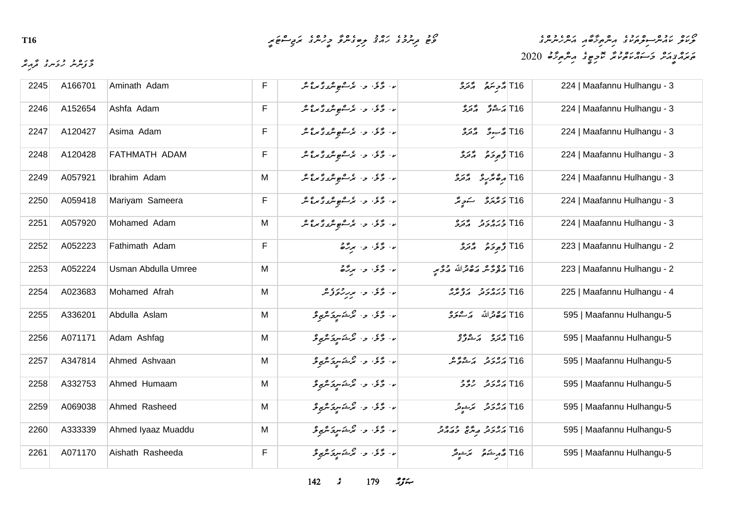*sCw7q7s5w7m< o<n9nOoAw7o< sCq;mAwBoEw7q<m; wBm;vB 2020<sup>, م</sup>وسر در مدد مدرج به مدرم مقرم قرار 2020*<br>موسر المستقرم المستقرم المستقرم المستقرم المستقرم المستقرم المستقرم المستقرم المستقرم المستقرم المستقرم المستقر

| 2245 | A166701 | Aminath Adam        | F |                                                                        | T16 مَّحِسَمَ مَحَمَّد <i>ُ</i>                                                                                                                                                                                                             | 224   Maafannu Hulhangu - 3 |
|------|---------|---------------------|---|------------------------------------------------------------------------|---------------------------------------------------------------------------------------------------------------------------------------------------------------------------------------------------------------------------------------------|-----------------------------|
| 2246 | A152654 | Ashfa Adam          | F | $v_1$ ، وَکَوْ، و الْمَرْسُعِ سِی وَمَحْمَدُ سَ                        | T16 كەشۇ گەند <i>ۇ</i>                                                                                                                                                                                                                      | 224   Maafannu Hulhangu - 3 |
| 2247 | A120427 | Asima Adam          | F | لا کامی دا مر شوخ شروکامرہ ش                                           | T16 مُحبورٌ مُحَمَّدٌ                                                                                                                                                                                                                       | 224   Maafannu Hulhangu - 3 |
| 2248 | A120428 | FATHMATH ADAM       | F | $\mathcal{L}$ ، وَكَرْ، وَالْمَرْضُعِ مَرْدُو كَمَرْهُ مَرْ            | T16 گە <sub>چ</sub> ى قەر ئەر ئارىپىتى ئارىپاتقا ئارىپاتقا ئارىپاتقا ئارىپاتقا ئارىپاتقا ئارىپاتقا ئارىپاتقا ئارىپاتقا ئا<br>مەلقا ئارىسى ئارىپاتقا ئارىپاتقا ئارىپاتقا ئارىپاتقا ئارىپاتقا ئارىپاتقا ئارىكىي ئارىكىي ئارىكىي ئارىلان ئارىپ | 224   Maafannu Hulhangu - 3 |
| 2249 | A057921 | Ibrahim Adam        | M | $\mathcal{L}$ ، وَكُوْا وَالْمَرْضُعِ مِنْ وَمِنْ وَمَحْدَثَ مِنْ مِنْ | T16 <sub>م</sub> ەنزىرى مەنزى                                                                                                                                                                                                               | 224   Maafannu Hulhangu - 3 |
| 2250 | A059418 | Mariyam Sameera     | F | لا کامی دا مرتبع شدد می می                                             | T16  <i>وَبُرْبُرُوْ سَوِبُرُّ</i>                                                                                                                                                                                                          | 224   Maafannu Hulhangu - 3 |
| 2251 | A057920 | Mohamed Adam        | M | $\mathcal{L}$ ، وَكُوْا وَالْمَرْضُعِ مِنْ وَمِنْ وَمَحْدِهِ مِنْ      | T16 يُرَمُّ دُيْرٍ مُسَرَّدٍ                                                                                                                                                                                                                | 224   Maafannu Hulhangu - 3 |
| 2252 | A052223 | Fathimath Adam      | F | $\frac{2}{3}$ $\frac{6}{3}$ $\frac{6}{3}$ $\frac{6}{3}$ $\frac{6}{3}$  | T16 وَّجِ وَتَمَّ مَرَّمَرَدُّ                                                                                                                                                                                                              | 223   Maafannu Hulhangu - 2 |
| 2253 | A052224 | Usman Abdulla Umree | M | $\frac{2}{3}$ , $\frac{2}{3}$ , $\frac{2}{3}$ , $\frac{2}{3}$          | T16 ح. <i>و.م.ه. ح.ه.م.</i> الله ح. <i>و.م.</i>                                                                                                                                                                                             | 223   Maafannu Hulhangu - 2 |
| 2254 | A023683 | Mohamed Afrah       | M | الا د څخه د الريزه ولک                                                 | T16 <i>جي م</i> حقر بروموه                                                                                                                                                                                                                  | 225   Maafannu Hulhangu - 4 |
| 2255 | A336201 | Abdulla Aslam       | M | الا اڭگى كەركىسى ئىس ئىس ئىس                                           | T16 مَرْجَ جَرْاللّه مَرْ مِرْدِ وَ                                                                                                                                                                                                         | 595   Maafannu Hulhangu-5   |
| 2256 | A071171 | Adam Ashfag         | M | لا د د د انگرېندي شمېر کې د ا                                          | T16 مُرترى مَسْتَوَرِّ                                                                                                                                                                                                                      | 595   Maafannu Hulhangu-5   |
| 2257 | A347814 | Ahmed Ashvaan       | M | لا د څکې د انگرېټونکونکونونو                                           | T16 كەبرى كىر كەنگە ئەر                                                                                                                                                                                                                     | 595   Maafannu Hulhangu-5   |
| 2258 | A332753 | Ahmed Humaam        | M | الا اڭ ئاڭ جا انگرىشكىرىگىرىنى ئى                                      | T16 كەنزىق رۇز                                                                                                                                                                                                                              | 595   Maafannu Hulhangu-5   |
| 2259 | A069038 | Ahmed Rasheed       | M | الا اڭگى كەرگىشكە ئورگەنلىق ئى                                         | T16 كەنزى كىمى تىرىدى كىرىدى ئىس                                                                                                                                                                                                            | 595   Maafannu Hulhangu-5   |
| 2260 | A333339 | Ahmed Iyaaz Muaddu  | M | الا اڭ ئاڭ جا گرىشكىرى ئىرى ئى                                         | T16 גُرُدَدَ مِتَرَى دَمَمَد                                                                                                                                                                                                                | 595   Maafannu Hulhangu-5   |
| 2261 | A071170 | Aishath Rasheeda    | F | الا اڭگى كەرگىشكىرى ئىر ئىر                                            | T16 <i>۾ مرڪم تم</i> شيھ                                                                                                                                                                                                                    | 595   Maafannu Hulhangu-5   |

*142 s 179 <i>n*<sub>2</sub> *n*<sub>2</sub>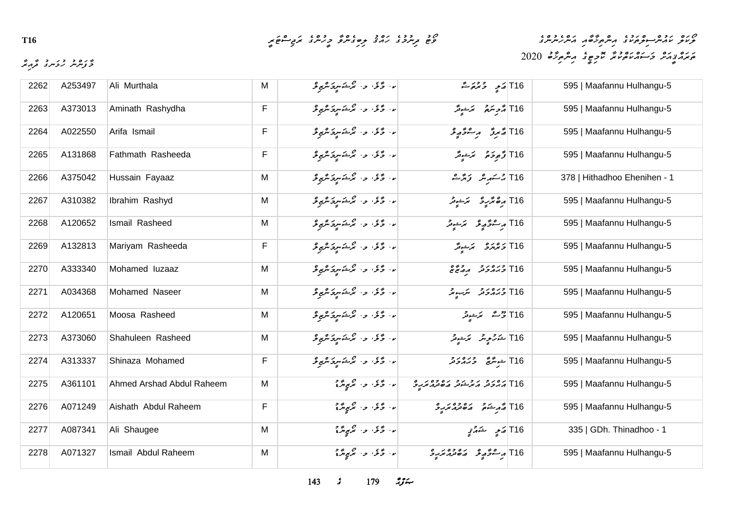*sCw7q7s5w7m< o<n9nOoAw7o< sCq;mAwBoEw7q<m; wBm;vB 2020<sup>, م</sup>وسر در مدد مدرج به مدرم مقرم قرار 2020*<br>موسر المستقرم المستقرم المستقرم المستقرم المستقرم المستقرم المستقرم المستقرم المستقرم المستقرم المستقرم المستقر

| 2262 | A253497 | Ali Murthala              | M | الا اڭ ئۇ بار ئۇسكەللىرى ئىلگى ئى                                                                                                                                                                                                              | T16 <i>ھَ جِي جُمْعَ</i> شَ                    | 595   Maafannu Hulhangu-5    |
|------|---------|---------------------------|---|------------------------------------------------------------------------------------------------------------------------------------------------------------------------------------------------------------------------------------------------|------------------------------------------------|------------------------------|
| 2263 | A373013 | Aminath Rashydha          | F | الا اڭگى كەرگىشكە بوڭ ئىرىگى ئى                                                                                                                                                                                                                | T16 مَّ حِ سَمَّة مَ سَمِيْتَر                 | 595   Maafannu Hulhangu-5    |
| 2264 | A022550 | Arifa Ismail              | F | $\mathcal{L} \circ \mathcal{L}$ لا، د گرې کرېږي کري.                                                                                                                                                                                           | T16 مَجرَدٌ مِ <sup>ع</sup> َدَّمٍ وَ          | 595   Maafannu Hulhangu-5    |
| 2265 | A131868 | Fathmath Rasheeda         | F | الا د د د انگرېشتور د شمېر د کليږ                                                                                                                                                                                                              | T16 <i>وُّجِ وَحَمَّ</i> ×َرَسُوِمَّ <i>رُ</i> | 595   Maafannu Hulhangu-5    |
| 2266 | A375042 | Hussain Fayaaz            | M | $\mathcal{L} \subset \mathcal{L}$ ى ئارىكى ئارىدى ئارى                                                                                                                                                                                         | T16 پرستمبر ترتژینگ                            | 378   Hithadhoo Ehenihen - 1 |
| 2267 | A310382 | Ibrahim Rashyd            | M | الا اڭكى كەرگىشكە بېرىكىلى بى                                                                                                                                                                                                                  | T16 م <i>وڭ تگرى</i> تەرەپىر                   | 595   Maafannu Hulhangu-5    |
| 2268 | A120652 | Ismail Rasheed            | M | الا اڭگى كەرگىشكە بوڭ ئىرىگى ئى                                                                                                                                                                                                                | T16 م <sup>ر</sup> مۇم <sub>ۇ</sub> بۇ كەنپەتر | 595   Maafannu Hulhangu-5    |
| 2269 | A132813 | Mariyam Rasheeda          | F | الا المحكى الماء المحت المعالج المحمد المحكم المحمد المحمدة المحمدة المحمدة المحمدة المحمدة المحمدة ا                                                                                                                                          | T16 كەبىر كىمى كەردىسى ئىس                     | 595   Maafannu Hulhangu-5    |
| 2270 | A333340 | Mohamed luzaaz            | M | الا اڭگى كەرگىشكە بوڭ ئىرىگى ئى                                                                                                                                                                                                                | $716$ 352,25 $\frac{25}{25}$                   | 595   Maafannu Hulhangu-5    |
| 2271 | A034368 | Mohamed Naseer            | M | $\mathcal{L} \subset \mathcal{L}$ ى ئاما ئۇ ئاپلان ئاپلان ئاپلان ئاپلان ئاپلان ئاپلان ئاپلان ئاپلان ئاپلان ئاپلان ئاپلان ئاپلان ئاپلان ئاپلان ئاپلان ئاپلان ئاپلان ئاپلان ئاپلان ئاپلان ئاپلان ئاپلان ئاپلان ئاپلان ئاپلان ئاپلان ئاپلان ئاپلا | T16 <i>وُيَرُوُوَ</i> مَرْسِيْتِرُ             | 595   Maafannu Hulhangu-5    |
| 2272 | A120651 | Moosa Rasheed             | M | الا د د د کار کار د کار د کار د کار د کار د کار د کار د کار د کار د کار د کار د کار د کار د کار د کار د کار د                                                                                                                                  | T16 فخرشہ تمزینوٹر                             | 595   Maafannu Hulhangu-5    |
| 2273 | A373060 | Shahuleen Rasheed         | M | الا اڭگى كەرگىشكە بوڭ ئىرىمى ئى                                                                                                                                                                                                                | T16 ڪر <i>گوينل پرڪون</i> گر                   | 595   Maafannu Hulhangu-5    |
| 2274 | A313337 | Shinaza Mohamed           | F | $\downarrow$ ، دَکَنَ د $\downarrow$ ، دَخَسِرَدَسْ وَ                                                                                                                                                                                         | T16 حيثيج وبرورو                               | 595   Maafannu Hulhangu-5    |
| 2275 | A361101 | Ahmed Arshad Abdul Raheem | M | لا - د محمد علي الربع الربع الربع ا                                                                                                                                                                                                            | T16 בכבת ביביבית בסינ <i>גיבי</i> כ            | 595   Maafannu Hulhangu-5    |
| 2276 | A071249 | Aishath Abdul Raheem      | F | لا - د څخه او - مرغ پره                                                                                                                                                                                                                        | T16 مەرشىم مەمە <i>رە ب</i> رىي                | 595   Maafannu Hulhangu-5    |
| 2277 | A087341 | Ali Shaugee               | M | لا - د څخه او - مرغ پره                                                                                                                                                                                                                        | T16 <i>ڇُوِ حَقَّةٍ</i>                        | 335   GDh. Thinadhoo - 1     |
| 2278 | A071327 | Ismail Abdul Raheem       | M | لا - د څخه او - مرغ پره                                                                                                                                                                                                                        | T16 مِ سَوَّمٍ فِي مَصْرِمْ مَرَبِّ            | 595   Maafannu Hulhangu-5    |

*143 sC 179 nNw?mS*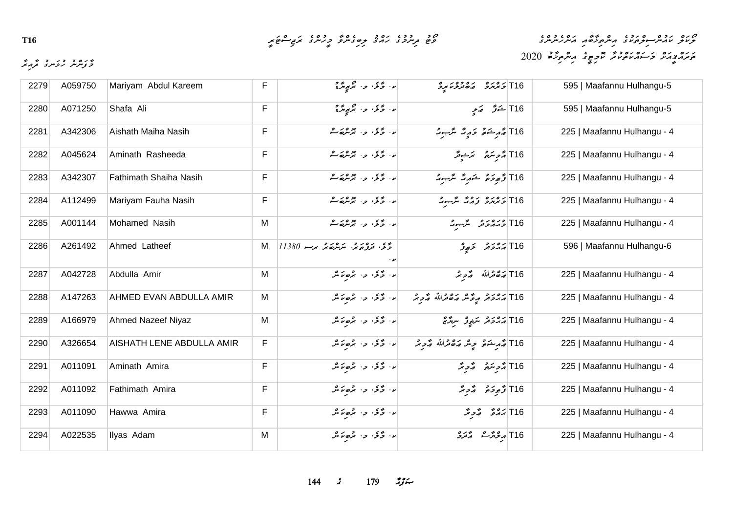*sCw7q7s5w7m< o<n9nOoAw7o< sCq;mAwBoEw7q<m; wBm;vB 2020 محمد من المحمد المحمد المحمد العربية وسر بعد من المحمد العالمية*<br>محمد المحمد المحمد المحمد المحمد المحمد المحمد العالم

| 2279 | A059750 | Mariyam Abdul Kareem      | F           | لا د څخه د کري ژو             | T16 كەبەر مەمەر ئەرگە بەر                                            | 595   Maafannu Hulhangu-5   |
|------|---------|---------------------------|-------------|-------------------------------|----------------------------------------------------------------------|-----------------------------|
| 2280 | A071250 | Shafa Ali                 | $\mathsf F$ | لا د څخه د لري پر             | T16 ختۇ ق <i>ەب</i>                                                  | 595   Maafannu Hulhangu-5   |
| 2281 | A342306 | Aishath Maiha Nasih       | $\mathsf F$ | ر، دې د، برمړي ه              | T16 مُرمِشَمُ دَرِبَّ سُرَجَ <sup>ر</sup> َ                          | 225   Maafannu Hulhangu - 4 |
| 2282 | A045624 | Aminath Rasheeda          | F           | ۴۰ ژَگُوَ، د به بیره شک       | T16 مَّ حِسَمَةٌ مَسْتَوَمَّدٌ                                       | 225   Maafannu Hulhangu - 4 |
| 2283 | A342307 | Fathimath Shaiha Nasih    | F           | ر، دې د برمړ <i>ه ک</i>       | T16 <i>وَّجِوَدَة</i> سَمَ <i>دِيدُ</i> سَ <i>رْجِيد</i> ُ           | 225   Maafannu Hulhangu - 4 |
| 2284 | A112499 | Mariyam Fauha Nasih       | $\mathsf F$ | ر، دی د. برمړين په د          | T16 <i>وَبُرْمَرْدْ وَبُرْبُ</i> مُ <i>رْبِ</i> د <i>ُ</i>           | 225   Maafannu Hulhangu - 4 |
| 2285 | A001144 | Mohamed Nasih             | M           | ر، دې د برمړ <i>ه ک</i>       | T16  <i>ويەھ</i> وتى شەرق                                            | 225   Maafannu Hulhangu - 4 |
| 2286 | A261492 | Ahmed Latheef             | M           | 33، تروم تمر شرش تمر سے 11380 | T16 كەندى قىرۇ                                                       | 596   Maafannu Hulhangu-6   |
| 2287 | A042728 | Abdulla Amir              | M           | لا د څخه د بره نمک            | T16 كەھىراللە گە <i>رى</i> گە                                        | 225   Maafannu Hulhangu - 4 |
| 2288 | A147263 | AHMED EVAN ABDULLA AMIR   | M           | لا د څخه د گره تمک            | T16 <i>مَجَدَّدَ مِعَ مَّدْ مَ</i> عْقَرَاللَّهُ مَ <i>حْ</i> جِمْهِ | 225   Maafannu Hulhangu - 4 |
| 2289 | A166979 | <b>Ahmed Nazeef Niyaz</b> | M           | لا د څخه د لمره تمونک         | T16 كەبرى قىرىم ئىكرىمىتى ئىس ئىس                                    | 225   Maafannu Hulhangu - 4 |
| 2290 | A326654 | AISHATH LENE ABDULLA AMIR | F           | لا د څخه د بره نمک            | T16 صَّەتْ مَعْ مِسْرَ صَرْحَة اللّهَ صَّحِ مْرَ                     | 225   Maafannu Hulhangu - 4 |
| 2291 | A011091 | Aminath Amira             | F           | لا د څخه د بره لمره           | T16 گەج ئىرقە ئەگە جەنگە                                             | 225   Maafannu Hulhangu - 4 |
| 2292 | A011092 | Fathimath Amira           | $\mathsf F$ | لا د څخه د نموه تمو           | T16 <i>وَّجِ دَمَّةَ صَ</i> حِ مَدَّ                                 | 225   Maafannu Hulhangu - 4 |
| 2293 | A011090 | Hawwa Amira               | F           | لا د څخه د لمره تمونک         | T16 كەبۇر مۇم <i>بە</i> گ                                            | 225   Maafannu Hulhangu - 4 |
| 2294 | A022535 | Ilyas Adam                | M           | لا به محتی در بره توسی        | T16  م <i>وٹر شہرہ</i>                                               | 225   Maafannu Hulhangu - 4 |

#### *n8o<n@ qC7m:q5 q7w7m?n>*

*n*<sup>44</sup> *s*<sup>2</sup> *179 n*<sub>2</sub> *n*<sub>2</sub>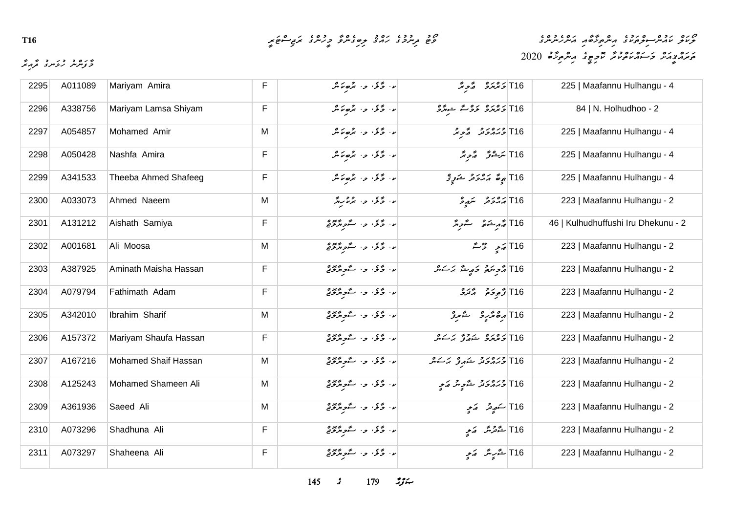*sCw7q7s5w7m< o<n9nOoAw7o< sCq;mAwBoEw7q<m; wBm;vB 2020<sup>, م</sup>وسوق المسجد التحقيق وسرمونية والم*جمع المسجد المسجد المسجد المسجد المسجد المسجد المسجد المسجد المسجد ال

## *n8o<n@ qC7m:q5 q7w7m?n>*

| 2295 | A011089 | Mariyam Amira               | F | لا د څخه د لمحه کامل         | T16 <i>5 كىرىڭ ھ</i> ُرىگە                              | 225   Maafannu Hulhangu - 4         |
|------|---------|-----------------------------|---|------------------------------|---------------------------------------------------------|-------------------------------------|
| 2296 | A338756 | Mariyam Lamsa Shiyam        | F | لا د څخه د نمومونکر          | T16 كەبەر كەرگە ئىبەدە                                  | 84   N. Holhudhoo - 2               |
| 2297 | A054857 | Mohamed Amir                | M | لا د څخه د نمومتمبر          | T16 <i>\$222 \$22</i>                                   | 225   Maafannu Hulhangu - 4         |
| 2298 | A050428 | Nashfa Amira                | F | $9.600 \times 10^{-2}$       | T16 يَرَيْدُوَّ گَرْرَنَّہُ ا                           | 225   Maafannu Hulhangu - 4         |
| 2299 | A341533 | Theeba Ahmed Shafeeg        | F | $9.600 \times 10^{-2}$       | T16 <sub>جو</sub> صٌ <i>مَدْدَوتر</i> حَن <i>وبِ</i> وَ | 225   Maafannu Hulhangu - 4         |
| 2300 | A033073 | Ahmed Naeem                 | M | لا د څخه د انگرېزگر          | T16 كەنزىق شەرى                                         | 223   Maafannu Hulhangu - 2         |
| 2301 | A131212 | Aishath Samiya              | F | لا د کمکی و اسگویزونی        | T16 م <i>مَّدمشقو</i> سَ <i>مَّح</i> ق                  | 46   Kulhudhuffushi Iru Dhekunu - 2 |
| 2302 | A001681 | Ali Moosa                   | M | ر، وی د. گ <sub>ر</sub> وروه | T16 کړي تخ <sup>م</sup> ث                               | 223   Maafannu Hulhangu - 2         |
| 2303 | A387925 | Aminath Maisha Hassan       | F | لا د محکي و اسگو پروه        | T16 مَّرِسَمَ وَمِثَّ بَرَسَسْ                          | 223   Maafannu Hulhangu - 2         |
| 2304 | A079794 | Fathimath Adam              | F | ر، وی د. گوهوه               | T16 تَ <i>وْجِوَءْ مُ</i> تَرَدُّ                       | 223   Maafannu Hulhangu - 2         |
| 2305 | A342010 | Ibrahim Sharif              | M | لا په کې د شودون             | T16 مەھەر بۇ ھەمبۇ                                      | 223   Maafannu Hulhangu - 2         |
| 2306 | A157372 | Mariyam Shaufa Hassan       | F | لا د کمکی و اسگویزونی        | T16 كەبۇرى خۇرۇ بەس <i>ە</i> ر                          | 223   Maafannu Hulhangu - 2         |
| 2307 | A167216 | <b>Mohamed Shaif Hassan</b> | M | ۱۰ و څو، د اسکو پروه         | T16   <i>ويرووي خبرو برسكر</i>                          | 223   Maafannu Hulhangu - 2         |
| 2308 | A125243 | Mohamed Shameen Ali         | M | لا د محکي و اسگو پوه         | T16 وُبَرُودُورْ حُكُوبِتْر مَرْمِرِ                    | 223   Maafannu Hulhangu - 2         |
| 2309 | A361936 | Saeed Ali                   | M | ر، وی د. گوهوه               | T16 ڪ <sub>ھي</sub> قر گ <i>ي</i> جي                    | 223   Maafannu Hulhangu - 2         |
| 2310 | A073296 | Shadhuna Ali                | F | ۱۰ وگی و شورووه              | T16 ڪُنرنگ <i>۾َ پ</i>                                  | 223   Maafannu Hulhangu - 2         |
| 2311 | A073297 | Shaheena Ali                | F | ر، وی و، گ <sub>ی</sub> وهوم | T16 ڪرپنگ <i>چ</i> َموِ                                 | 223   Maafannu Hulhangu - 2         |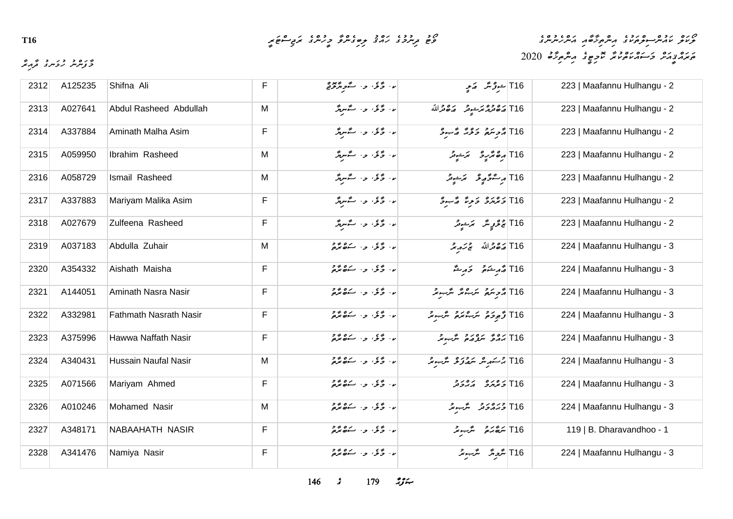*sCw7q7s5w7m< o<n9nOoAw7o< sCq;mAwBoEw7q<m; wBm;vB 2020<sup>, م</sup>وسر در مدد مدرج به مدرم مقرم قرار 2020*<br>موسر المستقرم المستقرم المستقرم المستقرم المستقرم المستقرم المستقرم المستقرم المستقرم المستقرم المستقرم المستقر

| 2312 | A125235 | Shifna Ali                  | F | ر، وی د. گ <sub>ی</sub> ویوی | T16 جو <i>ر</i> گر ک <i>ے پ</i>                      | 223   Maafannu Hulhangu - 2 |
|------|---------|-----------------------------|---|------------------------------|------------------------------------------------------|-----------------------------|
| 2313 | A027641 | Abdul Rasheed Abdullah      | M | لا د محرکی او اسکهگر         | T16 رَ <i>ەدە مَرْ</i> مُومِرْ رَەھْرَاللَّه         | 223   Maafannu Hulhangu - 2 |
| 2314 | A337884 | Aminath Malha Asim          | F | لا رکانی او اسکسرگر          | T16 مُ <i>وِسَمَى وَوْبُ</i> مُحْسِرَة               | 223   Maafannu Hulhangu - 2 |
| 2315 | A059950 | Ibrahim Rasheed             | M | لا رکانی او اسکسرگر          | T16 م <i>وڭ ئۇر</i> تەرىپەتر                         | 223   Maafannu Hulhangu - 2 |
| 2316 | A058729 | Ismail Rasheed              | M | لا : دَكْرُ و السَّمَاسُرُ   | T16 <sub>م</sub> رےد <i>و پی م</i> کھیے تھا۔<br>مسیح | 223   Maafannu Hulhangu - 2 |
| 2317 | A337883 | Mariyam Malika Asim         | F | لا د څخه د شمېرگ             | T16 ك <i>ويورو كروند م</i> حسور                      | 223   Maafannu Hulhangu - 2 |
| 2318 | A027679 | Zulfeena Rasheed            | F | لا د کال دا سگهرنگ           | T16 تج تح <i>وي مگر م</i> تر مقرم تحريد              | 223   Maafannu Hulhangu - 2 |
| 2319 | A037183 | Abdulla Zuhair              | M | ر، دمجني د. من ده برو        | T16 كەھەرللە ج <i>ى كەم</i> ىر                       | 224   Maafannu Hulhangu - 3 |
| 2320 | A354332 | Aishath Maisha              | F | ر، دی، د، شکھ برو            | T16 مَّ مِشَمَّ = دَمِشَّ                            | 224   Maafannu Hulhangu - 3 |
| 2321 | A144051 | Aminath Nasra Nasir         | F | ىن ۇي بەسكە ئەدە             | T16 مُرج <i>دَمْ مَرَجَةً</i> مُرْجَدة               | 224   Maafannu Hulhangu - 3 |
| 2322 | A332981 | Fathmath Nasrath Nasir      | F | لا د څو، د سوه پره           | T16 <i>وَّجِودَة</i> مَ <i>رْجَعَةً</i> مَرْجَعَةً   | 224   Maafannu Hulhangu - 3 |
| 2323 | A375996 | Hawwa Naffath Nasir         | F | ىن ئۇنى بەر بەھلىرى          | T16 <i>بَدْهُ مَرْدُهُ مَّنْ مَرْ</i> جَد            | 224   Maafannu Hulhangu - 3 |
| 2324 | A340431 | <b>Hussain Naufal Nasir</b> | M | ر، کوی داره بره بود          | T16 يُرْسَمَ مِنْ سَ <sub>مَع</sub> ْرُوْ سُرْسِيْرَ | 224   Maafannu Hulhangu - 3 |
| 2325 | A071566 | Mariyam Ahmed               | F | ر، دمی د. من دور             | T16 كەبەر <i>ە بەردى</i> ر                           | 224   Maafannu Hulhangu - 3 |
| 2326 | A010246 | Mohamed Nasir               | M | ر، دمی، در روم د             | T16 <i>ۋېزونۇ</i> ئ <i>ۇبىدى</i> گە                  | 224   Maafannu Hulhangu - 3 |
| 2327 | A348171 | NABAAHATH NASIR             | F | ىن ۇي بەسكە ئەدە             | T16 سَ <i>ھَنَہُ مَّ</i> سَنِ                        | 119   B. Dharavandhoo - 1   |
| 2328 | A341476 | Namiya Nasir                | F | ر، دې د ۱۵۷۰ کړه             | T16 مُر <i>ج ۾</i> مُرجو جُ                          | 224   Maafannu Hulhangu - 3 |

*n8o<n@ qC7m:q5 q7w7m?n>*

*146 s 179 <i>n*<sub>2</sub> *n*<sub>2</sub>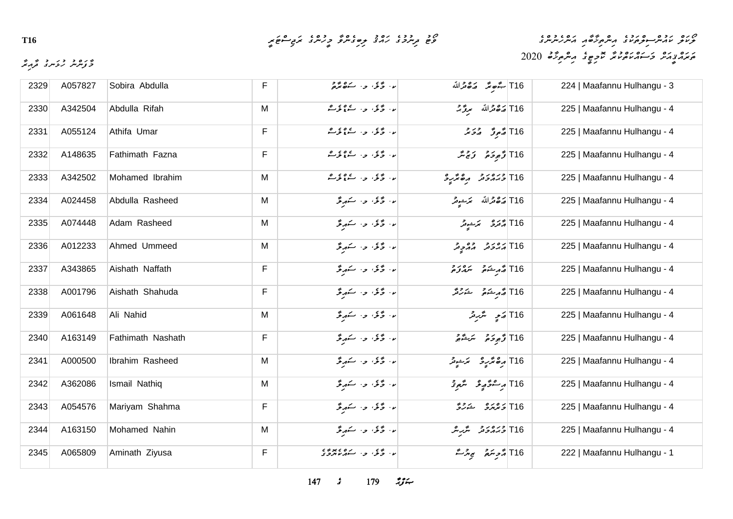*sCw7q7s5w7m< o<n9nOoAw7o< sCq;mAwBoEw7q<m; wBm;vB 2020*<br>*په پوهر وسوډيرونو لومو د موجو د مرمونه* 2020

| 2329 | A057827 | Sobira Abdulla    | F | ۱۰ د کې د سره برو                      | T16 بَدْھ مَرَّ مَہُ قَرْاللّه          | 224   Maafannu Hulhangu - 3 |
|------|---------|-------------------|---|----------------------------------------|-----------------------------------------|-----------------------------|
| 2330 | A342504 | Abdulla Rifah     | M | لار ۇي بەر يەۋۋىشە                     | T16 مَەمْراللە مِر <i>وَّبَ</i>         | 225   Maafannu Hulhangu - 4 |
| 2331 | A055124 | Athifa Umar       | F | لا، ۇي كۆرى ئۇيۇر                      | T16 مَّ مِوتَرِ مَحَمَّد                | 225   Maafannu Hulhangu - 4 |
| 2332 | A148635 | Fathimath Fazna   | F | لا گۇ دا ئۇگە                          | T16 رَّج <i>وحَةَ دَيْ</i> شَ           | 225   Maafannu Hulhangu - 4 |
| 2333 | A342502 | Mohamed Ibrahim   | M | لار ۇي كى ئۇيۇر                        | T16 <i>دُبَهُ دَوَ دَهُ مِ</i> مُبِرِدُ | 225   Maafannu Hulhangu - 4 |
| 2334 | A024458 | Abdulla Rasheed   | M | الاستحق وسنتهرئ                        | T16 كەھەراللە كەخبەتر                   | 225   Maafannu Hulhangu - 4 |
| 2335 | A074448 | Adam Rasheed      | M | الا د گای او اسکارگ                    | T16  مُرْمَرٌ مَرْجِعْرٌ                | 225   Maafannu Hulhangu - 4 |
| 2336 | A012233 | Ahmed Ummeed      | M | الا د گانگان دار سکهرنگ                | T16 كەبرى قىر مەر <i>بە</i> ر           | 225   Maafannu Hulhangu - 4 |
| 2337 | A343865 | Aishath Naffath   | F | الا انجنى الأسكارنج                    | T16 مەم ئىقىد <i>ۇم</i>                 | 225   Maafannu Hulhangu - 4 |
| 2338 | A001796 | Aishath Shahuda   | F | الا دمجني واستهرمي                     | T16 مَگْرِسْتَمْ شَرْتَدَّ              | 225   Maafannu Hulhangu - 4 |
| 2339 | A061648 | Ali Nahid         | M | الا دمجني واستهرمي                     | T16 کھ میں مگر <i>م</i> قر              | 225   Maafannu Hulhangu - 4 |
| 2340 | A163149 | Fathimath Nashath | F | لا : وَتَوْا و استهرتَرْ               | T16 تَ <i>وْجِرَةْ مَرْشَةْ تَ</i> وْ   | 225   Maafannu Hulhangu - 4 |
| 2341 | A000500 | Ibrahim Rasheed   | M | لا د گی دا سکرنی                       | T16 م <i>وڭ تگرى</i> ترىنونتر           | 225   Maafannu Hulhangu - 4 |
| 2342 | A362086 | Ismail Nathiq     | M | الا وَبِيِّ وَاسْتَهْرُبُّ             | T16 م <i>ې</i> شۇمەتى شەرىۋ             | 225   Maafannu Hulhangu - 4 |
| 2343 | A054576 | Mariyam Shahma    | F | الا د نخوی او اسکارتی                  | $522 - 522 = 16$                        | 225   Maafannu Hulhangu - 4 |
| 2344 | A163150 | Mohamed Nahin     | M | الا د نخوي و استهرگ                    | T16  <i>3223 مگرى</i> گر                | 225   Maafannu Hulhangu - 4 |
| 2345 | A065809 | Aminath Ziyusa    | F | ر، دی، د. ده ۲۶ ده.<br>را در در سور ۲۶ | T16 مُرجِسَعُ ہِ بِرْتُ                 | 222   Maafannu Hulhangu - 1 |

#### *n8o<n@ qC7m:q5 q7w7m?n>*

*147 s 179 <i>n*<sub>2</sub> *n*<sub>2</sub>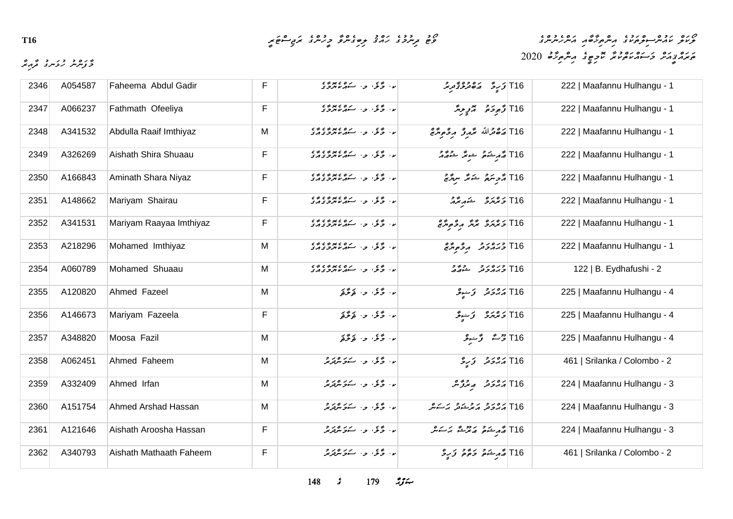*sCw7q7s5w7m< o<n9nOoAw7o< sCq;mAwBoEw7q<m; wBm;vB 2020<sup>, م</sup>وسر در مدد مدرج به مدرم مقرم قرار 2020*<br>موسر المستقرم المستقرم المستقرم المستقرم المستقرم المستقرم المستقرم المستقرم المستقرم المستقرم المستقرم المستقر

| A054587 | Faheema Abdul Gadir     | F | ر ده ده ده ده ده ده د<br>را گرف و استفاد در در                                                                                                                                                                                 | T16 كۆر <sup>ى كە</sup> ھ ترىۋىرىز            | 222   Maafannu Hulhangu - 1  |
|---------|-------------------------|---|--------------------------------------------------------------------------------------------------------------------------------------------------------------------------------------------------------------------------------|-----------------------------------------------|------------------------------|
| A066237 | Fathmath Ofeeliya       | F | ر دی.<br>روز در سهر در درد                                                                                                                                                                                                     | T16 وَّجِدَة مَعْ مَرْدِيمَّ                  | 222   Maafannu Hulhangu - 1  |
| A341532 | Abdulla Raaif Imthiyaz  | M | ر، دی. د. ۱۶۶۲ ورود ور                                                                                                                                                                                                         | T16 مَەھْمَراللە مَدْمِرْدْ مِرْحَمْدِمْ مَ   | 222   Maafannu Hulhangu - 1  |
| A326269 | Aishath Shira Shuaau    | F | ر دی د ۱۶۶۶ محمد ۲۸۶۶<br>را دگوار سهر ۱۶۸۶ ک                                                                                                                                                                                   | T16 مُرمِشَمُ مُومَّدٌ مُشْرَمَّةٌ.           | 222   Maafannu Hulhangu - 1  |
| A166843 | Aminath Shara Niyaz     | F | ده و ده ده ده ده ده ده ده ده ده داد کار در کار در ده در در کار در کار در کار در در در کار در کار در در کار در<br>در از کارگرفت کار در کار در کار در کار در کار کار کار کرد کرد که در کار کرد و کار کرد که در کار کرد که در کار | T16 أَمُّ حِ سَمَّةً مِنْ مَسَمَّدٌ سِمَدَّجَ | 222   Maafannu Hulhangu - 1  |
| A148662 | Mariyam Shairau         | F |                                                                                                                                                                                                                                | T16تر پر پر مقد <i>م پ</i> ر                  | 222   Maafannu Hulhangu - 1  |
| A341531 | Mariyam Raayaa Imthiyaz | F | ر، دی. د. ۱۶۶۶ ورود ور<br>۱۷. د گور، د. سه در ۱۶۸۷ ورود ور                                                                                                                                                                     | T16 كەبىر ئەنگە ئەر ئەرەپكى                   | 222   Maafannu Hulhangu - 1  |
| A218296 | Mohamed Imthiyaz        | M |                                                                                                                                                                                                                                | T16 <i>בُגُרْכ</i> َى مِوْمِ <i>رَّجْ</i>     | 222   Maafannu Hulhangu - 1  |
| A060789 | Mohamed Shuaau          | M | ر دی د ۱۶۶۶ میلادی<br>را د گوار سه سه در ۱۶۸۶ ک                                                                                                                                                                                | $722 - 722 = 116$                             | 122   B. Eydhafushi - 2      |
| A120820 | Ahmed Fazeel            | M | ، دَگرَ، دا مَجمَّوْمُ                                                                                                                                                                                                         | T16 كەبرى تەرىپى                              | 225   Maafannu Hulhangu - 4  |
| A146673 | Mariyam Fazeela         | F | ىر، بۇق، بەر ئۇقۇق                                                                                                                                                                                                             | T16 وَيُرْبُرُوْ كَلَّبِوُدُّ                 | 225   Maafannu Hulhangu - 4  |
| A348820 | Moosa Fazil             | M | ، دَّى دا دَرْدُ                                                                                                                                                                                                               | T16 فخر مح شبر                                | 225   Maafannu Hulhangu - 4  |
| A062451 | Ahmed Faheem            | M | لا : وَكُوْا وَ الْسُوَلُولُونُونُو                                                                                                                                                                                            | T16 كەندى تەرچ                                | 461   Srilanka / Colombo - 2 |
| A332409 | Ahmed Irfan             | M | لا : وَكُوْا و السَّوَسُرْتِرَبْر                                                                                                                                                                                              | T16   دیروتر    میگریمر                       | 224   Maafannu Hulhangu - 3  |
| A151754 | Ahmed Arshad Hassan     | M | لا : وَگُوْ أَوْ الْسُوَالِيْوَالِيْوَالِيْوَالِيْوَالِيْوَالِيْوَالِيْوَالِيْوَالِيْوَالِيْوَالِيْو                                                                                                                           | T16  كەبۇ كەنگە كەنگە ئەسكەنلەر               | 224   Maafannu Hulhangu - 3  |
| A121646 | Aishath Aroosha Hassan  | F | لا : ۇ ئى كەن ئىر ئىرلىرىمە                                                                                                                                                                                                    | T16 مەم ئىشمى مەمرىشە ئەسەمىر                 | 224   Maafannu Hulhangu - 3  |
| A340793 | Aishath Mathaath Faheem | F | ر، دمې د سرکابرور                                                                                                                                                                                                              | T16 مُپسَمَّ وَمُوْمَ وَرِدْ                  | 461   Srilanka / Colombo - 2 |
|         |                         |   |                                                                                                                                                                                                                                |                                               |                              |

## *n8o<n@ qC7m:q5 q7w7m?n>*

*148 s 179 <i>n***<sub>s</sub>**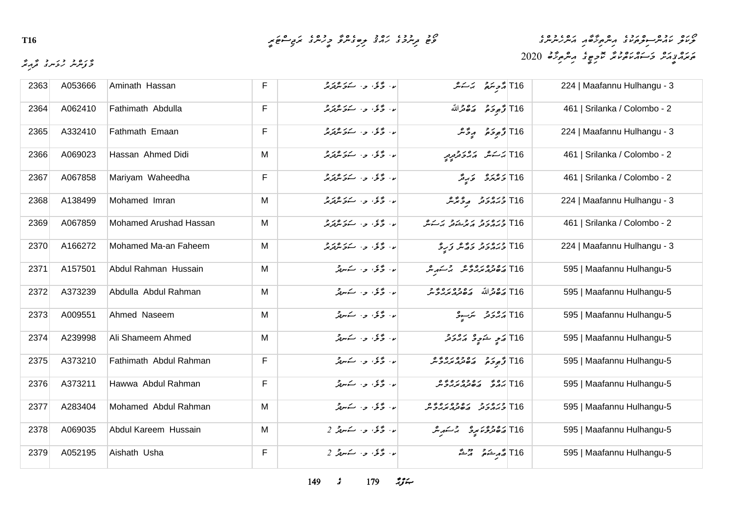*sCw7q7s5w7m< o<n9nOoAw7o< sCq;mAwBoEw7q<m; wBm;vB 2020<sup>, م</sup>وسر در مدد مدرج به مدرم مقرم قرار 2020*<br>موسر المستقرم المستقرم المستقرم المستقرم المستقرم المستقرم المستقرم المستقرم المستقرم المستقرم المستقرم المستقر

| 2363 | A053666 | Aminath Hassan         | F | لا : وَكَوْا و استوكرونونو            | T16 مَّ حِسَمَ سَرَسْر                                      | 224   Maafannu Hulhangu - 3  |
|------|---------|------------------------|---|---------------------------------------|-------------------------------------------------------------|------------------------------|
| 2364 | A062410 | Fathimath Abdulla      | F | لا : 33، ق. سكى بىرلىرنى              | T16 وَجِعَة صَ <b>صَ</b> قَرَاللّه                          | 461   Srilanka / Colombo - 2 |
| 2365 | A332410 | Fathmath Emaan         | F | لا : وَكَوْا و الْمَسْوَسْرَوْرُ مِنْ | T16 <i>وُّجِوَدَة</i> دِرَّسْ                               | 224   Maafannu Hulhangu - 3  |
| 2366 | A069023 | Hassan Ahmed Didi      | м | لا : 33 و السكوكلولولو                | T16   يَرْسَمْرُ   بِرَبُّرْدَ مُرْمِرِمِرِ                 | 461   Srilanka / Colombo - 2 |
| 2367 | A067858 | Mariyam Waheedha       | F | لا : وَكَوْا و الْسُوَيْتِرْيْرَ      | T16  <i>خ تەپزى ق</i> ەبەت <i>گ</i>                         | 461   Srilanka / Colombo - 2 |
| 2368 | A138499 | Mohamed Imran          | M | لا : وَكُوْا و الْمَسْوَمُوتِوَبِرَ   | T16 <i>32825 م</i> وممبر                                    | 224   Maafannu Hulhangu - 3  |
| 2369 | A067859 | Mohamed Arushad Hassan | M | لاستخنى بالمستخص ولايد                | T16   <i>32,325 كەنگەنىڭ بەسكەنل</i>                        | 461   Srilanka / Colombo - 2 |
| 2370 | A166272 | Mohamed Ma-an Faheem   | M | لا : وَگُوْا و السُوَمُوتِوَبِرَ      | T16 <i>وَبَرُودُو وَمُ</i> مَّرُ وَرِدْ                     | 224   Maafannu Hulhangu - 3  |
| 2371 | A157501 | Abdul Rahman Hussain   | M | لاستخرق بن سكين                       | T16 <i>مەمەمەرە ۋە بىر شەم</i> ىر                           | 595   Maafannu Hulhangu-5    |
| 2372 | A373239 | Abdulla Abdul Rahman   | M | الاستخرى الدارا سكانده                | T16 كەمەللە كەھ <i>ىرمىدۇ تىر</i>                           | 595   Maafannu Hulhangu-5    |
| 2373 | A009551 | Ahmed Naseem           | M | لاءِ گرگوءَ اوءِ اسکس                 | T16   پرچوبی - سرجایی                                       | 595   Maafannu Hulhangu-5    |
| 2374 | A239998 | Ali Shameem Ahmed      | M | الاستخرى الدارا سكانده                | T16] ر <sub>َّحٍ</sub> حَر <sub>َّحٍ</sub> \$ كَرَكْرَ مَرْ | 595   Maafannu Hulhangu-5    |
| 2375 | A373210 | Fathimath Abdul Rahman | F | لاءِ گُرُگُوءَ او سُکس                | T16 ژب <i>ود و م</i> وموره دره م                            | 595   Maafannu Hulhangu-5    |
| 2376 | A373211 | Hawwa Abdul Rahman     | F | لاستخرق بن سكين                       | T16 <i>بَهُرَّةُ بِهُ قَوْمُ بِرَبِّدْوُ</i> سُ             | 595   Maafannu Hulhangu-5    |
| 2377 | A283404 | Mohamed Abdul Rahman   | M | الله الحجري الاست الكروني             | T16 ديره در دره ده دره در ش                                 | 595   Maafannu Hulhangu-5    |
| 2378 | A069035 | Abdul Kareem Hussain   | M | لا : 33، ق. سكس 2                     | T16 كەھەر <i>ۋە ئەيج بەسكە</i> ر ش                          | 595   Maafannu Hulhangu-5    |
| 2379 | A052195 | Aishath Usha           | F | لا : 35، ق. سكس 2                     | T16 مُرسَمَّ مُرْشَّ                                        | 595   Maafannu Hulhangu-5    |

## *n8o<n@ qC7m:q5 q7w7m?n>*

*n*<sub>49</sub> *s 179 <i>n*<sub>3</sub> *s*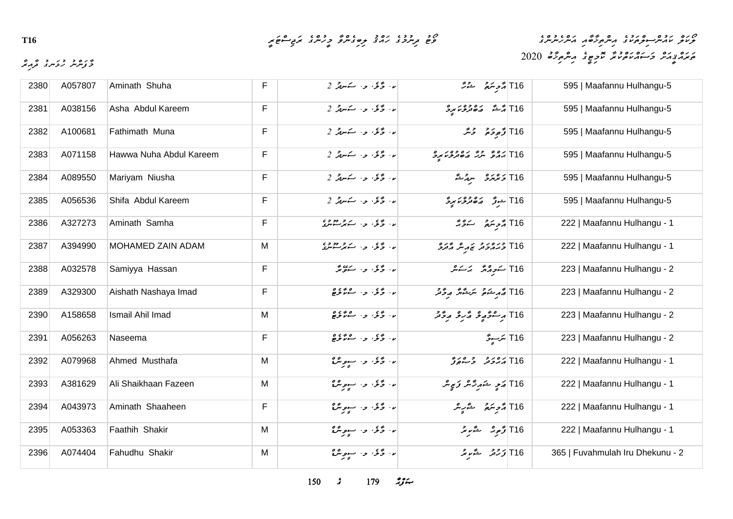*sCw7q7s5w7m< o<n9nOoAw7o< sCq;mAwBoEw7q<m; wBm;vB 2020<sup>, م</sup>وسوق المسجد التحقيق وسرمونية والم*جمع المسجد المسجد المسجد المسجد المسجد المسجد المسجد المسجد المسجد ال

| 2380 | A057807 | Aminath Shuha            | $\mathsf F$ | لا : گُرُّوْا و اسکس لا 2           | T16 م <i>مْ</i> حِسَمَة شَمَّـُ                | 595   Maafannu Hulhangu-5        |
|------|---------|--------------------------|-------------|-------------------------------------|------------------------------------------------|----------------------------------|
| 2381 | A038156 | Asha Abdul Kareem        | F           | لاءِ گُرُوْ، بْ سُمَسْ 2 2          | T16 مُتَّ مەھىر <i>ى ب</i> ور                  | 595   Maafannu Hulhangu-5        |
| 2382 | A100681 | Fathimath Muna           | $\mathsf F$ | لاستخوان وسكين ليكر 2               | T16 <i>وُّجِ وَحُمَّ</i> وَسَمَّ               | 595   Maafannu Hulhangu-5        |
| 2383 | A071158 | Hawwa Nuha Abdul Kareem  | $\mathsf F$ | الا الحجي، الان الكاس 2.            | T16 يَرُوُوُ سُرَبَّہُ مِنْ صَوْرُ مَنْ مِرِدْ | 595   Maafannu Hulhangu-5        |
| 2384 | A089550 | Mariyam Niusha           | F           | الا المحكى المار سكاس 2             | T16 <i>وَبُرْدَة</i> سِ <i>مَ</i> ّتُ          | 595   Maafannu Hulhangu-5        |
| 2385 | A056536 | Shifa Abdul Kareem       | $\mathsf F$ | الا : وَكَرْ، و: سَمَسِيْرُ 2       | T16 جو <i>ڙ خ&amp;ھوگرموچ</i>                  | 595   Maafannu Hulhangu-5        |
| 2386 | A327273 | Aminath Samha            | F           | لا کوی که سوریدین                   | T16 مَّ جِسَمَة مَسَوَيْتَ                     | 222   Maafannu Hulhangu - 1      |
| 2387 | A394990 | <b>MOHAMED ZAIN ADAM</b> | M           | لا د څو د سکرې د ده ده              |                                                | 222   Maafannu Hulhangu - 1      |
| 2388 | A032578 | Samiyya Hassan           | F           | لاستخرش وستعويم                     | T16 س <i>ے برمگر پر سک</i> ھر                  | 223   Maafannu Hulhangu - 2      |
| 2389 | A329300 | Aishath Nashaya Imad     | $\mathsf F$ | ر، دې د شر <i>و</i> خ               | T16 مُرمِشَمُ سَرَشَۃُ مِرَّتَر                | 223   Maafannu Hulhangu - 2      |
| 2390 | A158658 | Ismail Ahil Imad         | M           | ر، ۇي <sub>ج</sub> . ش <i>ىۋ</i> ۇھ | T16 مِرْ شَوَّمٍ وَ مَرْ وَ مِرَّدَّدُ         | 223   Maafannu Hulhangu - 2      |
| 2391 | A056263 | Naseema                  | F           | ىر، بۇي بەر ئەيدۇھ                  | T16 بترسید <del>گ</del>                        | 223   Maafannu Hulhangu - 2      |
| 2392 | A079968 | Ahmed Musthafa           | M           | لا د څخه و سومانونه                 | T16 كەبرو قىسبۇ ق                              | 222   Maafannu Hulhangu - 1      |
| 2393 | A381629 | Ali Shaikhaan Fazeen     | M           | لا د څخه د سوم شو                   | T16   كەمە خەرگە ئەي ئىر                       | 222   Maafannu Hulhangu - 1      |
| 2394 | A043973 | Aminath Shaaheen         | F           | الا دمجني والسوه شره و              | T16 <i>مُ<sub>ح</sub>ِسَعُ</i> شَرِسْ          | 222   Maafannu Hulhangu - 1      |
| 2395 | A053363 | Faathih Shakir           | M           | الا دمجني والسوه شره و              | T16 گ <sub>رم</sub> ور شرمتر                   | 222   Maafannu Hulhangu - 1      |
| 2396 | A074404 | Fahudhu Shakir           | M           | لاستخرى وسيبوشكا                    | T16 ترترقر مق <i>م</i> ونز                     | 365   Fuvahmulah Iru Dhekunu - 2 |
|      |         |                          |             |                                     |                                                |                                  |

#### *n8o<n@ qC7m:q5 q7w7m?n>*

*150 s 179 <i>n*<sub>2</sub> *n*<sub>2</sub>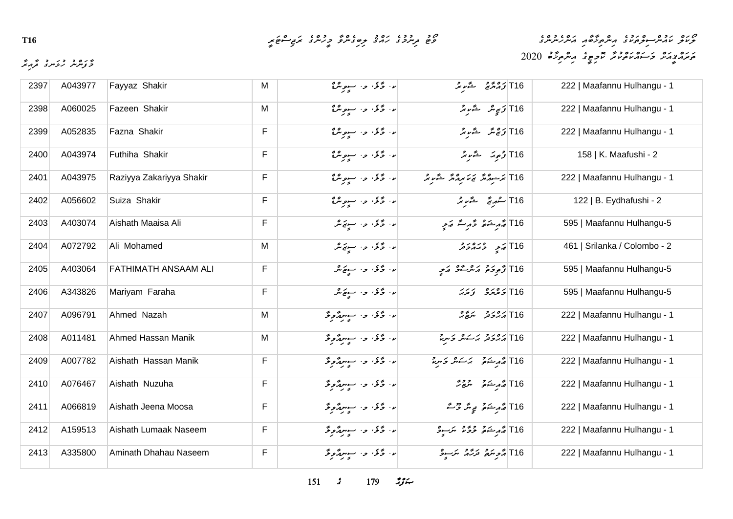*sCw7q7s5w7m< o<n9nOoAw7o< sCq;mAwBoEw7q<m; wBm;vB 2020<sup>, م</sup>وسر در مدد مدرج به مدرم مقرم قرار 2020*<br>موسر المستقرم المستقرم المستقرم المستقرم المستقرم المستقرم المستقرم المستقرم المستقرم المستقرم المستقرم المستقر

| 2397 | A043977 | Fayyaz Shakir               | M | ۱۰ وګو، و۰ سومونګ                                                                                                                                                                                                                                                     | T16 زَرْدَتَرَ جَمَّ سَدَّمِ بَرْ                    | 222   Maafannu Hulhangu - 1  |
|------|---------|-----------------------------|---|-----------------------------------------------------------------------------------------------------------------------------------------------------------------------------------------------------------------------------------------------------------------------|------------------------------------------------------|------------------------------|
| 2398 | A060025 | Fazeen Shakir               | M | $\left  \begin{smallmatrix} 0 & 0 & 0 & 0 \ 0 & 0 & 0 & 0 \end{smallmatrix} \right $ ، وسوم الله عليه الله عليه الله عليه الله عليه الله عليه الله عليه الله عليه الله عليه الله عليه الله عليه الله عليه الله عليه الله عليه الله عليه الله عليه الله عليه الله عليه | T16 كۇي <sub>ى</sub> ش ھەرىتى                        | 222   Maafannu Hulhangu - 1  |
| 2399 | A052835 | Fazna Shakir                | F | الاستخفى التاسع مراه في المراه                                                                                                                                                                                                                                        | T16 كَرْجْ مَّثْر مُسَّسْمَد                         | 222   Maafannu Hulhangu - 1  |
| 2400 | A043974 | Futhiha Shakir              | F | لا الحجي الله السوم مثل عليه                                                                                                                                                                                                                                          | T16   قرم پر سنگھ پر                                 | 158   K. Maafushi - 2        |
| 2401 | A043975 | Raziyya Zakariyya Shakir    | F | $\mathcal{E}$ ر گري و، سوه شگر                                                                                                                                                                                                                                        | T16 <i>بز شوہ بڑ تا برو</i> بڑ ش <i>ڑ ب</i> ڑ        | 222   Maafannu Hulhangu - 1  |
| 2402 | A056602 | Suiza Shakir                | F | لا : د څخه او اسوموننده                                                                                                                                                                                                                                               | T16 ڪ <sub>م</sub> يءَ گھريمه                        | 122   B. Eydhafushi - 2      |
| 2403 | A403074 | Aishath Maaisa Ali          | F | لاستخرش وسيتعيض                                                                                                                                                                                                                                                       | T16 مُرِسَمَۃُ وَُرِسَّہُ مَرِ                       | 595   Maafannu Hulhangu-5    |
| 2404 | A072792 | Ali Mohamed                 | М | لاستخرش الدارسيخ مثل                                                                                                                                                                                                                                                  | T16 كەي تە <i>مەدەت</i> ر                            | 461   Srilanka / Colombo - 2 |
| 2405 | A403064 | <b>FATHIMATH ANSAAM ALI</b> | F | لاستخرش الدارسينجي مكر                                                                                                                                                                                                                                                | T16 <i>وُجِ حَمْ</i> مَ <sup>م</sup> َرْ مَعْ مَعِ   | 595   Maafannu Hulhangu-5    |
| 2406 | A343826 | Mariyam Faraha              | F | لاستخرش الدارسينجي مكر                                                                                                                                                                                                                                                | T16 كەبەدى كەتەتە                                    | 595   Maafannu Hulhangu-5    |
| 2407 | A096791 | Ahmed Nazah                 | M | ، دُی دا سومدُودٌ                                                                                                                                                                                                                                                     | T16 كەبۇر كەر ئىن ئەنگەنىز                           | 222   Maafannu Hulhangu - 1  |
| 2408 | A011481 | Ahmed Hassan Manik          | M | لا د د د سومه د کلی د کار                                                                                                                                                                                                                                             | T16 كەبۇر قىرىكە كەبدىر                              | 222   Maafannu Hulhangu - 1  |
| 2409 | A007782 | Aishath Hassan Manik        | F | لا د کال دا سوسدگردگی                                                                                                                                                                                                                                                 | T16 مەم شىم كەسكىر ك <i>ەمدى</i> ر                   | 222   Maafannu Hulhangu - 1  |
| 2410 | A076467 | Aishath Nuzuha              | F | $ v ^2$ لا، دُکو، د. سومدگردگر                                                                                                                                                                                                                                        | T16 مەم ئىقىمى ئىتى ئىچە ئىقى ئى                     | 222   Maafannu Hulhangu - 1  |
| 2411 | A066819 | Aishath Jeena Moosa         | F | $\left  \begin{array}{cc} \mathcal{L} & \mathcal{L} \\ \mathcal{L} & \mathcal{L} \end{array} \right $ . $\mathcal{L} = \left  \begin{array}{cc} \mathcal{L} & \mathcal{L} \\ \mathcal{L} & \mathcal{L} \end{array} \right $                                           | T16 صُرِحْمَۃ وِ مُرَ رَّ <sup>م</sup> ُ مُ          | 222   Maafannu Hulhangu - 1  |
| 2412 | A159513 | Aishath Lumaak Naseem       | F | $\mathcal{L}(\mathcal{L})$ ، د کار او د سور د کرد                                                                                                                                                                                                                     | T16 مُەم شەترە تۇرگە تىرسور                          | 222   Maafannu Hulhangu - 1  |
| 2413 | A335800 | Aminath Dhahau Naseem       | F | ، دُی د سپه دود                                                                                                                                                                                                                                                       | T16 مَّ <i>وِسَمَّةَ مَرَكَّهُ</i> سَ <i>رَسِ</i> وْ | 222   Maafannu Hulhangu - 1  |

#### *n8o<n@ qC7m:q5 q7w7m?n>*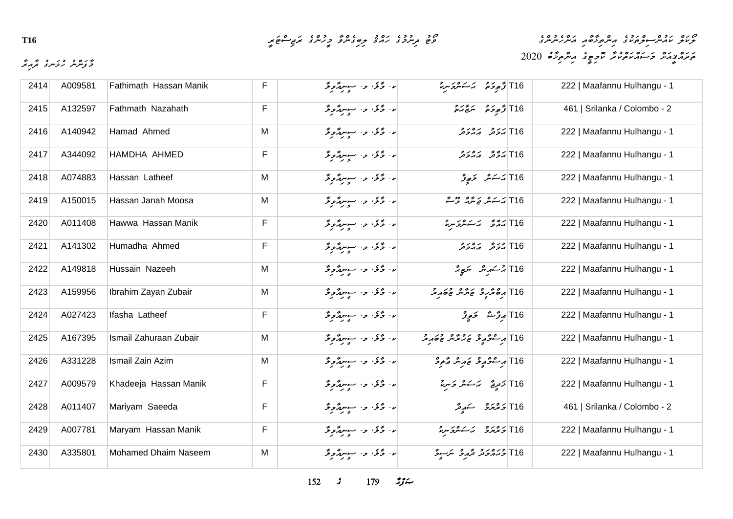*sCw7q7s5w7m< o<n9nOoAw7o< sCq;mAwBoEw7q<m; wBm;vB 2020<sup>, م</sup>وسر در مدد مدرج به مدرم مقرم قرار 2020*<br>موسر المستقرم المستقرم المستقرم المستقرم المستقرم المستقرم المستقرم المستقرم المستقرم المستقرم المستقرم المستقر

| 2414 | A009581 | Fathimath Hassan Manik | F | ، دُکو، د. سومدگروگر                                                                                                                                                                                                                                                                                                                                                                                                     | T16 ۇ <sub>ج</sub> وڭمۇ بەس <i>تىرگەنىزى</i> ۋ   | 222   Maafannu Hulhangu - 1  |
|------|---------|------------------------|---|--------------------------------------------------------------------------------------------------------------------------------------------------------------------------------------------------------------------------------------------------------------------------------------------------------------------------------------------------------------------------------------------------------------------------|--------------------------------------------------|------------------------------|
| 2415 | A132597 | Fathmath Nazahath      | F | ، دُکو، د. سومدگروگر                                                                                                                                                                                                                                                                                                                                                                                                     | T16 ژ <sub>ېپو</sub> رَ ئ <sub>و</sub> شهره د    | 461   Srilanka / Colombo - 2 |
| 2416 | A140942 | Hamad Ahmed            | M | لا د دی دا سوله د د                                                                                                                                                                                                                                                                                                                                                                                                      | T16 يَرَوَمُ     يَرْرُوَمُرُ                    | 222   Maafannu Hulhangu - 1  |
| 2417 | A344092 | HAMDHA AHMED           | F | لا د څو د سرمدونو                                                                                                                                                                                                                                                                                                                                                                                                        | T16 يَرْوَتْرُ مَدْرَوْتْر                       | 222   Maafannu Hulhangu - 1  |
| 2418 | A074883 | Hassan Latheef         | M | لا د دی. دا سومدگردگی                                                                                                                                                                                                                                                                                                                                                                                                    | T16   پرسترين کوچوتو                             | 222   Maafannu Hulhangu - 1  |
| 2419 | A150015 | Hassan Janah Moosa     | M | الا د محکي او اسوسرگانونگر                                                                                                                                                                                                                                                                                                                                                                                               | T16   يَرْسَعْرُ فَيَعْرُدُ فَرَّسَةُ            | 222   Maafannu Hulhangu - 1  |
| 2420 | A011408 | Hawwa Hassan Manik     | F | ، دُی د سپه دوگ                                                                                                                                                                                                                                                                                                                                                                                                          | T16 <i>بَدْهُ بَنْ مَدْهُ مِ</i> رَ              | 222   Maafannu Hulhangu - 1  |
| 2421 | A141302 | Humadha Ahmed          | F | ١٠ وي. و١٠ سوسروونو                                                                                                                                                                                                                                                                                                                                                                                                      | T16 يُرْوَتَرُ كَمَدْوَتْرُ                      | 222   Maafannu Hulhangu - 1  |
| 2422 | A149818 | Hussain Nazeeh         | M | لا د دی دا سوله د د                                                                                                                                                                                                                                                                                                                                                                                                      | T16 پڑے پہ شریع شرید میں تقریبات<br>مسلمات       | 222   Maafannu Hulhangu - 1  |
| 2423 | A159956 | Ibrahim Zayan Zubair   | M | ، دُکو، د. سومدگروگر                                                                                                                                                                                                                                                                                                                                                                                                     | T16 مەھەرىپ ئەرگىرى <i>قەم</i> ەر                | 222   Maafannu Hulhangu - 1  |
| 2424 | A027423 | Ifasha Latheef         | F | الا د د د . سوله د د کم                                                                                                                                                                                                                                                                                                                                                                                                  | T16 مِرَّتْہٗ کَھورٌ                             | 222   Maafannu Hulhangu - 1  |
| 2425 | A167395 | Ismail Zahuraan Zubair | M | $\mathcal{L}(\mathcal{L})$ ، د کار د کار د کار د کار د کار د کار د کار د کار د کار د کار د کار د کار د کار د کار د کار د کار د کار د کار د کار د کار د کار د کار د کار د کار د کار د کار د کار د کار د کار د کار د کار د کار د کار د کار                                                                                                                                                                                 | T16 <sub>م</sub> ر <i>مۇر بۇ ئەيرىتى جەم</i> بر  | 222   Maafannu Hulhangu - 1  |
| 2426 | A331228 | Ismail Zain Azim       | M | لا دى. دا سوسەگەنگە                                                                                                                                                                                                                                                                                                                                                                                                      | T16 <sub>م</sub> رےد <i>ۇر بىغ ئەرىگر مەم</i> وق | 222   Maafannu Hulhangu - 1  |
| 2427 | A009579 | Khadeeja Hassan Manik  | F | $\stackrel{\circ}{\mathcal{E}}\stackrel{\circ}{\mathcal{E}}\stackrel{\circ}{\mathcal{E}}\stackrel{\circ}{\mathcal{E}}\stackrel{\circ}{\mathcal{E}}\stackrel{\circ}{\mathcal{E}}\stackrel{\circ}{\mathcal{E}}\stackrel{\circ}{\mathcal{E}}\stackrel{\circ}{\mathcal{E}}\stackrel{\circ}{\mathcal{E}}\stackrel{\circ}{\mathcal{E}}\stackrel{\circ}{\mathcal{E}}\stackrel{\circ}{\mathcal{E}}\stackrel{\circ}{\mathcal{E}}$ | T16   زَمِرِيحٌ = بَرَسَة مَدَّ وَسِرَةٌ =       | 222   Maafannu Hulhangu - 1  |
| 2428 | A011407 | Mariyam Saeeda         | F | ، دُی د سرگود                                                                                                                                                                                                                                                                                                                                                                                                            | T16 كەنگەنى سىھەتىر                              | 461   Srilanka / Colombo - 2 |
| 2429 | A007781 | Maryam Hassan Manik    | F | لا د څخه د سرسرگونځ                                                                                                                                                                                                                                                                                                                                                                                                      | T16 <i>كەنگەنى بىك ئارىخى</i> رى <i>ن</i>        | 222   Maafannu Hulhangu - 1  |
| 2430 | A335801 | Mohamed Dhaim Naseem   | Μ |                                                                                                                                                                                                                                                                                                                                                                                                                          | T16   <i>وَيُدُوَدُ مُّهُودُ سَ</i> سِوْ         | 222   Maafannu Hulhangu - 1  |

## *n8o<n@ qC7m:q5 q7w7m?n>*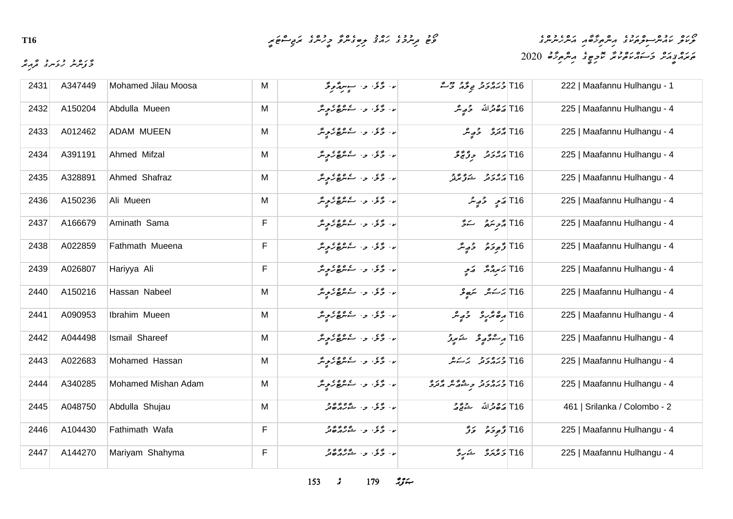*sCw7q7s5w7m< o<n9nOoAw7o< sCq;mAwBoEw7q<m; wBm;vB* م من المرة المرة المرة المرجع المرجع في المركبة 2020<br>مجم*د المريض المربوط المربع المرجع في المراجع المركبة* 

| 2431 | A347449 | Mohamed Jilau Moosa   | M | ، دُکو، د. سومدگروگر                                                                                 | T16  دېرورو <sub>مو</sub> څر وص <u>م</u>      | 222   Maafannu Hulhangu - 1  |
|------|---------|-----------------------|---|------------------------------------------------------------------------------------------------------|-----------------------------------------------|------------------------------|
| 2432 | A150204 | Abdulla Mueen         | M | ئەس ئۇنى بەر سەھرى ئولىگە                                                                            | T16 كەھەراللە ئ <i>ەمبى</i> گر                | 225   Maafannu Hulhangu - 4  |
| 2433 | A012462 | <b>ADAM MUEEN</b>     | M | لا ئۇقۇر بەر ئەشھۇرىچە ئە                                                                            | T16 م <i>گرو تحمی</i> ش                       | 225   Maafannu Hulhangu - 4  |
| 2434 | A391191 | Ahmed Mifzal          | M | لا ئۇقۇر بەر ئەشھۇرىچە ئە                                                                            | T16 <i>גُرُدَوْ وِوْيُّوْ</i>                 | 225   Maafannu Hulhangu - 4  |
| 2435 | A328891 | Ahmed Shafraz         | M | ئەس ئۇنى بەر سەھرى ئولىگە                                                                            | T16 كەبرى ھەر ئىقىن ئىقىدىن ئىقىد             | 225   Maafannu Hulhangu - 4  |
| 2436 | A150236 | Ali Mueen             | M | لا ئۇقۇر بەر ئەشھۇرىچە ئە                                                                            | T16 <i>ڇُجِ - ڏوپٽر</i>                       | 225   Maafannu Hulhangu - 4  |
| 2437 | A166679 | Aminath Sama          | F | لا ئۇقۇر بەر ئەھۋىرىدىگە                                                                             | T16 مَّ مِسَمَّد سَدَّ                        | 225   Maafannu Hulhangu - 4  |
| 2438 | A022859 | Fathmath Mueena       | F | لا ئەقتى كەر ئەھۋىر ئەش                                                                              | T16 ت <i>ۇ<sub>ج</sub>وخۇ خ</i> وش            | 225   Maafannu Hulhangu - 4  |
| 2439 | A026807 | Hariyya Ali           | F | الا المحتى الى المعطور محمد المعروبين                                                                | T16 بَرْمِهْ مَّمْ صَوِ                       | 225   Maafannu Hulhangu - 4  |
| 2440 | A150216 | Hassan Nabeel         | M | لا ئۇتۇ، بەر ئاشھۇرىچە ئە                                                                            | T16 پرسکر س <i>کھ</i> و                       | 225   Maafannu Hulhangu - 4  |
| 2441 | A090953 | Ibrahim Mueen         | M | لا ئۇقۇر بەر ئەشھۇرىچە ئە                                                                            | T16 <sub>م</sub> ەنگەر ئىق ئى                 | 225   Maafannu Hulhangu - 4  |
| 2442 | A044498 | <b>Ismail Shareef</b> | M | لا ئۇقۇر بەر ئەھۋىرىدىگە                                                                             | T16 برىشۇر ئى ھەمرى <sup>س</sup> ى ئىلىمى بىر | 225   Maafannu Hulhangu - 4  |
| 2443 | A022683 | Mohamed Hassan        | M | لا ئەقتى كەر ئەھۋىر ئەش                                                                              | T16 <i>ۋىزەدۇ بزىكى</i> ر                     | 225   Maafannu Hulhangu - 4  |
| 2444 | A340285 | Mohamed Mishan Adam   | M | لا ئۇقۇر بەر ئەشھۇرىچە ئە                                                                            | T16 <i>وبروبر وحوش شرق</i> و                  | 225   Maafannu Hulhangu - 4  |
| 2445 | A048750 | Abdulla Shujau        | M | لا کوی که ۱۵۶۰ و                                                                                     | T16 مَرْهُ قَرْاللَّهُ شَوْقَهُ مَّ           | 461   Srilanka / Colombo - 2 |
| 2446 | A104430 | Fathimath Wafa        | F | الا المحتمى المحدد المحدود المحدد المحدد المحدد المحدد المحدد المحدد المحدد المحدد المحدد المحدد الم | T16 <i>وُّجِ وَمُحَ</i> وَوَّ                 | 225   Maafannu Hulhangu - 4  |
| 2447 | A144270 | Mariyam Shahyma       | F | ، دی، دانشماره دور                                                                                   | T16  <i>وَبُرْبُرُوْ خَبِ</i> رُوُّ           | 225   Maafannu Hulhangu - 4  |

#### *n8o<n@ qC7m:q5 q7w7m?n>*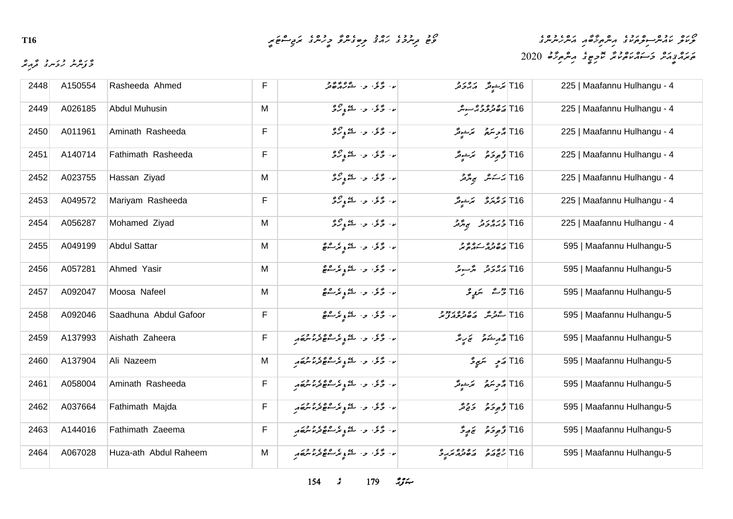*sCw7q7s5w7m< o<n9nOoAw7o< sCq;mAwBoEw7q<m; wBm;vB 2020<sup>, م</sup>وسر حسوم موجدة المستوجدة وسرمونية ال* 

225 | Maafannu Hulhangu - 4

225 | Maafannu Hulhangu - 4

225 | Maafannu Hulhangu - 4

225 | Maafannu Hulhangu - 4

|      | ه ره د د د د ه<br>تر وسرس روسری ترمنگر |                     |   |                                                                                                                                                                                                                                                                                                                            |                                             |
|------|----------------------------------------|---------------------|---|----------------------------------------------------------------------------------------------------------------------------------------------------------------------------------------------------------------------------------------------------------------------------------------------------------------------------|---------------------------------------------|
| 2448 | A150554                                | Rasheeda Ahmed      | F | ر، گۆر دا شگ <i>رم</i> گور                                                                                                                                                                                                                                                                                                 | T16 بَرَحْدِثَرُ <i>دَرْدُدَ</i> رُ         |
| 2449 | A026185                                | Abdul Muhusin       | м | $3.283$ $3.20$                                                                                                                                                                                                                                                                                                             | T16 كەھەر <i>ۋە جەسەنگ</i> ە                |
| 2450 | A011961                                | Aminath Rasheeda    | F | $3.233$ $3.30$                                                                                                                                                                                                                                                                                                             | T16 م <i>مَّ حرَّمَة مَسْتَبِعَدُ</i>       |
| 2451 | A140714                                | Fathimath Rasheeda  | F | للاء محتى التاريخ والمحفية للمحتفى                                                                                                                                                                                                                                                                                         | T16 <i>وُّج دَمْ - مَرْ</i> خو <i>مَ</i> ّ  |
| 2452 | A023755                                | Hassan Ziyad        | M | لا گرگا و شوره                                                                                                                                                                                                                                                                                                             | T16  ئەسەنلەر ب <sub>ە</sub> رگە <i>ت</i> ە |
| 2453 | A049572                                | Mariyam Rasheeda    | F | 3.233338                                                                                                                                                                                                                                                                                                                   | T16  <i>وَيُرْبُرُوْ بَرَحْبِيْرُ</i>       |
| 2454 | A056287                                | Mohamed Ziyad       | M | لا د څخه د کشور کړې                                                                                                                                                                                                                                                                                                        | T16 <i>ڈیز پڑ جو پڑ</i> ور                  |
| 2455 | A049199                                | <b>Abdul Sattar</b> | M | $\begin{bmatrix} 0 & 0 & 0 & 0 & 0 \\ 0 & 0 & 0 & 0 & 0 \\ 0 & 0 & 0 & 0 & 0 \\ 0 & 0 & 0 & 0 & 0 \\ 0 & 0 & 0 & 0 & 0 \\ 0 & 0 & 0 & 0 & 0 \\ 0 & 0 & 0 & 0 & 0 \\ 0 & 0 & 0 & 0 & 0 \\ 0 & 0 & 0 & 0 & 0 \\ 0 & 0 & 0 & 0 & 0 \\ 0 & 0 & 0 & 0 & 0 \\ 0 & 0 & 0 & 0 & 0 & 0 \\ 0 & 0 & 0 & 0 & 0 & 0 \\ 0 & 0 & 0 & 0 &$ | T16 كەھ <i>قىرەر شەھ بى</i> ر               |
| 2456 | A057281                                | Ahmed Yasir         | M | الا المحكى المن المعج بمرسوم المع                                                                                                                                                                                                                                                                                          | T16   كەش <sup>ى</sup> كەر مەشىرىتى         |
| 2457 | A092047                                | Moosa Nafeel        | м | یں گئی جن شوہ پڑے ہ                                                                                                                                                                                                                                                                                                        | T16سم مگرو ش                                |

| 2452 | A023755                   | Hassan Ziyad          | M           | الا د گڼې او د کشورکو                      | T16   پرسکس ہے پڑھر                        | 225   Maafannu Hulhangu - 4 |  |  |  |
|------|---------------------------|-----------------------|-------------|--------------------------------------------|--------------------------------------------|-----------------------------|--|--|--|
| 2453 | A049572                   | Mariyam Rasheeda      | F           | 3.23.5.5.7.7                               | T16 ك <i>ويوپرى پرېنې</i> تر               | 225   Maafannu Hulhangu - 4 |  |  |  |
| 2454 | A056287                   | Mohamed Ziyad         | M           | لا د څخه د څوړکو                           | T16 <i>2222 جەم</i> گىر                    | 225   Maafannu Hulhangu - 4 |  |  |  |
| 2455 | A049199                   | <b>Abdul Sattar</b>   | M           | لا گرگز، و انگشاه بگر شوده                 | T16 كەھ <i>ىرە شەھ</i> وتىر                | 595   Maafannu Hulhangu-5   |  |  |  |
| 2456 | A057281                   | Ahmed Yasir           | M           | الا المحكى المن المعج بمرسوم المع          | T16 كەبرى قرىسىز                           | 595   Maafannu Hulhangu-5   |  |  |  |
| 2457 | A092047                   | Moosa Nafeel          | M           | لاستخرق وستشع بمرسوم                       |                                            | 595   Maafannu Hulhangu-5   |  |  |  |
| 2458 | A092046                   | Saadhuna Abdul Gafoor | $\mathsf F$ | لا گرگان و شوپرسوم                         | T16 گەنزىتر كەھ <i>ترى بەدى</i> ر          | 595   Maafannu Hulhangu-5   |  |  |  |
| 2459 | A137993                   | Aishath Zaheera       | F           | الاستحق، والحقيق من عام 200 ور             | T16 م <i>ەمدىنى تىم يەن</i> گە             | 595   Maafannu Hulhangu-5   |  |  |  |
| 2460 | A137904                   | Ali Nazeem            | M           | الاستحق، والشوء بمر سماه ولا من من الله به | T16   رَمٍ سَيٍ وُ                         | 595   Maafannu Hulhangu-5   |  |  |  |
| 2461 | A058004                   | Aminath Rasheeda      | F           | الاستحق، والشوء بمر سماه ولا من من الله به | T16 مُ <i>جِسَمُ</i> مَنْ سُبِعَتْرِ       | 595   Maafannu Hulhangu-5   |  |  |  |
| 2462 | A037664                   | Fathimath Majda       | F           | ر، وی و به دور<br>را وی و شویر مولوم مهم   | T16 <i>وَّج</i> وحَ حَمَّ وَمَعَ           | 595   Maafannu Hulhangu-5   |  |  |  |
| 2463 | A144016                   | Fathimath Zaeema      | F           | الاستحق، والشوء بمر سماه ولا من من الله به | T16 <i>وَّجِ حَقَّ</i> بِمَ <i>جِ</i> رَةٍ | 595   Maafannu Hulhangu-5   |  |  |  |
| 2464 | A067028                   | Huza-ath Abdul Raheem | M           | الاستحق، والشوء بمر سماه ولا من من الله به | T16 ريږي مص <i>مرمزب</i> ر                 | 595   Maafannu Hulhangu-5   |  |  |  |
|      | ستقرير<br>154<br>÷<br>179 |                       |             |                                            |                                            |                             |  |  |  |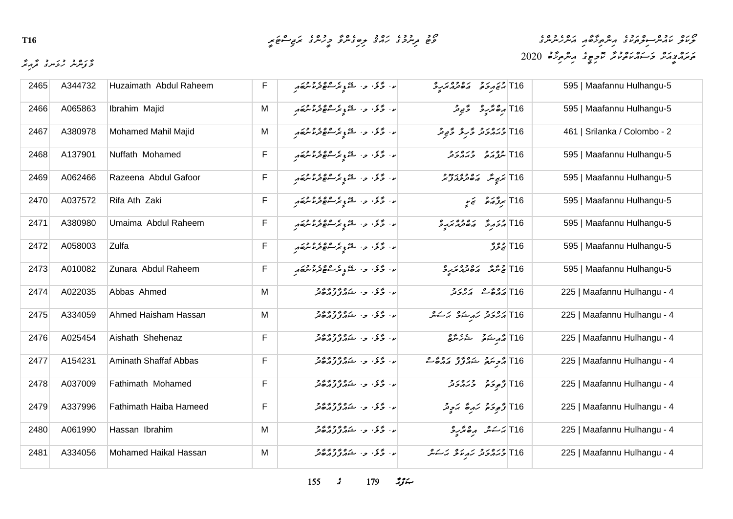*sCw7q7s5w7m< o<n9nOoAw7o< sCq;mAwBoEw7q<m; wBm;vB 2020<sup>, م</sup>وسوق المسجد التحقيق وسرمونية والم*جمع المسجد المسجد المسجد المسجد المسجد المسجد المسجد المسجد المسجد ال

#### *n8o<n@ qC7m:q5 q7w7m?n>*

| 2465 | A344732 | Huzaimath Abdul Raheem       | F | لا کری و شوید عصور معدد                            | T16 جي پر جو پر <i>م</i> ص <i>حر پر پر چ</i> | 595   Maafannu Hulhangu-5    |
|------|---------|------------------------------|---|----------------------------------------------------|----------------------------------------------|------------------------------|
| 2466 | A065863 | Ibrahim Majid                | M | ر، وی و شوپر دوره دور                              | T16 م <i>وڭ بگرى</i> گەرىم                   | 595   Maafannu Hulhangu-5    |
| 2467 | A380978 | Mohamed Mahil Majid          | M | ر، وی و شوپر دوره دور                              | T16  <i>وبروبر وُرِوْ</i> وُمِد <i>ُ</i>     | 461   Srilanka / Colombo - 2 |
| 2468 | A137901 | Nuffath Mohamed              | F | ر، وی و شوپر دوره دور                              | T16 يورو ورورو                               | 595   Maafannu Hulhangu-5    |
| 2469 | A062466 | Razeena Abdul Gafoor         | F | ر، وی و شوپر دوره دور                              | T16 <i>ىزى مىڭ مەھەردە دە</i> ر              | 595   Maafannu Hulhangu-5    |
| 2470 | A037572 | Rifa Ath Zaki                | F | ر، دی.<br>روز دی. د شور بر جوم بر بره بر           | T16 بر <i>وٌ پرَهُ جَ</i> بِرِ               | 595   Maafannu Hulhangu-5    |
| 2471 | A380980 | Umaima Abdul Raheem          | F | ر، وی و. دی و ورود.<br>را، وی و. شویر معادر رسم    | T16 <i>مُحَمِدةً مُعْتَمْدُ مَدِ</i> دْ      | 595   Maafannu Hulhangu-5    |
| 2472 | A058003 | Zulfa                        | F | ر، وی و شوپر دوره دور                              | T16 تح <b>ج</b> و                            | 595   Maafannu Hulhangu-5    |
| 2473 | A010082 | Zunara Abdul Raheem          | F | ر، وی و شوپر دوره دور                              | T16 يُرْتَزَّرُ مُصْرَمْ بَرْبِرْ 3          | 595   Maafannu Hulhangu-5    |
| 2474 | A022035 | Abbas Ahmed                  | M | ر وي .<br>د گو، د څه د ووړه د                      | T16 كەبۇھ مەردىر                             | 225   Maafannu Hulhangu - 4  |
| 2475 | A334059 | Ahmed Haisham Hassan         | M | ر وي .<br>د گون و شهرووم متر                       | T16 <i>גژونژ ت</i> هفو برخش                  | 225   Maafannu Hulhangu - 4  |
| 2476 | A025454 | Aishath Shehenaz             | F | ر، وی و استماده دوره و<br>را وی و استماد و واده فر | T16 مۇم بىشقى ئىش <i>ەر ئىگى</i> ئى          | 225   Maafannu Hulhangu - 4  |
| 2477 | A154231 | <b>Aminath Shaffaf Abbas</b> | F | ر، وی، دې مەدەبەد<br>راسى ئۇس ئەسلىق بەر           | T16 جُرِسَمَ شَهْرُزُ مَهْرَفٌ -             | 225   Maafannu Hulhangu - 4  |
| 2478 | A037009 | Fathimath Mohamed            | F | ر وي .<br>د گون و شهرووم متر                       | T16 ۇ <sub>ج</sub> وڭ ئەرەبەر                | 225   Maafannu Hulhangu - 4  |
| 2479 | A337996 | Fathimath Haiba Hameed       | F | ر دی.<br>روز در شهروو معرف                         | T16 أَوَّج <i>وحَةُ رَبهةُ</i> رَحٍةً.       | 225   Maafannu Hulhangu - 4  |
| 2480 | A061990 | Hassan Ibrahim               | M | ر دی. د. ده دود ود.<br>را د کار د. شهروزمان        | T16 بَرَسَىل مِنْ مِجْرِدْ                   | 225   Maafannu Hulhangu - 4  |
| 2481 | A334056 | Mohamed Haikal Hassan        | M | ر، وی، دې مەدەبەد<br>راسى ئۇس ئەسلىق بەر           | T16 <i>وبرو دو ته</i> رتد برخش               | 225   Maafannu Hulhangu - 4  |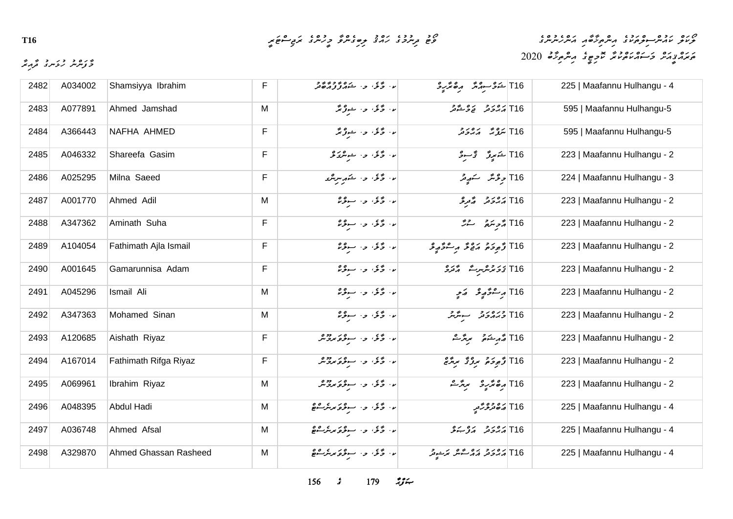*sCw7q7s5w7m< o<n9nOoAw7o< sCq;mAwBoEw7q<m; wBm;vB 2020<sup>, م</sup>وسر در مدد مدرج به مدرم مقرم قرار 2020*<br>موسر المستقرم المستقرم المستقرم المستقرم المستقرم المستقرم المستقرم المستقرم المستقرم المستقرم المستقرم المستقر

| 2482 | A034002 | Shamsiyya Ibrahim     | F | ر دی.<br>روز و شهروو مورم       | T16 خۇس <i>رە ئۇ مەمۇر</i> ۇ                                                                                              | 225   Maafannu Hulhangu - 4 |
|------|---------|-----------------------|---|---------------------------------|---------------------------------------------------------------------------------------------------------------------------|-----------------------------|
| 2483 | A077891 | Ahmed Jamshad         | M | الا، وَکَیْ وَ اِحْوَرْشٌ       | T16 كەبروتى ئەۋىشۇتى                                                                                                      | 595   Maafannu Hulhangu-5   |
| 2484 | A366443 | NAFHA AHMED           | F | الا، وَکَیْ وَا نَشْوَوْنَدُ    | T16 يترب <sup>ج</sup> - ير <i>ون</i> و                                                                                    | 595   Maafannu Hulhangu-5   |
| 2485 | A046332 | Shareefa Gasim        | F | الا د گلي او استعماد و          | T16 ڪمپر <i>ڙ</i> ٿڙر                                                                                                     | 223   Maafannu Hulhangu - 2 |
| 2486 | A025295 | Milna Saeed           | F | الا المحكى الماء المشكر المرتكى | T16 وِوْتَرْ سَهِيْرْ                                                                                                     | 224   Maafannu Hulhangu - 3 |
| 2487 | A001770 | Ahmed Adil            | M | لا د نخوا و استولا              | T16 كەنزى قەرىخ                                                                                                           | 223   Maafannu Hulhangu - 2 |
| 2488 | A347362 | Aminath Suha          | F | لا د څخه و سروه                 | T16 مُ مِ سَمَّةٌ مَسَمَّدٌ                                                                                               | 223   Maafannu Hulhangu - 2 |
| 2489 | A104054 | Fathimath Ajla Ismail | F | لا د څخه و، سوونا               | T16 ز <sub>ۇ</sub> رە مەن مەسىر مەنبە                                                                                     | 223   Maafannu Hulhangu - 2 |
| 2490 | A001645 | Gamarunnisa Adam      | F | لا د څخه و، سوونا               | T16 تۈك <sup>ر</sup> ىرىس ئەرگەر                                                                                          | 223   Maafannu Hulhangu - 2 |
| 2491 | A045296 | Ismail Ali            | M | لا د گلي دا سوده                | T16 مرڪو <i>گيري چ</i> ي                                                                                                  | 223   Maafannu Hulhangu - 2 |
| 2492 | A347363 | Mohamed Sinan         | M | لا د گري و، سولا                | T16 <i>ۇنەم</i> ۇمۇ سى <i>م</i> ىرىتى                                                                                     | 223   Maafannu Hulhangu - 2 |
| 2493 | A120685 | Aishath Riyaz         | F | لا د څخه و سووندونتر            | T16 م <i>مَّ مِ</i> مِسَمَّع مِسَرِّسُتَہُ                                                                                | 223   Maafannu Hulhangu - 2 |
| 2494 | A167014 | Fathimath Rifga Riyaz | F | لا د دې د سووندوس               | T16 رُّجِودَةٌ بِرِدْتٌ بِرِيْرَةٌ                                                                                        | 223   Maafannu Hulhangu - 2 |
| 2495 | A069961 | Ibrahim Riyaz         | M | لا د د د سوه بروه               | T16 م <i>وڭگرى م</i> ېگىشە                                                                                                | 223   Maafannu Hulhangu - 2 |
| 2496 | A048395 | Abdul Hadi            | M | لا د کال د سوکال د ده و         | T16   كەھەر ئۇرتىر                                                                                                        | 225   Maafannu Hulhangu - 4 |
| 2497 | A036748 | Ahmed Afsal           | M | لا و د د سوه برس وه             | T16 كەبرى كەن كەن ئىكەنتى ئىل                                                                                             | 225   Maafannu Hulhangu - 4 |
| 2498 | A329870 | Ahmed Ghassan Rasheed | M | بالمستحق، والمستوفى بويلوستيم   | T16   كەش <sup>ى</sup> كەرگەن كىمى كەرسىدى كەرگەن كەرگەن كەرگەن كەرگەن كەرگەن كەرگەن كەرگەن كەرگەن كەرگەن كەرگەن كەرگەن ك | 225   Maafannu Hulhangu - 4 |

*156 s 179 <i>n*<sub>2</sub> *n*<sub>2</sub>

*n8o<n@ qC7m:q5 q7w7m?n>*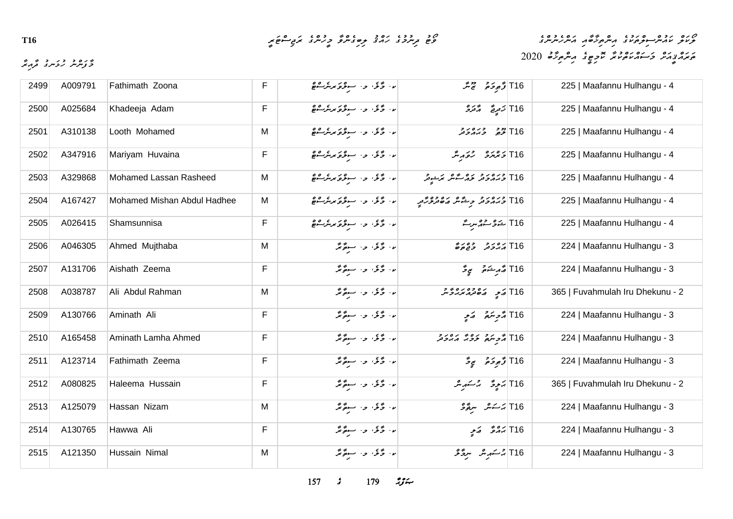*sCw7q7s5w7m< o<n9nOoAw7o< sCq;mAwBoEw7q<m; wBm;vB 2020<sup>, م</sup>وسر در مدد مدرج به مدرم مقرم قرار 2020*<br>موسر المستقرم المستقرم المستقرم المستقرم المستقرم المستقرم المستقرم المستقرم المستقرم المستقرم المستقرم المستقر

| A009791 | Fathimath Zoona             | $\mathsf F$ | لا و د و سوء برس وه                                                                                            |  | 225   Maafannu Hulhangu - 4                                                                                                                                                                                                                                                                                                                                                                                                                                                                                                  |
|---------|-----------------------------|-------------|----------------------------------------------------------------------------------------------------------------|--|------------------------------------------------------------------------------------------------------------------------------------------------------------------------------------------------------------------------------------------------------------------------------------------------------------------------------------------------------------------------------------------------------------------------------------------------------------------------------------------------------------------------------|
| A025684 | Khadeeja Adam               | F           | لا د څکې د سوکوبرنګرمنځ                                                                                        |  | 225   Maafannu Hulhangu - 4                                                                                                                                                                                                                                                                                                                                                                                                                                                                                                  |
| A310138 | Looth Mohamed               | M           | لا د کلی و سود د سرد وه                                                                                        |  | 225   Maafannu Hulhangu - 4                                                                                                                                                                                                                                                                                                                                                                                                                                                                                                  |
| A347916 | Mariyam Huvaina             | F           | بالمستحق، والمستوفى بويلوست                                                                                    |  | 225   Maafannu Hulhangu - 4                                                                                                                                                                                                                                                                                                                                                                                                                                                                                                  |
| A329868 | Mohamed Lassan Rasheed      | M           | ر د کار د سوگار کار و د کار د کار د کار د کار د کار د کار د کار د کار د کار د کار د کار د کار د کار د کار د کا |  | 225   Maafannu Hulhangu - 4                                                                                                                                                                                                                                                                                                                                                                                                                                                                                                  |
| A167427 | Mohamed Mishan Abdul Hadhee | M           | ر د کار د سوگار کار و د کار د کار د کار د کار د کار د کار د کار د کار د کار د کار د کار د کار د کار د کار د کا |  | 225   Maafannu Hulhangu - 4                                                                                                                                                                                                                                                                                                                                                                                                                                                                                                  |
| A026415 | Shamsunnisa                 | F           | لا د څکې د سوکوبرنګرمنځ                                                                                        |  | 225   Maafannu Hulhangu - 4                                                                                                                                                                                                                                                                                                                                                                                                                                                                                                  |
| A046305 | Ahmed Mujthaba              | M           | الا ومحق والسلطمة                                                                                              |  | 224   Maafannu Hulhangu - 3                                                                                                                                                                                                                                                                                                                                                                                                                                                                                                  |
| A131706 | Aishath Zeema               | F           | الا وكوما والمستوفر                                                                                            |  | 224   Maafannu Hulhangu - 3                                                                                                                                                                                                                                                                                                                                                                                                                                                                                                  |
| A038787 | Ali Abdul Rahman            | M           | لا د کلي د استفاد                                                                                              |  | 365   Fuvahmulah Iru Dhekunu - 2                                                                                                                                                                                                                                                                                                                                                                                                                                                                                             |
| A130766 | Aminath Ali                 | F           | الا ومحق والسفونتر                                                                                             |  | 224   Maafannu Hulhangu - 3                                                                                                                                                                                                                                                                                                                                                                                                                                                                                                  |
| A165458 | Aminath Lamha Ahmed         | F           | لا د څخه د استونگر                                                                                             |  | 224   Maafannu Hulhangu - 3                                                                                                                                                                                                                                                                                                                                                                                                                                                                                                  |
| A123714 | Fathimath Zeema             | F           | الا د څخه د استونگر                                                                                            |  | 224   Maafannu Hulhangu - 3                                                                                                                                                                                                                                                                                                                                                                                                                                                                                                  |
| A080825 | Haleema Hussain             | F           | الا ومحق والسلطمة                                                                                              |  | 365   Fuvahmulah Iru Dhekunu - 2                                                                                                                                                                                                                                                                                                                                                                                                                                                                                             |
| A125079 | Hassan Nizam                | M           | لا د کلی و استفاده                                                                                             |  | 224   Maafannu Hulhangu - 3                                                                                                                                                                                                                                                                                                                                                                                                                                                                                                  |
| A130765 | Hawwa Ali                   | F           | لا د کلي د استفاد                                                                                              |  | 224   Maafannu Hulhangu - 3                                                                                                                                                                                                                                                                                                                                                                                                                                                                                                  |
| A121350 | Hussain Nimal               | M           | لاستخرش والمستقيم                                                                                              |  | 224   Maafannu Hulhangu - 3                                                                                                                                                                                                                                                                                                                                                                                                                                                                                                  |
|         |                             |             |                                                                                                                |  | T16 ر <i>ُّڄِ دَيْ</i> جَيْئَر<br>T16 زَمبِيعٌ     دُمَرَدٌ<br>T16 توج وبروزور<br>T16 كەبە <i>دى ئەقەمەنگ</i> ە<br>T16 <i>ورورو دورگ</i> ش بر <sub>شو</sub> ر<br>T16 <i>ورورو وحدَّثَر مَـ2وورَّت</i> رِ<br>T16 كەبرو مەم قى<br>T16 مُ مِسْمَعٌ مَ مِحَّ<br>T16 كەبىر كەھە <i>تەم بەھ بىر</i><br>T16 مَّ صِنَّعَةٌ مَسَمٍّ<br>T16 مُ مِسَمَّدٍ نَحَرْبُ مَ <sup>رُور</sup> َ م<br>T16 <i>وُّجِوَۃ پ</i> وءً<br>T16 كرون <sup>چ</sup> - پركتهرنتز-<br>T16  يَرْسَسْ سِهْرَةَ حَ<br>T16 يَرْدُوَّ كَيْمِ<br>T16 ترىشىر مەردىمى |

## *n8o<n@ qC7m:q5 q7w7m?n>*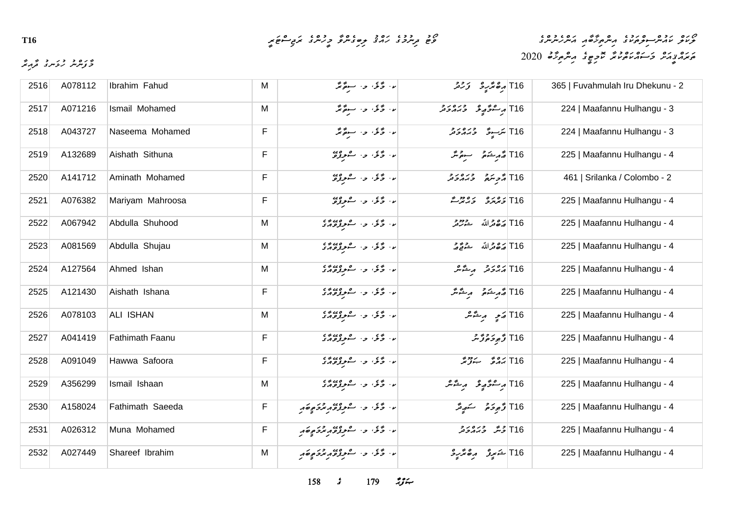*sCw7q7s5w7m< o<n9nOoAw7o< sCq;mAwBoEw7q<m; wBm;vB* م من المسجد المسجد المسجد المسجد المسجد العام 2020<br>مسجد المسجد المسجد المسجد المسجد المسجد المسجد المسجد المسجد ال

| 2516 | A078112 | Ibrahim Fahud    | M  | لا د څکې د سوړنگر                        | T16 ب <i>ر&amp;ټرپ</i> و تر <i>وی</i>          | 365   Fuvahmulah Iru Dhekunu - 2 |
|------|---------|------------------|----|------------------------------------------|------------------------------------------------|----------------------------------|
| 2517 | A071216 | Ismail Mohamed   | M  | لا د څو د سوچر                           | T16 مِسْتَوَّرٍ وُ دُرُونَدُ                   | 224   Maafannu Hulhangu - 3      |
| 2518 | A043727 | Naseema Mohamed  | F  | لا د څو د سوچر                           | T16 ىترىپ <i>ۇ ئىقەدى</i> ر                    | 224   Maafannu Hulhangu - 3      |
| 2519 | A132689 | Aishath Sithuna  | F  | لا د څخه د اسموږو                        | T16 م <i>ەمبەشقى سىۋىتر</i>                    | 225   Maafannu Hulhangu - 4      |
| 2520 | A141712 | Aminath Mohamed  | F  | ر، دَبَو، د، سودو <i>ه</i>               | T16 مَّ مِسَمَّى فَرَمَّ مِنْ مَنْ الْمَسَوْمَ | 461   Srilanka / Colombo - 2     |
| 2521 | A076382 | Mariyam Mahroosa | F  | ر، د کې د سوو <i>ون</i>                  | T16 ك <i>رورو كرويوگ</i>                       | 225   Maafannu Hulhangu - 4      |
| 2522 | A067942 | Abdulla Shuhood  | M  | ر، دمی د. <u>موروم</u> ده                | T16 مَرْهُ قَرْاللَّهُ شَوْرُتْرُ              | 225   Maafannu Hulhangu - 4      |
| 2523 | A081569 | Abdulla Shujau   | M  | ر، دمی د. <u>موروم</u> ده                | T16 كَەشْرَاللە شۇقَ <i>رْت</i>                | 225   Maafannu Hulhangu - 4      |
| 2524 | A127564 | Ahmed Ishan      | M  | ر، دی، د. <u>موروم</u> ده                | T16 كەبرى قىر مەشكىلا                          | 225   Maafannu Hulhangu - 4      |
| 2525 | A121430 | Aishath Ishana   | F. | لا د د د . د . د . د . د . د             | T16 <i>مُذہبہ مِ</i> شَمَّر                    | 225   Maafannu Hulhangu - 4      |
| 2526 | A078103 | <b>ALI ISHAN</b> | M  | ر، گرمی، د. <u>م</u> صوب <sub>ر</sub> وم | T16 کرم پرشگر                                  | 225   Maafannu Hulhangu - 4      |
| 2527 | A041419 | Fathimath Faanu  | F  | ر، وی د. <u>مودوم</u>                    | T16   <i>وَّ. وَ وَوُ</i> تَر                  | 225   Maafannu Hulhangu - 4      |
| 2528 | A091049 | Hawwa Safoora    | F  | ر، وی و، گووه ده ده                      | $27.$ $22.$ T16                                | 225   Maafannu Hulhangu - 4      |
| 2529 | A356299 | Ismail Ishaan    | M  | ر، وی و، گووه ده ده                      | T16 مرڪو <i>گھي</i> و مرڪ <i>ھ</i>             | 225   Maafannu Hulhangu - 4      |
| 2530 | A158024 | Fathimath Saeeda | F  | ١٠ وَکَوْ، و اسکودوه بروه وه             | T16 رَّجِ دَمَرُ مَسَنَّمِينَّرَ               | 225   Maafannu Hulhangu - 4      |
| 2531 | A026312 | Muna Mohamed     | F  | ١٠ د د و سوروم برد وه                    | T16 تح <i>ش جەم</i> گە                         | 225   Maafannu Hulhangu - 4      |
| 2532 | A027449 | Shareef Ibrahim  | M  | ٧٠ و د ٢٠ د مورده مرد و وه               | T16 ڪنيرو <sub>م</sub> ھڻريڪ                   | 225   Maafannu Hulhangu - 4      |

## *n8o<n@ qC7m:q5 q7w7m?n>*

*158 s 179 <i>n*<sub>1</sub>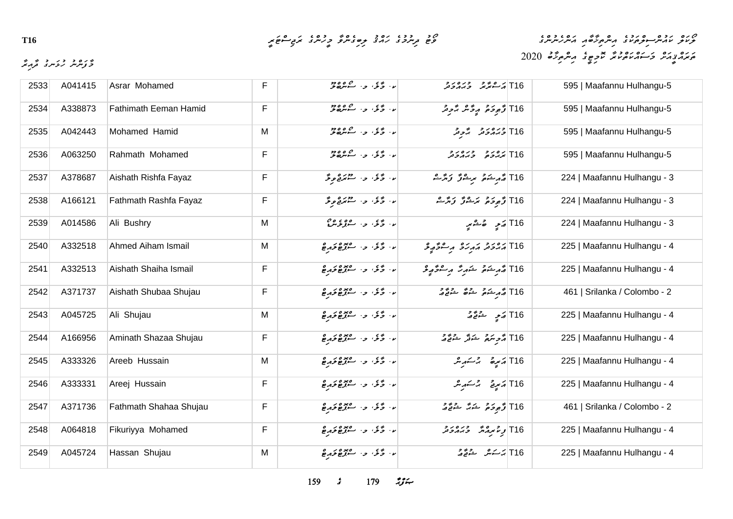*sCw7q7s5w7m< o<n9nOoAw7o< sCq;mAwBoEw7q<m; wBm;vB 2020<sup>, م</sup>وسر در مدد مدرج به مدرم مقرم قرار 2020*<br>موسر المستقرم المستقرم المستقرم المستقرم المستقرم المستقرم المستقرم المستقرم المستقرم المستقرم المستقرم المستقر

| 2533 | A041415 | Asrar Mohamed             | F           | ۱۰ ژَگَرَ، د. سگیره د                                                           | T16 كەش <i>ەتتى ئىمەدەت</i> ر                                  | 595   Maafannu Hulhangu-5    |
|------|---------|---------------------------|-------------|---------------------------------------------------------------------------------|----------------------------------------------------------------|------------------------------|
| 2534 | A338873 | Fathimath Eeman Hamid     | F           | لا په نومي د کله ده د                                                           | T16 أ <i>وَّج</i> وَ <i>حَمَّ وَحَمَّدْ مُ</i> حَمِّد <i>ُ</i> | 595   Maafannu Hulhangu-5    |
| 2535 | A042443 | Mohamed Hamid             | M           | ر، دی. د. <u>۱</u> ۳۵۵ ور                                                       | T16  <i>3223 گەون</i> ر                                        | 595   Maafannu Hulhangu-5    |
| 2536 | A063250 | Rahmath Mohamed           | F           | لا د محمد د کشور د د                                                            | T16 يزرونو - درەرو                                             | 595   Maafannu Hulhangu-5    |
| 2537 | A378687 | Aishath Rishfa Fayaz      | F           | لا د څو د سمبره وگ                                                              | T16 مُرمِشَمُ مِرْشُوَّ وَتَرْتُ                               | 224   Maafannu Hulhangu - 3  |
| 2538 | A166121 | Fathmath Rashfa Fayaz     | F           | لا د څخه د سمعرفه وگ                                                            | T16 <i>وَّجِ دَمَّة مَ</i> حْشَرَّ وَتَرَّتْ                   | 224   Maafannu Hulhangu - 3  |
| 2539 | A014586 | Ali Bushry                | M           | لا د څخه د سرولومند                                                             | T16 <i>۾َجِ - ڇُنڍُ</i> پ                                      | 224   Maafannu Hulhangu - 3  |
| 2540 | A332518 | <b>Ahmed Aiham Ismail</b> | M           | $e^{2}$                                                                         | T16 <i>גُיכִיב הُגְבֹי</i> גְ <sup>פ</sup> ִב <sub>ּ</sub> בִּ | 225   Maafannu Hulhangu - 4  |
| 2541 | A332513 | Aishath Shaiha Ismail     | F           | $\begin{bmatrix} 0 & 0 & x & 0 \\ y & y & z & 0 \\ y & y & 0 & 0 \end{bmatrix}$ | T16 مەم شەم ئىمەر ئەرگە ئەربىرى بىر                            | 225   Maafannu Hulhangu - 4  |
| 2542 | A371737 | Aishath Shubaa Shujau     | F           | ١٠ وگو، واستوقع وره                                                             | T16 <sub>م</sub> ُمِرْ شَرَحٌ مُشَرِّحٌ مُشْرَفَعُ مِهِ        | 461   Srilanka / Colombo - 2 |
| 2543 | A045725 | Ali Shujau                | M           | ١٠ وگو، واستوقع وره                                                             | T16 <i>حکمی</i> مش <i>ق</i> قہ                                 | 225   Maafannu Hulhangu - 4  |
| 2544 | A166956 | Aminath Shazaa Shujau     | F           | $\begin{bmatrix} 0 & 0 & 0 & 0 \\ 0 & 0 & 0 & 0 \\ 0 & 0 & 0 & 0 \end{bmatrix}$ | T16 مُرْحِ سَمَعُ صَفَّرٌ حَسَنَةٍ مُ                          | 225   Maafannu Hulhangu - 4  |
| 2545 | A333326 | Areeb Hussain             | M           | $e_1, e_2, e_2, \ldots, e_n$                                                    | T16 كەبىر <i>ەتى جىسكى</i> رىش                                 | 225   Maafannu Hulhangu - 4  |
| 2546 | A333331 | Areej Hussain             | F           | $e_1, e_2, e_2, \ldots, e_n$                                                    | T16 كەيدىق – ج.سكەپەنتىر                                       | 225   Maafannu Hulhangu - 4  |
| 2547 | A371736 | Fathmath Shahaa Shujau    | F           | $e^{cos \theta}$ , $e^{cos \theta}$                                             | T16 رُّج <i>ودَة</i> شَدَّ شُقَ <i>ةً</i>                      | 461   Srilanka / Colombo - 2 |
| 2548 | A064818 | Fikuriyya Mohamed         | $\mathsf F$ | $e_1, e_2, e_3, e_2, e_3, e_4, e_5$                                             | T16 <i>وينغ مروند التحكيم وتداف</i> ر                          | 225   Maafannu Hulhangu - 4  |
| 2549 | A045724 | Hassan Shujau             | M           | ر، وَکَیْ و، سعود و ه                                                           | T16 كەسكەش مىق <i>بۇر</i>                                      | 225   Maafannu Hulhangu - 4  |

#### *n8o<n@ qC7m:q5 q7w7m?n>*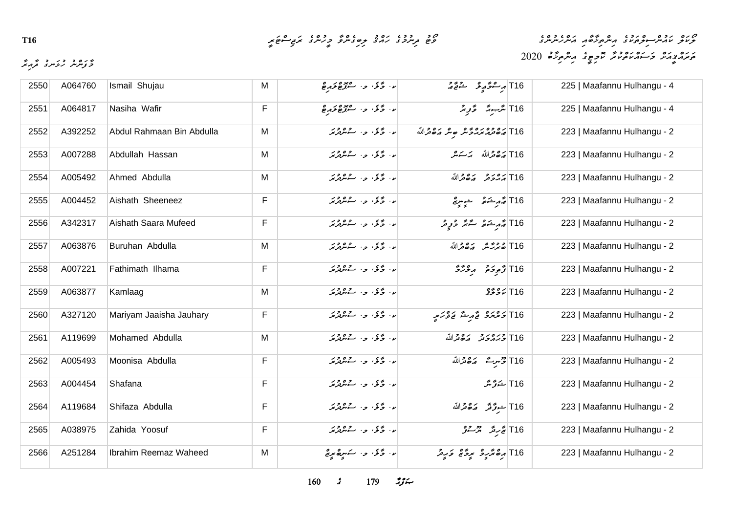*sCw7q7s5w7m< o<n9nOoAw7o< sCq;mAwBoEw7q<m; wBm;vB 2020<sup>, م</sup>وسر در مدد مدرج به مدرم مقرم قرار 2020*<br>موسر المستقرم المستقرم المستقرم المستقرم المستقرم المستقرم المستقرم المستقرم المستقرم المستقرم المستقرم المستقر

| 2550 | A064760 | Ismail Shujau             | M | $e^{2}$ $\sim$ $e^{2}$ $\sim$ $e^{2}$ $\sim$ $e^{2}$                                                         | T16  <sub>مر</sub> ىشۇم <sub>ە</sub> بۇ شۇ <i>ق</i> ۇ      | 225   Maafannu Hulhangu - 4 |
|------|---------|---------------------------|---|--------------------------------------------------------------------------------------------------------------|------------------------------------------------------------|-----------------------------|
| 2551 | A064817 | Nasiha Wafir              | F | $e^{2}$                                                                                                      | T16 مُرْسِدَّ قُرُرِيْتُ                                   | 225   Maafannu Hulhangu - 4 |
| 2552 | A392252 | Abdul Rahmaan Bin Abdulla | M | لا ژی د مشرور                                                                                                | T16 رەمەرەم بوھ ھەركە ئاللە                                | 223   Maafannu Hulhangu - 2 |
| 2553 | A007288 | Abdullah Hassan           | M | لاستخري به سنگرورند                                                                                          | T16 مَەڤەراللە بەسكەر                                      | 223   Maafannu Hulhangu - 2 |
| 2554 | A005492 | Ahmed Abdulla             | M | ىر، ئۇنى بەر سەھەم بول                                                                                       | T16 كربروتر كرك مركالله                                    | 223   Maafannu Hulhangu - 2 |
| 2555 | A004452 | Aishath Sheeneez          | F | لا د محمد و است مشتر بر                                                                                      | T16 م <i>ۇم شۇمۇ</i> ھەمب <i>ويىتى</i>                     | 223   Maafannu Hulhangu - 2 |
| 2556 | A342317 | Aishath Saara Mufeed      | F | لا د محمد و است مشتر بر                                                                                      | T16 م <i>ۇم شۇر شۇر قۇي</i> تر                             | 223   Maafannu Hulhangu - 2 |
| 2557 | A063876 | Buruhan Abdulla           | M | لا ژۇ، دا شەھەر                                                                                              | T16 <i>صُعرت مُدَّهْ مُدَ</i> اللَّه                       | 223   Maafannu Hulhangu - 2 |
| 2558 | A007221 | Fathimath Ilhama          | F | لا د محکي کې مشترکتن                                                                                         | T16 تَ <i>وْجِوَةْ بِرَحْرُدُّ</i>                         | 223   Maafannu Hulhangu - 2 |
| 2559 | A063877 | Kamlaag                   | M | ر، گرمی که در دور                                                                                            | T16 رَوْتَوْ                                               | 223   Maafannu Hulhangu - 2 |
| 2560 | A327120 | Mariyam Jaaisha Jauhary   | F | لا : د د کال د د د د د د د د کال د د د                                                                       | T16 كَرْمَرْدْ   قُامِشْ   قَافْرَىي                       | 223   Maafannu Hulhangu - 2 |
| 2561 | A119699 | Mohamed Abdulla           | M | لاستخنى بالمستقرين                                                                                           | T16 وَيَرْمُرُونُو مَرْهُ مَدَاللَّهُ                      | 223   Maafannu Hulhangu - 2 |
| 2562 | A005493 | Moonisa Abdulla           | F | لاستخنى بالمستقلان                                                                                           | T16 تۇسرىگە كەھەتراللە                                     | 223   Maafannu Hulhangu - 2 |
| 2563 | A004454 | Shafana                   | F | لا د څخه د استمل                                                                                             | T16 شۇش                                                    | 223   Maafannu Hulhangu - 2 |
| 2564 | A119684 | Shifaza Abdulla           | F | لا د څخه د استمل                                                                                             | T16 حورٌ قُر صَرْهُ صَرَاللَّه                             | 223   Maafannu Hulhangu - 2 |
| 2565 | A038975 | Zahida Yoosuf             | F | لا د محکي که سماه در                                                                                         | T16 يُحرِمَّة بِمَرْتَّسْرُ                                | 223   Maafannu Hulhangu - 2 |
| 2566 | A251284 | Ibrahim Reemaz Waheed     | M | پار د محمد د سکس هم محمد محمد استان د محمد د محمد محمد استان د محمد د محمد استان کار د محمد د محمد استان کار | T16 م <i>ِ®مَّرْرٍ \$ مِرِدَّةْ</i> وَر <sub>ِي</sub> ْتَر | 223   Maafannu Hulhangu - 2 |

*n*<sub>60</sub> *s 179 <i>n*<sub>3</sub> *n*<sub>2</sub>

*n8o<n@ qC7m:q5 q7w7m?n>*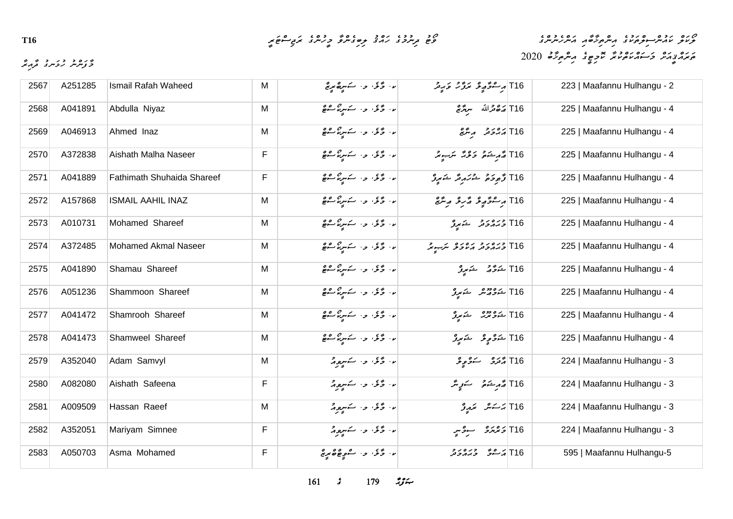*sCw7q7s5w7m< o<n9nOoAw7o< sCq;mAwBoEw7q<m; wBm;vB 2020<sup>, م</sup>وسر در مدد مدرج به مدرم مقرم قرار 2020*<br>موسر المستقرم المستقرم المستقرم المستقرم المستقرم المستقرم المستقرم المستقرم المستقرم المستقرم المستقرم المستقر

| 2567 | A251285 | Ismail Rafah Waheed         | M           | پار د څکې او ، سکس په مربع | T16 م سوءً موقدت تعريد 116                          | 223   Maafannu Hulhangu - 2 |
|------|---------|-----------------------------|-------------|----------------------------|-----------------------------------------------------|-----------------------------|
| 2568 | A041891 | Abdulla Niyaz               | M           |                            | T16 مَەقراللە س <i>ىۋى</i>                          | 225   Maafannu Hulhangu - 4 |
| 2569 | A046913 | Ahmed Inaz                  | M           | لا گرمی و سکس الله علم هم  | T16 كەنزىق مەشتى                                    | 225   Maafannu Hulhangu - 4 |
| 2570 | A372838 | Aishath Malha Naseer        | F           | لا : ئۇ ئەرە سەسرىلاسىۋ    | T16 مُەم شەترە كەنگە ئىزىبورگە                      | 225   Maafannu Hulhangu - 4 |
| 2571 | A041889 | Fathimath Shuhaida Shareef  | $\mathsf F$ |                            | T16 <i>وَّجِودَة</i> حَ <i>مَدَ مِدَّة حَمَدِوْ</i> | 225   Maafannu Hulhangu - 4 |
| 2572 | A157868 | <b>ISMAIL AAHIL INAZ</b>    | M           | لا گرمی و سکس الله علم هم  | T16 مِ ڪوَمِ قُري مُ مِسَّعْ                        | 225   Maafannu Hulhangu - 4 |
| 2573 | A010731 | Mohamed Shareef             | M           | پار گرمی کی در سکورنا مستق | T16  <i>3223\$ خەير</i> ۇ                           | 225   Maafannu Hulhangu - 4 |
| 2574 | A372485 | <b>Mohamed Akmal Naseer</b> | M           | لا گرمی و سکس الله علم هم  | T16 <i>ويرورو روزي س</i> ب                          | 225   Maafannu Hulhangu - 4 |
| 2575 | A041890 | Shamau Shareef              | M           | لا گرمی و سکس الله علم هم  | T16 حَدَثَرُ حَ <i>مَينُ</i>                        | 225   Maafannu Hulhangu - 4 |
| 2576 | A051236 | Shammoon Shareef            | M           | لا : ئۇ ئەرە سەسرىلاسىۋ    | T16 شەھەم ھەمبەر                                    | 225   Maafannu Hulhangu - 4 |
| 2577 | A041472 | Shamrooh Shareef            | M           | لا گرمی و سکس الله علم علم | T16 ڪو <i>چين خپرو</i>                              | 225   Maafannu Hulhangu - 4 |
| 2578 | A041473 | Shamweel Shareef            | M           | لا کافی و سکس مقام         | T16 ڪر <i>و<sub>م</sub>و</i> خبرو                   | 225   Maafannu Hulhangu - 4 |
| 2579 | A352040 | Adam Samvyl                 | M           | الا دمجي، او اسکسي در      | T16 مُمَترى سَوْءِ وَ                               | 224   Maafannu Hulhangu - 3 |
| 2580 | A082080 | Aishath Safeena             | F           | الا دمجني الاستهجار        | T16 ۾ پرڪو <i>ڪوپنگ</i>                             | 224   Maafannu Hulhangu - 3 |
| 2581 | A009509 | Hassan Raeef                | M           | الا د څخه د اسکسرونه       | T16  تەسىش ئىمب <i>و</i> گ                          | 224   Maafannu Hulhangu - 3 |
| 2582 | A352051 | Mariyam Simnee              | F           | الا دمجي، او اسکسي در      | T16  <i>دَ بُرْمَرْدُ</i> –ِوْسِ                    | 224   Maafannu Hulhangu - 3 |
| 2583 | A050703 | Asma Mohamed                | F           |                            | T16 كەشىر ئەمەدىر                                   | 595   Maafannu Hulhangu-5   |

# *n8o<n@ qC7m:q5 q7w7m?n>*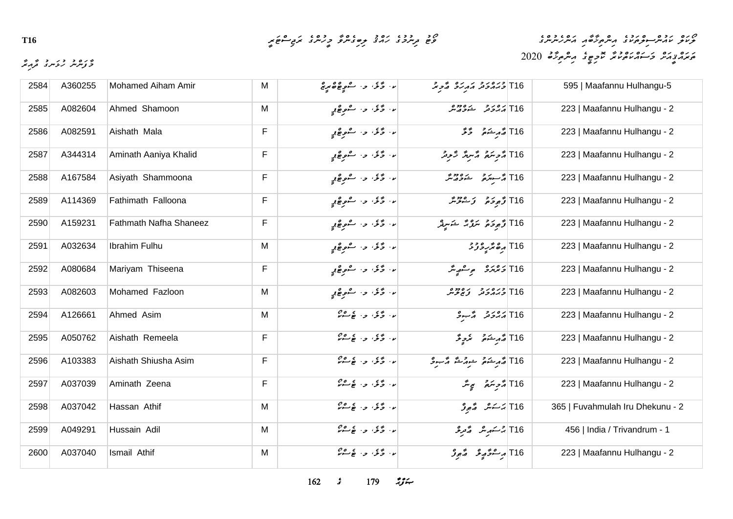*sCw7q7s5w7m< o<n9nOoAw7o< sCq;mAwBoEw7q<m; wBm;vB 2020<sup>, م</sup>وسر در مدد مدرج به مدرم مقرم قرار 2020*<br>موسر المستقرم المستقرم المستقرم المستقرم المستقرم المستقرم المستقرم المستقرم المستقرم المستقرم المستقرم المستقر

| 2584 | A360255 | Mohamed Aiham Amir     | M | لا د څخه د سوه وه د د                                                                                         | T16 <i>בגמבית ההגב הב</i> ית               | 595   Maafannu Hulhangu-5        |
|------|---------|------------------------|---|---------------------------------------------------------------------------------------------------------------|--------------------------------------------|----------------------------------|
| 2585 | A082604 | Ahmed Shamoon          | M | لا و و د سوءِ په                                                                                              | T16 كەبرى ئىمى ئەھمىسىسىسىسى بىر           | 223   Maafannu Hulhangu - 2      |
| 2586 | A082591 | Aishath Mala           | F | الا المحكى المار المفوقع بي                                                                                   | T16 مەمىسى ئەقتى                           | 223   Maafannu Hulhangu - 2      |
| 2587 | A344314 | Aminath Aaniya Khalid  | F | لا الحق والشوهور                                                                                              | T16 مُّ جِسَمَۃ مُّ سِمَّ شَعِنْدَ         | 223   Maafannu Hulhangu - 2      |
| 2588 | A167584 | Asiyath Shammoona      | F | لا الحكى والمشوقع بر                                                                                          | T16 گەسى <i>دە ھەمدىنگ</i> ە               | 223   Maafannu Hulhangu - 2      |
| 2589 | A114369 | Fathimath Falloona     | F | ، دُی دا شوچو                                                                                                 | T16 ۇ <sub>ج</sub> ورۇ تەشقىر              | 223   Maafannu Hulhangu - 2      |
| 2590 | A159231 | Fathmath Nafha Shaneez | F | لا و و د سوءِ په                                                                                              | T16 <i>وَّجِوَدَةُ</i> سَرْدَتَّ حَسَبِيْر | 223   Maafannu Hulhangu - 2      |
| 2591 | A032634 | Ibrahim Fulhu          | M | لا الحكى والمشوقع بر                                                                                          | T16 <sub>مو</sub> ڭ ترىپرو توقر            | 223   Maafannu Hulhangu - 2      |
| 2592 | A080684 | Mariyam Thiseena       | F | لا الحكى والمشوقع بر                                                                                          | T16 <i>حەمدى موسىمبەنگ</i> ە               | 223   Maafannu Hulhangu - 2      |
| 2593 | A082603 | Mohamed Fazloon        | M | لا گري وا ڪموهي                                                                                               | T16 <i>وبروبرو وووه</i>                    | 223   Maafannu Hulhangu - 2      |
| 2594 | A126661 | Ahmed Asim             | M | ىد، جۇي جەنق ھەم                                                                                              | T16 كەبرى ئەسىر                            | 223   Maafannu Hulhangu - 2      |
| 2595 | A050762 | Aishath Remeela        | F | لا گرمی کی شرکت کا میں ان کا ان کا ان کا ان کا ان کا ان کا ان کا ان کا ان کا ان کا ان کا ان کا ان کا ان کا ان | T16 صَّمِيشَة مَعْ تَحْرِقَتْ              | 223   Maafannu Hulhangu - 2      |
| 2596 | A103383 | Aishath Shiusha Asim   | F | لا گرمی که کار می شرکتا                                                                                       | T16 صُمِيْعَةً شِمْرَيْتُهُ مُرْجَعً       | 223   Maafannu Hulhangu - 2      |
| 2597 | A037039 | Aminath Zeena          | F | لا رمح ي المعنى المحالي المحمد المحمد المحمد المحمد المحمد المحمد المحمد المحمد المحمد المحمد المحمد          | T16 مٌوسَم <sub>َ</sub> مٌ پِسٌر           | 223   Maafannu Hulhangu - 2      |
| 2598 | A037042 | Hassan Athif           | M | ر، ۇي <sub>ج</sub> . غ م <sup>ور</sup>                                                                        | T16   پرسٹر گھبوتر                         | 365   Fuvahmulah Iru Dhekunu - 2 |
| 2599 | A049291 | Hussain Adil           | M | لا گرمی کی شرکتا کر                                                                                           | T16 پڑے <i>پر پڑ پو</i> ی                  | 456   India / Trivandrum - 1     |
| 2600 | A037040 | Ismail Athif           | M | لا گرمی کی شرکتا کر                                                                                           | T16 <sub>م</sub> رےد <i>ی وی شو</i> ژ      | 223   Maafannu Hulhangu - 2      |

*n8o<n@ qC7m:q5 q7w7m?n>*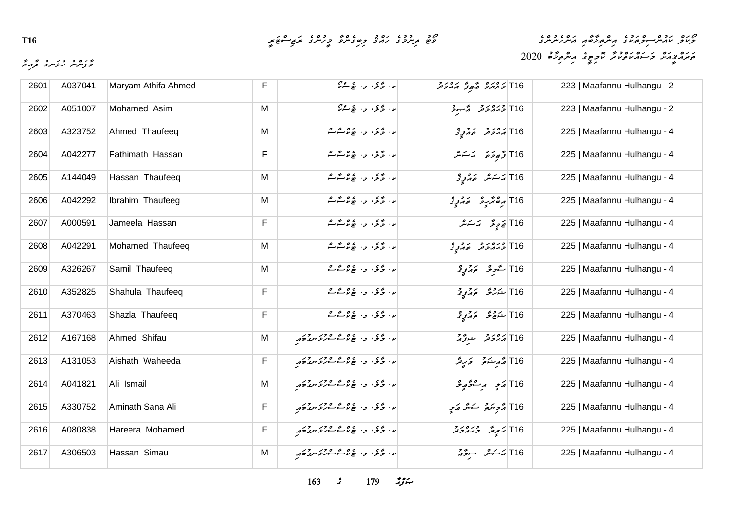*sCw7q7s5w7m< o<n9nOoAw7o< sCq;mAwBoEw7q<m; wBm;vB 2020<sup>, م</sup>وسوق المسجد التحقيق وسرمونية والم*جمع المسجد المسجد المسجد المسجد المسجد المسجد المسجد المسجد المسجد ال

| 2601 | A037041 | Maryam Athifa Ahmed | F | $\begin{bmatrix} 0 & 0 & 0 \\ 0 & -1 & 0 \\ 0 & 0 & 0 \end{bmatrix}$                                 | T16 <i>وَجْهَدُوْ        وَوَرْ دەر د</i> | 223   Maafannu Hulhangu - 2 |
|------|---------|---------------------|---|------------------------------------------------------------------------------------------------------|-------------------------------------------|-----------------------------|
| 2602 | A051007 | Mohamed Asim        | M | $\begin{bmatrix} 0 & 0 & 0 \\ 0 & -1 & 0 \\ 0 & 0 & 0 \end{bmatrix}$                                 | T16 <i>جَهُ جُهُو تَهُ جُهُ وَ</i>        | 223   Maafannu Hulhangu - 2 |
| 2603 | A323752 | Ahmed Thaufeeq      | M | ر، ۇي <sub>جا</sub> مەم ئەش                                                                          | T16 كەبرىق <i>مەدب</i>                    | 225   Maafannu Hulhangu - 4 |
| 2604 | A042277 | Fathimath Hassan    | F | لار گرمي کې شرکت شرکت                                                                                | T16 ۇ <sub>ج</sub> ورۇ برىكىر             | 225   Maafannu Hulhangu - 4 |
| 2605 | A144049 | Hassan Thaufeeq     | M | لا، دېڅو، د، غې مشت                                                                                  | T16 بَرَسَىشْ مَ <i>وَدْوِ</i> يْر        | 225   Maafannu Hulhangu - 4 |
| 2606 | A042292 | Ibrahim Thaufeeg    | M | لا به محرکی د کام مشرک                                                                               | T16 م <i>ەھمگرى ئەممۇ</i> ر               | 225   Maafannu Hulhangu - 4 |
| 2607 | A000591 | Jameela Hassan      | F | ر، دې د، ۱۳۵۴ ک                                                                                      | T16 <sub>قے ج</sub> وگ – پرسکر            | 225   Maafannu Hulhangu - 4 |
| 2608 | A042291 | Mohamed Thaufeeq    | M | لار گري کې شرکت شرکت                                                                                 | T16 <i>جُہُدُوَنَہ وَہُ وِیْ</i>          | 225   Maafannu Hulhangu - 4 |
| 2609 | A326267 | Samil Thaufeeq      | M | لار گرمي کې شرکت شرکت                                                                                | T16 گرونۇ ئ <i>وم<sup>3</sup>و</i> نۇ     | 225   Maafannu Hulhangu - 4 |
| 2610 | A352825 | Shahula Thaufeeq    | F | ىر، ئۇي بەر ئەھ شەشە                                                                                 | T16 خەرمى تە <i>مەرى</i> 3                | 225   Maafannu Hulhangu - 4 |
| 2611 | A370463 | Shazla Thaufeeq     | F | ىر، بۇي بەر يەھ بەشە                                                                                 | T16 ڪوپر <i>۾ ورو</i> يو                  | 225   Maafannu Hulhangu - 4 |
| 2612 | A167168 | Ahmed Shifau        | M | الما و و و و مع المعامل المعنى مع مع المركز المعنى و مع المركز المركز المركز المركز المركز المركز ال | T16 كەندى ھەرىپى                          | 225   Maafannu Hulhangu - 4 |
| 2613 | A131053 | Aishath Waheeda     | F |                                                                                                      | T16 مَگْرِسْتَمْ وَرِمَّد                 | 225   Maafannu Hulhangu - 4 |
| 2614 | A041821 | Ali Ismail          | M |                                                                                                      | T16 كەير ب <sub>ە</sub> ر شۇرېدى          | 225   Maafannu Hulhangu - 4 |
| 2615 | A330752 | Aminath Sana Ali    | F |                                                                                                      | T16 گەھ پىرىمە سەنىگە كەمچە               | 225   Maafannu Hulhangu - 4 |
| 2616 | A080838 | Hareera Mohamed     | F |                                                                                                      | T16  تەرپىگە ئ <i>ەتمەدى</i> گە           | 225   Maafannu Hulhangu - 4 |
| 2617 | A306503 | Hassan Simau        | M | $\frac{2}{\sqrt{2}}$                                                                                 | T16   يز سنڌ جي سنڌ جي جي 16              | 225   Maafannu Hulhangu - 4 |

#### *n8o<n@ qC7m:q5 q7w7m?n>*

*163**s 179 <i>i i*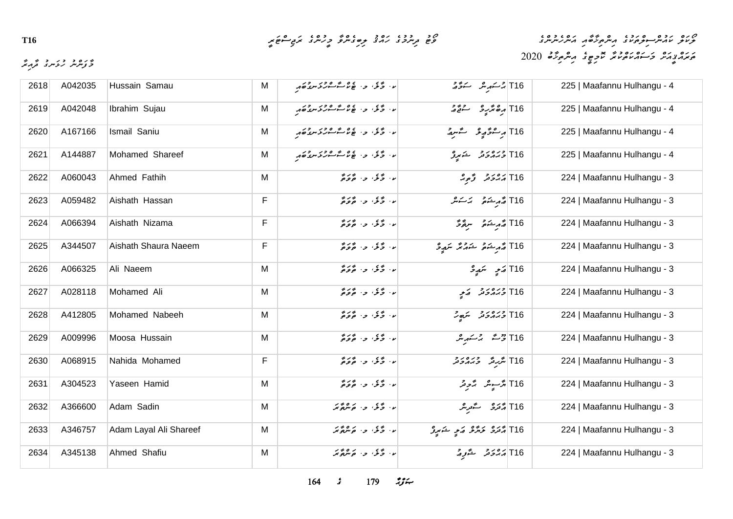*sCw7q7s5w7m< o<n9nOoAw7o< sCq;mAwBoEw7q<m; wBm;vB 2020<sup>, م</sup>وسر در مدد مدرج به مدرم مقرم قرار 2020*<br>موسر المستقرم المستقرم المستقرم المستقرم المستقرم المستقرم المستقرم المستقرم المستقرم المستقرم المستقرم المستقر

| 2618 | A042035 | Hussain Samau          | M | الاستحق والمحامل محدث والمستركة والمراجع                      | T16  يُرسَمبر مُر سَنَرَة كَمَّة بِ                  | 225   Maafannu Hulhangu - 4 |
|------|---------|------------------------|---|---------------------------------------------------------------|------------------------------------------------------|-----------------------------|
| 2619 | A042048 | Ibrahim Sujau          | M |                                                               | T16 مەھمەر ئەم ئەم                                   | 225   Maafannu Hulhangu - 4 |
| 2620 | A167166 | Ismail Saniu           | Μ | لا د محمد و د عام شور د مرده د د کار                          | T16 مرڪو <i>گير ٿي جي شهر</i>                        | 225   Maafannu Hulhangu - 4 |
| 2621 | A144887 | Mohamed Shareef        | Μ | 1021202020202                                                 | T16  <i>وَرَهُ وَتَرَ</i> هُ سَمَعِ <i>رُوْ</i>      | 225   Maafannu Hulhangu - 4 |
| 2622 | A060043 | Ahmed Fathih           | M | ىر، بۇي بەر بۇرۇ                                              | T16 كەندى قىمى بۇ ئىلىنى ئىل                         | 224   Maafannu Hulhangu - 3 |
| 2623 | A059482 | Aishath Hassan         | F | $\begin{bmatrix} 2 & 2 & 3 & 3 \ 2 & 3 & 3 & 5 \end{bmatrix}$ | T16 م <i>ۇم ھۇسىكى بىر كى</i> ر                      | 224   Maafannu Hulhangu - 3 |
| 2624 | A066394 | Aishath Nizama         | F | ر، وي در هره.                                                 | T16 مُەمِسْمَى سِتَمَرَّ                             | 224   Maafannu Hulhangu - 3 |
| 2625 | A344507 | Aishath Shaura Naeem   | F | $\begin{bmatrix} 2 & 2 & 3 & 3 \ 2 & 2 & 3 & 2 \end{bmatrix}$ | T16 مُصِحَمٌ حَمَ <i>دْ مُصِ</i> حْ                  | 224   Maafannu Hulhangu - 3 |
| 2626 | A066325 | Ali Naeem              | M | ر، وي در وده.                                                 | T16 <i>ڇَوِ سَمِي</i> ءُ                             | 224   Maafannu Hulhangu - 3 |
| 2627 | A028118 | Mohamed Ali            | M | الأرمحق أورا مجاورها                                          |                                                      | 224   Maafannu Hulhangu - 3 |
| 2628 | A412805 | Mohamed Nabeeh         | M | $\begin{bmatrix} 2 & 2 & 3 & 3 \ 2 & 3 & 3 & 5 \end{bmatrix}$ | T16 دېمگرونگر س <i>رّھ د</i>                         | 224   Maafannu Hulhangu - 3 |
| 2629 | A009996 | Moosa Hussain          | M | ، دَگر، دا ءُده.                                              | T16 فخرشہ می <sup>م</sup> سکھ میں                    | 224   Maafannu Hulhangu - 3 |
| 2630 | A068915 | Nahida Mohamed         | F | ر، گ <sup>و</sup> گ و، گوهی                                   | T16 مَّر <i>بة حُدُهُ حَ</i> د                       | 224   Maafannu Hulhangu - 3 |
| 2631 | A304523 | Yaseen Hamid           | M | ر، وي در وده.                                                 | T16 اگر سپیٹر گرونڈ                                  | 224   Maafannu Hulhangu - 3 |
| 2632 | A366600 | Adam Sadin             | M | لا د څو د په پره ور                                           | T16 ۾ <i>تري ڪورنگ</i> ر                             | 224   Maafannu Hulhangu - 3 |
| 2633 | A346757 | Adam Layal Ali Shareef | M | لا د څو د وسوي                                                | T16 <i>جُمَرْدُ خَمَّرْ جَمِ</i> ّ حَ <i>مِر</i> ْرُ | 224   Maafannu Hulhangu - 3 |
| 2634 | A345138 | Ahmed Shafiu           | M | ر، دې د په دهغه ک                                             | T16 كەندى قىمى قىلىمىتى ئىشتىر <i>ھى</i>             | 224   Maafannu Hulhangu - 3 |

*n*<sup>64</sup> *s*<sup>2</sup> *179*  $\rightarrow$  *n*<sub>2</sub> *n*<sub>2</sub>

*n8o<n@ qC7m:q5 q7w7m?n>*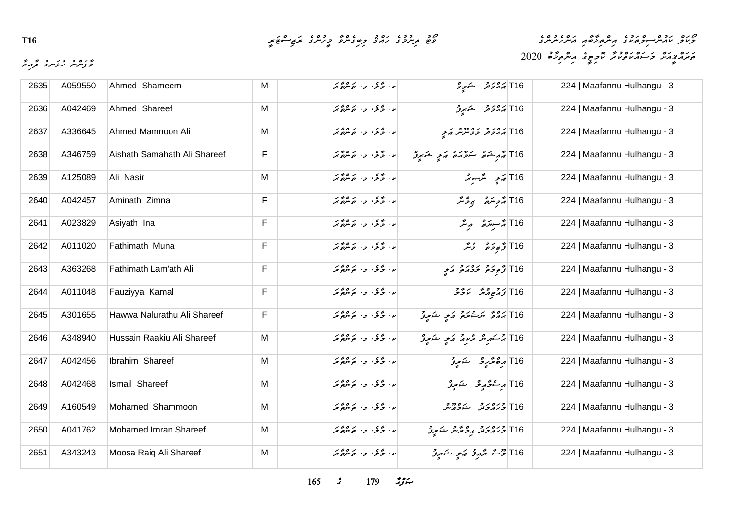*sCw7q7s5w7m< o<n9nOoAw7o< sCq;mAwBoEw7q<m; wBm;vB 2020<sup>, م</sup>وسر در مدد مدرج به مدرم مقرم قرار 2020*<br>موسر المستقرم المستقرم المستقرم المستقرم المستقرم المستقرم المستقرم المستقرم المستقرم المستقرم المستقرم المستقر

| 2635 | A059550 | Ahmed Shameem                | м | لا د څخه د کامونونو کل                                                                                                | T16   كەبىر كىمى ئىستىدى ئىستىدى ئىستان ئىستان ئىستان ئىستان ئىستان ئىستان ئىستان ئىستان ئىستان ئىستان ئىستان  | 224   Maafannu Hulhangu - 3 |
|------|---------|------------------------------|---|-----------------------------------------------------------------------------------------------------------------------|----------------------------------------------------------------------------------------------------------------|-----------------------------|
| 2636 | A042469 | Ahmed Shareef                | M | لا ژو، دا مۇشھۇتمە                                                                                                    | T16 كەندى قىرىقىسى قىلىنى ئىستان بىر ئىستان ئىستان ئىستان ئىستان ئىستان ئىستان ئىستان ئىستان ئىستان ئىستان ئىس | 224   Maafannu Hulhangu - 3 |
| 2637 | A336645 | Ahmed Mamnoon Ali            | M | $x^{\prime\prime}_{\mathcal{S}}\circ\mathcal{S}_{\mathcal{S}}\circ\mathcal{S}_{\mathcal{S}}$                          | T16 كەبرى كەن ئەرەبىرى كەب                                                                                     | 224   Maafannu Hulhangu - 3 |
| 2638 | A346759 | Aishath Samahath Ali Shareef | F | $x^{\circ}_{\mathcal{S}}$ , $x^{\circ}_{\mathcal{S}}$ , $y^{\circ}_{\mathcal{S}}$ , $y^{\circ}_{\mathcal{S}}$         | T16 مەم ئىقىدىكى مەم ئىس ئىمبار                                                                                | 224   Maafannu Hulhangu - 3 |
| 2639 | A125089 | Ali Nasir                    | M | لا د کمکی د کاروند                                                                                                    | T16 <i>ھو</i> مگسوم                                                                                            | 224   Maafannu Hulhangu - 3 |
| 2640 | A042457 | Aminath Zimna                | F | ىن ۋې د ، مۇشھۇتمە                                                                                                    | T16 مَّ <i>جِسَمَ</i> بِحِسَّ                                                                                  | 224   Maafannu Hulhangu - 3 |
| 2641 | A023829 | Asiyath Ina                  | F | لا ژو، دا مۇشھۇتمە                                                                                                    | T16 م <i>جھ مینڈ</i>                                                                                           | 224   Maafannu Hulhangu - 3 |
| 2642 | A011020 | Fathimath Muna               | F | $x^{\circ}_{\alpha\alpha}$ , $x^{\circ}_{\alpha\beta}$ , $y^{\circ}_{\alpha\beta}$                                    | T16 <i>وُّجِ دَمَّة دُمَّ</i> رَ                                                                               | 224   Maafannu Hulhangu - 3 |
| 2643 | A363268 | Fathimath Lam'ath Ali        | F | ، دې د په په                                                                                                          | T16 <i>وُّجِوَدَةً وَدُوْهَ مَ</i> عٍ                                                                          | 224   Maafannu Hulhangu - 3 |
| 2644 | A011048 | Fauziyya Kamal               | F | ۱٬ د څو، د ۱٬ وگېږي ته                                                                                                | T16 زَرۡ یَ مِرۡدُ مَرَدَّدَ                                                                                   | 224   Maafannu Hulhangu - 3 |
| 2645 | A301655 | Hawwa Nalurathu Ali Shareef  | F | $x^{\prime\prime}_{\mathcal{S}}\mathcal{S}^{\prime\prime}_{\mathcal{S}}\circ\mathcal{S}^{\prime\prime}_{\mathcal{S}}$ | T16 بَرُوءٌ سَنَ يَرَمُو <sub>ه</sub> َ مِي حَسَنِ وَ                                                          | 224   Maafannu Hulhangu - 3 |
| 2646 | A348940 | Hussain Raakiu Ali Shareef   | M | لا د څخه د کامونونو                                                                                                   | T16 پُرڪوپش مُگلامُ کي هِ ڪَمَلِيُوْ                                                                           | 224   Maafannu Hulhangu - 3 |
| 2647 | A042456 | Ibrahim Shareef              | M | لا د څخه د کامونونو                                                                                                   | T16 م <i>وڭ ئۇرۇ</i> ھەمبى <sup>ت</sup> ى                                                                      | 224   Maafannu Hulhangu - 3 |
| 2648 | A042468 | Ismail Shareef               | M | ، دې د په په                                                                                                          | T16 برىشۇر بۇ سىمب <i>و</i> گ                                                                                  | 224   Maafannu Hulhangu - 3 |
| 2649 | A160549 | Mohamed Shammoon             | M | لا د څو، د ، وسيوند                                                                                                   | T16 <i>وبرە دو</i> سەھ <i>ھەدە بىر</i>                                                                         | 224   Maafannu Hulhangu - 3 |
| 2650 | A041762 | Mohamed Imran Shareef        | M | $x^{\circ}_{\alpha\alpha}$ ى ئە ئۇ ئىزى                                                                               | T16 <i>ديرورو م</i> وثر شرير                                                                                   | 224   Maafannu Hulhangu - 3 |
| 2651 | A343243 | Moosa Raiq Ali Shareef       | M | لا ژی د په دول                                                                                                        | T16 جُءُ مُرُوءٌ <i>مَ</i> عٍ حَ <i>مِي</i> رٌ                                                                 | 224   Maafannu Hulhangu - 3 |

## *n8o<n@ qC7m:q5 q7w7m?n>*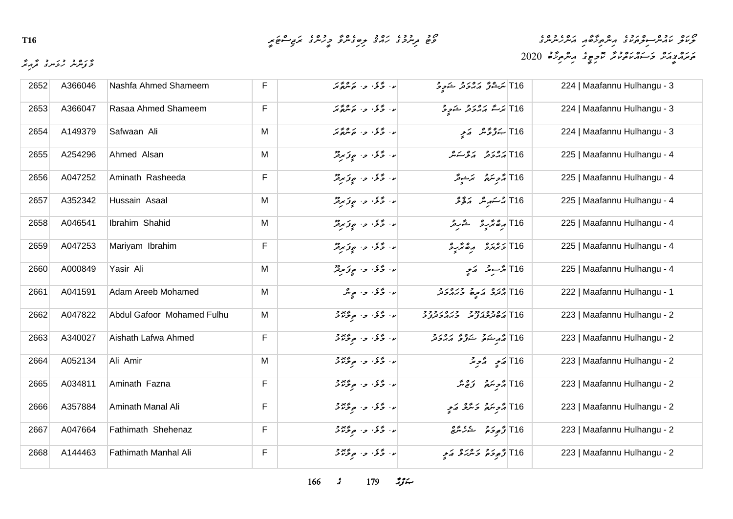*sCw7q7s5w7m< o<n9nOoAw7o< sCq;mAwBoEw7q<m; wBm;vB 2020<sup>, م</sup>وسر در مدد مدرج به مدرم مقرم قرار 2020*<br>موسر المستقرم المستقرم المستقرم المستقرم المستقرم المستقرم المستقرم المستقرم المستقرم المستقرم المستقرم المستقر

| 2652 | A366046 | Nashfa Ahmed Shameem       | F | ، دې د په دوم                | T16 سَرَحْوَدٌ كَدَرْدَتْرٌ حَدَوِدٌ                              | 224   Maafannu Hulhangu - 3 |
|------|---------|----------------------------|---|------------------------------|-------------------------------------------------------------------|-----------------------------|
| 2653 | A366047 | Rasaa Ahmed Shameem        | F | ، دې د په پر                 | T16 يَرَسَّ بَرَبْرَوْتْر حَبَوِرْ                                | 224   Maafannu Hulhangu - 3 |
| 2654 | A149379 | Safwaan Ali                | M | لا د څخه د کاملي             | T16  بەر <i>5 مى</i> ر كەر                                        | 224   Maafannu Hulhangu - 3 |
| 2655 | A254296 | Ahmed Alsan                | M | الا د څکې د الموتوبرنگر      | T16   ئەرىخى ئەمى ئەسىر                                           | 225   Maafannu Hulhangu - 4 |
| 2656 | A047252 | Aminath Rasheeda           | F | ۱۰ د کلی و اموتر پرتر        | T16 م <i>ُّ جِسَعُ مَ</i> حَسِن <i>ُ</i> د                        | 225   Maafannu Hulhangu - 4 |
| 2657 | A352342 | Hussain Asaal              | M | الا المحتى الأرامج وتمريز    | T16 يُرْسَمب <sup>ق</sup> ر مَنْزَى                               | 225   Maafannu Hulhangu - 4 |
| 2658 | A046541 | Ibrahim Shahid             | M | الا د څخه د الموترمرمز       | T16 م <i>وڭ ئۇرى</i> ر ھەرى <i>تى</i>                             | 225   Maafannu Hulhangu - 4 |
| 2659 | A047253 | Mariyam Ibrahim            | F | ۱۰ د کلی و اموتر پروژ        | T16 <i>وَبُرْمَرْوَ بِهِ مُ</i> ْرِيْرِ                           | 225   Maafannu Hulhangu - 4 |
| 2660 | A000849 | Yasir Ali                  | M | الا انحق والمجلة وللمردو     | T16 مرَّسویر م <i>ح</i> رِ                                        | 225   Maafannu Hulhangu - 4 |
| 2661 | A041591 | Adam Areeb Mohamed         | M | الا څخه د المح ش             | T16 جُترى جَرِية وَبَرْدُوتَر                                     | 222   Maafannu Hulhangu - 1 |
| 2662 | A047822 | Abdul Gafoor Mohamed Fulhu | M | ر دی. د گورد                 | T16 پره ده در دو در در دود<br>T16 پر <i>ه مرود زیر دید</i> ر مربو | 223   Maafannu Hulhangu - 2 |
| 2663 | A340027 | Aishath Lafwa Ahmed        | F | ا کار دی د موفراند           | T16 مەم شىم ئىقى مەدەر                                            | 223   Maafannu Hulhangu - 2 |
| 2664 | A052134 | Ali Amir                   | M | ر د کار د کار د د د          | T16 کړې گ <i>ړې</i> گر                                            | 223   Maafannu Hulhangu - 2 |
| 2665 | A034811 | Aminath Fazna              | F | ، د څو، د <sub>م</sub> ونو   | T16 م <i>ۇجىنى دې</i> مىگە                                        | 223   Maafannu Hulhangu - 2 |
| 2666 | A357884 | Aminath Manal Ali          | F | ، د څو، د <sub>م</sub> ونو   | T16 ك <sup>ې</sup> رمىتى 3ىگى كې                                  | 223   Maafannu Hulhangu - 2 |
| 2667 | A047664 | Fathimath Shehenaz         | F | ر، د څو، د <sub>م</sub> ونون | T16 <i>وُ<sub>ج</sub>ودَة</i> شركتينج                             | 223   Maafannu Hulhangu - 2 |
| 2668 | A144463 | Fathimath Manhal Ali       | F | ر، د څو، د <sub>مو</sub> زرو | T16 <i>وَّ<sub>ج</sub>ودَة</i> دَيْرَ وَيُرِ                      | 223   Maafannu Hulhangu - 2 |

## *n8o<n@ qC7m:q5 q7w7m?n>*

*166 s 179 <i>n*<sub>2</sub> *n*<sub>2</sub>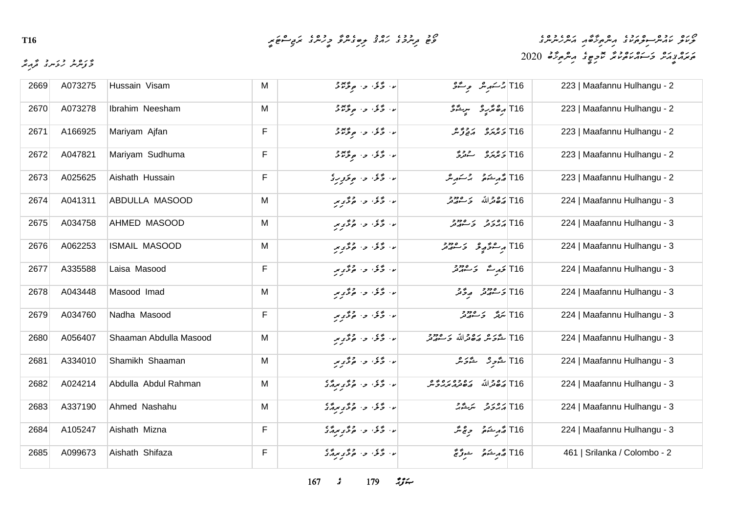*sCw7q7s5w7m< o<n9nOoAw7o< sCq;mAwBoEw7q<m; wBm;vB 2020<sup>, م</sup>وسر در مدد مدرج به مدرم مقرم قرار 2020*<br>موسر المستقرم المستقرم المستقرم المستقرم المستقرم المستقرم المستقرم المستقرم المستقرم المستقرم المستقرم المستقر

| A073275 | Hussain Visam          | M           | پار د محمد د موځوندنو                                               | 223   Maafannu Hulhangu - 2                                                                                                                                                                                                                                                                                                                                                                                                                                                                                                                                             |
|---------|------------------------|-------------|---------------------------------------------------------------------|-------------------------------------------------------------------------------------------------------------------------------------------------------------------------------------------------------------------------------------------------------------------------------------------------------------------------------------------------------------------------------------------------------------------------------------------------------------------------------------------------------------------------------------------------------------------------|
| A073278 | Ibrahim Neesham        | M           | پار د محمد د موځونو د ا                                             | 223   Maafannu Hulhangu - 2                                                                                                                                                                                                                                                                                                                                                                                                                                                                                                                                             |
| A166925 | Mariyam Ajfan          | $\mathsf F$ | ا د گري د امولوده                                                   | 223   Maafannu Hulhangu - 2                                                                                                                                                                                                                                                                                                                                                                                                                                                                                                                                             |
| A047821 | Mariyam Sudhuma        | $\mathsf F$ | الا و د و مولان                                                     | 223   Maafannu Hulhangu - 2                                                                                                                                                                                                                                                                                                                                                                                                                                                                                                                                             |
| A025625 | Aishath Hussain        | F           | الا د گلی او ا موتورگ                                               | 223   Maafannu Hulhangu - 2                                                                                                                                                                                                                                                                                                                                                                                                                                                                                                                                             |
| A041311 | ABDULLA MASOOD         | M           | لا د څخه د اونځوم                                                   | 224   Maafannu Hulhangu - 3                                                                                                                                                                                                                                                                                                                                                                                                                                                                                                                                             |
| A034758 | <b>AHMED MASOOD</b>    | M           | لا د څخه و مونوي                                                    | 224   Maafannu Hulhangu - 3                                                                                                                                                                                                                                                                                                                                                                                                                                                                                                                                             |
| A062253 | <b>ISMAIL MASOOD</b>   | M           | با د گی و هرگوین                                                    | 224   Maafannu Hulhangu - 3                                                                                                                                                                                                                                                                                                                                                                                                                                                                                                                                             |
| A335588 | Laisa Masood           | F           | د د څو، د اونوم                                                     | 224   Maafannu Hulhangu - 3                                                                                                                                                                                                                                                                                                                                                                                                                                                                                                                                             |
| A043448 | Masood Imad            | M           | لا د څخه و مونوي                                                    | 224   Maafannu Hulhangu - 3                                                                                                                                                                                                                                                                                                                                                                                                                                                                                                                                             |
| A034760 | Nadha Masood           | $\mathsf F$ | الا انځنۍ او انځنگوین                                               | 224   Maafannu Hulhangu - 3                                                                                                                                                                                                                                                                                                                                                                                                                                                                                                                                             |
| A056407 | Shaaman Abdulla Masood | M           | $\mathbf{v} \in \mathbb{R}^3$ و الموتى بر                           | 224   Maafannu Hulhangu - 3                                                                                                                                                                                                                                                                                                                                                                                                                                                                                                                                             |
| A334010 | Shamikh Shaaman        | M           | لا د گلی و همگوین                                                   | 224   Maafannu Hulhangu - 3                                                                                                                                                                                                                                                                                                                                                                                                                                                                                                                                             |
| A024214 | Abdulla Abdul Rahman   | M           | ، د د د و و د و د د و د                                             | 224   Maafannu Hulhangu - 3                                                                                                                                                                                                                                                                                                                                                                                                                                                                                                                                             |
| A337190 | Ahmed Nashahu          | M           | لا د څخه د وندې بروي                                                | 224   Maafannu Hulhangu - 3                                                                                                                                                                                                                                                                                                                                                                                                                                                                                                                                             |
| A105247 | Aishath Mizna          | F           | $\begin{pmatrix} 2 & 2 & 3 \\ 3 & 2 & 3 \end{pmatrix}$              | 224   Maafannu Hulhangu - 3                                                                                                                                                                                                                                                                                                                                                                                                                                                                                                                                             |
| A099673 | Aishath Shifaza        | $\mathsf F$ | $\begin{bmatrix} 1 & 1 & 1 \\ 2 & 3 & 5 \\ 3 & 5 & 6 \end{bmatrix}$ | 461   Srilanka / Colombo - 2                                                                                                                                                                                                                                                                                                                                                                                                                                                                                                                                            |
|         |                        |             |                                                                     | T16  پرسک <i>ر بنگ و بسگ</i> و<br>T16 م <i>وڭگرى س</i> ېشى<br>T16 كەبەر بەر ئەرەپ ئەركىس<br>T16 كەبۇر <i>ۇ سەندۇ</i><br>T16 م <i>ەمبىنى تەسەمبىر</i><br>T16 مَەمْراللە ئەمەمە<br>T16 كەبرو كەسىر بىر<br>T16 م سگھري ڪسم <i>ھين</i> و<br>T16 تخ <sub>ص</sub> ر تحریف میں تصویر<br>T16 كەشھەتر مە <i>م</i> ۇتر<br>T16 يَرْتَمَر تَرَ مَ <i>مَّدَّةً وَ</i><br>T16 حَدَّدَ بَهْ صَدَّاللَّهُ كَـ صَفَرَتْهُ<br>T16 حَدَّوِرْ حَدَّوَسْ<br>T16 كەھەرللە كەھ <i>ەرە بويى</i> 3 م<br>T16 كەبرى كى سىر ئىشكە <i>1</i><br>T16 م <i>ۇم شەقى جى</i> مگە<br>T16 مُرِينَمُ مُورَّجٌ |

## *n8o<n@ qC7m:q5 q7w7m?n>*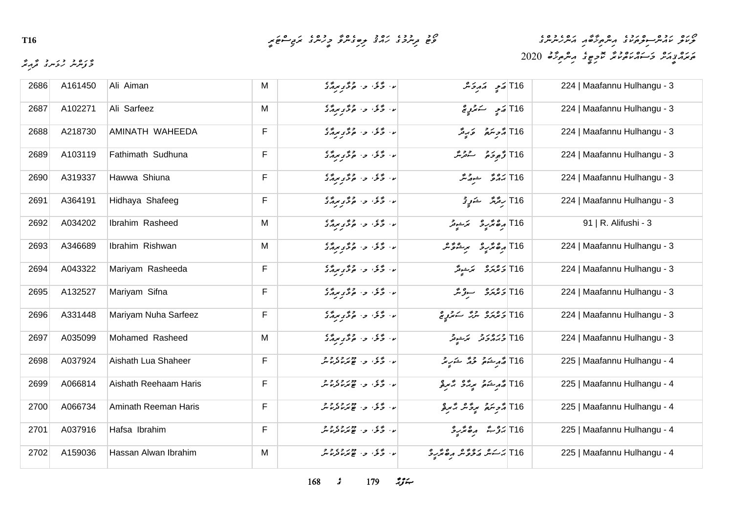*sCw7q7s5w7m< o<n9nOoAw7o< sCq;mAwBoEw7q<m; wBm;vB 2020<sup>, م</sup>وسر در مدد مدرج به مدرم مقرم قرار 2020*<br>موسر المستقرم المستقرم المستقرم المستقرم المستقرم المستقرم المستقرم المستقرم المستقرم المستقرم المستقرم المستقر

| 2686 | A161450 | Ali Aiman             | M | لا کری دا وی بردی                                           | T16 <i>ڇَجِ - پَهُ ج</i> َنَّرُ                              | 224   Maafannu Hulhangu - 3 |
|------|---------|-----------------------|---|-------------------------------------------------------------|--------------------------------------------------------------|-----------------------------|
| 2687 | A102271 | Ali Sarfeez           | M | لا : وَکَّوْ و الْمُؤْتَّوِمِهْدُوْ                         | T16 <i>ڇُجِ سَمَرُوِجُ</i>                                   | 224   Maafannu Hulhangu - 3 |
| 2688 | A218730 | AMINATH WAHEEDA       | F | ر، وګو، د، وګومه ده                                         | T16 مُج <i>سَعُ وَب</i> ِعٌ                                  | 224   Maafannu Hulhangu - 3 |
| 2689 | A103119 | Fathimath Sudhuna     | F | لا د څو د ورځویږون                                          | T16 گۇج <sub>و</sub> چە ئەمىرىتىر                            | 224   Maafannu Hulhangu - 3 |
| 2690 | A319337 | Hawwa Shiuna          | F | لا د څو د ورځونده                                           | T16 <i>بَدْهُدٌ</i> جَمِيْرٌ                                 | 224   Maafannu Hulhangu - 3 |
| 2691 | A364191 | Hidhaya Shafeeg       | F | ، د د د و و د و د د د                                       | T16 <i>رِمَّرْهُ شَوِي</i> ْ                                 | 224   Maafannu Hulhangu - 3 |
| 2692 | A034202 | Ibrahim Rasheed       | M | ر، وګو، د، وګومه ده                                         | T16 <sub>م</sub> ەنگەر <sup>و</sup> ىمىش <sub>ى</sub> نىر    | 91   R. Alifushi - 3        |
| 2693 | A346689 | Ibrahim Rishwan       | M | ، د کار د وگار ده                                           | T16 بر <i>ەنگەر ئەسىمىشۇنى</i> ر                             | 224   Maafannu Hulhangu - 3 |
| 2694 | A043322 | Mariyam Rasheeda      | F | ، د کار د وگار ده                                           | T16 كەنگەنى - ئەخبەن <i>گ</i> ە                              | 224   Maafannu Hulhangu - 3 |
| 2695 | A132527 | Mariyam Sifna         | F | لا د څو د ورځونده                                           | T16 <i>وَبُرْدَة</i> سِوْنَدَ                                | 224   Maafannu Hulhangu - 3 |
| 2696 | A331448 | Mariyam Nuha Sarfeez  | F | ر، وګو، د، وګومه ده                                         | T16 كەنگەر ئەرمەت سىنگەن <sub>ى</sub> ج                      | 224   Maafannu Hulhangu - 3 |
| 2697 | A035099 | Mohamed Rasheed       | M | ر، وګو، د، وګومه ده                                         | T16  <i>وُيَەڤەقە</i> مَرْج <sup>ە</sup> تە                  | 224   Maafannu Hulhangu - 3 |
| 2698 | A037924 | Aishath Lua Shaheer   | F | י כי כי פיני כי כי<br>י כי פי פיעינטית                      | T16 مُەمِسْتَمْ قْرَمُّ سَىرِيْر                             | 225   Maafannu Hulhangu - 4 |
| 2699 | A066814 | Aishath Reehaam Haris | F | لا د محکي د اورده د د                                       | T16 مُەب ئەم برگە گەبرە                                      | 225   Maafannu Hulhangu - 4 |
| 2700 | A066734 | Aminath Reeman Haris  | F |                                                             | T16 مَّ حِسَمَ مِرحَّ مَّ مَسِمَّ                            | 225   Maafannu Hulhangu - 4 |
| 2701 | A037916 | Hafsa Ibrahim         | F | ر، دی د. دوره در در د.<br>را، دگری د. <u>ه برنام</u> رنامبر | T16 ئەۋىبە مەھەردى                                           | 225   Maafannu Hulhangu - 4 |
| 2702 | A159036 | Hassan Alwan Ibrahim  | M | ر د محوی د دوروره د د د<br>د اوگوار و هم در در در س         | T16   يَرْسَمْ مُدَمَّرَةً مَّرْ مِنْ مُرْسَرَةً مِنْ مَرْسَ | 225   Maafannu Hulhangu - 4 |

*n8o<n@ qC7m:q5 q7w7m?n>*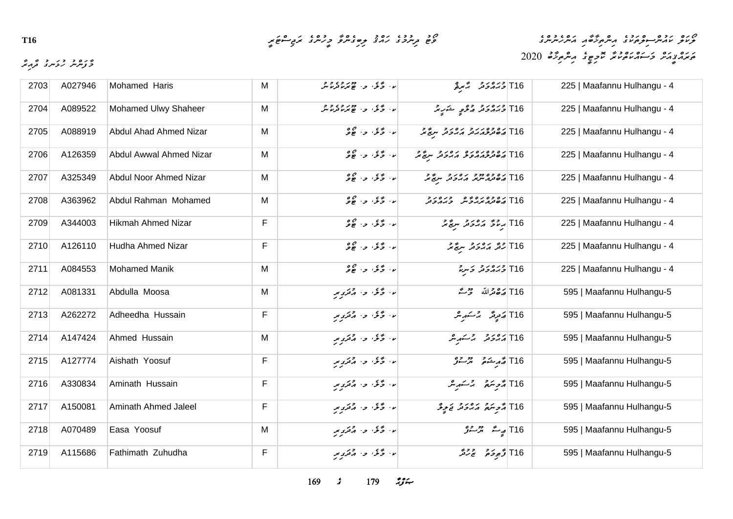*sCw7q7s5w7m< o<n9nOoAw7o< sCq;mAwBoEw7q<m; wBm;vB 2020<sup>, م</sup>وسر در مدد مدرج به مدرم مقرم قرار 2020*<br>موسر المستقرم المستقرم المستقرم المستقرم المستقرم المستقرم المستقرم المستقرم المستقرم المستقرم المستقرم المستقر

| A027946 | Mohamed Haris                  | M | ו כבי כי פיני כביב.<br>יו כבי כי פיני נגיות            | T16 <i>2522 كەيدۇ</i>                                  | 225   Maafannu Hulhangu - 4 |
|---------|--------------------------------|---|--------------------------------------------------------|--------------------------------------------------------|-----------------------------|
| A089522 | Mohamed Ulwy Shaheer           | M | ر، دی د. دوروره دو<br>را، دگری د. همزدان               | T16   <i>دْبُهْدُوَنْدْ مْ</i> كُومٍ حَ <i>دَرٍيْد</i> | 225   Maafannu Hulhangu - 4 |
| A088919 | <b>Abdul Ahad Ahmed Nizar</b>  | M | 36.5.5.1                                               | T16 مەھىر <i>وم برىق مەدرە</i> سېڭ ئى                  | 225   Maafannu Hulhangu - 4 |
| A126359 | <b>Abdul Awwal Ahmed Nizar</b> | M | $\begin{bmatrix} 0 & 0 & 0 \\ 0 & 0 & 0 \end{bmatrix}$ | T16 <i>مەھىرمەم مەمەدىسى مە</i> مە                     | 225   Maafannu Hulhangu - 4 |
| A325349 | <b>Abdul Noor Ahmed Nizar</b>  | M | 38.5.5.7                                               | T16 رە دومبر رورد سرگانز                               | 225   Maafannu Hulhangu - 4 |
| A363962 | Abdul Rahman Mohamed           | M | ر، دې د عو                                             | T16 پەھ <i>دەمدەمور دىم</i> دەرد                       | 225   Maafannu Hulhangu - 4 |
| A344003 | <b>Hikmah Ahmed Nizar</b>      | F | 38.5.5.7                                               | T16 بەر بۇ ئۇي ئۇي سېنجىتى                             | 225   Maafannu Hulhangu - 4 |
| A126110 | <b>Hudha Ahmed Nizar</b>       | F | 98.59.5                                                | T16 رُنَّزُ <i>مَدْدَوَنْرُ</i> سِيِّ مُرَّ            | 225   Maafannu Hulhangu - 4 |
| A084553 | <b>Mohamed Manik</b>           | M | 98.55.7                                                | T16 <i>وَبَرْدُوَنْدْ وَسِرْ</i>                       | 225   Maafannu Hulhangu - 4 |
| A081331 | Abdulla Moosa                  | M | الأرتج في الأراد وتري من                               | T16 كەھىراللە ج <sup>ىم</sup> ە                        | 595   Maafannu Hulhangu-5   |
| A262272 | Adheedha Hussain               | F | با ان گلی او اندازه می                                 | T16 كەيرى <i>گە بەستەپ بى</i> ر                        | 595   Maafannu Hulhangu-5   |
| A147424 | Ahmed Hussain                  | M | الا الحجي، والمكروب                                    | T16   كەبۇ ئەسىر ئەسىر بىر                             | 595   Maafannu Hulhangu-5   |
| A127774 | Aishath Yoosuf                 | F | الأستحق الماستمري من                                   | T16 مُرمِشَعْرِ مَرْتَبَرْ                             | 595   Maafannu Hulhangu-5   |
| A330834 | Aminath Hussain                | F | الأستحق الأستمري من                                    | T16 مَّ حِسَمَة مَسْتَمَدِيْثَر                        | 595   Maafannu Hulhangu-5   |
| A150081 | Aminath Ahmed Jaleel           | F | الأرتج في الأراد وتري من                               | T16 تَرْمِ سَمَّةَ ۖ تَدَوَمَّرَ ۖ تَحَمَّدٍ حَ        | 595   Maafannu Hulhangu-5   |
| A070489 | Easa Yoosuf                    | M | الاستحق وسقفري من                                      | T16 <sub>جو</sub> شہ پیشہو                             | 595   Maafannu Hulhangu-5   |
| A115686 | Fathimath Zuhudha              | F | الأرمح كمحارج والمتمادي من                             | T16 <i>وُجوحَة ج</i> <sup>2</sup> مَّد                 | 595   Maafannu Hulhangu-5   |
|         |                                |   |                                                        |                                                        |                             |

*n8o<n@ qC7m:q5 q7w7m?n>*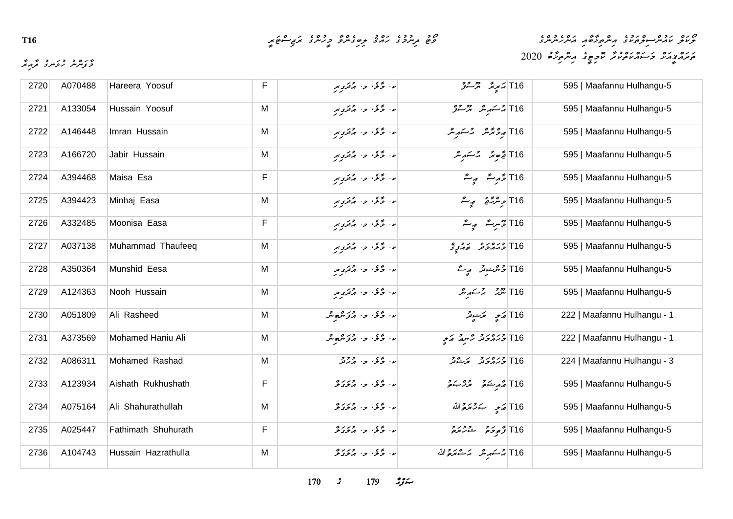*sCw7q7s5w7m< o<n9nOoAw7o< sCq;mAwBoEw7q<m; wBm;vB 2020<sup>, م</sup>وسر در مدد مدرج به مدرم مقرم قرار 2020*<br>موسر المستقرم المستقرم المستقرم المستقرم المستقرم المستقرم المستقرم المستقرم المستقرم المستقرم المستقرم المستقر

| 2720 | A070488 | Hareera Yoosuf      | F | الا الحجي الأراد المكروب       | T16   يَهِيمُ قَرْسُوْتُرْ                    | 595   Maafannu Hulhangu-5   |
|------|---------|---------------------|---|--------------------------------|-----------------------------------------------|-----------------------------|
| 2721 | A133054 | Hussain Yoosuf      | M | الا انحق والمكروب              | T16 يز <i>شهر شهر ميز شو</i> ه                | 595   Maafannu Hulhangu-5   |
| 2722 | A146448 | Imran Hussain       | M | الأرمح كما والمتحري من         | T16 <sub>مو</sub> وْتَرْسْ كَرْسَهِ شْ        | 595   Maafannu Hulhangu-5   |
| 2723 | A166720 | Jabir Hussain       | M | الا الحجمي المال المكروب       | T16 محَ <i>وجد برُسكو</i> بر                  | 595   Maafannu Hulhangu-5   |
| 2724 | A394468 | Maisa Esa           | F | الا الحجمي الاراد وكروس        | T16 ڈرٹ <sub>می</sub> ٹ                       | 595   Maafannu Hulhangu-5   |
| 2725 | A394423 | Minhaj Easa         | M | با ان گلی او ان انگلامی می     | T16 <i>وِ بڑج</i> ۾ پُ ج                      | 595   Maafannu Hulhangu-5   |
| 2726 | A332485 | Moonisa Easa        | F | الاستحق وسلطمي                 | T16 قُرْسِهُ پِسُهُ                           | 595   Maafannu Hulhangu-5   |
| 2727 | A037138 | Muhammad Thaufeeq   | M | الاستحق وسلمتي                 | T16 <i>3223 م م تو</i> في <i>ر</i>            | 595   Maafannu Hulhangu-5   |
| 2728 | A350364 | Munshid Eesa        | M | الأستحق وسلطمي                 | T16 ۇير <sub>ىشو</sub> تر ب <sub>ې</sub> رىگە | 595   Maafannu Hulhangu-5   |
| 2729 | A124363 | Nooh Hussain        | M | الا الحجمي الاراد و و و تري بل | T16 يترج ب <sub>م شكو</sub> يتر               | 595   Maafannu Hulhangu-5   |
| 2730 | A051809 | Ali Rasheed         | M | لا په مخکې د اور مرکز شوه ش    | T16 <i>۾ ۾ مڌيو</i> ر                         | 222   Maafannu Hulhangu - 1 |
| 2731 | A373569 | Mohamed Haniu Ali   | M | لا د څخه د امروسها             | T16   ج. بروتر رحمبر كم مركز                  | 222   Maafannu Hulhangu - 1 |
| 2732 | A086311 | Mohamed Rashad      | M | ر، وګڼ و، م <i>رب</i> و        | T16 <i>وُبَرُوْدَوْ</i> بَرَحْمَرُ            | 224   Maafannu Hulhangu - 3 |
| 2733 | A123934 | Aishath Rukhushath  | F | لا د څخه د امروزو              | T16 مۇم <i>رىشمۇ بىردىسكە</i>                 | 595   Maafannu Hulhangu-5   |
| 2734 | A075164 | Ali Shahurathullah  | M | لا : وَتَوْا وا الْمُؤْوَوَّ   | T16 كەمچە     سەڭرىمكە للە                    | 595   Maafannu Hulhangu-5   |
| 2735 | A025447 | Fathimath Shuhurath | F | الا د څوک د امگري ک            | T16 ر <i>ڳوچو شرحينو</i>                      | 595   Maafannu Hulhangu-5   |
| 2736 | A104743 | Hussain Hazrathulla | M | الا د څوک د امگري ک            | T16 كەسكەر بىر مەنتىدىكە للە                  | 595   Maafannu Hulhangu-5   |

## *n8o<n@ qC7m:q5 q7w7m?n>*

*170 s 179 n***<sub>3</sub>** *n*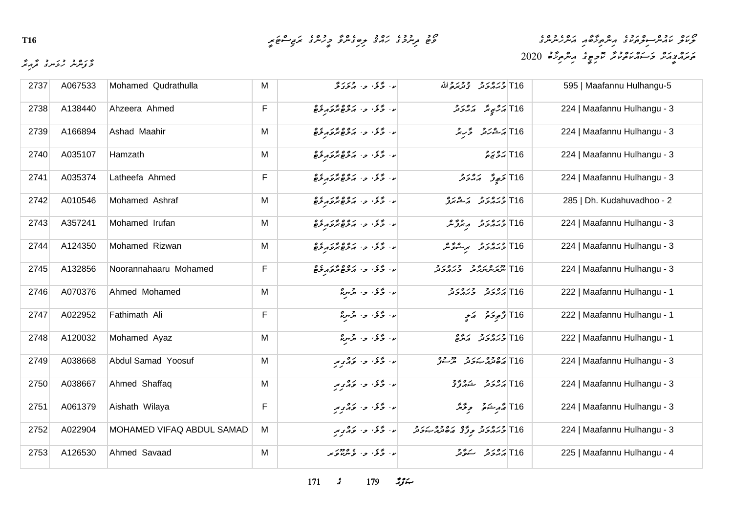*sCw7q7s5w7m< o<n9nOoAw7o< sCq;mAwBoEw7q<m; wBm;vB* م من المسجد المسجد المسجد المسجد المسجد العام 2020<br>مسجد المسجد المسجد المسجد المسجد المسجد المسجد المسجد المسجد ال

#### *n8o<n@ qC7m:q5 q7w7m?n>*

| 2737 | A067533 | Mohamed Qudrathulla       | М            | ۱۰ څخه د کمر <i>و</i> ځو                                                                                                                                                                                                                                                                                                     | T16 <i>وَبَرْدُوَ</i> تَرَ تَرْتَزَيْرَ اللّه                 | 595   Maafannu Hulhangu-5   |
|------|---------|---------------------------|--------------|------------------------------------------------------------------------------------------------------------------------------------------------------------------------------------------------------------------------------------------------------------------------------------------------------------------------------|---------------------------------------------------------------|-----------------------------|
| 2738 | A138440 | Ahzeera Ahmed             | $\mathsf F$  |                                                                                                                                                                                                                                                                                                                              | T16 كەرىپ <i>قەرىخەت</i> ر                                    | 224   Maafannu Hulhangu - 3 |
| 2739 | A166894 | Ashad Maahir              | M            |                                                                                                                                                                                                                                                                                                                              | T16 كەش <i>ەت قەرى</i> تى                                     | 224   Maafannu Hulhangu - 3 |
| 2740 | A035107 | Hamzath                   | M            |                                                                                                                                                                                                                                                                                                                              | 555/116                                                       | 224   Maafannu Hulhangu - 3 |
| 2741 | A035374 | Latheefa Ahmed            | F            |                                                                                                                                                                                                                                                                                                                              | T16 كۇم <sub>ۇ</sub> گ كەند <i>ى</i> كى                       | 224   Maafannu Hulhangu - 3 |
| 2742 | A010546 | Mohamed Ashraf            | M            | $\begin{bmatrix} 0 & 0 & 0 & 0 & 0 & 0 \\ 0 & 0 & 0 & 0 & 0 \\ 0 & 0 & 0 & 0 & 0 \\ 0 & 0 & 0 & 0 & 0 \\ 0 & 0 & 0 & 0 & 0 \\ 0 & 0 & 0 & 0 & 0 \\ 0 & 0 & 0 & 0 & 0 \\ 0 & 0 & 0 & 0 & 0 \\ 0 & 0 & 0 & 0 & 0 \\ 0 & 0 & 0 & 0 & 0 \\ 0 & 0 & 0 & 0 & 0 \\ 0 & 0 & 0 & 0 & 0 \\ 0 & 0 & 0 & 0 & 0 \\ 0 & 0 & 0 & 0 & 0 \\ $ | T16 تربر 1957 كەشلىرى                                         | 285   Dh. Kudahuvadhoo - 2  |
| 2743 | A357241 | Mohamed Irufan            | M            |                                                                                                                                                                                                                                                                                                                              | T16  <i>32,322 م</i> ىر <i>ۇ</i> ش                            | 224   Maafannu Hulhangu - 3 |
| 2744 | A124350 | Mohamed Rizwan            | M            |                                                                                                                                                                                                                                                                                                                              | T16 <i>2282 برندۇنل</i>                                       | 224   Maafannu Hulhangu - 3 |
| 2745 | A132856 | Noorannahaaru Mohamed     | F            |                                                                                                                                                                                                                                                                                                                              | T16 <i>نېزىگەنگەنگە</i> ئە <i>رەبەد</i>                       | 224   Maafannu Hulhangu - 3 |
| 2746 | A070376 | Ahmed Mohamed             | M            | لا : د څو د د اوسرنا                                                                                                                                                                                                                                                                                                         | T16   <i>جَهْدُوَ حَمَدُ وَجُودُو</i>                         | 222   Maafannu Hulhangu - 1 |
| 2747 | A022952 | Fathimath Ali             | F            | پار ځنځوا د اور اور پر                                                                                                                                                                                                                                                                                                       | T16 <i>وُّجِ دَمَّة - مَ</i> حٍ                               | 222   Maafannu Hulhangu - 1 |
| 2748 | A120032 | Mohamed Ayaz              | M            | پار ځنځوا د اور اور لر                                                                                                                                                                                                                                                                                                       | T16 <i>جەنەدىنە</i> مە <i>ش</i> ى                             | 222   Maafannu Hulhangu - 1 |
| 2749 | A038668 | <b>Abdul Samad Yoosuf</b> | M            | لا د څخه د وه دي                                                                                                                                                                                                                                                                                                             | T16 كەھەر كەندى بىر يېزىيەتى                                  | 224   Maafannu Hulhangu - 3 |
| 2750 | A038667 | Ahmed Shaffaq             | $\mathsf{M}$ | لا د څخه د وه ومړي                                                                                                                                                                                                                                                                                                           | T16 كەبرى ئەرگە قىچە ئەرگە تەركىيە ئا                         | 224   Maafannu Hulhangu - 3 |
| 2751 | A061379 | Aishath Wilaya            | F            | $\mathbf{v} \cdot \mathbf{v} \mathbf{v} \cdot \mathbf{v} \cdot \mathbf{v}$                                                                                                                                                                                                                                                   | T16 صَّرِحَتَمَّ وِقَ <i>مَّ</i>                              | 224   Maafannu Hulhangu - 3 |
| 2752 | A022904 | MOHAMED VIFAQ ABDUL SAMAD | M            | $x 38.5 - 32.$                                                                                                                                                                                                                                                                                                               | T16 وبرورو موتوفه مقدم بدرو<br>T16 وبرمرونر موتوفه مقدم بدونر | 224   Maafannu Hulhangu - 3 |
| 2753 | A126530 | Ahmed Savaad              | M            | لا د څخه د وسرده پر                                                                                                                                                                                                                                                                                                          | T16 كەبرى ئىمەمىر                                             | 225   Maafannu Hulhangu - 4 |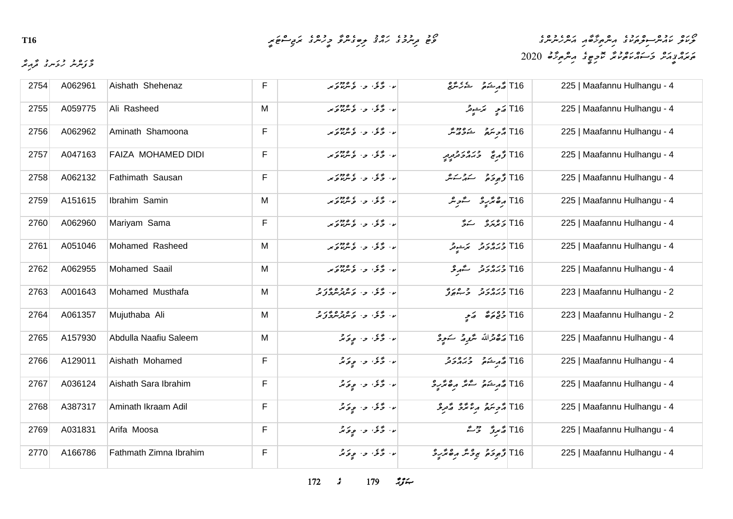*sCw7q7s5w7m< o<n9nOoAw7o< sCq;mAwBoEw7q<m; wBm;vB 2020<sup>, م</sup>وسوق المسجد التحقيق وسرمونية والم*جمع المسجد المسجد المسجد المسجد المسجد المسجد المسجد المسجد المسجد ال

| 2754 | A062961 | Aishath Shehenaz          | F | ر، دی. د. ۱۶۶۵ و.<br>را، دگر، د. وسردوبر     | T16 مەم ئىشمى ئىش <i>ەر ئىگى</i> ج                                                                         | 225   Maafannu Hulhangu - 4 |
|------|---------|---------------------------|---|----------------------------------------------|------------------------------------------------------------------------------------------------------------|-----------------------------|
| 2755 | A059775 | Ali Rasheed               | M | ۴۵ وي.<br>۴۰ وگې و وسر <i>لاون</i> د         | T16 <i>ھَي</i> مَڻيومَّر                                                                                   | 225   Maafannu Hulhangu - 4 |
| 2756 | A062962 | Aminath Shamoona          | F | ۲۵۵ وي.<br>۲۰ وگې و وسرلانونو                | T16 مَّ حِسَمَ حَسَّ مِهْ مِسْتَرَ مِسْر                                                                   | 225   Maafannu Hulhangu - 4 |
| 2757 | A047163 | <b>FAIZA MOHAMED DIDI</b> | F | ر، دی. د. د. ۱۶۶۵ و.<br>د. وگو، د. وسردوبر   |                                                                                                            | 225   Maafannu Hulhangu - 4 |
| 2758 | A062132 | Fathimath Sausan          | F | ، دی، داردور<br>۱۰ ژنگی دا وسردوبر           | T16 <i>وَّجوحَ</i> هُمَ سَنَهْرَسَتَ مَدْ                                                                  | 225   Maafannu Hulhangu - 4 |
| 2759 | A151615 | Ibrahim Samin             | M | ، دی، د، دور.<br>۱۰ ژنگ د، وسر <i>نا</i> وبر | T16 <sub>ا</sub> رەتمەر ئىستىمىتىسى<br>                                                                    | 225   Maafannu Hulhangu - 4 |
| 2760 | A062960 | Mariyam Sama              | F | ر، دی که دوره در در ۱۶۶۵ میل                 | $5 - 22$ $\leq$ T16                                                                                        | 225   Maafannu Hulhangu - 4 |
| 2761 | A051046 | Mohamed Rasheed           | M |                                              | T16  <i>وْبَہُ وَمَرَ</i> مَرْشِیْتَر                                                                      | 225   Maafannu Hulhangu - 4 |
| 2762 | A062955 | Mohamed Saail             | M |                                              | T16  <i>3223 سگ</i> ري                                                                                     | 225   Maafannu Hulhangu - 4 |
| 2763 | A001643 | Mohamed Musthafa          | M | ، دې د وسروسيز د                             | T16 <i>جەمەدە</i> جىب <i>وۋ</i>                                                                            | 223   Maafannu Hulhangu - 2 |
| 2764 | A061357 | Mujuthaba Ali             | M | ر، دې د، د وسروسرونو                         | T16 وُوْءَ ۾َ مَر                                                                                          | 223   Maafannu Hulhangu - 2 |
| 2765 | A157930 | Abdulla Naafiu Saleem     | M | الا د دی وا چې تر                            | T16 كەھەراللە ش <i>ور2 سەرد</i>                                                                            | 225   Maafannu Hulhangu - 4 |
| 2766 | A129011 | Aishath Mohamed           | F | ۱۰ وګي و ووتر                                | T16 مەم ئىق ئەم ئەربىرىد                                                                                   | 225   Maafannu Hulhangu - 4 |
| 2767 | A036124 | Aishath Sara Ibrahim      | F | ، د څو، د ، وومړ                             | T16 مەم شىر مىتىر مەھ <i>مەر ب</i>                                                                         | 225   Maafannu Hulhangu - 4 |
| 2768 | A387317 | Aminath Ikraam Adil       | F | ، د څو، د ، وومړ                             | T16 مُرج <i>دَة مِنْ مُدَّة مُ</i> عِرف <i>ة</i>                                                           | 225   Maafannu Hulhangu - 4 |
| 2769 | A031831 | Arifa Moosa               | F | ، د څو، د ، وه پر                            | T16 مُحرِزٌ حَرْثَہُ                                                                                       | 225   Maafannu Hulhangu - 4 |
| 2770 | A166786 | Fathmath Zimna Ibrahim    | F | ۱۰ د څخه د اوه تر                            | T16 أ <i>ؤودة</i> وكاند ما محمد بالمحمد المحمد المحمد المحمد بير محمد المحمد المحمد المحمد المحمد المحمد ا | 225   Maafannu Hulhangu - 4 |

*n8o<n@ qC7m:q5 q7w7m?n>*

*172 s 179 n***<sub>2</sub>** *n*<sub>2</sub>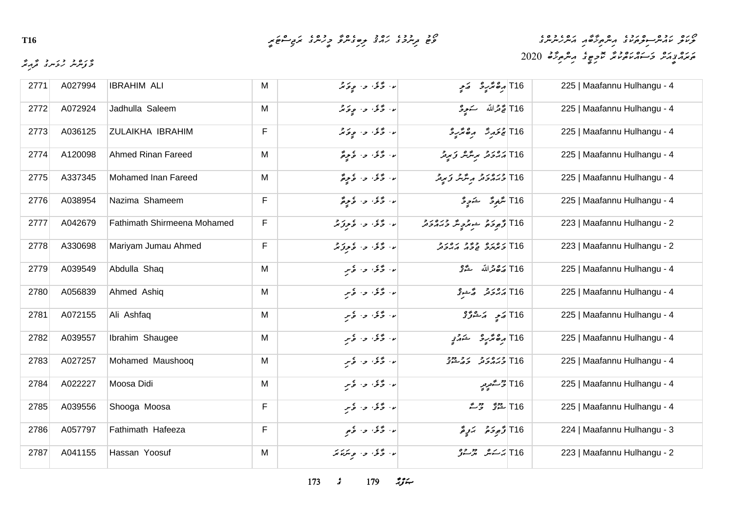*sCw7q7s5w7m< o<n9nOoAw7o< sCq;mAwBoEw7q<m; wBm;vB 2020<sup>, م</sup>وسوق المسجد التحقيق وسرمونية والم*جمع المسجد المسجد المسجد المسجد المسجد المسجد المسجد المسجد المسجد ال

#### *n8o<n@ qC7m:q5 q7w7m?n>*

| 2771 | A027994 | <b>IBRAHIM ALI</b>          | M           | الا . وَ فَي الله و و و تو                       | T16 ر <i>ەھتىپ</i> ۇ م <i>ەي</i>                       | 225   Maafannu Hulhangu - 4 |
|------|---------|-----------------------------|-------------|--------------------------------------------------|--------------------------------------------------------|-----------------------------|
| 2772 | A072924 | Jadhulla Saleem             | M           | ، دڅو، د په نو                                   | T16 قَوْمَرْاللّه     سَمَعِرْدُ                       | 225   Maafannu Hulhangu - 4 |
| 2773 | A036125 | <b>ZULAIKHA IBRAHIM</b>     | $\mathsf F$ | الا د څخه وا د ده تر                             | T16 يُحَمِّدِنَّة مِنْ يُحِرِّدُ                       | 225   Maafannu Hulhangu - 4 |
| 2774 | A120098 | <b>Ahmed Rinan Fareed</b>   | M           | $\stackrel{\circ}{\mathscr{S}}$ ر گاه د گاه کاره | T16 كەبۇبۇقە بېرىگەنگە تۇيوبۇ                          | 225   Maafannu Hulhangu - 4 |
| 2775 | A337345 | Mohamed Inan Fareed         | M           |                                                  | T16 <i>دُبُہُ دُوَمَّہ وَسُرَّہُ وَسِ</i> مِہُ         | 225   Maafannu Hulhangu - 4 |
| 2776 | A038954 | Nazima Shameem              | F           | الا المحمق الماسي والمحيض                        | T16 مَّنمِرَّ شَرِرْ و                                 | 225   Maafannu Hulhangu - 4 |
| 2777 | A042679 | Fathimath Shirmeena Mohamed | F           | $\mathcal{L}(\mathcal{L})$ ، وَمَحْرَمَتْ        | T16 ر <i>ُّ ۾ حَمْ</i> شِمْرِ شَ <sup>مِ</sup> دُبِرور | 223   Maafannu Hulhangu - 2 |
| 2778 | A330698 | Mariyam Jumau Ahmed         | F           | الا د گلی و کاموژنگ                              | T16 كرمره ووو رورو                                     | 223   Maafannu Hulhangu - 2 |
| 2779 | A039549 | Abdulla Shaq                | M           | لاستخرق الأراضي                                  | T16 كَدَّهْ قَرْاللَّهُ شَدَّةٌ                        | 225   Maafannu Hulhangu - 4 |
| 2780 | A056839 | Ahmed Ashiq                 | M           | الا گرگی که گالو                                 | T16 <i>كەنگەنىڭ م</i> گىنىد <i>ۇ</i>                   | 225   Maafannu Hulhangu - 4 |
| 2781 | A072155 | Ali Ashfaq                  | M           | لا گري واکولو                                    | T16 كەمچە كەشى <i>ردى</i>                              | 225   Maafannu Hulhangu - 4 |
| 2782 | A039557 | Ibrahim Shaugee             | M           | په د څخه او ۱۰ د توم                             | T16 م <i>وڭ ئۇم</i> ۇ سىم <i>ۇ</i> ت <sub>ۇ</sub>      | 225   Maafannu Hulhangu - 4 |
| 2783 | A027257 | Mohamed Maushoog            | M           | لاستخرق الأراضي                                  | T16 وبرەرو كەردە 32                                    | 225   Maafannu Hulhangu - 4 |
| 2784 | A022227 | Moosa Didi                  | M           | الا گرگی که گالو                                 | T16 فخ مس <i>تج</i> و مربع                             | 225   Maafannu Hulhangu - 4 |
| 2785 | A039556 | Shooga Moosa                | $\mathsf F$ | لا د څخه د غېر                                   | $23$ $32$ T16                                          | 225   Maafannu Hulhangu - 4 |
| 2786 | A057797 | Fathimath Hafeeza           | F           | لا گرگی و گرمی                                   | T16 <i>وُّجِ حَمَّى بَرَوٍ مُ</i> ّ                    | 224   Maafannu Hulhangu - 3 |
| 2787 | A041155 | Hassan Yoosuf               | M           | الا دمجني والإمكريم                              |                                                        | 223   Maafannu Hulhangu - 2 |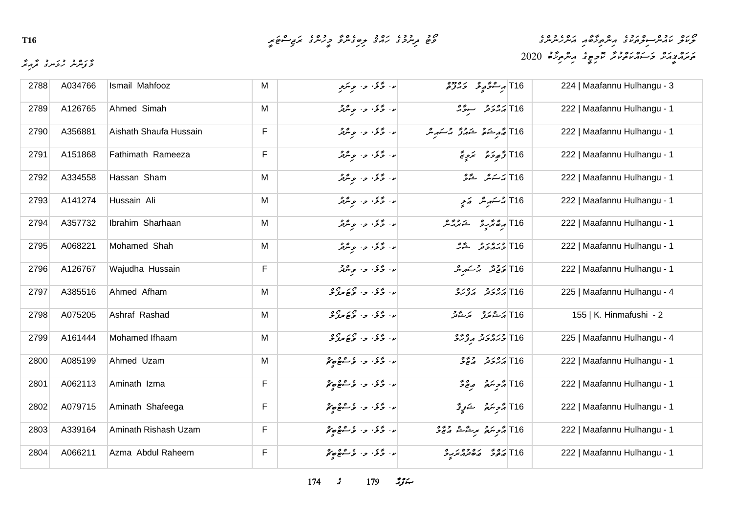*sCw7q7s5w7m< o<n9nOoAw7o< sCq;mAwBoEw7q<m; wBm;vB* م من المرة المرة المرة المرجع المرجع في المركبة 2020<br>مجم*د المريض المربوط المربع المرجع في المراجع المركبة* 

| 2788 | A034766 | Ismail Mahfooz         | M | اما انځري او اا او مکرم  | T16 م <i>ېشۇمۇ خەنزە</i>                    | 224   Maafannu Hulhangu - 3 |
|------|---------|------------------------|---|--------------------------|---------------------------------------------|-----------------------------|
| 2789 | A126765 | Ahmed Simah            | M | الا المحمى الماس والمحمد | T16 <i>كەندى قىرى</i> مىتىسىدىكى            | 222   Maafannu Hulhangu - 1 |
| 2790 | A356881 | Aishath Shaufa Hussain | F | د د څو، د او مرکز        | T16 مەم ئىشمى ئىشرىق ئەسكىرىش               | 222   Maafannu Hulhangu - 1 |
| 2791 | A151868 | Fathimath Rameeza      | F | الا د څخه د او مرکز      | T16 أَوَّجِ حَمَّ مَجَرَّجَ                 | 222   Maafannu Hulhangu - 1 |
| 2792 | A334558 | Hassan Sham            | M | الا د څخه او او جرينل    | T16  زسکر گرو                               | 222   Maafannu Hulhangu - 1 |
| 2793 | A141274 | Hussain Ali            | M | د گچې و ومريز            | T16 پرڪبريش ڪي <sub>جي</sub>                | 222   Maafannu Hulhangu - 1 |
| 2794 | A357732 | Ibrahim Sharhaan       | M | الا گري وا و نگهڙ        | T16 م <i>ِنقترَب</i> رْ شَ <i>مَرْتُ</i> سْ | 222   Maafannu Hulhangu - 1 |
| 2795 | A068221 | Mohamed Shah           | M | الا گري وا ويرټر         | T16 تر پروتر گرم                            | 222   Maafannu Hulhangu - 1 |
| 2796 | A126767 | Wajudha Hussain        | F | ۱۰ وگی و وسیل            | T16 <i>ق§ق بى</i> شىرى <i>گ</i>             | 222   Maafannu Hulhangu - 1 |
| 2797 | A385516 | Ahmed Afham            | M | ، دُی د هڅموره           | T16 <i>ټرې پې</i> کړې کل                    | 225   Maafannu Hulhangu - 4 |
| 2798 | A075205 | Ashraf Rashad          | M | لا د څو، د ، وڅمور د و   | T16 كەش <i>ەترۇ ترىشۇن</i> ر                | 155   K. Hinmafushi - 2     |
| 2799 | A161444 | Mohamed Ifhaam         | M | ر، دې د وڅلوره           | T16 <i>وَبَرُوْدَوْ مِوْرُدُّ</i>           | 225   Maafannu Hulhangu - 4 |
| 2800 | A085199 | Ahmed Uzam             | M |                          | T16 كەبرى قىرىم ئىچى ئىل                    | 222   Maafannu Hulhangu - 1 |
| 2801 | A062113 | Aminath Izma           | F |                          | T16 مُح <i>مِّسَمُ مِ</i> مِعْ              | 222   Maafannu Hulhangu - 1 |
| 2802 | A079715 | Aminath Shafeega       | F |                          | T16 ۾ُ <i>وِسَمُ</i> شَ <i>وِيَّةُ</i>      | 222   Maafannu Hulhangu - 1 |
| 2803 | A339164 | Aminath Rishash Uzam   | F |                          | T16 مُرمِتمُ برِحْثُ مُتَىْ                 | 222   Maafannu Hulhangu - 1 |
| 2804 | A066211 | Azma Abdul Raheem      | F |                          | T16 كەنب <i>ۇ كەھەركەترى</i> رى             | 222   Maafannu Hulhangu - 1 |

#### *n8o<n@ qC7m:q5 q7w7m?n>*

*n*<sub>7</sub> *i s n*<sub>2</sub> *i n*<sub>2</sub> *i n*<sub>2</sub> *i n*<sub>2</sub> *i n*<sub>2</sub> *i n*<sub>2</sub> *i n*<sub>2</sub> *i n*<sub>2</sub> *i n*<sub>2</sub> *i n*<sub>2</sub> *i n*<sub>2</sub> *i n*<sub>2</sub> *i n*<sub>2</sub> *i n*<sub>2</sub> *i n*<sub>2</sub> *i n*<sub>2</sub> *i n*<sub>2</sub> *i n*<sub>2</sub> *i n*<sub>2</sub>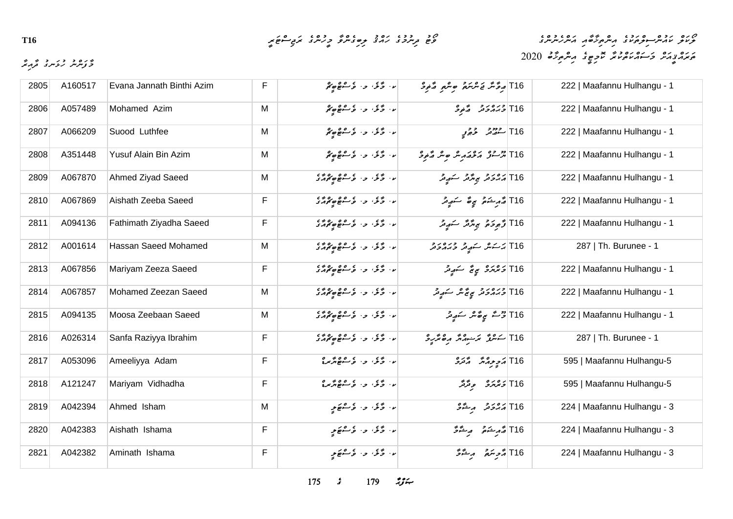*sCw7q7s5w7m< o<n9nOoAw7o< sCq;mAwBoEw7q<m; wBm;vB 2020<sup>, م</sup>وسر در مدد مدرج به مدرم مقرم قرار 2020*<br>موسر المستقرم المستقرم المستقرم المستقرم المستقرم المستقرم المستقرم المستقرم المستقرم المستقرم المستقرم المستقر

| 2805 | A160517 | Evana Jannath Binthi Azim   | F           |                                                                                                                                                                                                                                                                                                                           | T16 مِرمَّسَ z مُرْسَعٍ صِسْعِ مَرْمِرَ 3              | 222   Maafannu Hulhangu - 1 |
|------|---------|-----------------------------|-------------|---------------------------------------------------------------------------------------------------------------------------------------------------------------------------------------------------------------------------------------------------------------------------------------------------------------------------|--------------------------------------------------------|-----------------------------|
| 2806 | A057489 | Mohamed Azim                | M           |                                                                                                                                                                                                                                                                                                                           | T16 <i>وَبَهُ وَبَوْ</i> مَصَّفِوڤ                     | 222   Maafannu Hulhangu - 1 |
| 2807 | A066209 | Suood Luthfee               | M           | $\frac{3}{2}$                                                                                                                                                                                                                                                                                                             | T16 يتم <i>مي في وفيو</i>                              | 222   Maafannu Hulhangu - 1 |
| 2808 | A351448 | Yusuf Alain Bin Azim        | M           | $\frac{1}{2}$                                                                                                                                                                                                                                                                                                             | T16 پر سور مر <i>وم مر ش</i> ور محمد م <sup>ح</sup> فو | 222   Maafannu Hulhangu - 1 |
| 2809 | A067870 | <b>Ahmed Ziyad Saeed</b>    | M           | $\begin{bmatrix} 1 & 0 & 0 & 0 & 0 & 0 \\ 0 & 0 & 0 & 0 & 0 & 0 \\ 0 & 0 & 0 & 0 & 0 & 0 \\ 0 & 0 & 0 & 0 & 0 & 0 \\ 0 & 0 & 0 & 0 & 0 & 0 \\ 0 & 0 & 0 & 0 & 0 & 0 \\ 0 & 0 & 0 & 0 & 0 & 0 \\ 0 & 0 & 0 & 0 & 0 & 0 \\ 0 & 0 & 0 & 0 & 0 & 0 \\ 0 & 0 & 0 & 0 & 0 & 0 & 0 \\ 0 & 0 & 0 & 0 & 0 & 0 & 0 \\ 0 & 0 & 0 & $ | T16 كەندى تەرەپىر سەرپىر                               | 222   Maafannu Hulhangu - 1 |
| 2810 | A067869 | Aishath Zeeba Saeed         | F           | $\begin{bmatrix} 1 & 0 & 0 & 0 & 0 & 0 \\ 0 & 0 & 0 & 0 & 0 & 0 \\ 0 & 0 & 0 & 0 & 0 & 0 \\ 0 & 0 & 0 & 0 & 0 & 0 \\ 0 & 0 & 0 & 0 & 0 & 0 \\ 0 & 0 & 0 & 0 & 0 & 0 \\ 0 & 0 & 0 & 0 & 0 & 0 \\ 0 & 0 & 0 & 0 & 0 & 0 \\ 0 & 0 & 0 & 0 & 0 & 0 \\ 0 & 0 & 0 & 0 & 0 & 0 & 0 \\ 0 & 0 & 0 & 0 & 0 & 0 & 0 \\ 0 & 0 & 0 & $ | T16 مُرمِشَمْ <sub>مِي</sub> مَ سَي <sub>مِ</sub> ثَر  | 222   Maafannu Hulhangu - 1 |
| 2811 | A094136 | Fathimath Ziyadha Saeed     | F           |                                                                                                                                                                                                                                                                                                                           | T16   <i>وَّجوحَمْ بِحِرْمَّدُ سَهِيمْ</i>             | 222   Maafannu Hulhangu - 1 |
| 2812 | A001614 | <b>Hassan Saeed Mohamed</b> | M           |                                                                                                                                                                                                                                                                                                                           | T16 يُرَسَّسُ سَمِيعُ وَبَرَمُرُومُرَ                  | 287   Th. Burunee - 1       |
| 2813 | A067856 | Mariyam Zeeza Saeed         | F           |                                                                                                                                                                                                                                                                                                                           | T16 كەبۇرى ب <sub>و</sub> ي سەرپۇر                     | 222   Maafannu Hulhangu - 1 |
| 2814 | A067857 | Mohamed Zeezan Saeed        | M           | $5.8998 - 5.5$                                                                                                                                                                                                                                                                                                            | T16 <i>دېمبروتر بې تگر سکو</i> تر                      | 222   Maafannu Hulhangu - 1 |
| 2815 | A094135 | Moosa Zeebaan Saeed         | M           |                                                                                                                                                                                                                                                                                                                           | T16 ترتے ہو گھر سک <i>وپ</i> تر                        | 222   Maafannu Hulhangu - 1 |
| 2816 | A026314 | Sanfa Raziyya Ibrahim       | F           |                                                                                                                                                                                                                                                                                                                           | T16 سەمىر ئەسىمە مەھەر ي                               | 287   Th. Burunee - 1       |
| 2817 | A053096 | Ameeliyya Adam              | F           | ۱۰ ژبی د وسوه پرو                                                                                                                                                                                                                                                                                                         | T16 كەر <i>چەمەڭ م</i> ۇترى                            | 595   Maafannu Hulhangu-5   |
| 2818 | A121247 | Mariyam Vidhadha            | $\mathsf F$ |                                                                                                                                                                                                                                                                                                                           | T16 ك <i>رىمىڭ جەنگە</i> گە                            | 595   Maafannu Hulhangu-5   |
| 2819 | A042394 | Ahmed Isham                 | M           | لا د څکې د او شقونې                                                                                                                                                                                                                                                                                                       | T16 كەبرى قىر مەشكى                                    | 224   Maafannu Hulhangu - 3 |
| 2820 | A042383 | Aishath Ishama              | F           | $\ast$ وَمَحْرٌ وَالْمُرْكَبِينَ وَمُسْتَقَوْمِ                                                                                                                                                                                                                                                                           | T16 مُرسَنَعُمُ مِشَرَّ                                | 224   Maafannu Hulhangu - 3 |
| 2821 | A042382 | Aminath Ishama              | F           | لا المحتى الله المحافظ في                                                                                                                                                                                                                                                                                                 | T16 مَّرِسَمَّ مِشَرَّ                                 | 224   Maafannu Hulhangu - 3 |

## *n8o<n@ qC7m:q5 q7w7m?n>*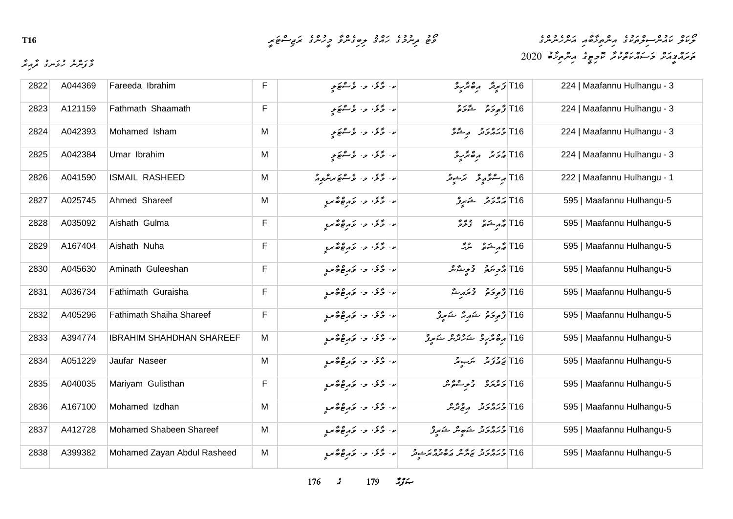*sCw7q7s5w7m< o<n9nOoAw7o< sCq;mAwBoEw7q<m; wBm;vB 2020<sup>, م</sup>وسر در مدد مدرج به مدرم مقرم قرار 2020*<br>موسر المستقرم المستقرم المستقرم المستقرم المستقرم المستقرم المستقرم المستقرم المستقرم المستقرم المستقرم المستقر

| 2822 | A044369 | Fareeda Ibrahim                 | F | لا د څخه د او شکاه د                                                                               | T16 كۆمچىگە مەھەمگەر 2                                                                                        | 224   Maafannu Hulhangu - 3 |
|------|---------|---------------------------------|---|----------------------------------------------------------------------------------------------------|---------------------------------------------------------------------------------------------------------------|-----------------------------|
| 2823 | A121159 | Fathmath Shaamath               | F | لا د څخه د او شقو                                                                                  | T16 تَ <i>وْجِوَةْ</i> شَعْرَةْ                                                                               | 224   Maafannu Hulhangu - 3 |
| 2824 | A042393 | Mohamed Isham                   | M | ، دُی دا دانمو                                                                                     | T16 <i>جەيمۇقى بە</i> شگ                                                                                      | 224   Maafannu Hulhangu - 3 |
| 2825 | A042384 | Umar Ibrahim                    | M | لا د څخه د او شکھو                                                                                 | T16 <i>جۇنز م</i> ەنگە <i>ر</i> ۇ                                                                             | 224   Maafannu Hulhangu - 3 |
| 2826 | A041590 | <b>ISMAIL RASHEED</b>           | M | ١٠ د کار د و سوځ مرسمور                                                                            | T16 م سگوگھر تھی مرکب میں تھی۔<br>مسلمان                                                                      | 222   Maafannu Hulhangu - 1 |
| 2827 | A025745 | Ahmed Shareef                   | M | ١٠ د کاره و مروه کارو                                                                              | T16 كەندى قىرىقىسى ئىستىر ئىستان ئىستان ئىستان ئىستان ئىستان ئىستان ئىستان ئىستان ئىستان ئىستان ئىستان ئىستان | 595   Maafannu Hulhangu-5   |
| 2828 | A035092 | Aishath Gulma                   | F | ١٠ د کار و او مورغ ځمه                                                                             | T16 مَگْرِسْتَمْ تَحْوُمُّ                                                                                    | 595   Maafannu Hulhangu-5   |
| 2829 | A167404 | Aishath Nuha                    | F | ١٠ دُرُّ، د وَرِهِ هُمْدِ                                                                          | T16 م <i>حْمِيشَة مِنْ</i> تَرَ                                                                               | 595   Maafannu Hulhangu-5   |
| 2830 | A045630 | Aminath Guleeshan               | F | ١٠ د کار و او ماه کار و                                                                            | T16 مَّ حِسَمَ تَوْحِشَّ مَّ                                                                                  | 595   Maafannu Hulhangu-5   |
| 2831 | A036734 | Fathimath Guraisha              | F | لا د څخه د که عوضي                                                                                 | T16 <i>وُّجِوَدَهُ</i> تَحْمَدِيثُهُ                                                                          | 595   Maafannu Hulhangu-5   |
| 2832 | A405296 | <b>Fathimath Shaiha Shareef</b> | F | ١٠ د کاره و او مورغ ځمو                                                                            | T16 گر <i>مچرد څمړنگ ڪمپر</i> و                                                                               | 595   Maafannu Hulhangu-5   |
| 2833 | A394774 | <b>IBRAHIM SHAHDHAN SHAREEF</b> | M | لا با تحوّ و المحروف العربي                                                                        | T16 مەھەر بىر شەرى <i>گە شەمرى</i> 716                                                                        | 595   Maafannu Hulhangu-5   |
| 2834 | A051229 | Jaufar Naseer                   | M | ١٠ د کار و او ماه کار و                                                                            | T16 <i>فے مگرمڈ – مگرسی مگر</i>                                                                               | 595   Maafannu Hulhangu-5   |
| 2835 | A040035 | Mariyam Gulisthan               | F | لا د څخه د که عوضي                                                                                 | T16 كەبەر ئۇم ئەمەم                                                                                           | 595   Maafannu Hulhangu-5   |
| 2836 | A167100 | Mohamed Izdhan                  | M | لا د څخه د که عوضي                                                                                 | T16 <i>ڈیزونز مبھ</i> وتر                                                                                     | 595   Maafannu Hulhangu-5   |
| 2837 | A412728 | Mohamed Shabeen Shareef         | M | لا با تحوّ و المحروف العربي                                                                        | T16 <i>وَبَرُوْدَتْرَ</i> سُمَصٍسٌ سَمَبِر <i>وْ</i>                                                          | 595   Maafannu Hulhangu-5   |
| 2838 | A399382 | Mohamed Zayan Abdul Rasheed     | M | ما الحكى الاستخدام المعنى المادة المحمدة المحمدة المحمدة المحمدة المحمدة المحمدة المحمدة المحمدة ا | T16 <i>בריח</i> ביני <sub>א</sub> וליט הסינו <i>ר א</i> לייני                                                 | 595   Maafannu Hulhangu-5   |

## *n8o<n@ qC7m:q5 q7w7m?n>*

*176 s 179 <i>n***<sub>3</sub>** *n*</sup>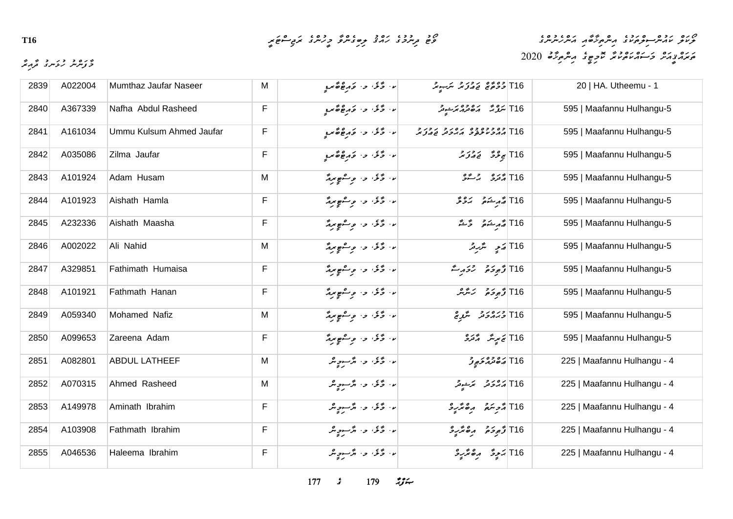*sCw7q7s5w7m< o<n9nOoAw7o< sCq;mAwBoEw7q<m; wBm;vB 2020<sup>, م</sup>وسر در مدد مدرج به مدرم مقرم قرار 2020*<br>موسر المستقرم المستقرم المستقرم المستقرم المستقرم المستقرم المستقرم المستقرم المستقرم المستقرم المستقرم المستقر

| 2839 | A022004 | Mumthaz Jaufar Naseer    | M           | ١٠ د کار د وروځتن          | T16 تر <i>وژي په ور</i> تر مرسومر                    | 20   HA. Utheemu - 1        |
|------|---------|--------------------------|-------------|----------------------------|------------------------------------------------------|-----------------------------|
| 2840 | A367339 | Nafha Abdul Rasheed      | F           | ١٠ دُو، د، وَرِهِ هُ مَدِ  | T16 <i>سَرْدْ بَنْ</i> صَ <i>وْدْ مَرْ</i> حَسِنُوسَ | 595   Maafannu Hulhangu-5   |
| 2841 | A161034 | Ummu Kulsum Ahmed Jaufar | F           | ١٠ دُرْ، د وَمَعْ وَصَعَدِ | T16 پرورو وه ده ده د در د                            | 595   Maafannu Hulhangu-5   |
| 2842 | A035086 | Zilma Jaufar             | F           | ١٠ د کار و او ماه کاملا    | T16 ي <sub>ح</sub> ودً ق <i>مۇق</i> تر               | 595   Maafannu Hulhangu-5   |
| 2843 | A101924 | Adam Husam               | M           | لا کال دا و شویده          | T16 كەنزى بەشتى                                      | 595   Maafannu Hulhangu-5   |
| 2844 | A101923 | Aishath Hamla            | F           | لا کا کا دا و شوېدهٔ       | T16 مەم ئىمى ئىمىدىنى ئىم                            | 595   Maafannu Hulhangu-5   |
| 2845 | A232336 | Aishath Maasha           | $\mathsf F$ | الا و و د الله و سوم مرد   | T16 مُرِحْمَۃ كَـُّـَّہُ                             | 595   Maafannu Hulhangu-5   |
| 2846 | A002022 | Ali Nahid                | м           | الا المحكى الاستواج برام   | T16 کھ میں مگر پارٹر<br>م                            | 595   Maafannu Hulhangu-5   |
| 2847 | A329851 | Fathimath Humaisa        | F           | لا کال دا و شویده          | T16 تۇ <sub>ج</sub> وخۇ ئەزەرىشە                     | 595   Maafannu Hulhangu-5   |
| 2848 | A101921 | Fathmath Hanan           | F           | لا کرکی دا ویشوایدهٔ       | T16 رَّ <sub>جِ ح</sub> َثَّرُ کَسَّرْ مَرْ          | 595   Maafannu Hulhangu-5   |
| 2849 | A059340 | Mohamed Nafiz            | M           | لا کا کا دا و شوېدهٔ       | T16 <i>وَبَرْدُوَنَرْ سُرْدِ</i> يْح                 | 595   Maafannu Hulhangu-5   |
| 2850 | A099653 | Zareena Adam             | $\mathsf F$ | لا کرکی دا ویشوایدهٔ       | T16 <sub>تح</sub> میر <i>مگر مگر تر</i>              | 595   Maafannu Hulhangu-5   |
| 2851 | A082801 | <b>ABDUL LATHEEF</b>     | M           | لاء گرمی که انگر سولگ      | T16 كەھە <i>تەمۇمۇمۇ</i> ر                           | 225   Maafannu Hulhangu - 4 |
| 2852 | A070315 | Ahmed Rasheed            | M           | لاء گرمی که انگر سولگ      | T16 كەنزى كى كىرىنىدى <i>گ</i>                       | 225   Maafannu Hulhangu - 4 |
| 2853 | A149978 | Aminath Ibrahim          | F           | الاستخفى التاريخ سوليات    | T16 أ <i>مَّ حِ سَمَّةَ</i> مِنْ مَ <i>جَّدِ دُ</i>  | 225   Maafannu Hulhangu - 4 |
| 2854 | A103908 | Fathmath Ibrahim         | F           | الا د محکي او انگر سولگر   | T16 <i>وَّجِوَدَةُ مِ</i> هْتَر <i>ِي</i> دُ         | 225   Maafannu Hulhangu - 4 |
| 2855 | A046536 | Haleema Ibrahim          | F           | لاء وٌکو، او اگر سولگر     | T16 بَر <sub>ْمٍ</sub> وَ مِنْ مِرْدِ                | 225   Maafannu Hulhangu - 4 |

#### *n8o<n@ qC7m:q5 q7w7m?n>*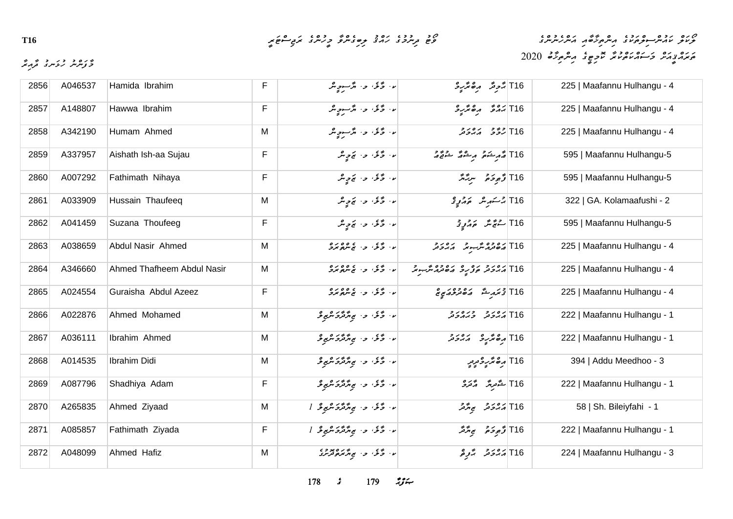*sCw7q7s5w7m< o<n9nOoAw7o< sCq;mAwBoEw7q<m; wBm;vB 2020<sup>, م</sup>وسوق المسجد التحقيق وسرمونية والم*جمع المسجد المسجد المسجد المسجد المسجد المسجد المسجد المسجد المسجد ال

| 2856 | A046537 | Hamida Ibrahim             | F           | الاء وحجى الأراد وراثير المراسور بالكر                                                                                                                                                                                                                                                                                      | T16 تَرْمِعٌ مِنْ مِرْمِرْ                                | 225   Maafannu Hulhangu - 4 |
|------|---------|----------------------------|-------------|-----------------------------------------------------------------------------------------------------------------------------------------------------------------------------------------------------------------------------------------------------------------------------------------------------------------------------|-----------------------------------------------------------|-----------------------------|
| 2857 | A148807 | Hawwa Ibrahim              | F           | ۱۰ د څخه او ۱۰ هر سول پل                                                                                                                                                                                                                                                                                                    | T16  يَرْدُوُّ مِنْ مِرْرِدْ                              | 225   Maafannu Hulhangu - 4 |
| 2858 | A342190 | Humam Ahmed                | M           | الا د محکي او انگر سولگر                                                                                                                                                                                                                                                                                                    | T16 رُبُّ دَرُونَر                                        | 225   Maafannu Hulhangu - 4 |
| 2859 | A337957 | Aishath Ish-aa Sujau       | $\mathsf F$ | لا د څخه و نموند                                                                                                                                                                                                                                                                                                            | T16 مُرسَوَّم رِسْوَمُ سُوَيْر                            | 595   Maafannu Hulhangu-5   |
| 2860 | A007292 | Fathimath Nihaya           | F           | الا المحتى الاستجاه بمراهر                                                                                                                                                                                                                                                                                                  | T16 <i>وُّجِ دَة</i> مِ <i>رتَ</i> مَّ                    | 595   Maafannu Hulhangu-5   |
| 2861 | A033909 | Hussain Thaufeeq           | M           | $\sim$ وَمَوْ، و $\sim$ وَمِرْ                                                                                                                                                                                                                                                                                              | T16 جُس <i>م مرگر محمد تو</i> فر                          | 322   GA. Kolamaafushi - 2  |
| 2862 | A041459 | Suzana Thoufeeg            | F           | الا المحتى الاستجاه بمراهر                                                                                                                                                                                                                                                                                                  | T16 شۇپتىر ب <i>ۆ</i> رىيەتچ                              | 595   Maafannu Hulhangu-5   |
| 2863 | A038659 | Abdul Nasir Ahmed          | M           |                                                                                                                                                                                                                                                                                                                             | T16 مەھەرمەشبەتر مەدومى                                   | 225   Maafannu Hulhangu - 4 |
| 2864 | A346660 | Ahmed Thafheem Abdul Nasir | M           | $\begin{bmatrix} 0 & 0 & 0 & 0 & 0 & 0 \\ 0 & 0 & 0 & 0 & 0 \\ 0 & 0 & 0 & 0 & 0 \\ 0 & 0 & 0 & 0 & 0 \\ 0 & 0 & 0 & 0 & 0 \\ 0 & 0 & 0 & 0 & 0 \\ 0 & 0 & 0 & 0 & 0 \\ 0 & 0 & 0 & 0 & 0 \\ 0 & 0 & 0 & 0 & 0 \\ 0 & 0 & 0 & 0 & 0 \\ 0 & 0 & 0 & 0 & 0 & 0 \\ 0 & 0 & 0 & 0 & 0 & 0 \\ 0 & 0 & 0 & 0 & 0 & 0 \\ 0 & 0 & $ | T16 رور د و ده ده ده مهرسته                               | 225   Maafannu Hulhangu - 4 |
| 2865 | A024554 | Guraisha Abdul Azeez       | F           | لا د څو، د ، عامونده                                                                                                                                                                                                                                                                                                        | T16 تۇتتەرىش مەھ <i>ەرۋە يى</i> ي                         | 225   Maafannu Hulhangu - 4 |
| 2866 | A022876 | Ahmed Mohamed              | M           | س د څو د په پر ترکر شرې ل                                                                                                                                                                                                                                                                                                   | T16 كەبرو مەمەمى                                          | 222   Maafannu Hulhangu - 1 |
| 2867 | A036111 | Ibrahim Ahmed              | M           | لا کال دا پارگار شرکا                                                                                                                                                                                                                                                                                                       | T16 مەھم <i>گىرى مەدەن</i> تە                             | 222   Maafannu Hulhangu - 1 |
| 2868 | A014535 | Ibrahim Didi               | M           | لا کال دا پارگار شرکا                                                                                                                                                                                                                                                                                                       | T16 <sub>مر</sub> چ تژر <sub>ی</sub> و م <sub>ی</sub> درِ | 394   Addu Meedhoo - 3      |
| 2869 | A087796 | Shadhiya Adam              | F           | الا المحكوم والمجافرة والمعالج فل                                                                                                                                                                                                                                                                                           | T16 ش <i>ۇمەڭ م</i> ۇتر <i>ۇ</i>                          | 222   Maafannu Hulhangu - 1 |
| 2870 | A265835 | Ahmed Ziyaad               | M           | ئەن ئۇ ئەن ئەرگە ئەرگە ئۇ 1                                                                                                                                                                                                                                                                                                 | T16 كەش <sup>ى</sup> ر قىر سىمەتكىر                       | 58   Sh. Bileiyfahi - 1     |
| 2871 | A085857 | Fathimath Ziyada           | F           | الا المحكي المالي والمحمد المستخدم المستخرج المستخرج المستخرج المستخرج المستخرج المستخرج المستخرج الم                                                                                                                                                                                                                       | T16 <i>وُّهِ دَهْ</i> پ <sup>ِهِ</sup> نَّهُ              | 222   Maafannu Hulhangu - 1 |
| 2872 | A048099 | Ahmed Hafiz                | M           | ر گوی د ، مورگروه دره د                                                                                                                                                                                                                                                                                                     | T16 <i>ټربرې پر ب</i>                                     | 224   Maafannu Hulhangu - 3 |
|      |         |                            |             |                                                                                                                                                                                                                                                                                                                             |                                                           |                             |

*178 s 179 <i>n***<sub>3</sub>** *n* 

# *n8o<n@ qC7m:q5 q7w7m?n>*